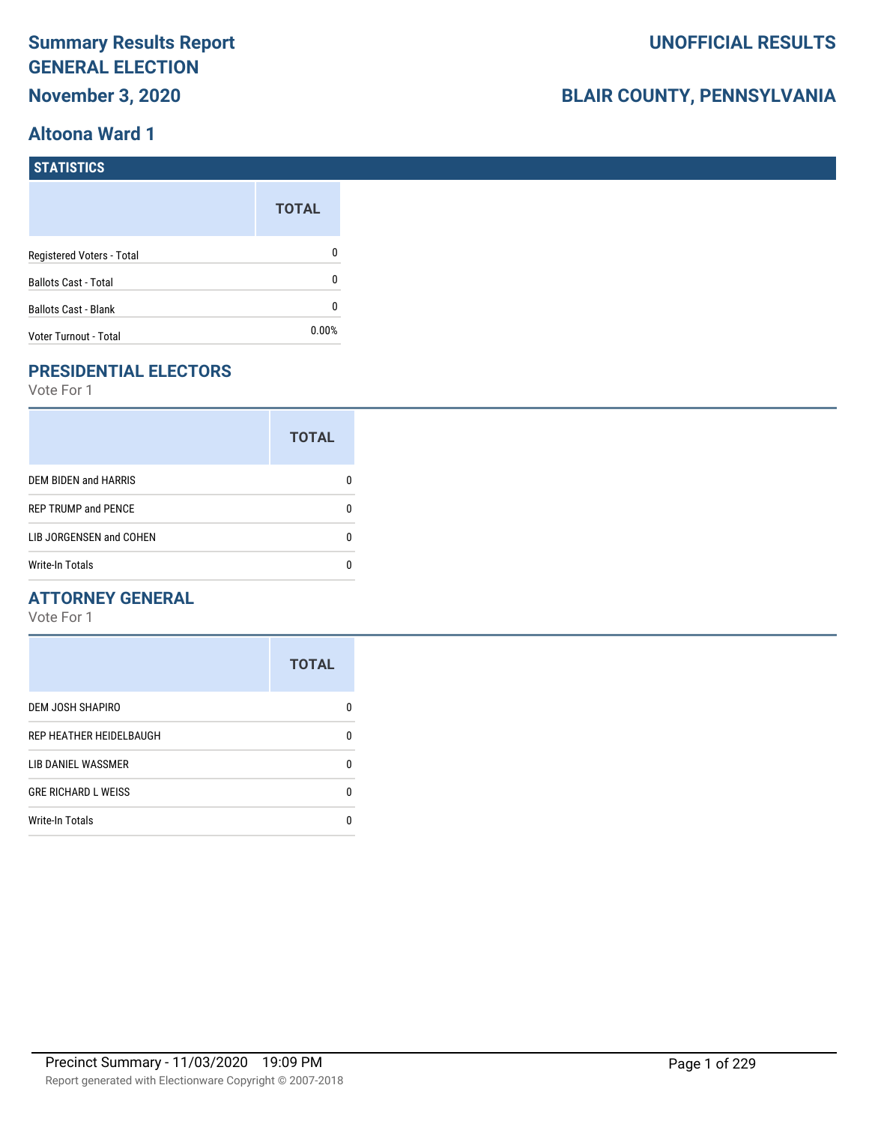# **Summary Results Report GENERAL ELECTION November 3, 2020**

## **Altoona Ward 1**

# **BLAIR COUNTY, PENNSYLVANIA**

| STATISTICS                  |              |
|-----------------------------|--------------|
|                             | <b>TOTAL</b> |
| Registered Voters - Total   | 0            |
| <b>Ballots Cast - Total</b> | 0            |
| <b>Ballots Cast - Blank</b> | 0            |
| Voter Turnout - Total       | 0.00%        |

# **PRESIDENTIAL ELECTORS**

Vote For 1

|                            | <b>TOTAL</b> |
|----------------------------|--------------|
| DEM BIDEN and HARRIS       |              |
| <b>REP TRUMP and PENCE</b> |              |
| LIB JORGENSEN and COHEN    | O            |
| <b>Write-In Totals</b>     |              |

## **ATTORNEY GENERAL**

|                            | <b>TOTAL</b> |
|----------------------------|--------------|
| DEM JOSH SHAPIRO           | n            |
| REP HEATHER HEIDELBAUGH    | 0            |
| LIB DANIEL WASSMER         | ŋ            |
| <b>GRE RICHARD L WEISS</b> | 0            |
| <b>Write-In Totals</b>     | n            |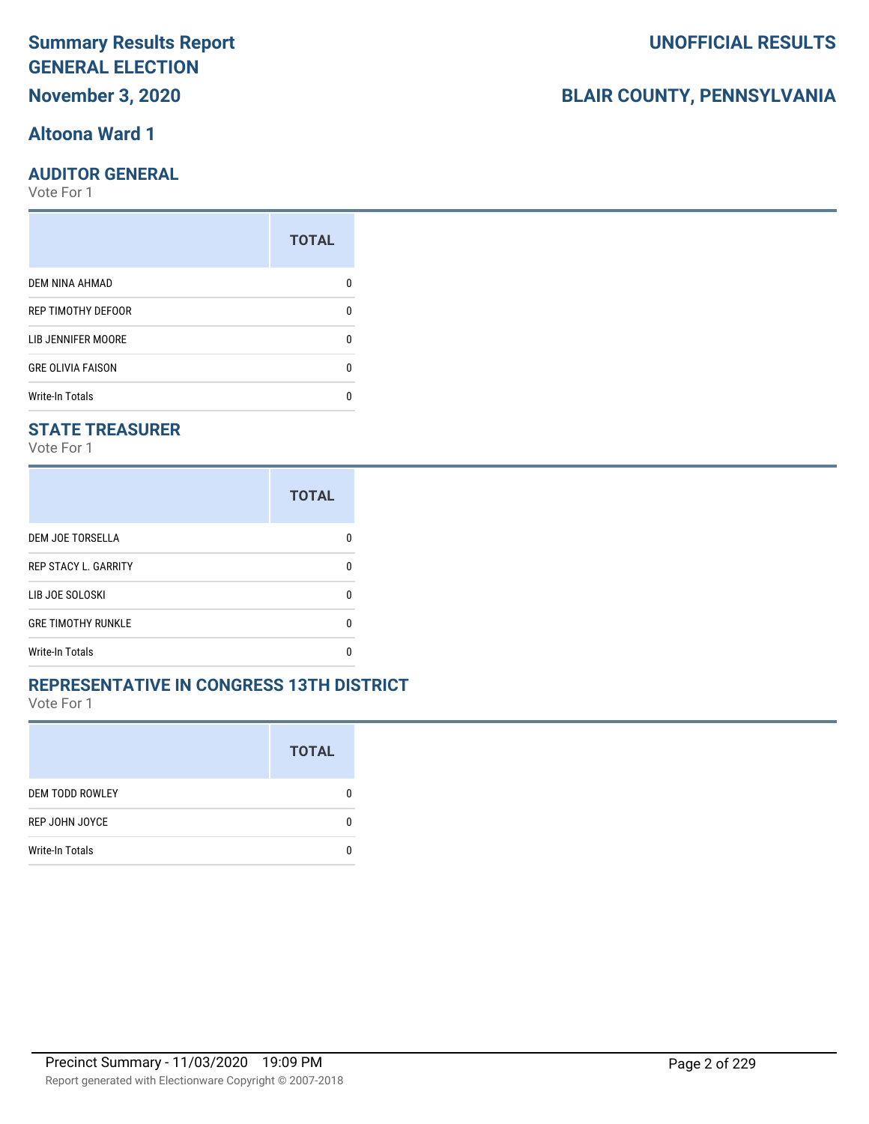# **Summary Results Report GENERAL ELECTION November 3, 2020**

## **Altoona Ward 1**

#### **AUDITOR GENERAL**

Vote For 1

| <b>TOTAL</b> |
|--------------|
|              |
| 0            |
| O            |
| O            |
|              |
|              |

### **STATE TREASURER**

Vote For 1

|                             | <b>TOTAL</b> |
|-----------------------------|--------------|
| DEM JOE TORSELLA            | n            |
| <b>REP STACY L. GARRITY</b> | n            |
| LIB JOE SOLOSKI             | n            |
| <b>GRE TIMOTHY RUNKLE</b>   | n            |
| <b>Write-In Totals</b>      | n            |

#### **REPRESENTATIVE IN CONGRESS 13TH DISTRICT**

Vote For 1

|                        | <b>TOTAL</b> |
|------------------------|--------------|
| <b>DEM TODD ROWLEY</b> | O            |
| REP JOHN JOYCE         | n            |
| <b>Write-In Totals</b> |              |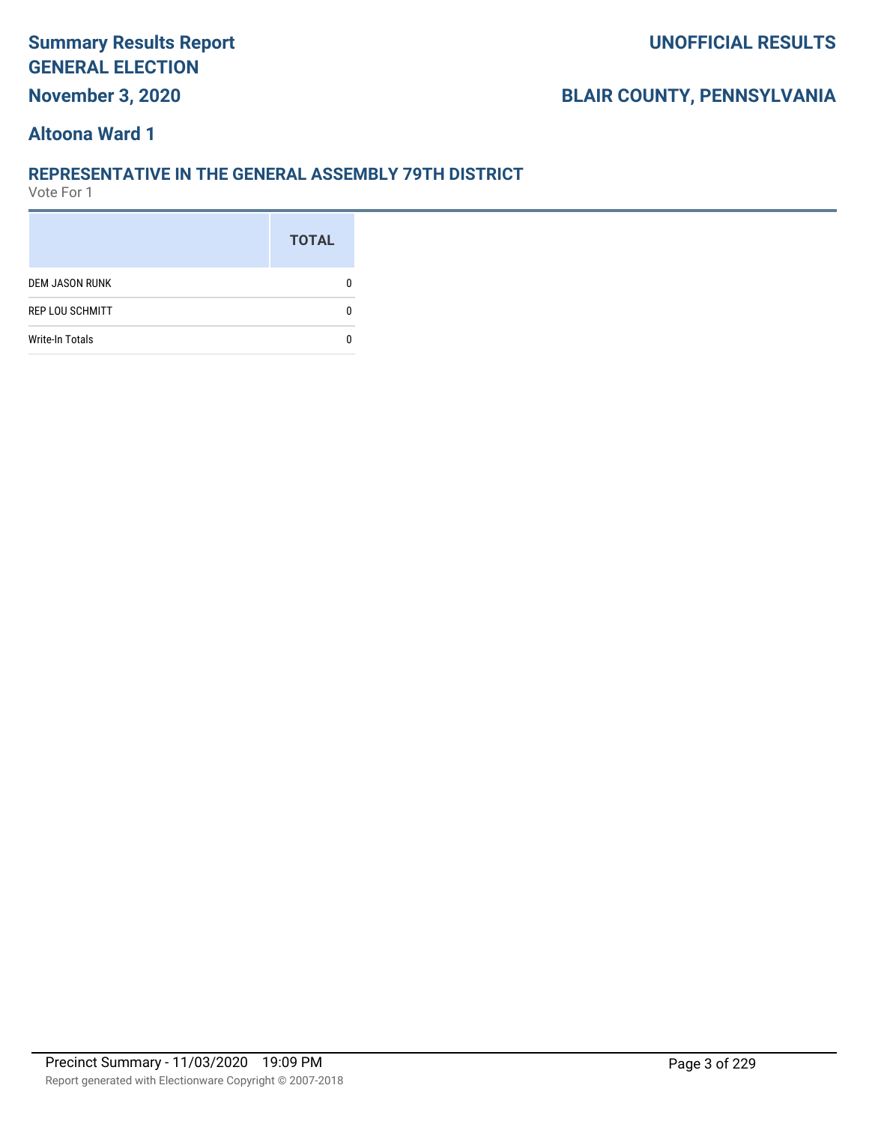# **Summary Results Report GENERAL ELECTION November 3, 2020**

## **BLAIR COUNTY, PENNSYLVANIA**

### **Altoona Ward 1**

#### **REPRESENTATIVE IN THE GENERAL ASSEMBLY 79TH DISTRICT**

|                        | <b>TOTAL</b> |
|------------------------|--------------|
| <b>DEM JASON RUNK</b>  |              |
| <b>REP LOU SCHMITT</b> |              |
| <b>Write-In Totals</b> |              |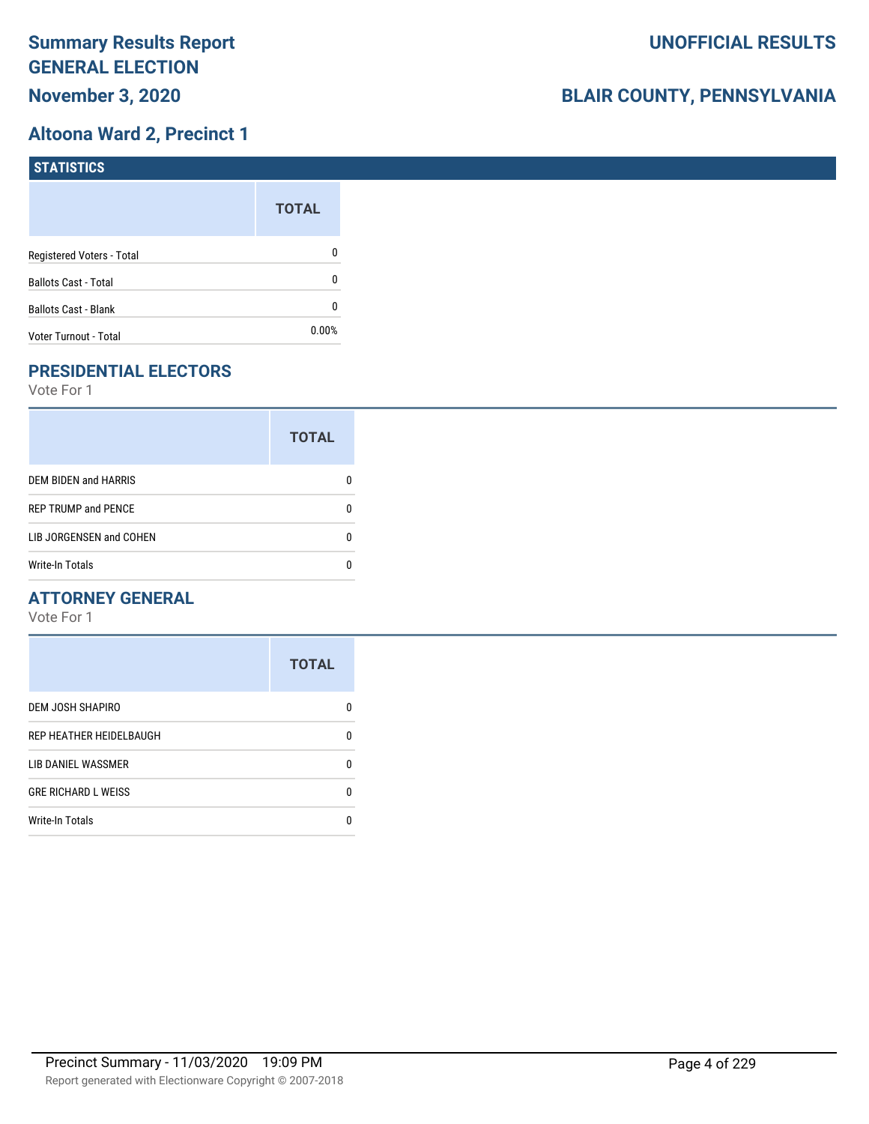## **Altoona Ward 2, Precinct 1**

| <b>STATISTICS</b>           |              |
|-----------------------------|--------------|
|                             | <b>TOTAL</b> |
| Registered Voters - Total   | 0            |
| <b>Ballots Cast - Total</b> | 0            |
| Ballots Cast - Blank        | 0            |
| Voter Turnout - Total       | $0.00\%$     |

# **PRESIDENTIAL ELECTORS**

Vote For 1

|                            | <b>TOTAL</b> |
|----------------------------|--------------|
| DEM BIDEN and HARRIS       |              |
| <b>REP TRUMP and PENCE</b> |              |
| LIB JORGENSEN and COHEN    | n            |
| <b>Write-In Totals</b>     |              |

#### **ATTORNEY GENERAL**

|                            | <b>TOTAL</b> |
|----------------------------|--------------|
| DEM JOSH SHAPIRO           | n            |
| REP HEATHER HEIDELBAUGH    | 0            |
| LIB DANIEL WASSMER         | n            |
| <b>GRE RICHARD L WEISS</b> | n            |
| <b>Write-In Totals</b>     |              |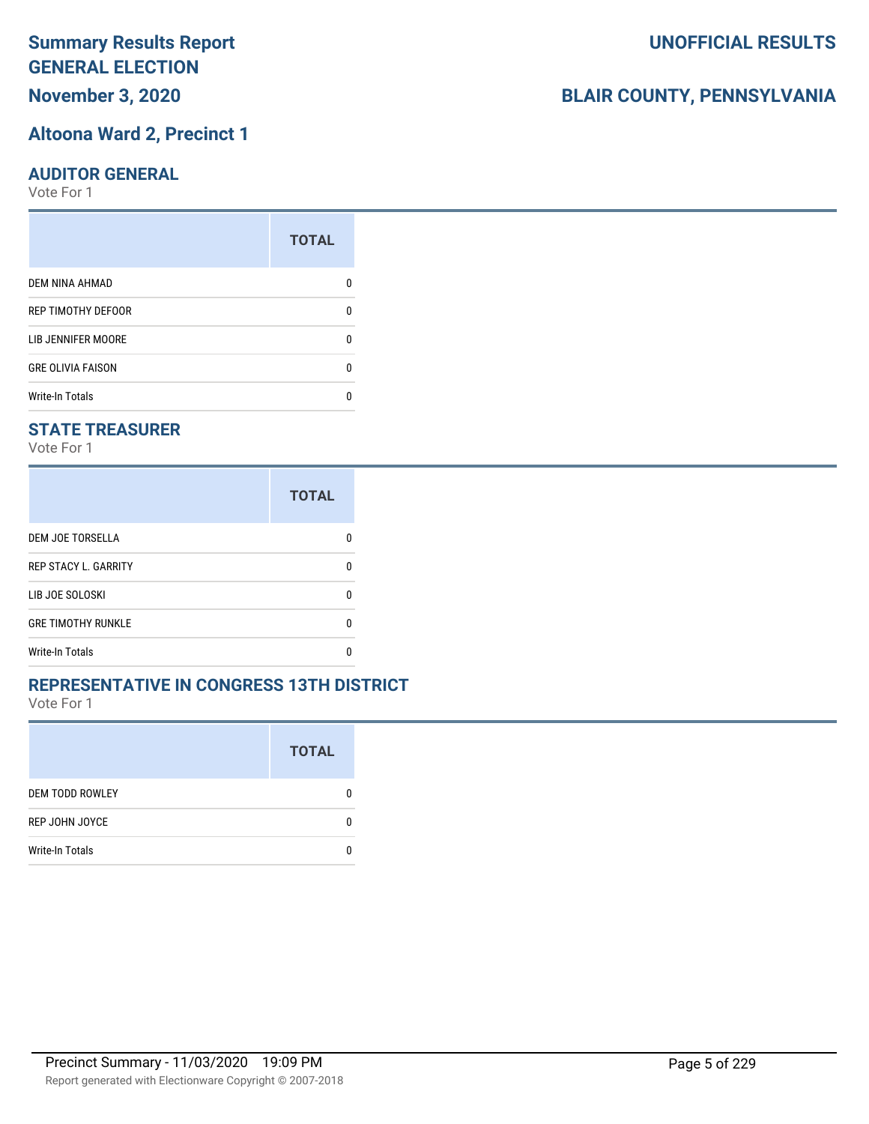# **November 3, 2020**

## **Altoona Ward 2, Precinct 1**

#### **AUDITOR GENERAL**

Vote For 1

| <b>TOTAL</b> |
|--------------|
|              |
| ŋ            |
| ŋ            |
| 0            |
|              |
|              |

#### **STATE TREASURER**

Vote For 1

|                             | <b>TOTAL</b> |
|-----------------------------|--------------|
| DEM JOE TORSELLA            |              |
| <b>REP STACY L. GARRITY</b> | n            |
| LIB JOE SOLOSKI             | n            |
| <b>GRE TIMOTHY RUNKLE</b>   | n            |
| <b>Write-In Totals</b>      |              |

#### **REPRESENTATIVE IN CONGRESS 13TH DISTRICT**

Vote For 1

|                        | <b>TOTAL</b> |
|------------------------|--------------|
| <b>DEM TODD ROWLEY</b> | 0            |
| REP JOHN JOYCE         | n            |
| <b>Write-In Totals</b> |              |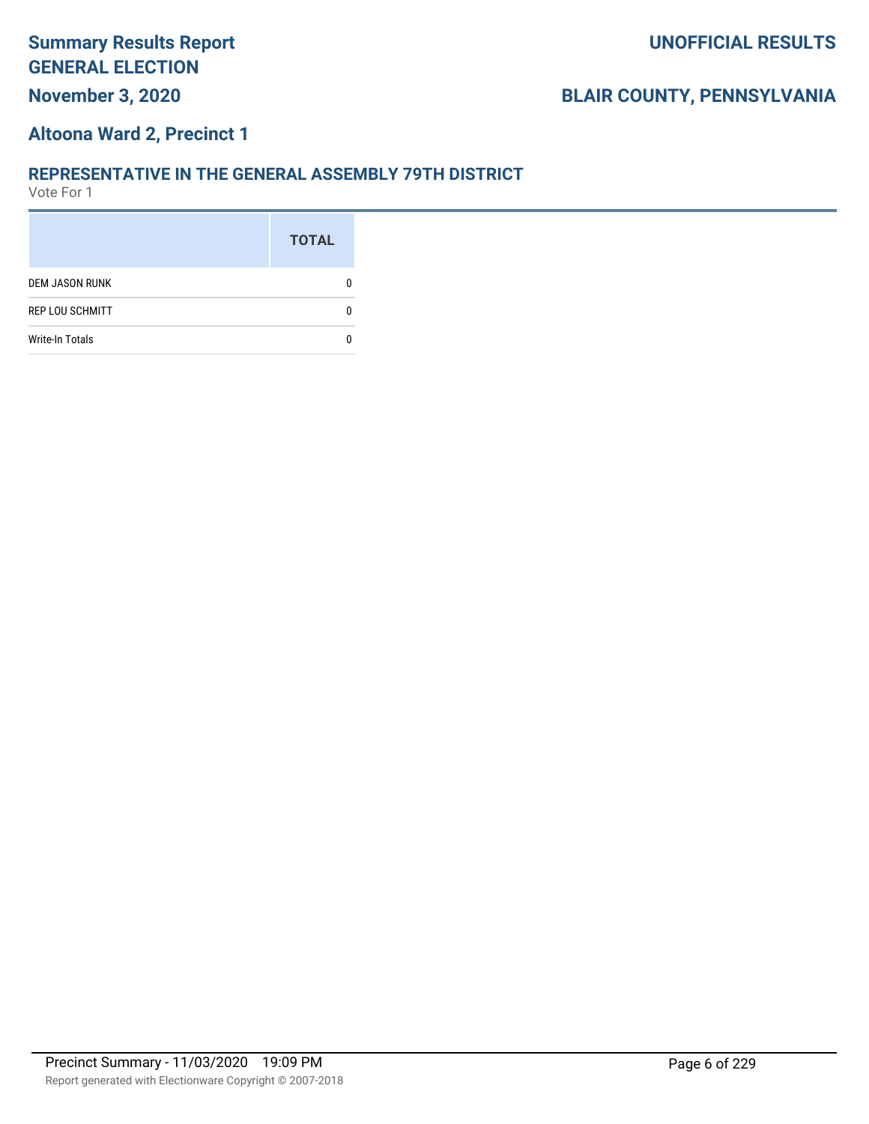## **Altoona Ward 2, Precinct 1**

#### **REPRESENTATIVE IN THE GENERAL ASSEMBLY 79TH DISTRICT**

|                        | <b>TOTAL</b> |
|------------------------|--------------|
| <b>DEM JASON RUNK</b>  |              |
| <b>REP LOU SCHMITT</b> |              |
| <b>Write-In Totals</b> |              |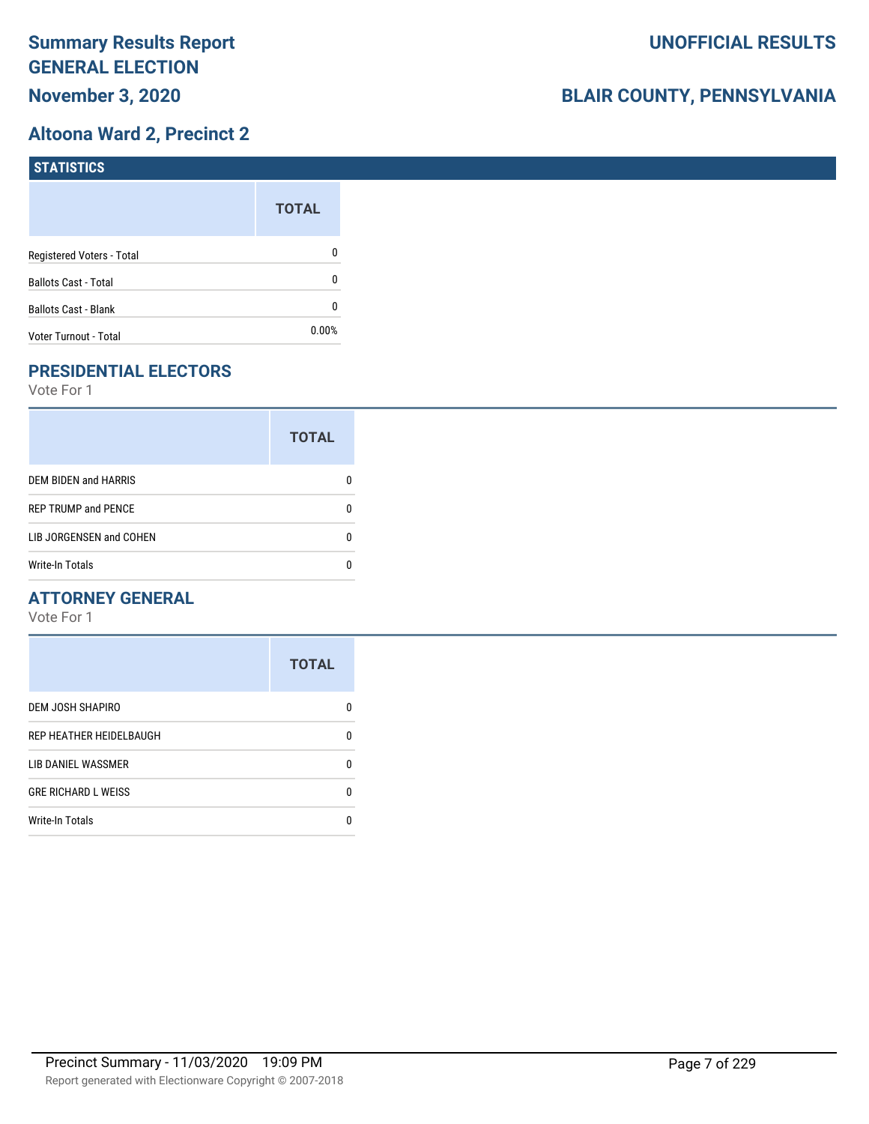## **Altoona Ward 2, Precinct 2**

| <b>STATISTICS</b>           |              |
|-----------------------------|--------------|
|                             | <b>TOTAL</b> |
| Registered Voters - Total   | 0            |
| <b>Ballots Cast - Total</b> | 0            |
| Ballots Cast - Blank        | 0            |
| Voter Turnout - Total       | $0.00\%$     |

# **PRESIDENTIAL ELECTORS**

Vote For 1

|                            | <b>TOTAL</b> |
|----------------------------|--------------|
| DEM BIDEN and HARRIS       |              |
| <b>REP TRUMP and PENCE</b> |              |
| LIB JORGENSEN and COHEN    |              |
| <b>Write-In Totals</b>     |              |

#### **ATTORNEY GENERAL**

|                            | <b>TOTAL</b> |
|----------------------------|--------------|
| DEM JOSH SHAPIRO           | n            |
| REP HEATHER HEIDELBAUGH    | 0            |
| LIB DANIEL WASSMER         | n            |
| <b>GRE RICHARD L WEISS</b> | n            |
| <b>Write-In Totals</b>     |              |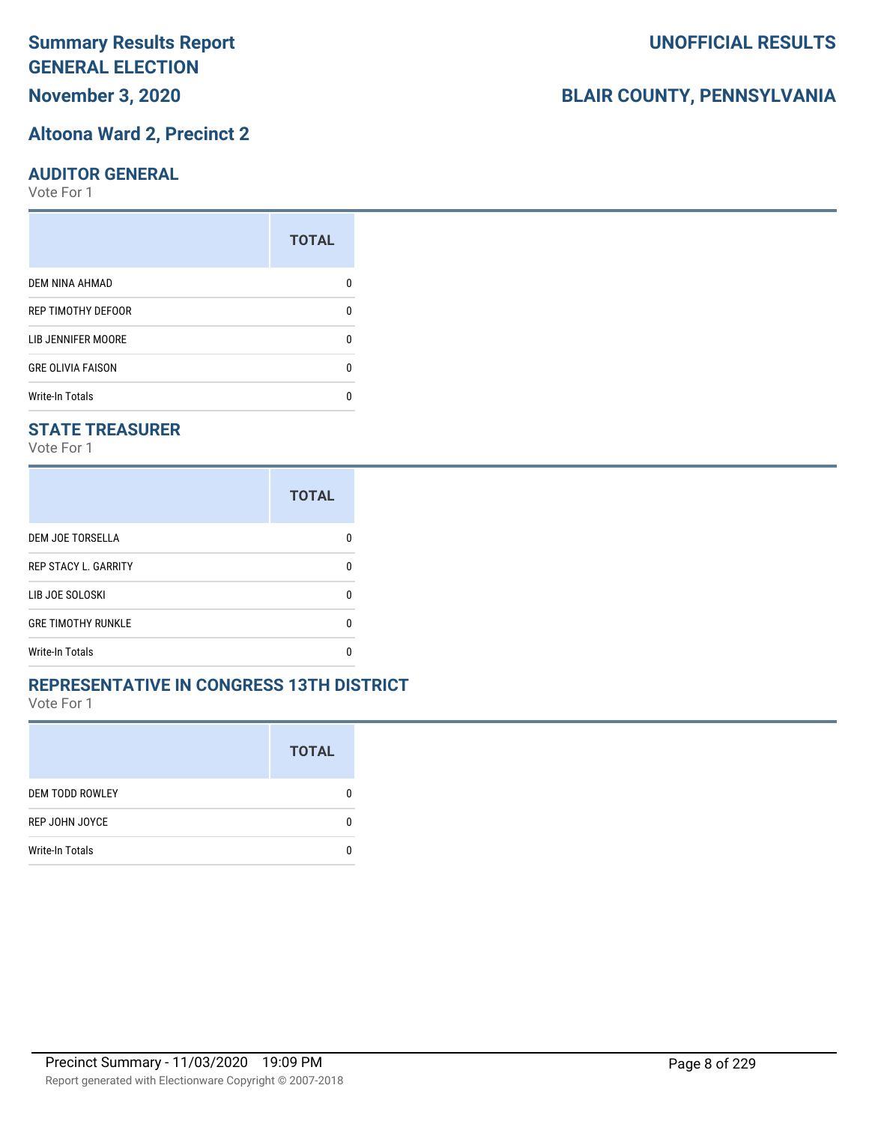**November 3, 2020**

## **Altoona Ward 2, Precinct 2**

## **AUDITOR GENERAL**

Vote For 1

|                          | <b>TOTAL</b> |
|--------------------------|--------------|
| DEM NINA AHMAD           |              |
| REP TIMOTHY DEFOOR       | O            |
| LIB JENNIFER MOORE       | O            |
| <b>GRE OLIVIA FAISON</b> | ŋ            |
| <b>Write-In Totals</b>   |              |

## **STATE TREASURER**

Vote For 1

|                             | <b>TOTAL</b> |
|-----------------------------|--------------|
| DEM JOE TORSELLA            | n            |
| <b>REP STACY L. GARRITY</b> | n            |
| LIB JOE SOLOSKI             | n            |
| <b>GRE TIMOTHY RUNKLE</b>   | n            |
| <b>Write-In Totals</b>      |              |

#### **REPRESENTATIVE IN CONGRESS 13TH DISTRICT**

Vote For 1

|                        | <b>TOTAL</b> |
|------------------------|--------------|
| <b>DEM TODD ROWLEY</b> |              |
| REP JOHN JOYCE         | 0            |
| <b>Write-In Totals</b> |              |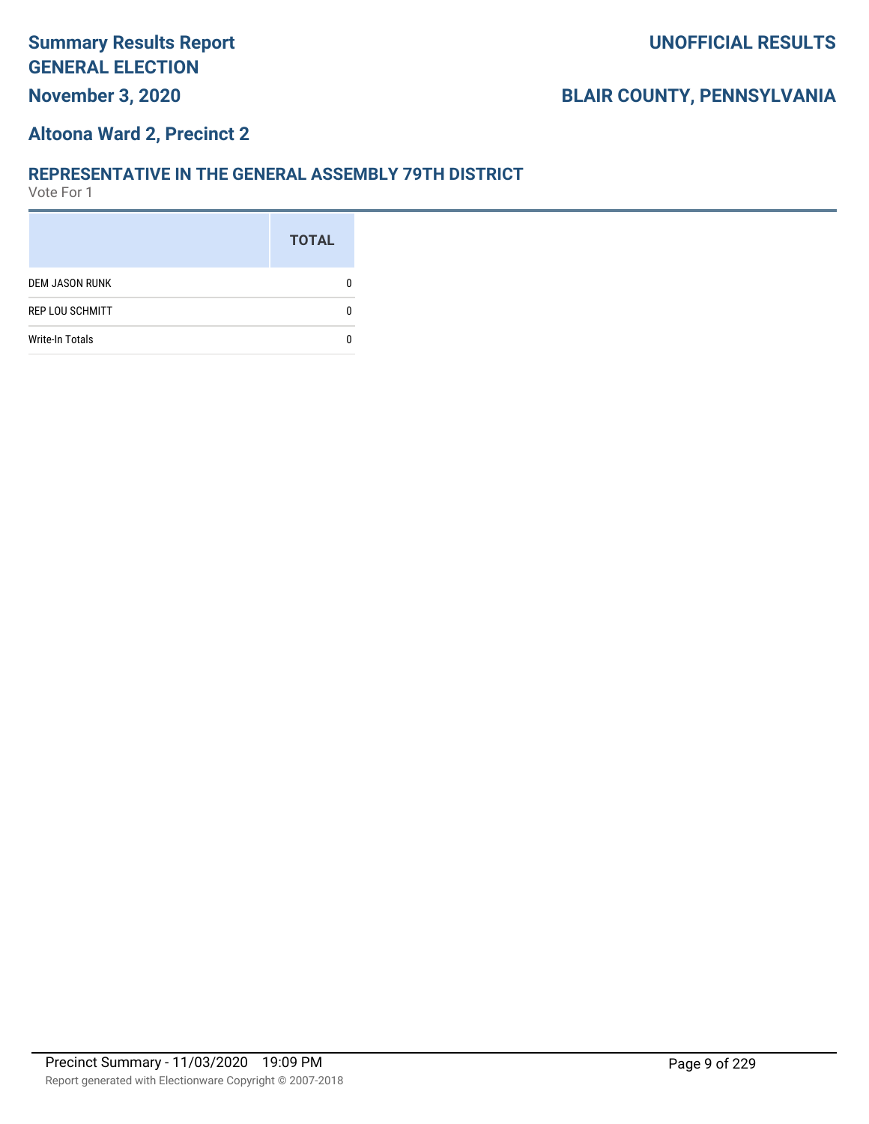## **Altoona Ward 2, Precinct 2**

#### **REPRESENTATIVE IN THE GENERAL ASSEMBLY 79TH DISTRICT**

|                        | <b>TOTAL</b> |
|------------------------|--------------|
| <b>DEM JASON RUNK</b>  |              |
| <b>REP LOU SCHMITT</b> |              |
| <b>Write-In Totals</b> |              |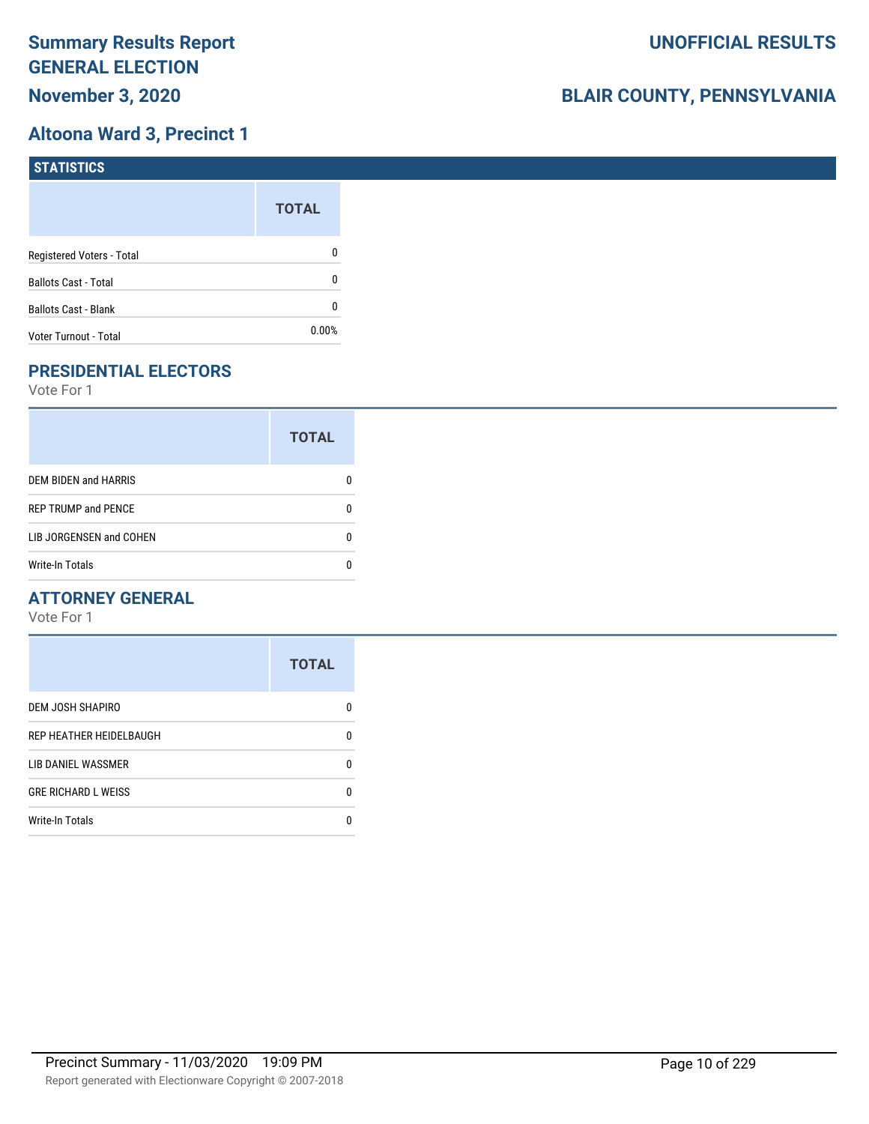## **Altoona Ward 3, Precinct 1**

| <b>STATISTICS</b>           |              |
|-----------------------------|--------------|
|                             | <b>TOTAL</b> |
| Registered Voters - Total   | 0            |
| <b>Ballots Cast - Total</b> | 0            |
| Ballots Cast - Blank        | 0            |
| Voter Turnout - Total       | $0.00\%$     |

# **PRESIDENTIAL ELECTORS**

Vote For 1

|                            | <b>TOTAL</b> |
|----------------------------|--------------|
| DEM BIDEN and HARRIS       |              |
| <b>REP TRUMP and PENCE</b> |              |
| LIB JORGENSEN and COHEN    | n            |
| <b>Write-In Totals</b>     |              |

#### **ATTORNEY GENERAL**

|                            | <b>TOTAL</b> |
|----------------------------|--------------|
| DEM JOSH SHAPIRO           | n            |
| REP HEATHER HEIDELBAUGH    | 0            |
| LIB DANIEL WASSMER         | n            |
| <b>GRE RICHARD L WEISS</b> | 0            |
| <b>Write-In Totals</b>     | п            |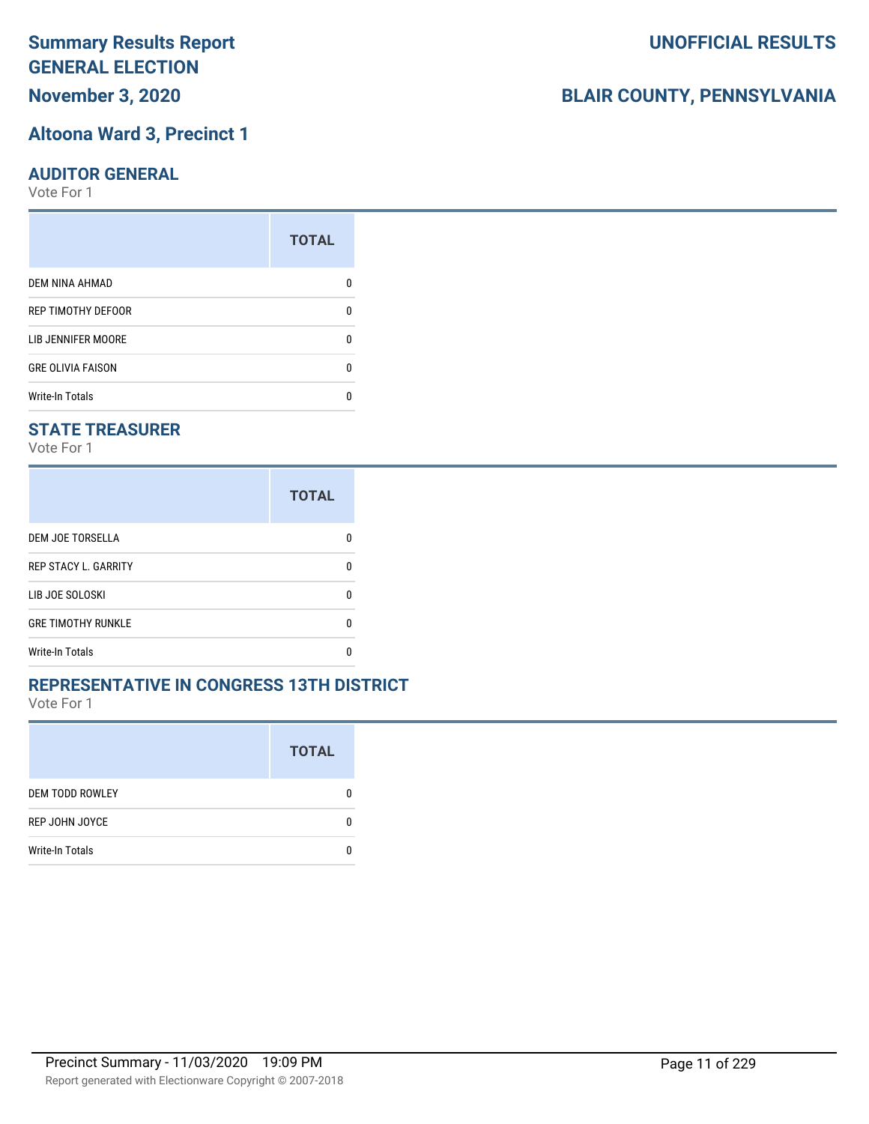# **November 3, 2020**

## **Altoona Ward 3, Precinct 1**

#### **AUDITOR GENERAL**

Vote For 1

|                          | <b>TOTAL</b> |
|--------------------------|--------------|
| <b>DEM NINA AHMAD</b>    |              |
| REP TIMOTHY DEFOOR       | n            |
| LIB JENNIFER MOORE       |              |
| <b>GRE OLIVIA FAISON</b> | ŋ            |
| <b>Write-In Totals</b>   |              |

#### **STATE TREASURER**

Vote For 1

|                             | <b>TOTAL</b> |
|-----------------------------|--------------|
| DEM JOE TORSELLA            |              |
| <b>REP STACY L. GARRITY</b> | n            |
| LIB JOE SOLOSKI             | n            |
| <b>GRE TIMOTHY RUNKLE</b>   | n            |
| <b>Write-In Totals</b>      |              |

#### **REPRESENTATIVE IN CONGRESS 13TH DISTRICT**

Vote For 1

|                        | <b>TOTAL</b> |
|------------------------|--------------|
| <b>DEM TODD ROWLEY</b> | 0            |
| REP JOHN JOYCE         | n            |
| <b>Write-In Totals</b> |              |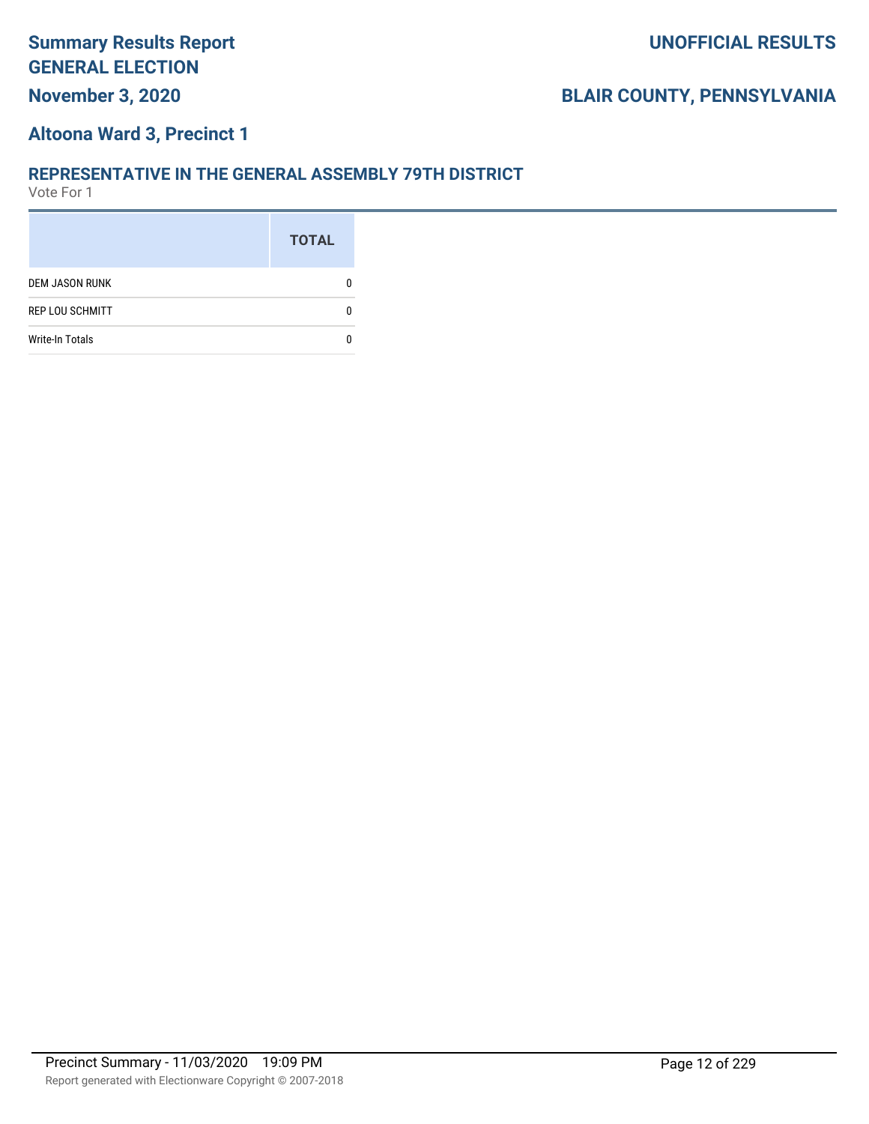## **Altoona Ward 3, Precinct 1**

#### **REPRESENTATIVE IN THE GENERAL ASSEMBLY 79TH DISTRICT**

|                        | <b>TOTAL</b> |
|------------------------|--------------|
| <b>DEM JASON RUNK</b>  |              |
| <b>REP LOU SCHMITT</b> |              |
| <b>Write-In Totals</b> |              |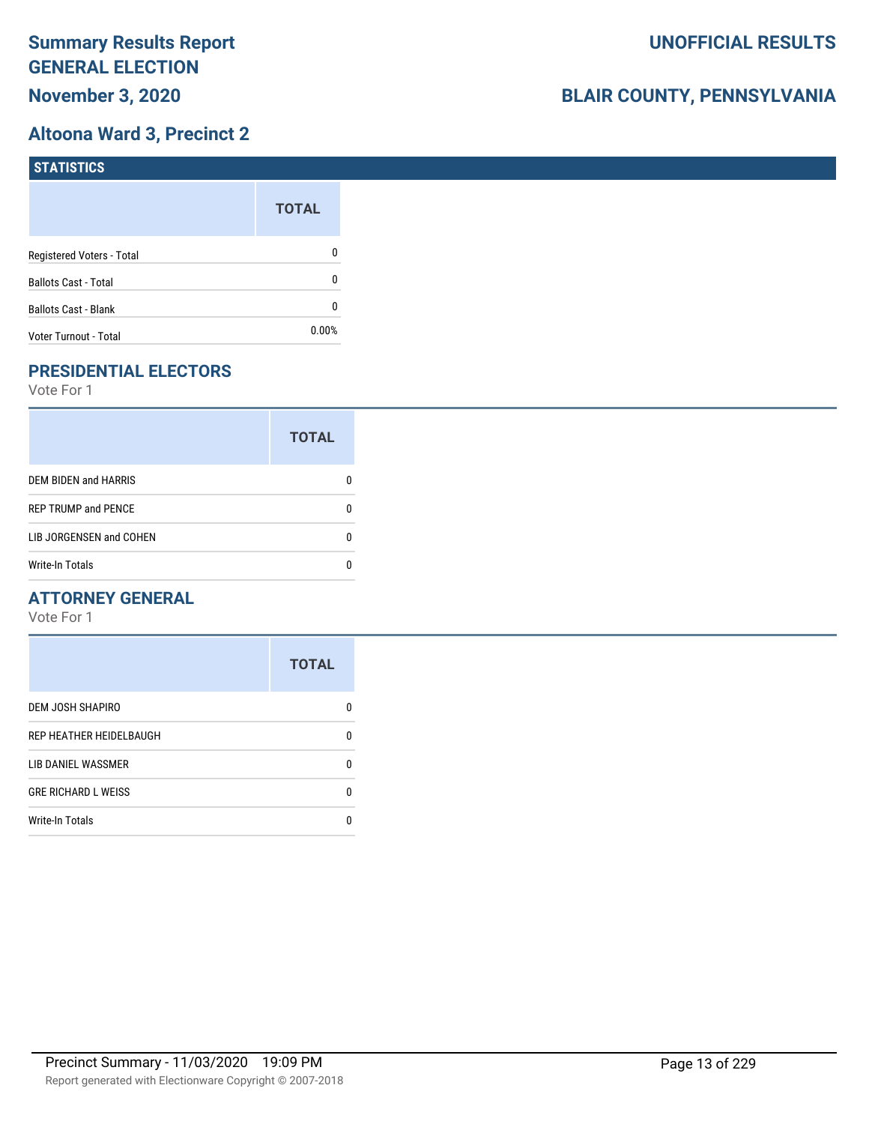## **Altoona Ward 3, Precinct 2**

| <b>STATISTICS</b>           |              |
|-----------------------------|--------------|
|                             | <b>TOTAL</b> |
| Registered Voters - Total   | 0            |
| <b>Ballots Cast - Total</b> | 0            |
| Ballots Cast - Blank        | 0            |
| Voter Turnout - Total       | $0.00\%$     |

## **PRESIDENTIAL ELECTORS**

Vote For 1

|                            | <b>TOTAL</b> |
|----------------------------|--------------|
| DEM BIDEN and HARRIS       |              |
| <b>REP TRUMP and PENCE</b> |              |
| LIB JORGENSEN and COHEN    |              |
| <b>Write-In Totals</b>     |              |

#### **ATTORNEY GENERAL**

|                            | <b>TOTAL</b> |
|----------------------------|--------------|
| DEM JOSH SHAPIRO           | n            |
| REP HEATHER HEIDELBAUGH    | 0            |
| LIB DANIEL WASSMER         | n            |
| <b>GRE RICHARD L WEISS</b> | n            |
| <b>Write-In Totals</b>     |              |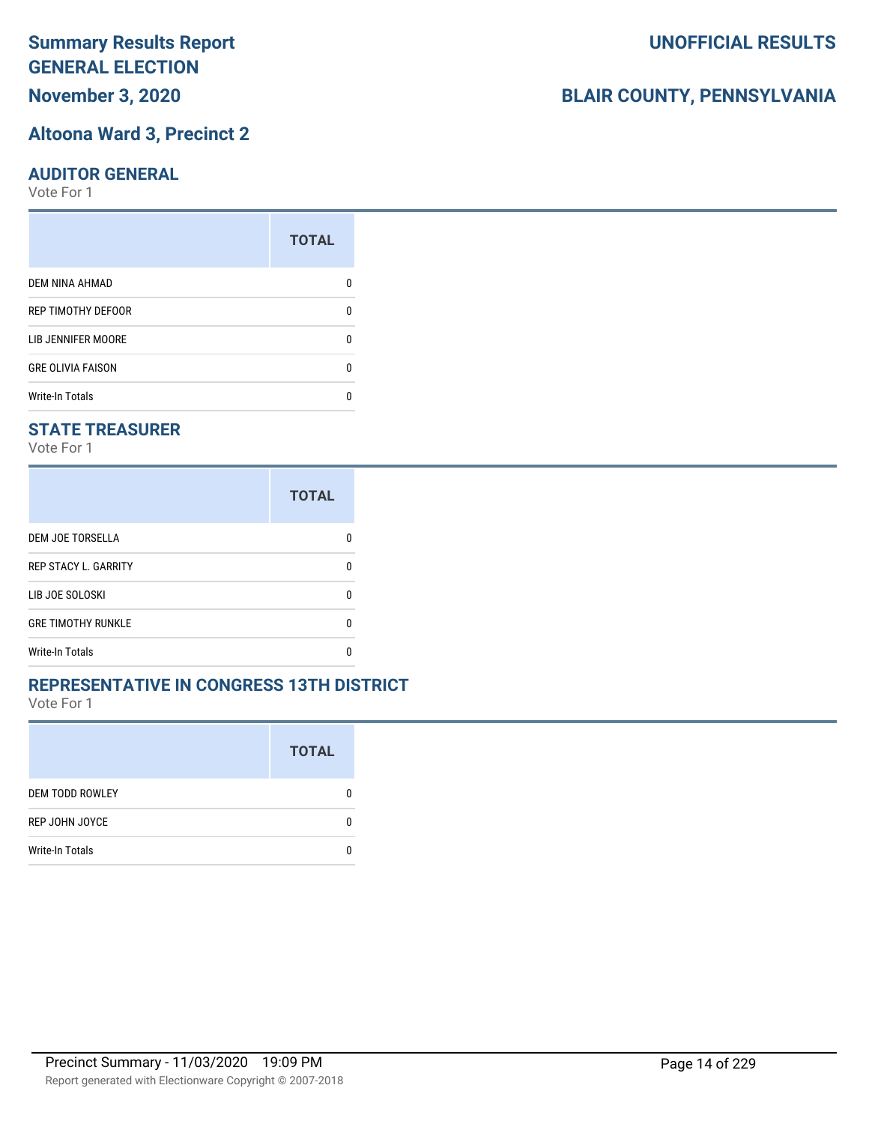# **November 3, 2020**

#### **Altoona Ward 3, Precinct 2**

#### **AUDITOR GENERAL**

Vote For 1

|                           | <b>TOTAL</b> |
|---------------------------|--------------|
| <b>DEM NINA AHMAD</b>     |              |
| <b>REP TIMOTHY DEFOOR</b> | n            |
| LIB JENNIFER MOORE        |              |
| <b>GRE OLIVIA FAISON</b>  | n            |
| <b>Write-In Totals</b>    |              |

#### **STATE TREASURER**

Vote For 1

|                             | <b>TOTAL</b> |
|-----------------------------|--------------|
| <b>DEM JOE TORSELLA</b>     |              |
| <b>REP STACY L. GARRITY</b> |              |
| LIB JOE SOLOSKI             | n            |
| <b>GRE TIMOTHY RUNKLE</b>   | n            |
| Write-In Totals             |              |

#### **REPRESENTATIVE IN CONGRESS 13TH DISTRICT**

Vote For 1

|                        | <b>TOTAL</b> |
|------------------------|--------------|
| <b>DEM TODD ROWLEY</b> | O            |
| REP JOHN JOYCE         | n            |
| <b>Write-In Totals</b> |              |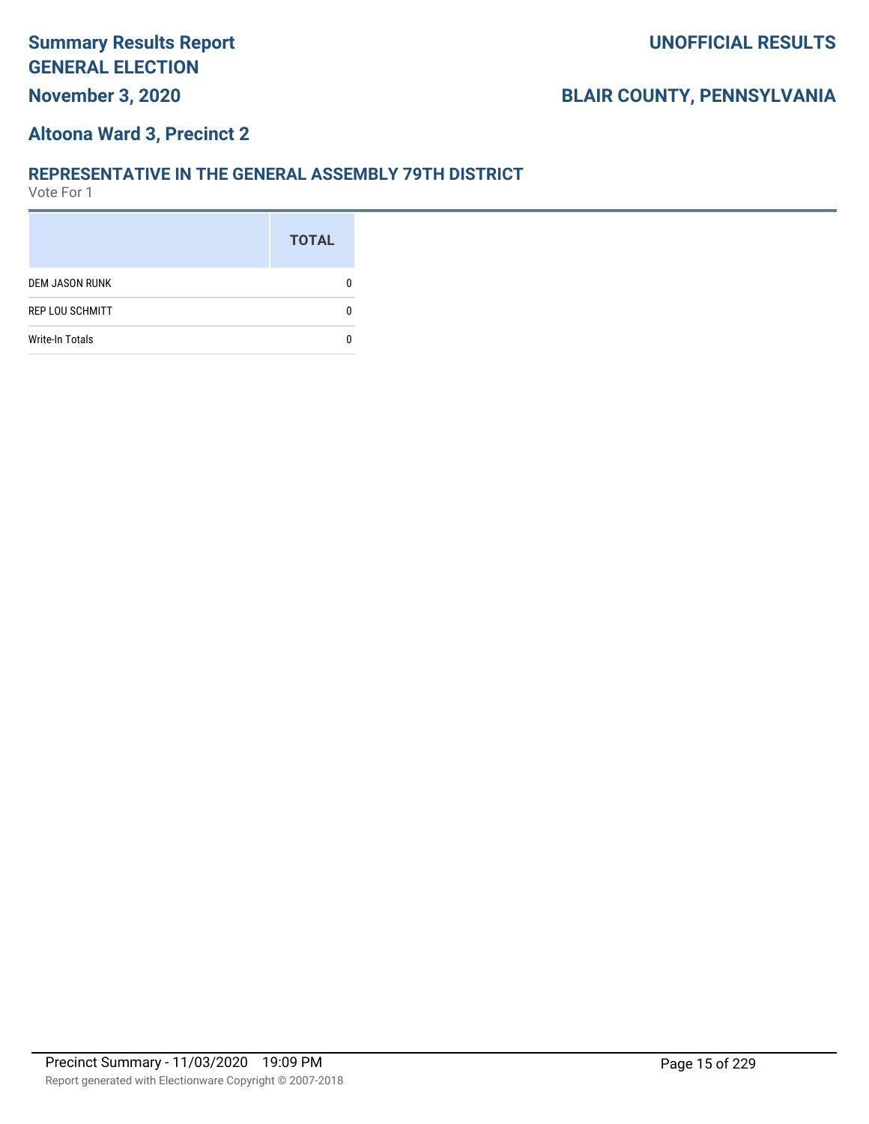## **Altoona Ward 3, Precinct 2**

#### **REPRESENTATIVE IN THE GENERAL ASSEMBLY 79TH DISTRICT**

|                        | <b>TOTAL</b> |
|------------------------|--------------|
| <b>DEM JASON RUNK</b>  |              |
| <b>REP LOU SCHMITT</b> |              |
| <b>Write-In Totals</b> |              |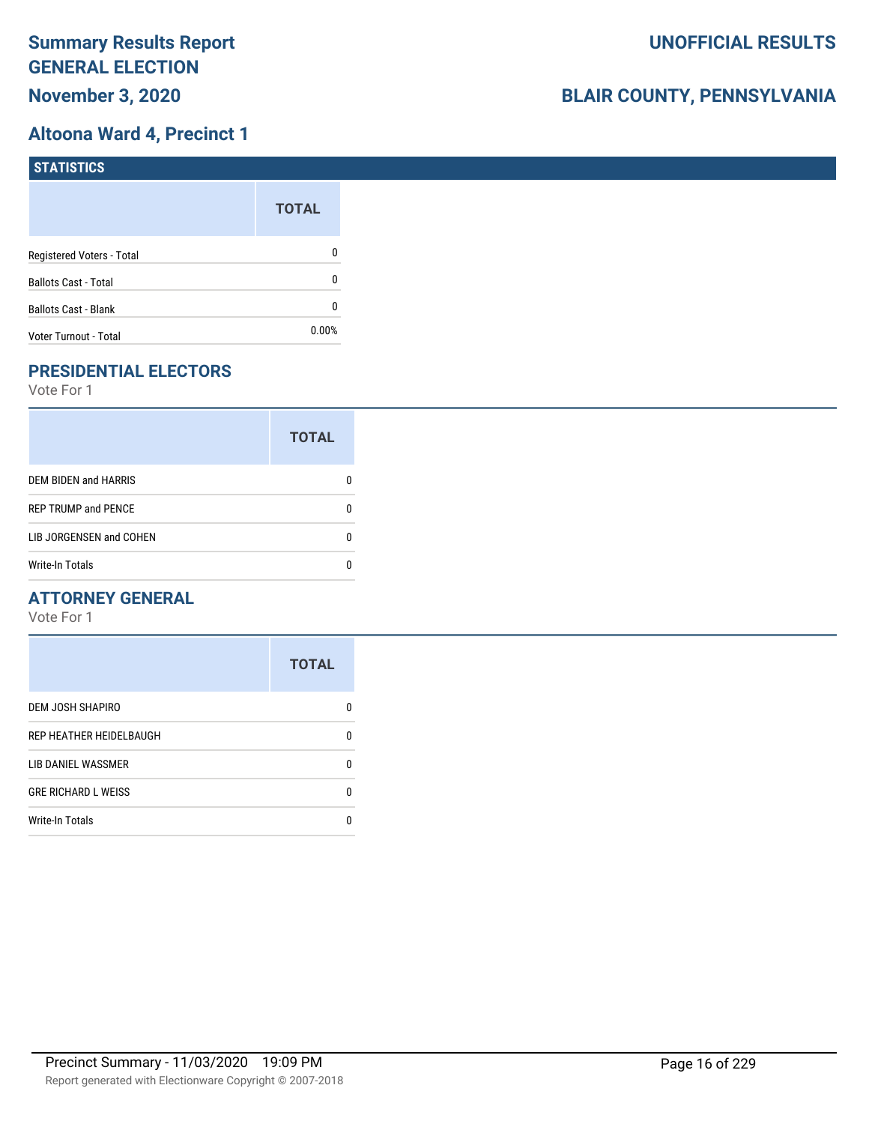## **Altoona Ward 4, Precinct 1**

| STATISTICS                  |              |
|-----------------------------|--------------|
|                             | <b>TOTAL</b> |
| Registered Voters - Total   | 0            |
| <b>Ballots Cast - Total</b> | 0            |
| <b>Ballots Cast - Blank</b> | 0            |
| Voter Turnout - Total       | 0.00%        |

## **PRESIDENTIAL ELECTORS**

Vote For 1

|                             | <b>TOTAL</b> |
|-----------------------------|--------------|
| <b>DEM BIDEN and HARRIS</b> |              |
| <b>REP TRUMP and PENCE</b>  |              |
| LIB JORGENSEN and COHEN     |              |
| <b>Write-In Totals</b>      |              |

#### **ATTORNEY GENERAL**

|                            | <b>TOTAL</b> |
|----------------------------|--------------|
| DEM JOSH SHAPIRO           | n            |
| REP HEATHER HEIDELBAUGH    | 0            |
| LIB DANIEL WASSMER         | n            |
| <b>GRE RICHARD L WEISS</b> | n            |
| <b>Write-In Totals</b>     |              |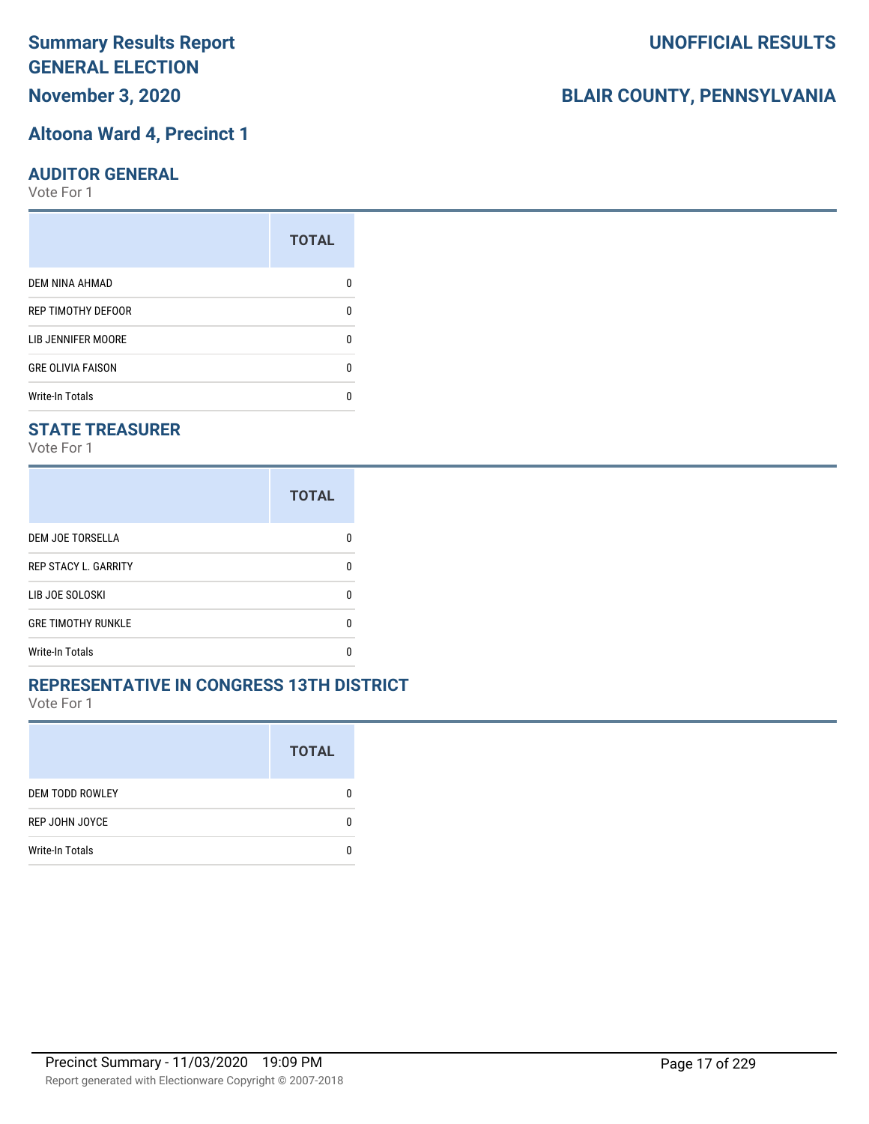**November 3, 2020**

#### **Altoona Ward 4, Precinct 1**

#### **AUDITOR GENERAL**

Vote For 1

|                          | <b>TOTAL</b> |
|--------------------------|--------------|
| DEM NINA AHMAD           |              |
| REP TIMOTHY DEFOOR       | n            |
| LIB JENNIFER MOORE       |              |
| <b>GRE OLIVIA FAISON</b> | n            |
| <b>Write-In Totals</b>   |              |

### **STATE TREASURER**

Vote For 1

|                             | <b>TOTAL</b> |
|-----------------------------|--------------|
| DEM JOE TORSELLA            |              |
| <b>REP STACY L. GARRITY</b> | n            |
| LIB JOE SOLOSKI             | n            |
| <b>GRE TIMOTHY RUNKLE</b>   | n            |
| <b>Write-In Totals</b>      |              |

#### **REPRESENTATIVE IN CONGRESS 13TH DISTRICT**

Vote For 1

|                        | <b>TOTAL</b> |
|------------------------|--------------|
| <b>DEM TODD ROWLEY</b> | 0            |
| REP JOHN JOYCE         | n            |
| <b>Write-In Totals</b> |              |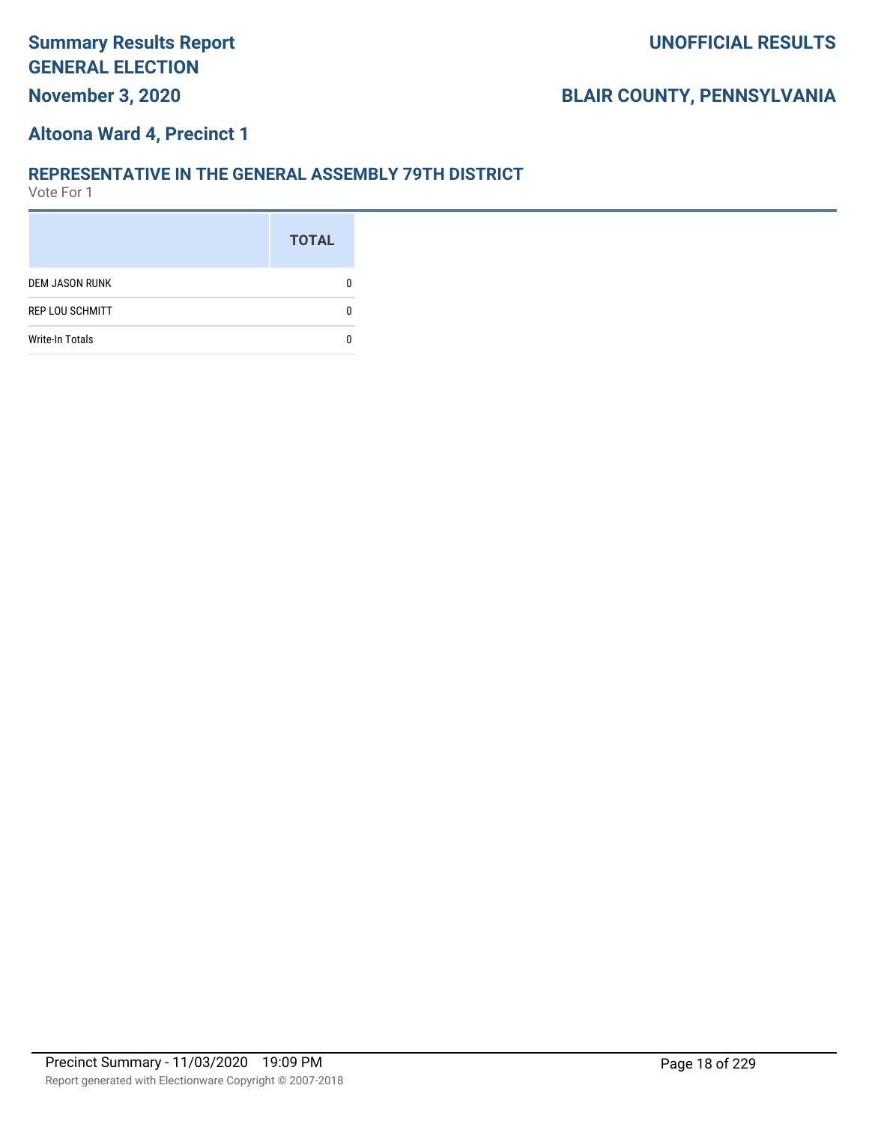## **Altoona Ward 4, Precinct 1**

#### **REPRESENTATIVE IN THE GENERAL ASSEMBLY 79TH DISTRICT**

|                        | <b>TOTAL</b> |
|------------------------|--------------|
| <b>DEM JASON RUNK</b>  |              |
| <b>REP LOU SCHMITT</b> |              |
| <b>Write-In Totals</b> |              |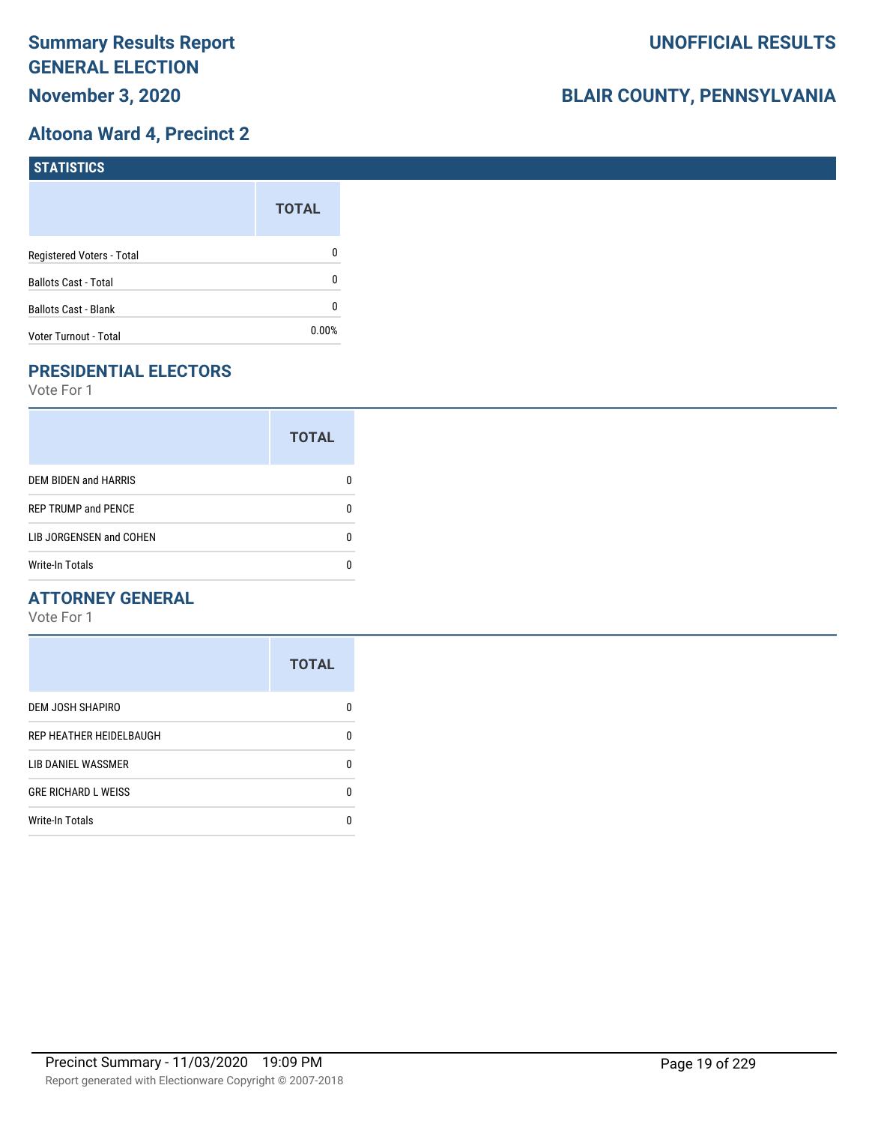## **Altoona Ward 4, Precinct 2**

| STATISTICS                  |              |
|-----------------------------|--------------|
|                             | <b>TOTAL</b> |
| Registered Voters - Total   | 0            |
| <b>Ballots Cast - Total</b> | 0            |
| <b>Ballots Cast - Blank</b> | 0            |
| Voter Turnout - Total       | $0.00\%$     |

## **PRESIDENTIAL ELECTORS**

Vote For 1

|                             | <b>TOTAL</b> |
|-----------------------------|--------------|
| <b>DEM BIDEN and HARRIS</b> |              |
| <b>REP TRUMP and PENCE</b>  |              |
| LIB JORGENSEN and COHEN     |              |
| <b>Write-In Totals</b>      |              |

#### **ATTORNEY GENERAL**

|                            | <b>TOTAL</b> |
|----------------------------|--------------|
| DEM JOSH SHAPIRO           | n            |
| REP HEATHER HEIDELBAUGH    | 0            |
| LIB DANIEL WASSMER         | n            |
| <b>GRE RICHARD L WEISS</b> | n            |
| <b>Write-In Totals</b>     |              |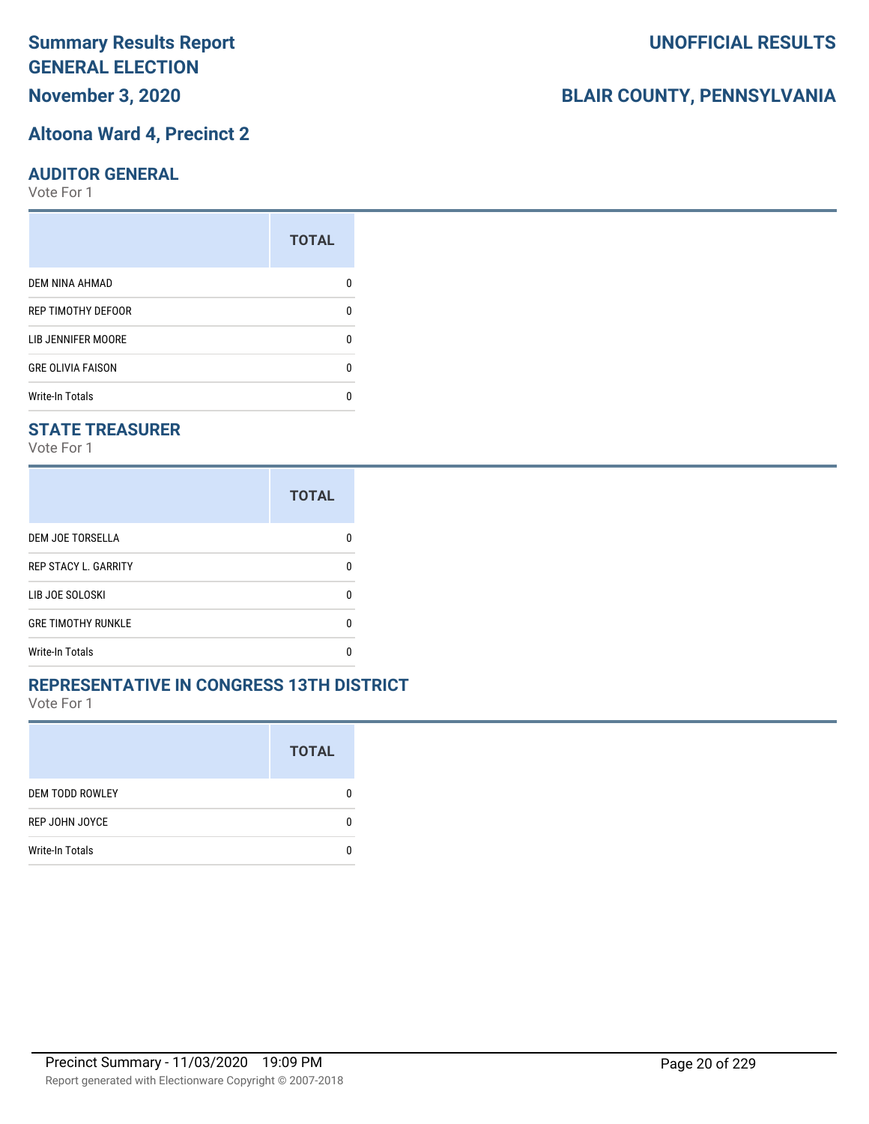## **November 3, 2020**

#### **Altoona Ward 4, Precinct 2**

#### **AUDITOR GENERAL**

Vote For 1

|                          | <b>TOTAL</b> |
|--------------------------|--------------|
| <b>DEM NINA AHMAD</b>    |              |
| REP TIMOTHY DEFOOR       | n            |
| LIB JENNIFER MOORE       |              |
| <b>GRE OLIVIA FAISON</b> | ŋ            |
| <b>Write-In Totals</b>   |              |

#### **STATE TREASURER**

Vote For 1

|                             | <b>TOTAL</b> |
|-----------------------------|--------------|
| DEM JOE TORSELLA            |              |
| <b>REP STACY L. GARRITY</b> | n            |
| LIB JOE SOLOSKI             | O            |
| <b>GRE TIMOTHY RUNKLE</b>   | n            |
| <b>Write-In Totals</b>      |              |

#### **REPRESENTATIVE IN CONGRESS 13TH DISTRICT**

Vote For 1

|                        | <b>TOTAL</b> |
|------------------------|--------------|
| <b>DEM TODD ROWLEY</b> | O            |
| REP JOHN JOYCE         | n            |
| <b>Write-In Totals</b> |              |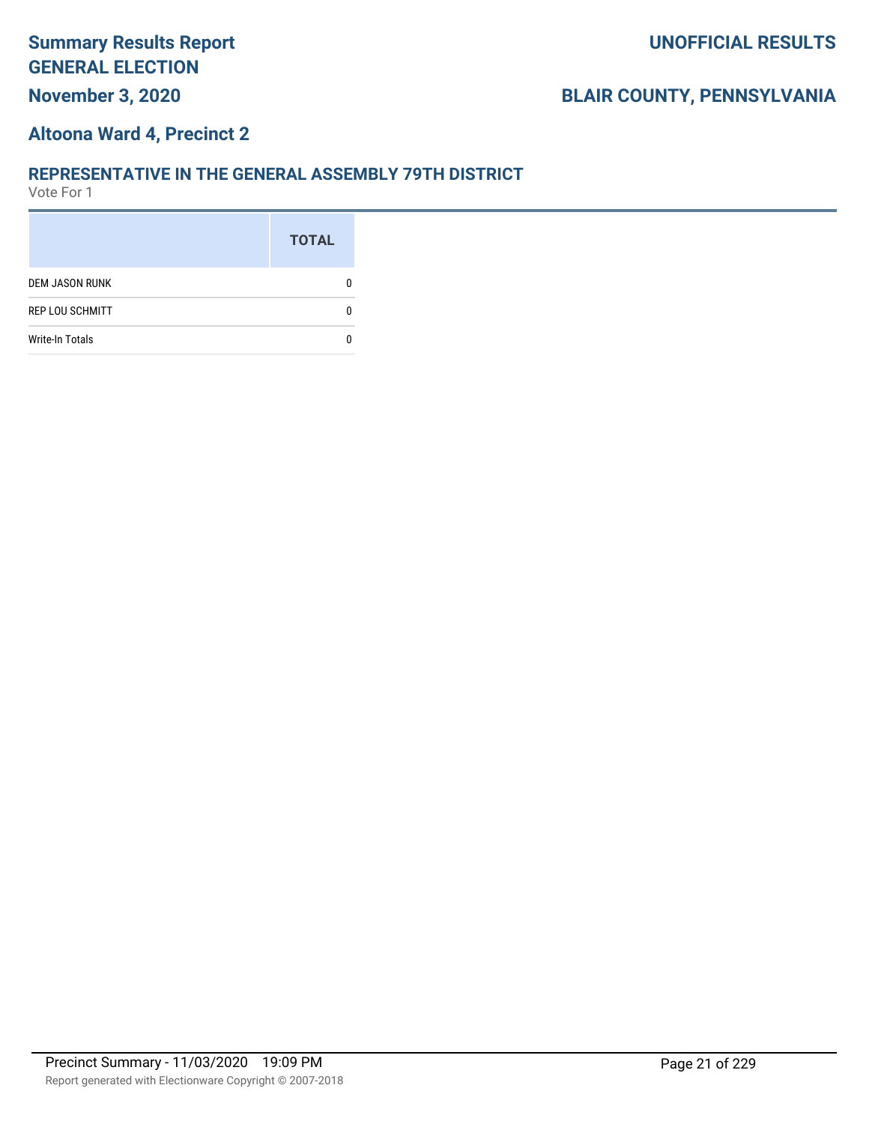## **Altoona Ward 4, Precinct 2**

#### **REPRESENTATIVE IN THE GENERAL ASSEMBLY 79TH DISTRICT**

|                        | <b>TOTAL</b> |
|------------------------|--------------|
| <b>DEM JASON RUNK</b>  |              |
| <b>REP LOU SCHMITT</b> |              |
| <b>Write-In Totals</b> |              |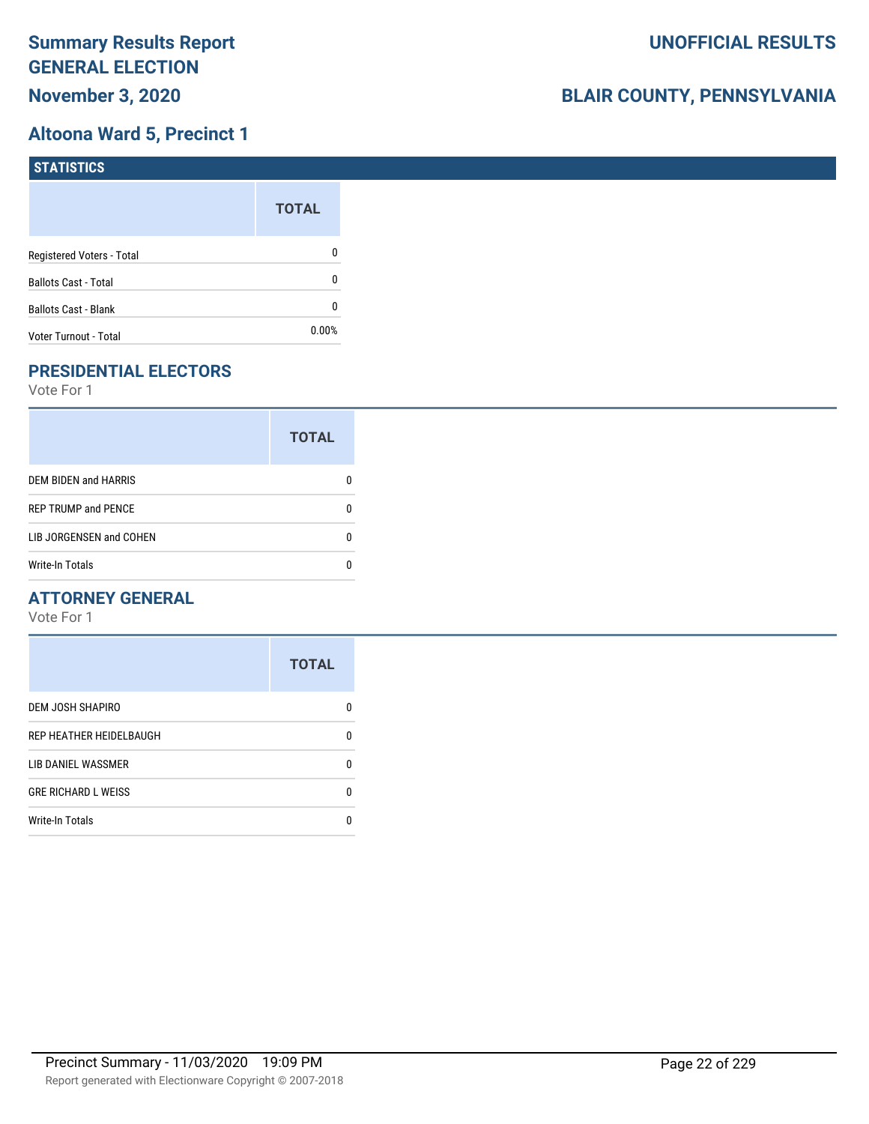## **Altoona Ward 5, Precinct 1**

| STATISTICS                  |              |
|-----------------------------|--------------|
|                             | <b>TOTAL</b> |
| Registered Voters - Total   | 0            |
| <b>Ballots Cast - Total</b> | 0            |
| <b>Ballots Cast - Blank</b> | 0            |
| Voter Turnout - Total       | $0.00\%$     |

# **PRESIDENTIAL ELECTORS**

Vote For 1

|                             | <b>TOTAL</b> |
|-----------------------------|--------------|
| <b>DEM BIDEN and HARRIS</b> |              |
| <b>REP TRUMP and PENCE</b>  |              |
| LIB JORGENSEN and COHEN     | n            |
| <b>Write-In Totals</b>      |              |

#### **ATTORNEY GENERAL**

|                            | <b>TOTAL</b> |
|----------------------------|--------------|
| DEM JOSH SHAPIRO           | n            |
| REP HEATHER HEIDELBAUGH    | 0            |
| LIB DANIEL WASSMER         | n            |
| <b>GRE RICHARD L WEISS</b> | n            |
| <b>Write-In Totals</b>     |              |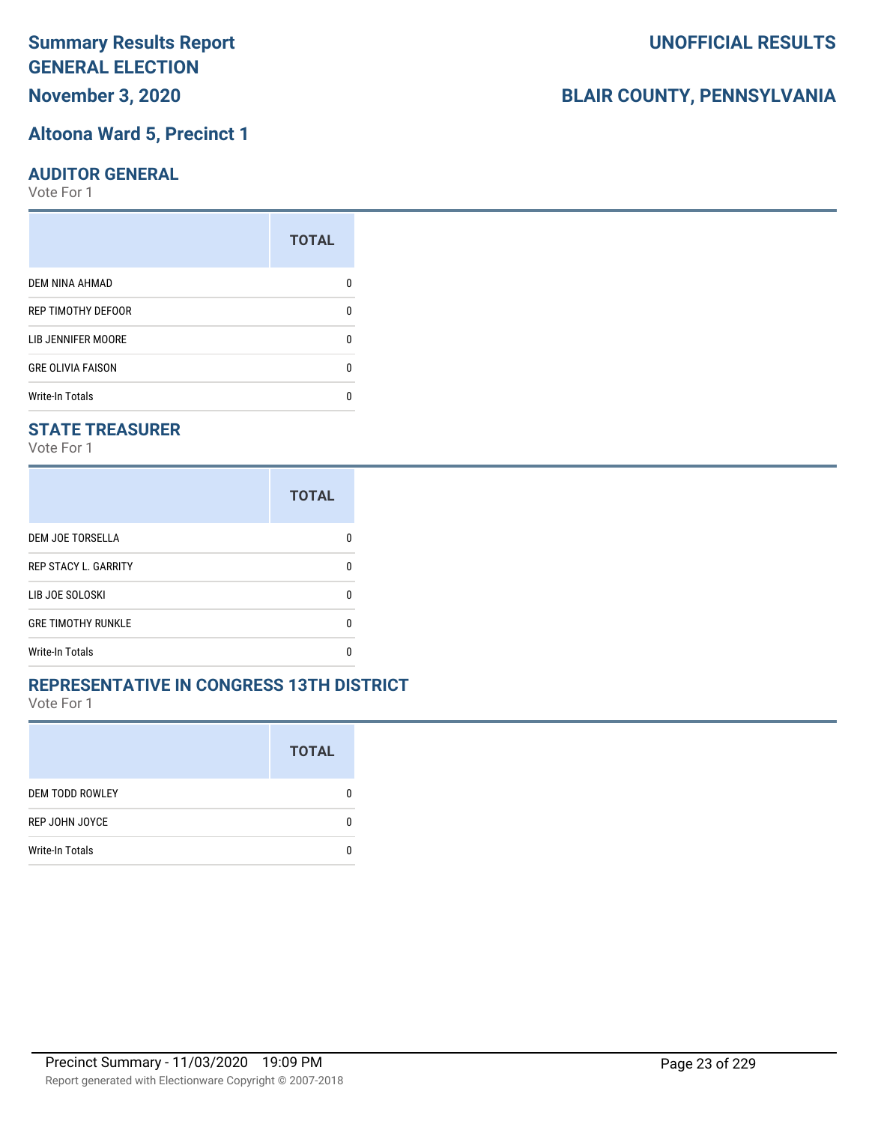# **November 3, 2020**

## **Altoona Ward 5, Precinct 1**

#### **AUDITOR GENERAL**

Vote For 1

|                          | <b>TOTAL</b> |
|--------------------------|--------------|
| <b>DEM NINA AHMAD</b>    |              |
| REP TIMOTHY DEFOOR       | n            |
| LIB JENNIFER MOORE       |              |
| <b>GRE OLIVIA FAISON</b> | ŋ            |
| <b>Write-In Totals</b>   |              |

#### **STATE TREASURER**

Vote For 1

|                             | <b>TOTAL</b> |
|-----------------------------|--------------|
| DEM JOE TORSELLA            |              |
| <b>REP STACY L. GARRITY</b> | n            |
| LIB JOE SOLOSKI             | n            |
| <b>GRE TIMOTHY RUNKLE</b>   | n            |
| <b>Write-In Totals</b>      |              |

#### **REPRESENTATIVE IN CONGRESS 13TH DISTRICT**

Vote For 1

|                        | <b>TOTAL</b> |
|------------------------|--------------|
| <b>DEM TODD ROWLEY</b> | 0            |
| REP JOHN JOYCE         | n            |
| <b>Write-In Totals</b> |              |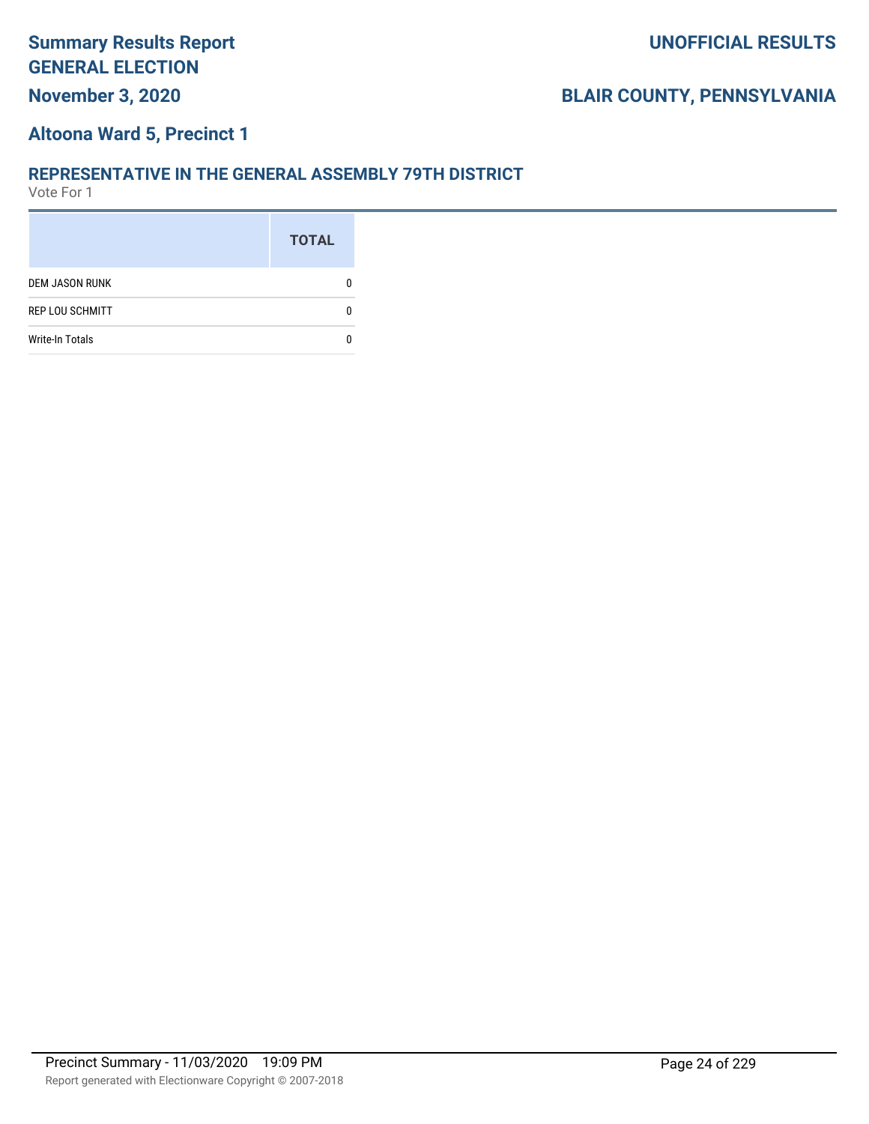## **Altoona Ward 5, Precinct 1**

#### **REPRESENTATIVE IN THE GENERAL ASSEMBLY 79TH DISTRICT**

|                        | <b>TOTAL</b> |
|------------------------|--------------|
| <b>DEM JASON RUNK</b>  |              |
| <b>REP LOU SCHMITT</b> |              |
| <b>Write-In Totals</b> |              |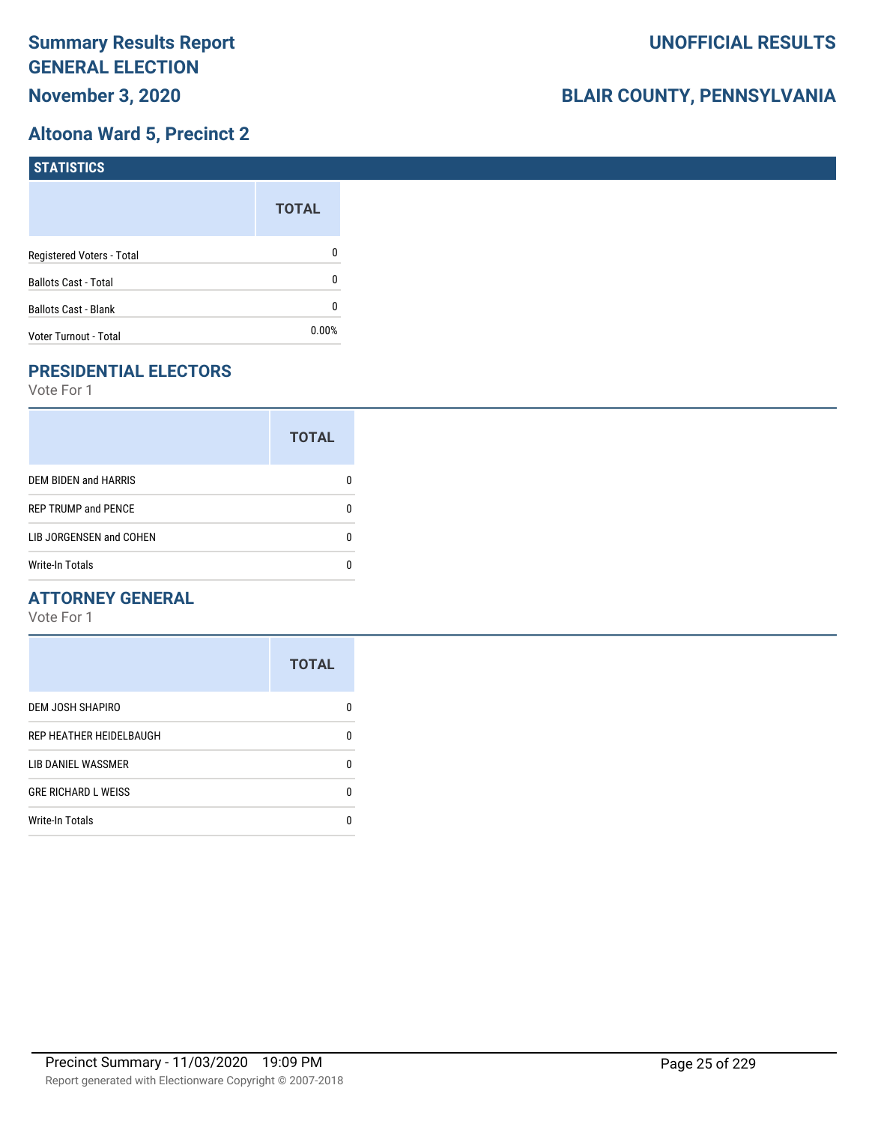## **Altoona Ward 5, Precinct 2**

| <b>STATISTICS</b>           |              |
|-----------------------------|--------------|
|                             | <b>TOTAL</b> |
| Registered Voters - Total   | 0            |
| <b>Ballots Cast - Total</b> | 0            |
| Ballots Cast - Blank        | 0            |
| Voter Turnout - Total       | $0.00\%$     |

# **PRESIDENTIAL ELECTORS**

Vote For 1

|                            | <b>TOTAL</b> |
|----------------------------|--------------|
| DEM BIDEN and HARRIS       |              |
| <b>REP TRUMP and PENCE</b> |              |
| LIB JORGENSEN and COHEN    | n            |
| <b>Write-In Totals</b>     |              |

#### **ATTORNEY GENERAL**

|                            | <b>TOTAL</b> |
|----------------------------|--------------|
| DEM JOSH SHAPIRO           | n            |
| REP HEATHER HEIDELBAUGH    | 0            |
| LIB DANIEL WASSMER         | n            |
| <b>GRE RICHARD L WEISS</b> | 0            |
| <b>Write-In Totals</b>     | n            |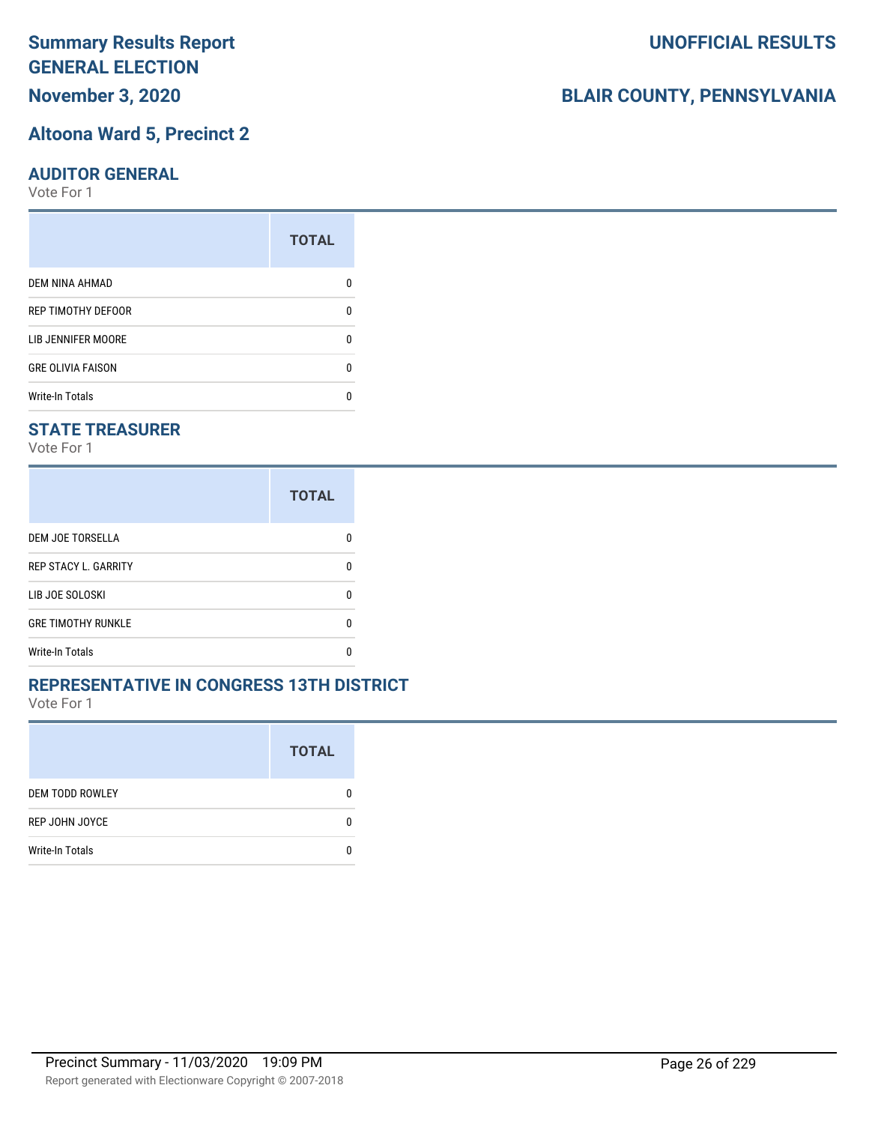## **November 3, 2020**

### **Altoona Ward 5, Precinct 2**

#### **AUDITOR GENERAL**

Vote For 1

|                           | <b>TOTAL</b> |
|---------------------------|--------------|
| <b>DEM NINA AHMAD</b>     |              |
| <b>REP TIMOTHY DEFOOR</b> | n            |
| LIB JENNIFER MOORE        |              |
| <b>GRE OLIVIA FAISON</b>  | n            |
| <b>Write-In Totals</b>    |              |

#### **STATE TREASURER**

Vote For 1

|                             | <b>TOTAL</b> |
|-----------------------------|--------------|
| DEM JOE TORSELLA            |              |
| <b>REP STACY L. GARRITY</b> | n            |
| LIB JOE SOLOSKI             | n            |
| <b>GRE TIMOTHY RUNKLE</b>   | n            |
| <b>Write-In Totals</b>      |              |

#### **REPRESENTATIVE IN CONGRESS 13TH DISTRICT**

Vote For 1

|                        | <b>TOTAL</b> |
|------------------------|--------------|
| <b>DEM TODD ROWLEY</b> | O            |
| REP JOHN JOYCE         | n            |
| <b>Write-In Totals</b> |              |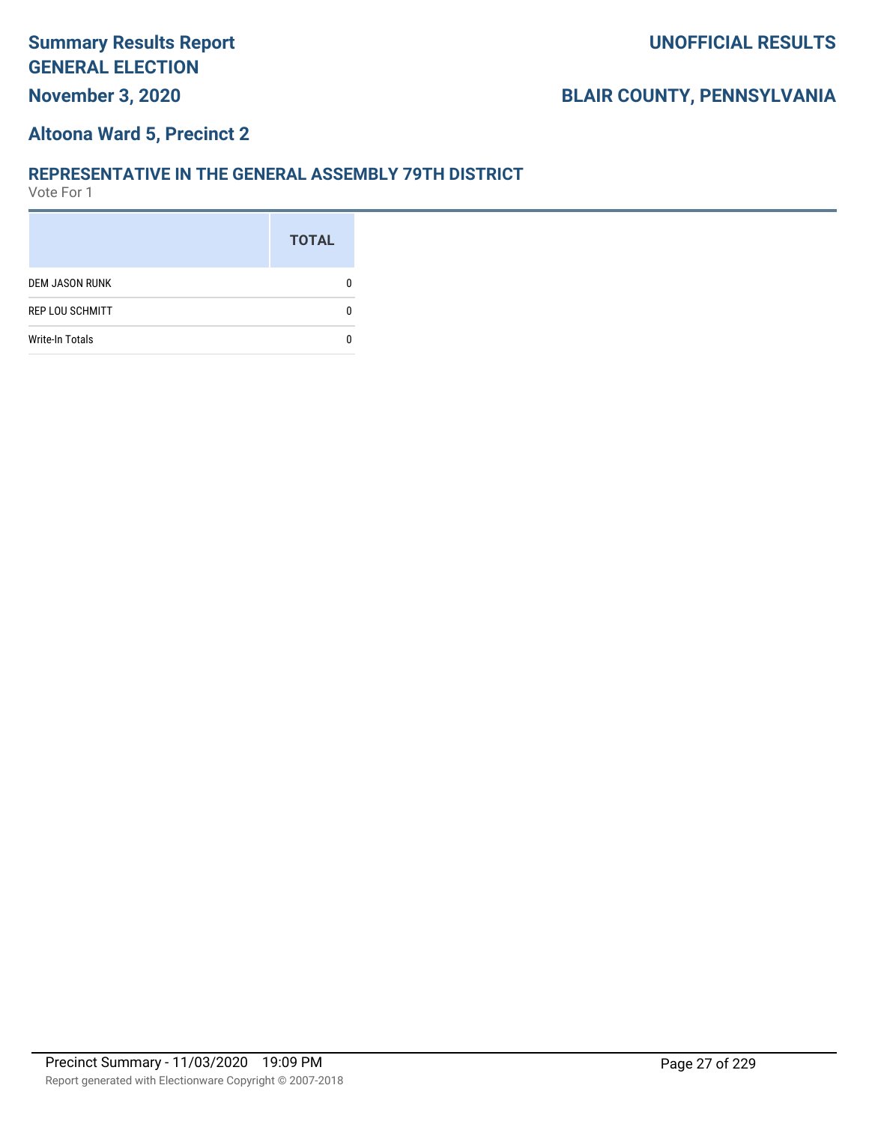## **Altoona Ward 5, Precinct 2**

#### **REPRESENTATIVE IN THE GENERAL ASSEMBLY 79TH DISTRICT**

|                        | <b>TOTAL</b> |
|------------------------|--------------|
| <b>DEM JASON RUNK</b>  |              |
| <b>REP LOU SCHMITT</b> |              |
| <b>Write-In Totals</b> |              |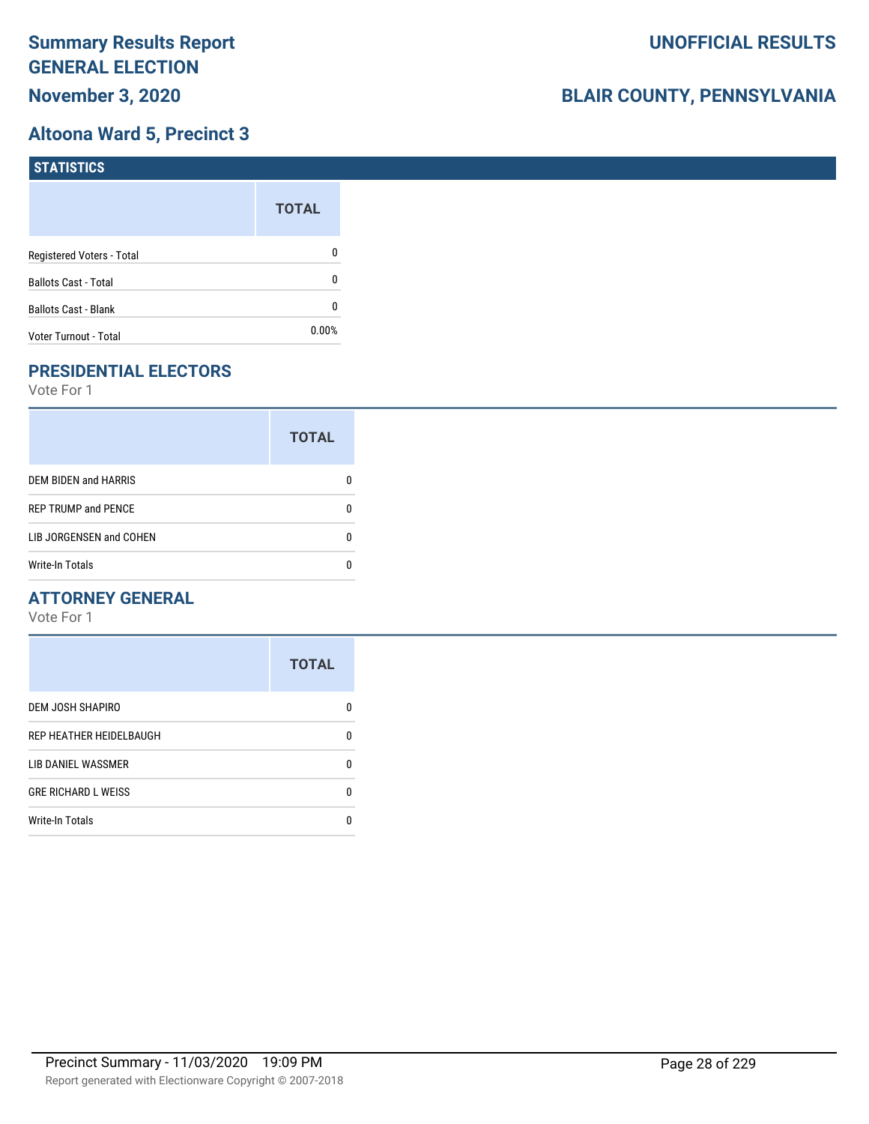## **Altoona Ward 5, Precinct 3**

| <b>STATISTICS</b>           |              |
|-----------------------------|--------------|
|                             | <b>TOTAL</b> |
| Registered Voters - Total   | 0            |
| <b>Ballots Cast - Total</b> | 0            |
| Ballots Cast - Blank        | 0            |
| Voter Turnout - Total       | $0.00\%$     |

## **PRESIDENTIAL ELECTORS**

Vote For 1

|                             | <b>TOTAL</b> |
|-----------------------------|--------------|
| <b>DEM BIDEN and HARRIS</b> |              |
| <b>REP TRUMP and PENCE</b>  |              |
| LIB JORGENSEN and COHEN     | n            |
| <b>Write-In Totals</b>      |              |

## **ATTORNEY GENERAL**

|                            | <b>TOTAL</b> |
|----------------------------|--------------|
| DEM JOSH SHAPIRO           | n            |
| REP HEATHER HEIDELBAUGH    | 0            |
| LIB DANIEL WASSMER         | n            |
| <b>GRE RICHARD L WEISS</b> | n            |
| <b>Write-In Totals</b>     |              |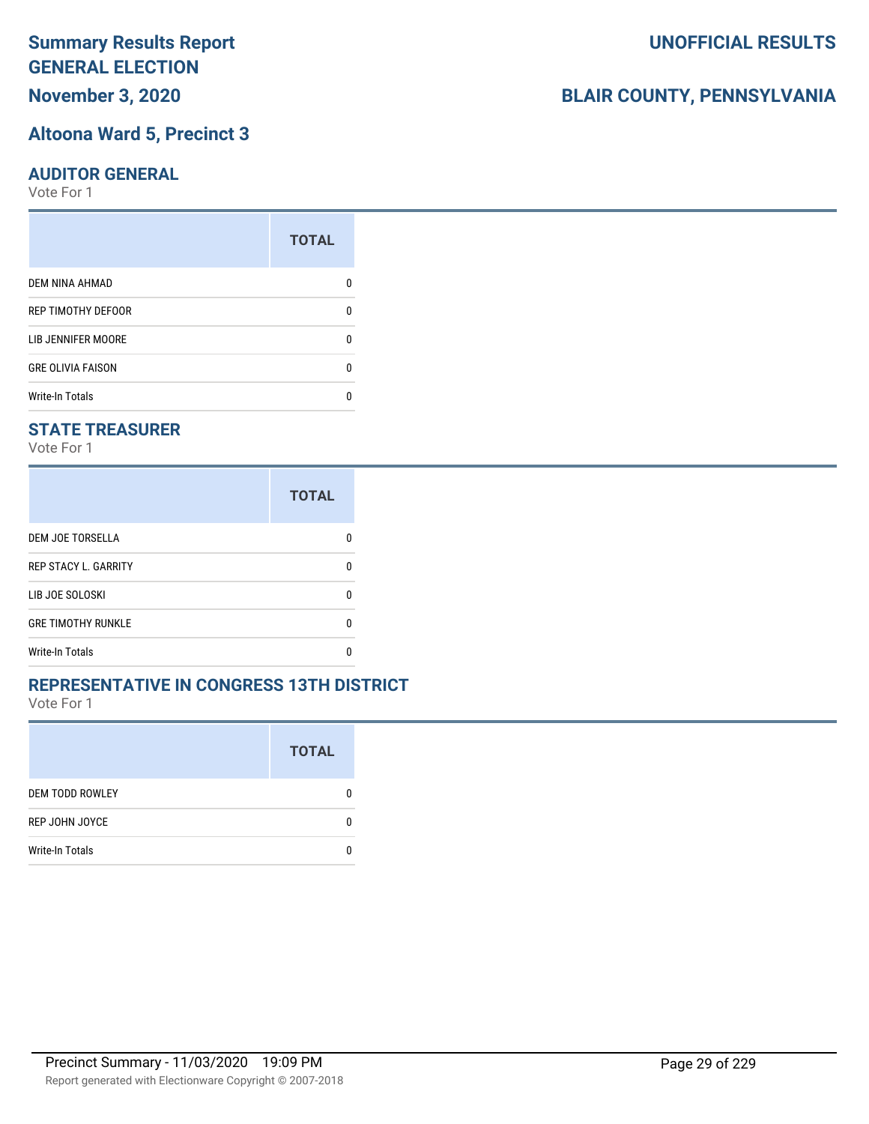## **November 3, 2020**

## **Altoona Ward 5, Precinct 3**

#### **AUDITOR GENERAL**

Vote For 1

|                           | <b>TOTAL</b> |
|---------------------------|--------------|
| <b>DEM NINA AHMAD</b>     |              |
| <b>REP TIMOTHY DEFOOR</b> | n            |
| LIB JENNIFER MOORE        |              |
| <b>GRE OLIVIA FAISON</b>  | n            |
| <b>Write-In Totals</b>    |              |

### **STATE TREASURER**

Vote For 1

|                             | <b>TOTAL</b> |
|-----------------------------|--------------|
| DEM JOE TORSELLA            |              |
| <b>REP STACY L. GARRITY</b> | n            |
| LIB JOE SOLOSKI             | n            |
| <b>GRE TIMOTHY RUNKLE</b>   | n            |
| <b>Write-In Totals</b>      |              |

#### **REPRESENTATIVE IN CONGRESS 13TH DISTRICT**

Vote For 1

|                        | <b>TOTAL</b> |
|------------------------|--------------|
| <b>DEM TODD ROWLEY</b> | O            |
| REP JOHN JOYCE         | n            |
| <b>Write-In Totals</b> |              |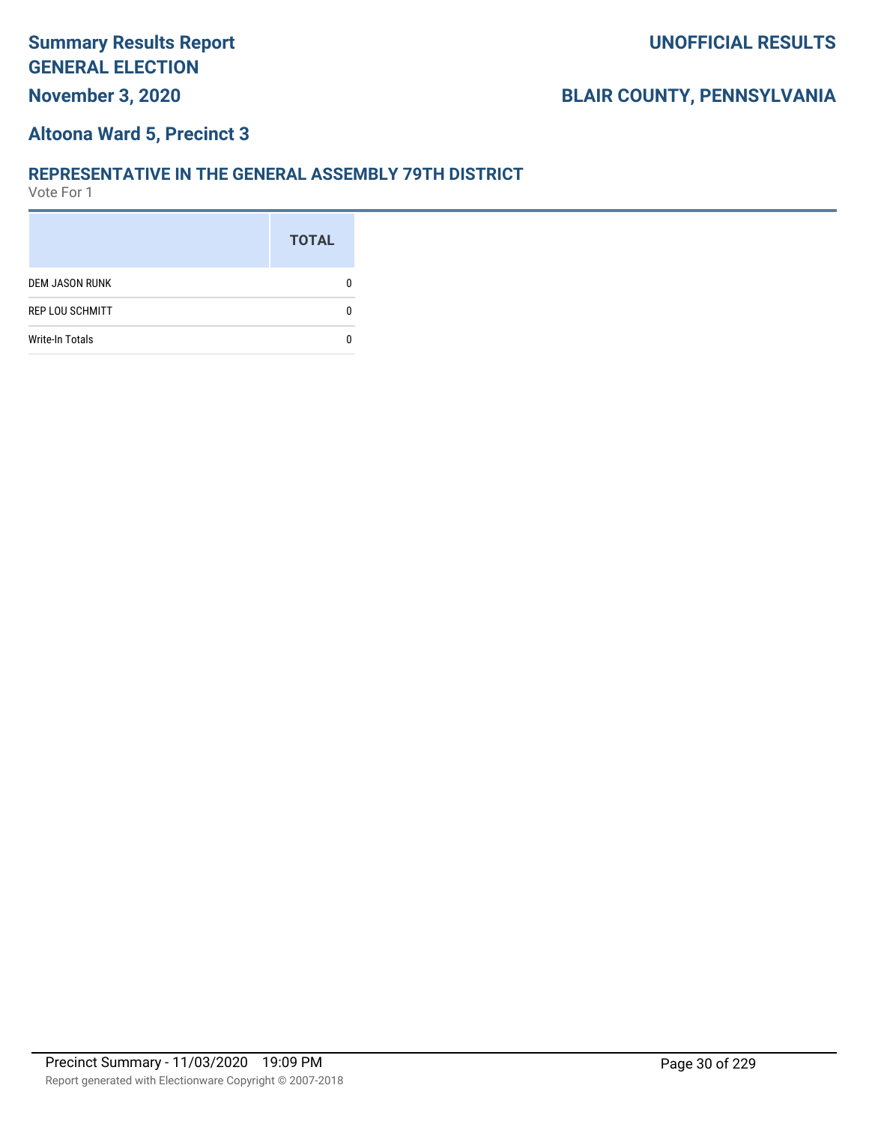## **Altoona Ward 5, Precinct 3**

#### **REPRESENTATIVE IN THE GENERAL ASSEMBLY 79TH DISTRICT**

|                        | <b>TOTAL</b> |
|------------------------|--------------|
| <b>DEM JASON RUNK</b>  |              |
| <b>REP LOU SCHMITT</b> |              |
| <b>Write-In Totals</b> |              |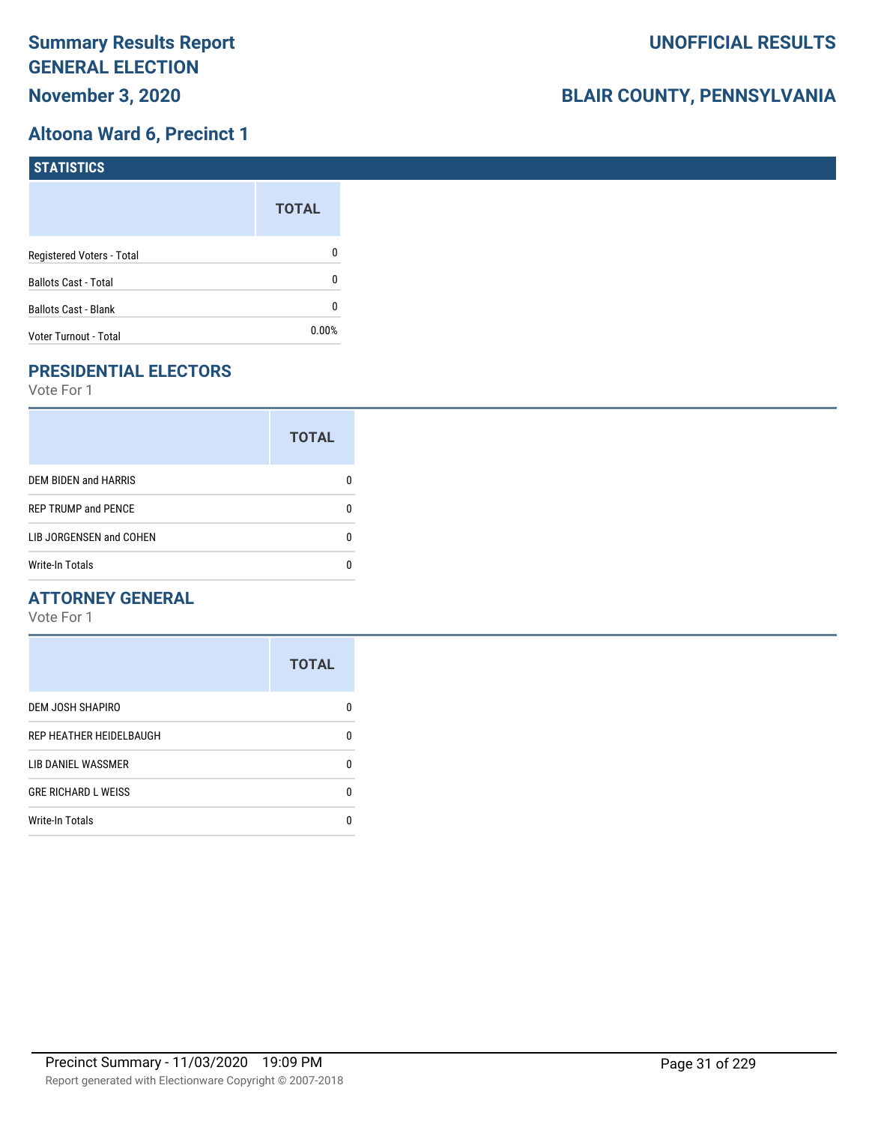## **Altoona Ward 6, Precinct 1**

| STATISTICS                  |              |
|-----------------------------|--------------|
|                             | <b>TOTAL</b> |
| Registered Voters - Total   | 0            |
| <b>Ballots Cast - Total</b> | 0            |
| <b>Ballots Cast - Blank</b> | 0            |
| Voter Turnout - Total       | 0.00%        |

## **PRESIDENTIAL ELECTORS**

Vote For 1

|                             | <b>TOTAL</b> |
|-----------------------------|--------------|
| <b>DEM BIDEN and HARRIS</b> |              |
| <b>REP TRUMP and PENCE</b>  |              |
| LIB JORGENSEN and COHEN     |              |
| <b>Write-In Totals</b>      |              |

#### **ATTORNEY GENERAL**

|                            | <b>TOTAL</b> |
|----------------------------|--------------|
| DEM JOSH SHAPIRO           | n            |
| REP HEATHER HEIDELBAUGH    | 0            |
| LIB DANIEL WASSMER         | n            |
| <b>GRE RICHARD L WEISS</b> | n            |
| <b>Write-In Totals</b>     |              |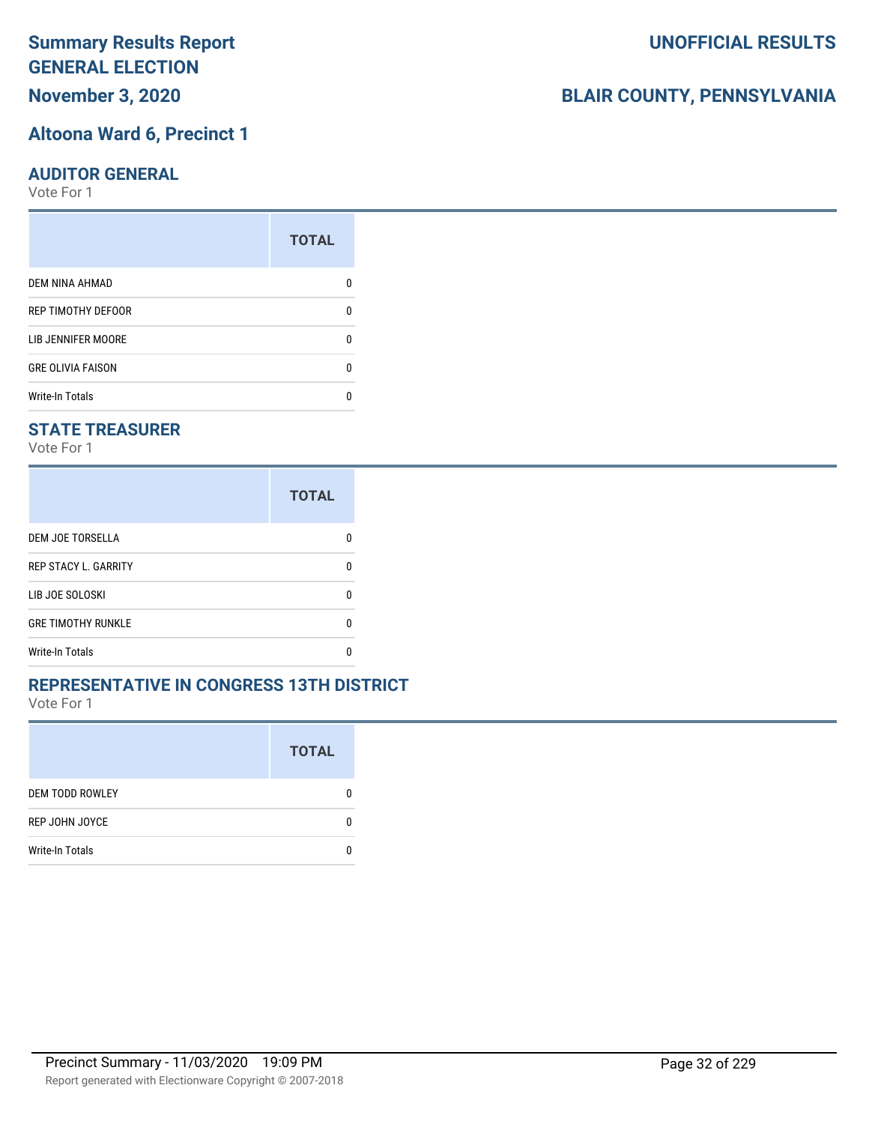**November 3, 2020**

#### **Altoona Ward 6, Precinct 1**

#### **AUDITOR GENERAL**

Vote For 1

|                          | <b>TOTAL</b> |
|--------------------------|--------------|
| DEM NINA AHMAD           |              |
| REP TIMOTHY DEFOOR       | n            |
| LIB JENNIFER MOORE       | n            |
| <b>GRE OLIVIA FAISON</b> | n            |
| <b>Write-In Totals</b>   |              |

### **STATE TREASURER**

Vote For 1

|                             | <b>TOTAL</b> |
|-----------------------------|--------------|
| DEM JOE TORSELLA            |              |
| <b>REP STACY L. GARRITY</b> | n            |
| LIB JOE SOLOSKI             | n            |
| <b>GRE TIMOTHY RUNKLE</b>   | n            |
| <b>Write-In Totals</b>      |              |

#### **REPRESENTATIVE IN CONGRESS 13TH DISTRICT**

Vote For 1

|                        | <b>TOTAL</b> |
|------------------------|--------------|
| <b>DEM TODD ROWLEY</b> | 0            |
| REP JOHN JOYCE         | n            |
| <b>Write-In Totals</b> |              |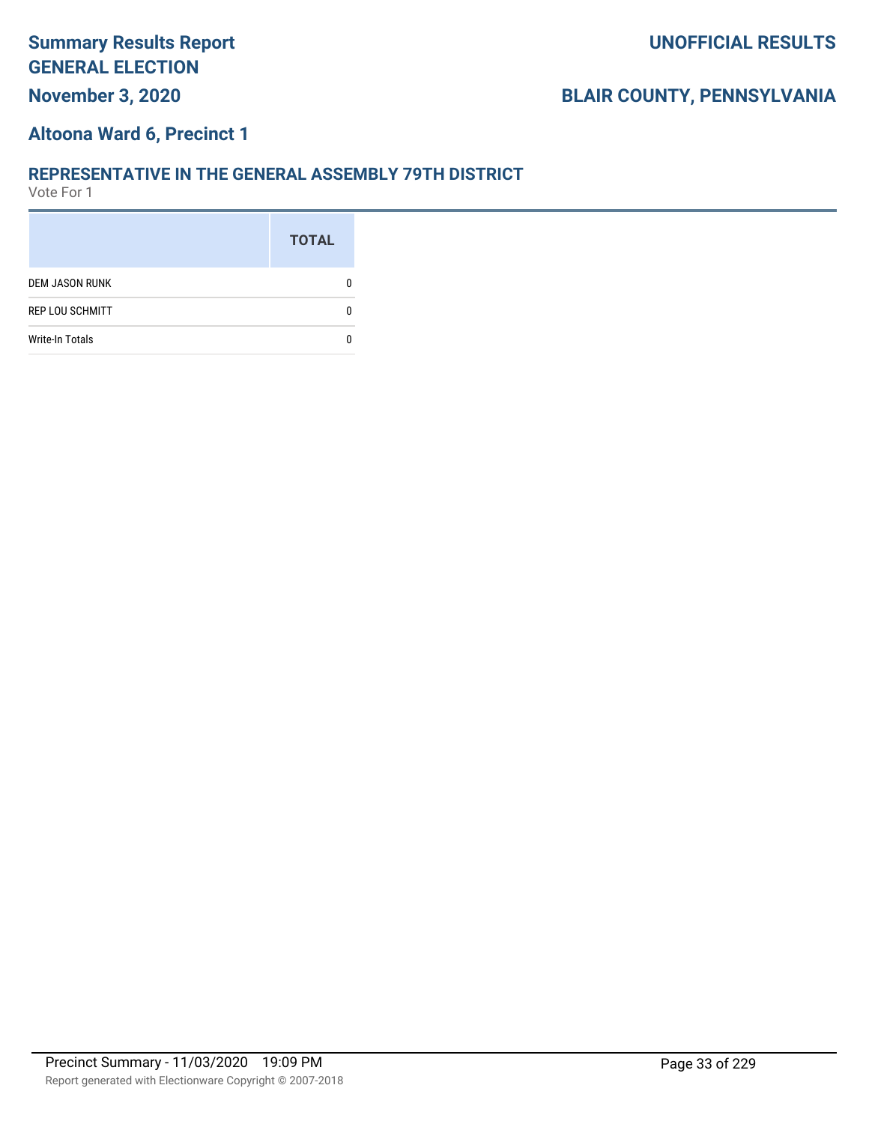## **Altoona Ward 6, Precinct 1**

#### **REPRESENTATIVE IN THE GENERAL ASSEMBLY 79TH DISTRICT**

|                        | <b>TOTAL</b> |
|------------------------|--------------|
| <b>DEM JASON RUNK</b>  |              |
| <b>REP LOU SCHMITT</b> |              |
| <b>Write-In Totals</b> |              |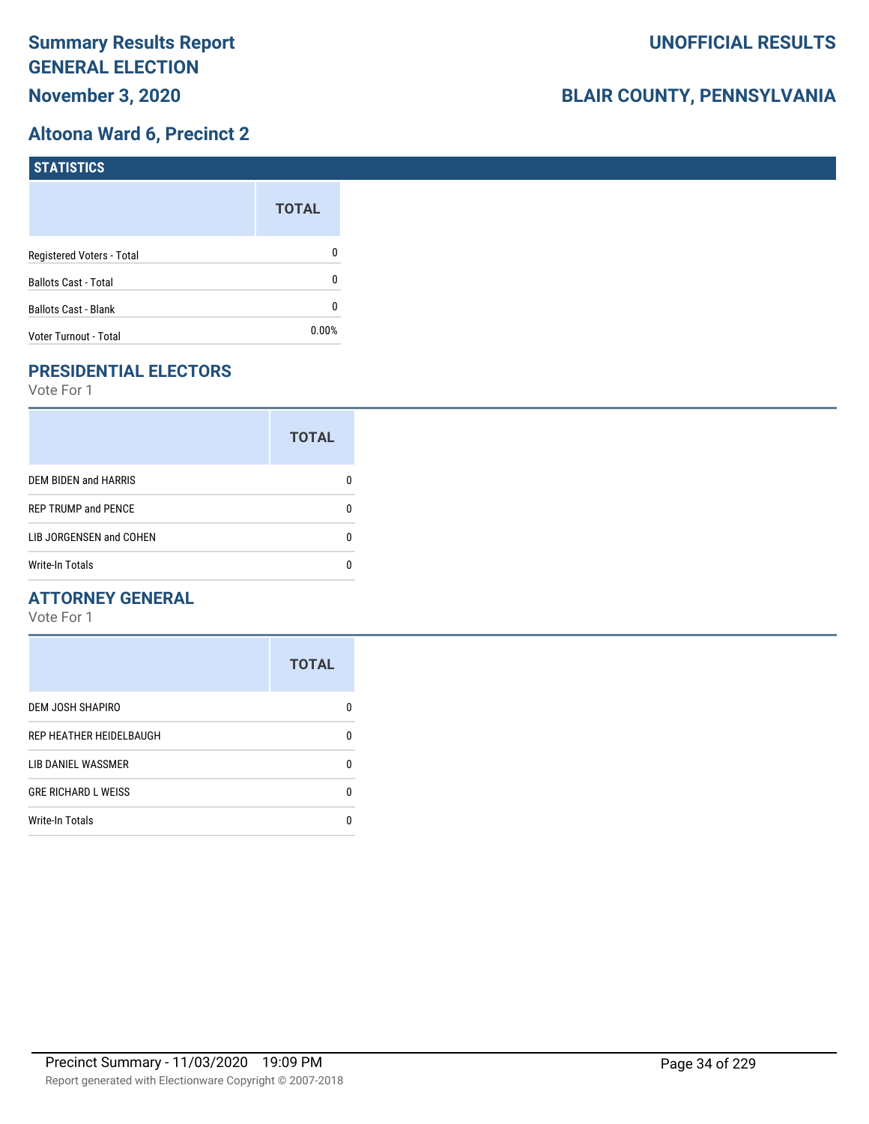## **Altoona Ward 6, Precinct 2**

| <b>STATISTICS</b>           |              |
|-----------------------------|--------------|
|                             | <b>TOTAL</b> |
| Registered Voters - Total   | 0            |
| <b>Ballots Cast - Total</b> | 0            |
| Ballots Cast - Blank        | 0            |
| Voter Turnout - Total       | $0.00\%$     |

## **PRESIDENTIAL ELECTORS**

Vote For 1

|                             | <b>TOTAL</b> |
|-----------------------------|--------------|
| <b>DEM BIDEN and HARRIS</b> |              |
| <b>REP TRUMP and PENCE</b>  |              |
| LIB JORGENSEN and COHEN     | n            |
| <b>Write-In Totals</b>      |              |

#### **ATTORNEY GENERAL**

|                            | <b>TOTAL</b> |
|----------------------------|--------------|
| DEM JOSH SHAPIRO           | n            |
| REP HEATHER HEIDELBAUGH    | 0            |
| LIB DANIEL WASSMER         | n            |
| <b>GRE RICHARD L WEISS</b> | n            |
| <b>Write-In Totals</b>     |              |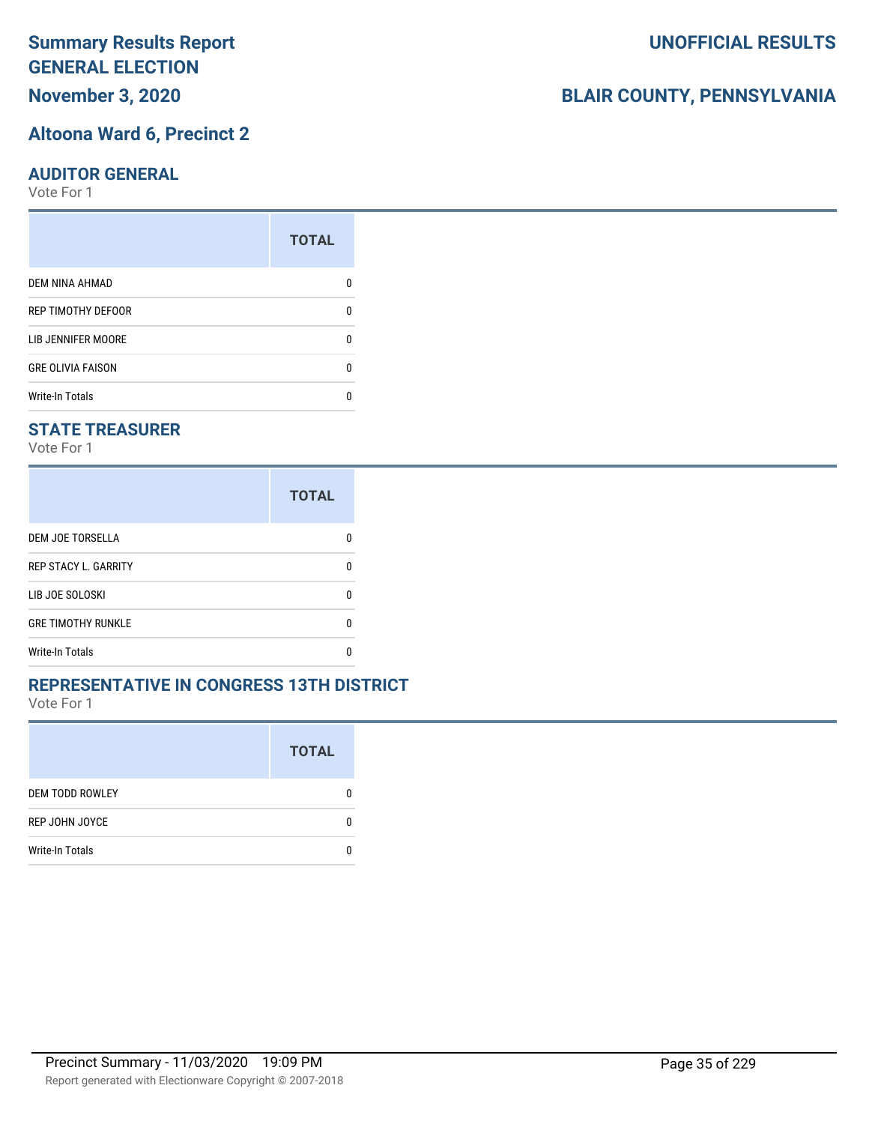# **November 3, 2020**

### **Altoona Ward 6, Precinct 2**

#### **AUDITOR GENERAL**

Vote For 1

|                          | <b>TOTAL</b> |
|--------------------------|--------------|
| <b>DEM NINA AHMAD</b>    |              |
| REP TIMOTHY DEFOOR       | n            |
| LIB JENNIFER MOORE       |              |
| <b>GRE OLIVIA FAISON</b> | n            |
| <b>Write-In Totals</b>   |              |

#### **STATE TREASURER**

Vote For 1

|                             | <b>TOTAL</b> |
|-----------------------------|--------------|
| DEM JOE TORSELLA            |              |
| <b>REP STACY L. GARRITY</b> | n            |
| LIB JOE SOLOSKI             | n            |
| <b>GRE TIMOTHY RUNKLE</b>   | n            |
| <b>Write-In Totals</b>      |              |

#### **REPRESENTATIVE IN CONGRESS 13TH DISTRICT**

Vote For 1

|                        | <b>TOTAL</b> |
|------------------------|--------------|
| <b>DEM TODD ROWLEY</b> | 0            |
| REP JOHN JOYCE         | n            |
| <b>Write-In Totals</b> |              |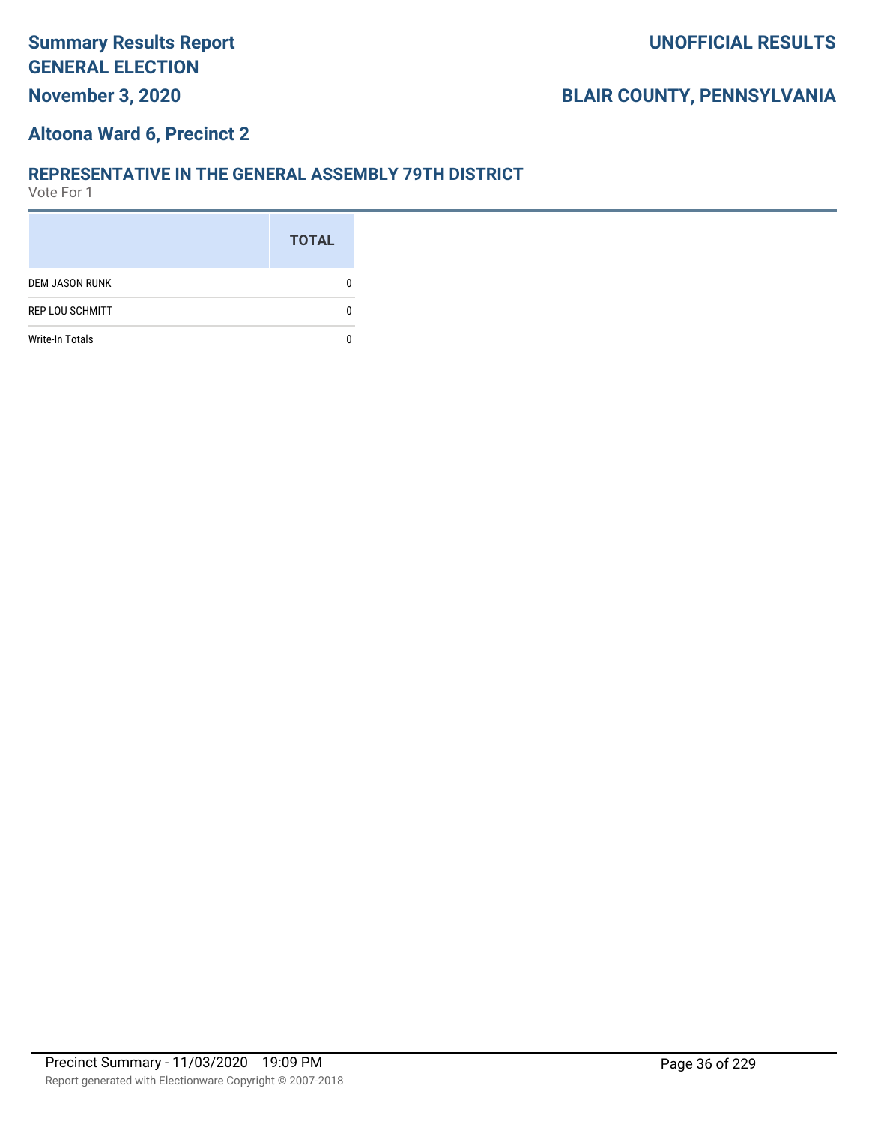### **Altoona Ward 6, Precinct 2**

#### **REPRESENTATIVE IN THE GENERAL ASSEMBLY 79TH DISTRICT**

|                        | <b>TOTAL</b> |
|------------------------|--------------|
| <b>DEM JASON RUNK</b>  |              |
| <b>REP LOU SCHMITT</b> |              |
| <b>Write-In Totals</b> |              |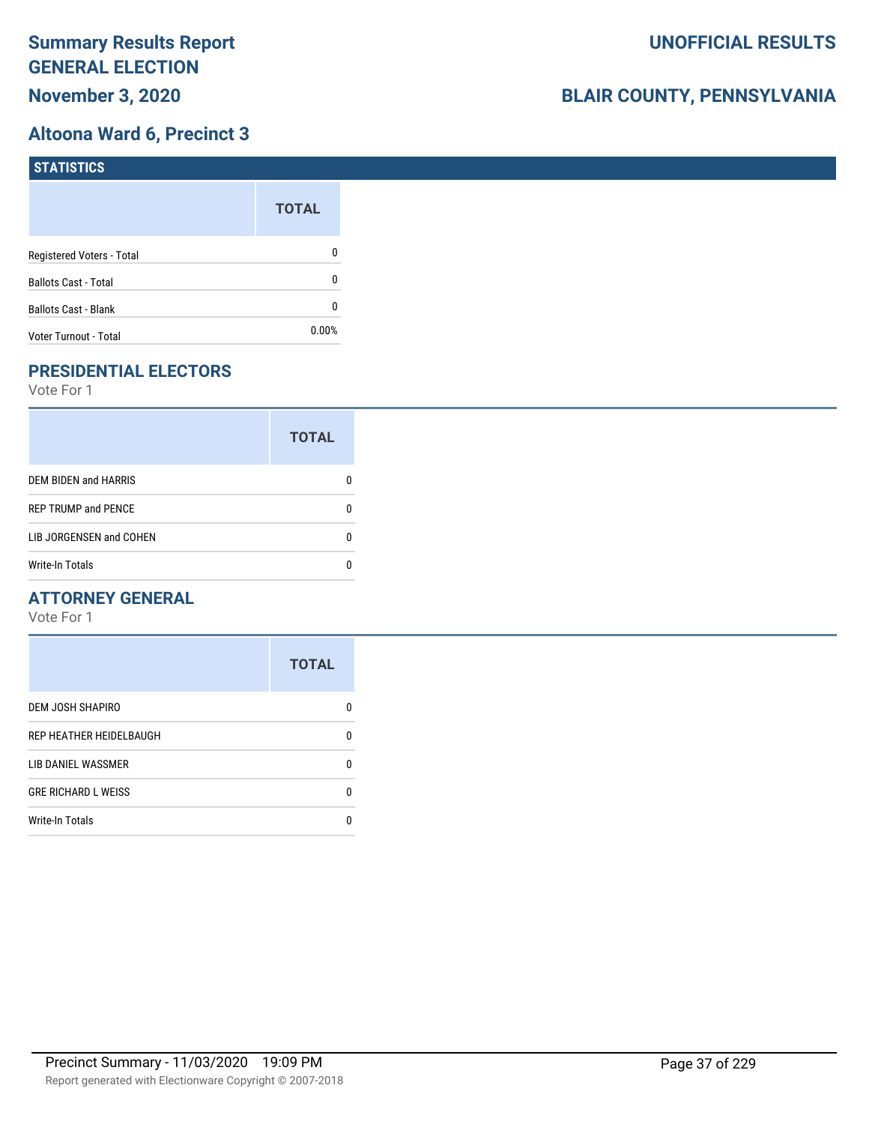## **Altoona Ward 6, Precinct 3**

| <b>STATISTICS</b>           |              |
|-----------------------------|--------------|
|                             | <b>TOTAL</b> |
| Registered Voters - Total   | 0            |
| <b>Ballots Cast - Total</b> | 0            |
| Ballots Cast - Blank        | 0            |
| Voter Turnout - Total       | $0.00\%$     |

# **PRESIDENTIAL ELECTORS**

Vote For 1

|                            | <b>TOTAL</b> |
|----------------------------|--------------|
| DEM BIDEN and HARRIS       |              |
| <b>REP TRUMP and PENCE</b> |              |
| LIB JORGENSEN and COHEN    | O            |
| <b>Write-In Totals</b>     |              |

## **ATTORNEY GENERAL**

|                            | <b>TOTAL</b> |
|----------------------------|--------------|
| DEM JOSH SHAPIRO           | n            |
| REP HEATHER HEIDELBAUGH    | 0            |
| LIB DANIEL WASSMER         | n            |
| <b>GRE RICHARD L WEISS</b> | n            |
| <b>Write-In Totals</b>     |              |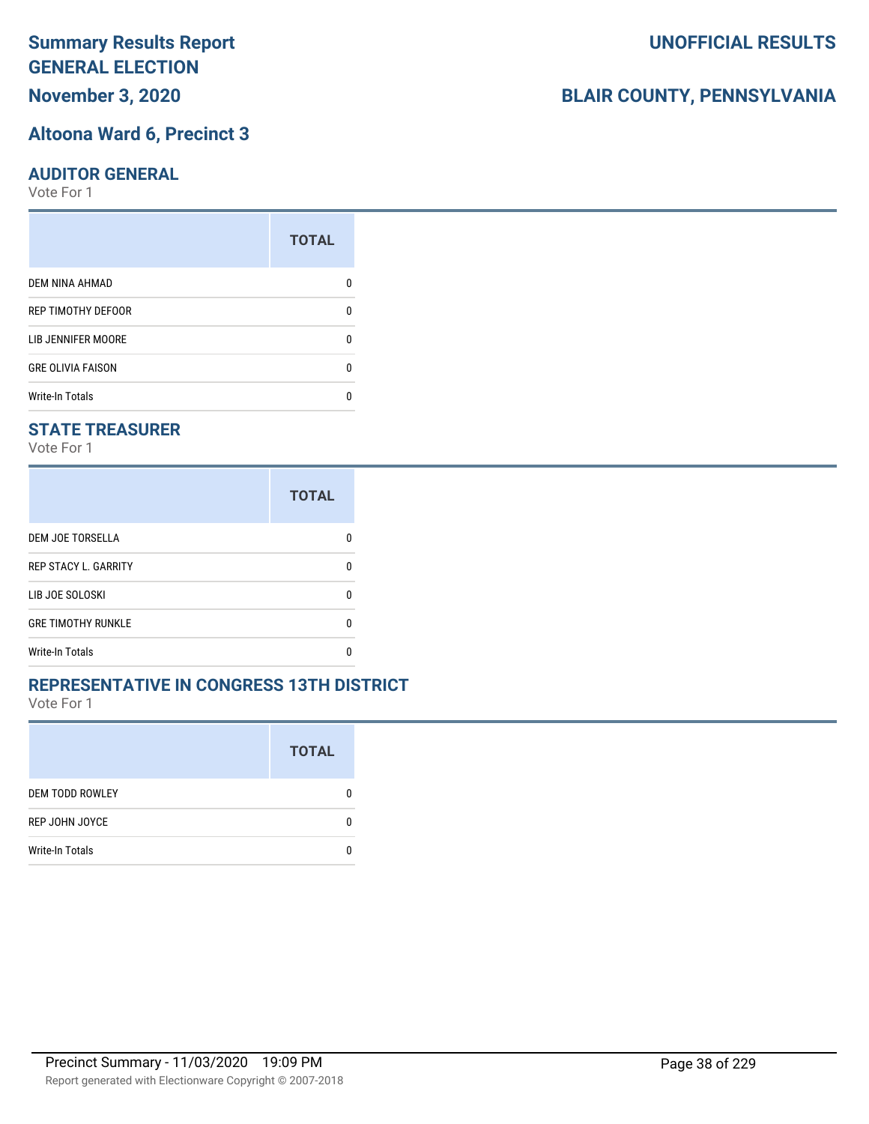# **November 3, 2020**

#### **Altoona Ward 6, Precinct 3**

#### **AUDITOR GENERAL**

Vote For 1

|                           | <b>TOTAL</b> |
|---------------------------|--------------|
| <b>DEM NINA AHMAD</b>     |              |
| <b>REP TIMOTHY DEFOOR</b> | n            |
| LIB JENNIFER MOORE        |              |
| <b>GRE OLIVIA FAISON</b>  | n            |
| <b>Write-In Totals</b>    |              |

### **STATE TREASURER**

Vote For 1

|                             | <b>TOTAL</b> |
|-----------------------------|--------------|
| <b>DEM JOE TORSELLA</b>     | n            |
| <b>REP STACY L. GARRITY</b> | n            |
| LIB JOE SOLOSKI             | n            |
| <b>GRE TIMOTHY RUNKLE</b>   | n            |
| Write-In Totals             |              |

#### **REPRESENTATIVE IN CONGRESS 13TH DISTRICT**

Vote For 1

|                        | <b>TOTAL</b> |
|------------------------|--------------|
| <b>DEM TODD ROWLEY</b> | O            |
| REP JOHN JOYCE         | n            |
| <b>Write-In Totals</b> |              |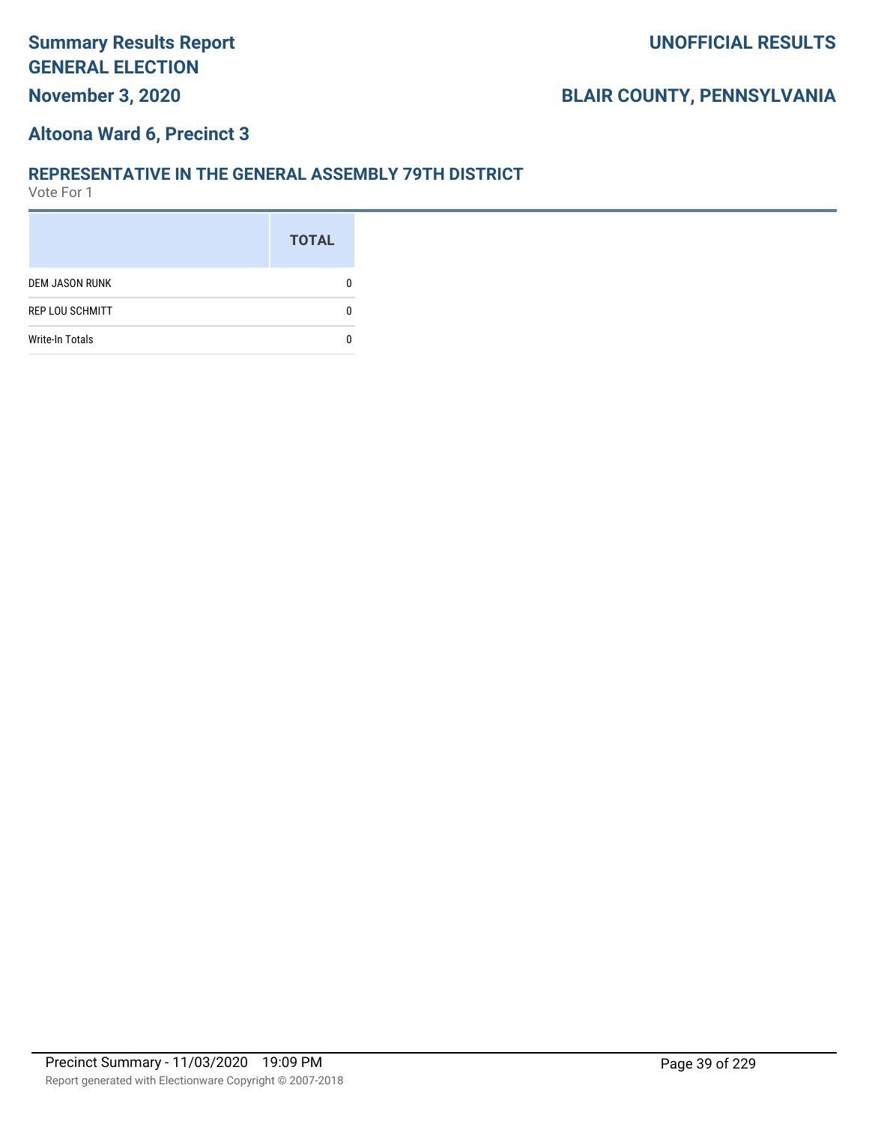## **Altoona Ward 6, Precinct 3**

#### **REPRESENTATIVE IN THE GENERAL ASSEMBLY 79TH DISTRICT**

|                        | <b>TOTAL</b> |
|------------------------|--------------|
| <b>DEM JASON RUNK</b>  |              |
| <b>REP LOU SCHMITT</b> |              |
| <b>Write-In Totals</b> |              |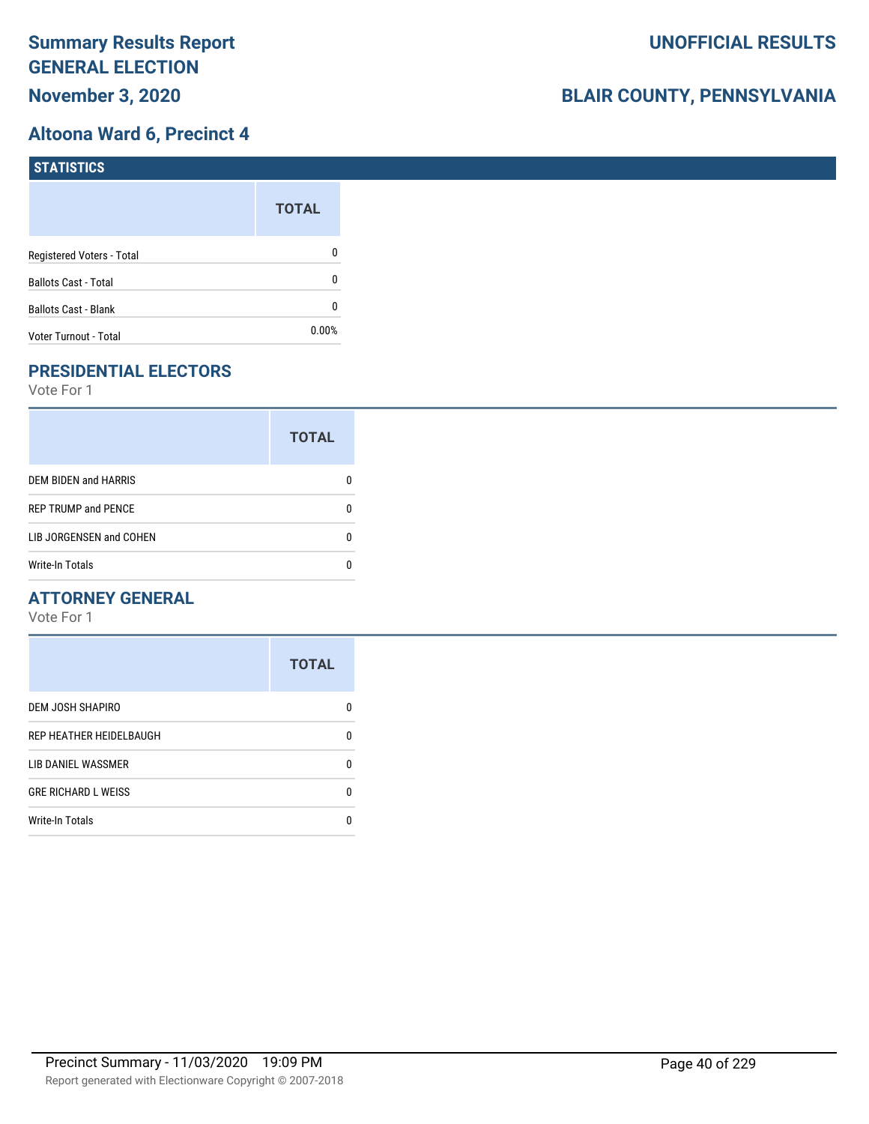## **Altoona Ward 6, Precinct 4**

| STATISTICS                  |              |
|-----------------------------|--------------|
|                             | <b>TOTAL</b> |
| Registered Voters - Total   | 0            |
| <b>Ballots Cast - Total</b> | 0            |
| <b>Ballots Cast - Blank</b> | 0            |
| Voter Turnout - Total       | $0.00\%$     |

# **PRESIDENTIAL ELECTORS**

Vote For 1

|                             | <b>TOTAL</b> |
|-----------------------------|--------------|
| <b>DEM BIDEN and HARRIS</b> |              |
| <b>REP TRUMP and PENCE</b>  |              |
| LIB JORGENSEN and COHEN     | n            |
| <b>Write-In Totals</b>      |              |

## **ATTORNEY GENERAL**

|                            | <b>TOTAL</b> |
|----------------------------|--------------|
| DEM JOSH SHAPIRO           | n            |
| REP HEATHER HEIDELBAUGH    | 0            |
| LIB DANIEL WASSMER         | n            |
| <b>GRE RICHARD L WEISS</b> | n            |
| <b>Write-In Totals</b>     |              |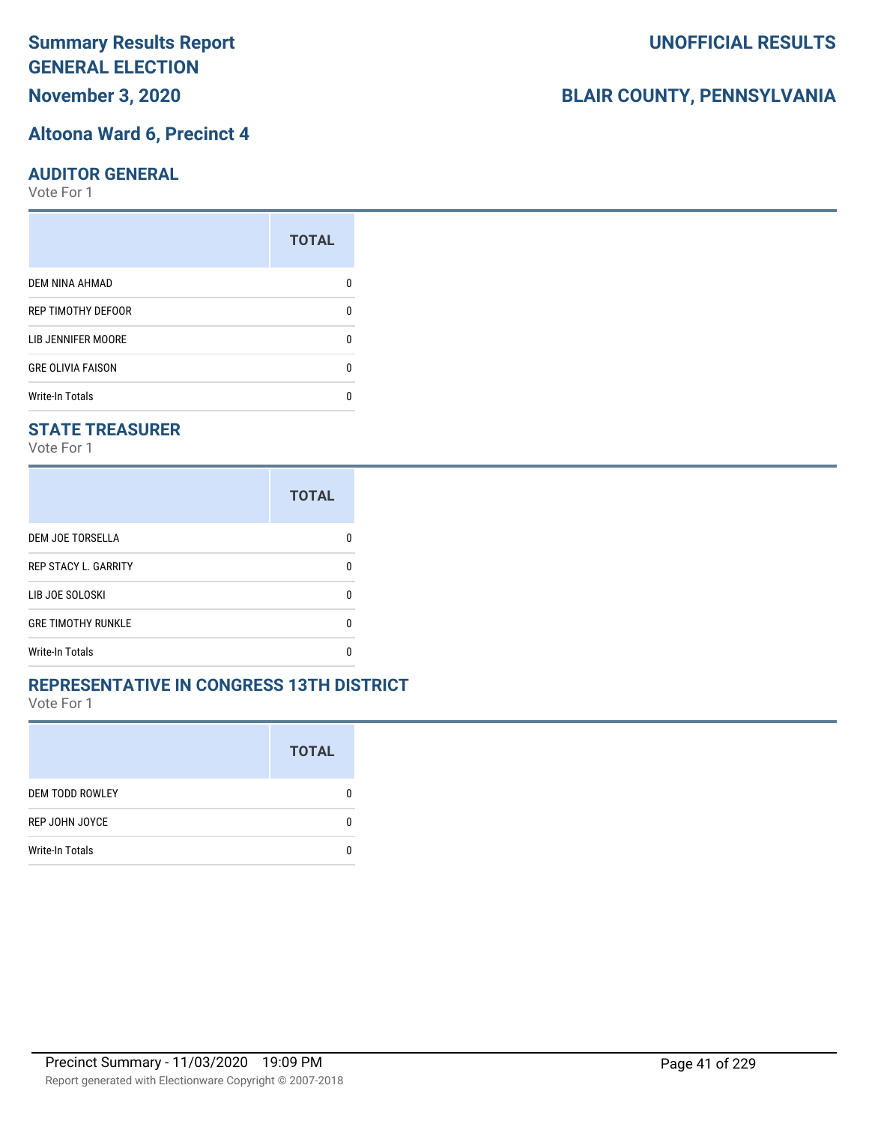**November 3, 2020**

#### **Altoona Ward 6, Precinct 4**

#### **AUDITOR GENERAL**

Vote For 1

|                           | <b>TOTAL</b> |
|---------------------------|--------------|
| <b>DEM NINA AHMAD</b>     |              |
| <b>REP TIMOTHY DEFOOR</b> | n            |
| LIB JENNIFER MOORE        |              |
| <b>GRE OLIVIA FAISON</b>  | n            |
| <b>Write-In Totals</b>    |              |

#### **STATE TREASURER**

Vote For 1

|                             | <b>TOTAL</b> |
|-----------------------------|--------------|
| <b>DEM JOE TORSELLA</b>     | n            |
| <b>REP STACY L. GARRITY</b> | n            |
| LIB JOE SOLOSKI             | n            |
| <b>GRE TIMOTHY RUNKLE</b>   | n            |
| <b>Write-In Totals</b>      |              |

#### **REPRESENTATIVE IN CONGRESS 13TH DISTRICT**

Vote For 1

|                        | <b>TOTAL</b> |
|------------------------|--------------|
| <b>DEM TODD ROWLEY</b> | 0            |
| REP JOHN JOYCE         | n            |
| <b>Write-In Totals</b> |              |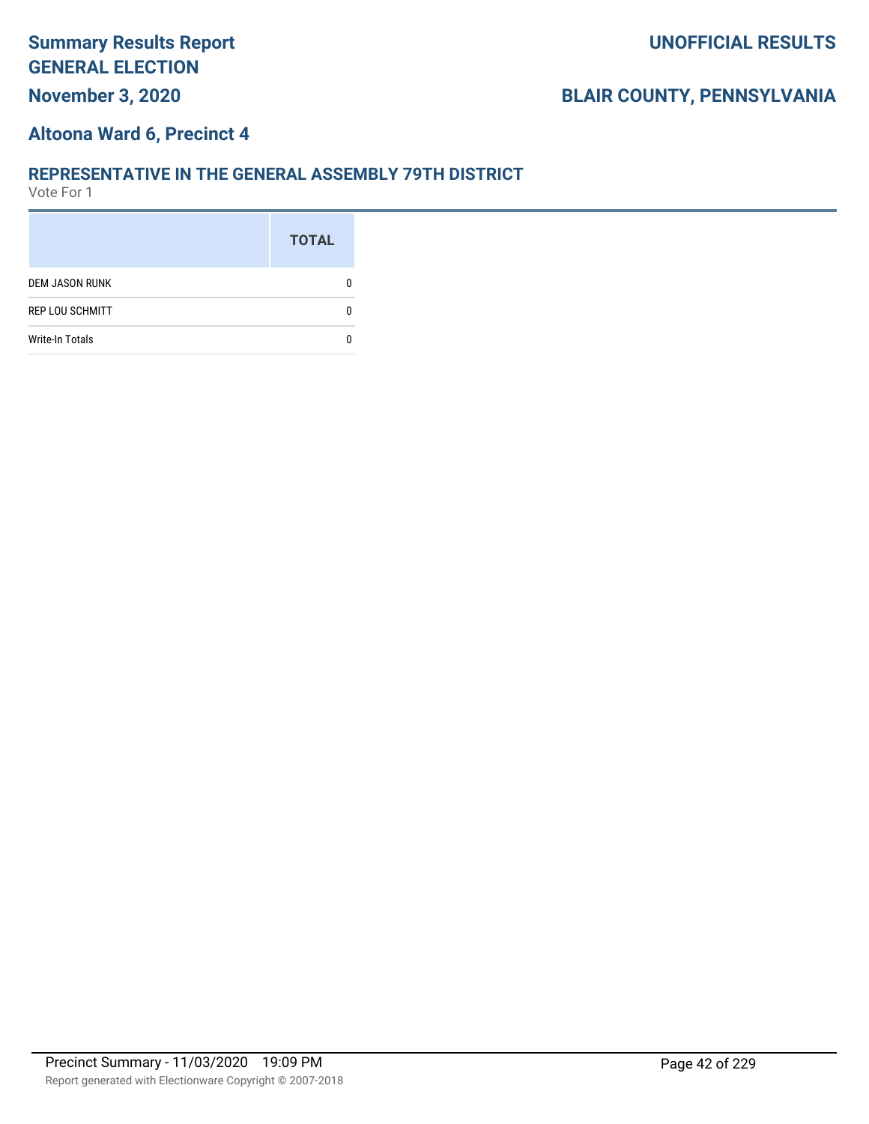## **Altoona Ward 6, Precinct 4**

#### **REPRESENTATIVE IN THE GENERAL ASSEMBLY 79TH DISTRICT**

|                        | <b>TOTAL</b> |
|------------------------|--------------|
| <b>DEM JASON RUNK</b>  |              |
| <b>REP LOU SCHMITT</b> |              |
| <b>Write-In Totals</b> |              |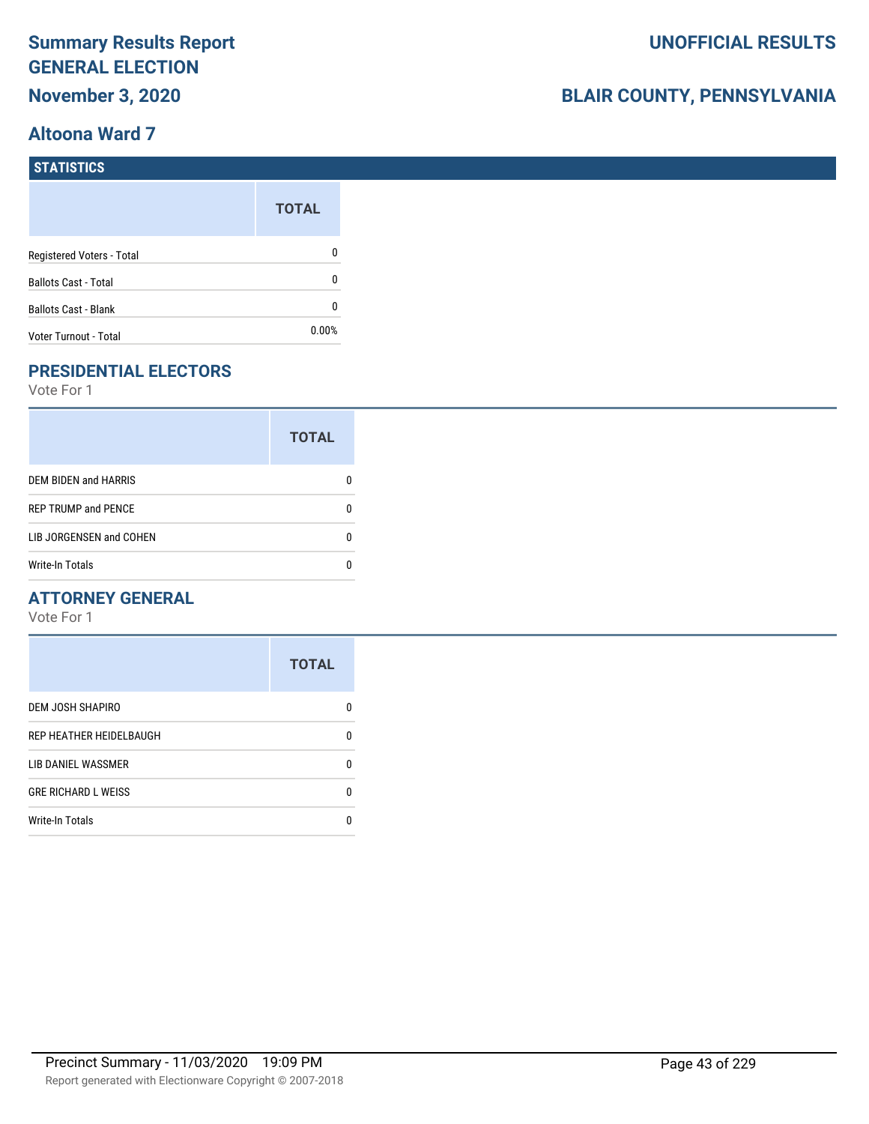## **Altoona Ward 7**

# **BLAIR COUNTY, PENNSYLVANIA**

| STATISTICS                  |              |
|-----------------------------|--------------|
|                             | <b>TOTAL</b> |
| Registered Voters - Total   | 0            |
| <b>Ballots Cast - Total</b> | 0            |
| <b>Ballots Cast - Blank</b> | 0            |
| Voter Turnout - Total       | 0.00%        |

# **PRESIDENTIAL ELECTORS**

Vote For 1

|                            | <b>TOTAL</b> |
|----------------------------|--------------|
| DEM BIDEN and HARRIS       |              |
| <b>REP TRUMP and PENCE</b> |              |
| LIB JORGENSEN and COHEN    |              |
| Write-In Totals            |              |

## **ATTORNEY GENERAL**

|                            | <b>TOTAL</b> |
|----------------------------|--------------|
| DEM JOSH SHAPIRO           | n            |
| REP HEATHER HEIDELBAUGH    | 0            |
| LIB DANIEL WASSMER         | n            |
| <b>GRE RICHARD L WEISS</b> | n            |
| <b>Write-In Totals</b>     |              |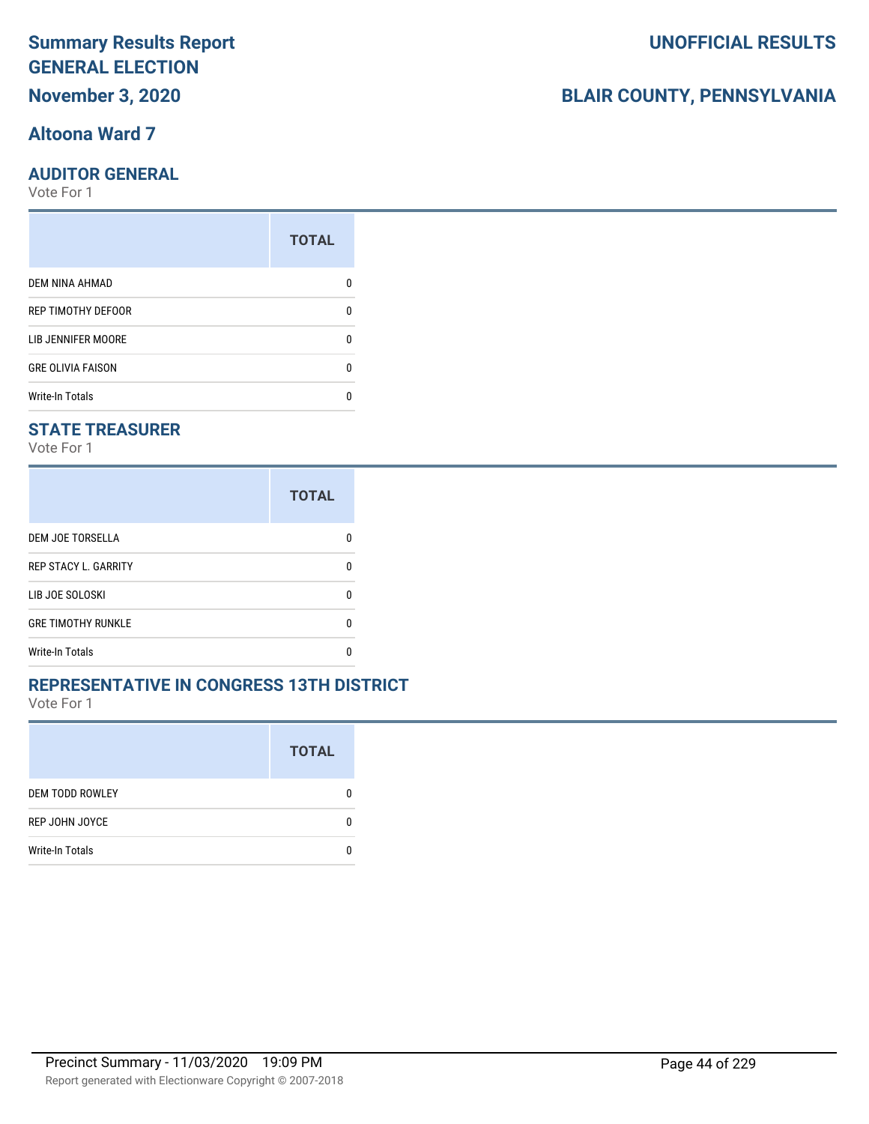# **Altoona Ward 7**

#### **AUDITOR GENERAL**

Vote For 1

| <b>TOTAL</b> |
|--------------|
|              |
| 0            |
| n            |
| 0            |
|              |
|              |

### **STATE TREASURER**

Vote For 1

|                             | <b>TOTAL</b> |
|-----------------------------|--------------|
| DEM JOE TORSELLA            |              |
| <b>REP STACY L. GARRITY</b> | n            |
| LIB JOE SOLOSKI             | n            |
| <b>GRE TIMOTHY RUNKLE</b>   | n            |
| <b>Write-In Totals</b>      |              |

#### **REPRESENTATIVE IN CONGRESS 13TH DISTRICT**

Vote For 1

|                        | <b>TOTAL</b> |
|------------------------|--------------|
| <b>DEM TODD ROWLEY</b> | O            |
| REP JOHN JOYCE         | n            |
| <b>Write-In Totals</b> |              |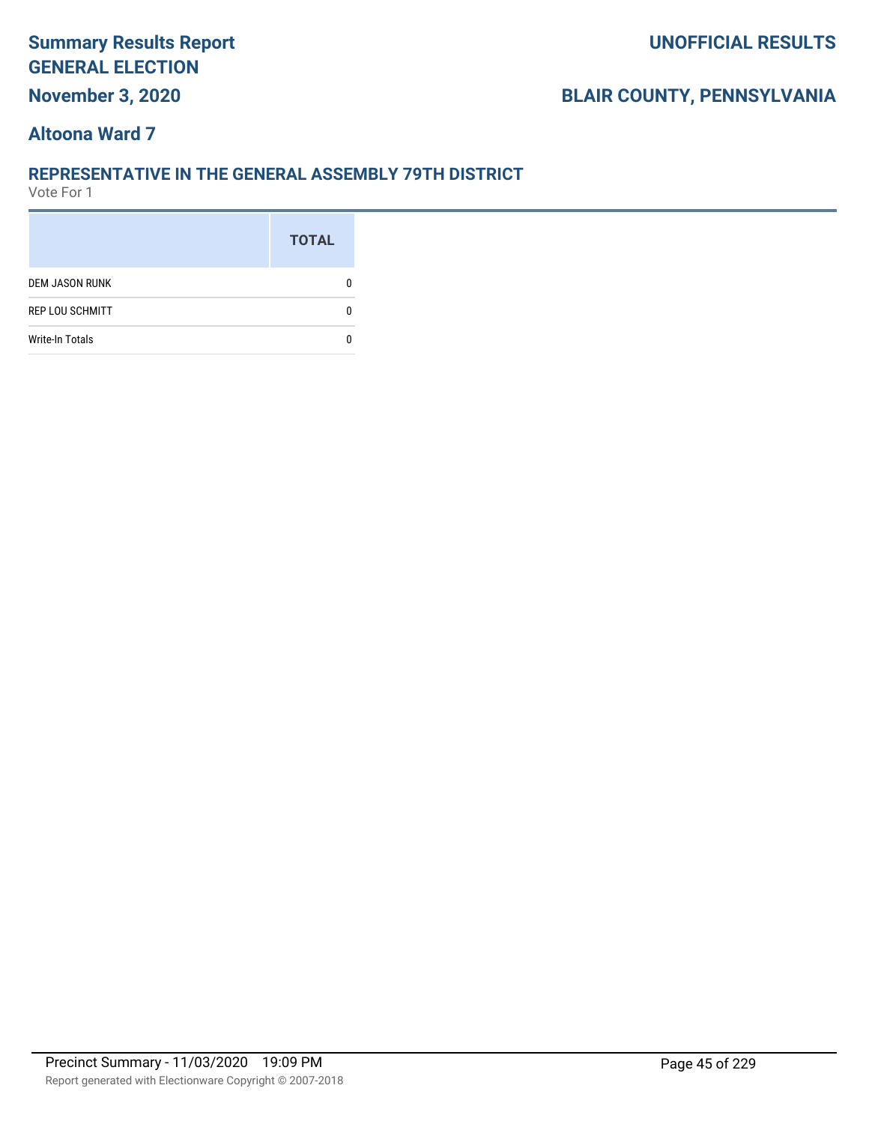# **BLAIR COUNTY, PENNSYLVANIA**

## **Altoona Ward 7**

#### **REPRESENTATIVE IN THE GENERAL ASSEMBLY 79TH DISTRICT**

|                        | <b>TOTAL</b> |
|------------------------|--------------|
| <b>DEM JASON RUNK</b>  |              |
| <b>REP LOU SCHMITT</b> |              |
| <b>Write-In Totals</b> |              |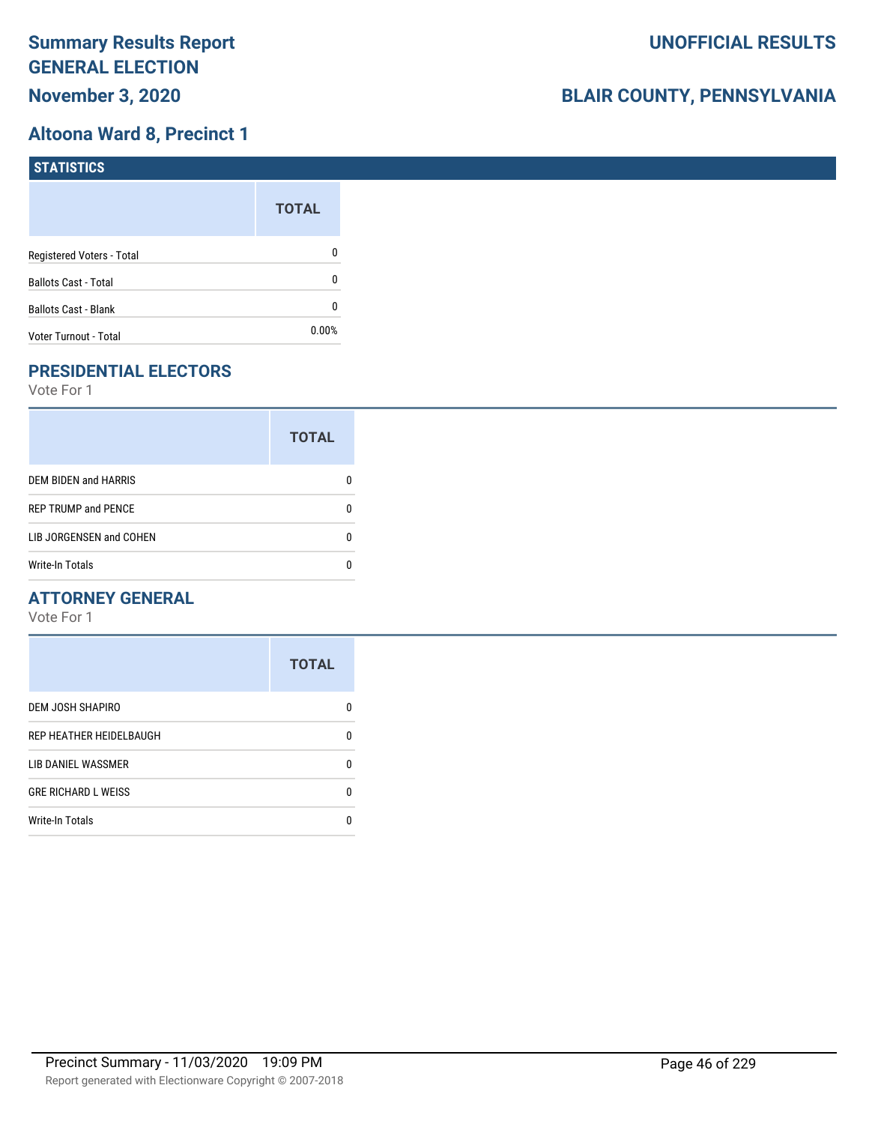# **Altoona Ward 8, Precinct 1**

| STATISTICS                  |              |
|-----------------------------|--------------|
|                             | <b>TOTAL</b> |
| Registered Voters - Total   | 0            |
| <b>Ballots Cast - Total</b> | 0            |
| <b>Ballots Cast - Blank</b> | 0            |
| Voter Turnout - Total       | $0.00\%$     |

# **PRESIDENTIAL ELECTORS**

Vote For 1

|                             | <b>TOTAL</b> |
|-----------------------------|--------------|
| <b>DEM BIDEN and HARRIS</b> |              |
| <b>REP TRUMP and PENCE</b>  |              |
| LIB JORGENSEN and COHEN     | n            |
| <b>Write-In Totals</b>      |              |

#### **ATTORNEY GENERAL**

|                            | <b>TOTAL</b> |
|----------------------------|--------------|
| DEM JOSH SHAPIRO           | n            |
| REP HEATHER HEIDELBAUGH    | 0            |
| LIB DANIEL WASSMER         | n            |
| <b>GRE RICHARD L WEISS</b> | 0            |
| <b>Write-In Totals</b>     | n            |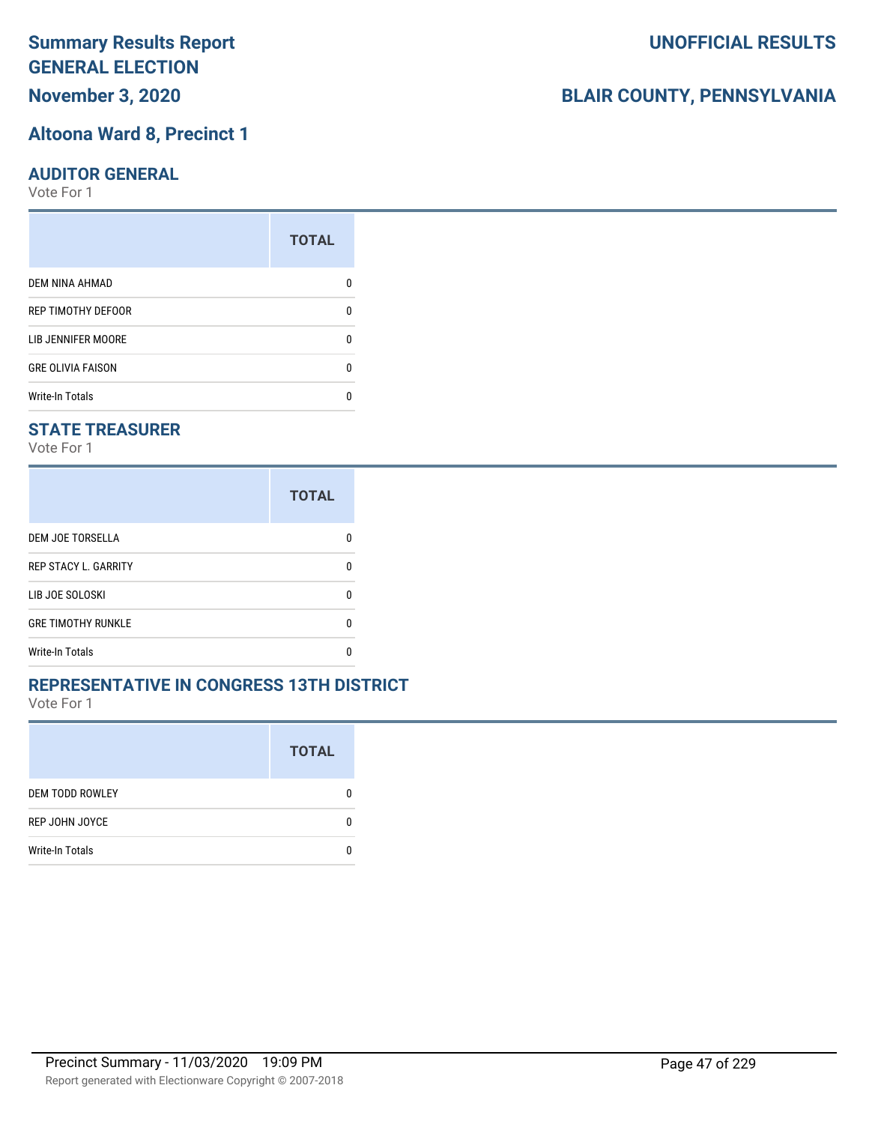**November 3, 2020**

### **Altoona Ward 8, Precinct 1**

#### **AUDITOR GENERAL**

Vote For 1

|                          | <b>TOTAL</b> |
|--------------------------|--------------|
| DEM NINA AHMAD           |              |
| REP TIMOTHY DEFOOR       | n            |
| LIB JENNIFER MOORE       |              |
| <b>GRE OLIVIA FAISON</b> | n            |
| <b>Write-In Totals</b>   |              |

### **STATE TREASURER**

Vote For 1

|                             | <b>TOTAL</b> |
|-----------------------------|--------------|
| DEM JOE TORSELLA            |              |
| <b>REP STACY L. GARRITY</b> | n            |
| LIB JOE SOLOSKI             | n            |
| <b>GRE TIMOTHY RUNKLE</b>   | n            |
| <b>Write-In Totals</b>      |              |

#### **REPRESENTATIVE IN CONGRESS 13TH DISTRICT**

Vote For 1

|                        | <b>TOTAL</b> |
|------------------------|--------------|
| <b>DEM TODD ROWLEY</b> | O            |
| REP JOHN JOYCE         | n            |
| <b>Write-In Totals</b> |              |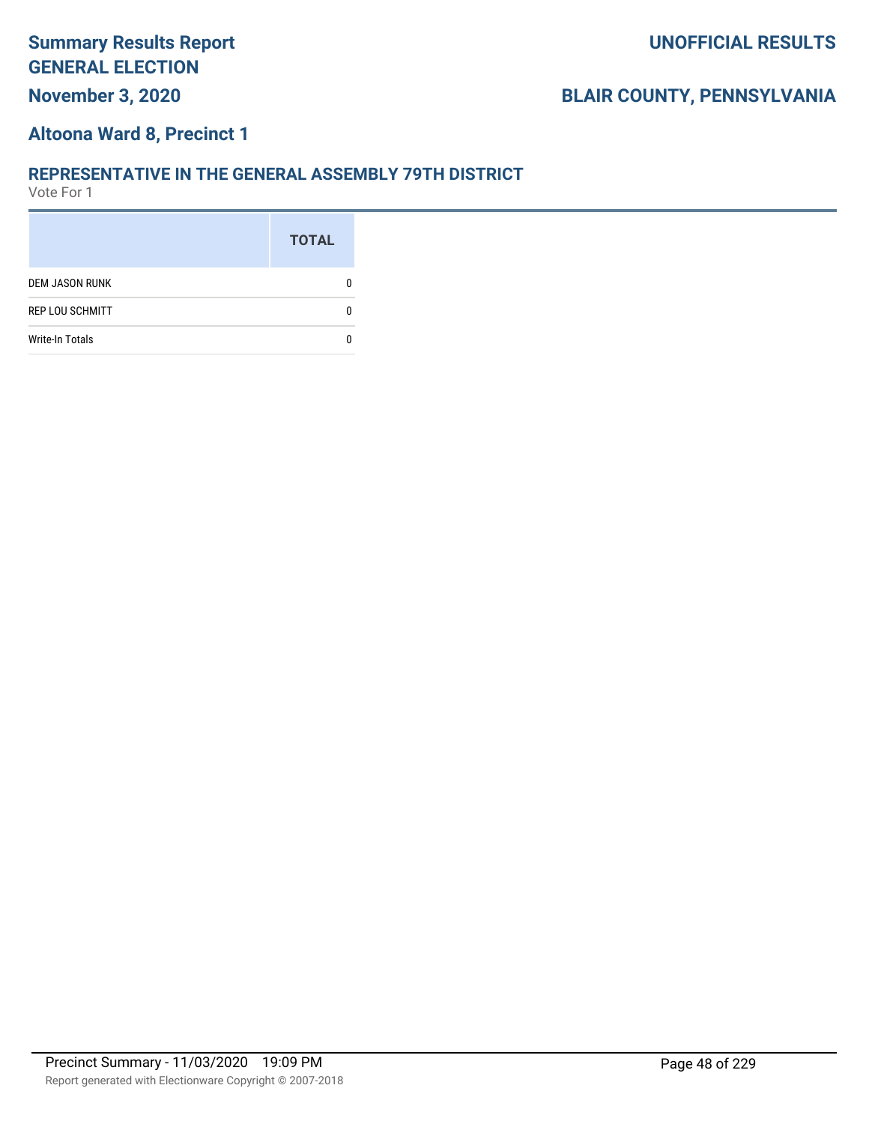## **Altoona Ward 8, Precinct 1**

#### **REPRESENTATIVE IN THE GENERAL ASSEMBLY 79TH DISTRICT**

|                        | <b>TOTAL</b> |
|------------------------|--------------|
| <b>DEM JASON RUNK</b>  |              |
| <b>REP LOU SCHMITT</b> |              |
| <b>Write-In Totals</b> |              |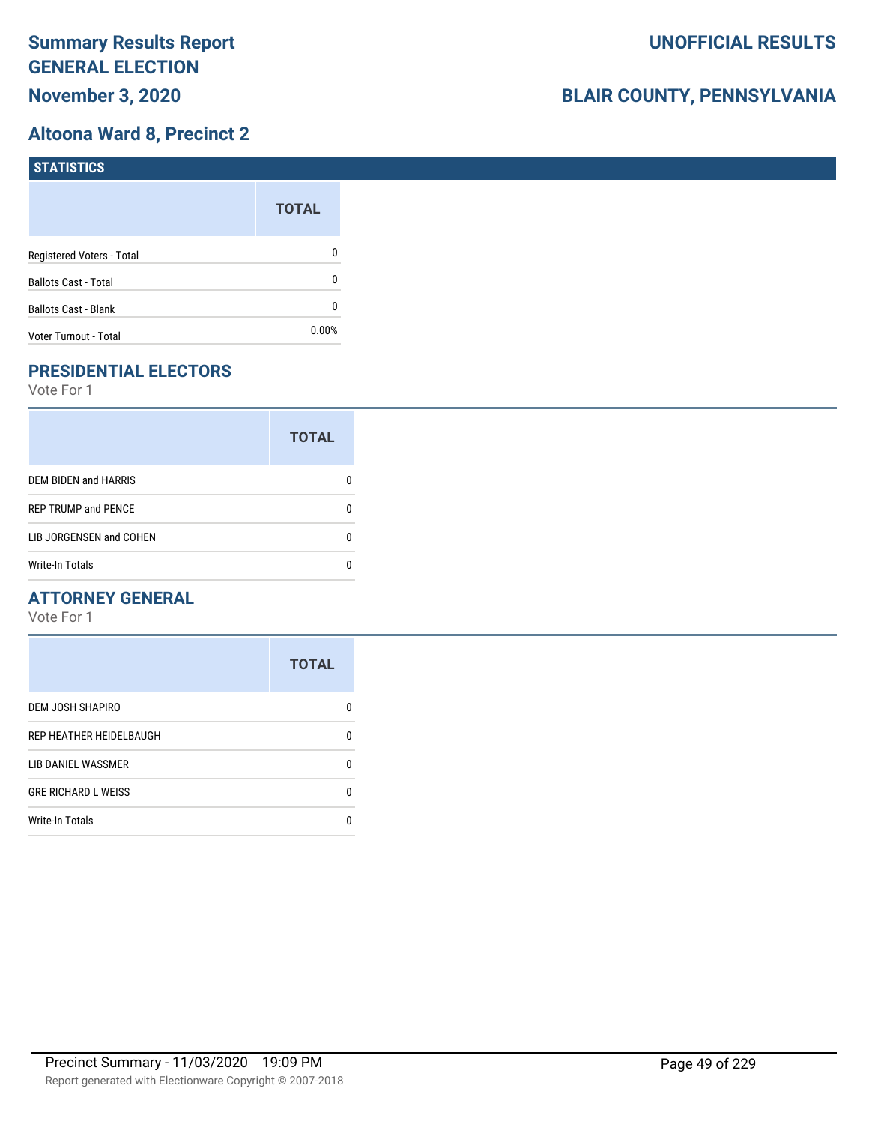## **Altoona Ward 8, Precinct 2**

| <b>STATISTICS</b>           |              |
|-----------------------------|--------------|
|                             | <b>TOTAL</b> |
| Registered Voters - Total   | 0            |
| <b>Ballots Cast - Total</b> | 0            |
| Ballots Cast - Blank        | 0            |
| Voter Turnout - Total       | 0.00%        |

# **PRESIDENTIAL ELECTORS**

Vote For 1

|                             | <b>TOTAL</b> |
|-----------------------------|--------------|
| <b>DEM BIDEN and HARRIS</b> |              |
| <b>REP TRUMP and PENCE</b>  |              |
| LIB JORGENSEN and COHEN     | n            |
| <b>Write-In Totals</b>      |              |

#### **ATTORNEY GENERAL**

|                            | <b>TOTAL</b> |
|----------------------------|--------------|
| DEM JOSH SHAPIRO           | n            |
| REP HEATHER HEIDELBAUGH    | 0            |
| LIB DANIEL WASSMER         | n            |
| <b>GRE RICHARD L WEISS</b> | n            |
| <b>Write-In Totals</b>     |              |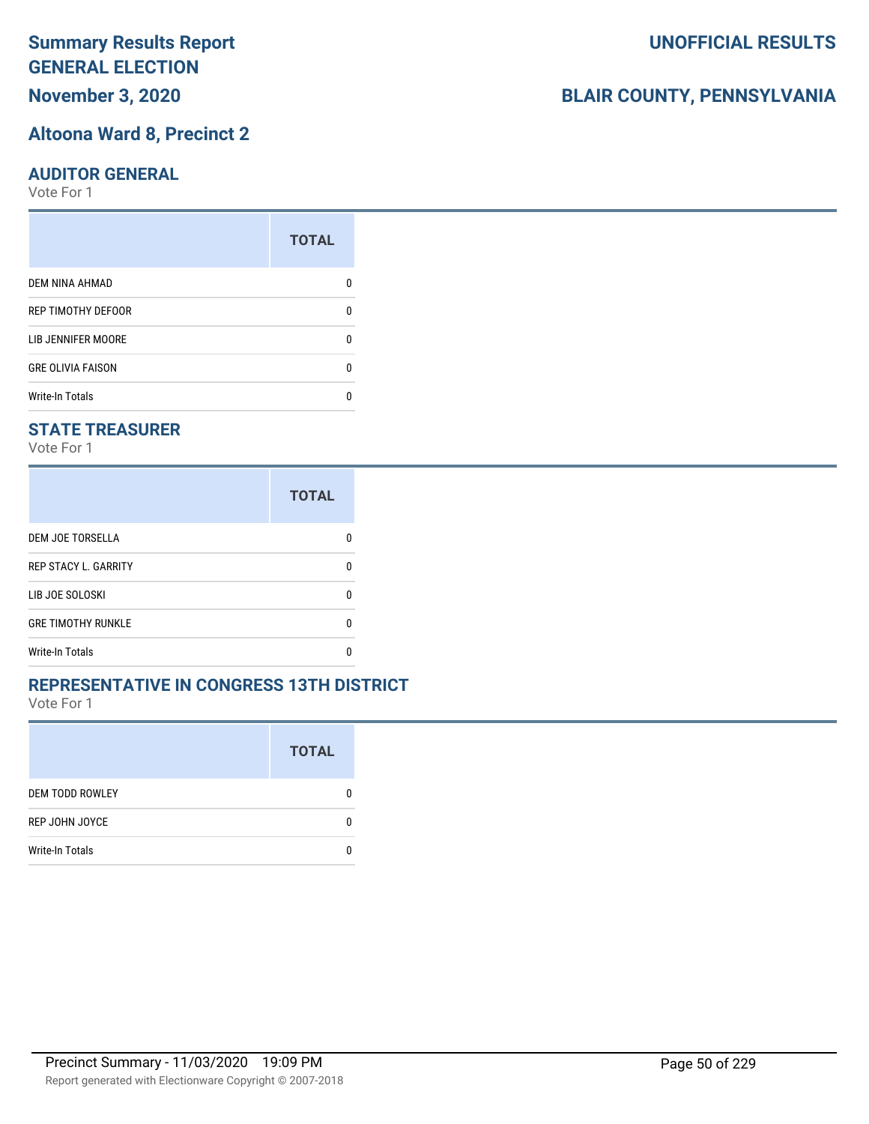# **November 3, 2020**

#### **Altoona Ward 8, Precinct 2**

#### **AUDITOR GENERAL**

Vote For 1

|                          | <b>TOTAL</b> |
|--------------------------|--------------|
| <b>DEM NINA AHMAD</b>    |              |
| REP TIMOTHY DEFOOR       | n            |
| LIB JENNIFER MOORE       |              |
| <b>GRE OLIVIA FAISON</b> | n            |
| <b>Write-In Totals</b>   |              |

#### **STATE TREASURER**

Vote For 1

|                             | <b>TOTAL</b> |
|-----------------------------|--------------|
| DEM JOE TORSELLA            |              |
| <b>REP STACY L. GARRITY</b> | n            |
| LIB JOE SOLOSKI             | n            |
| <b>GRE TIMOTHY RUNKLE</b>   | n            |
| <b>Write-In Totals</b>      |              |

#### **REPRESENTATIVE IN CONGRESS 13TH DISTRICT**

Vote For 1

|                        | <b>TOTAL</b> |
|------------------------|--------------|
| <b>DEM TODD ROWLEY</b> | 0            |
| REP JOHN JOYCE         | n            |
| <b>Write-In Totals</b> |              |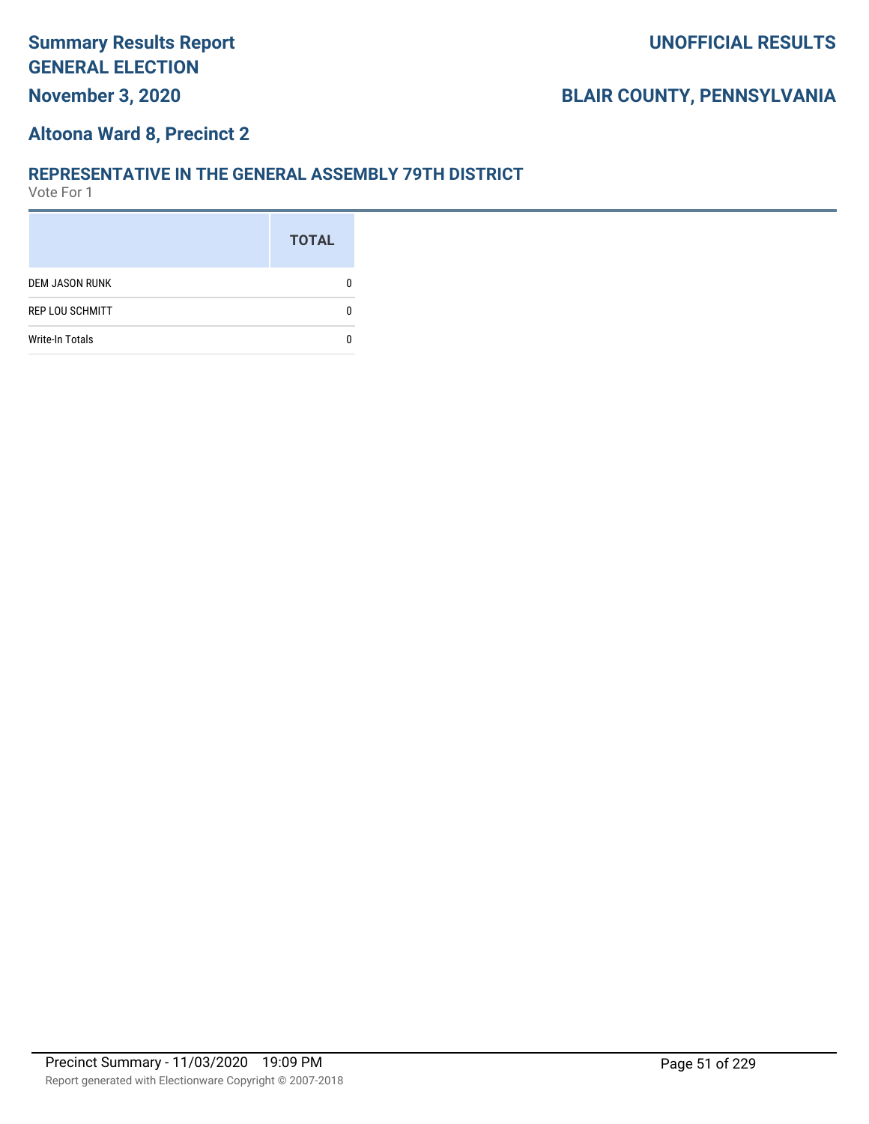### **Altoona Ward 8, Precinct 2**

#### **REPRESENTATIVE IN THE GENERAL ASSEMBLY 79TH DISTRICT**

|                        | <b>TOTAL</b> |
|------------------------|--------------|
| <b>DEM JASON RUNK</b>  |              |
| <b>REP LOU SCHMITT</b> |              |
| <b>Write-In Totals</b> |              |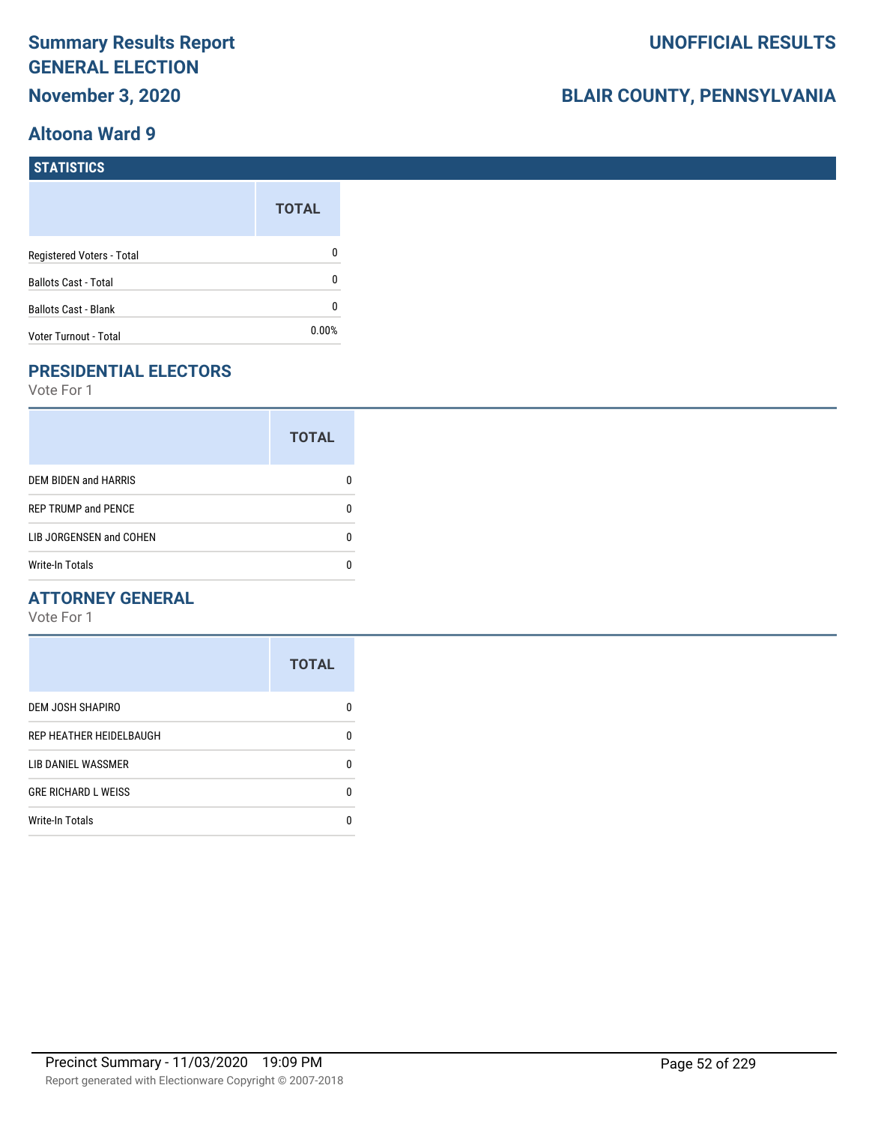### **Altoona Ward 9**

# **BLAIR COUNTY, PENNSYLVANIA**

| <b>STATISTICS</b>           |              |
|-----------------------------|--------------|
|                             | <b>TOTAL</b> |
| Registered Voters - Total   | 0            |
| <b>Ballots Cast - Total</b> | 0            |
| <b>Ballots Cast - Blank</b> | 0            |
| Voter Turnout - Total       | 0.00%        |

# **PRESIDENTIAL ELECTORS**

Vote For 1

|                            | <b>TOTAL</b> |
|----------------------------|--------------|
| DEM BIDEN and HARRIS       |              |
| <b>REP TRUMP and PENCE</b> |              |
| LIB JORGENSEN and COHEN    | O            |
| Write-In Totals            |              |

## **ATTORNEY GENERAL**

|                            | <b>TOTAL</b> |
|----------------------------|--------------|
| DEM JOSH SHAPIRO           | n            |
| REP HEATHER HEIDELBAUGH    | 0            |
| LIB DANIEL WASSMER         | ŋ            |
| <b>GRE RICHARD L WEISS</b> | 0            |
| <b>Write-In Totals</b>     | n            |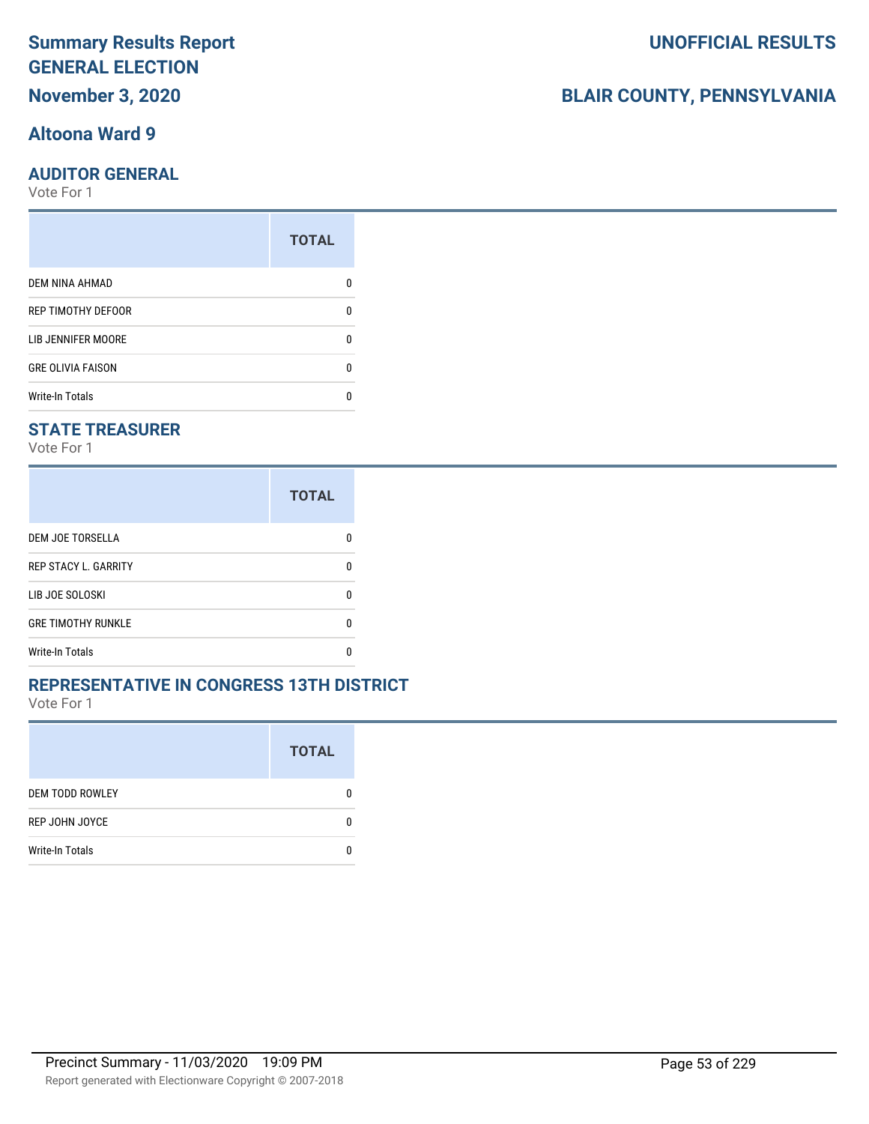## **Altoona Ward 9**

#### **AUDITOR GENERAL**

Vote For 1

| <b>TOTAL</b> |
|--------------|
|              |
| 0            |
| O            |
| 0            |
|              |
|              |

### **STATE TREASURER**

Vote For 1

|                             | <b>TOTAL</b> |
|-----------------------------|--------------|
| DEM JOE TORSELLA            |              |
| <b>REP STACY L. GARRITY</b> |              |
| LIB JOE SOLOSKI             | n            |
| <b>GRE TIMOTHY RUNKLE</b>   | п            |
| <b>Write-In Totals</b>      |              |

#### **REPRESENTATIVE IN CONGRESS 13TH DISTRICT**

Vote For 1

|                        | <b>TOTAL</b> |
|------------------------|--------------|
| <b>DEM TODD ROWLEY</b> | O            |
| REP JOHN JOYCE         | n            |
| <b>Write-In Totals</b> |              |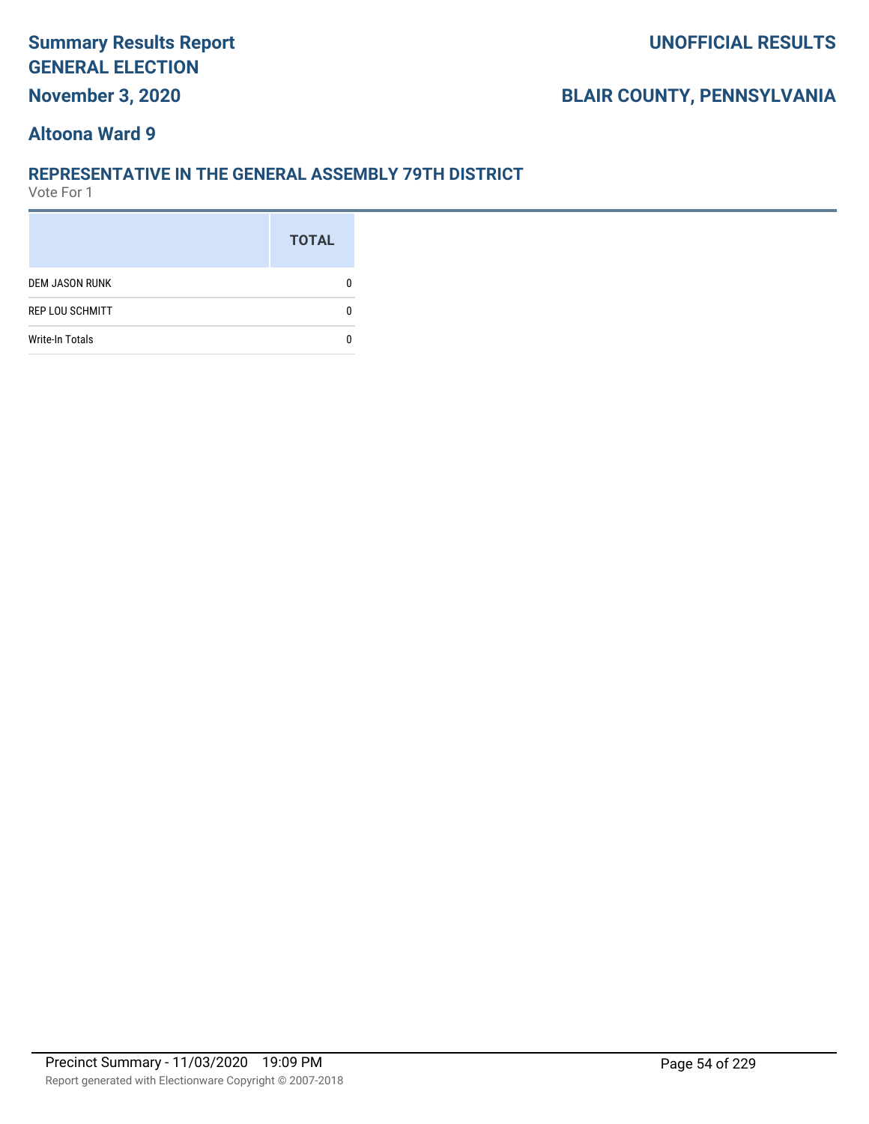## **November 3, 2020**

# **BLAIR COUNTY, PENNSYLVANIA**

#### **Altoona Ward 9**

#### **REPRESENTATIVE IN THE GENERAL ASSEMBLY 79TH DISTRICT**

|                        | <b>TOTAL</b> |
|------------------------|--------------|
| <b>DEM JASON RUNK</b>  |              |
| <b>REP LOU SCHMITT</b> |              |
| <b>Write-In Totals</b> |              |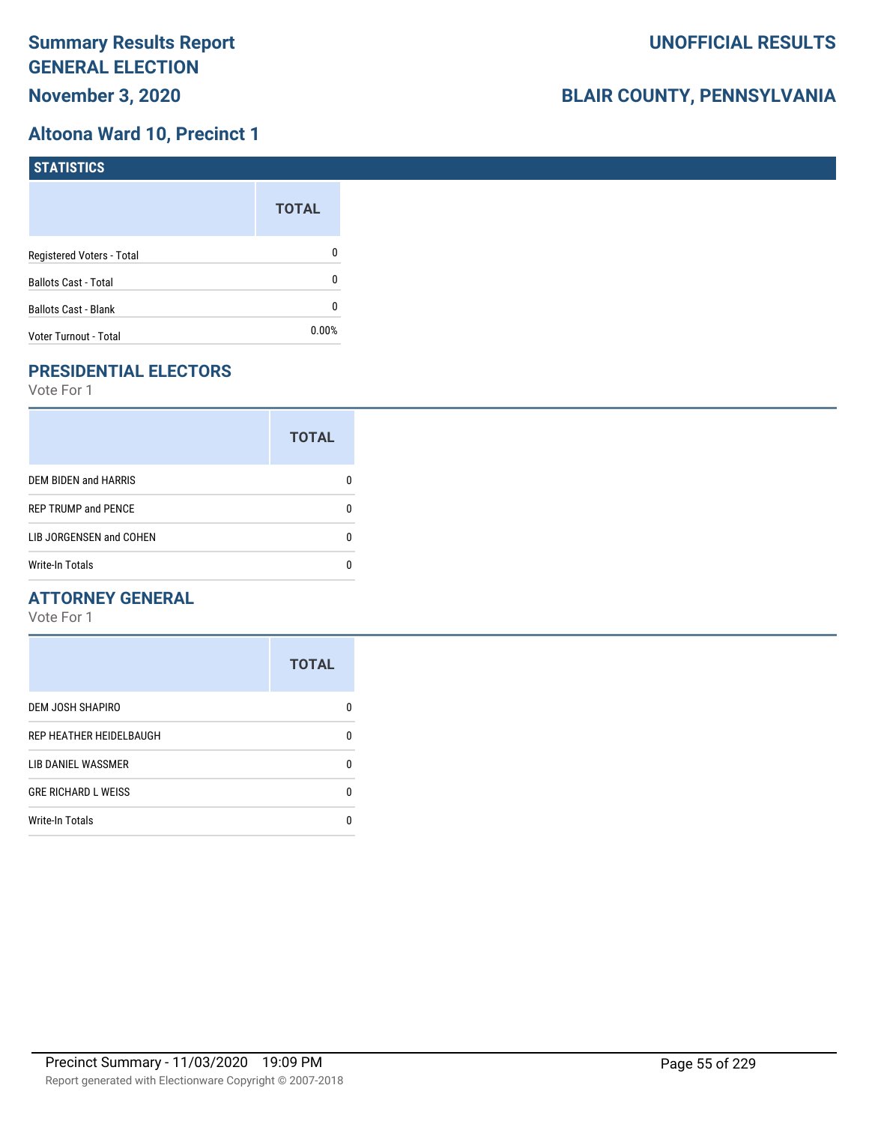## **Altoona Ward 10, Precinct 1**

| STATISTICS                  |              |
|-----------------------------|--------------|
|                             | <b>TOTAL</b> |
| Registered Voters - Total   | 0            |
| <b>Ballots Cast - Total</b> | 0            |
| <b>Ballots Cast - Blank</b> | 0            |
| Voter Turnout - Total       | $0.00\%$     |

# **PRESIDENTIAL ELECTORS**

Vote For 1

|                             | <b>TOTAL</b> |
|-----------------------------|--------------|
| <b>DEM BIDEN and HARRIS</b> |              |
| <b>REP TRUMP and PENCE</b>  |              |
| LIB JORGENSEN and COHEN     |              |
| <b>Write-In Totals</b>      |              |

#### **ATTORNEY GENERAL**

|                            | <b>TOTAL</b> |
|----------------------------|--------------|
| DEM JOSH SHAPIRO           | n            |
| REP HEATHER HEIDELBAUGH    | 0            |
| LIB DANIEL WASSMER         | n            |
| <b>GRE RICHARD L WEISS</b> | n            |
| <b>Write-In Totals</b>     |              |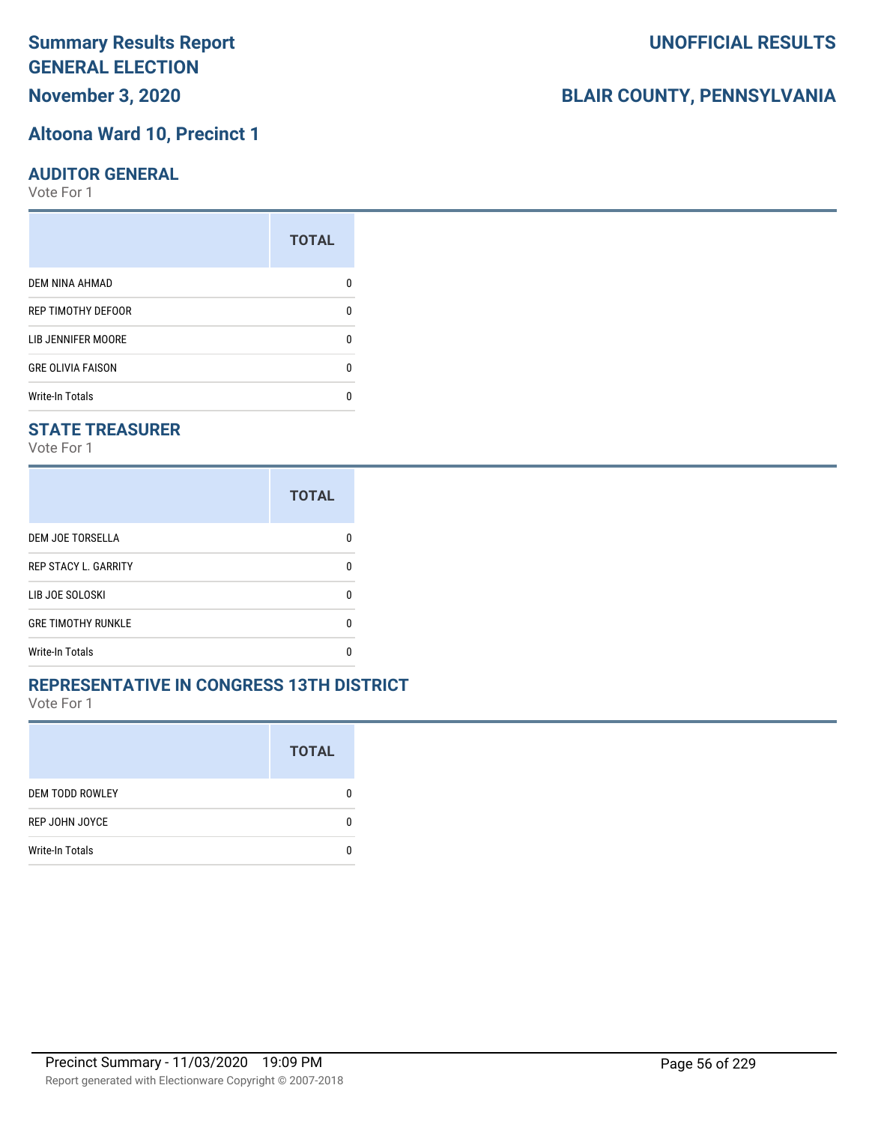# **Altoona Ward 10, Precinct 1**

#### **AUDITOR GENERAL**

Vote For 1

|                           | <b>TOTAL</b> |
|---------------------------|--------------|
| <b>DEM NINA AHMAD</b>     |              |
| <b>REP TIMOTHY DEFOOR</b> | n            |
| LIB JENNIFER MOORE        | O            |
| <b>GRE OLIVIA FAISON</b>  | 0            |
| <b>Write-In Totals</b>    |              |

#### **STATE TREASURER**

Vote For 1

|                             | <b>TOTAL</b> |
|-----------------------------|--------------|
| DEM JOE TORSELLA            | n            |
| <b>REP STACY L. GARRITY</b> | n            |
| LIB JOE SOLOSKI             | n            |
| <b>GRE TIMOTHY RUNKLE</b>   | n            |
| <b>Write-In Totals</b>      | n            |

#### **REPRESENTATIVE IN CONGRESS 13TH DISTRICT**

Vote For 1

|                        | <b>TOTAL</b> |
|------------------------|--------------|
| <b>DEM TODD ROWLEY</b> | O            |
| REP JOHN JOYCE         | n            |
| <b>Write-In Totals</b> |              |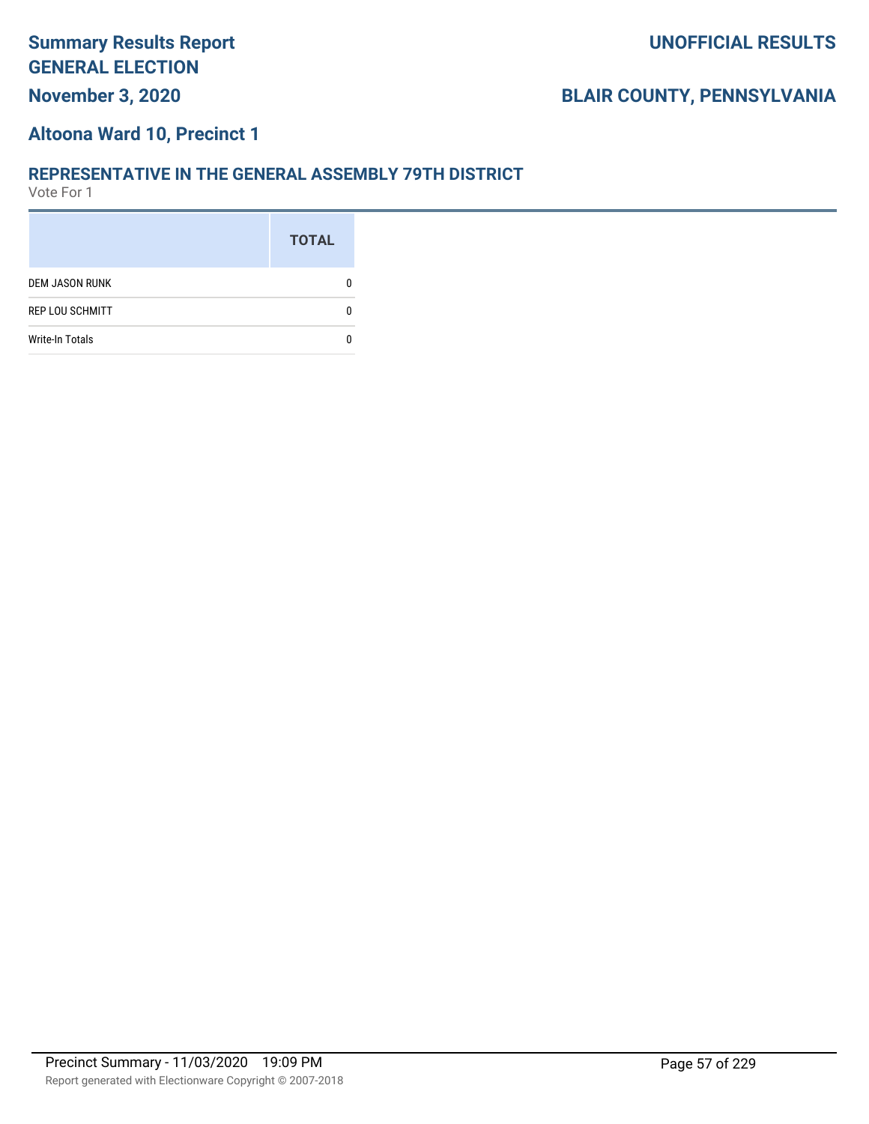#### **Altoona Ward 10, Precinct 1**

#### **REPRESENTATIVE IN THE GENERAL ASSEMBLY 79TH DISTRICT**

|                        | <b>TOTAL</b> |
|------------------------|--------------|
| <b>DEM JASON RUNK</b>  |              |
| <b>REP LOU SCHMITT</b> |              |
| <b>Write-In Totals</b> |              |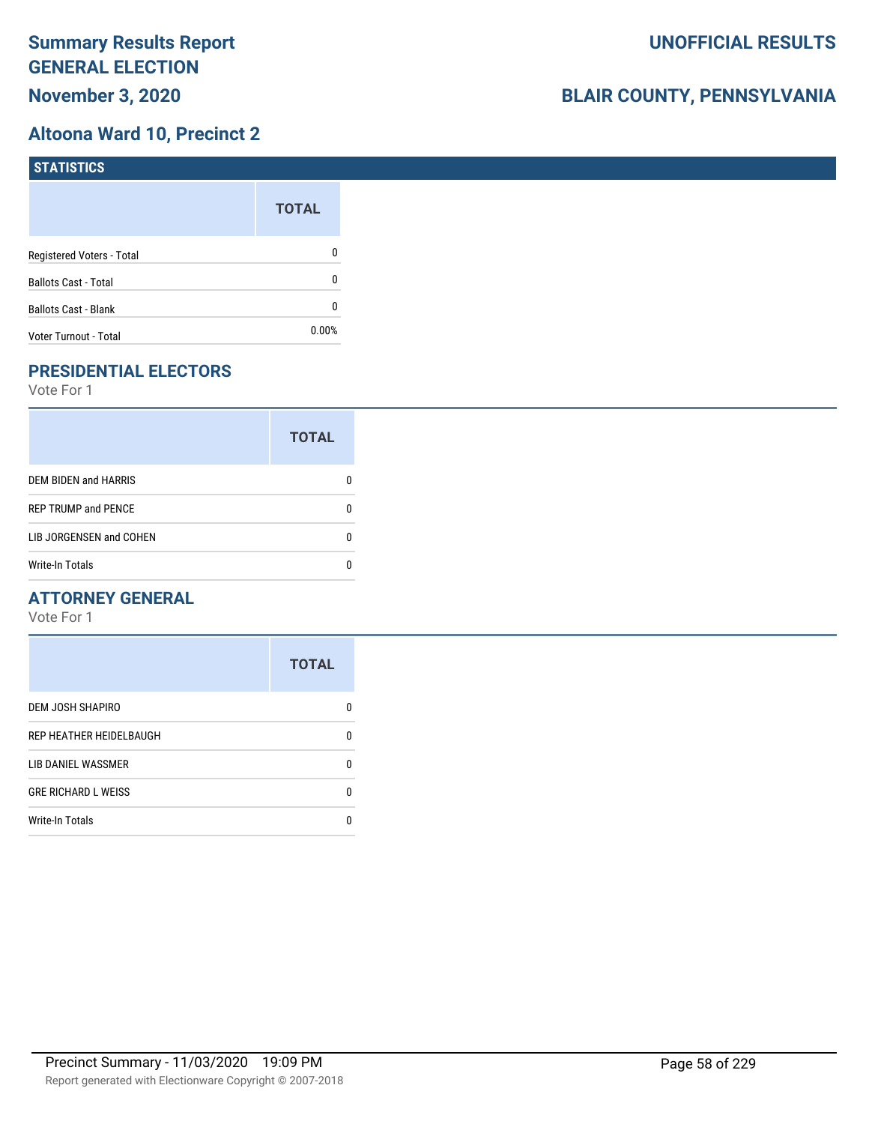## **Altoona Ward 10, Precinct 2**

| <b>STATISTICS</b>           |              |
|-----------------------------|--------------|
|                             | <b>TOTAL</b> |
| Registered Voters - Total   | 0            |
| <b>Ballots Cast - Total</b> | 0            |
| <b>Ballots Cast - Blank</b> | 0            |
| Voter Turnout - Total       | 0.00%        |

# **PRESIDENTIAL ELECTORS**

Vote For 1

|                            | <b>TOTAL</b> |
|----------------------------|--------------|
| DEM BIDEN and HARRIS       |              |
| <b>REP TRUMP and PENCE</b> |              |
| LIB JORGENSEN and COHEN    |              |
| <b>Write-In Totals</b>     |              |

## **ATTORNEY GENERAL**

|                            | <b>TOTAL</b> |
|----------------------------|--------------|
| DEM JOSH SHAPIRO           | O            |
| REP HEATHER HEIDELBAUGH    | 0            |
| LIB DANIEL WASSMER         | n            |
| <b>GRE RICHARD L WEISS</b> | 0            |
| <b>Write-In Totals</b>     |              |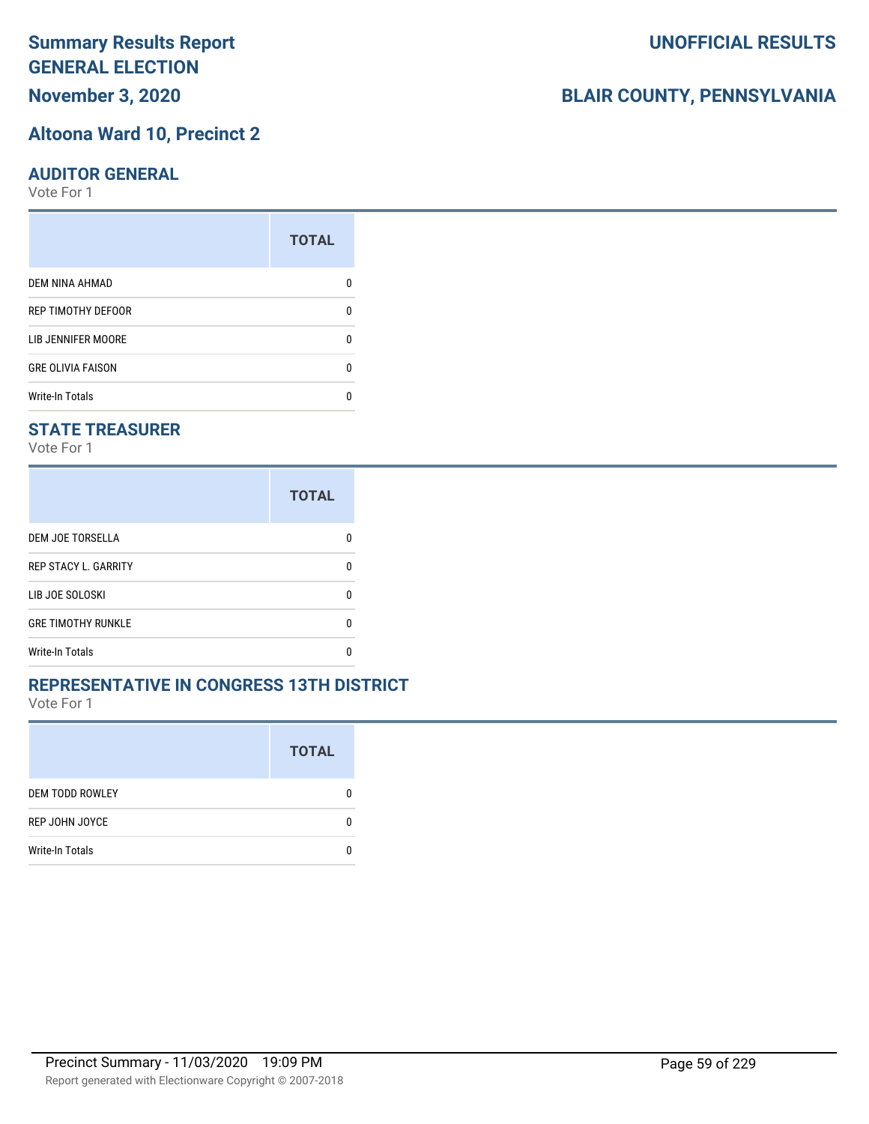# **November 3, 2020**

#### **Altoona Ward 10, Precinct 2**

#### **AUDITOR GENERAL**

Vote For 1

|                           | <b>TOTAL</b> |
|---------------------------|--------------|
| <b>DEM NINA AHMAD</b>     |              |
| <b>REP TIMOTHY DEFOOR</b> | O            |
| LIB JENNIFER MOORE        | O            |
| <b>GRE OLIVIA FAISON</b>  | ŋ            |
| <b>Write-In Totals</b>    |              |

#### **STATE TREASURER**

Vote For 1

|                             | <b>TOTAL</b> |
|-----------------------------|--------------|
| DEM JOE TORSELLA            |              |
| <b>REP STACY L. GARRITY</b> | n            |
| LIB JOE SOLOSKI             | n            |
| <b>GRE TIMOTHY RUNKLE</b>   | n            |
| <b>Write-In Totals</b>      |              |

#### **REPRESENTATIVE IN CONGRESS 13TH DISTRICT**

Vote For 1

|                        | <b>TOTAL</b> |
|------------------------|--------------|
| <b>DEM TODD ROWLEY</b> | O            |
| REP JOHN JOYCE         | n            |
| <b>Write-In Totals</b> |              |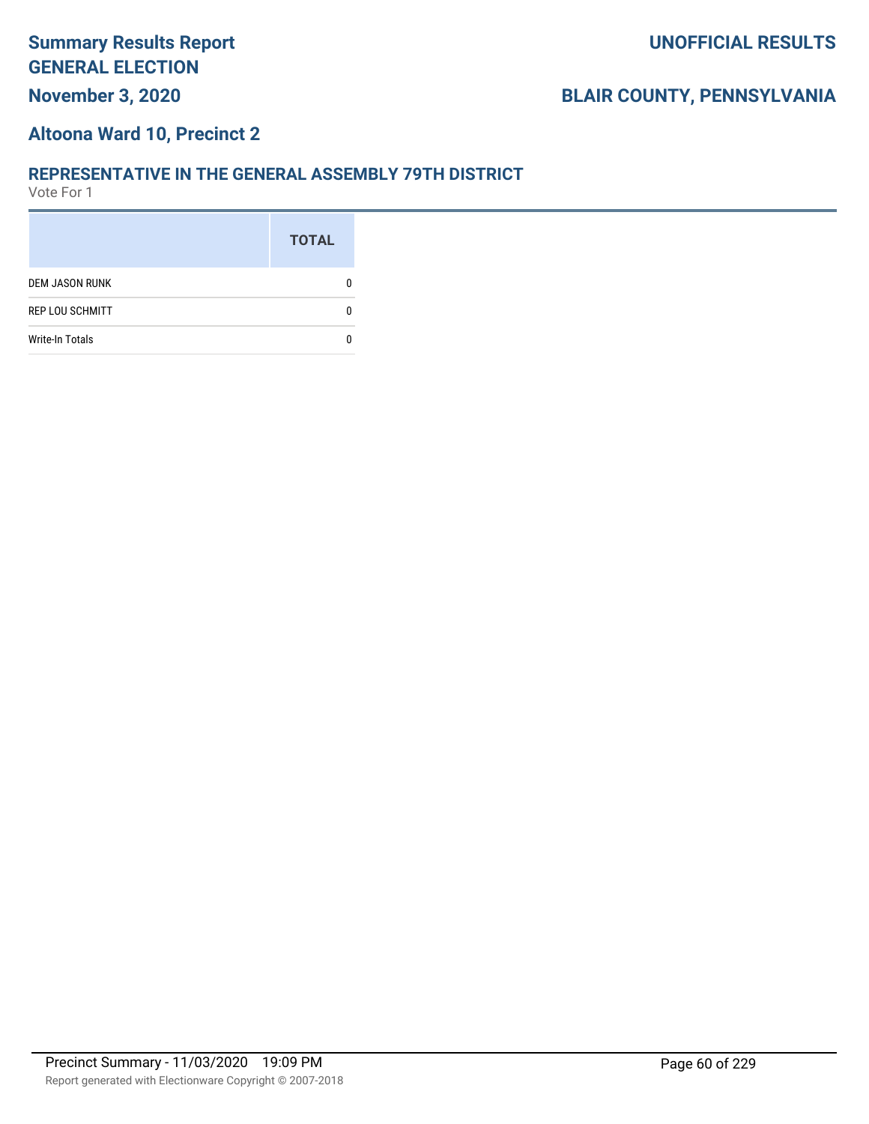#### **Altoona Ward 10, Precinct 2**

#### **REPRESENTATIVE IN THE GENERAL ASSEMBLY 79TH DISTRICT**

|                        | <b>TOTAL</b> |
|------------------------|--------------|
| <b>DEM JASON RUNK</b>  |              |
| <b>REP LOU SCHMITT</b> |              |
| <b>Write-In Totals</b> |              |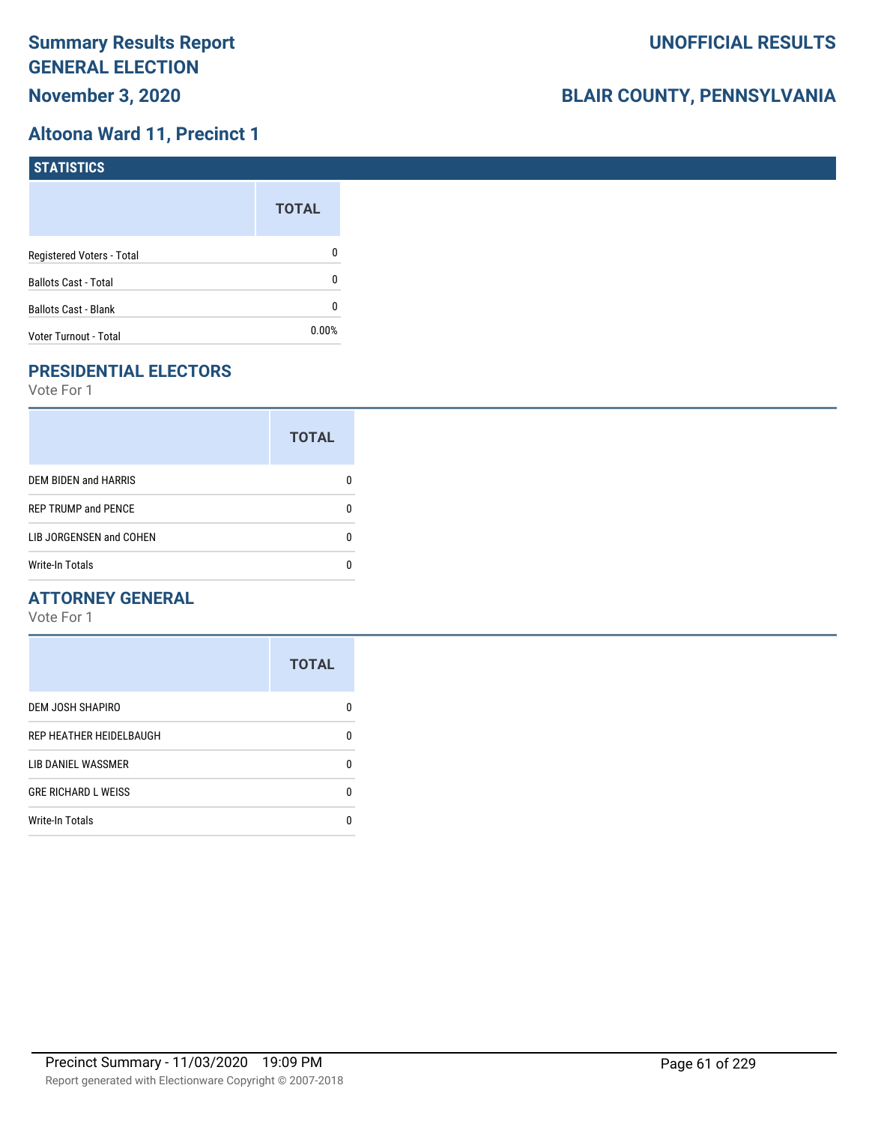## **Altoona Ward 11, Precinct 1**

| STATISTICS                  |              |
|-----------------------------|--------------|
|                             | <b>TOTAL</b> |
| Registered Voters - Total   | 0            |
| <b>Ballots Cast - Total</b> | 0            |
| <b>Ballots Cast - Blank</b> | 0            |
| Voter Turnout - Total       | $0.00\%$     |

# **PRESIDENTIAL ELECTORS**

Vote For 1

|                            | <b>TOTAL</b> |
|----------------------------|--------------|
| DEM BIDEN and HARRIS       |              |
| <b>REP TRUMP and PENCE</b> |              |
| LIB JORGENSEN and COHEN    | O            |
| Write-In Totals            |              |

#### **ATTORNEY GENERAL**

|                            | <b>TOTAL</b> |
|----------------------------|--------------|
| DEM JOSH SHAPIRO           | n            |
| REP HEATHER HEIDELBAUGH    | 0            |
| LIB DANIEL WASSMER         | n            |
| <b>GRE RICHARD L WEISS</b> | n            |
| <b>Write-In Totals</b>     |              |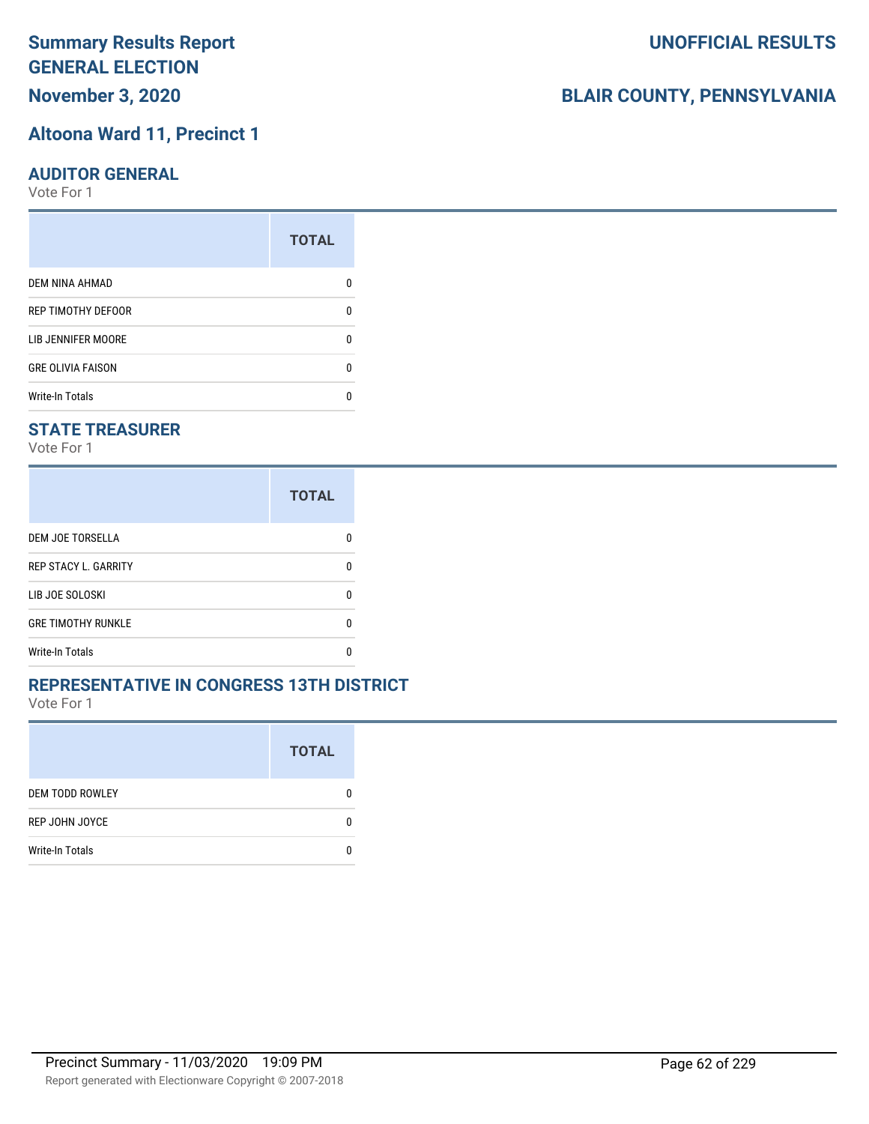# **Altoona Ward 11, Precinct 1**

#### **AUDITOR GENERAL**

Vote For 1

|                           | <b>TOTAL</b> |
|---------------------------|--------------|
| <b>DEM NINA AHMAD</b>     |              |
| <b>REP TIMOTHY DEFOOR</b> | n            |
| LIB JENNIFER MOORE        |              |
| <b>GRE OLIVIA FAISON</b>  | n            |
| <b>Write-In Totals</b>    |              |

### **STATE TREASURER**

Vote For 1

|                             | <b>TOTAL</b> |
|-----------------------------|--------------|
| DEM JOE TORSELLA            |              |
| <b>REP STACY L. GARRITY</b> | n            |
| LIB JOE SOLOSKI             | n            |
| <b>GRE TIMOTHY RUNKLE</b>   | n            |
| <b>Write-In Totals</b>      |              |

#### **REPRESENTATIVE IN CONGRESS 13TH DISTRICT**

Vote For 1

|                        | <b>TOTAL</b> |
|------------------------|--------------|
| <b>DEM TODD ROWLEY</b> | 0            |
| REP JOHN JOYCE         | n            |
| <b>Write-In Totals</b> |              |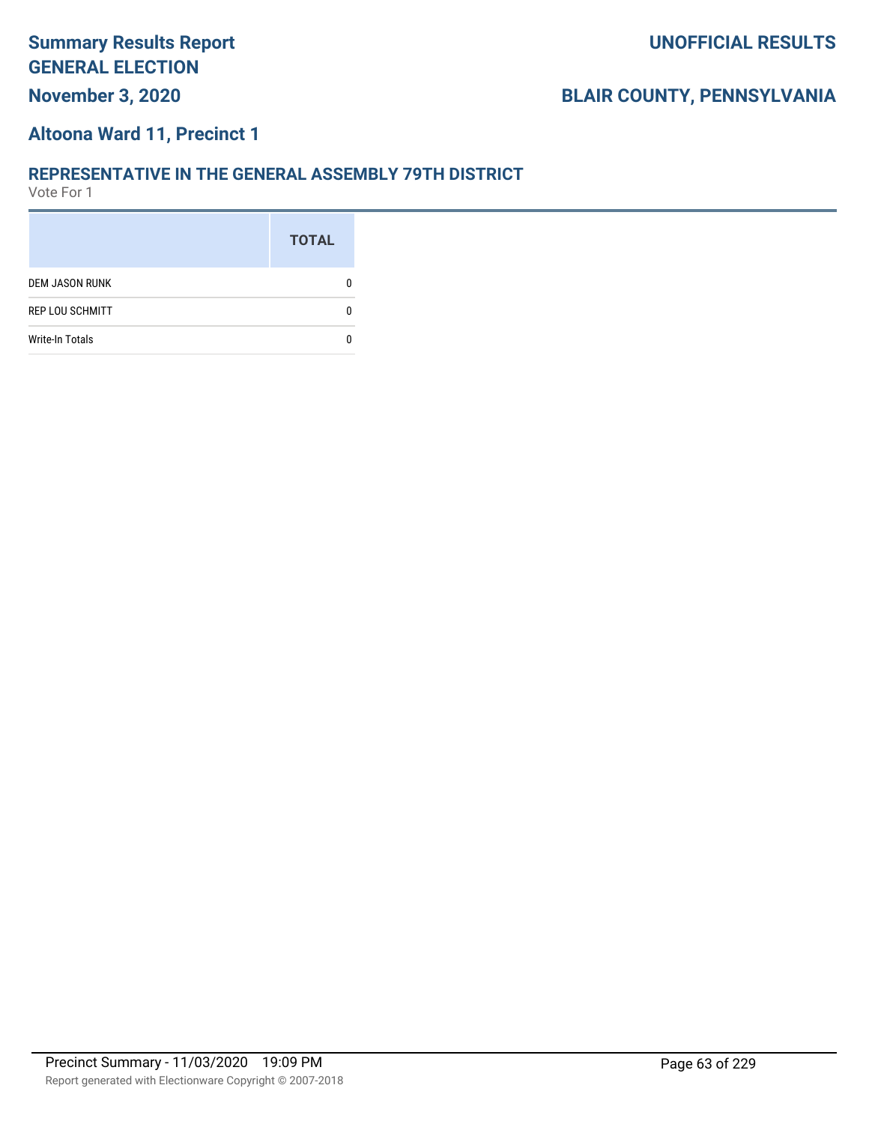# **November 3, 2020**

# **BLAIR COUNTY, PENNSYLVANIA**

#### **Altoona Ward 11, Precinct 1**

#### **REPRESENTATIVE IN THE GENERAL ASSEMBLY 79TH DISTRICT**

|                        | <b>TOTAL</b> |
|------------------------|--------------|
| <b>DEM JASON RUNK</b>  |              |
| <b>REP LOU SCHMITT</b> |              |
| <b>Write-In Totals</b> |              |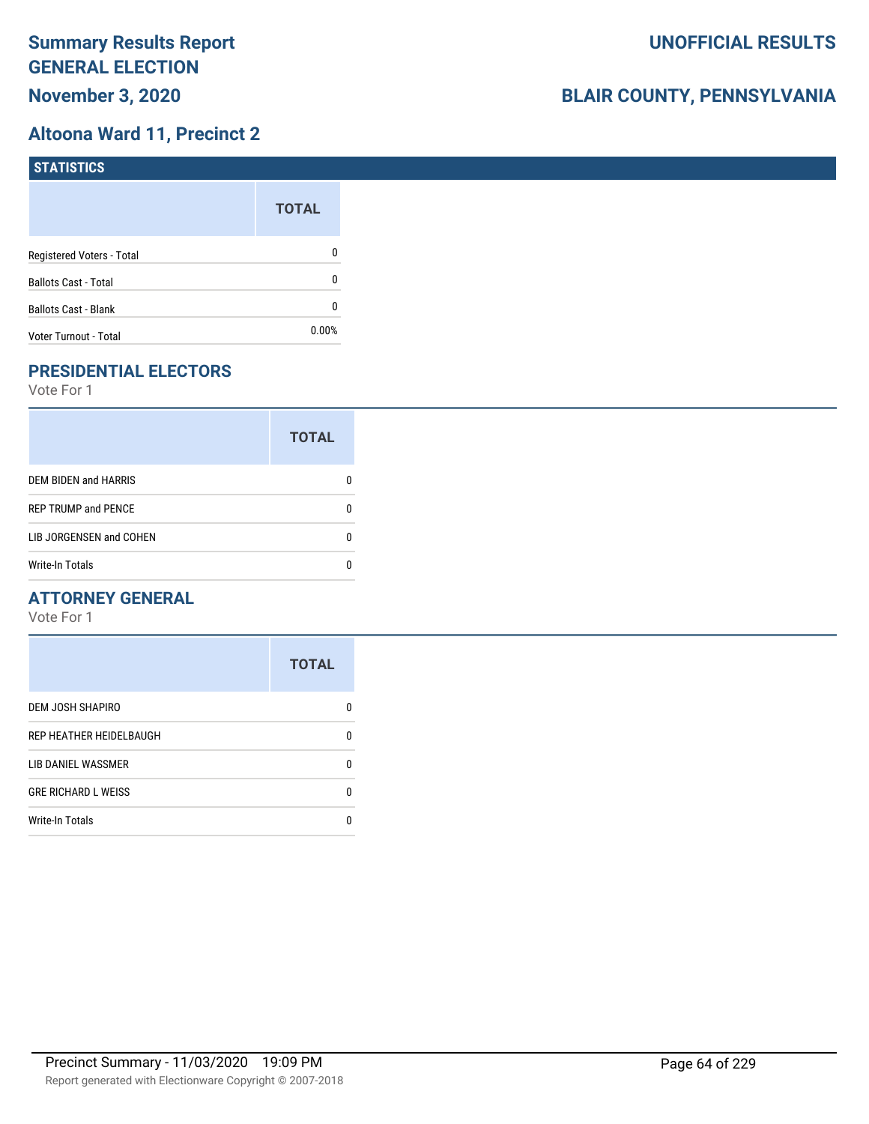## **Altoona Ward 11, Precinct 2**

| <b>STATISTICS</b>           |              |
|-----------------------------|--------------|
|                             | <b>TOTAL</b> |
| Registered Voters - Total   | 0            |
| <b>Ballots Cast - Total</b> | 0            |
| <b>Ballots Cast - Blank</b> | 0            |
| Voter Turnout - Total       | $0.00\%$     |

# **PRESIDENTIAL ELECTORS**

Vote For 1

|                             | <b>TOTAL</b> |
|-----------------------------|--------------|
| <b>DEM BIDEN and HARRIS</b> |              |
| <b>REP TRUMP and PENCE</b>  |              |
| LIB JORGENSEN and COHEN     |              |
| <b>Write-In Totals</b>      |              |

## **ATTORNEY GENERAL**

|                            | <b>TOTAL</b> |
|----------------------------|--------------|
| DEM JOSH SHAPIRO           | n            |
| REP HEATHER HEIDELBAUGH    | 0            |
| LIB DANIEL WASSMER         | n            |
| <b>GRE RICHARD L WEISS</b> | n            |
| <b>Write-In Totals</b>     |              |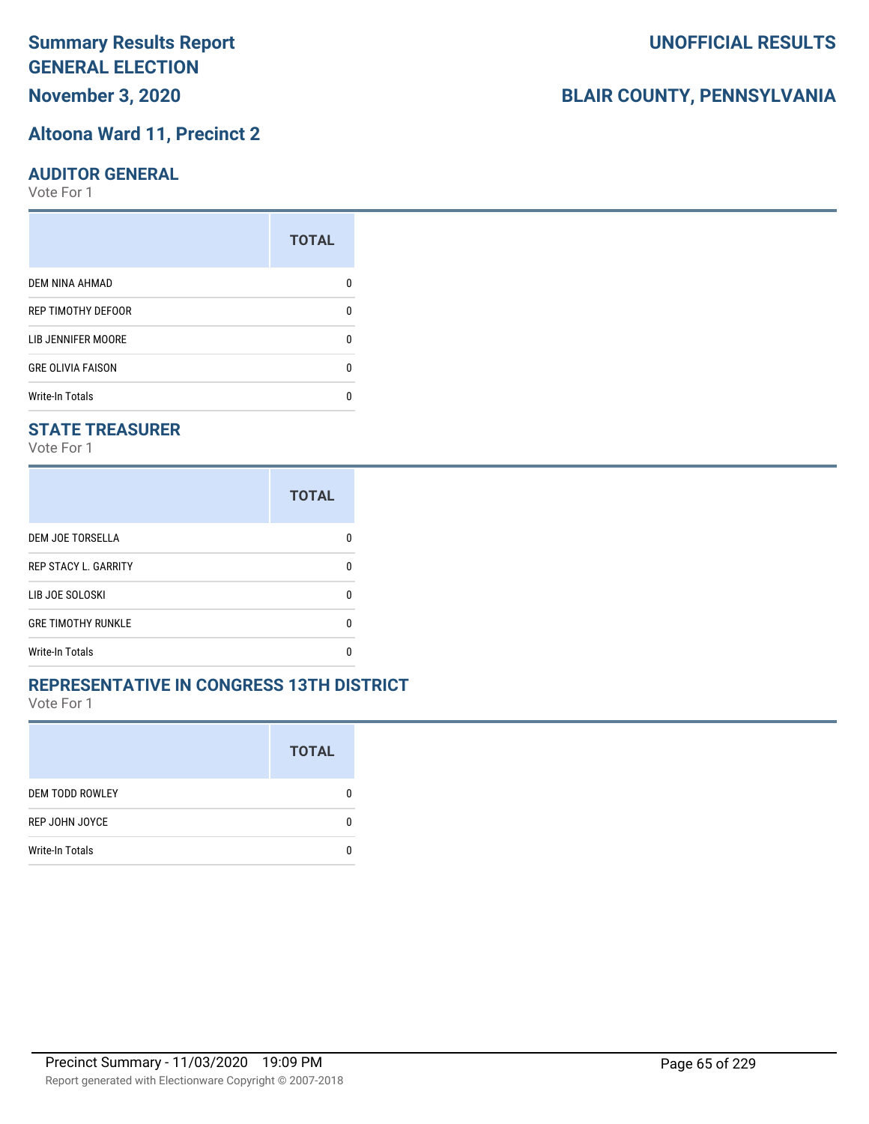# **November 3, 2020**

#### **Altoona Ward 11, Precinct 2**

#### **AUDITOR GENERAL**

Vote For 1

|                           | <b>TOTAL</b> |
|---------------------------|--------------|
| <b>DEM NINA AHMAD</b>     |              |
| <b>REP TIMOTHY DEFOOR</b> |              |
| LIB JENNIFER MOORE        |              |
| <b>GRE OLIVIA FAISON</b>  | n            |
| <b>Write-In Totals</b>    |              |

#### **STATE TREASURER**

Vote For 1

|                             | <b>TOTAL</b> |
|-----------------------------|--------------|
| DEM JOE TORSELLA            |              |
| <b>REP STACY L. GARRITY</b> | n            |
| LIB JOE SOLOSKI             | n            |
| <b>GRE TIMOTHY RUNKLE</b>   | n            |
| <b>Write-In Totals</b>      |              |

#### **REPRESENTATIVE IN CONGRESS 13TH DISTRICT**

Vote For 1

|                        | <b>TOTAL</b> |
|------------------------|--------------|
| <b>DEM TODD ROWLEY</b> |              |
| REP JOHN JOYCE         | 0            |
| <b>Write-In Totals</b> |              |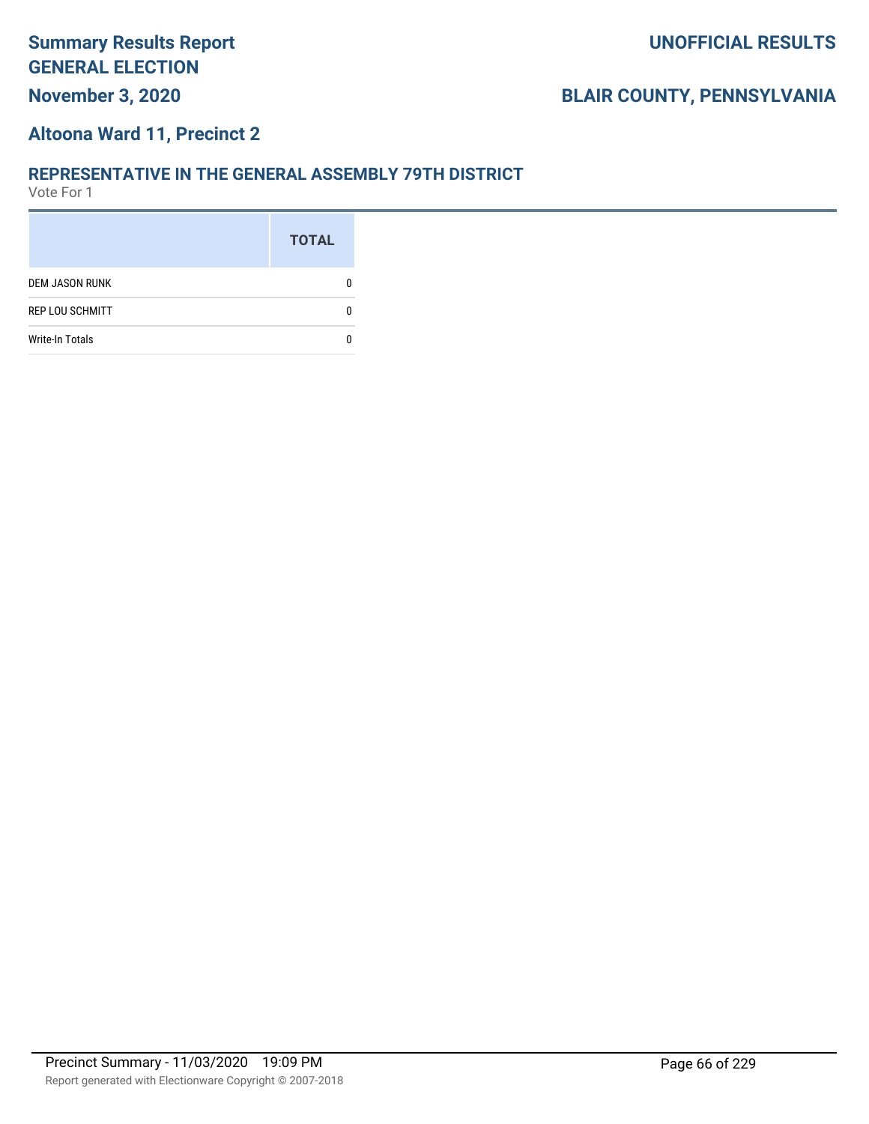# **November 3, 2020**

# **BLAIR COUNTY, PENNSYLVANIA**

#### **Altoona Ward 11, Precinct 2**

#### **REPRESENTATIVE IN THE GENERAL ASSEMBLY 79TH DISTRICT**

|                        | <b>TOTAL</b> |
|------------------------|--------------|
| <b>DEM JASON RUNK</b>  |              |
| <b>REP LOU SCHMITT</b> |              |
| <b>Write-In Totals</b> |              |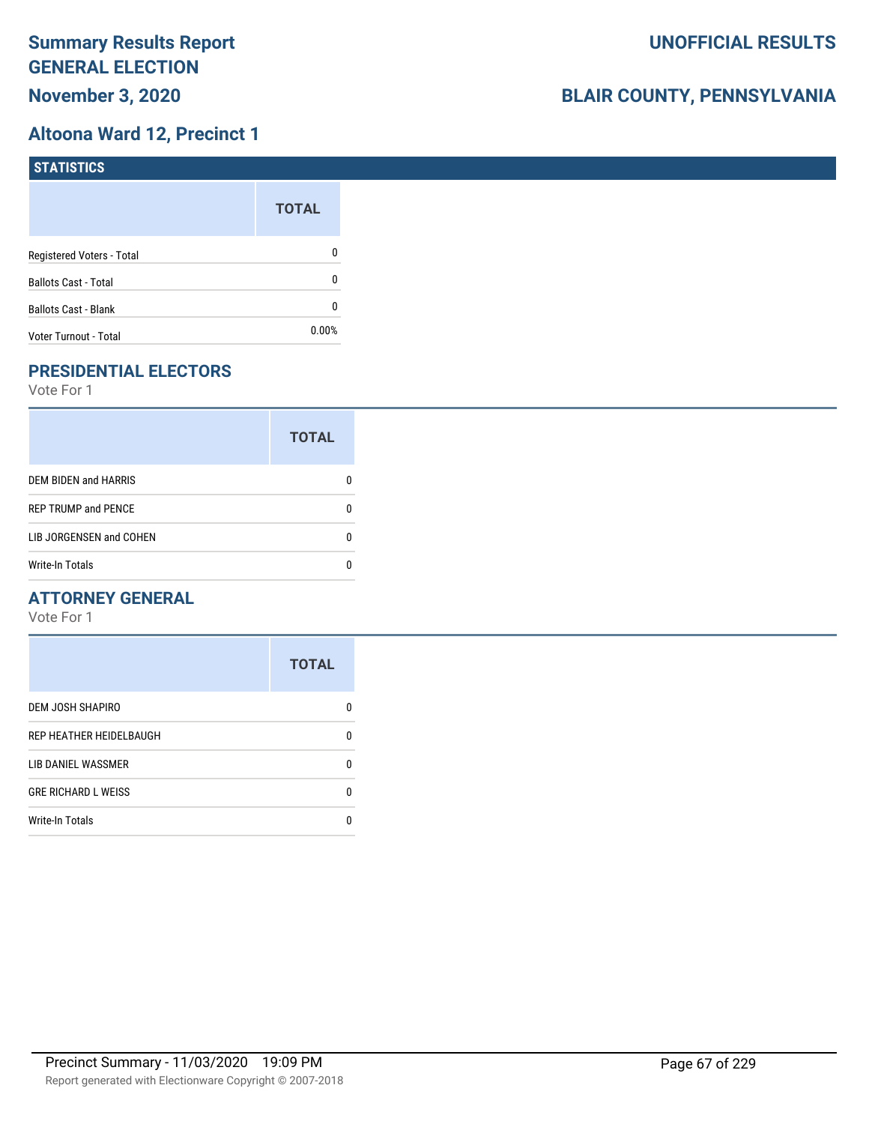#### **Altoona Ward 12, Precinct 1**

| STATISTICS                  |              |
|-----------------------------|--------------|
|                             | <b>TOTAL</b> |
| Registered Voters - Total   | 0            |
| <b>Ballots Cast - Total</b> | 0            |
| <b>Ballots Cast - Blank</b> | 0            |
| Voter Turnout - Total       | $0.00\%$     |

# **PRESIDENTIAL ELECTORS**

Vote For 1

|                            | <b>TOTAL</b> |
|----------------------------|--------------|
| DEM BIDEN and HARRIS       |              |
| <b>REP TRUMP and PENCE</b> |              |
| LIB JORGENSEN and COHEN    | O            |
| <b>Write-In Totals</b>     |              |

#### **ATTORNEY GENERAL**

|                            | <b>TOTAL</b> |
|----------------------------|--------------|
| DEM JOSH SHAPIRO           | n            |
| REP HEATHER HEIDELBAUGH    | 0            |
| LIB DANIEL WASSMER         | n            |
| <b>GRE RICHARD L WEISS</b> | n            |
| <b>Write-In Totals</b>     |              |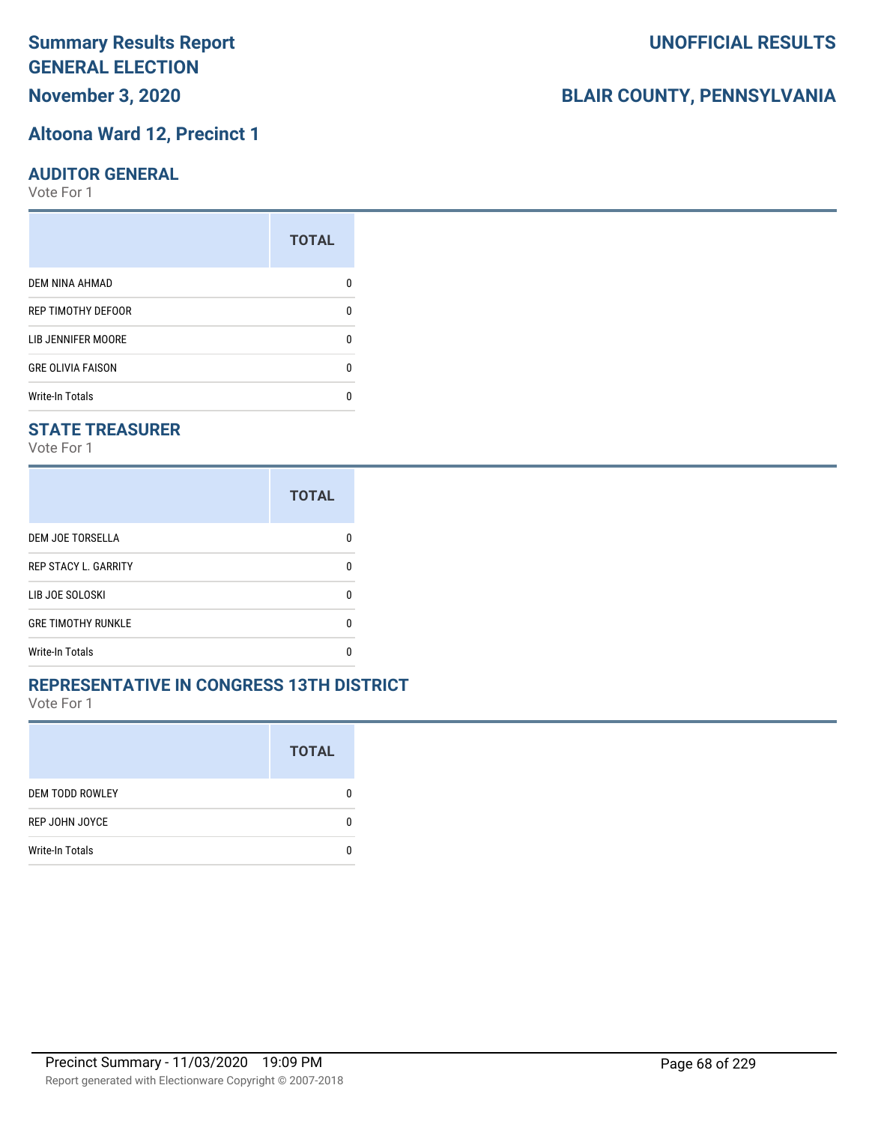# **November 3, 2020**

#### **Altoona Ward 12, Precinct 1**

#### **AUDITOR GENERAL**

Vote For 1

|                          | <b>TOTAL</b> |
|--------------------------|--------------|
| <b>DEM NINA AHMAD</b>    |              |
| REP TIMOTHY DEFOOR       | n            |
| LIB JENNIFER MOORE       |              |
| <b>GRE OLIVIA FAISON</b> | n            |
| <b>Write-In Totals</b>   |              |

#### **STATE TREASURER**

Vote For 1

|                             | <b>TOTAL</b> |
|-----------------------------|--------------|
| <b>DEM JOE TORSELLA</b>     | n            |
| <b>REP STACY L. GARRITY</b> | n            |
| LIB JOE SOLOSKI             | n            |
| <b>GRE TIMOTHY RUNKLE</b>   | n            |
| Write-In Totals             |              |

#### **REPRESENTATIVE IN CONGRESS 13TH DISTRICT**

Vote For 1

|                        | <b>TOTAL</b> |
|------------------------|--------------|
| <b>DEM TODD ROWLEY</b> | O            |
| REP JOHN JOYCE         | n            |
| <b>Write-In Totals</b> |              |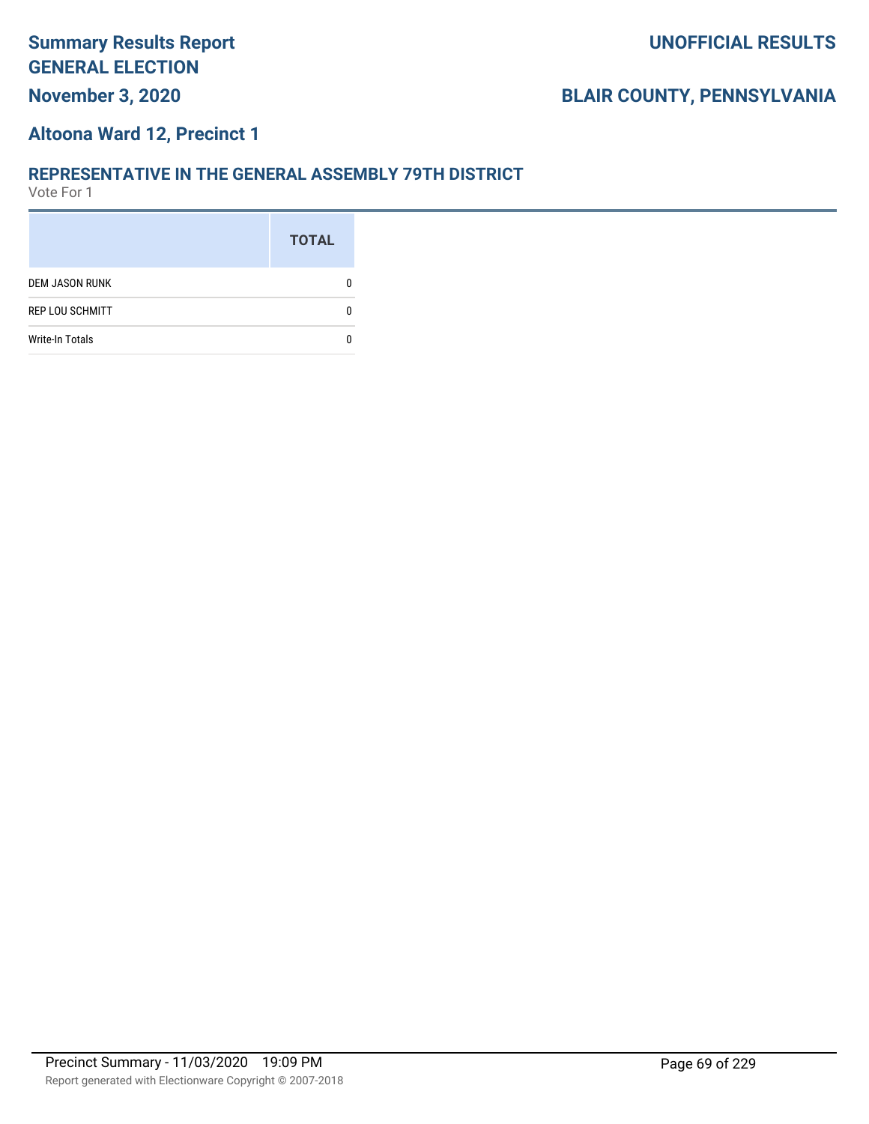# **BLAIR COUNTY, PENNSYLVANIA**

#### **Altoona Ward 12, Precinct 1**

#### **REPRESENTATIVE IN THE GENERAL ASSEMBLY 79TH DISTRICT**

|                        | <b>TOTAL</b> |
|------------------------|--------------|
| <b>DEM JASON RUNK</b>  |              |
| <b>REP LOU SCHMITT</b> |              |
| <b>Write-In Totals</b> |              |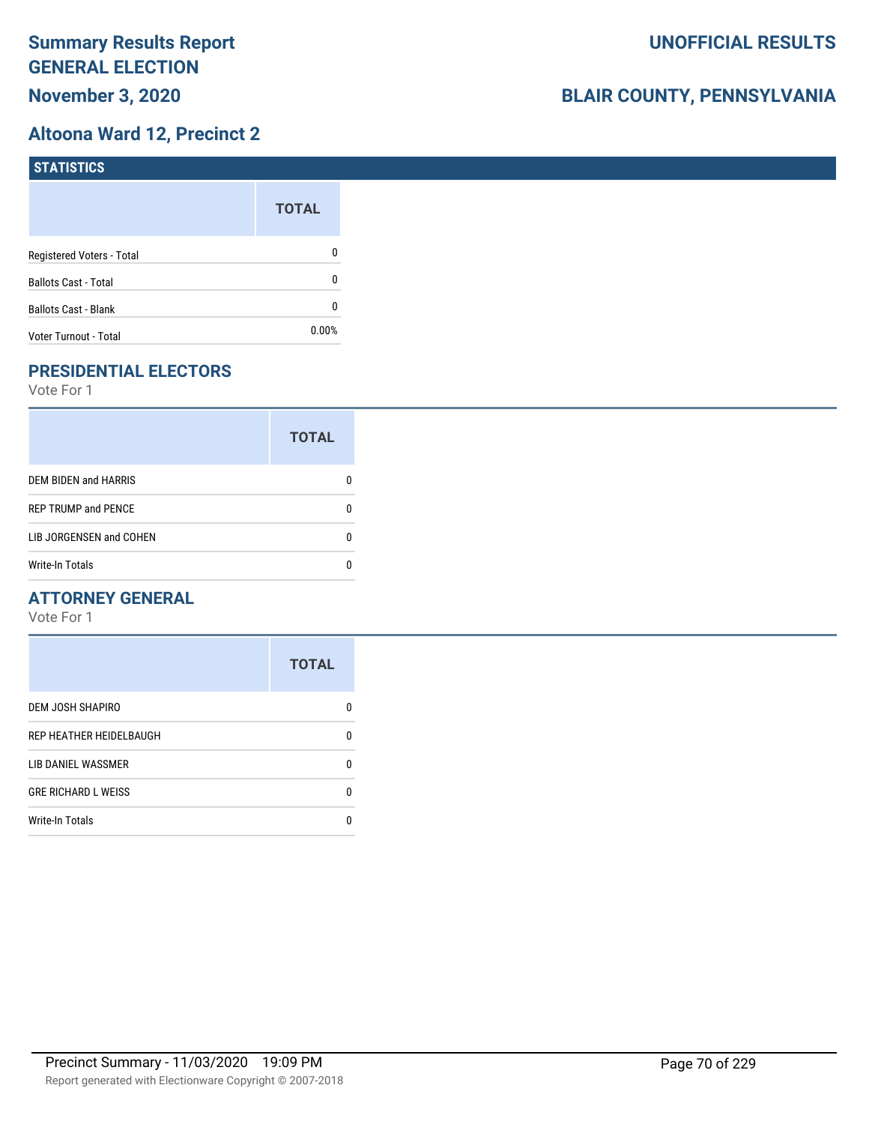## **Altoona Ward 12, Precinct 2**

| <b>STATISTICS</b>           |              |
|-----------------------------|--------------|
|                             | <b>TOTAL</b> |
| Registered Voters - Total   | 0            |
| <b>Ballots Cast - Total</b> | 0            |
| <b>Ballots Cast - Blank</b> | 0            |
| Voter Turnout - Total       | $0.00\%$     |

# **PRESIDENTIAL ELECTORS**

Vote For 1

|                             | <b>TOTAL</b> |
|-----------------------------|--------------|
| <b>DEM BIDEN and HARRIS</b> |              |
| <b>REP TRUMP and PENCE</b>  |              |
| LIB JORGENSEN and COHEN     |              |
| <b>Write-In Totals</b>      |              |

## **ATTORNEY GENERAL**

|                            | <b>TOTAL</b> |
|----------------------------|--------------|
| DEM JOSH SHAPIRO           | n            |
| REP HEATHER HEIDELBAUGH    | 0            |
| LIB DANIEL WASSMER         | 0            |
| <b>GRE RICHARD L WEISS</b> | 0            |
| <b>Write-In Totals</b>     | n            |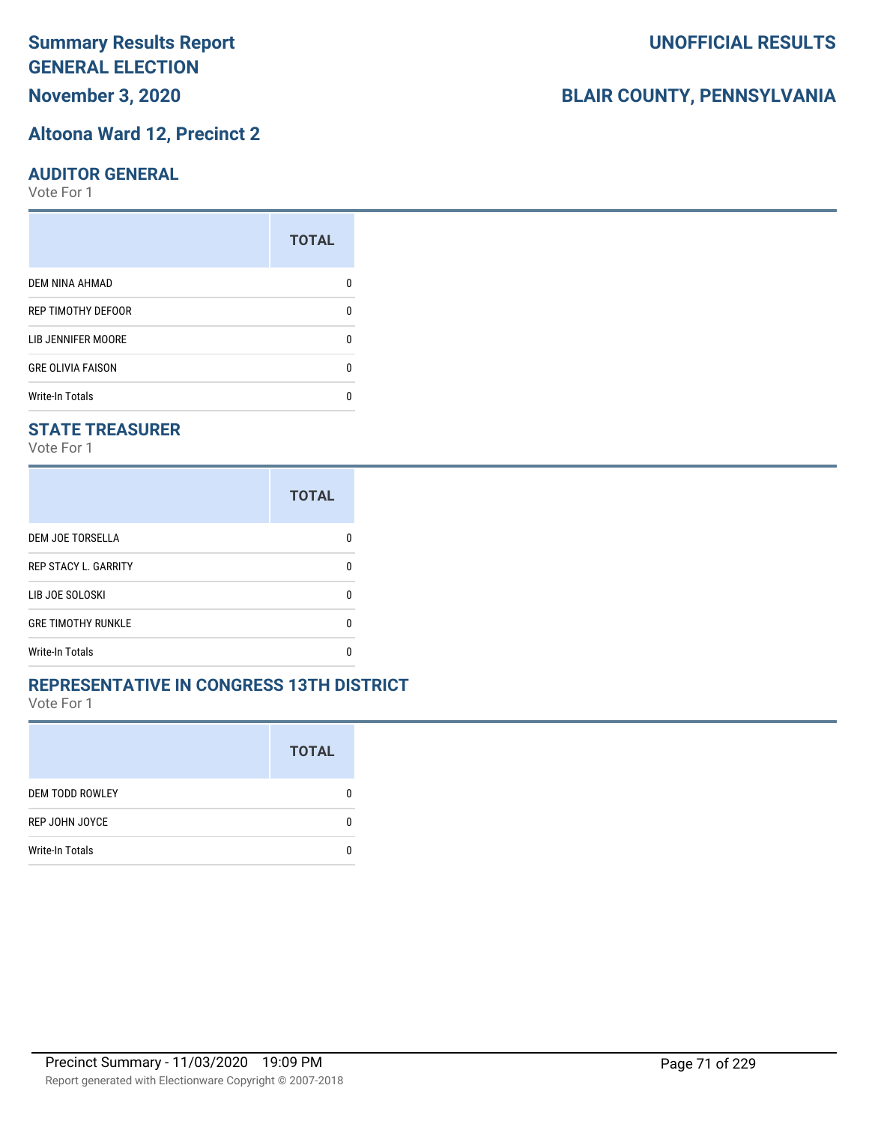# **November 3, 2020**

#### **Altoona Ward 12, Precinct 2**

#### **AUDITOR GENERAL**

Vote For 1

|                           | <b>TOTAL</b> |
|---------------------------|--------------|
| <b>DEM NINA AHMAD</b>     |              |
| <b>REP TIMOTHY DEFOOR</b> | n            |
| LIB JENNIFER MOORE        |              |
| <b>GRE OLIVIA FAISON</b>  | n            |
| <b>Write-In Totals</b>    |              |

#### **STATE TREASURER**

Vote For 1

|                             | <b>TOTAL</b> |
|-----------------------------|--------------|
| <b>DEM JOE TORSELLA</b>     | n            |
| <b>REP STACY L. GARRITY</b> | n            |
| LIB JOE SOLOSKI             | n            |
| <b>GRE TIMOTHY RUNKLE</b>   | n            |
| <b>Write-In Totals</b>      |              |

#### **REPRESENTATIVE IN CONGRESS 13TH DISTRICT**

Vote For 1

|                        | <b>TOTAL</b> |
|------------------------|--------------|
| <b>DEM TODD ROWLEY</b> | 0            |
| REP JOHN JOYCE         | n            |
| <b>Write-In Totals</b> |              |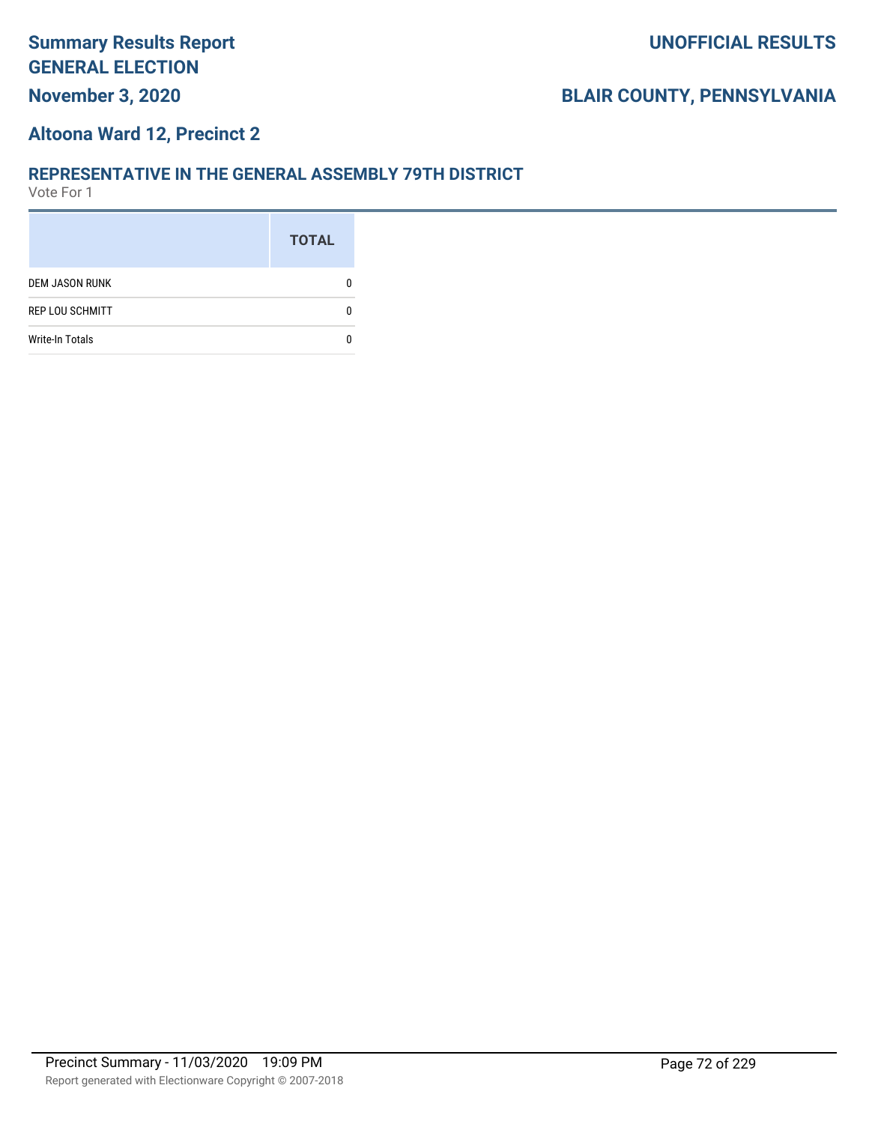# **BLAIR COUNTY, PENNSYLVANIA**

#### **Altoona Ward 12, Precinct 2**

#### **REPRESENTATIVE IN THE GENERAL ASSEMBLY 79TH DISTRICT**

|                        | <b>TOTAL</b> |
|------------------------|--------------|
| <b>DEM JASON RUNK</b>  |              |
| <b>REP LOU SCHMITT</b> |              |
| <b>Write-In Totals</b> |              |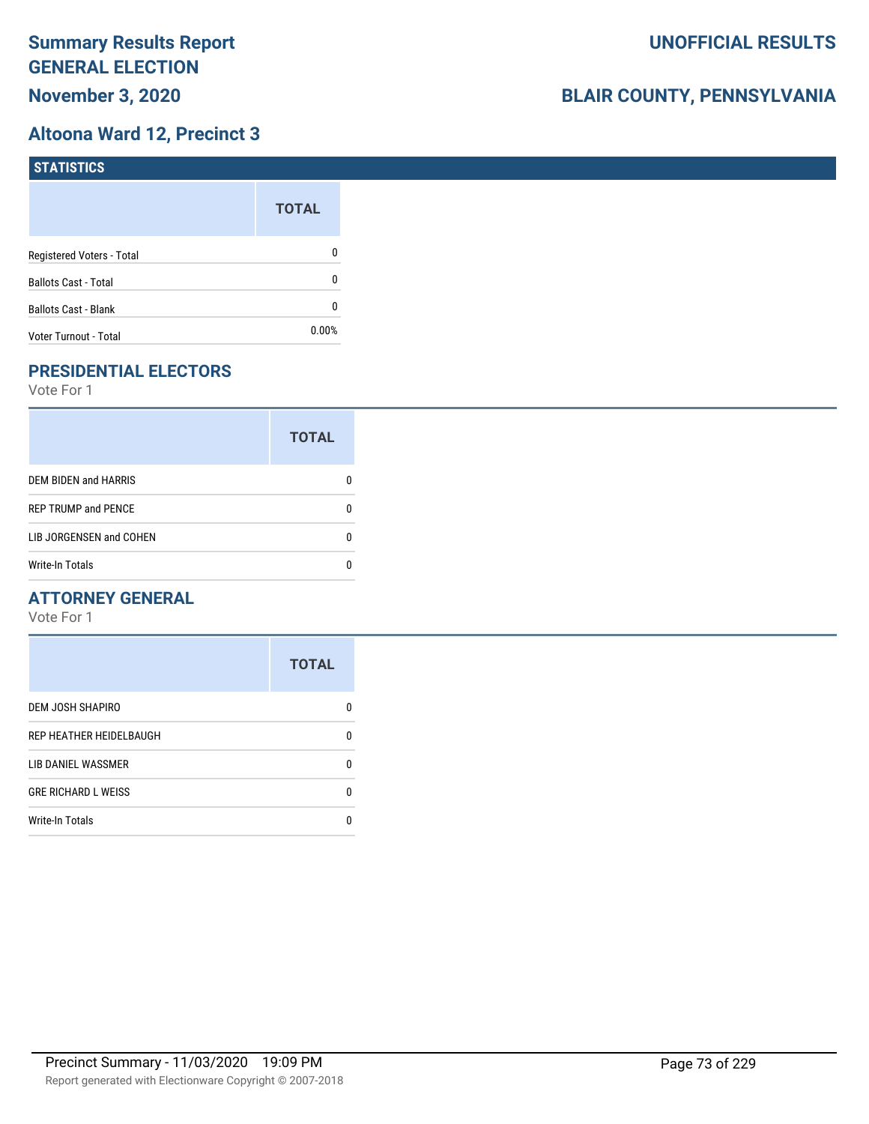## **Altoona Ward 12, Precinct 3**

| <b>STATISTICS</b>           |              |
|-----------------------------|--------------|
|                             | <b>TOTAL</b> |
| Registered Voters - Total   | 0            |
| <b>Ballots Cast - Total</b> | 0            |
| <b>Ballots Cast - Blank</b> | 0            |
| Voter Turnout - Total       | 0.00%        |

# **PRESIDENTIAL ELECTORS**

Vote For 1

|                            | <b>TOTAL</b> |
|----------------------------|--------------|
| DEM BIDEN and HARRIS       |              |
| <b>REP TRUMP and PENCE</b> |              |
| LIB JORGENSEN and COHEN    | O            |
| <b>Write-In Totals</b>     |              |

## **ATTORNEY GENERAL**

|                            | <b>TOTAL</b> |
|----------------------------|--------------|
| DEM JOSH SHAPIRO           | n            |
| REP HEATHER HEIDELBAUGH    | 0            |
| <b>LIB DANIEL WASSMER</b>  | n            |
| <b>GRE RICHARD L WEISS</b> | n            |
| <b>Write-In Totals</b>     |              |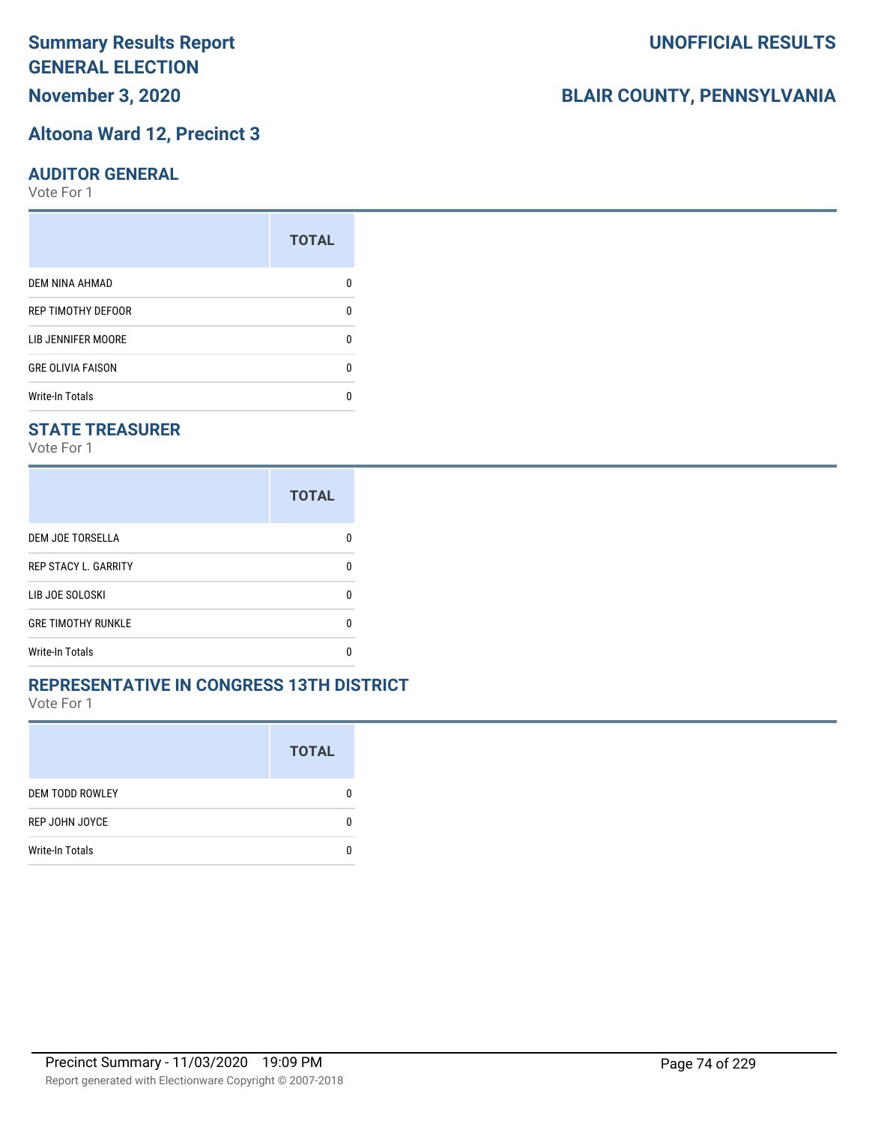# **November 3, 2020**

#### **Altoona Ward 12, Precinct 3**

#### **AUDITOR GENERAL**

Vote For 1

|                           | <b>TOTAL</b> |
|---------------------------|--------------|
| <b>DEM NINA AHMAD</b>     |              |
| <b>REP TIMOTHY DEFOOR</b> | O            |
| LIB JENNIFER MOORE        | O            |
| <b>GRE OLIVIA FAISON</b>  | ŋ            |
| <b>Write-In Totals</b>    |              |

## **STATE TREASURER**

Vote For 1

|                             | <b>TOTAL</b> |
|-----------------------------|--------------|
| DEM JOE TORSELLA            |              |
| <b>REP STACY L. GARRITY</b> | n            |
| LIB JOE SOLOSKI             | n            |
| <b>GRE TIMOTHY RUNKLE</b>   | n            |
| <b>Write-In Totals</b>      |              |

### **REPRESENTATIVE IN CONGRESS 13TH DISTRICT**

Vote For 1

|                        | <b>TOTAL</b> |
|------------------------|--------------|
| <b>DEM TODD ROWLEY</b> | O            |
| REP JOHN JOYCE         | n            |
| <b>Write-In Totals</b> |              |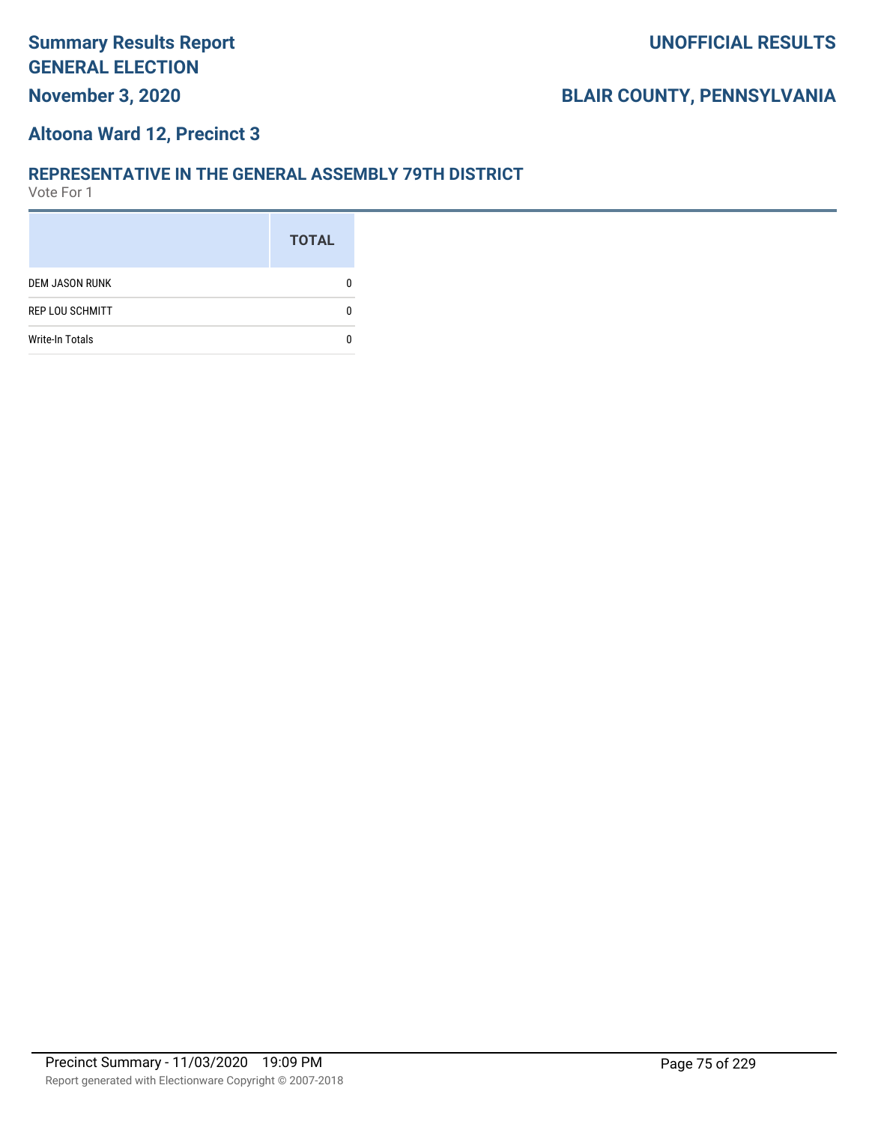# **BLAIR COUNTY, PENNSYLVANIA**

#### **Altoona Ward 12, Precinct 3**

#### **REPRESENTATIVE IN THE GENERAL ASSEMBLY 79TH DISTRICT**

|                        | <b>TOTAL</b> |
|------------------------|--------------|
| <b>DEM JASON RUNK</b>  |              |
| <b>REP LOU SCHMITT</b> |              |
| <b>Write-In Totals</b> |              |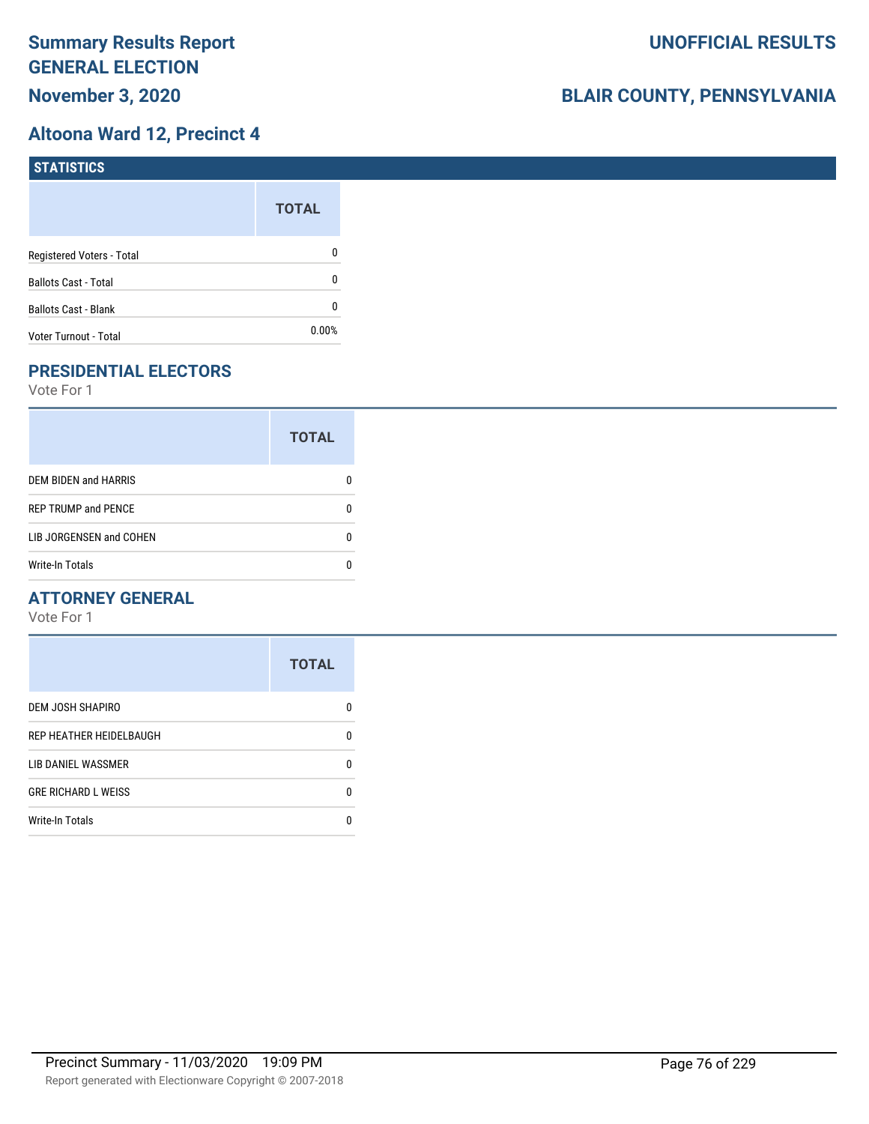## **Altoona Ward 12, Precinct 4**

| <b>STATISTICS</b>           |              |
|-----------------------------|--------------|
|                             | <b>TOTAL</b> |
| Registered Voters - Total   | 0            |
| <b>Ballots Cast - Total</b> | 0            |
| <b>Ballots Cast - Blank</b> | 0            |
| Voter Turnout - Total       | $0.00\%$     |

# **PRESIDENTIAL ELECTORS**

Vote For 1

|                             | <b>TOTAL</b> |
|-----------------------------|--------------|
| <b>DEM BIDEN and HARRIS</b> |              |
| <b>REP TRUMP and PENCE</b>  |              |
| LIB JORGENSEN and COHEN     |              |
| <b>Write-In Totals</b>      |              |

## **ATTORNEY GENERAL**

|                            | <b>TOTAL</b> |
|----------------------------|--------------|
| DEM JOSH SHAPIRO           | n            |
| REP HEATHER HEIDELBAUGH    | 0            |
| <b>LIB DANIEL WASSMER</b>  | n            |
| <b>GRE RICHARD L WEISS</b> | n            |
| <b>Write-In Totals</b>     |              |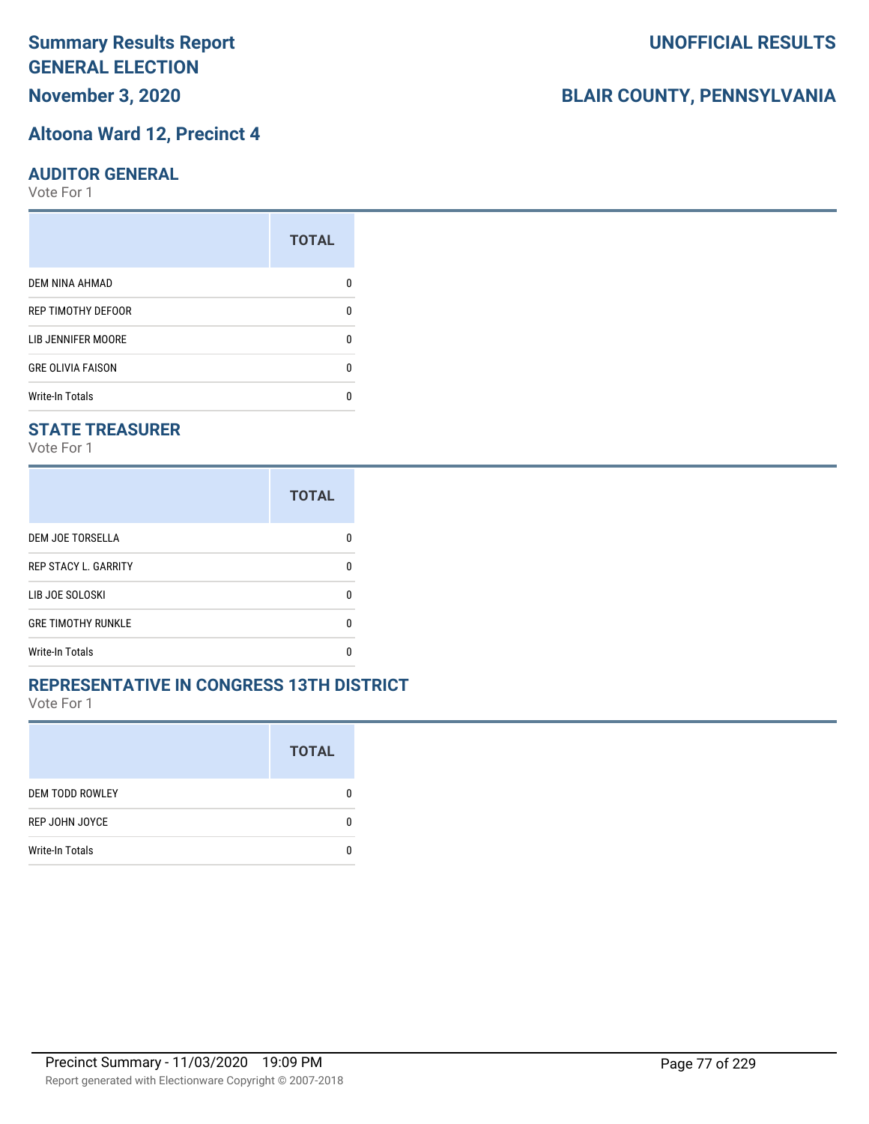# **November 3, 2020**

#### **Altoona Ward 12, Precinct 4**

#### **AUDITOR GENERAL**

Vote For 1

|                           | <b>TOTAL</b> |
|---------------------------|--------------|
| <b>DEM NINA AHMAD</b>     |              |
| <b>REP TIMOTHY DEFOOR</b> | n            |
| LIB JENNIFER MOORE        |              |
| <b>GRE OLIVIA FAISON</b>  | n            |
| <b>Write-In Totals</b>    |              |

## **STATE TREASURER**

Vote For 1

|                             | <b>TOTAL</b> |
|-----------------------------|--------------|
| DEM JOE TORSELLA            |              |
| <b>REP STACY L. GARRITY</b> | n            |
| LIB JOE SOLOSKI             | n            |
| <b>GRE TIMOTHY RUNKLE</b>   | n            |
| <b>Write-In Totals</b>      |              |

### **REPRESENTATIVE IN CONGRESS 13TH DISTRICT**

Vote For 1

|                        | <b>TOTAL</b> |
|------------------------|--------------|
| <b>DEM TODD ROWLEY</b> | 0            |
| REP JOHN JOYCE         | n            |
| <b>Write-In Totals</b> |              |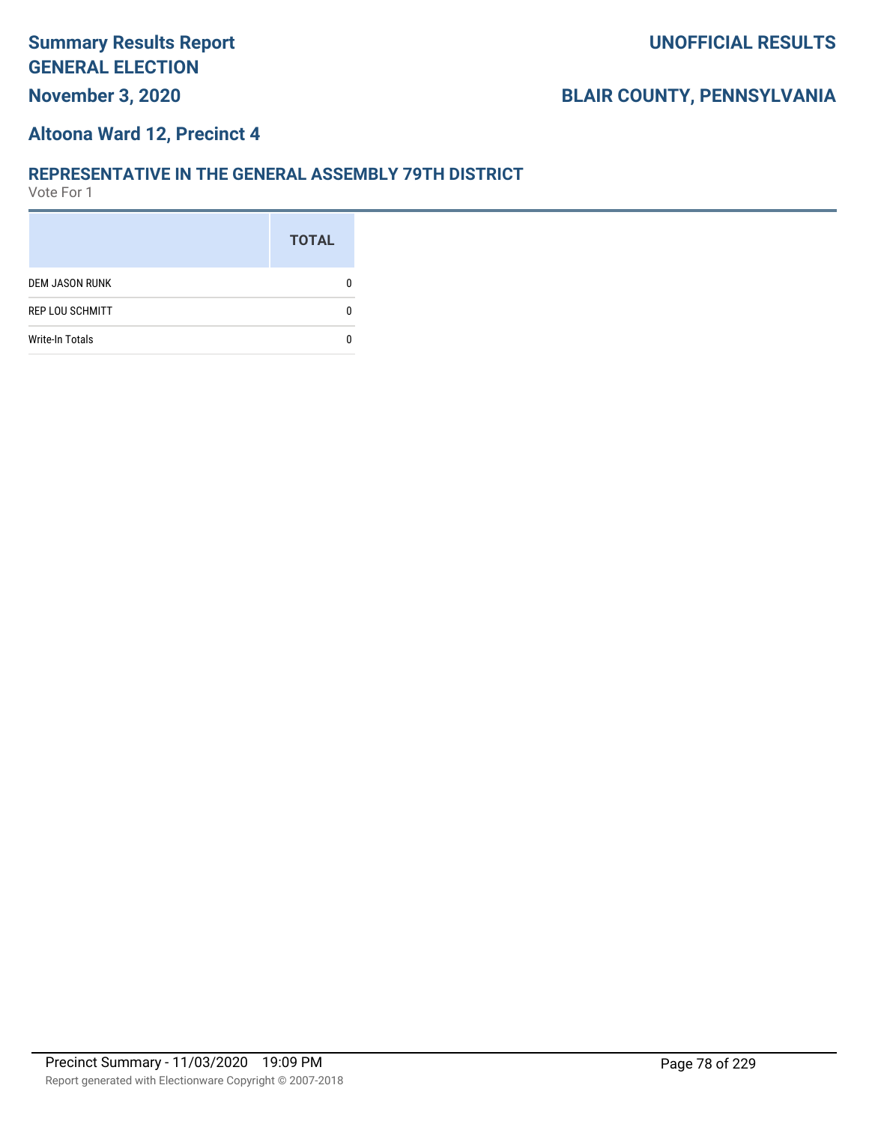#### **Altoona Ward 12, Precinct 4**

#### **REPRESENTATIVE IN THE GENERAL ASSEMBLY 79TH DISTRICT**

|                        | <b>TOTAL</b> |
|------------------------|--------------|
| <b>DEM JASON RUNK</b>  |              |
| <b>REP LOU SCHMITT</b> |              |
| <b>Write-In Totals</b> |              |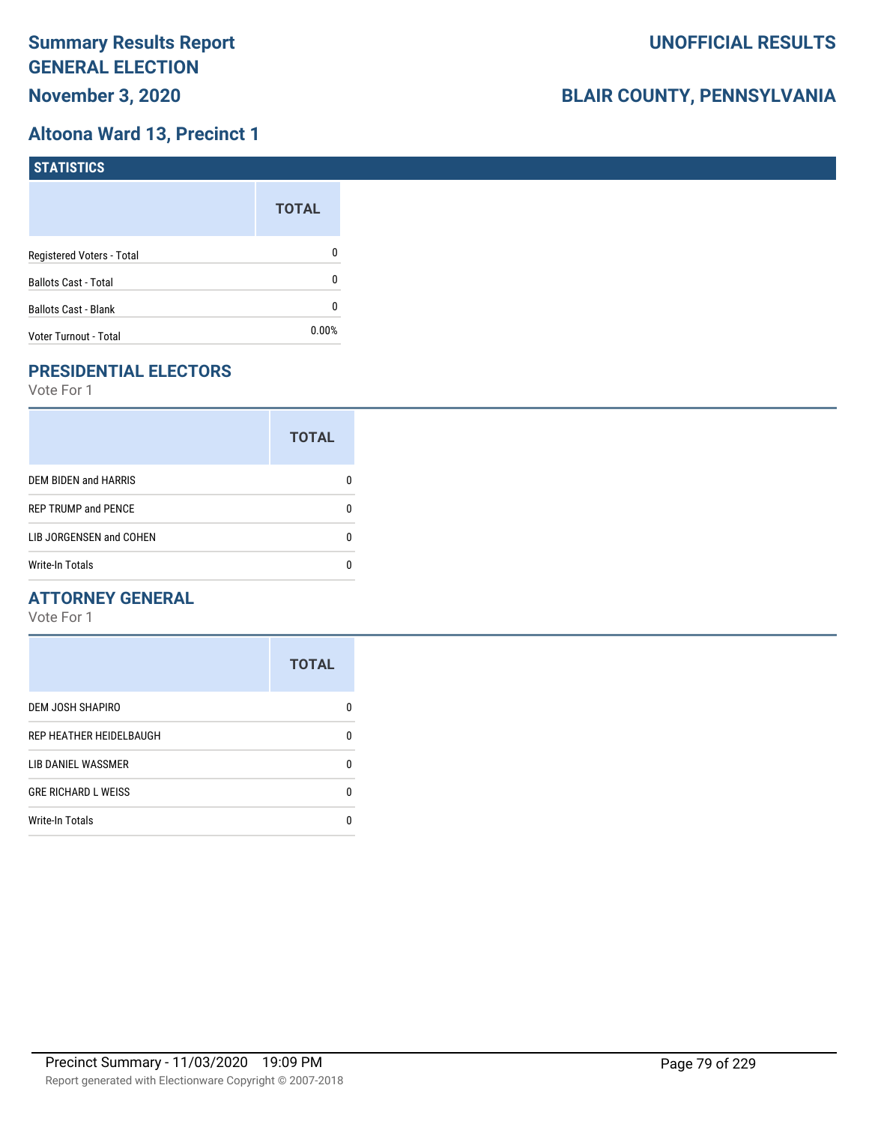## **Altoona Ward 13, Precinct 1**

| STATISTICS                  |              |
|-----------------------------|--------------|
|                             | <b>TOTAL</b> |
| Registered Voters - Total   | 0            |
| <b>Ballots Cast - Total</b> | 0            |
| <b>Ballots Cast - Blank</b> | 0            |
| Voter Turnout - Total       | $0.00\%$     |

# **PRESIDENTIAL ELECTORS**

Vote For 1

|                            | <b>TOTAL</b> |
|----------------------------|--------------|
| DEM BIDEN and HARRIS       |              |
| <b>REP TRUMP and PENCE</b> |              |
| LIB JORGENSEN and COHEN    |              |
| Write-In Totals            |              |

## **ATTORNEY GENERAL**

|                            | <b>TOTAL</b> |
|----------------------------|--------------|
| <b>DEM JOSH SHAPIRO</b>    | n            |
| REP HEATHER HEIDELBAUGH    | 0            |
| LIB DANIEL WASSMER         | n            |
| <b>GRE RICHARD L WEISS</b> | n            |
| <b>Write-In Totals</b>     |              |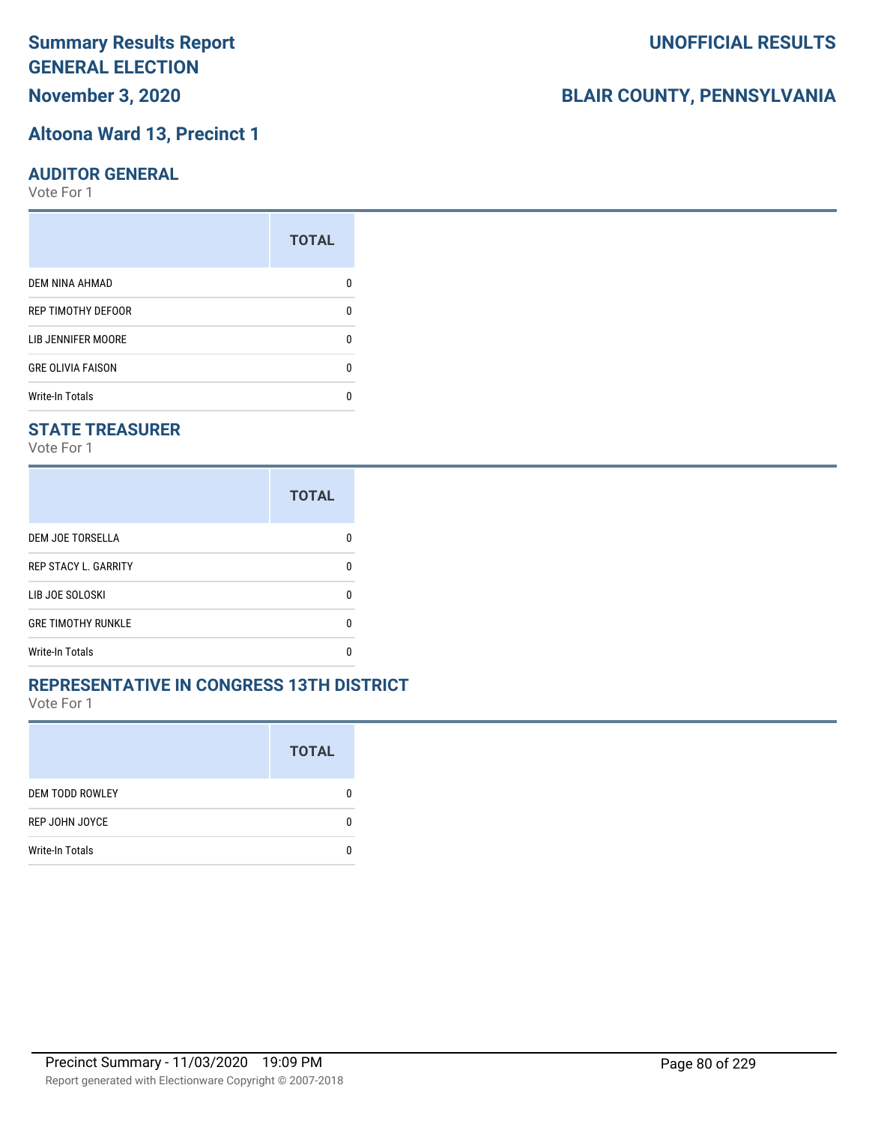# **November 3, 2020**

### **Altoona Ward 13, Precinct 1**

#### **AUDITOR GENERAL**

Vote For 1

|                          | <b>TOTAL</b> |
|--------------------------|--------------|
| <b>DEM NINA AHMAD</b>    |              |
| REP TIMOTHY DEFOOR       | n            |
| LIB JENNIFER MOORE       |              |
| <b>GRE OLIVIA FAISON</b> | n            |
| <b>Write-In Totals</b>   |              |

## **STATE TREASURER**

Vote For 1

|                             | <b>TOTAL</b> |
|-----------------------------|--------------|
| <b>DEM JOE TORSELLA</b>     | n            |
| <b>REP STACY L. GARRITY</b> | n            |
| LIB JOE SOLOSKI             | n            |
| <b>GRE TIMOTHY RUNKLE</b>   | n            |
| Write-In Totals             |              |

### **REPRESENTATIVE IN CONGRESS 13TH DISTRICT**

Vote For 1

|                        | <b>TOTAL</b> |
|------------------------|--------------|
| <b>DEM TODD ROWLEY</b> | O            |
| REP JOHN JOYCE         | n            |
| <b>Write-In Totals</b> |              |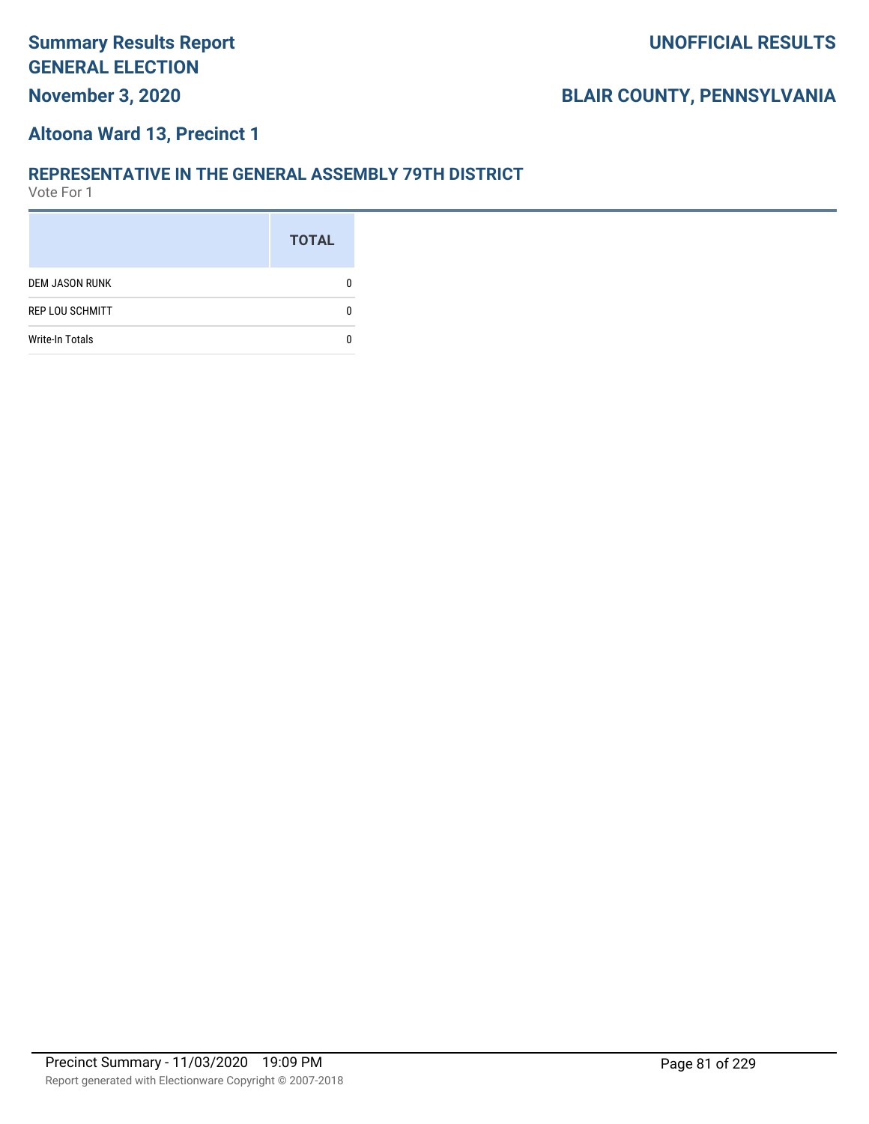# **November 3, 2020**

# **BLAIR COUNTY, PENNSYLVANIA**

#### **Altoona Ward 13, Precinct 1**

#### **REPRESENTATIVE IN THE GENERAL ASSEMBLY 79TH DISTRICT**

|                        | <b>TOTAL</b> |
|------------------------|--------------|
| <b>DEM JASON RUNK</b>  |              |
| <b>REP LOU SCHMITT</b> |              |
| <b>Write-In Totals</b> |              |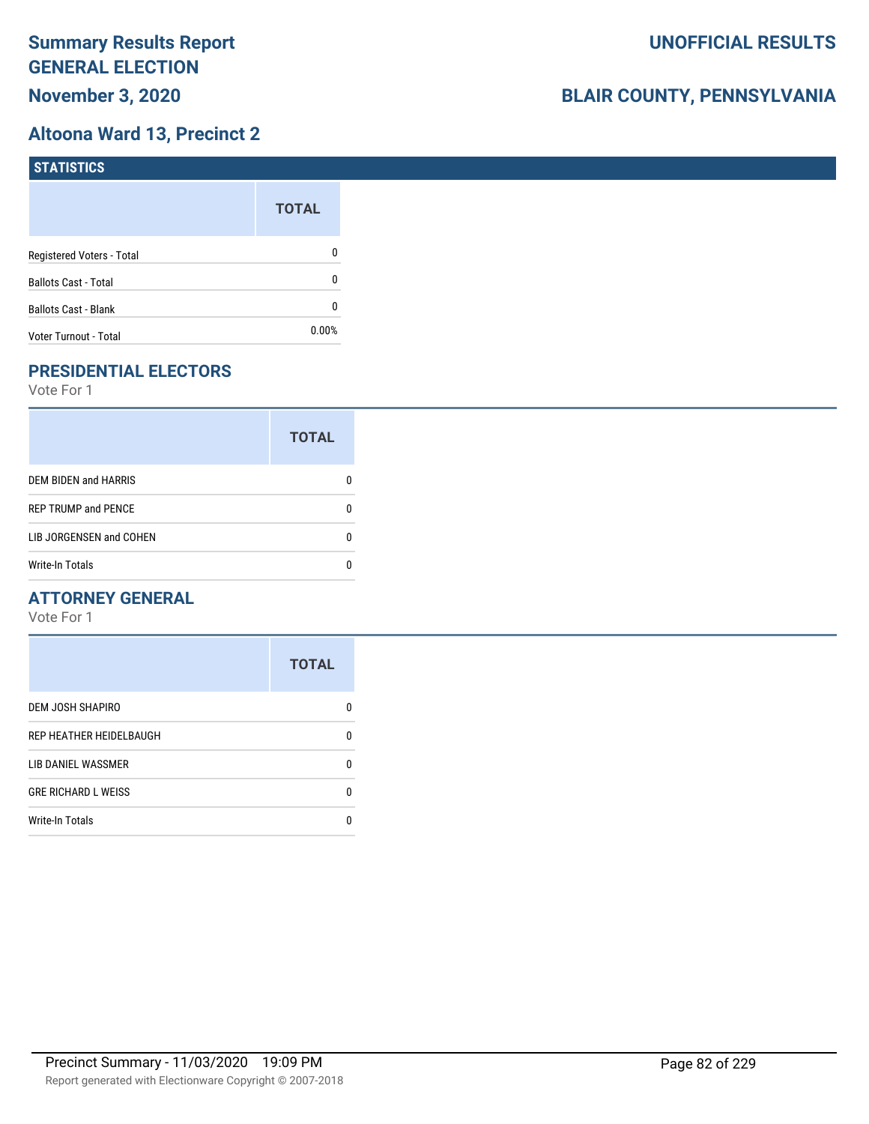## **Altoona Ward 13, Precinct 2**

| STATISTICS                  |              |
|-----------------------------|--------------|
|                             | <b>TOTAL</b> |
| Registered Voters - Total   | $\mathbf{0}$ |
| <b>Ballots Cast - Total</b> | $\mathbf{0}$ |
| <b>Ballots Cast - Blank</b> | 0            |
| Voter Turnout - Total       | $0.00\%$     |

# **PRESIDENTIAL ELECTORS**

Vote For 1

|                             | <b>TOTAL</b> |
|-----------------------------|--------------|
| <b>DEM BIDEN and HARRIS</b> |              |
| <b>REP TRUMP and PENCE</b>  |              |
| LIB JORGENSEN and COHEN     |              |
| <b>Write-In Totals</b>      |              |

## **ATTORNEY GENERAL**

|                            | <b>TOTAL</b> |
|----------------------------|--------------|
| DEM JOSH SHAPIRO           | n            |
| REP HEATHER HEIDELBAUGH    | 0            |
| <b>LIB DANIEL WASSMER</b>  | n            |
| <b>GRE RICHARD L WEISS</b> | n            |
| <b>Write-In Totals</b>     |              |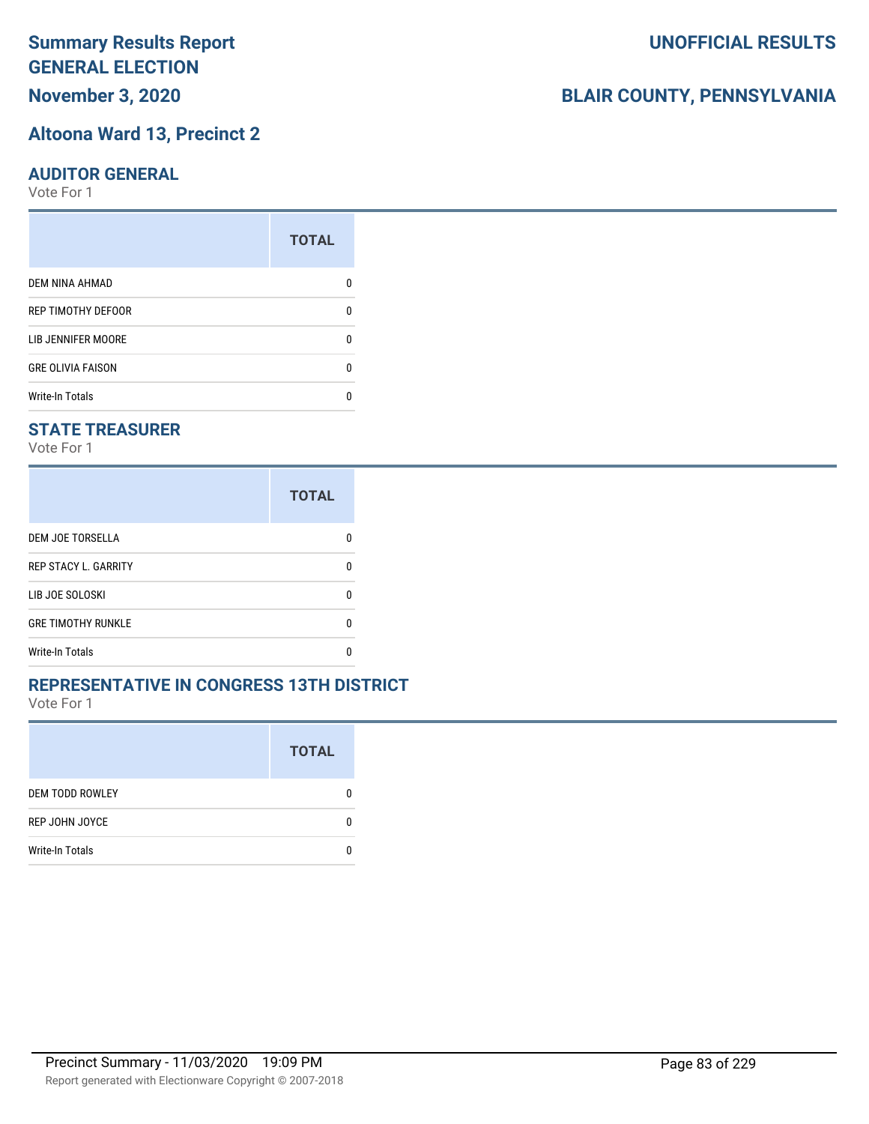# **November 3, 2020**

#### **Altoona Ward 13, Precinct 2**

#### **AUDITOR GENERAL**

Vote For 1

|                           | <b>TOTAL</b> |
|---------------------------|--------------|
| <b>DEM NINA AHMAD</b>     |              |
| <b>REP TIMOTHY DEFOOR</b> | n            |
| LIB JENNIFER MOORE        |              |
| <b>GRE OLIVIA FAISON</b>  | n            |
| <b>Write-In Totals</b>    |              |

## **STATE TREASURER**

Vote For 1

|                             | <b>TOTAL</b> |
|-----------------------------|--------------|
| <b>DEM JOE TORSELLA</b>     | n            |
| <b>REP STACY L. GARRITY</b> | n            |
| LIB JOE SOLOSKI             | n            |
| <b>GRE TIMOTHY RUNKLE</b>   | n            |
| <b>Write-In Totals</b>      |              |

### **REPRESENTATIVE IN CONGRESS 13TH DISTRICT**

Vote For 1

|                        | <b>TOTAL</b> |
|------------------------|--------------|
| <b>DEM TODD ROWLEY</b> | 0            |
| REP JOHN JOYCE         | n            |
| <b>Write-In Totals</b> |              |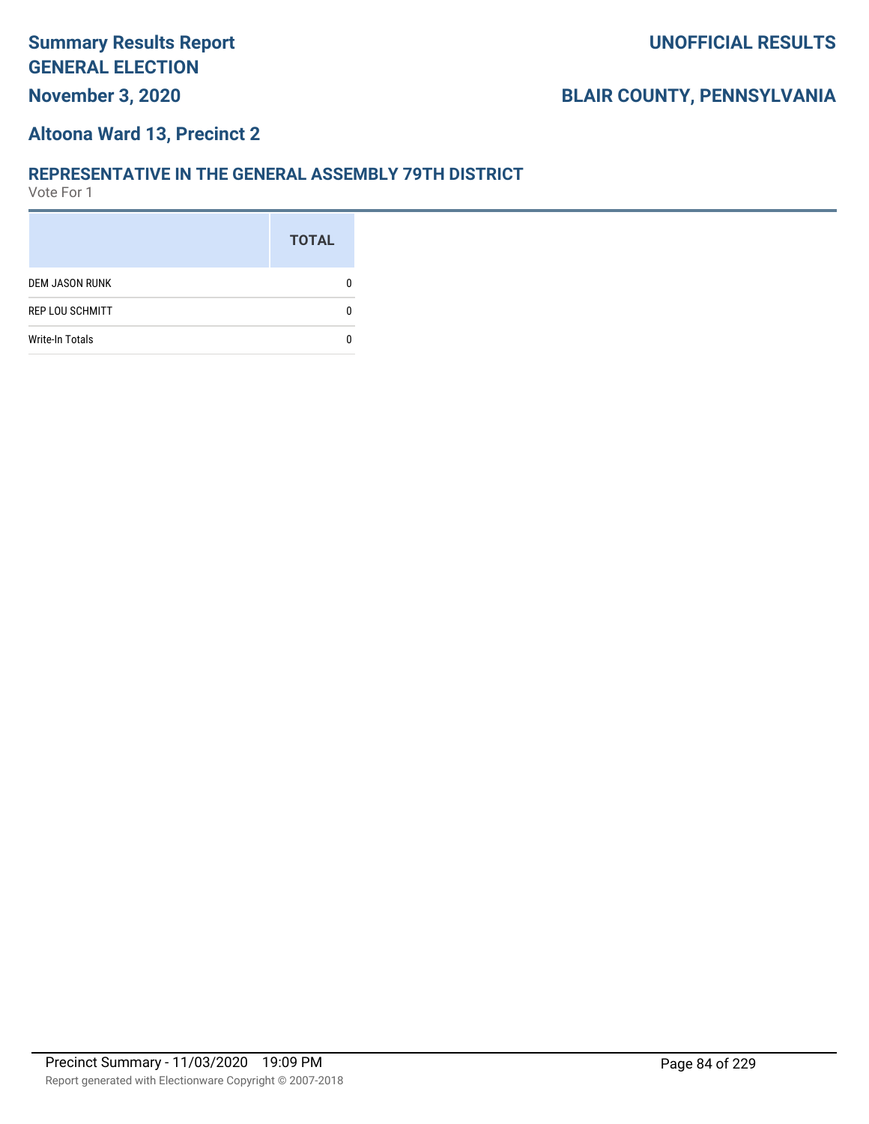# **BLAIR COUNTY, PENNSYLVANIA**

#### **Altoona Ward 13, Precinct 2**

#### **REPRESENTATIVE IN THE GENERAL ASSEMBLY 79TH DISTRICT**

|                        | <b>TOTAL</b> |
|------------------------|--------------|
| <b>DEM JASON RUNK</b>  |              |
| <b>REP LOU SCHMITT</b> |              |
| <b>Write-In Totals</b> |              |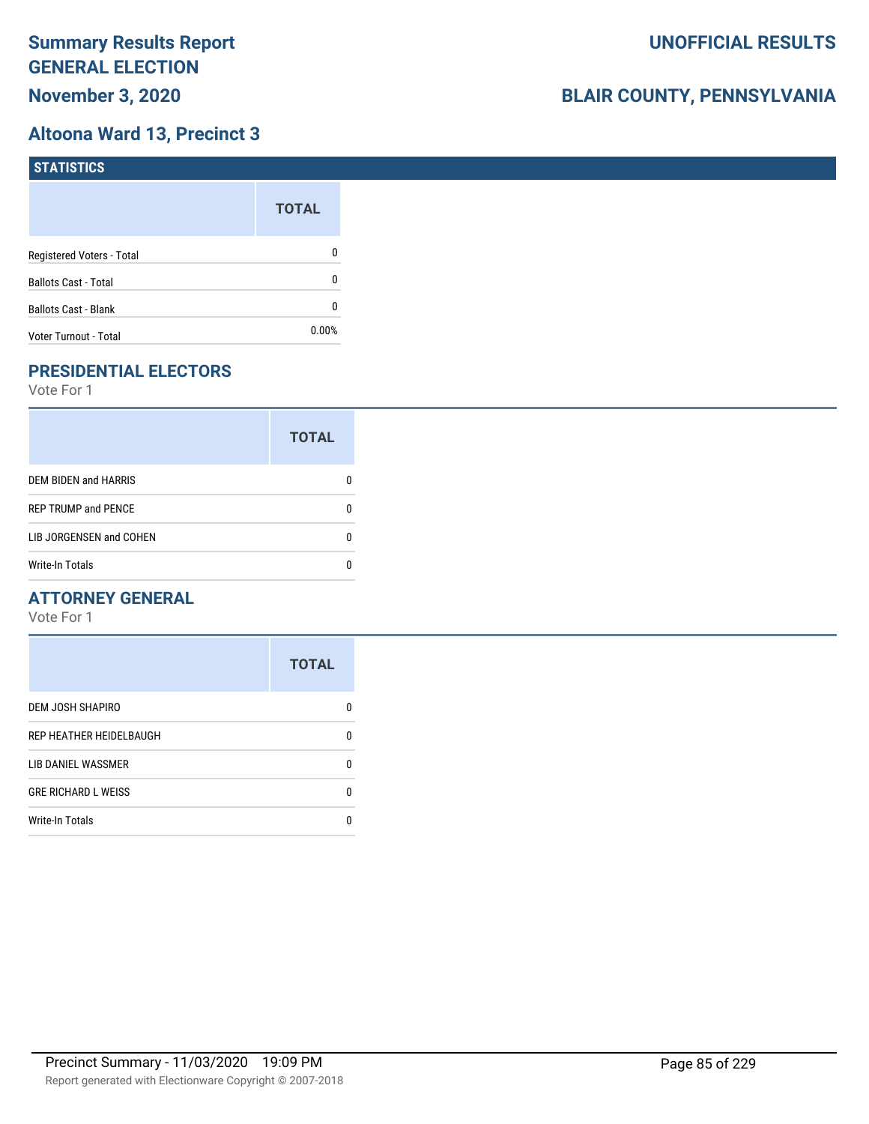## **Altoona Ward 13, Precinct 3**

| <b>STATISTICS</b>           |              |
|-----------------------------|--------------|
|                             | <b>TOTAL</b> |
| Registered Voters - Total   | 0            |
| <b>Ballots Cast - Total</b> | 0            |
| <b>Ballots Cast - Blank</b> | 0            |
| Voter Turnout - Total       | 0.00%        |

# **PRESIDENTIAL ELECTORS**

Vote For 1

|                             | <b>TOTAL</b> |
|-----------------------------|--------------|
| <b>DEM BIDEN and HARRIS</b> |              |
| <b>REP TRUMP and PENCE</b>  |              |
| LIB JORGENSEN and COHEN     |              |
| <b>Write-In Totals</b>      |              |

## **ATTORNEY GENERAL**

|                            | <b>TOTAL</b> |
|----------------------------|--------------|
| <b>DEM JOSH SHAPIRO</b>    | n            |
| REP HEATHER HEIDELBAUGH    | 0            |
| LIB DANIEL WASSMER         | n            |
| <b>GRE RICHARD L WEISS</b> | n            |
| <b>Write-In Totals</b>     |              |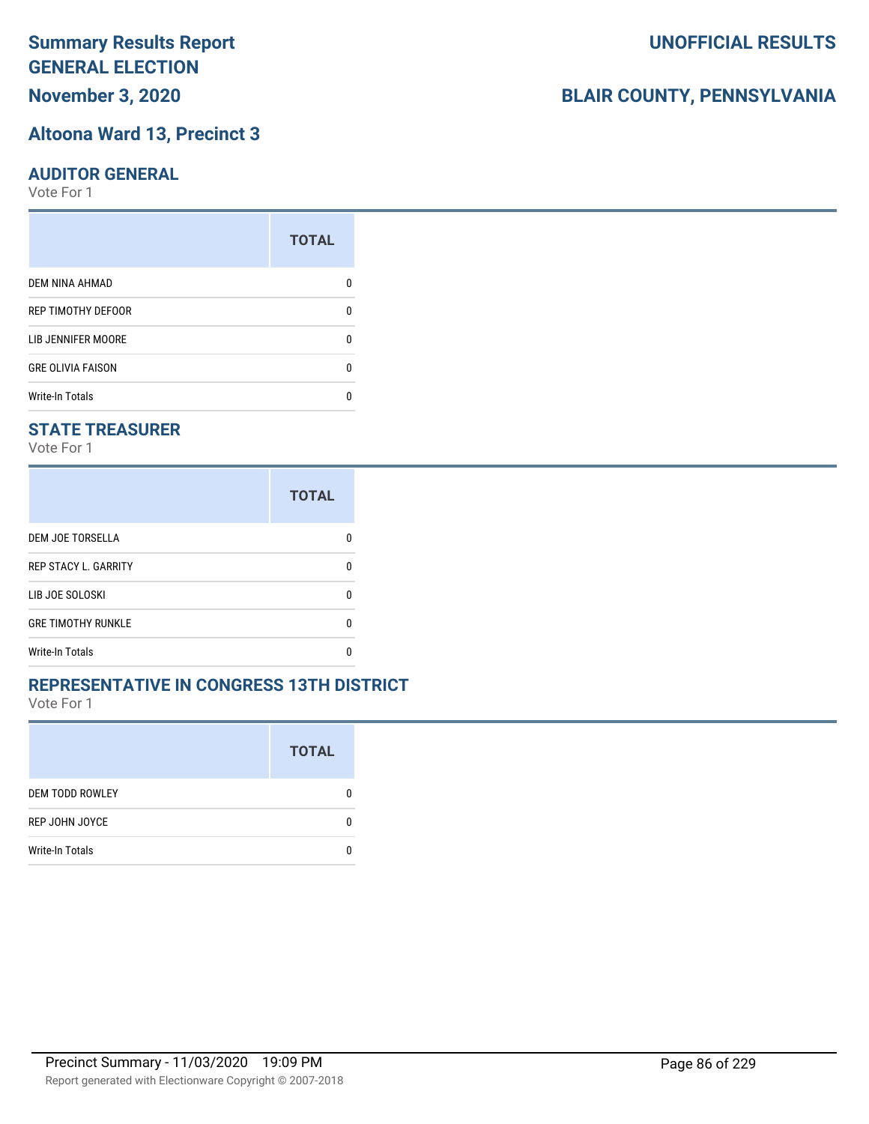# **November 3, 2020**

#### **Altoona Ward 13, Precinct 3**

#### **AUDITOR GENERAL**

Vote For 1

|                          | <b>TOTAL</b> |
|--------------------------|--------------|
| <b>DEM NINA AHMAD</b>    |              |
| REP TIMOTHY DEFOOR       | n            |
| LIB JENNIFER MOORE       |              |
| <b>GRE OLIVIA FAISON</b> | ŋ            |
| <b>Write-In Totals</b>   |              |

## **STATE TREASURER**

Vote For 1

|                             | <b>TOTAL</b> |
|-----------------------------|--------------|
| DEM JOE TORSELLA            | n            |
| <b>REP STACY L. GARRITY</b> | n            |
| LIB JOE SOLOSKI             | n            |
| <b>GRE TIMOTHY RUNKLE</b>   | n            |
| <b>Write-In Totals</b>      |              |

### **REPRESENTATIVE IN CONGRESS 13TH DISTRICT**

Vote For 1

|                        | <b>TOTAL</b> |
|------------------------|--------------|
| <b>DEM TODD ROWLEY</b> | O            |
| REP JOHN JOYCE         | n            |
| <b>Write-In Totals</b> |              |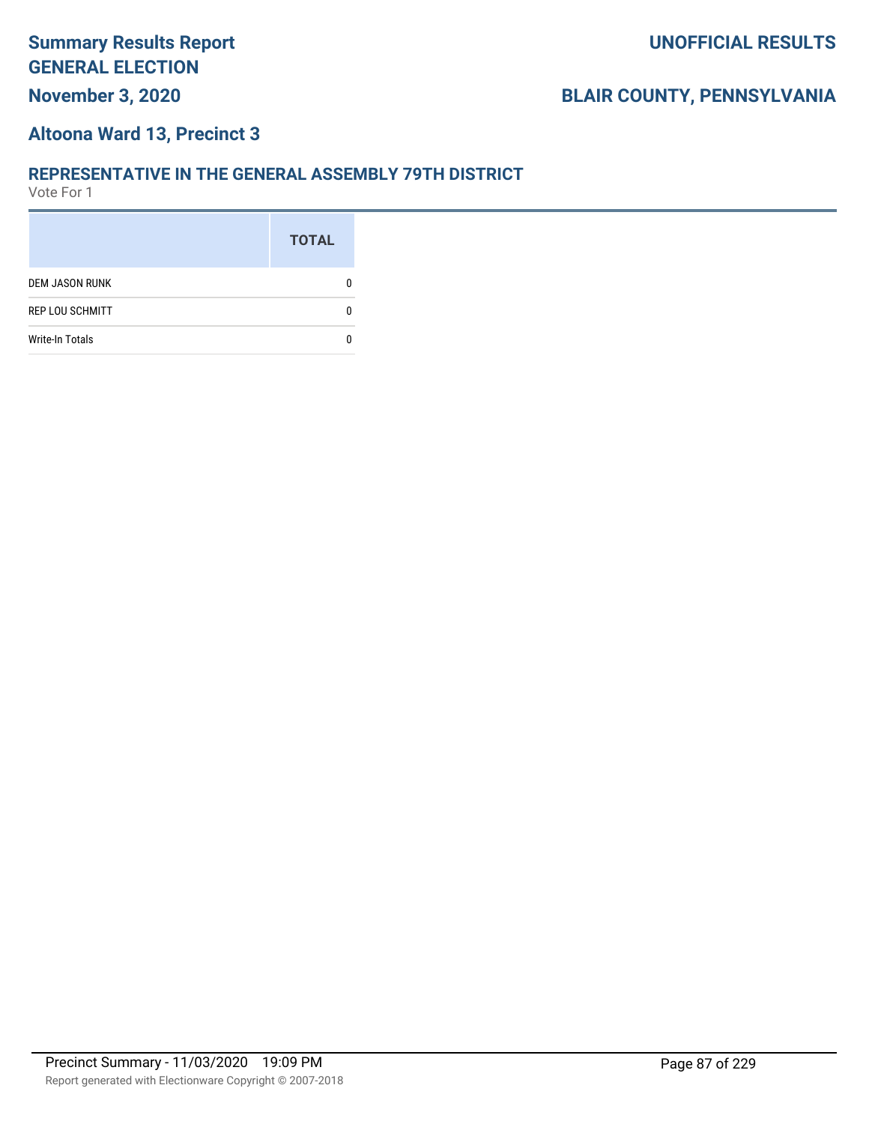# **November 3, 2020**

## **UNOFFICIAL RESULTS**

## **BLAIR COUNTY, PENNSYLVANIA**

#### **Altoona Ward 13, Precinct 3**

#### **REPRESENTATIVE IN THE GENERAL ASSEMBLY 79TH DISTRICT**

|                        | <b>TOTAL</b> |
|------------------------|--------------|
| <b>DEM JASON RUNK</b>  |              |
| <b>REP LOU SCHMITT</b> |              |
| <b>Write-In Totals</b> |              |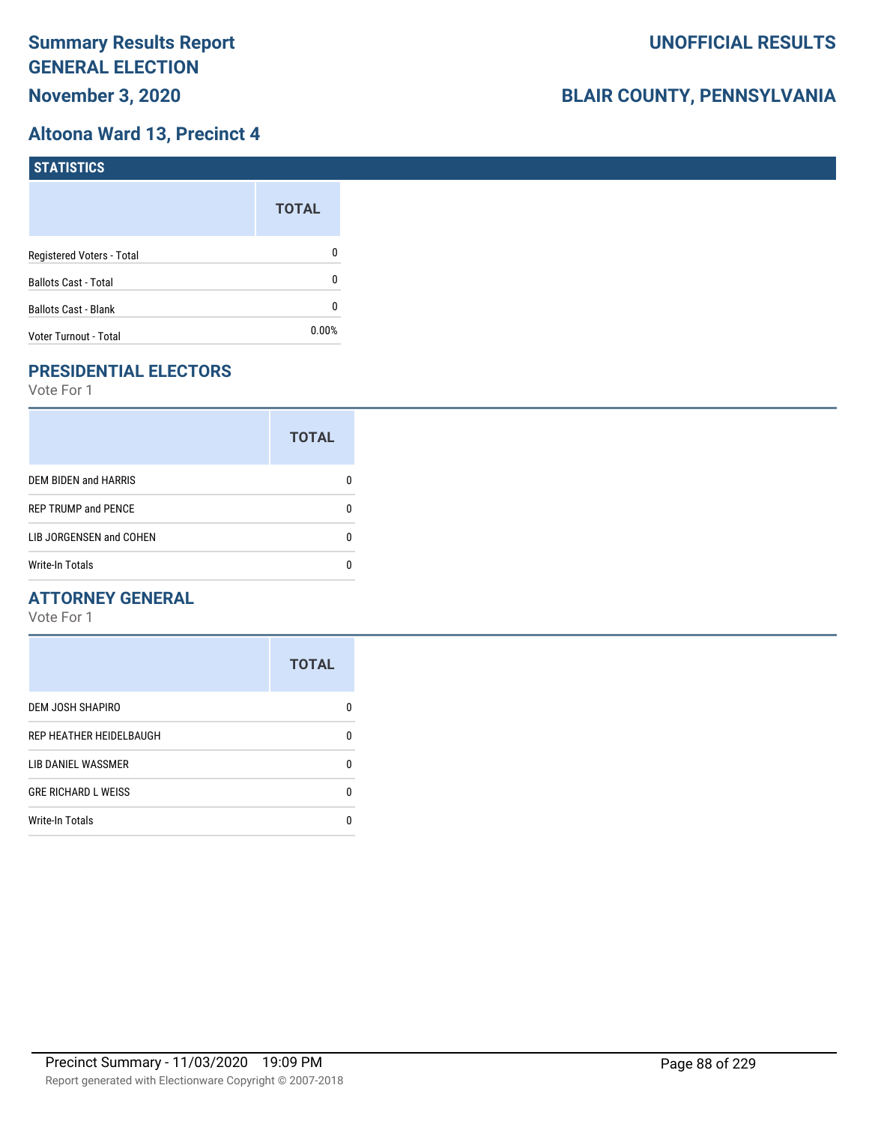## **Altoona Ward 13, Precinct 4**

| <b>STATISTICS</b>           |              |
|-----------------------------|--------------|
|                             | <b>TOTAL</b> |
| Registered Voters - Total   | 0            |
| <b>Ballots Cast - Total</b> | 0            |
| <b>Ballots Cast - Blank</b> | 0            |
| Voter Turnout - Total       | $0.00\%$     |

# **PRESIDENTIAL ELECTORS**

Vote For 1

|                            | <b>TOTAL</b> |
|----------------------------|--------------|
| DEM BIDEN and HARRIS       |              |
| <b>REP TRUMP and PENCE</b> |              |
| LIB JORGENSEN and COHEN    | O            |
| <b>Write-In Totals</b>     |              |

## **ATTORNEY GENERAL**

|                            | <b>TOTAL</b> |
|----------------------------|--------------|
| DEM JOSH SHAPIRO           | n            |
| REP HEATHER HEIDELBAUGH    | 0            |
| LIB DANIEL WASSMER         | n            |
| <b>GRE RICHARD L WEISS</b> | n            |
| <b>Write-In Totals</b>     | n            |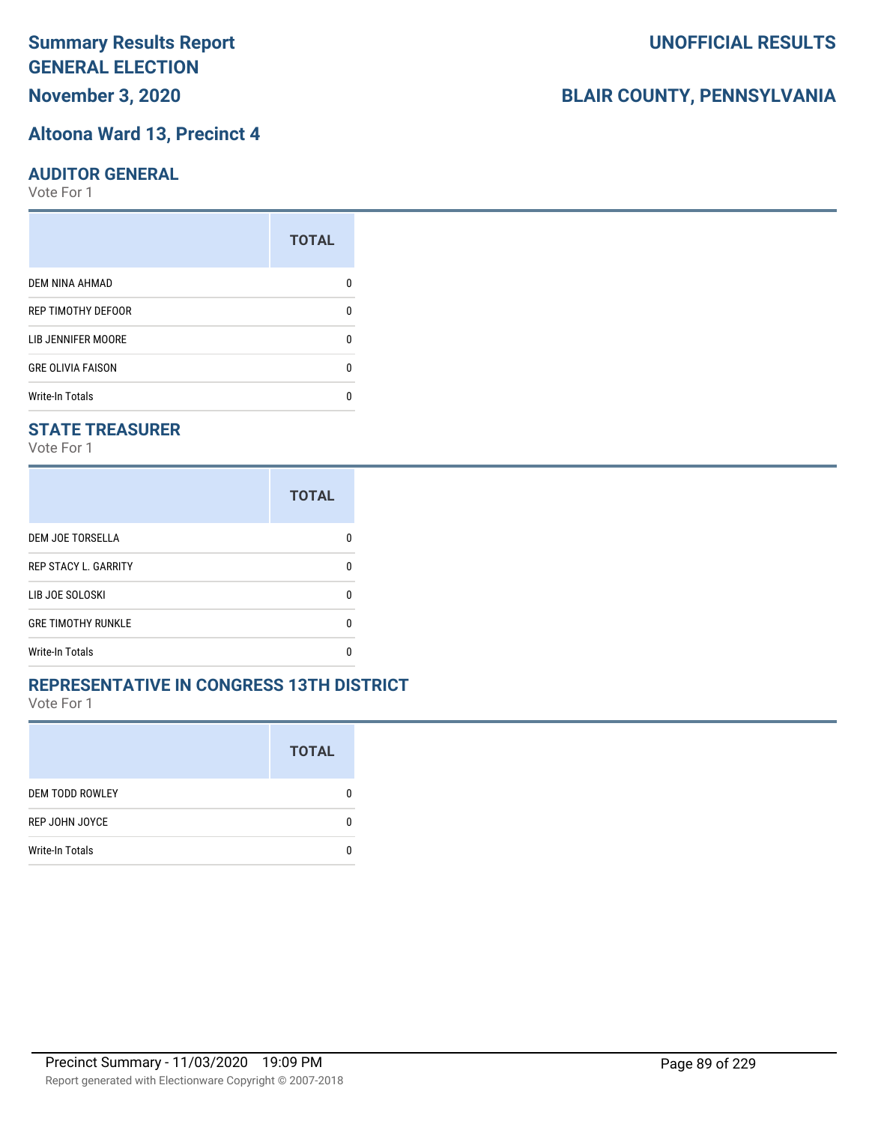# **November 3, 2020**

#### **Altoona Ward 13, Precinct 4**

#### **AUDITOR GENERAL**

Vote For 1

|                           | <b>TOTAL</b> |
|---------------------------|--------------|
| <b>DEM NINA AHMAD</b>     |              |
| <b>REP TIMOTHY DEFOOR</b> | n            |
| LIB JENNIFER MOORE        |              |
| <b>GRE OLIVIA FAISON</b>  | n            |
| <b>Write-In Totals</b>    |              |

## **STATE TREASURER**

Vote For 1

|                             | <b>TOTAL</b> |
|-----------------------------|--------------|
| DEM JOE TORSELLA            |              |
| <b>REP STACY L. GARRITY</b> | n            |
| LIB JOE SOLOSKI             | n            |
| <b>GRE TIMOTHY RUNKLE</b>   | n            |
| <b>Write-In Totals</b>      |              |

### **REPRESENTATIVE IN CONGRESS 13TH DISTRICT**

Vote For 1

|                        | <b>TOTAL</b> |
|------------------------|--------------|
| <b>DEM TODD ROWLEY</b> | O            |
| REP JOHN JOYCE         | n            |
| <b>Write-In Totals</b> |              |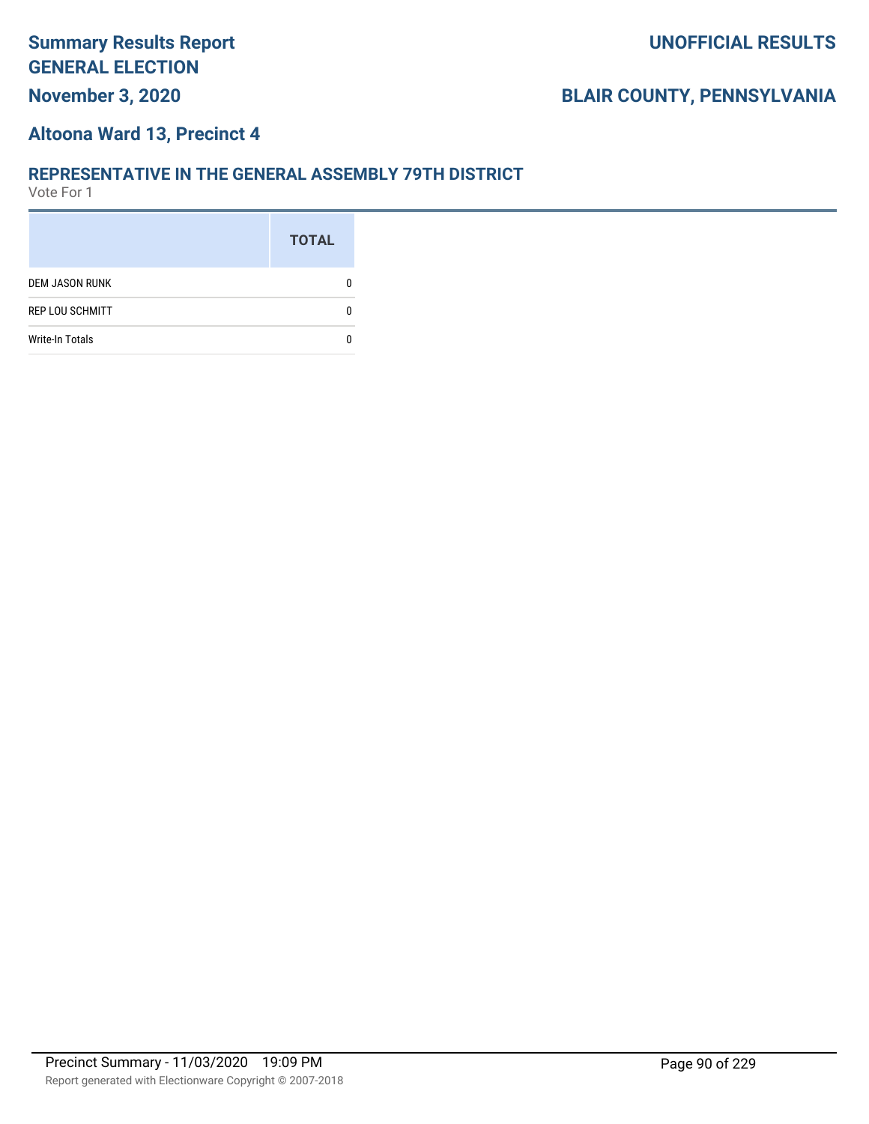#### **Altoona Ward 13, Precinct 4**

#### **REPRESENTATIVE IN THE GENERAL ASSEMBLY 79TH DISTRICT**

|                        | <b>TOTAL</b> |
|------------------------|--------------|
| <b>DEM JASON RUNK</b>  |              |
| <b>REP LOU SCHMITT</b> |              |
| <b>Write-In Totals</b> |              |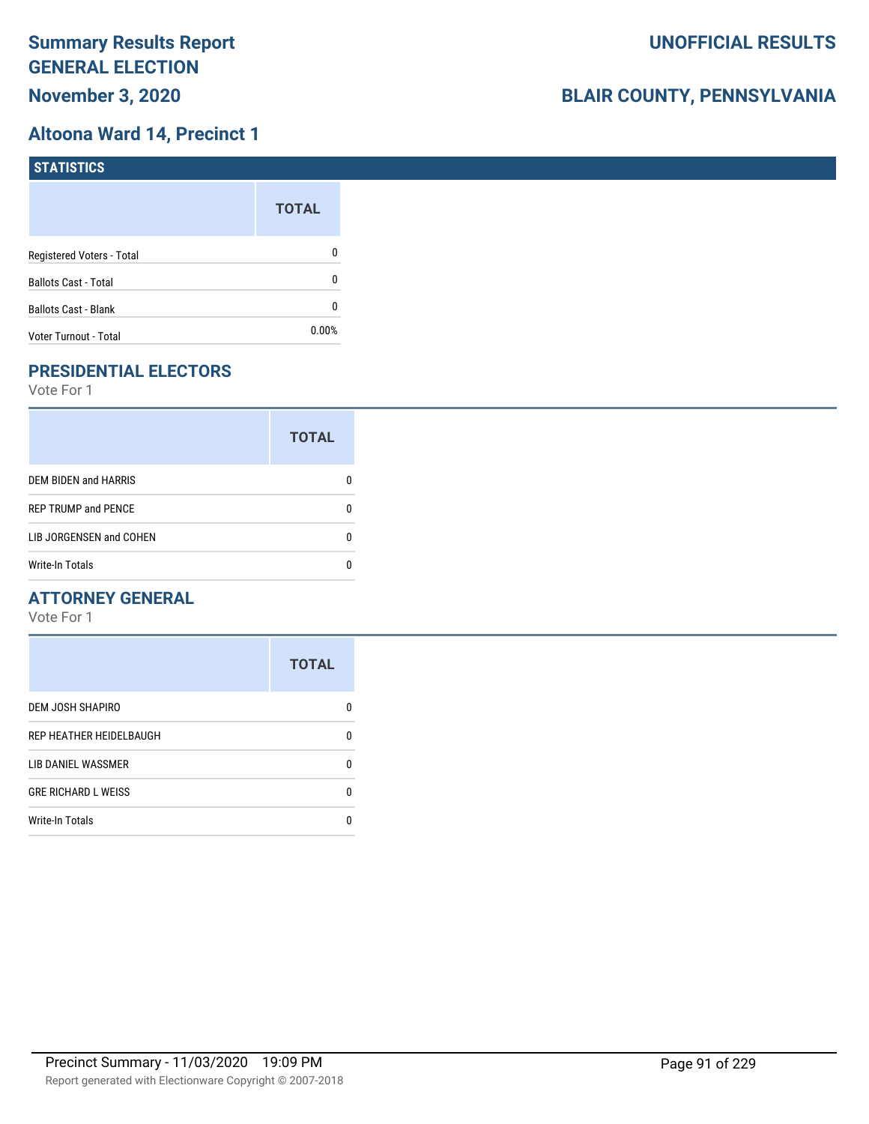## **Altoona Ward 14, Precinct 1**

| STATISTICS                  |              |
|-----------------------------|--------------|
|                             | <b>TOTAL</b> |
| Registered Voters - Total   | 0            |
| <b>Ballots Cast - Total</b> | 0            |
| <b>Ballots Cast - Blank</b> | 0            |
| Voter Turnout - Total       | $0.00\%$     |

# **PRESIDENTIAL ELECTORS**

Vote For 1

|                            | <b>TOTAL</b> |
|----------------------------|--------------|
| DEM BIDEN and HARRIS       |              |
| <b>REP TRUMP and PENCE</b> |              |
| LIB JORGENSEN and COHEN    |              |
| Write-In Totals            |              |

## **ATTORNEY GENERAL**

|                            | <b>TOTAL</b> |
|----------------------------|--------------|
| DEM JOSH SHAPIRO           | n            |
| REP HEATHER HEIDELBAUGH    | 0            |
| <b>LIB DANIEL WASSMER</b>  | n            |
| <b>GRE RICHARD L WEISS</b> | n            |
| <b>Write-In Totals</b>     |              |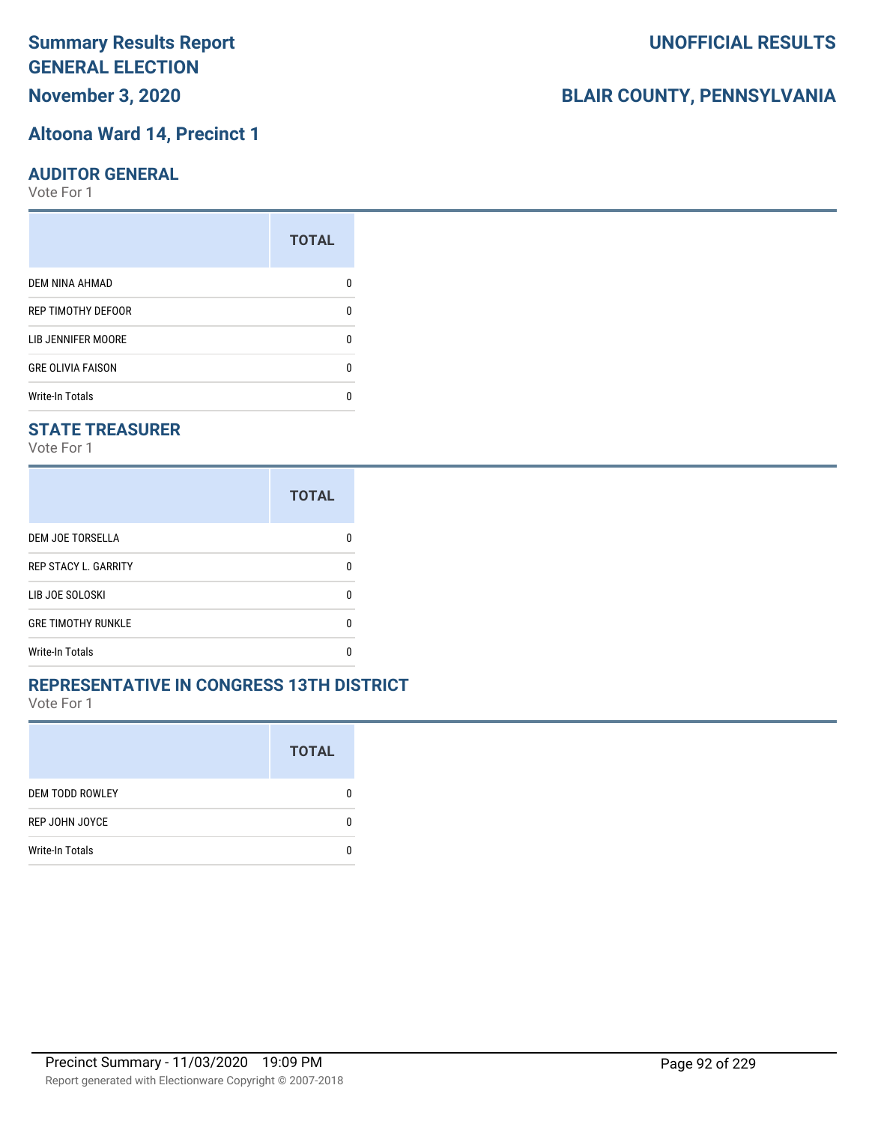# **November 3, 2020**

# **Altoona Ward 14, Precinct 1**

## **AUDITOR GENERAL**

Vote For 1

|                           | <b>TOTAL</b> |
|---------------------------|--------------|
| <b>DEM NINA AHMAD</b>     | 0            |
| <b>REP TIMOTHY DEFOOR</b> | n            |
| <b>LIB JENNIFER MOORE</b> | ŋ            |
| <b>GRE OLIVIA FAISON</b>  | 0            |
| <b>Write-In Totals</b>    |              |

# **STATE TREASURER**

Vote For 1

|                             | <b>TOTAL</b> |
|-----------------------------|--------------|
| DEM JOE TORSELLA            |              |
| <b>REP STACY L. GARRITY</b> | n            |
| LIB JOE SOLOSKI             | n            |
| <b>GRE TIMOTHY RUNKLE</b>   | n            |
| <b>Write-In Totals</b>      |              |

### **REPRESENTATIVE IN CONGRESS 13TH DISTRICT**

Vote For 1

|                        | <b>TOTAL</b> |
|------------------------|--------------|
| <b>DEM TODD ROWLEY</b> | O            |
| REP JOHN JOYCE         | n            |
| <b>Write-In Totals</b> |              |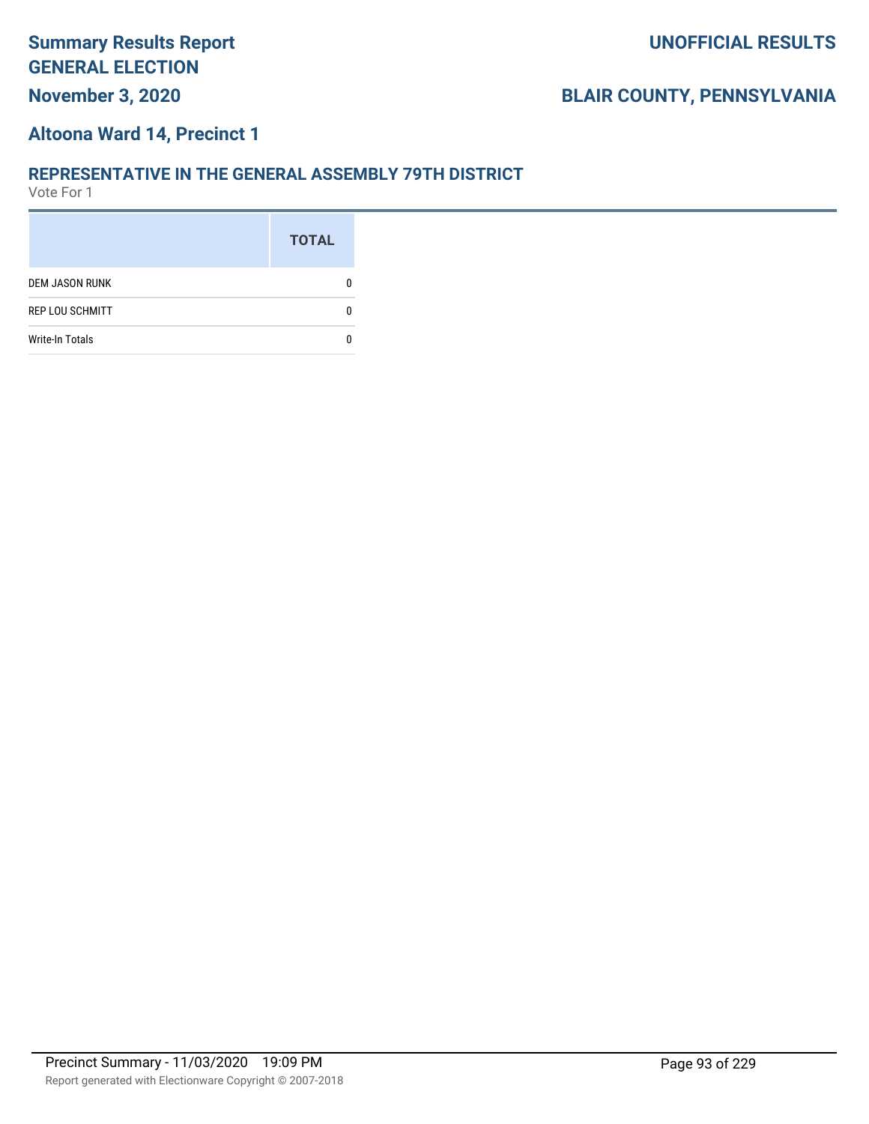# **Summary Results Report GENERAL ELECTION November 3, 2020**

# **BLAIR COUNTY, PENNSYLVANIA**

## **Altoona Ward 14, Precinct 1**

#### **REPRESENTATIVE IN THE GENERAL ASSEMBLY 79TH DISTRICT**

|                        | <b>TOTAL</b> |
|------------------------|--------------|
| <b>DEM JASON RUNK</b>  |              |
| <b>REP LOU SCHMITT</b> |              |
| <b>Write-In Totals</b> |              |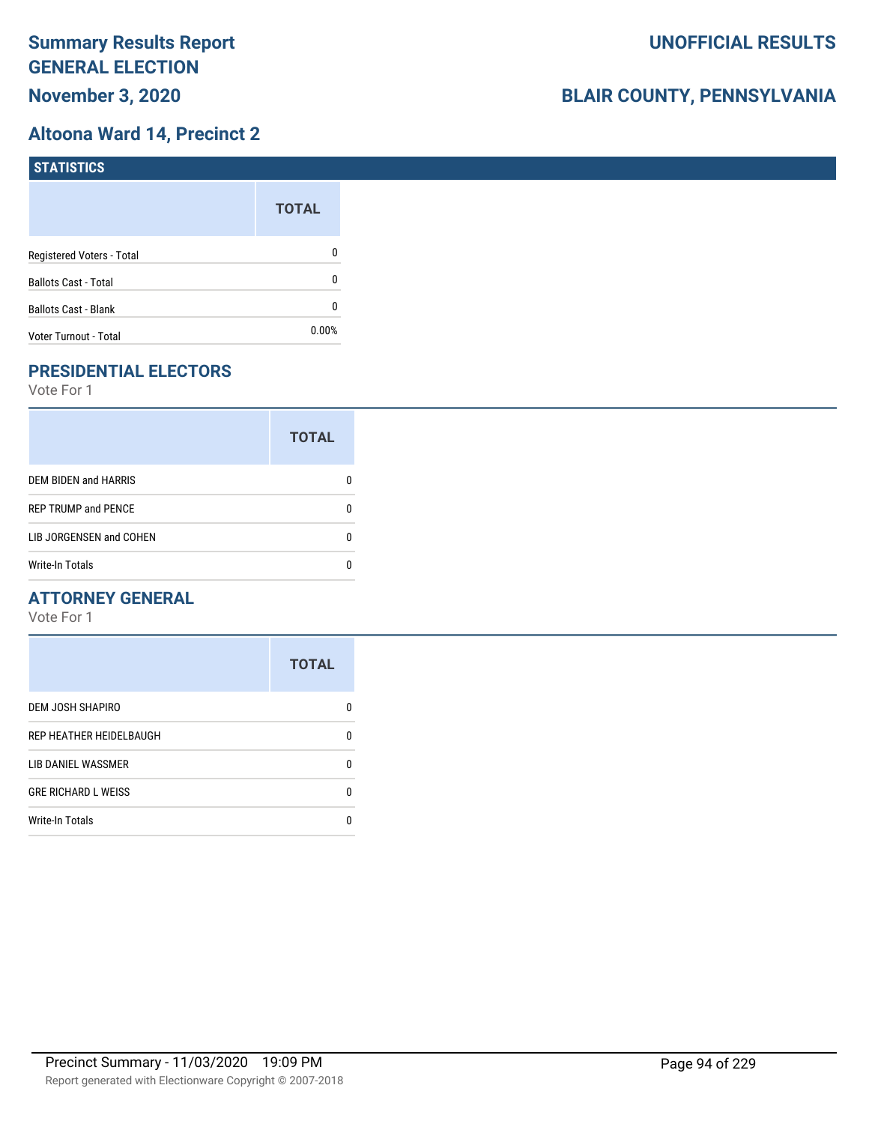## **Altoona Ward 14, Precinct 2**

| STATISTICS                  |              |
|-----------------------------|--------------|
|                             | <b>TOTAL</b> |
| Registered Voters - Total   | 0            |
| <b>Ballots Cast - Total</b> | 0            |
| <b>Ballots Cast - Blank</b> | 0            |
| Voter Turnout - Total       | $0.00\%$     |

# **PRESIDENTIAL ELECTORS**

Vote For 1

|                            | <b>TOTAL</b> |
|----------------------------|--------------|
| DEM BIDEN and HARRIS       | 0            |
| <b>REP TRUMP and PENCE</b> | O            |
| LIB JORGENSEN and COHEN    |              |
| <b>Write-In Totals</b>     |              |

## **ATTORNEY GENERAL**

|                            | <b>TOTAL</b> |
|----------------------------|--------------|
| <b>DEM JOSH SHAPIRO</b>    | n            |
| REP HEATHER HEIDELBAUGH    | 0            |
| LIB DANIEL WASSMER         | 0            |
| <b>GRE RICHARD L WEISS</b> | n            |
| <b>Write-In Totals</b>     |              |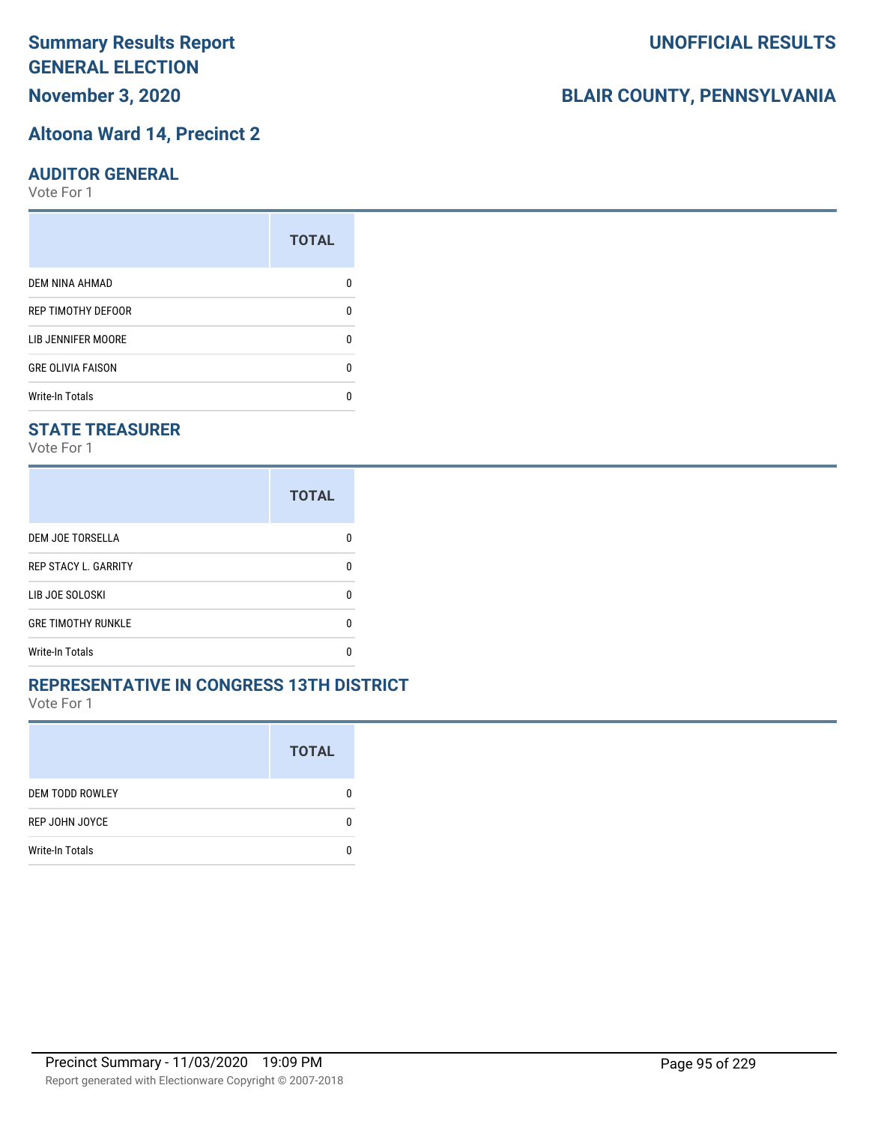# **November 3, 2020**

#### **Altoona Ward 14, Precinct 2**

#### **AUDITOR GENERAL**

Vote For 1

| <b>TOTAL</b> |
|--------------|
|              |
| ŋ            |
| ŋ            |
| 0            |
|              |
|              |

## **STATE TREASURER**

Vote For 1

|                             | <b>TOTAL</b> |
|-----------------------------|--------------|
| DEM JOE TORSELLA            |              |
| <b>REP STACY L. GARRITY</b> | n            |
| LIB JOE SOLOSKI             | n            |
| <b>GRE TIMOTHY RUNKLE</b>   | n            |
| <b>Write-In Totals</b>      |              |

### **REPRESENTATIVE IN CONGRESS 13TH DISTRICT**

Vote For 1

|                        | <b>TOTAL</b> |
|------------------------|--------------|
| <b>DEM TODD ROWLEY</b> | O            |
| REP JOHN JOYCE         | n            |
| <b>Write-In Totals</b> |              |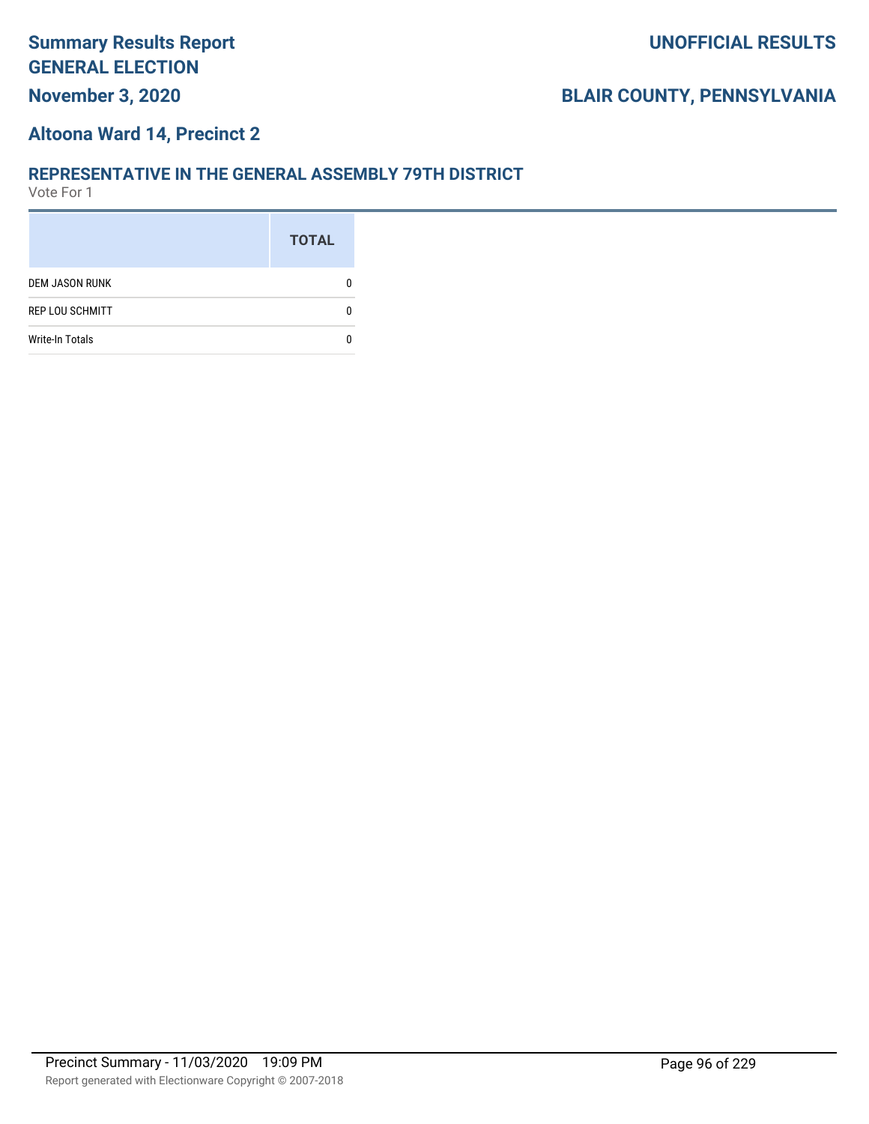# **November 3, 2020**

# **BLAIR COUNTY, PENNSYLVANIA**

#### **Altoona Ward 14, Precinct 2**

#### **REPRESENTATIVE IN THE GENERAL ASSEMBLY 79TH DISTRICT**

|                        | <b>TOTAL</b> |
|------------------------|--------------|
| <b>DEM JASON RUNK</b>  |              |
| <b>REP LOU SCHMITT</b> |              |
| <b>Write-In Totals</b> |              |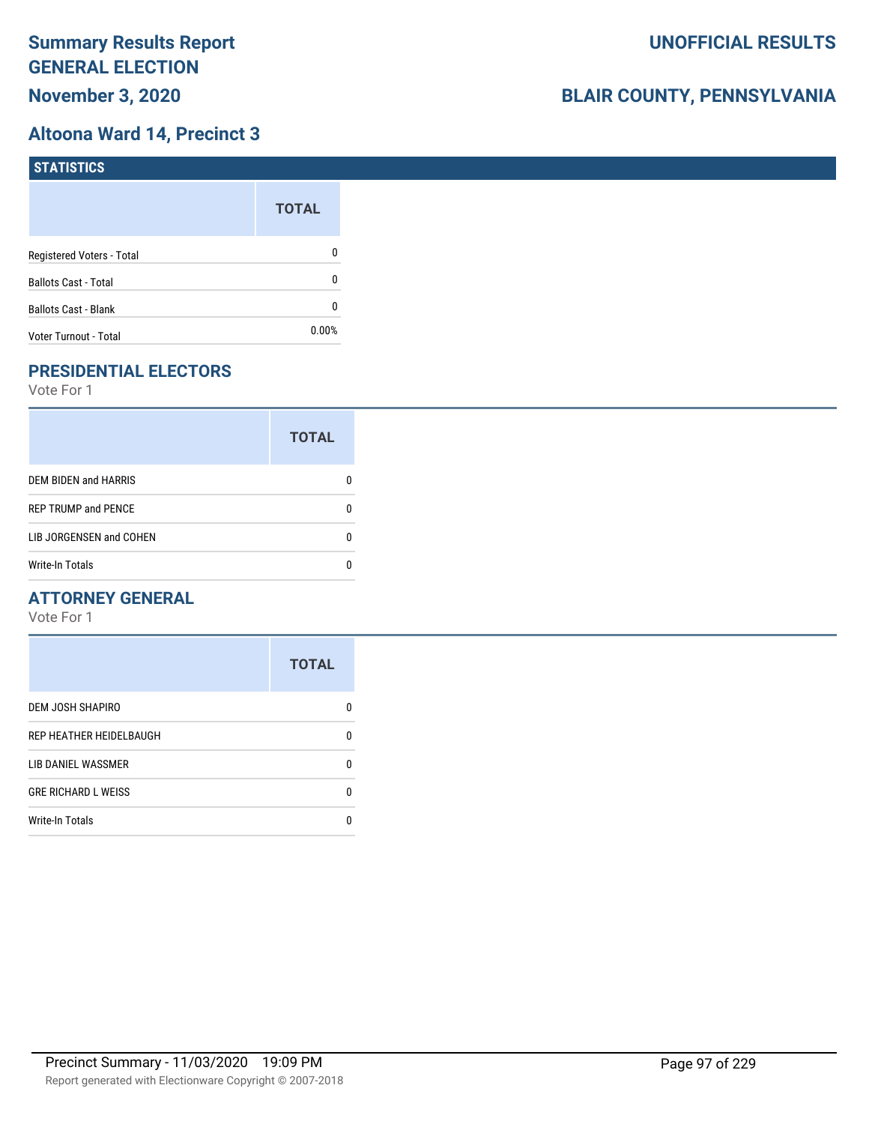## **Altoona Ward 14, Precinct 3**

| <b>STATISTICS</b>           |              |
|-----------------------------|--------------|
|                             | <b>TOTAL</b> |
| Registered Voters - Total   | 0            |
| <b>Ballots Cast - Total</b> | 0            |
| <b>Ballots Cast - Blank</b> | 0            |
| Voter Turnout - Total       | 0.00%        |

# **PRESIDENTIAL ELECTORS**

Vote For 1

|                             | <b>TOTAL</b> |
|-----------------------------|--------------|
| <b>DEM BIDEN and HARRIS</b> |              |
| <b>REP TRUMP and PENCE</b>  |              |
| LIB JORGENSEN and COHEN     |              |
| <b>Write-In Totals</b>      |              |

## **ATTORNEY GENERAL**

|                            | <b>TOTAL</b> |
|----------------------------|--------------|
| <b>DEM JOSH SHAPIRO</b>    | n            |
| REP HEATHER HEIDELBAUGH    | 0            |
| LIB DANIEL WASSMER         | n            |
| <b>GRE RICHARD L WEISS</b> | n            |
| <b>Write-In Totals</b>     |              |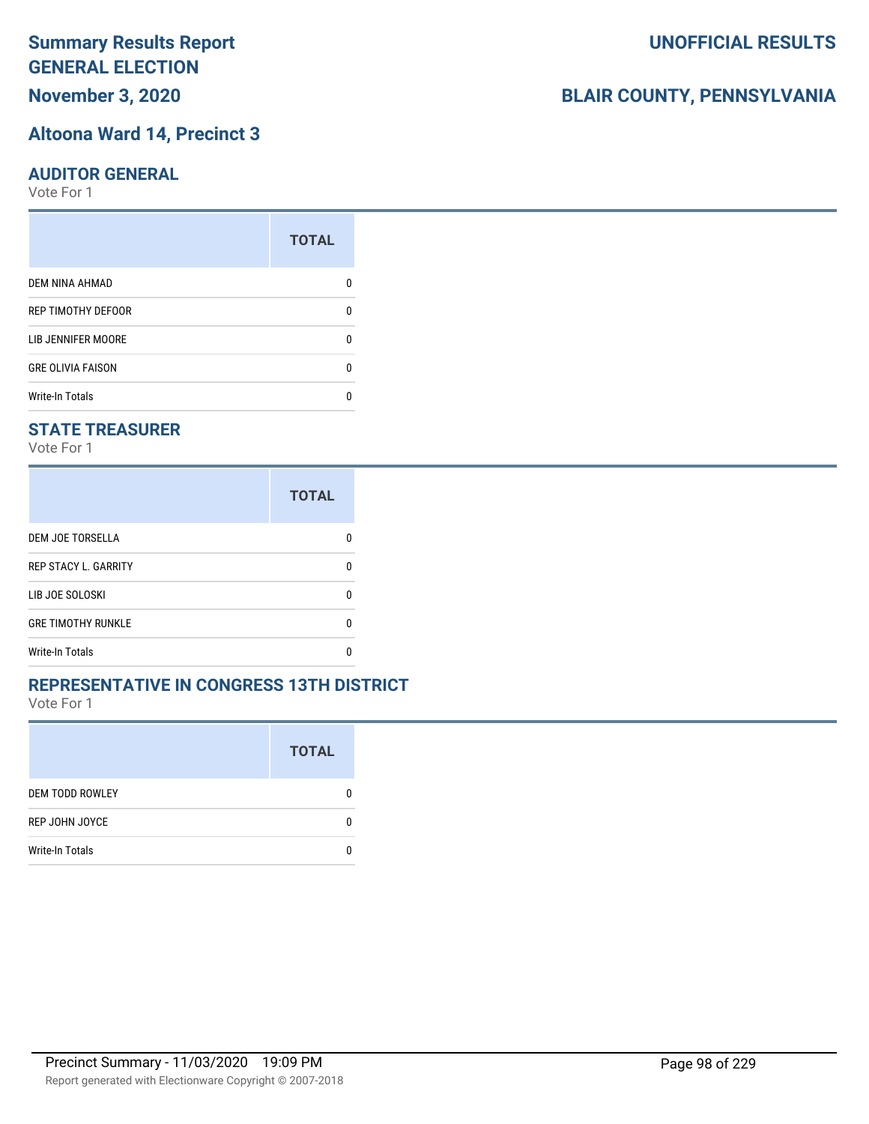# **November 3, 2020**

#### **Altoona Ward 14, Precinct 3**

#### **AUDITOR GENERAL**

Vote For 1

|                          | <b>TOTAL</b> |
|--------------------------|--------------|
| <b>DEM NINA AHMAD</b>    |              |
| REP TIMOTHY DEFOOR       | n            |
| LIB JENNIFER MOORE       |              |
| <b>GRE OLIVIA FAISON</b> | ŋ            |
| <b>Write-In Totals</b>   |              |

## **STATE TREASURER**

Vote For 1

|                             | <b>TOTAL</b> |
|-----------------------------|--------------|
| <b>DEM JOE TORSELLA</b>     | n            |
| <b>REP STACY L. GARRITY</b> | n            |
| LIB JOE SOLOSKI             | n            |
| <b>GRE TIMOTHY RUNKLE</b>   | n            |
| <b>Write-In Totals</b>      |              |

### **REPRESENTATIVE IN CONGRESS 13TH DISTRICT**

Vote For 1

|                        | <b>TOTAL</b> |
|------------------------|--------------|
| <b>DEM TODD ROWLEY</b> | 0            |
| REP JOHN JOYCE         | n            |
| <b>Write-In Totals</b> |              |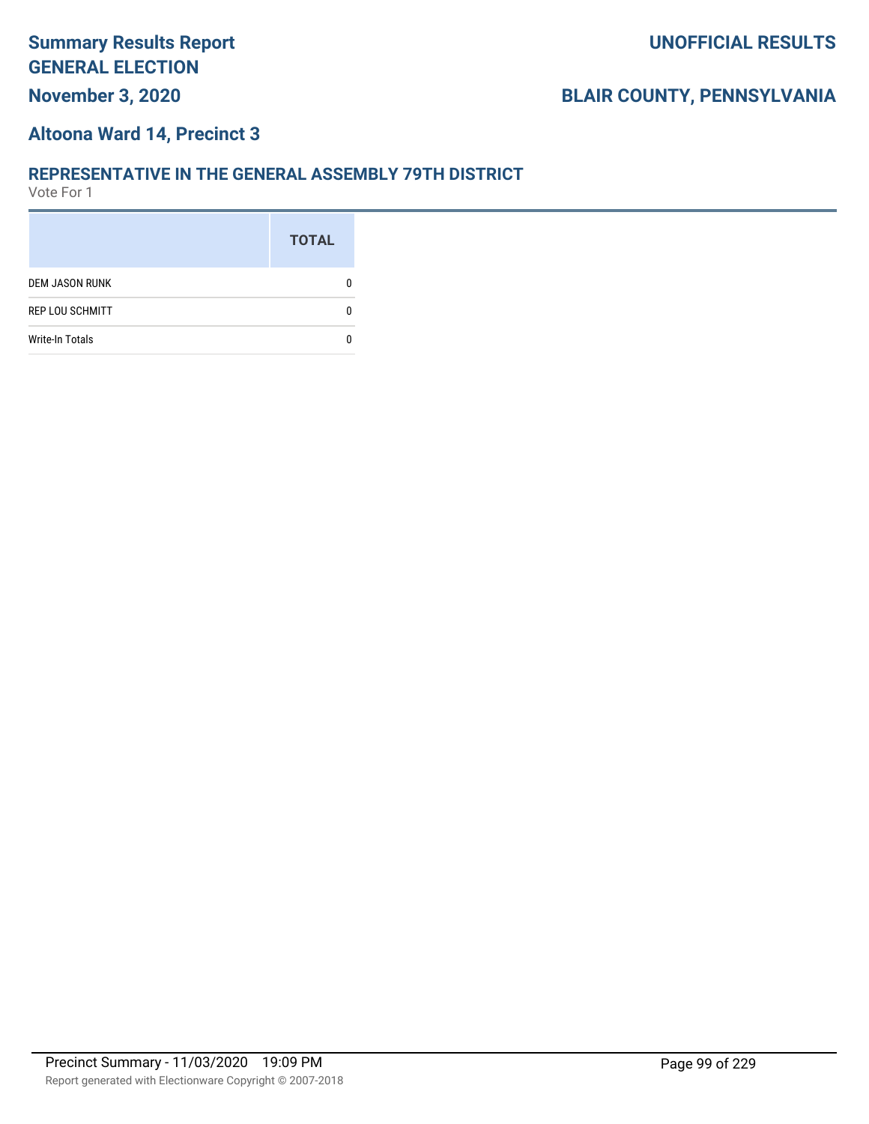# **November 3, 2020**

# **BLAIR COUNTY, PENNSYLVANIA**

#### **Altoona Ward 14, Precinct 3**

#### **REPRESENTATIVE IN THE GENERAL ASSEMBLY 79TH DISTRICT**

|                        | <b>TOTAL</b> |
|------------------------|--------------|
| <b>DEM JASON RUNK</b>  |              |
| <b>REP LOU SCHMITT</b> |              |
| <b>Write-In Totals</b> |              |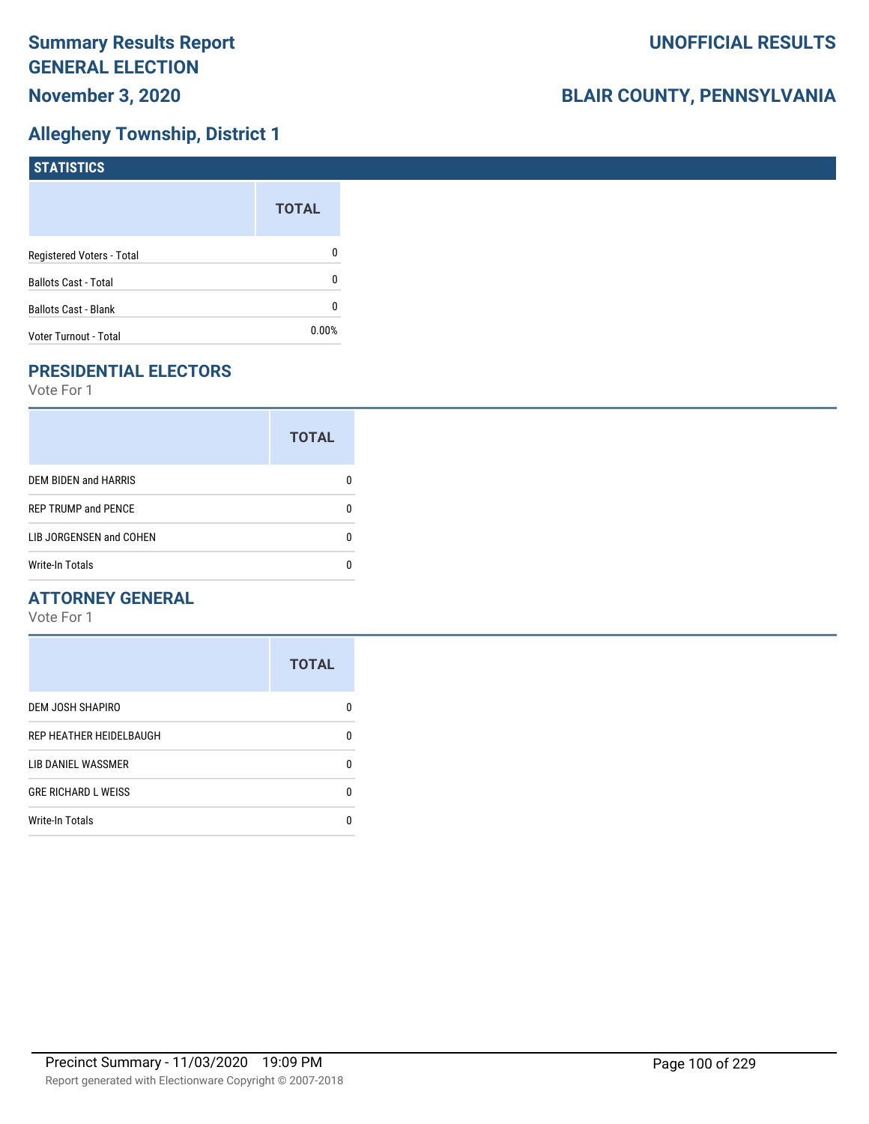# **Allegheny Township, District 1**

| STATISTICS                  |              |
|-----------------------------|--------------|
|                             | <b>TOTAL</b> |
| Registered Voters - Total   | 0            |
| <b>Ballots Cast - Total</b> | 0            |
| <b>Ballots Cast - Blank</b> | 0            |
| Voter Turnout - Total       | 0.00%        |

# **PRESIDENTIAL ELECTORS**

Vote For 1

|                             | <b>TOTAL</b> |
|-----------------------------|--------------|
| <b>DEM BIDEN and HARRIS</b> |              |
| <b>REP TRUMP and PENCE</b>  |              |
| LIB JORGENSEN and COHEN     |              |
| <b>Write-In Totals</b>      |              |

## **ATTORNEY GENERAL**

|                            | <b>TOTAL</b> |
|----------------------------|--------------|
| <b>DEM JOSH SHAPIRO</b>    | n            |
| REP HEATHER HEIDELBAUGH    | 0            |
| <b>LIB DANIEL WASSMER</b>  | n            |
| <b>GRE RICHARD L WEISS</b> | n            |
| <b>Write-In Totals</b>     |              |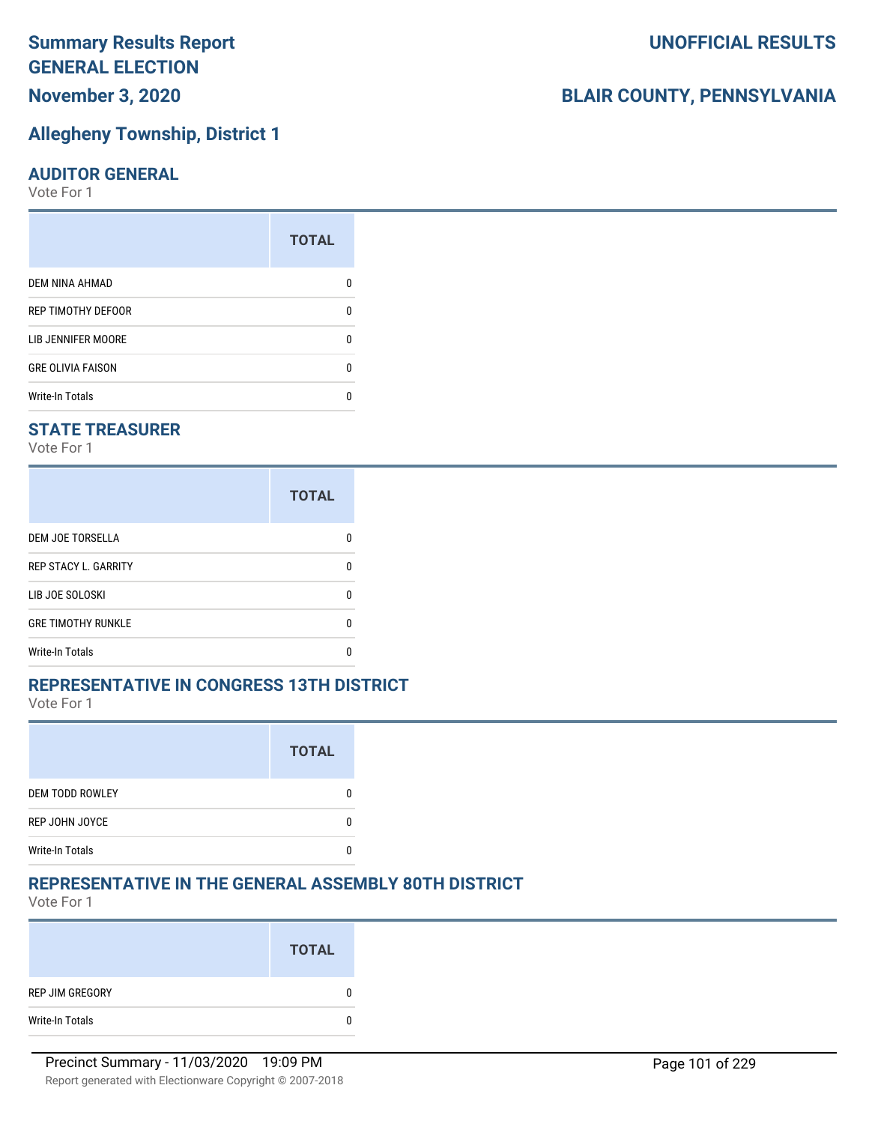# **Summary Results Report GENERAL ELECTION November 3, 2020**

## **Allegheny Township, District 1**

#### **AUDITOR GENERAL**

Vote For 1

|                           | <b>TOTAL</b> |
|---------------------------|--------------|
| <b>DEM NINA AHMAD</b>     |              |
| <b>REP TIMOTHY DEFOOR</b> | n            |
| LIB JENNIFER MOORE        | n            |
| <b>GRE OLIVIA FAISON</b>  | n            |
| <b>Write-In Totals</b>    |              |

## **STATE TREASURER**

Vote For 1

|                             | <b>TOTAL</b> |
|-----------------------------|--------------|
| DEM JOE TORSELLA            | n            |
| <b>REP STACY L. GARRITY</b> |              |
| LIB JOE SOLOSKI             | n            |
| <b>GRE TIMOTHY RUNKLE</b>   |              |
| <b>Write-In Totals</b>      |              |

#### **REPRESENTATIVE IN CONGRESS 13TH DISTRICT**

Vote For 1

|                        | <b>TOTAL</b> |
|------------------------|--------------|
| <b>DEM TODD ROWLEY</b> |              |
| <b>REP JOHN JOYCE</b>  |              |
| <b>Write-In Totals</b> |              |

## **REPRESENTATIVE IN THE GENERAL ASSEMBLY 80TH DISTRICT**

Vote For 1

|                 | <b>TOTAL</b> |
|-----------------|--------------|
| REP JIM GREGORY | 0            |
| Write-In Totals | 0            |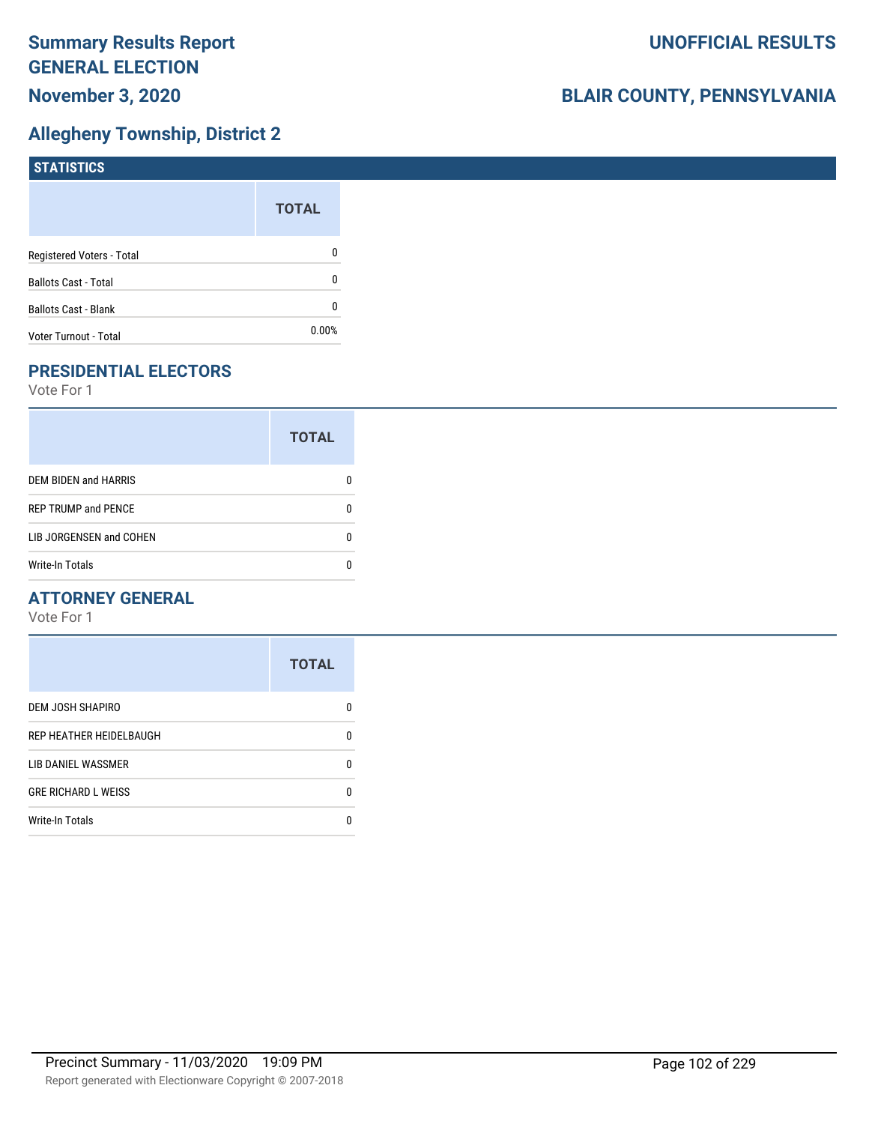## **Allegheny Township, District 2**

| <b>STATISTICS</b>           |              |
|-----------------------------|--------------|
|                             | <b>TOTAL</b> |
| Registered Voters - Total   | 0            |
| <b>Ballots Cast - Total</b> | 0            |
| Ballots Cast - Blank        | 0            |
| Voter Turnout - Total       | 0.00%        |

# **PRESIDENTIAL ELECTORS**

Vote For 1

|                            | <b>TOTAL</b> |
|----------------------------|--------------|
| DEM BIDEN and HARRIS       |              |
| <b>REP TRUMP and PENCE</b> |              |
| LIB JORGENSEN and COHEN    | O            |
| <b>Write-In Totals</b>     |              |

## **ATTORNEY GENERAL**

|                            | <b>TOTAL</b> |
|----------------------------|--------------|
| <b>DEM JOSH SHAPIRO</b>    | n            |
| REP HEATHER HEIDELBAUGH    | 0            |
| <b>LIB DANIEL WASSMER</b>  | n            |
| <b>GRE RICHARD L WEISS</b> | n            |
| <b>Write-In Totals</b>     |              |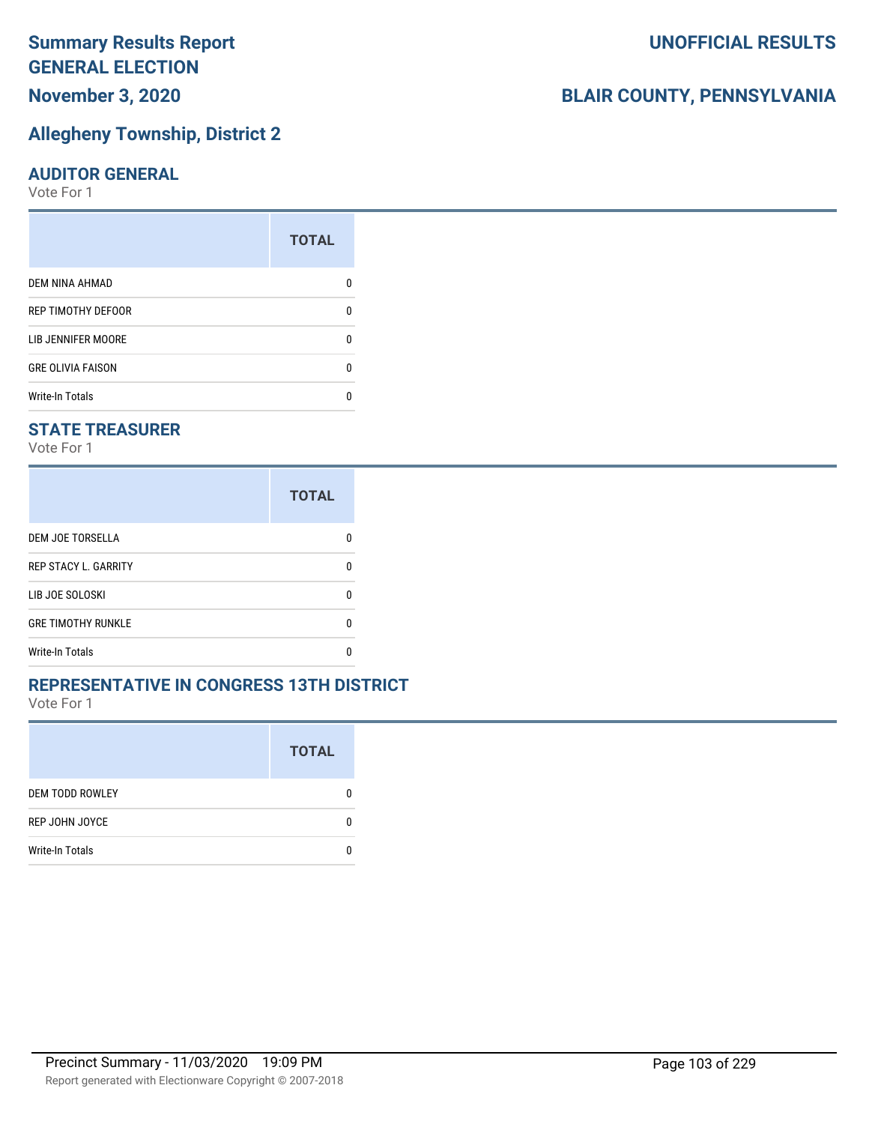# **Summary Results Report GENERAL ELECTION November 3, 2020**

# **Allegheny Township, District 2**

#### **AUDITOR GENERAL**

Vote For 1

|                          | <b>TOTAL</b> |
|--------------------------|--------------|
| DEM NINA AHMAD           |              |
| REP TIMOTHY DEFOOR       |              |
| LIB JENNIFER MOORE       |              |
| <b>GRE OLIVIA FAISON</b> | n            |
| <b>Write-In Totals</b>   |              |

## **STATE TREASURER**

Vote For 1

|                             | <b>TOTAL</b> |
|-----------------------------|--------------|
| DEM JOE TORSELLA            | n            |
| <b>REP STACY L. GARRITY</b> | n            |
| LIB JOE SOLOSKI             | n            |
| <b>GRE TIMOTHY RUNKLE</b>   | n            |
| <b>Write-In Totals</b>      | n            |

### **REPRESENTATIVE IN CONGRESS 13TH DISTRICT**

Vote For 1

|                        | <b>TOTAL</b> |
|------------------------|--------------|
| <b>DEM TODD ROWLEY</b> | O            |
| REP JOHN JOYCE         | n            |
| <b>Write-In Totals</b> |              |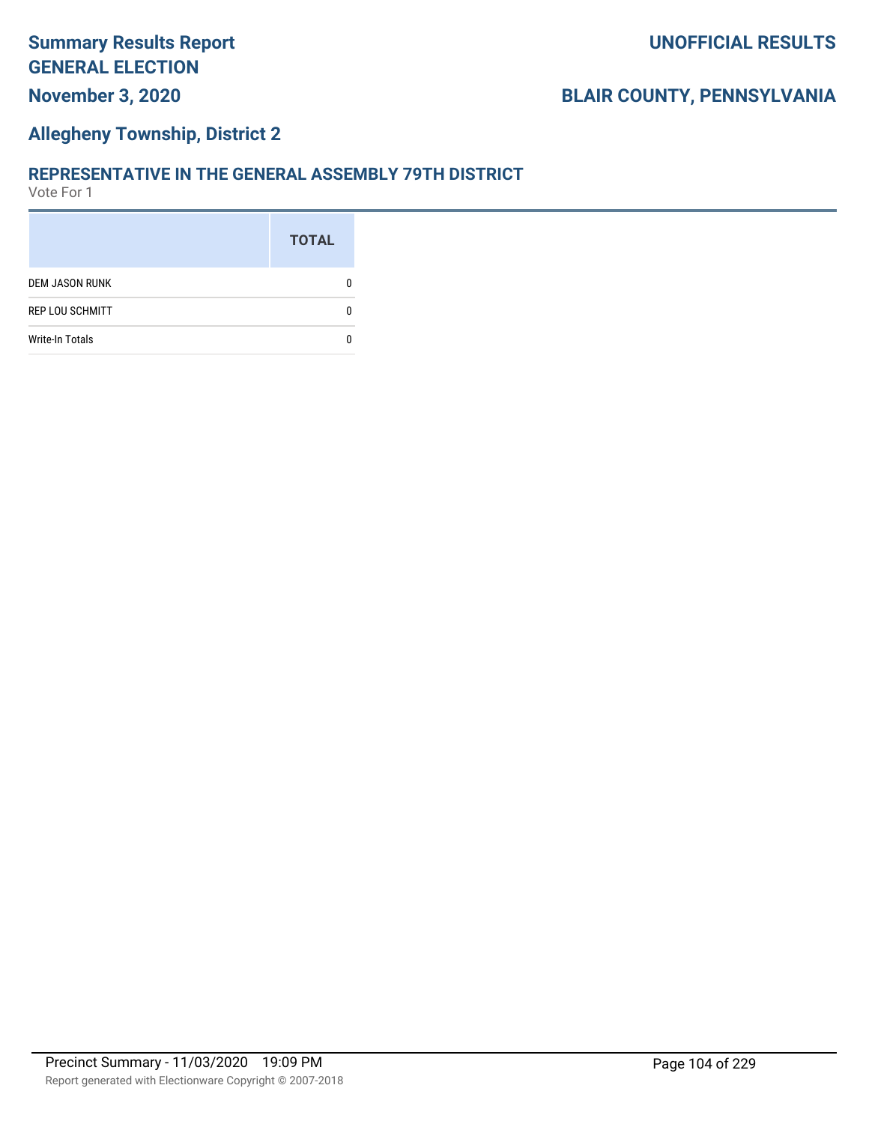## **Allegheny Township, District 2**

#### **REPRESENTATIVE IN THE GENERAL ASSEMBLY 79TH DISTRICT**

|                        | <b>TOTAL</b> |
|------------------------|--------------|
| <b>DEM JASON RUNK</b>  |              |
| <b>REP LOU SCHMITT</b> |              |
| <b>Write-In Totals</b> |              |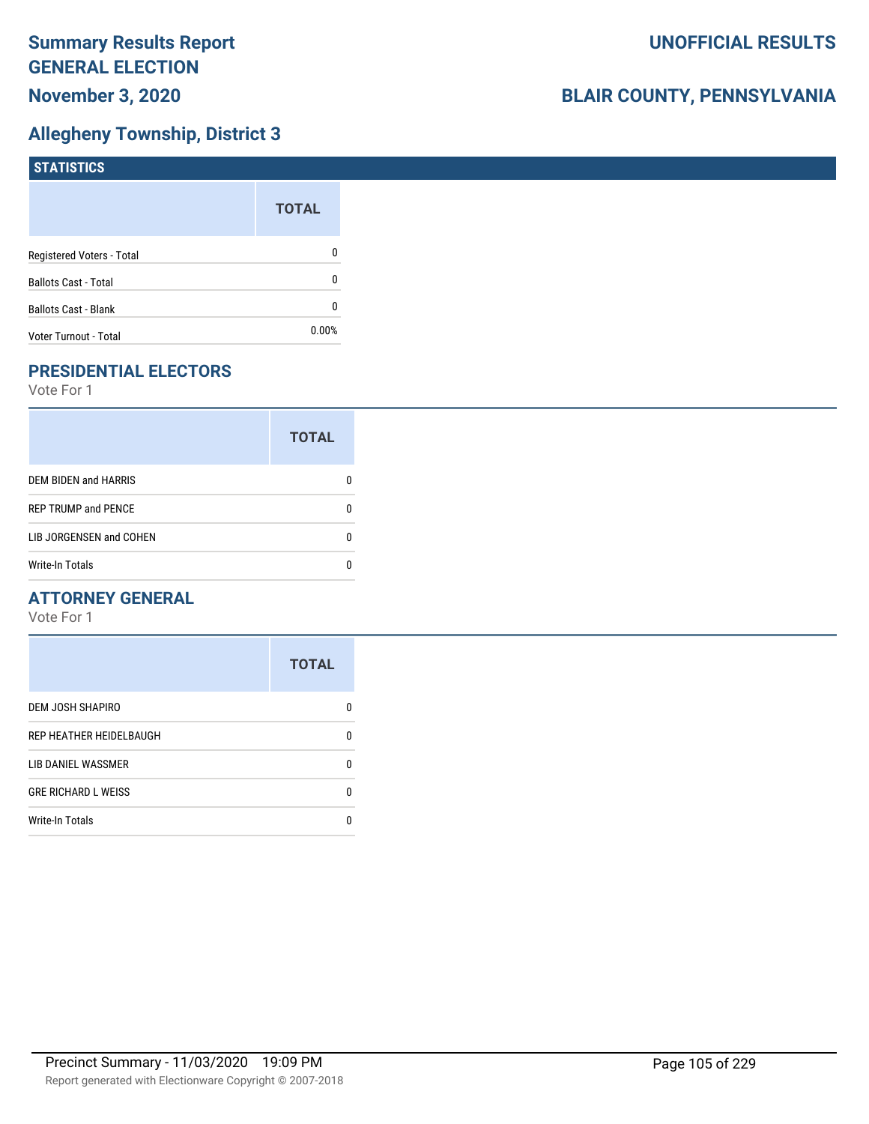## **Allegheny Township, District 3**

| STATISTICS                  |              |
|-----------------------------|--------------|
|                             | <b>TOTAL</b> |
| Registered Voters - Total   | 0            |
| <b>Ballots Cast - Total</b> | 0            |
| <b>Ballots Cast - Blank</b> | 0            |
| Voter Turnout - Total       | $0.00\%$     |

## **PRESIDENTIAL ELECTORS**

Vote For 1

|                            | <b>TOTAL</b> |
|----------------------------|--------------|
| DEM BIDEN and HARRIS       |              |
| <b>REP TRUMP and PENCE</b> |              |
| LIB JORGENSEN and COHEN    |              |
| <b>Write-In Totals</b>     |              |

## **ATTORNEY GENERAL**

|                            | <b>TOTAL</b> |
|----------------------------|--------------|
| DEM JOSH SHAPIRO           | n            |
| REP HEATHER HEIDELBAUGH    | 0            |
| <b>LIB DANIEL WASSMER</b>  | n            |
| <b>GRE RICHARD L WEISS</b> | n            |
| <b>Write-In Totals</b>     |              |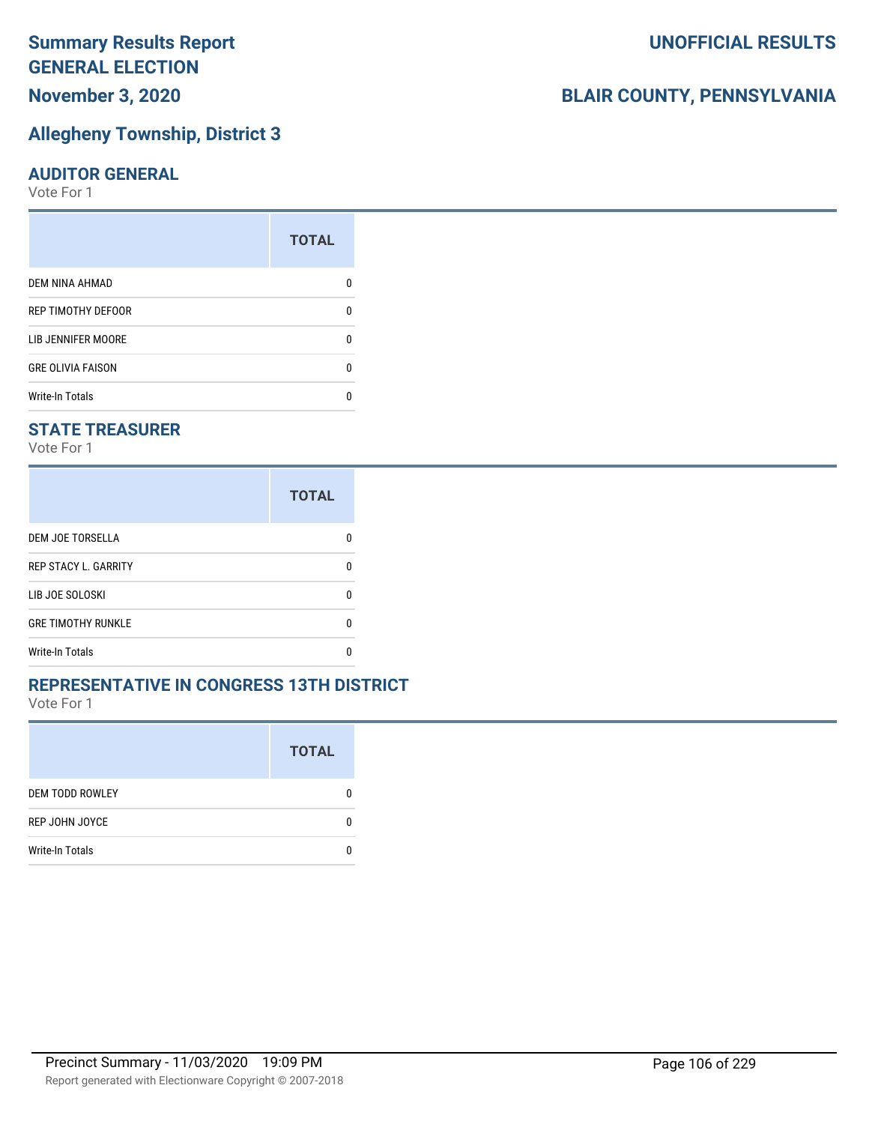# **Summary Results Report GENERAL ELECTION November 3, 2020**

# **Allegheny Township, District 3**

### **AUDITOR GENERAL**

Vote For 1

|                          | <b>TOTAL</b> |
|--------------------------|--------------|
| DEM NINA AHMAD           |              |
| REP TIMOTHY DEFOOR       |              |
| LIB JENNIFER MOORE       |              |
| <b>GRE OLIVIA FAISON</b> | n            |
| <b>Write-In Totals</b>   |              |

## **STATE TREASURER**

Vote For 1

|                             | <b>TOTAL</b> |
|-----------------------------|--------------|
| DEM JOE TORSELLA            | n            |
| <b>REP STACY L. GARRITY</b> | n            |
| LIB JOE SOLOSKI             | n            |
| <b>GRE TIMOTHY RUNKLE</b>   | n            |
| <b>Write-In Totals</b>      | n            |

### **REPRESENTATIVE IN CONGRESS 13TH DISTRICT**

Vote For 1

|                        | <b>TOTAL</b> |
|------------------------|--------------|
| <b>DEM TODD ROWLEY</b> | O            |
| REP JOHN JOYCE         | n            |
| <b>Write-In Totals</b> |              |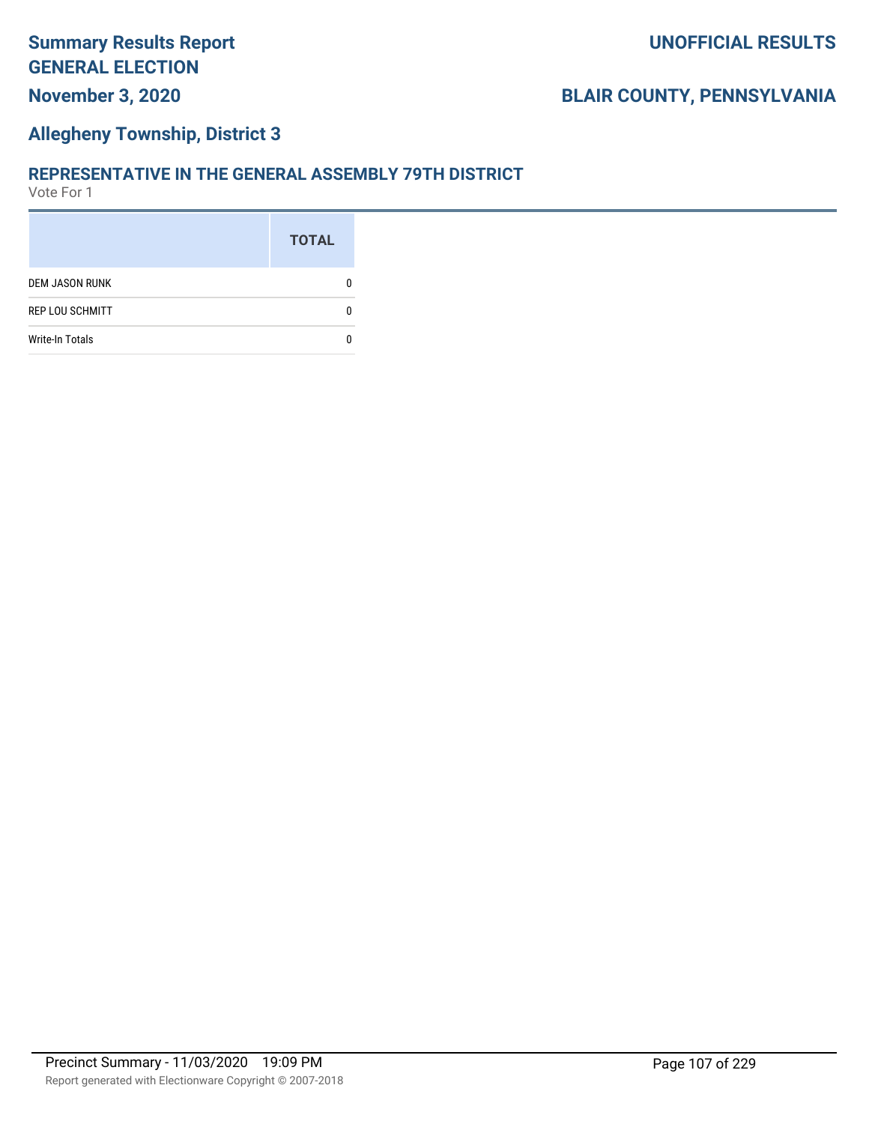## **Allegheny Township, District 3**

#### **REPRESENTATIVE IN THE GENERAL ASSEMBLY 79TH DISTRICT**

|                        | <b>TOTAL</b> |
|------------------------|--------------|
| <b>DEM JASON RUNK</b>  |              |
| <b>REP LOU SCHMITT</b> |              |
| <b>Write-In Totals</b> |              |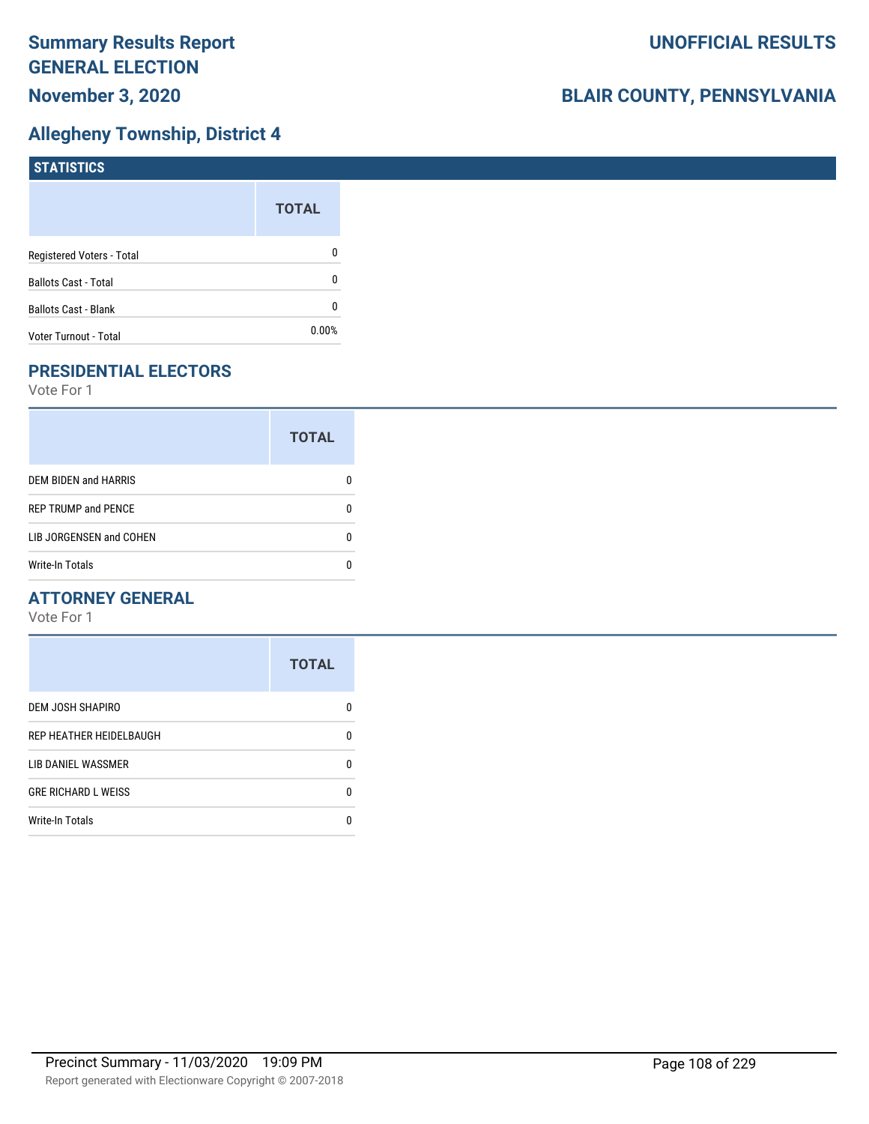## **Allegheny Township, District 4**

| STATISTICS                  |              |
|-----------------------------|--------------|
|                             | <b>TOTAL</b> |
| Registered Voters - Total   | 0            |
| <b>Ballots Cast - Total</b> | 0            |
| <b>Ballots Cast - Blank</b> | 0            |
| Voter Turnout - Total       | 0.00%        |

## **PRESIDENTIAL ELECTORS**

Vote For 1

|                            | <b>TOTAL</b> |
|----------------------------|--------------|
| DEM BIDEN and HARRIS       |              |
| <b>REP TRUMP and PENCE</b> |              |
| LIB JORGENSEN and COHEN    |              |
| <b>Write-In Totals</b>     |              |

## **ATTORNEY GENERAL**

|                            | <b>TOTAL</b> |
|----------------------------|--------------|
| DEM JOSH SHAPIRO           | n            |
| REP HEATHER HEIDELBAUGH    | 0            |
| LIB DANIEL WASSMER         | n            |
| <b>GRE RICHARD L WEISS</b> | n            |
| <b>Write-In Totals</b>     | n            |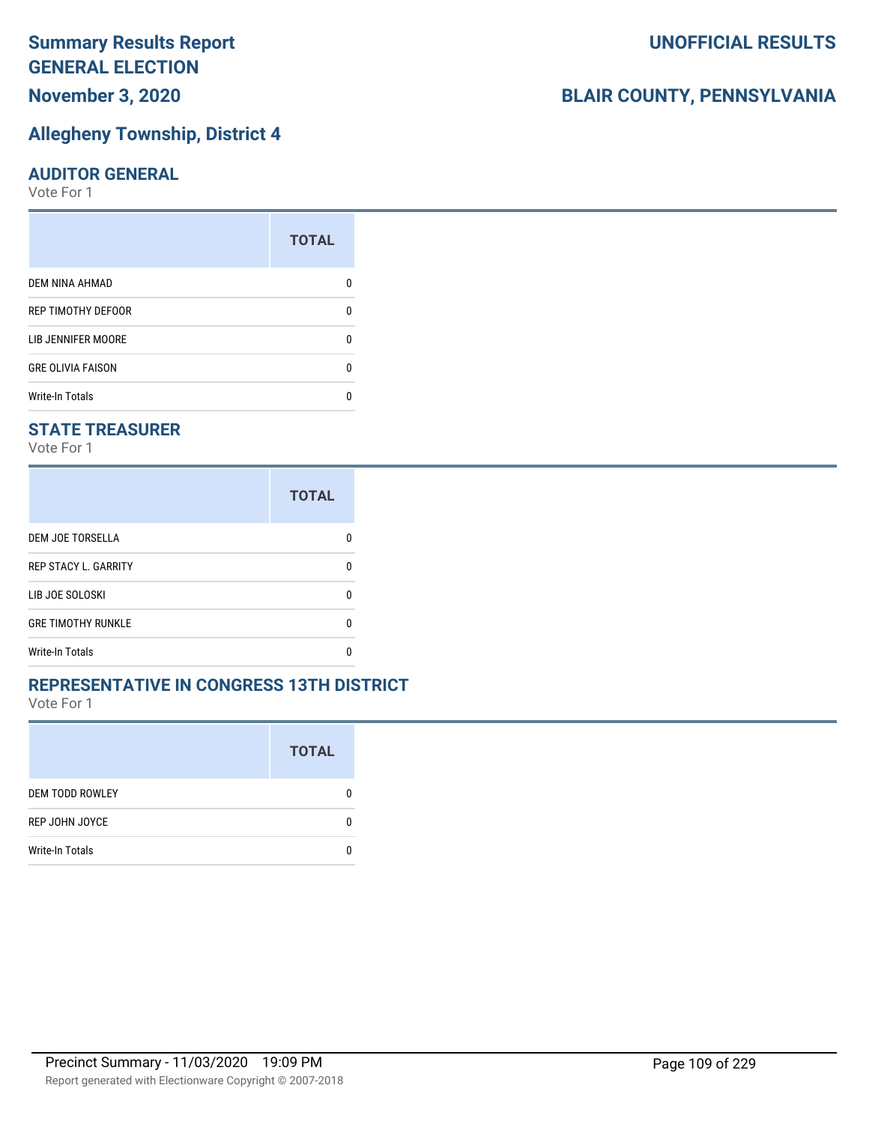### **Allegheny Township, District 4**

#### **AUDITOR GENERAL**

Vote For 1

|                          | <b>TOTAL</b> |
|--------------------------|--------------|
| DEM NINA AHMAD           |              |
| REP TIMOTHY DEFOOR       |              |
| LIB JENNIFER MOORE       |              |
| <b>GRE OLIVIA FAISON</b> | n            |
| <b>Write-In Totals</b>   |              |

#### **STATE TREASURER**

Vote For 1

|                             | <b>TOTAL</b> |
|-----------------------------|--------------|
| DEM JOE TORSELLA            |              |
| <b>REP STACY L. GARRITY</b> | n            |
| LIB JOE SOLOSKI             | O            |
| <b>GRE TIMOTHY RUNKLE</b>   | n            |
| <b>Write-In Totals</b>      |              |

#### **REPRESENTATIVE IN CONGRESS 13TH DISTRICT**

Vote For 1

|                        | <b>TOTAL</b> |
|------------------------|--------------|
| <b>DEM TODD ROWLEY</b> | O            |
| REP JOHN JOYCE         | n            |
| <b>Write-In Totals</b> |              |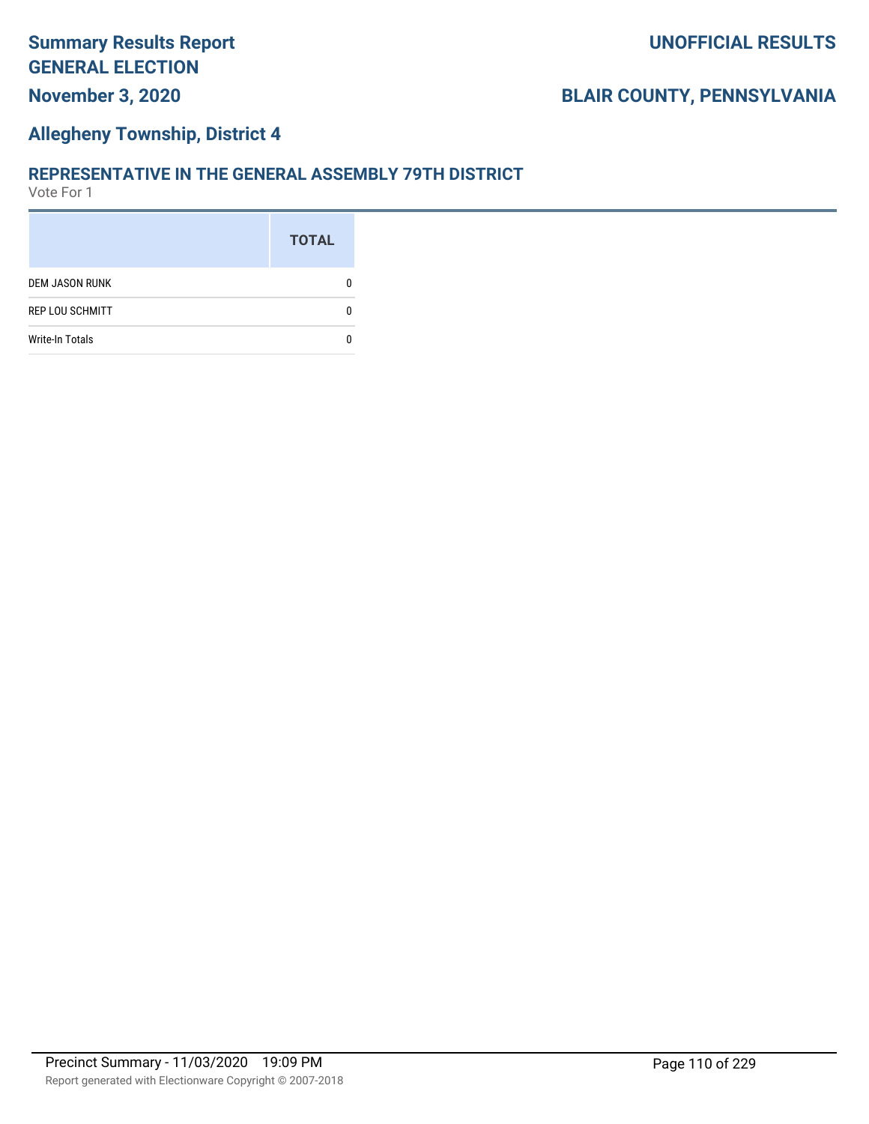#### **Allegheny Township, District 4**

#### **REPRESENTATIVE IN THE GENERAL ASSEMBLY 79TH DISTRICT**

|                        | <b>TOTAL</b> |
|------------------------|--------------|
| <b>DEM JASON RUNK</b>  |              |
| <b>REP LOU SCHMITT</b> |              |
| <b>Write-In Totals</b> |              |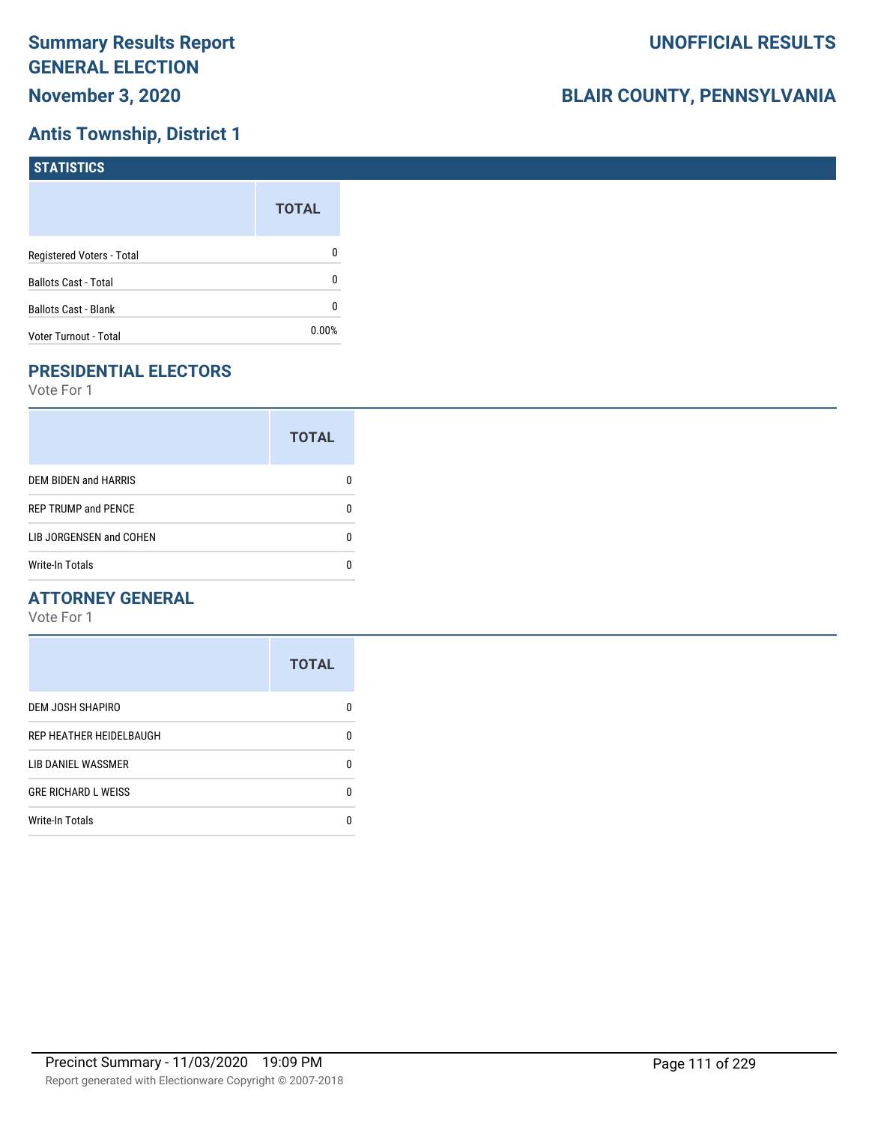## **Antis Township, District 1**

| STATISTICS                  |              |
|-----------------------------|--------------|
|                             | <b>TOTAL</b> |
| Registered Voters - Total   | 0            |
| <b>Ballots Cast - Total</b> | 0            |
| <b>Ballots Cast - Blank</b> | 0            |
| Voter Turnout - Total       | $0.00\%$     |

## **PRESIDENTIAL ELECTORS**

Vote For 1

|                            | <b>TOTAL</b> |
|----------------------------|--------------|
| DEM BIDEN and HARRIS       | 0            |
| <b>REP TRUMP and PENCE</b> | O            |
| LIB JORGENSEN and COHEN    |              |
| <b>Write-In Totals</b>     |              |

#### **ATTORNEY GENERAL**

|                            | <b>TOTAL</b> |
|----------------------------|--------------|
| DEM JOSH SHAPIRO           | O            |
| REP HEATHER HEIDELBAUGH    | 0            |
| LIB DANIEL WASSMER         | n            |
| <b>GRE RICHARD L WEISS</b> | 0            |
| <b>Write-In Totals</b>     |              |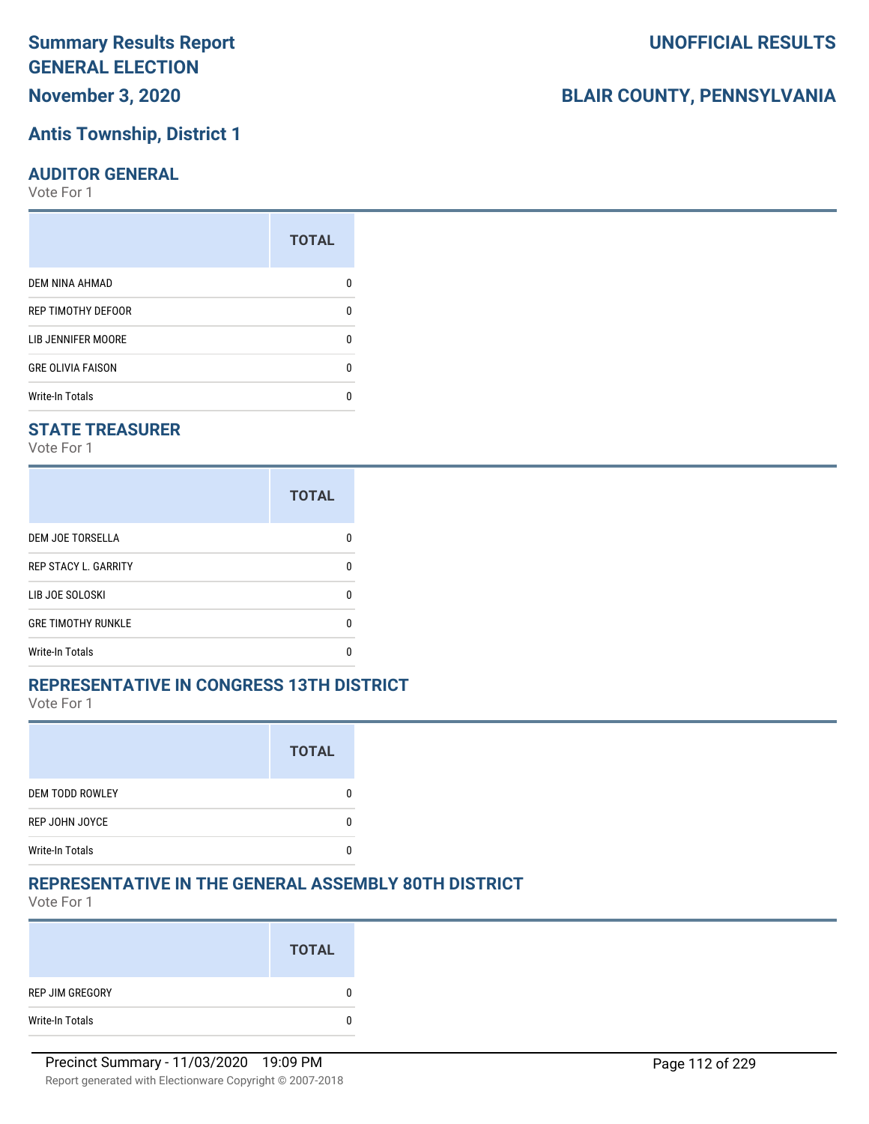# **Antis Township, District 1**

#### **AUDITOR GENERAL**

Vote For 1

|                          | <b>TOTAL</b> |
|--------------------------|--------------|
| DEM NINA AHMAD           |              |
| REP TIMOTHY DEFOOR       | 0            |
| LIB JENNIFER MOORE       | 0            |
| <b>GRE OLIVIA FAISON</b> | 0            |
| <b>Write-In Totals</b>   |              |

#### **STATE TREASURER**

Vote For 1

|                             | <b>TOTAL</b> |
|-----------------------------|--------------|
| <b>DEM JOE TORSELLA</b>     | n            |
| <b>REP STACY L. GARRITY</b> | n            |
| LIB JOE SOLOSKI             | n            |
| <b>GRE TIMOTHY RUNKLE</b>   | n            |
| Write-In Totals             |              |

#### **REPRESENTATIVE IN CONGRESS 13TH DISTRICT**

Vote For 1

|                        | <b>TOTAL</b> |
|------------------------|--------------|
| <b>DEM TODD ROWLEY</b> |              |
| REP JOHN JOYCE         |              |
| <b>Write-In Totals</b> |              |

#### **REPRESENTATIVE IN THE GENERAL ASSEMBLY 80TH DISTRICT**

Vote For 1

|                 | <b>TOTAL</b> |
|-----------------|--------------|
| REP JIM GREGORY | 0            |
| Write-In Totals |              |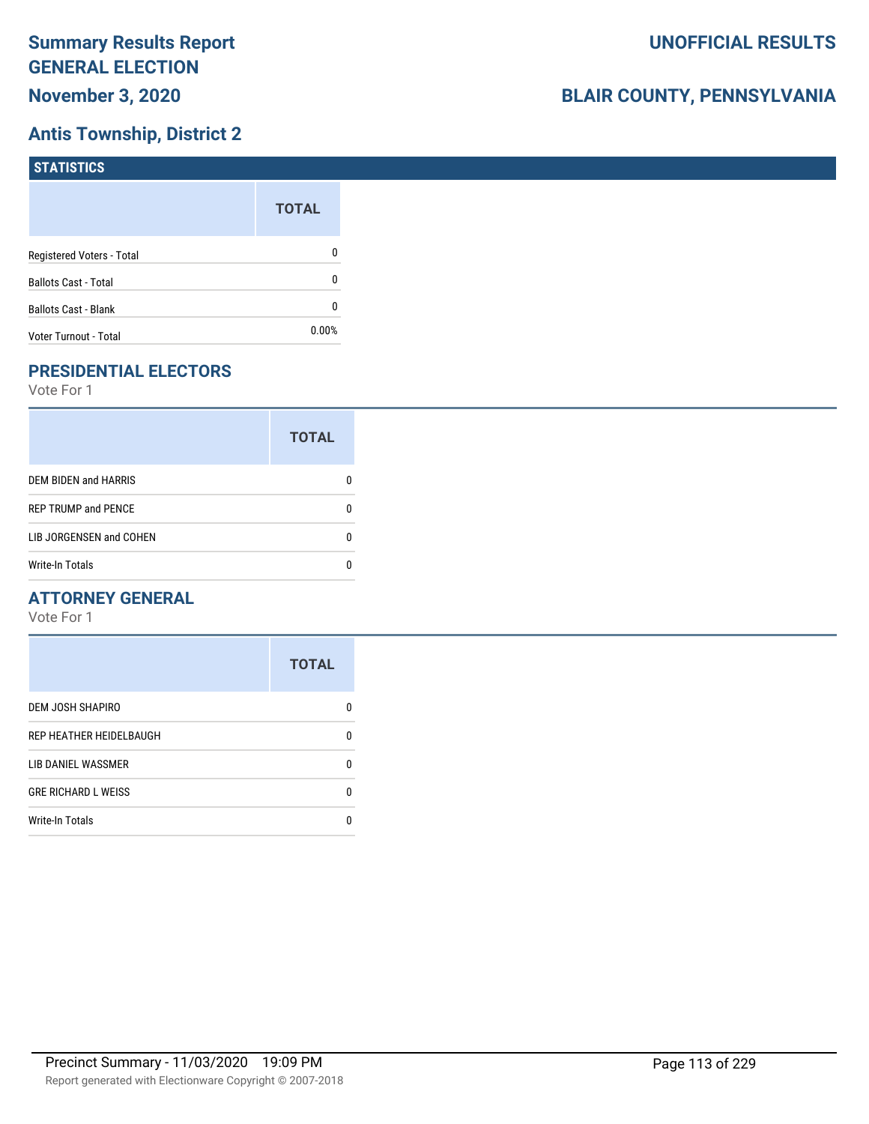## **Antis Township, District 2**

| STATISTICS                  |              |
|-----------------------------|--------------|
|                             | <b>TOTAL</b> |
| Registered Voters - Total   | 0            |
| <b>Ballots Cast - Total</b> | 0            |
| <b>Ballots Cast - Blank</b> | 0            |
| Voter Turnout - Total       | $0.00\%$     |

## **PRESIDENTIAL ELECTORS**

Vote For 1

|                             | <b>TOTAL</b> |
|-----------------------------|--------------|
| <b>DEM BIDEN and HARRIS</b> |              |
| <b>REP TRUMP and PENCE</b>  |              |
| LIB JORGENSEN and COHEN     | n            |
| <b>Write-In Totals</b>      |              |

#### **ATTORNEY GENERAL**

|                            | <b>TOTAL</b> |
|----------------------------|--------------|
| DEM JOSH SHAPIRO           | n            |
| REP HEATHER HEIDELBAUGH    | 0            |
| LIB DANIEL WASSMER         | n            |
| <b>GRE RICHARD L WEISS</b> | n            |
| <b>Write-In Totals</b>     |              |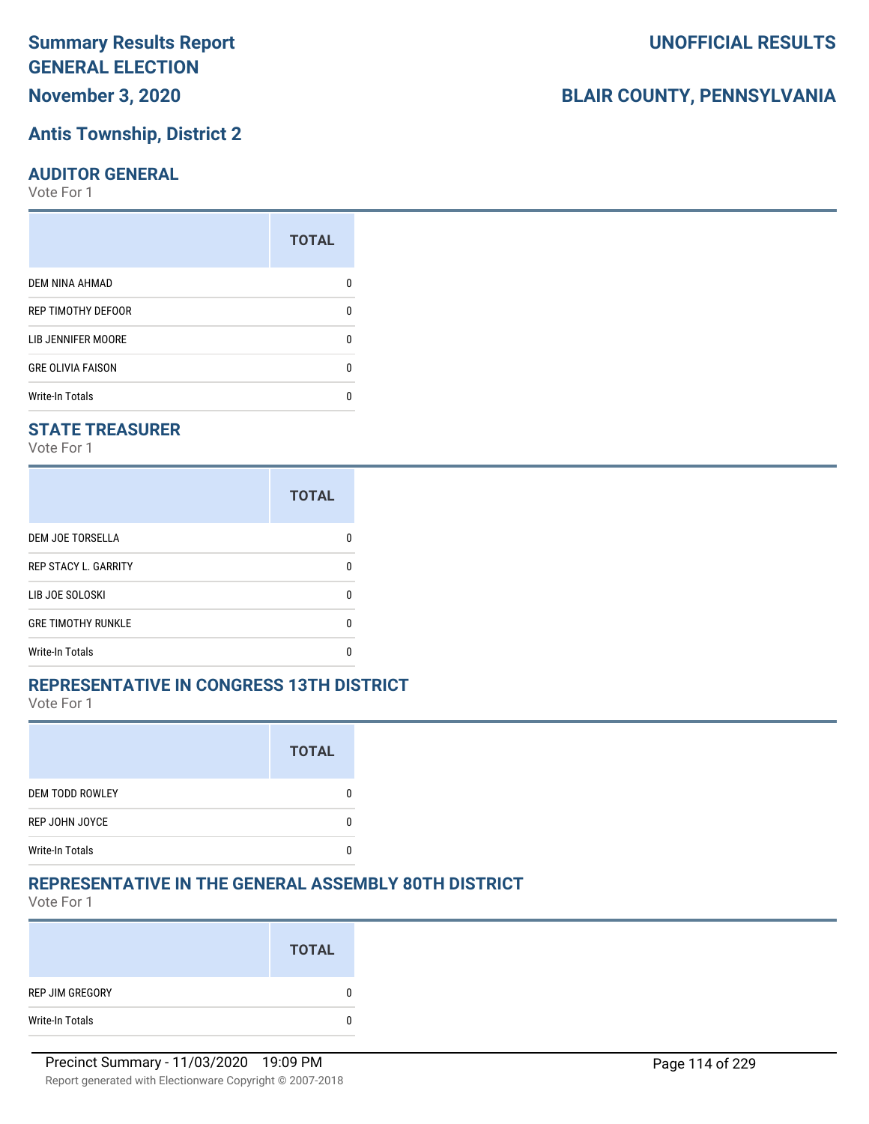## **Antis Township, District 2**

#### **AUDITOR GENERAL**

Vote For 1

|                           | <b>TOTAL</b> |
|---------------------------|--------------|
| DEM NINA AHMAD            | n            |
| REP TIMOTHY DEFOOR        | U            |
| <b>LIB JENNIFER MOORE</b> | n            |
| <b>GRE OLIVIA FAISON</b>  | U            |
| <b>Write-In Totals</b>    | n            |

#### **STATE TREASURER**

Vote For 1

|                             | <b>TOTAL</b> |
|-----------------------------|--------------|
| DEM JOE TORSELLA            | n            |
| <b>REP STACY L. GARRITY</b> | n            |
| LIB JOE SOLOSKI             | n            |
| <b>GRE TIMOTHY RUNKLE</b>   | n            |
| <b>Write-In Totals</b>      | n            |

#### **REPRESENTATIVE IN CONGRESS 13TH DISTRICT**

Vote For 1

|                        | <b>TOTAL</b> |
|------------------------|--------------|
| DEM TODD ROWLEY        |              |
| REP JOHN JOYCE         |              |
| <b>Write-In Totals</b> |              |

#### **REPRESENTATIVE IN THE GENERAL ASSEMBLY 80TH DISTRICT**

Vote For 1

|                 | <b>TOTAL</b> |
|-----------------|--------------|
| REP JIM GREGORY | 0            |
| Write-In Totals | 0            |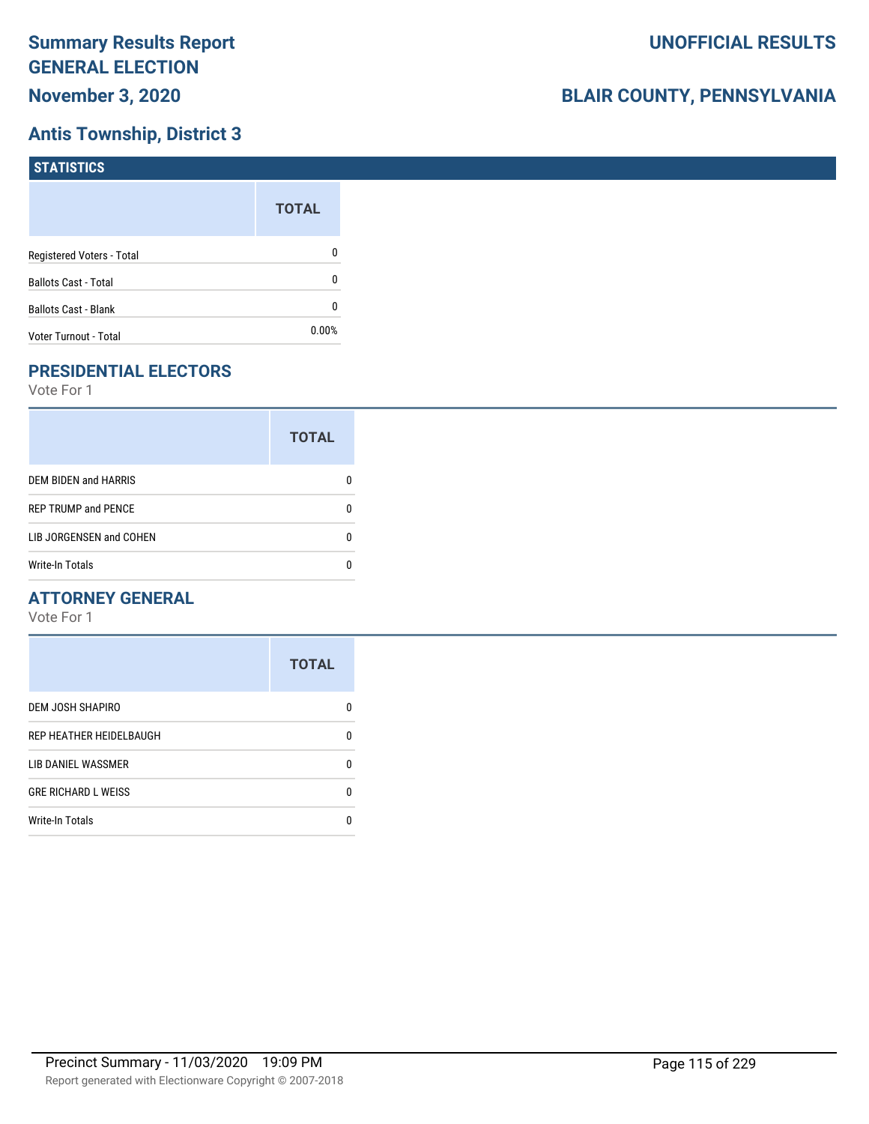## **Antis Township, District 3**

| STATISTICS                  |              |
|-----------------------------|--------------|
|                             | <b>TOTAL</b> |
| Registered Voters - Total   | 0            |
| <b>Ballots Cast - Total</b> | 0            |
| <b>Ballots Cast - Blank</b> | 0            |
| Voter Turnout - Total       | $0.00\%$     |

## **PRESIDENTIAL ELECTORS**

Vote For 1

|                            | <b>TOTAL</b> |
|----------------------------|--------------|
| DEM BIDEN and HARRIS       |              |
| <b>REP TRUMP and PENCE</b> |              |
| LIB JORGENSEN and COHEN    |              |
| <b>Write-In Totals</b>     |              |

#### **ATTORNEY GENERAL**

|                            | <b>TOTAL</b> |
|----------------------------|--------------|
| DEM JOSH SHAPIRO           | n            |
| REP HEATHER HEIDELBAUGH    | 0            |
| LIB DANIEL WASSMER         | 0            |
| <b>GRE RICHARD L WEISS</b> | 0            |
| <b>Write-In Totals</b>     | n            |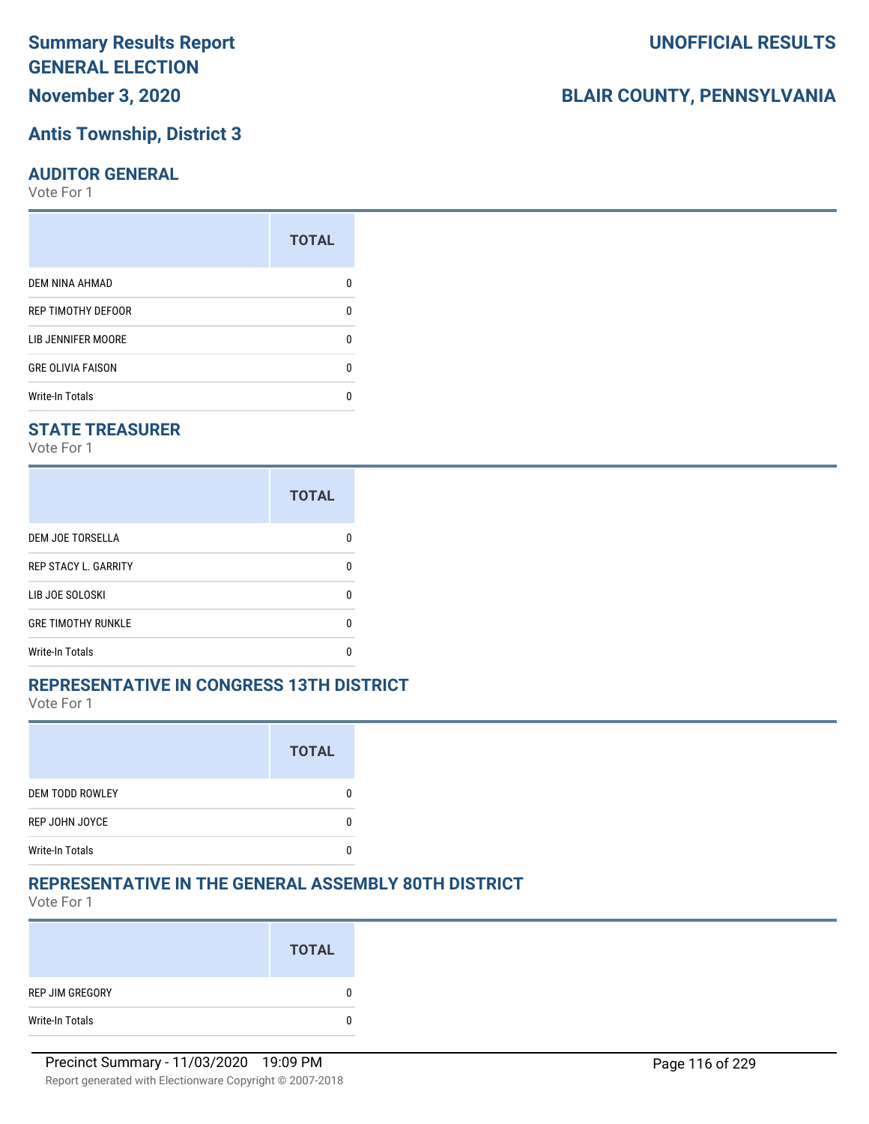## **Antis Township, District 3**

#### **AUDITOR GENERAL**

Vote For 1

|                           | <b>TOTAL</b> |
|---------------------------|--------------|
| DEM NINA AHMAD            | n            |
| REP TIMOTHY DEFOOR        | U            |
| <b>LIB JENNIFER MOORE</b> | n            |
| <b>GRE OLIVIA FAISON</b>  | U            |
| <b>Write-In Totals</b>    | n            |

#### **STATE TREASURER**

Vote For 1

|                             | <b>TOTAL</b> |
|-----------------------------|--------------|
| DEM JOE TORSELLA            | n            |
| <b>REP STACY L. GARRITY</b> | n            |
| LIB JOE SOLOSKI             | n            |
| <b>GRE TIMOTHY RUNKLE</b>   | n            |
| <b>Write-In Totals</b>      | n            |

#### **REPRESENTATIVE IN CONGRESS 13TH DISTRICT**

Vote For 1

|                        | <b>TOTAL</b> |
|------------------------|--------------|
| <b>DEM TODD ROWLEY</b> |              |
| <b>REP JOHN JOYCE</b>  |              |
| <b>Write-In Totals</b> |              |

#### **REPRESENTATIVE IN THE GENERAL ASSEMBLY 80TH DISTRICT**

Vote For 1

|                 | <b>TOTAL</b> |
|-----------------|--------------|
| REP JIM GREGORY | 0            |
| Write-In Totals | 0            |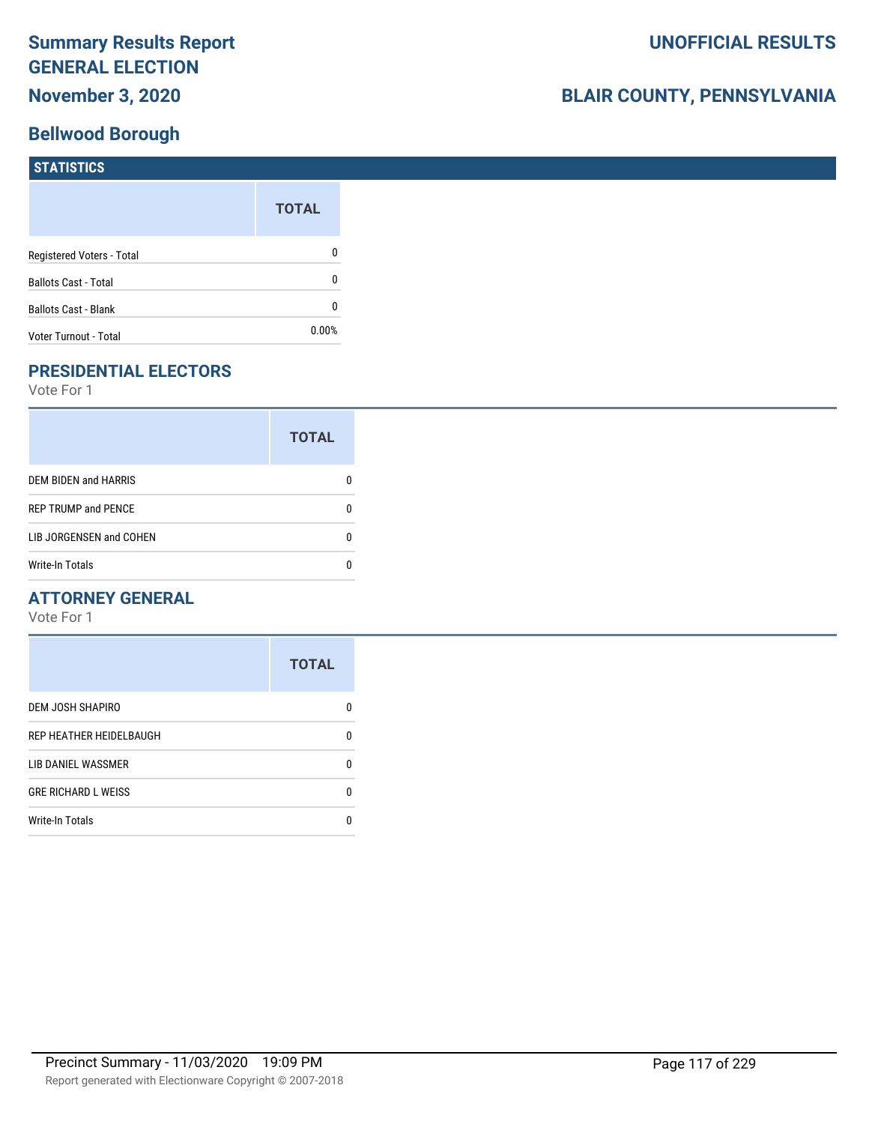### **Bellwood Borough**

# **BLAIR COUNTY, PENNSYLVANIA**

| <b>STATISTICS</b>           |              |
|-----------------------------|--------------|
|                             | <b>TOTAL</b> |
| Registered Voters - Total   | 0            |
| <b>Ballots Cast - Total</b> | 0            |
| <b>Ballots Cast - Blank</b> | 0            |
| Voter Turnout - Total       | 0.00%        |

## **PRESIDENTIAL ELECTORS**

Vote For 1

|                            | <b>TOTAL</b> |
|----------------------------|--------------|
| DEM BIDEN and HARRIS       |              |
| <b>REP TRUMP and PENCE</b> |              |
| LIB JORGENSEN and COHEN    | n            |
| <b>Write-In Totals</b>     |              |

#### **ATTORNEY GENERAL**

|                            | <b>TOTAL</b> |
|----------------------------|--------------|
| DEM JOSH SHAPIRO           | n            |
| REP HEATHER HEIDELBAUGH    | 0            |
| LIB DANIEL WASSMER         | 0            |
| <b>GRE RICHARD L WEISS</b> | n            |
| <b>Write-In Totals</b>     | n            |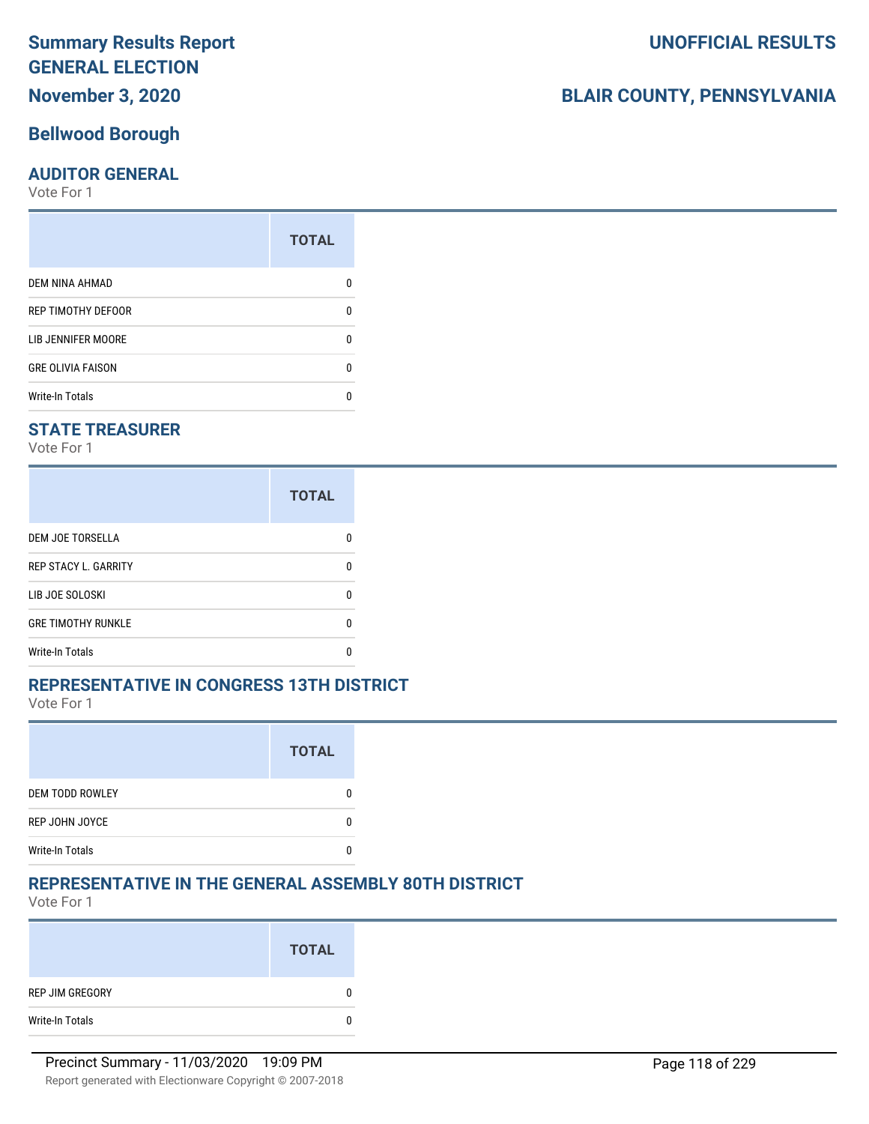## **November 3, 2020**

## **Bellwood Borough**

#### **AUDITOR GENERAL**

Vote For 1

| <b>TOTAL</b> |
|--------------|
|              |
| 0            |
| O            |
| O            |
|              |
|              |

## **STATE TREASURER**

Vote For 1

|                             | <b>TOTAL</b> |
|-----------------------------|--------------|
| <b>DEM JOE TORSELLA</b>     | n            |
| <b>REP STACY L. GARRITY</b> | n            |
| LIB JOE SOLOSKI             | n            |
| <b>GRE TIMOTHY RUNKLE</b>   | n            |
| Write-In Totals             |              |

#### **REPRESENTATIVE IN CONGRESS 13TH DISTRICT**

Vote For 1

|                        | <b>TOTAL</b> |
|------------------------|--------------|
| <b>DEM TODD ROWLEY</b> |              |
| REP JOHN JOYCE         |              |
| <b>Write-In Totals</b> |              |

## **REPRESENTATIVE IN THE GENERAL ASSEMBLY 80TH DISTRICT**

Vote For 1

|                 | <b>TOTAL</b> |
|-----------------|--------------|
| REP JIM GREGORY | 0            |
| Write-In Totals | 0            |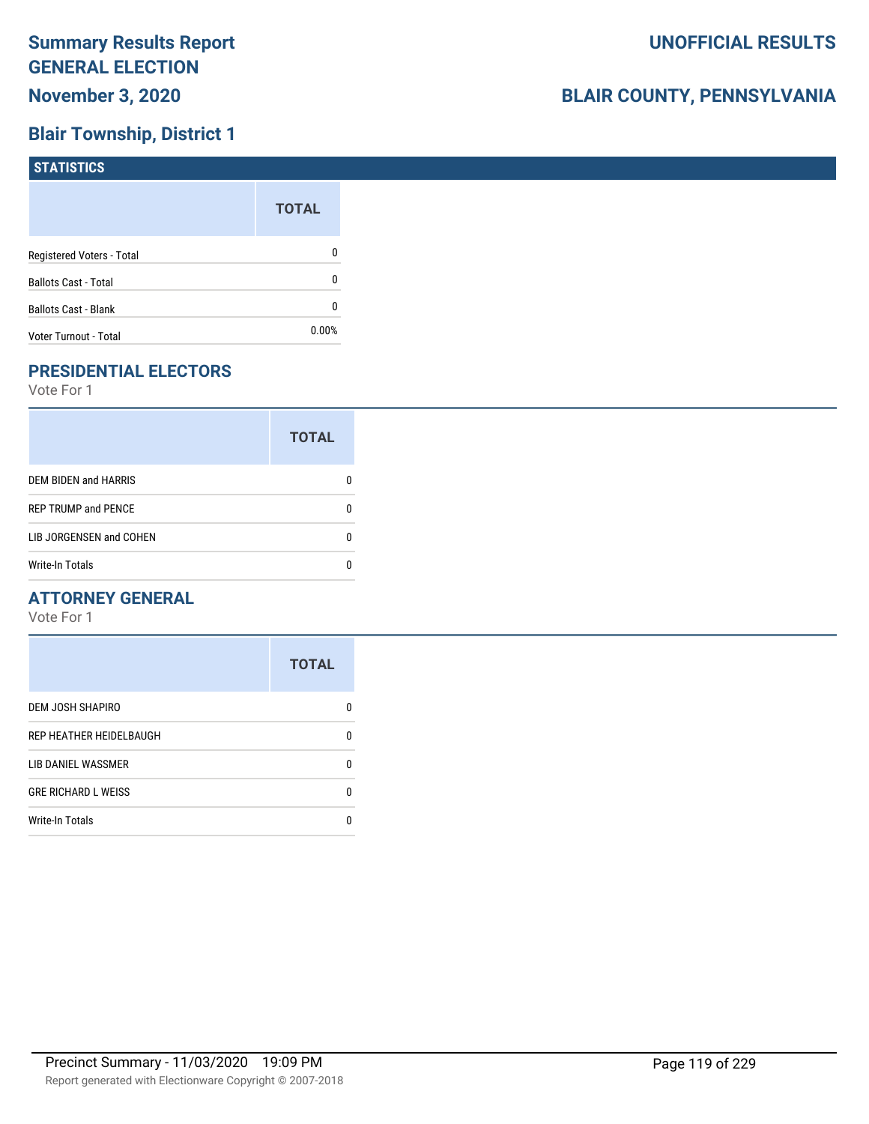## **Blair Township, District 1**

| STATISTICS                  |              |
|-----------------------------|--------------|
|                             | <b>TOTAL</b> |
| Registered Voters - Total   | 0            |
| <b>Ballots Cast - Total</b> | 0            |
| <b>Ballots Cast - Blank</b> | 0            |
| Voter Turnout - Total       | $0.00\%$     |

## **PRESIDENTIAL ELECTORS**

Vote For 1

|                             | <b>TOTAL</b> |
|-----------------------------|--------------|
| <b>DEM BIDEN and HARRIS</b> |              |
| <b>REP TRUMP and PENCE</b>  |              |
| LIB JORGENSEN and COHEN     | n            |
| <b>Write-In Totals</b>      |              |

#### **ATTORNEY GENERAL**

|                            | <b>TOTAL</b> |
|----------------------------|--------------|
| DEM JOSH SHAPIRO           | n            |
| REP HEATHER HEIDELBAUGH    | 0            |
| LIB DANIEL WASSMER         | n            |
| <b>GRE RICHARD L WEISS</b> | n            |
| <b>Write-In Totals</b>     |              |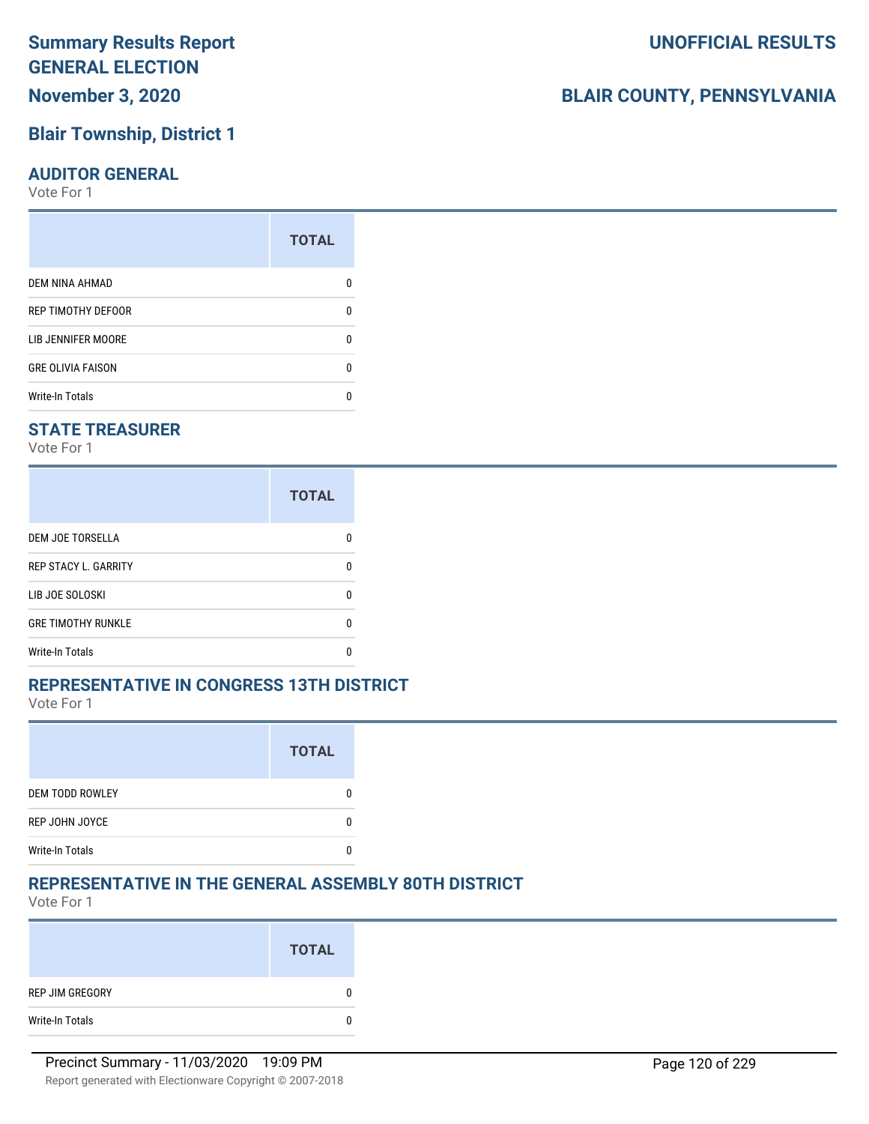## **Blair Township, District 1**

#### **AUDITOR GENERAL**

Vote For 1

|                           | <b>TOTAL</b> |
|---------------------------|--------------|
| DEM NINA AHMAD            | n            |
| REP TIMOTHY DEFOOR        | U            |
| <b>LIB JENNIFER MOORE</b> | n            |
| <b>GRE OLIVIA FAISON</b>  | n            |
| <b>Write-In Totals</b>    | n            |

#### **STATE TREASURER**

Vote For 1

|                             | <b>TOTAL</b> |
|-----------------------------|--------------|
| DEM JOE TORSELLA            | n            |
| <b>REP STACY L. GARRITY</b> | n            |
| LIB JOE SOLOSKI             | U            |
| <b>GRE TIMOTHY RUNKLE</b>   | n            |
| <b>Write-In Totals</b>      | n            |

#### **REPRESENTATIVE IN CONGRESS 13TH DISTRICT**

Vote For 1

|                        | <b>TOTAL</b> |
|------------------------|--------------|
| DEM TODD ROWLEY        |              |
| REP JOHN JOYCE         |              |
| <b>Write-In Totals</b> |              |

#### **REPRESENTATIVE IN THE GENERAL ASSEMBLY 80TH DISTRICT**

Vote For 1

|                 | <b>TOTAL</b> |
|-----------------|--------------|
| REP JIM GREGORY | 0            |
| Write-In Totals | 0            |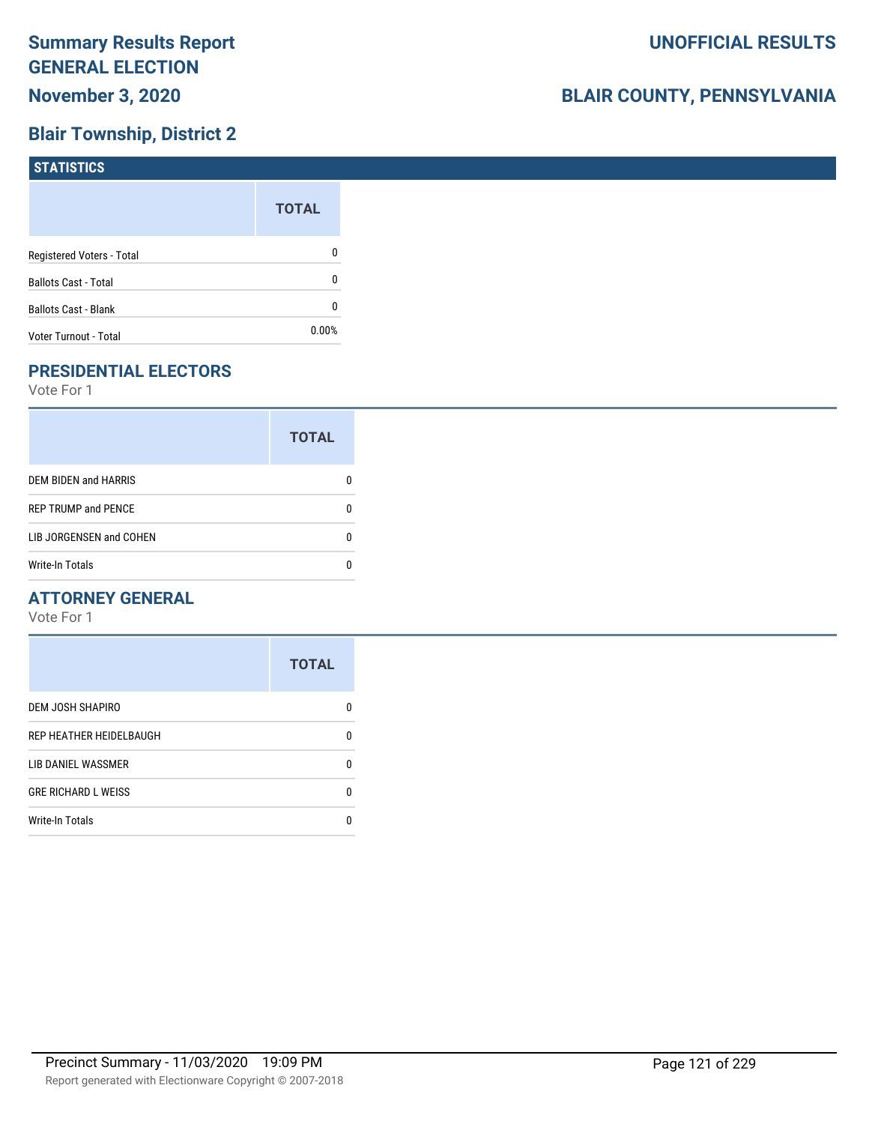## **Blair Township, District 2**

| <b>STATISTICS</b>           |              |
|-----------------------------|--------------|
|                             | <b>TOTAL</b> |
| Registered Voters - Total   | 0            |
| <b>Ballots Cast - Total</b> | 0            |
| Ballots Cast - Blank        | 0            |
| Voter Turnout - Total       | 0.00%        |

## **PRESIDENTIAL ELECTORS**

Vote For 1

|                             | <b>TOTAL</b> |
|-----------------------------|--------------|
| <b>DEM BIDEN and HARRIS</b> |              |
| <b>REP TRUMP and PENCE</b>  |              |
| LIB JORGENSEN and COHEN     | n            |
| <b>Write-In Totals</b>      |              |

#### **ATTORNEY GENERAL**

|                            | <b>TOTAL</b> |
|----------------------------|--------------|
| DEM JOSH SHAPIRO           | n            |
| REP HEATHER HEIDELBAUGH    | 0            |
| LIB DANIEL WASSMER         | n            |
| <b>GRE RICHARD L WEISS</b> | n            |
| <b>Write-In Totals</b>     |              |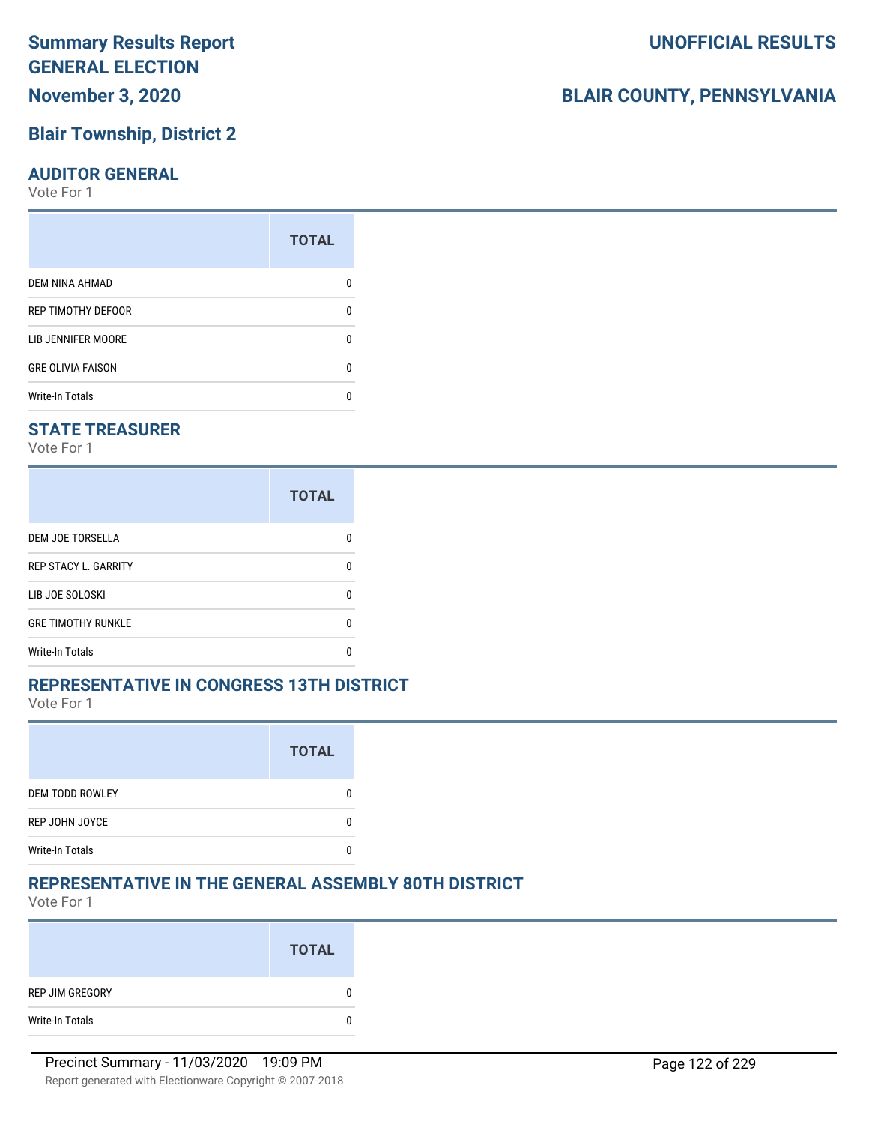## **Blair Township, District 2**

#### **AUDITOR GENERAL**

Vote For 1

|                          | <b>TOTAL</b> |
|--------------------------|--------------|
| <b>DEM NINA AHMAD</b>    |              |
| REP TIMOTHY DEFOOR       | ŋ            |
| LIB JENNIFER MOORE       |              |
| <b>GRE OLIVIA FAISON</b> | n            |
| <b>Write-In Totals</b>   |              |

#### **STATE TREASURER**

Vote For 1

|                             | <b>TOTAL</b> |
|-----------------------------|--------------|
| <b>DEM JOE TORSELLA</b>     | n            |
| <b>REP STACY L. GARRITY</b> | n            |
| LIB JOE SOLOSKI             | n            |
| <b>GRE TIMOTHY RUNKLE</b>   | n            |
| Write-In Totals             |              |

#### **REPRESENTATIVE IN CONGRESS 13TH DISTRICT**

Vote For 1

|                        | <b>TOTAL</b> |
|------------------------|--------------|
| DEM TODD ROWLEY        |              |
| REP JOHN JOYCE         |              |
| <b>Write-In Totals</b> |              |

#### **REPRESENTATIVE IN THE GENERAL ASSEMBLY 80TH DISTRICT**

Vote For 1

|                 | <b>TOTAL</b> |
|-----------------|--------------|
| REP JIM GREGORY | 0            |
| Write-In Totals | 0            |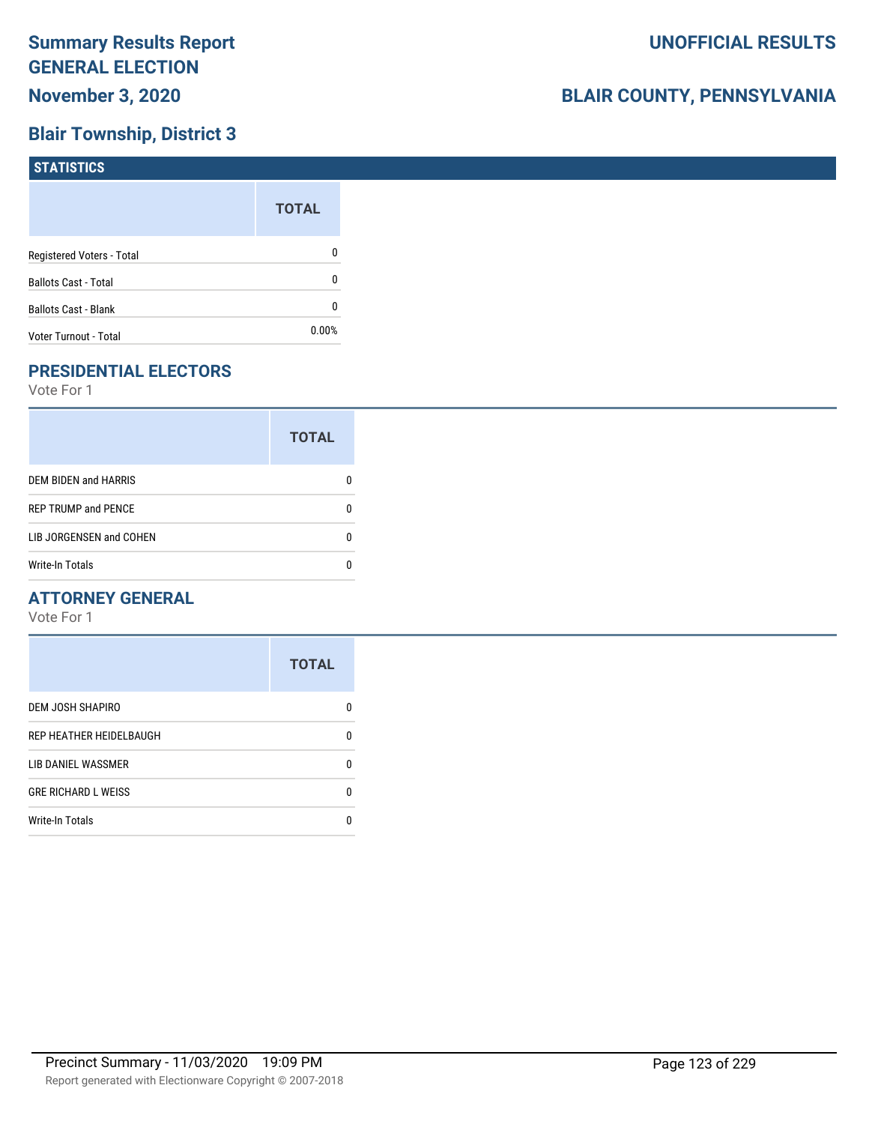## **Blair Township, District 3**

| <b>STATISTICS</b>           |              |
|-----------------------------|--------------|
|                             | <b>TOTAL</b> |
| Registered Voters - Total   | 0            |
| <b>Ballots Cast - Total</b> | 0            |
| Ballots Cast - Blank        | 0            |
| Voter Turnout - Total       | 0.00%        |

## **PRESIDENTIAL ELECTORS**

Vote For 1

|                             | <b>TOTAL</b> |
|-----------------------------|--------------|
| <b>DEM BIDEN and HARRIS</b> |              |
| <b>REP TRUMP and PENCE</b>  |              |
| LIB JORGENSEN and COHEN     | n            |
| <b>Write-In Totals</b>      |              |

#### **ATTORNEY GENERAL**

|                            | <b>TOTAL</b> |
|----------------------------|--------------|
| DEM JOSH SHAPIRO           | n            |
| REP HEATHER HEIDELBAUGH    | 0            |
| LIB DANIEL WASSMER         | n            |
| <b>GRE RICHARD L WEISS</b> | n            |
| <b>Write-In Totals</b>     |              |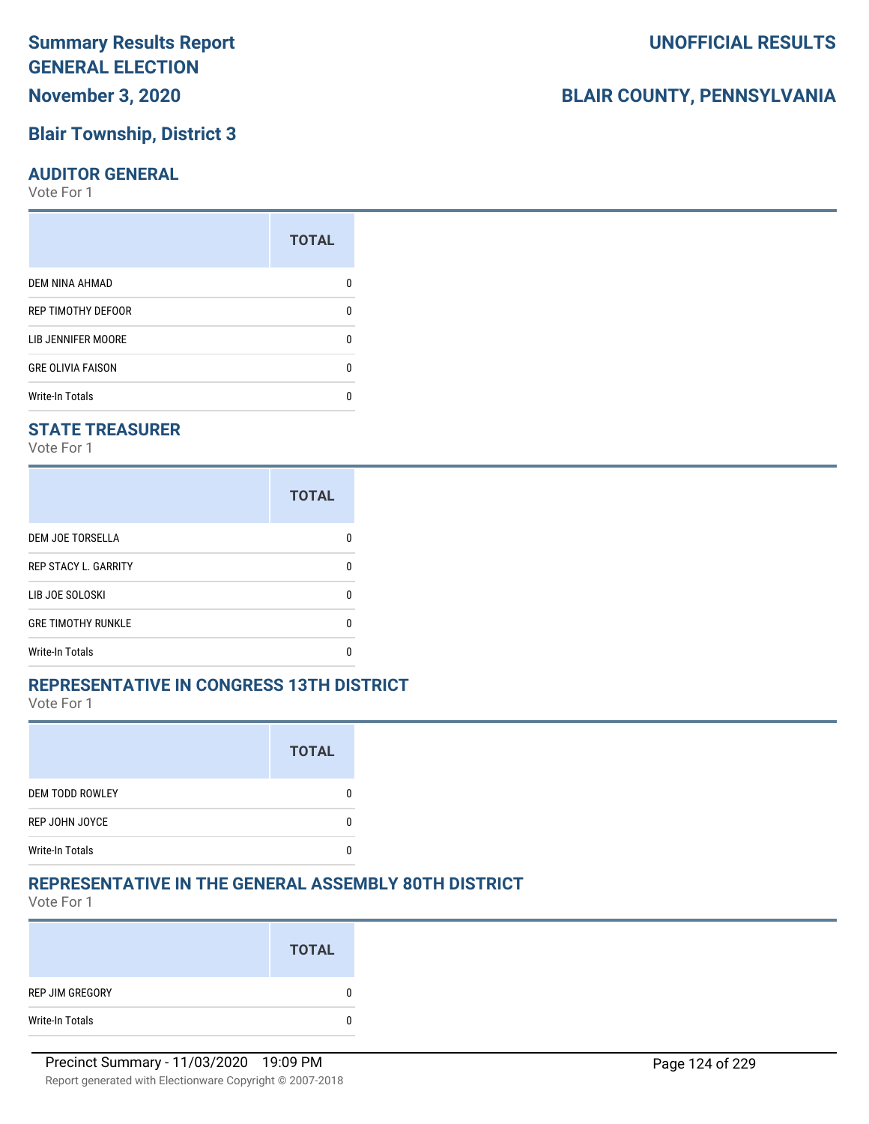## **Blair Township, District 3**

#### **AUDITOR GENERAL**

Vote For 1

|                           | <b>TOTAL</b> |
|---------------------------|--------------|
| DEM NINA AHMAD            | n            |
| REP TIMOTHY DEFOOR        | U            |
| <b>LIB JENNIFER MOORE</b> | n            |
| <b>GRE OLIVIA FAISON</b>  | n            |
| <b>Write-In Totals</b>    | n            |

#### **STATE TREASURER**

Vote For 1

|                             | <b>TOTAL</b> |
|-----------------------------|--------------|
| <b>DEM JOE TORSELLA</b>     | n            |
| <b>REP STACY L. GARRITY</b> | n            |
| LIB JOE SOLOSKI             | n            |
| <b>GRE TIMOTHY RUNKLE</b>   | n            |
| Write-In Totals             |              |

#### **REPRESENTATIVE IN CONGRESS 13TH DISTRICT**

Vote For 1

|                        | <b>TOTAL</b> |
|------------------------|--------------|
| <b>DEM TODD ROWLEY</b> |              |
| REP JOHN JOYCE         |              |
| <b>Write-In Totals</b> |              |

#### **REPRESENTATIVE IN THE GENERAL ASSEMBLY 80TH DISTRICT**

Vote For 1

|                 | <b>TOTAL</b> |
|-----------------|--------------|
| REP JIM GREGORY | -0           |
| Write-In Totals | 0            |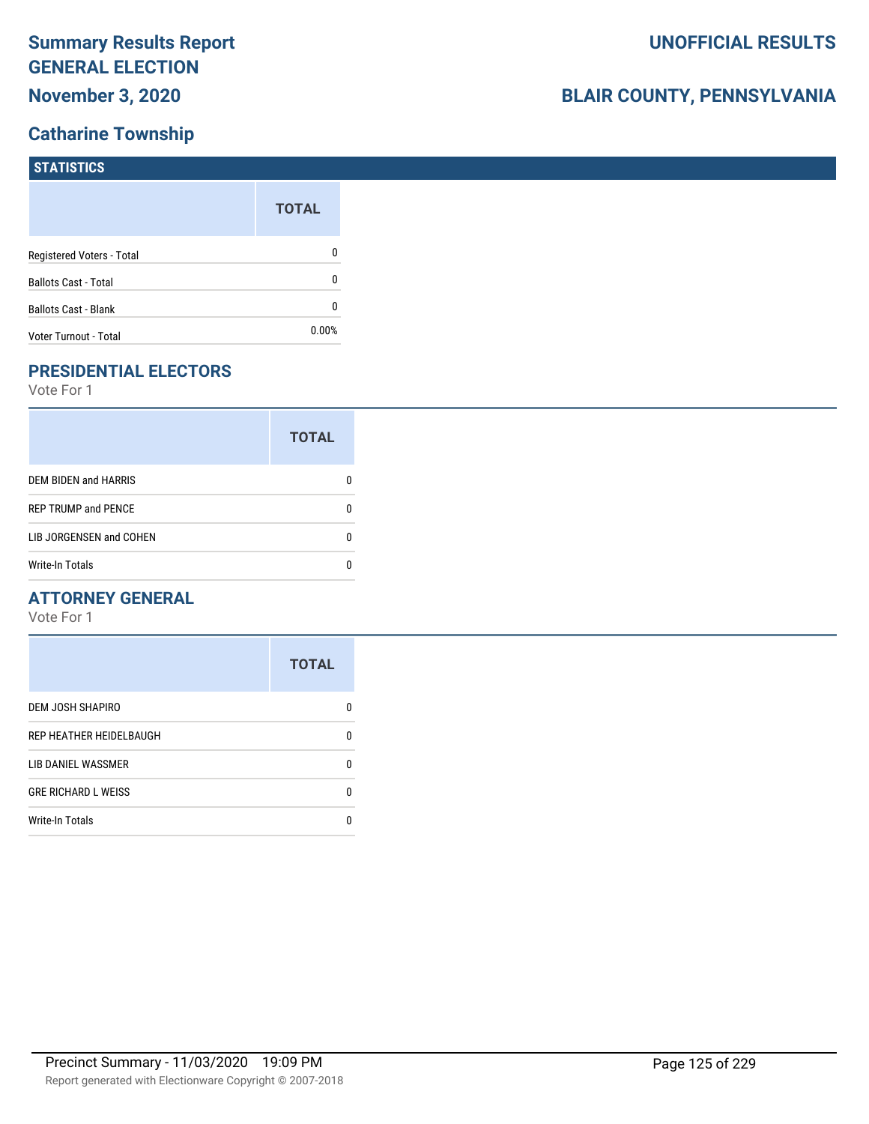### **Catharine Township**

# **BLAIR COUNTY, PENNSYLVANIA**

| <b>STATISTICS</b>           |              |
|-----------------------------|--------------|
|                             | <b>TOTAL</b> |
| Registered Voters - Total   | 0            |
| <b>Ballots Cast - Total</b> | 0            |
| <b>Ballots Cast - Blank</b> | 0            |
| Voter Turnout - Total       | $0.00\%$     |

## **PRESIDENTIAL ELECTORS**

Vote For 1

|                             | <b>TOTAL</b> |
|-----------------------------|--------------|
| <b>DEM BIDEN and HARRIS</b> |              |
| <b>REP TRUMP and PENCE</b>  |              |
| LIB JORGENSEN and COHEN     | O            |
| <b>Write-In Totals</b>      |              |

#### **ATTORNEY GENERAL**

|                            | <b>TOTAL</b> |
|----------------------------|--------------|
| DEM JOSH SHAPIRO           | n            |
| REP HEATHER HEIDELBAUGH    | 0            |
| LIB DANIEL WASSMER         | n            |
| <b>GRE RICHARD L WEISS</b> | n            |
| <b>Write-In Totals</b>     | n            |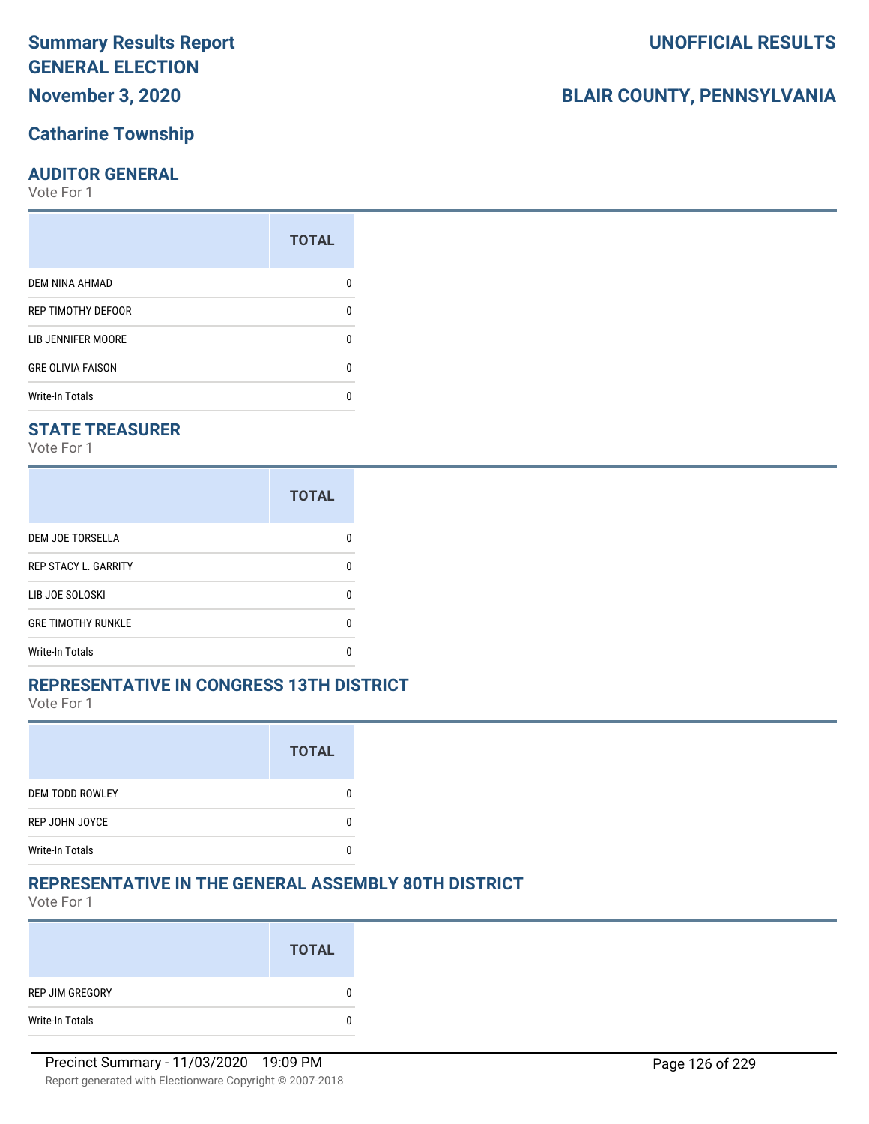## **November 3, 2020**

## **Catharine Township**

### **AUDITOR GENERAL**

Vote For 1

| <b>TOTAL</b> |
|--------------|
|              |
| 0            |
| O            |
| O            |
|              |
|              |

## **STATE TREASURER**

Vote For 1

|                             | <b>TOTAL</b> |
|-----------------------------|--------------|
| DEM JOE TORSELLA            | n            |
| <b>REP STACY L. GARRITY</b> |              |
| LIB JOE SOLOSKI             | n            |
| <b>GRE TIMOTHY RUNKLE</b>   |              |
| <b>Write-In Totals</b>      |              |

#### **REPRESENTATIVE IN CONGRESS 13TH DISTRICT**

Vote For 1

|                        | <b>TOTAL</b> |
|------------------------|--------------|
| <b>DEM TODD ROWLEY</b> |              |
| REP JOHN JOYCE         |              |
| <b>Write-In Totals</b> |              |

## **REPRESENTATIVE IN THE GENERAL ASSEMBLY 80TH DISTRICT**

Vote For 1

|                 | <b>TOTAL</b> |
|-----------------|--------------|
| REP JIM GREGORY | 0            |
| Write-In Totals | 0            |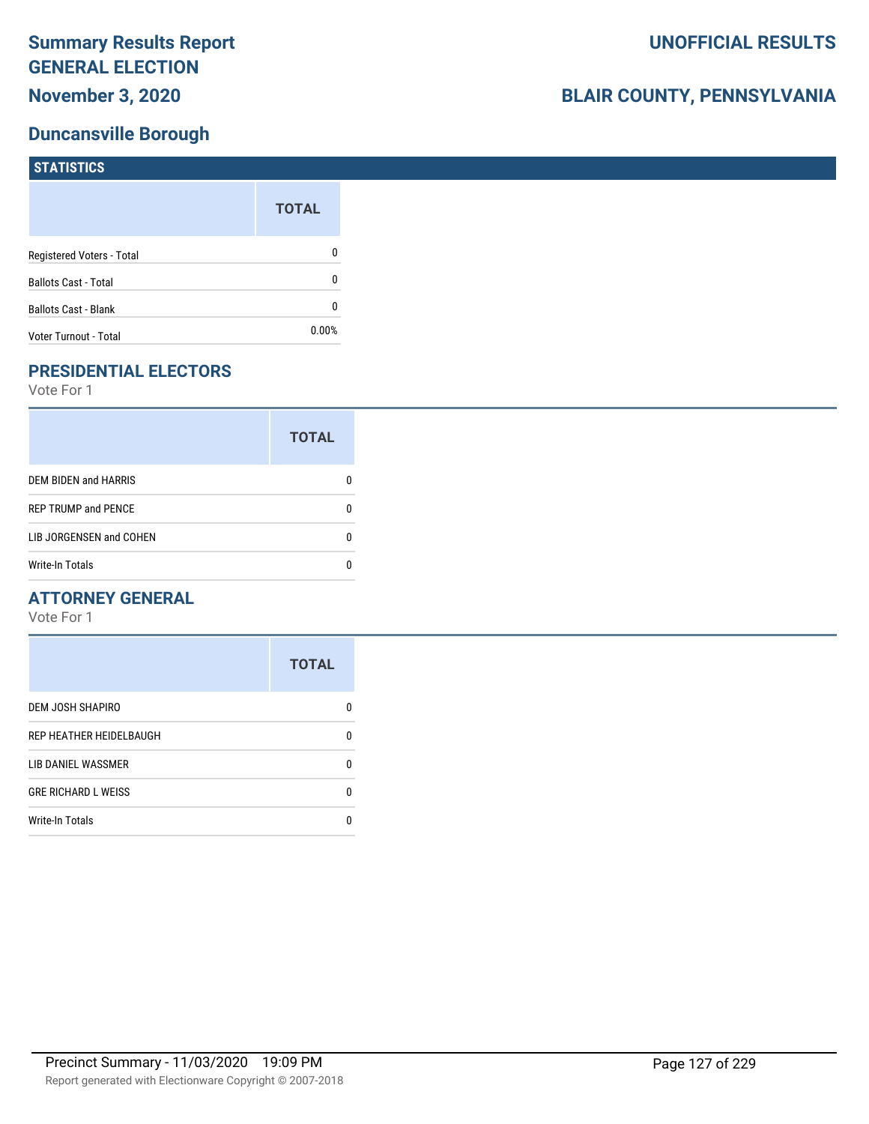### **Duncansville Borough**

| <b>STATISTICS</b>           |              |
|-----------------------------|--------------|
|                             | <b>TOTAL</b> |
| Registered Voters - Total   | 0            |
| <b>Ballots Cast - Total</b> | 0            |
| <b>Ballots Cast - Blank</b> | 0            |
| Voter Turnout - Total       | $0.00\%$     |

## **PRESIDENTIAL ELECTORS**

Vote For 1

|                             | <b>TOTAL</b> |
|-----------------------------|--------------|
| <b>DEM BIDEN and HARRIS</b> |              |
| <b>REP TRUMP and PENCE</b>  |              |
| LIB JORGENSEN and COHEN     |              |
| <b>Write-In Totals</b>      |              |

#### **ATTORNEY GENERAL**

|                            | <b>TOTAL</b> |
|----------------------------|--------------|
| DEM JOSH SHAPIRO           | n            |
| REP HEATHER HEIDELBAUGH    | 0            |
| LIB DANIEL WASSMER         | 0            |
| <b>GRE RICHARD L WEISS</b> | 0            |
| <b>Write-In Totals</b>     | n            |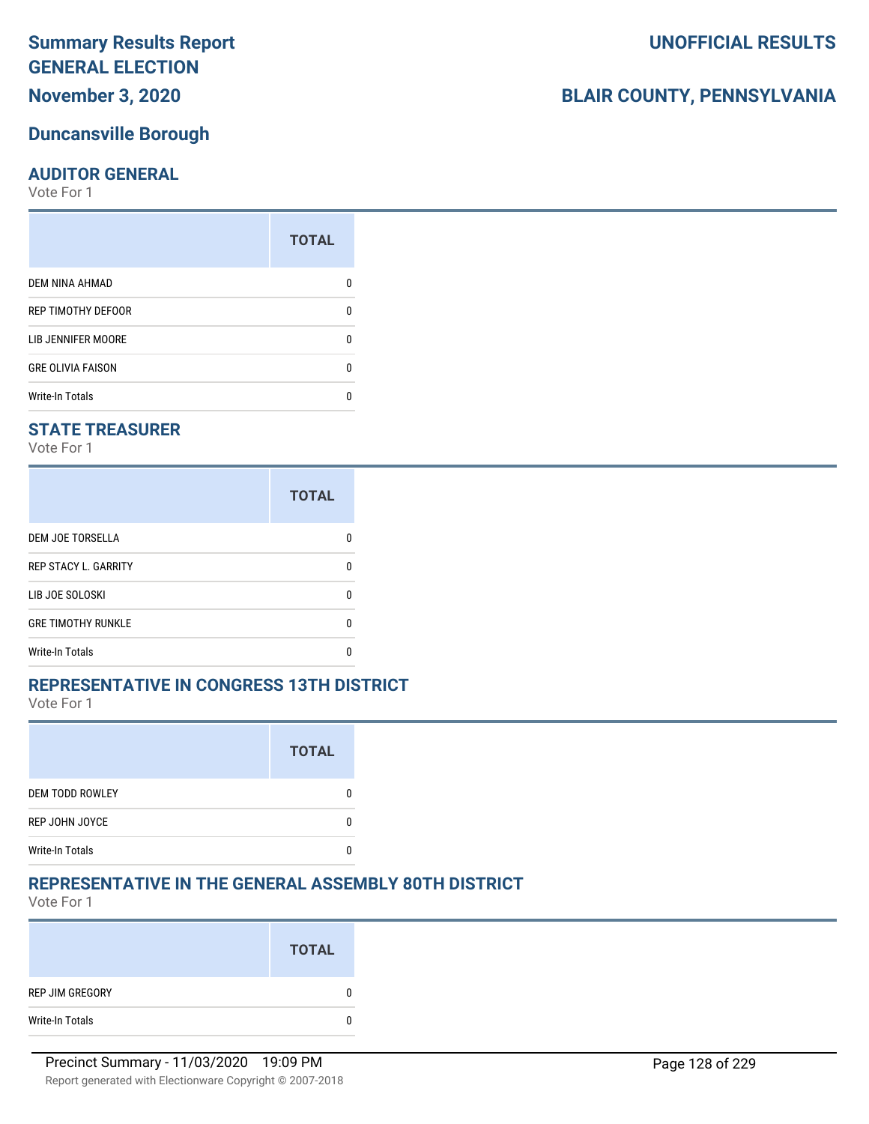**November 3, 2020**

#### **Duncansville Borough**

#### **AUDITOR GENERAL**

Vote For 1

| <b>TOTAL</b> |
|--------------|
|              |
| n            |
| n            |
| n            |
|              |
|              |

#### **STATE TREASURER**

Vote For 1

|                             | <b>TOTAL</b> |
|-----------------------------|--------------|
| DEM JOE TORSELLA            | n            |
| <b>REP STACY L. GARRITY</b> |              |
| LIB JOE SOLOSKI             | n            |
| <b>GRE TIMOTHY RUNKLE</b>   |              |
| <b>Write-In Totals</b>      |              |

#### **REPRESENTATIVE IN CONGRESS 13TH DISTRICT**

Vote For 1

|                        | <b>TOTAL</b> |
|------------------------|--------------|
| <b>DEM TODD ROWLEY</b> |              |
| REP JOHN JOYCE         |              |
| <b>Write-In Totals</b> |              |

## **REPRESENTATIVE IN THE GENERAL ASSEMBLY 80TH DISTRICT**

Vote For 1

|                 | <b>TOTAL</b> |
|-----------------|--------------|
| REP JIM GREGORY | $\bf{0}$     |
| Write-In Totals | $\bf{0}$     |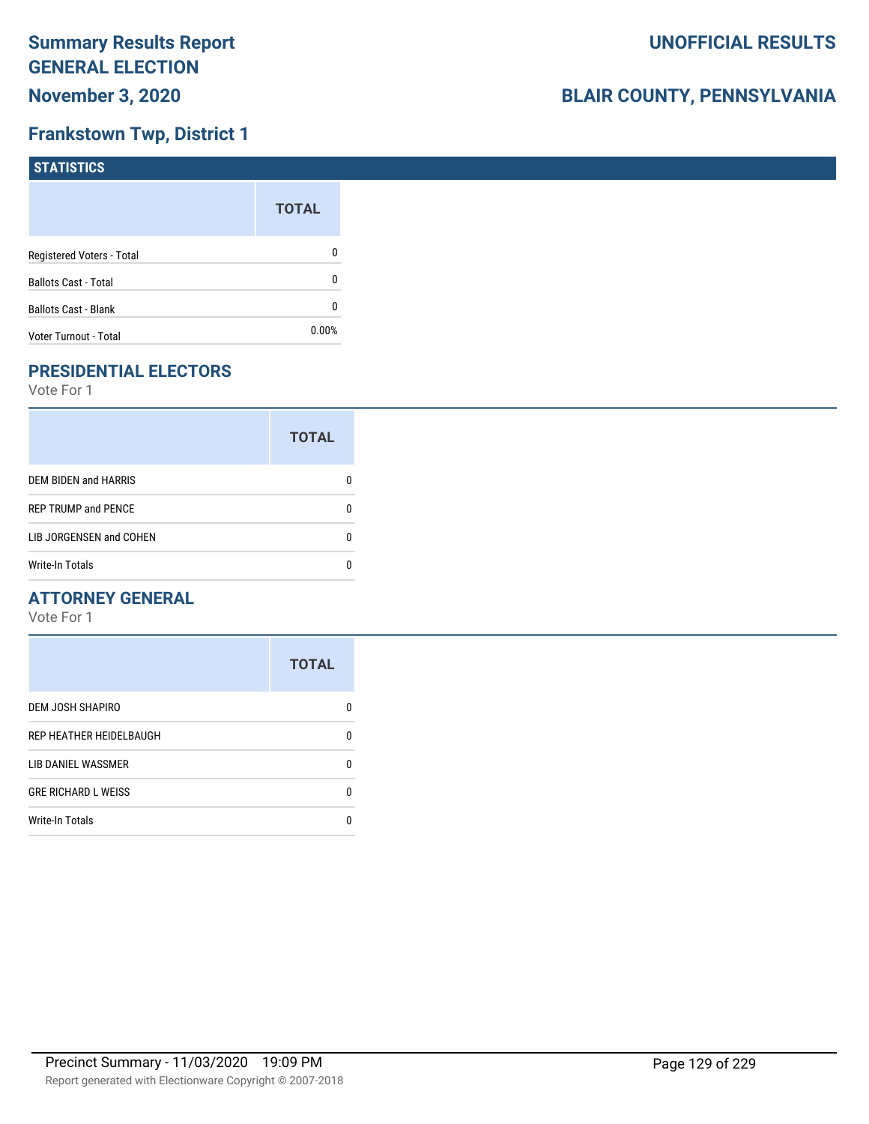### **Frankstown Twp, District 1**

| STATISTICS                  |              |
|-----------------------------|--------------|
|                             | <b>TOTAL</b> |
| Registered Voters - Total   | 0            |
| <b>Ballots Cast - Total</b> | 0            |
| <b>Ballots Cast - Blank</b> | 0            |
| Voter Turnout - Total       | $0.00\%$     |

## **PRESIDENTIAL ELECTORS**

Vote For 1

|                            | <b>TOTAL</b> |
|----------------------------|--------------|
| DEM BIDEN and HARRIS       |              |
| <b>REP TRUMP and PENCE</b> |              |
| LIB JORGENSEN and COHEN    |              |
| <b>Write-In Totals</b>     |              |

#### **ATTORNEY GENERAL**

|                            | <b>TOTAL</b> |
|----------------------------|--------------|
| DEM JOSH SHAPIRO           | O            |
| REP HEATHER HEIDELBAUGH    | 0            |
| LIB DANIEL WASSMER         | n            |
| <b>GRE RICHARD L WEISS</b> | 0            |
| <b>Write-In Totals</b>     |              |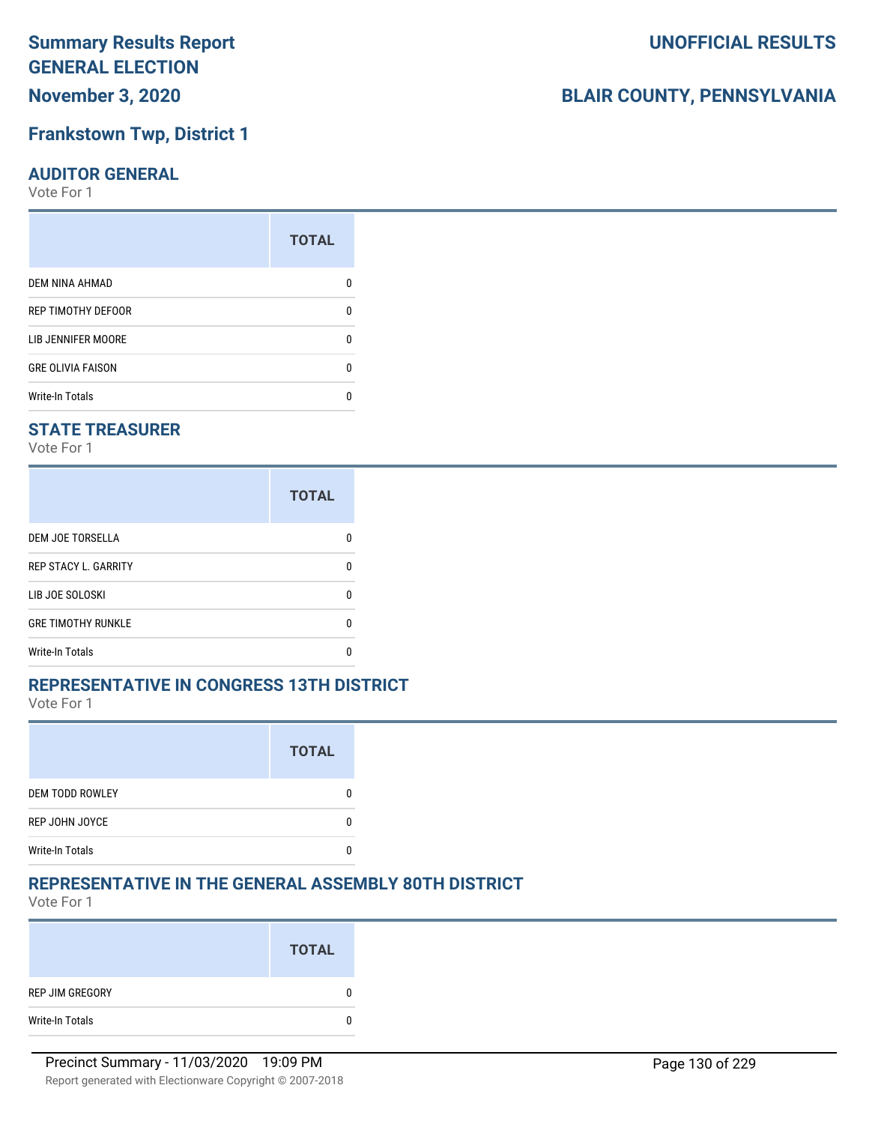## **November 3, 2020**

#### **Frankstown Twp, District 1**

#### **AUDITOR GENERAL**

Vote For 1

|                          | <b>TOTAL</b> |
|--------------------------|--------------|
| DEM NINA AHMAD           |              |
| REP TIMOTHY DEFOOR       | U            |
| LIB JENNIFER MOORE       | ŋ            |
| <b>GRE OLIVIA FAISON</b> | n            |
| <b>Write-In Totals</b>   | n            |

#### **STATE TREASURER**

Vote For 1

|                             | <b>TOTAL</b> |
|-----------------------------|--------------|
| <b>DEM JOE TORSELLA</b>     |              |
| <b>REP STACY L. GARRITY</b> |              |
| LIB JOE SOLOSKI             |              |
| <b>GRE TIMOTHY RUNKLE</b>   |              |
| Write-In Totals             |              |

#### **REPRESENTATIVE IN CONGRESS 13TH DISTRICT**

Vote For 1

|                        | <b>TOTAL</b> |
|------------------------|--------------|
| <b>DEM TODD ROWLEY</b> |              |
| REP JOHN JOYCE         |              |
| <b>Write-In Totals</b> |              |

#### **REPRESENTATIVE IN THE GENERAL ASSEMBLY 80TH DISTRICT**

Vote For 1

|                 | <b>TOTAL</b> |
|-----------------|--------------|
| REP JIM GREGORY | 0            |
| Write-In Totals | 0            |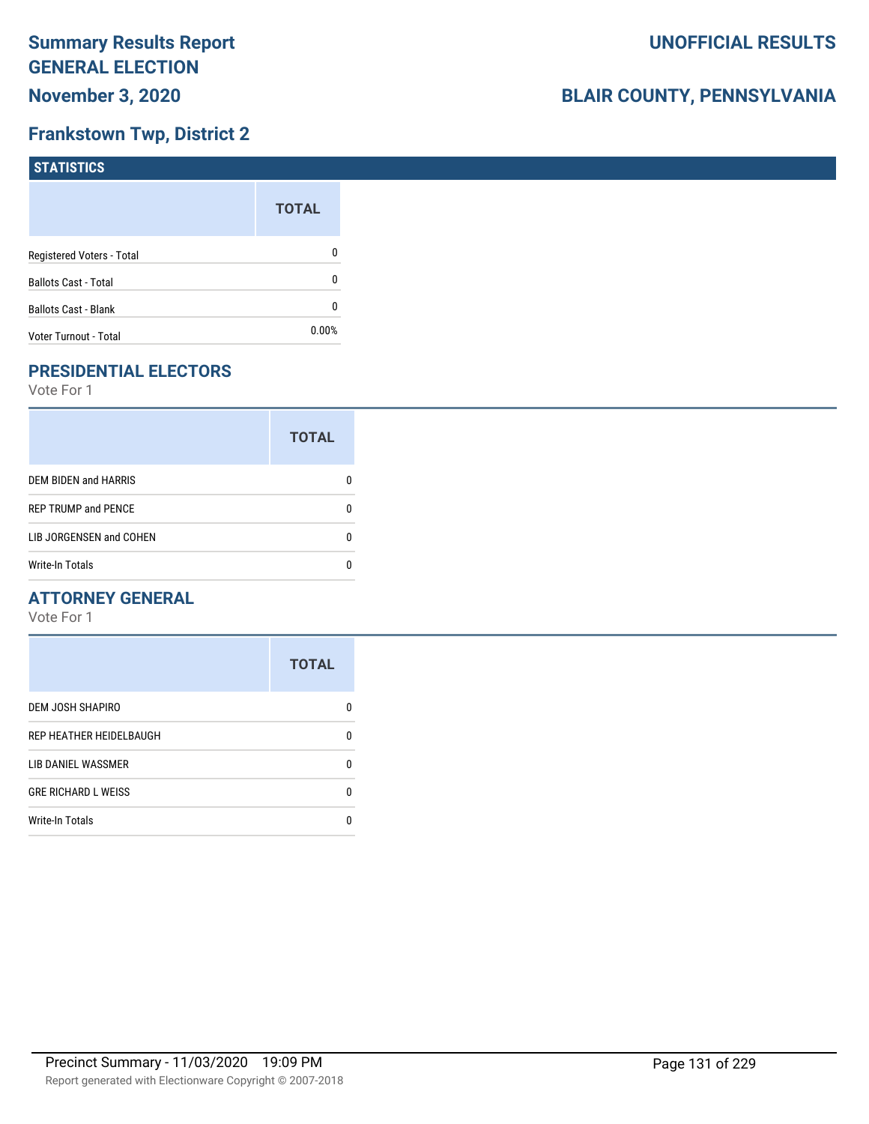### **Frankstown Twp, District 2**

| STATISTICS                  |              |
|-----------------------------|--------------|
|                             | <b>TOTAL</b> |
| Registered Voters - Total   | $\mathbf{0}$ |
| <b>Ballots Cast - Total</b> | $\mathbf{0}$ |
| <b>Ballots Cast - Blank</b> | 0            |
| Voter Turnout - Total       | $0.00\%$     |

## **PRESIDENTIAL ELECTORS**

Vote For 1

|                            | <b>TOTAL</b> |
|----------------------------|--------------|
| DEM BIDEN and HARRIS       |              |
| <b>REP TRUMP and PENCE</b> |              |
| LIB JORGENSEN and COHEN    | O            |
| <b>Write-In Totals</b>     |              |

#### **ATTORNEY GENERAL**

|                            | <b>TOTAL</b> |
|----------------------------|--------------|
| DEM JOSH SHAPIRO           | O            |
| REP HEATHER HEIDELBAUGH    | 0            |
| LIB DANIEL WASSMER         | n            |
| <b>GRE RICHARD L WEISS</b> | 0            |
| <b>Write-In Totals</b>     |              |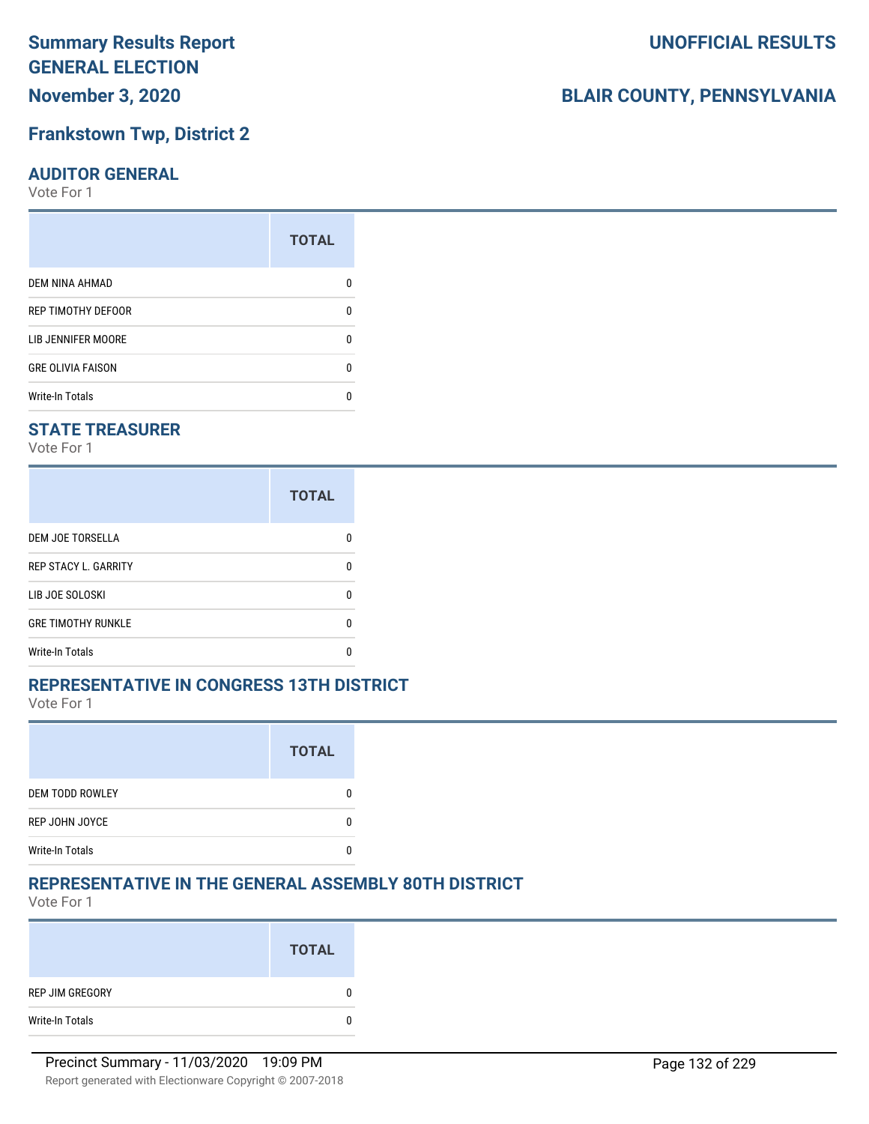## **November 3, 2020**

#### **Frankstown Twp, District 2**

#### **AUDITOR GENERAL**

Vote For 1

|                          | <b>TOTAL</b> |
|--------------------------|--------------|
| <b>DEM NINA AHMAD</b>    |              |
| REP TIMOTHY DEFOOR       | n            |
| LIB JENNIFER MOORE       |              |
| <b>GRE OLIVIA FAISON</b> | n            |
| <b>Write-In Totals</b>   |              |

#### **STATE TREASURER**

Vote For 1

|                             | <b>TOTAL</b> |
|-----------------------------|--------------|
| <b>DEM JOE TORSELLA</b>     | n            |
| <b>REP STACY L. GARRITY</b> | n            |
| LIB JOE SOLOSKI             | n            |
| <b>GRE TIMOTHY RUNKLE</b>   | n            |
| <b>Write-In Totals</b>      |              |

#### **REPRESENTATIVE IN CONGRESS 13TH DISTRICT**

Vote For 1

|                        | <b>TOTAL</b> |
|------------------------|--------------|
| <b>DEM TODD ROWLEY</b> |              |
| REP JOHN JOYCE         |              |
| <b>Write-In Totals</b> |              |

#### **REPRESENTATIVE IN THE GENERAL ASSEMBLY 80TH DISTRICT**

Vote For 1

|                 | <b>TOTAL</b> |
|-----------------|--------------|
| REP JIM GREGORY | 0            |
| Write-In Totals | 0            |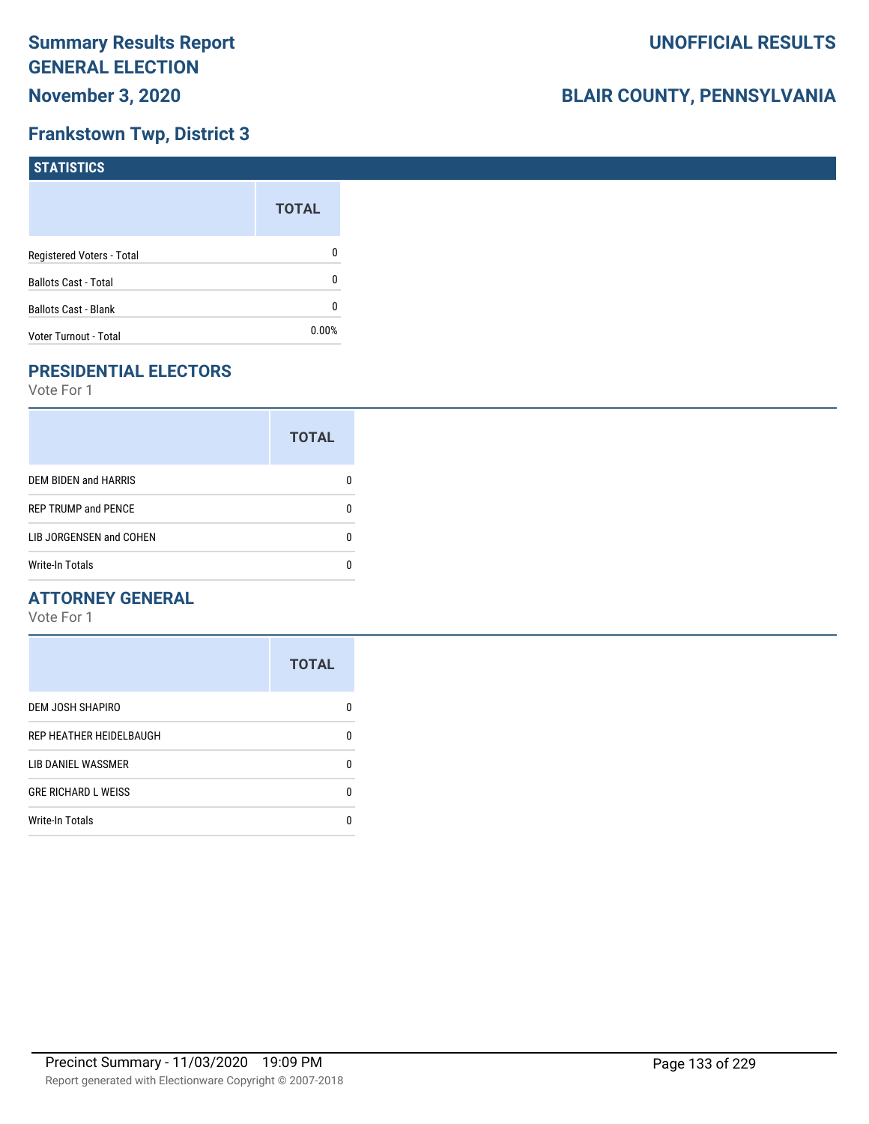## **Frankstown Twp, District 3**

| STATISTICS                  |              |
|-----------------------------|--------------|
|                             | <b>TOTAL</b> |
| Registered Voters - Total   | 0            |
| <b>Ballots Cast - Total</b> | 0            |
| <b>Ballots Cast - Blank</b> | 0            |
| Voter Turnout - Total       | $0.00\%$     |

## **PRESIDENTIAL ELECTORS**

Vote For 1

|                            | <b>TOTAL</b> |
|----------------------------|--------------|
| DEM BIDEN and HARRIS       | 0            |
| <b>REP TRUMP and PENCE</b> | O            |
| LIB JORGENSEN and COHEN    |              |
| <b>Write-In Totals</b>     |              |

#### **ATTORNEY GENERAL**

|                            | <b>TOTAL</b> |
|----------------------------|--------------|
| DEM JOSH SHAPIRO           | O            |
| REP HEATHER HEIDELBAUGH    | 0            |
| LIB DANIEL WASSMER         | n            |
| <b>GRE RICHARD L WEISS</b> | 0            |
| <b>Write-In Totals</b>     |              |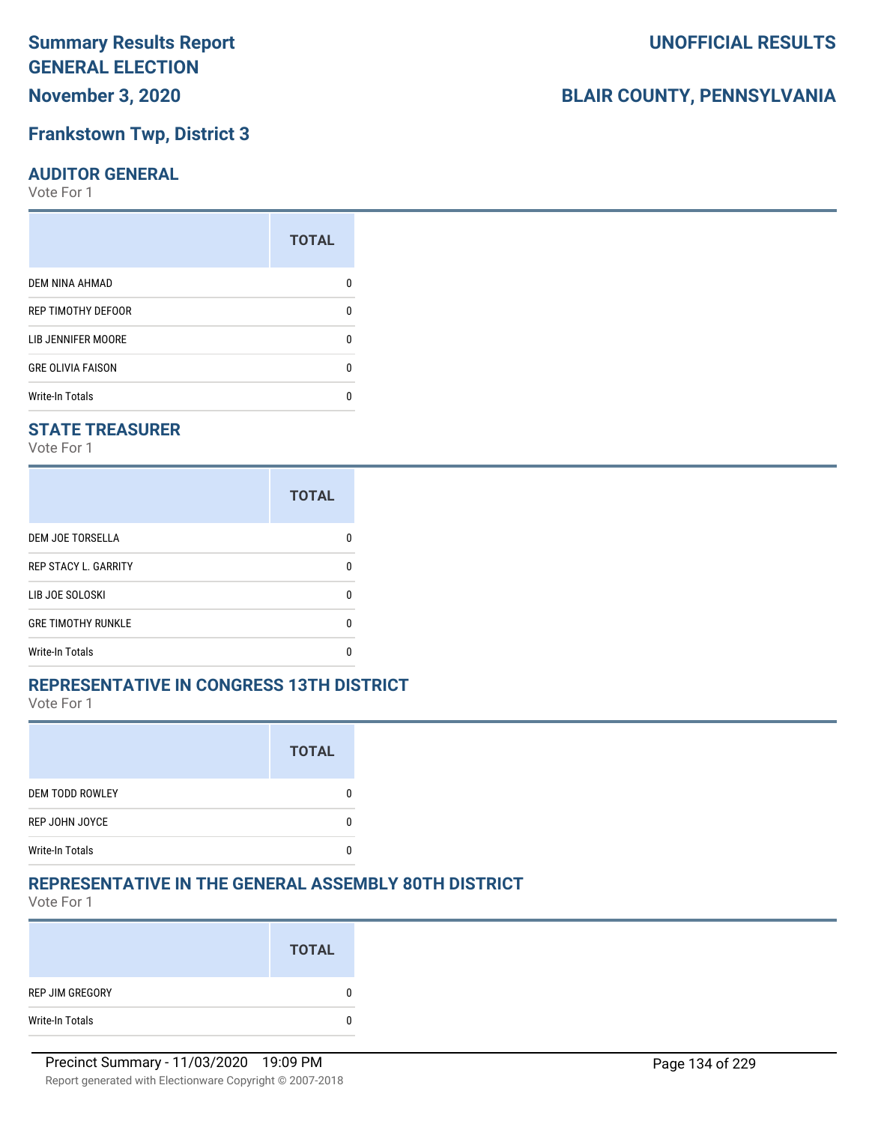## **November 3, 2020**

#### **Frankstown Twp, District 3**

#### **AUDITOR GENERAL**

Vote For 1

|                          | <b>TOTAL</b> |
|--------------------------|--------------|
| <b>DEM NINA AHMAD</b>    |              |
| REP TIMOTHY DEFOOR       | n            |
| LIB JENNIFER MOORE       |              |
| <b>GRE OLIVIA FAISON</b> | n            |
| <b>Write-In Totals</b>   |              |

#### **STATE TREASURER**

Vote For 1

|                             | <b>TOTAL</b> |
|-----------------------------|--------------|
| <b>DEM JOE TORSELLA</b>     | n            |
| <b>REP STACY L. GARRITY</b> | n            |
| LIB JOE SOLOSKI             | n            |
| <b>GRE TIMOTHY RUNKLE</b>   | n            |
| <b>Write-In Totals</b>      |              |

#### **REPRESENTATIVE IN CONGRESS 13TH DISTRICT**

Vote For 1

|                        | <b>TOTAL</b> |
|------------------------|--------------|
| <b>DEM TODD ROWLEY</b> |              |
| REP JOHN JOYCE         |              |
| <b>Write-In Totals</b> |              |

#### **REPRESENTATIVE IN THE GENERAL ASSEMBLY 80TH DISTRICT**

Vote For 1

|                 | <b>TOTAL</b> |
|-----------------|--------------|
| REP JIM GREGORY | 0            |
| Write-In Totals | 0            |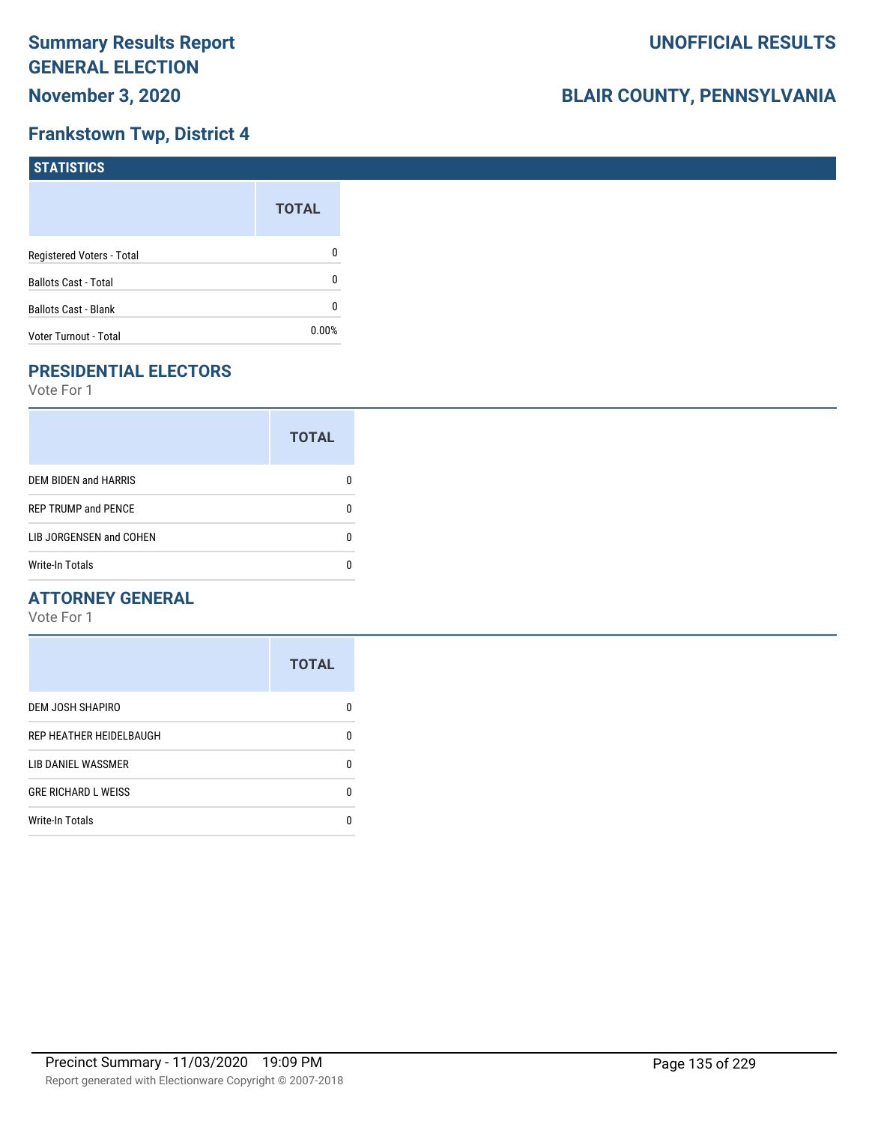#### **Frankstown Twp, District 4**

| STATISTICS                  |              |
|-----------------------------|--------------|
|                             | <b>TOTAL</b> |
| Registered Voters - Total   | 0            |
| <b>Ballots Cast - Total</b> | 0            |
| <b>Ballots Cast - Blank</b> | 0            |
| Voter Turnout - Total       | $0.00\%$     |

## **PRESIDENTIAL ELECTORS**

Vote For 1

|                             | <b>TOTAL</b> |
|-----------------------------|--------------|
| <b>DEM BIDEN and HARRIS</b> |              |
| <b>REP TRUMP and PENCE</b>  |              |
| LIB JORGENSEN and COHEN     |              |
| <b>Write-In Totals</b>      |              |

#### **ATTORNEY GENERAL**

|                            | <b>TOTAL</b> |
|----------------------------|--------------|
| DEM JOSH SHAPIRO           | n            |
| REP HEATHER HEIDELBAUGH    | 0            |
| LIB DANIEL WASSMER         | n            |
| <b>GRE RICHARD L WEISS</b> | n            |
| <b>Write-In Totals</b>     |              |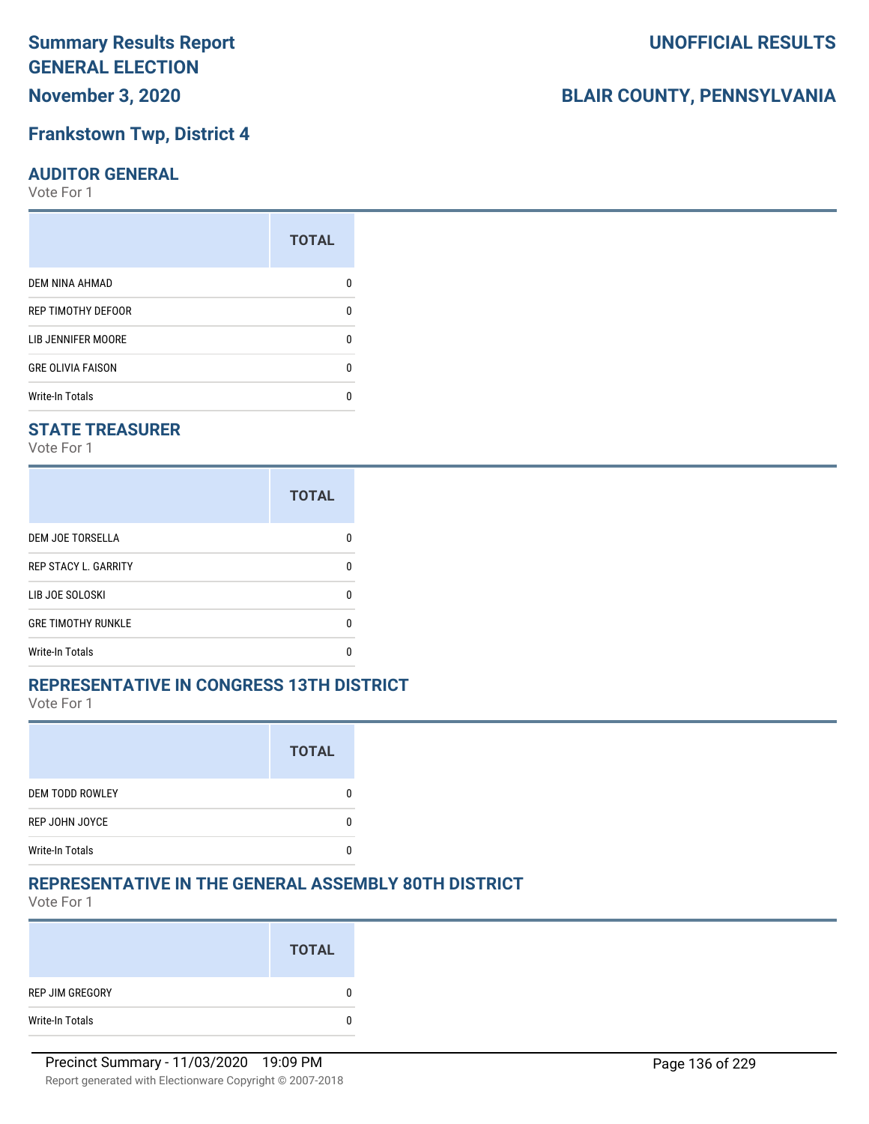## **November 3, 2020**

#### **Frankstown Twp, District 4**

#### **AUDITOR GENERAL**

Vote For 1

|                          | <b>TOTAL</b> |
|--------------------------|--------------|
| <b>DEM NINA AHMAD</b>    |              |
| REP TIMOTHY DEFOOR       | n            |
| LIB JENNIFER MOORE       | ŋ            |
| <b>GRE OLIVIA FAISON</b> | U            |
| <b>Write-In Totals</b>   |              |

#### **STATE TREASURER**

Vote For 1

|                             | <b>TOTAL</b> |
|-----------------------------|--------------|
| <b>DEM JOE TORSELLA</b>     |              |
| <b>REP STACY L. GARRITY</b> |              |
| LIB JOE SOLOSKI             |              |
| <b>GRE TIMOTHY RUNKLE</b>   |              |
| Write-In Totals             |              |

#### **REPRESENTATIVE IN CONGRESS 13TH DISTRICT**

Vote For 1

|                        | <b>TOTAL</b> |
|------------------------|--------------|
| <b>DEM TODD ROWLEY</b> |              |
| REP JOHN JOYCE         |              |
| <b>Write-In Totals</b> |              |

#### **REPRESENTATIVE IN THE GENERAL ASSEMBLY 80TH DISTRICT**

Vote For 1

|                 | <b>TOTAL</b> |
|-----------------|--------------|
| REP JIM GREGORY | 0            |
| Write-In Totals | 0            |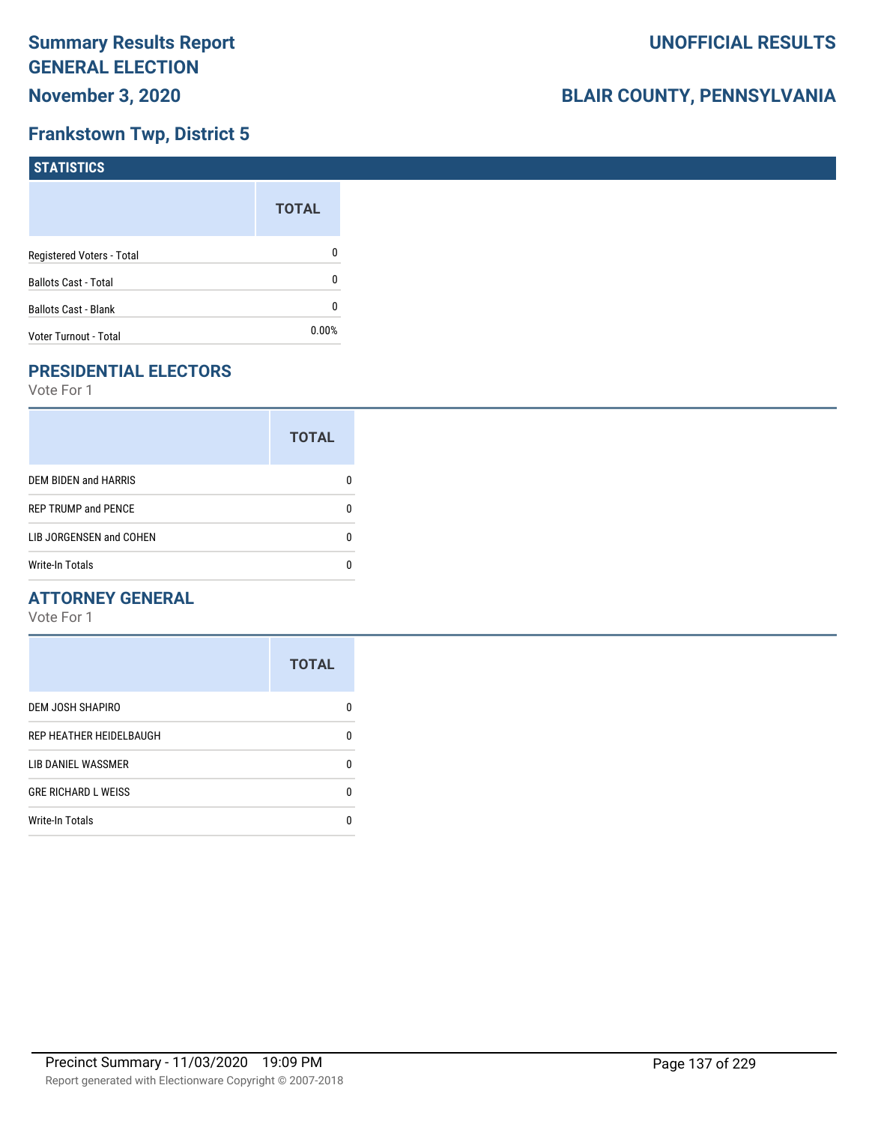### **Frankstown Twp, District 5**

| STATISTICS                  |              |
|-----------------------------|--------------|
|                             | <b>TOTAL</b> |
| Registered Voters - Total   | 0            |
| <b>Ballots Cast - Total</b> | 0            |
| <b>Ballots Cast - Blank</b> | 0            |
| Voter Turnout - Total       | 0.00%        |

## **PRESIDENTIAL ELECTORS**

Vote For 1

|                             | <b>TOTAL</b> |
|-----------------------------|--------------|
| <b>DEM BIDEN and HARRIS</b> |              |
| <b>REP TRUMP and PENCE</b>  |              |
| LIB JORGENSEN and COHEN     |              |
| Write-In Totals             |              |

#### **ATTORNEY GENERAL**

|                            | <b>TOTAL</b> |
|----------------------------|--------------|
| DEM JOSH SHAPIRO           | O            |
| REP HEATHER HEIDELBAUGH    | 0            |
| LIB DANIEL WASSMER         | n            |
| <b>GRE RICHARD L WEISS</b> | 0            |
| <b>Write-In Totals</b>     |              |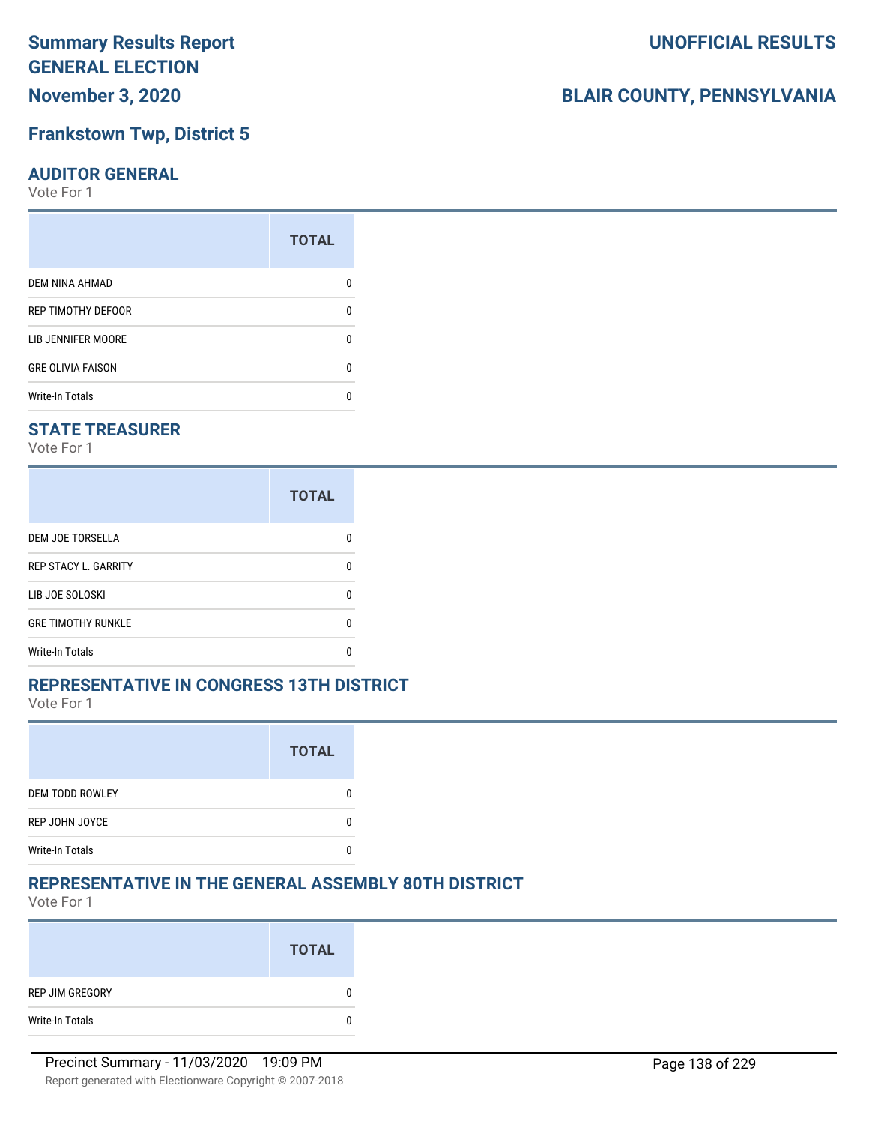## **November 3, 2020**

## **Frankstown Twp, District 5**

## **AUDITOR GENERAL**

Vote For 1

|                          | <b>TOTAL</b> |
|--------------------------|--------------|
| DEM NINA AHMAD           |              |
| REP TIMOTHY DEFOOR       | n            |
| LIB JENNIFER MOORE       |              |
| <b>GRE OLIVIA FAISON</b> | n            |
| <b>Write-In Totals</b>   |              |

## **STATE TREASURER**

Vote For 1

|                             | <b>TOTAL</b> |
|-----------------------------|--------------|
| DEM JOE TORSELLA            | n            |
| <b>REP STACY L. GARRITY</b> | n            |
| LIB JOE SOLOSKI             | U            |
| <b>GRE TIMOTHY RUNKLE</b>   | n            |
| <b>Write-In Totals</b>      | n            |

#### **REPRESENTATIVE IN CONGRESS 13TH DISTRICT**

Vote For 1

|                        | <b>TOTAL</b> |
|------------------------|--------------|
| <b>DEM TODD ROWLEY</b> |              |
| REP JOHN JOYCE         |              |
| <b>Write-In Totals</b> |              |

## **REPRESENTATIVE IN THE GENERAL ASSEMBLY 80TH DISTRICT**

Vote For 1

|                 | <b>TOTAL</b> |
|-----------------|--------------|
| REP JIM GREGORY | 0            |
| Write-In Totals | 0            |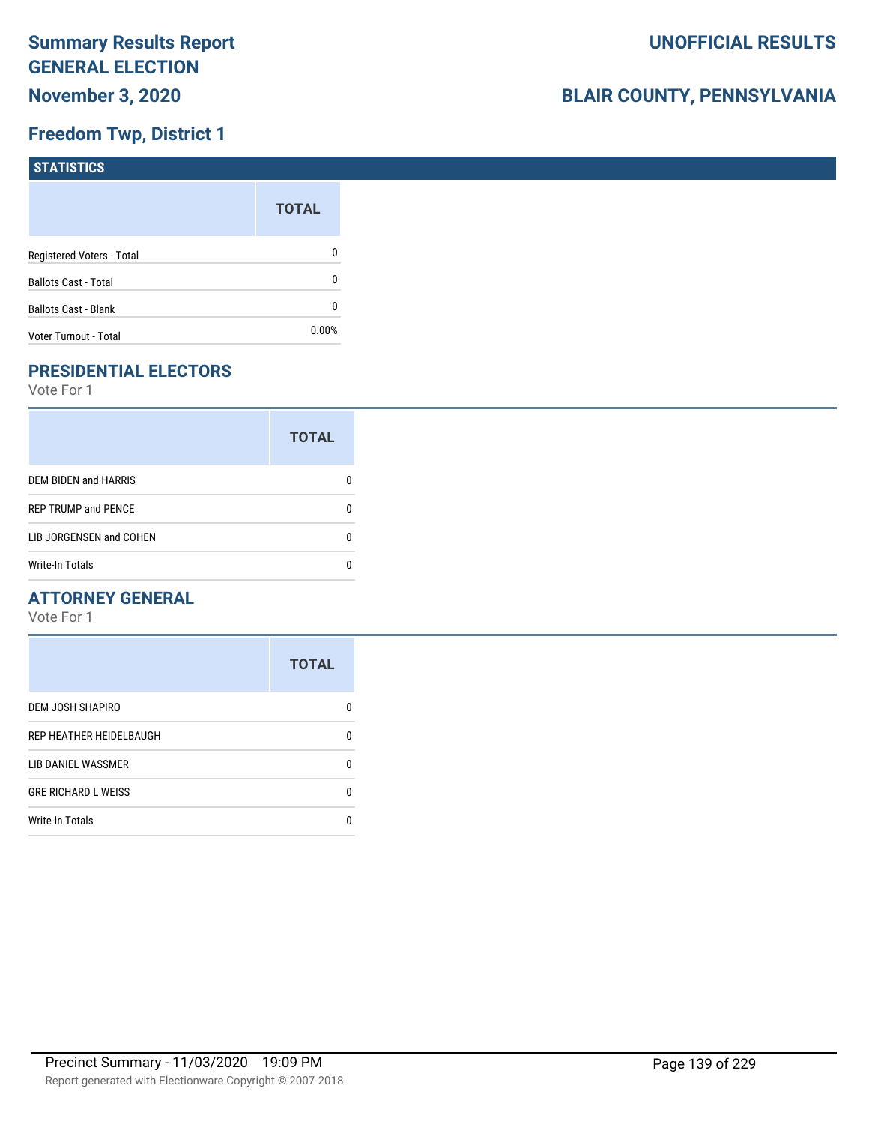## **Freedom Twp, District 1**

| STATISTICS                  |              |
|-----------------------------|--------------|
|                             | <b>TOTAL</b> |
| Registered Voters - Total   | 0            |
| <b>Ballots Cast - Total</b> | 0            |
| <b>Ballots Cast - Blank</b> | 0            |
| Voter Turnout - Total       | $0.00\%$     |

## **PRESIDENTIAL ELECTORS**

Vote For 1

|                             | <b>TOTAL</b> |
|-----------------------------|--------------|
| <b>DEM BIDEN and HARRIS</b> |              |
| <b>REP TRUMP and PENCE</b>  |              |
| LIB JORGENSEN and COHEN     |              |
| <b>Write-In Totals</b>      |              |

#### **ATTORNEY GENERAL**

|                            | <b>TOTAL</b> |
|----------------------------|--------------|
| DEM JOSH SHAPIRO           | n            |
| REP HEATHER HEIDELBAUGH    | 0            |
| LIB DANIEL WASSMER         | n            |
| <b>GRE RICHARD L WEISS</b> | n            |
| <b>Write-In Totals</b>     |              |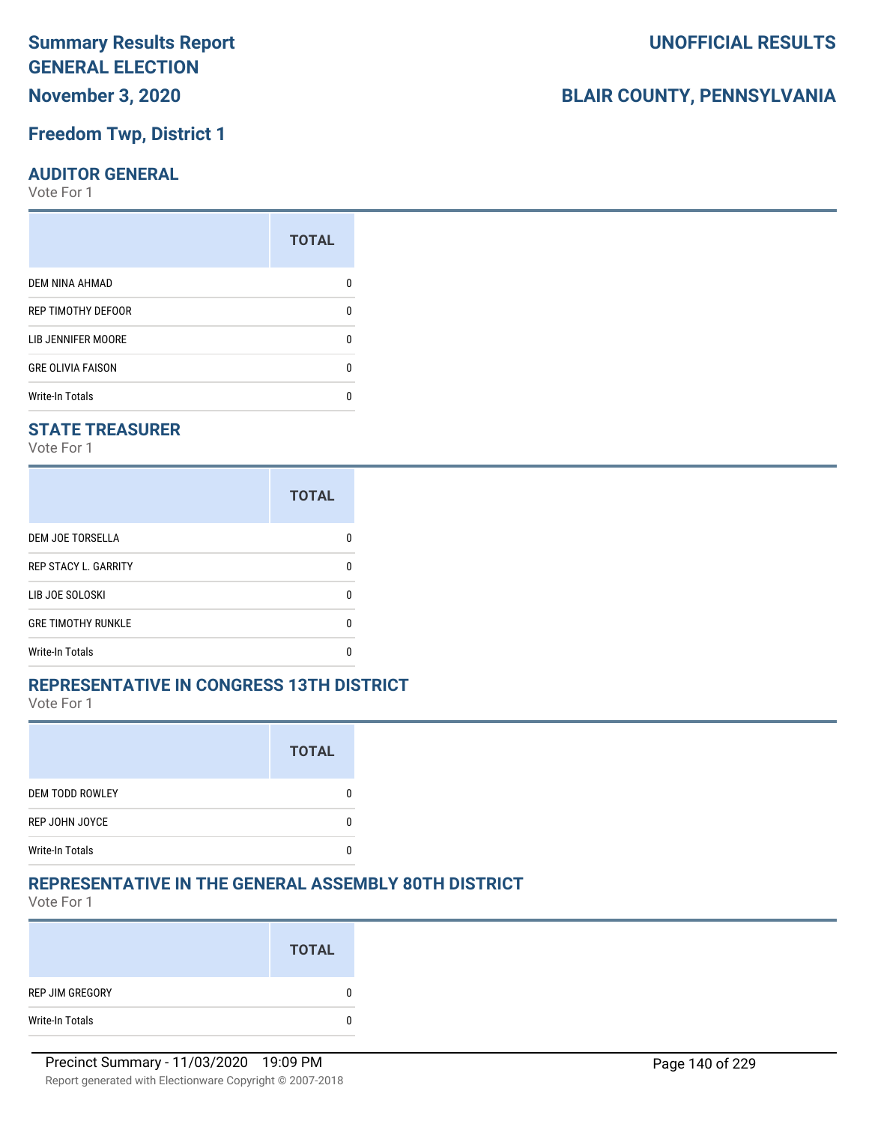## **November 3, 2020**

### **Freedom Twp, District 1**

#### **AUDITOR GENERAL**

Vote For 1

| <b>TOTAL</b> |
|--------------|
|              |
| n            |
| n            |
| n            |
|              |
|              |

#### **STATE TREASURER**

Vote For 1

|                             | <b>TOTAL</b> |
|-----------------------------|--------------|
| <b>DEM JOE TORSELLA</b>     |              |
| <b>REP STACY L. GARRITY</b> |              |
| LIB JOE SOLOSKI             |              |
| <b>GRE TIMOTHY RUNKLE</b>   |              |
| Write-In Totals             |              |

#### **REPRESENTATIVE IN CONGRESS 13TH DISTRICT**

Vote For 1

|                        | <b>TOTAL</b> |
|------------------------|--------------|
| <b>DEM TODD ROWLEY</b> |              |
| REP JOHN JOYCE         |              |
| <b>Write-In Totals</b> |              |

#### **REPRESENTATIVE IN THE GENERAL ASSEMBLY 80TH DISTRICT**

Vote For 1

|                 | <b>TOTAL</b> |
|-----------------|--------------|
| REP JIM GREGORY | 0            |
| Write-In Totals | 0            |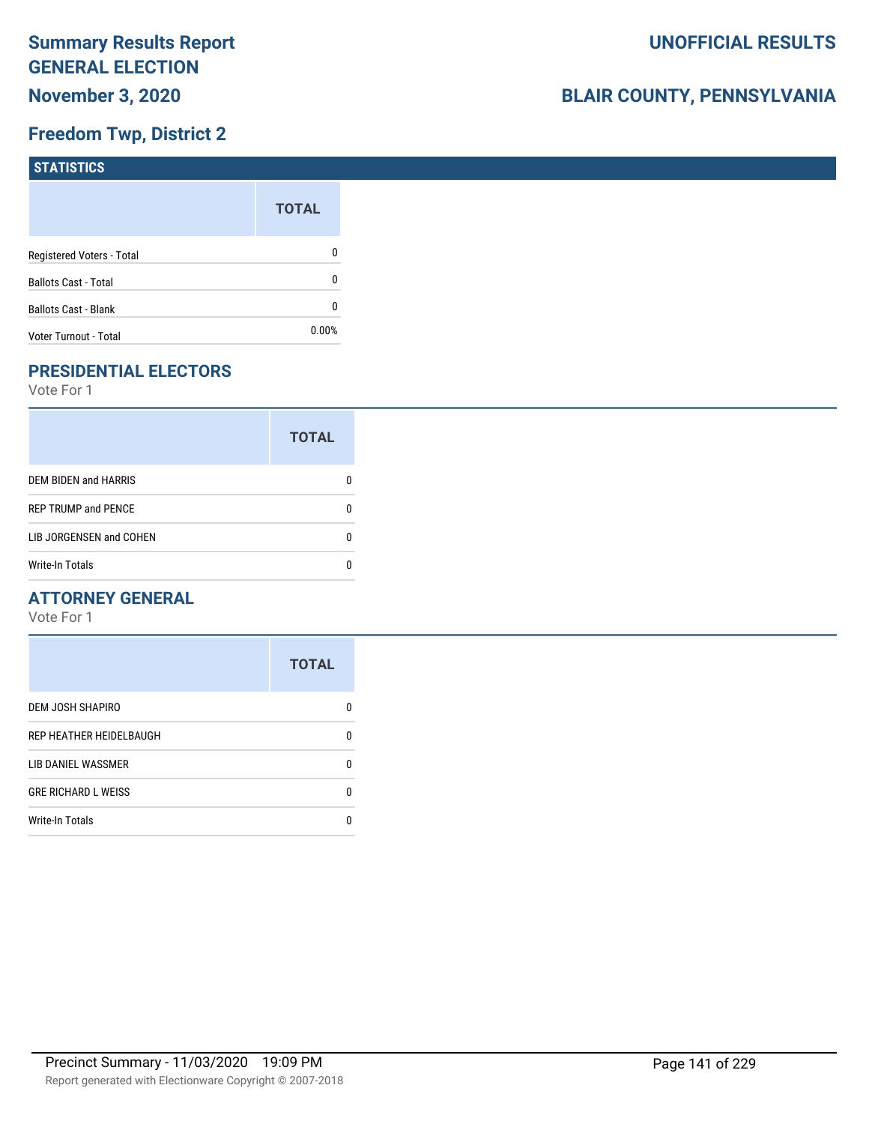## **Freedom Twp, District 2**

| <b>STATISTICS</b>           |              |
|-----------------------------|--------------|
|                             | <b>TOTAL</b> |
| Registered Voters - Total   | 0            |
| <b>Ballots Cast - Total</b> | 0            |
| <b>Ballots Cast - Blank</b> | 0            |
| Voter Turnout - Total       | 0.00%        |

## **PRESIDENTIAL ELECTORS**

Vote For 1

|                             | <b>TOTAL</b> |
|-----------------------------|--------------|
| <b>DEM BIDEN and HARRIS</b> |              |
| <b>REP TRUMP and PENCE</b>  |              |
| LIB JORGENSEN and COHEN     |              |
| <b>Write-In Totals</b>      |              |

#### **ATTORNEY GENERAL**

|                            | <b>TOTAL</b> |
|----------------------------|--------------|
| <b>DEM JOSH SHAPIRO</b>    | n            |
| REP HEATHER HEIDELBAUGH    | 0            |
| LIB DANIEL WASSMER         | n            |
| <b>GRE RICHARD L WEISS</b> | n            |
| <b>Write-In Totals</b>     |              |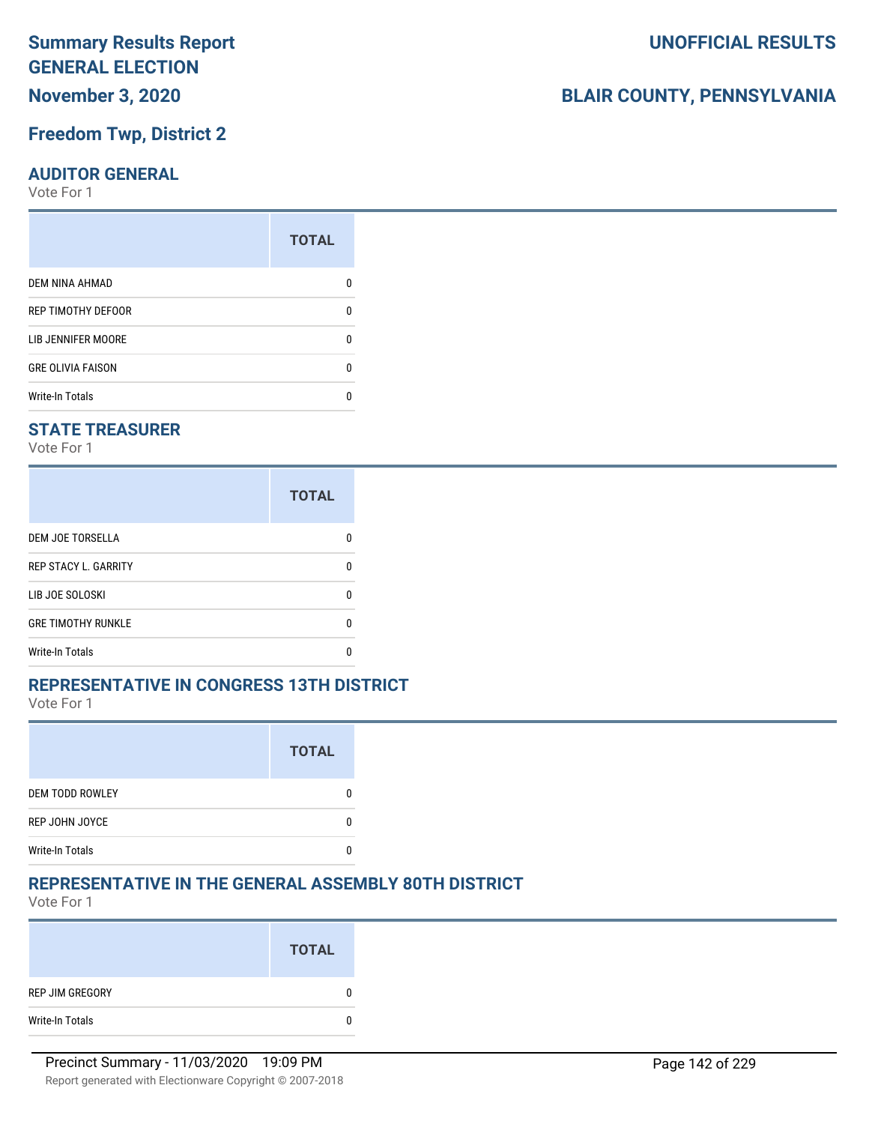## **November 3, 2020**

#### **Freedom Twp, District 2**

#### **AUDITOR GENERAL**

Vote For 1

| ŋ |
|---|
| n |
| n |
|   |
|   |

#### **STATE TREASURER**

Vote For 1

|                             | <b>TOTAL</b> |
|-----------------------------|--------------|
| <b>DEM JOE TORSELLA</b>     |              |
| <b>REP STACY L. GARRITY</b> |              |
| LIB JOE SOLOSKI             |              |
| <b>GRE TIMOTHY RUNKLE</b>   |              |
| Write-In Totals             |              |

#### **REPRESENTATIVE IN CONGRESS 13TH DISTRICT**

Vote For 1

|                        | <b>TOTAL</b> |
|------------------------|--------------|
| <b>DEM TODD ROWLEY</b> |              |
| REP JOHN JOYCE         |              |
| <b>Write-In Totals</b> |              |

#### **REPRESENTATIVE IN THE GENERAL ASSEMBLY 80TH DISTRICT**

Vote For 1

|                 | <b>TOTAL</b> |
|-----------------|--------------|
| REP JIM GREGORY | $\bf{0}$     |
| Write-In Totals | $\bf{0}$     |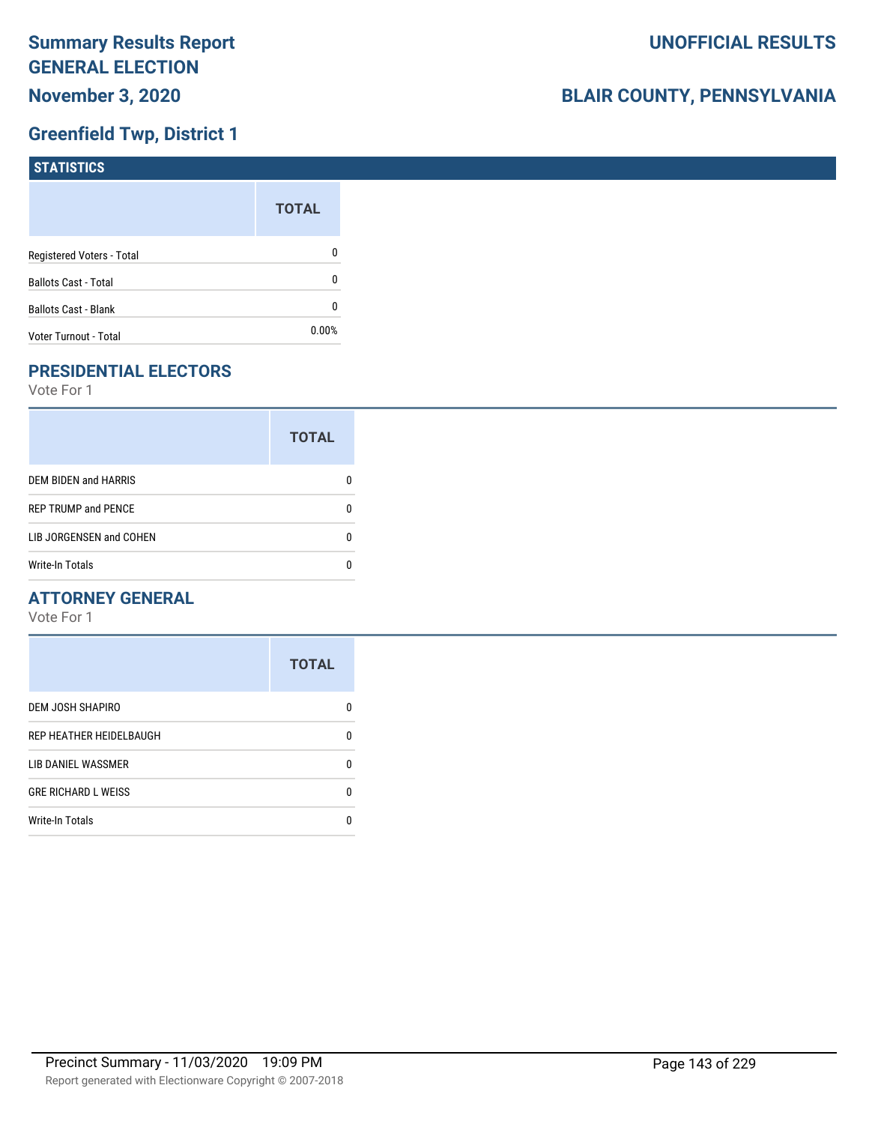## **Greenfield Twp, District 1**

| <b>STATISTICS</b>           |              |
|-----------------------------|--------------|
|                             | <b>TOTAL</b> |
| Registered Voters - Total   | 0            |
| <b>Ballots Cast - Total</b> | 0            |
| Ballots Cast - Blank        | 0            |
| Voter Turnout - Total       | 0.00%        |

## **PRESIDENTIAL ELECTORS**

Vote For 1

|                            | <b>TOTAL</b> |
|----------------------------|--------------|
| DEM BIDEN and HARRIS       |              |
| <b>REP TRUMP and PENCE</b> |              |
| LIB JORGENSEN and COHEN    | O            |
| <b>Write-In Totals</b>     |              |

#### **ATTORNEY GENERAL**

|                            | <b>TOTAL</b> |
|----------------------------|--------------|
| DEM JOSH SHAPIRO           | n            |
| REP HEATHER HEIDELBAUGH    | 0            |
| LIB DANIEL WASSMER         | 0            |
| <b>GRE RICHARD L WEISS</b> | 0            |
| <b>Write-In Totals</b>     | n            |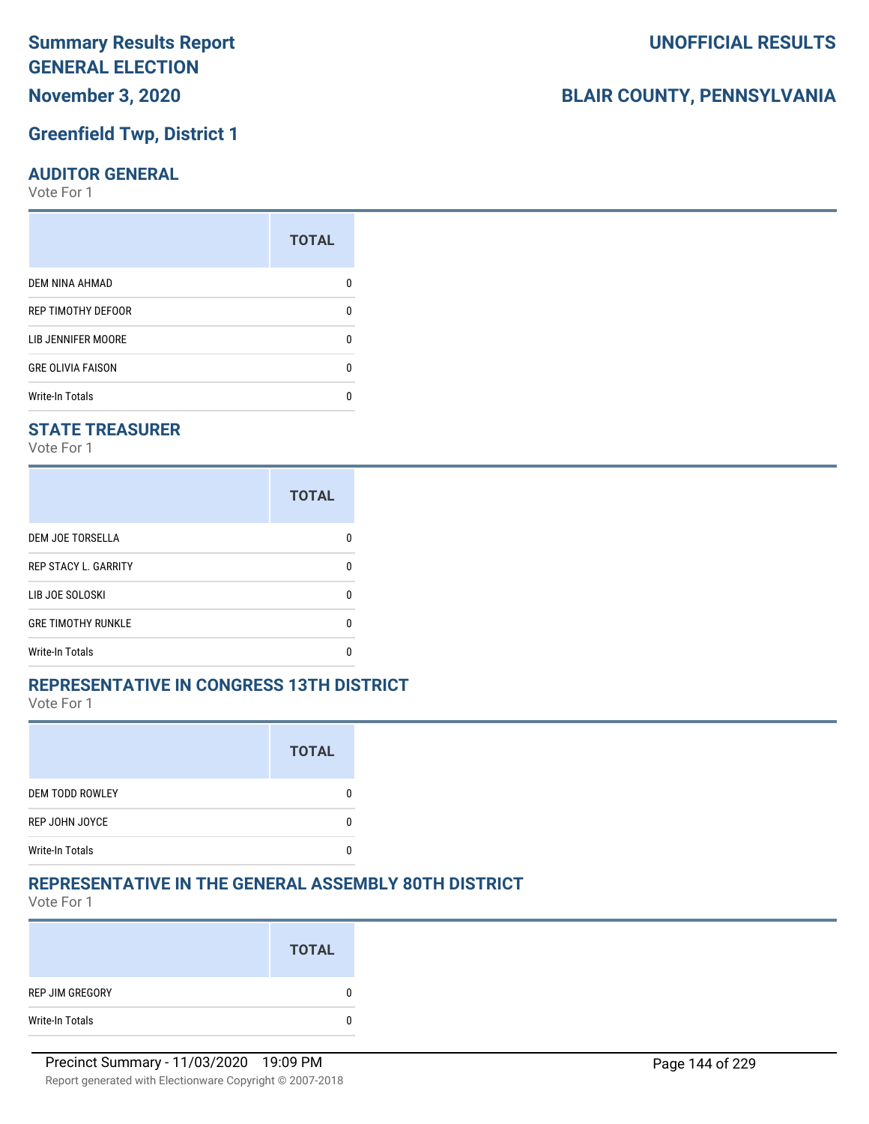## **Greenfield Twp, District 1**

#### **AUDITOR GENERAL**

Vote For 1

|                           | <b>TOTAL</b> |
|---------------------------|--------------|
| DEM NINA AHMAD            | n            |
| REP TIMOTHY DEFOOR        | U            |
| <b>LIB JENNIFER MOORE</b> | n            |
| <b>GRE OLIVIA FAISON</b>  | n            |
| <b>Write-In Totals</b>    | n            |

#### **STATE TREASURER**

Vote For 1

|                             | <b>TOTAL</b> |
|-----------------------------|--------------|
| DEM JOE TORSELLA            | n            |
| <b>REP STACY L. GARRITY</b> | n            |
| LIB JOE SOLOSKI             | U            |
| <b>GRE TIMOTHY RUNKLE</b>   | n            |
| <b>Write-In Totals</b>      | n            |

#### **REPRESENTATIVE IN CONGRESS 13TH DISTRICT**

Vote For 1

|                        | <b>TOTAL</b> |
|------------------------|--------------|
| <b>DEM TODD ROWLEY</b> |              |
| REP JOHN JOYCE         |              |
| <b>Write-In Totals</b> |              |

#### **REPRESENTATIVE IN THE GENERAL ASSEMBLY 80TH DISTRICT**

Vote For 1

|                 | <b>TOTAL</b> |
|-----------------|--------------|
| REP JIM GREGORY | 0            |
| Write-In Totals | 0            |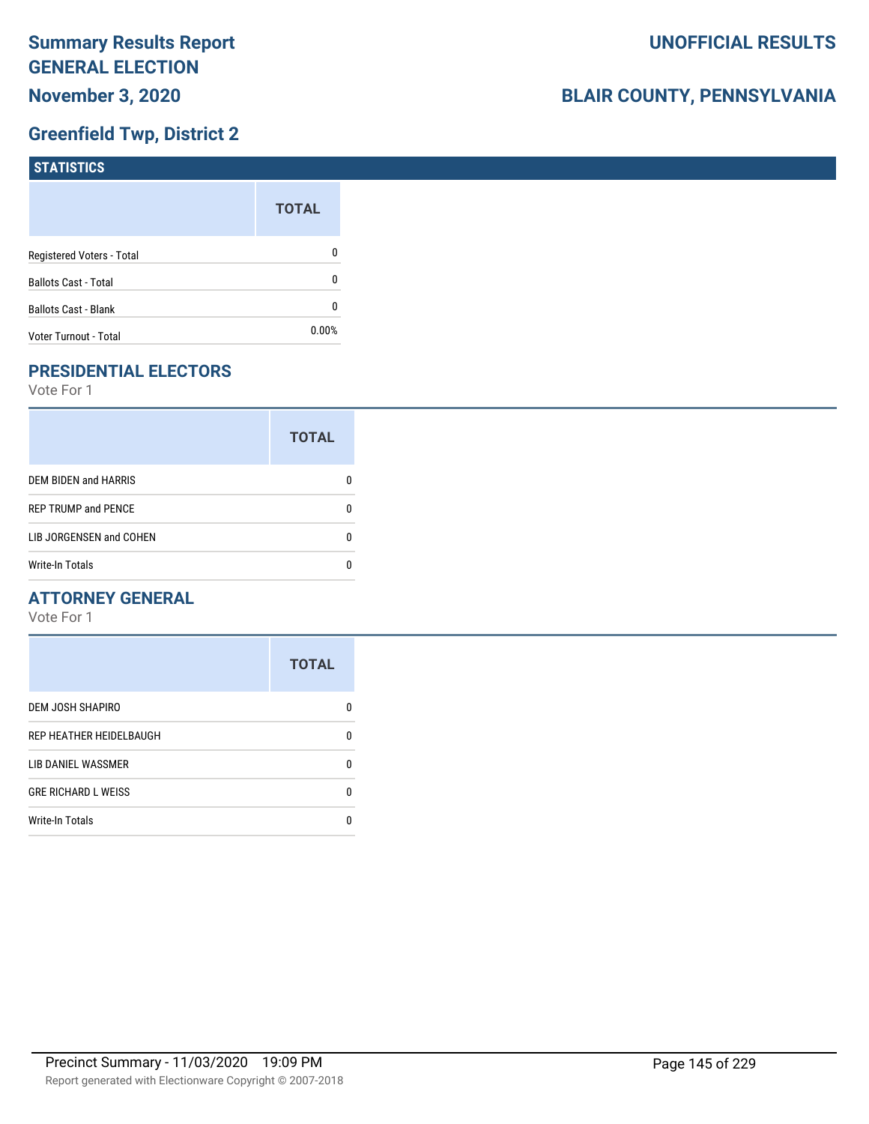### **Greenfield Twp, District 2**

| <b>STATISTICS</b>           |              |
|-----------------------------|--------------|
|                             | <b>TOTAL</b> |
| Registered Voters - Total   | 0            |
| <b>Ballots Cast - Total</b> | 0            |
| Ballots Cast - Blank        | 0            |
| Voter Turnout - Total       | 0.00%        |

### **PRESIDENTIAL ELECTORS**

Vote For 1

|                             | <b>TOTAL</b> |
|-----------------------------|--------------|
| <b>DEM BIDEN and HARRIS</b> |              |
| <b>REP TRUMP and PENCE</b>  |              |
| LIB JORGENSEN and COHEN     | n            |
| <b>Write-In Totals</b>      |              |

### **ATTORNEY GENERAL**

|                            | <b>TOTAL</b> |
|----------------------------|--------------|
| <b>DEM JOSH SHAPIRO</b>    | n            |
| REP HEATHER HEIDELBAUGH    | 0            |
| LIB DANIEL WASSMER         | n            |
| <b>GRE RICHARD L WEISS</b> | n            |
| <b>Write-In Totals</b>     |              |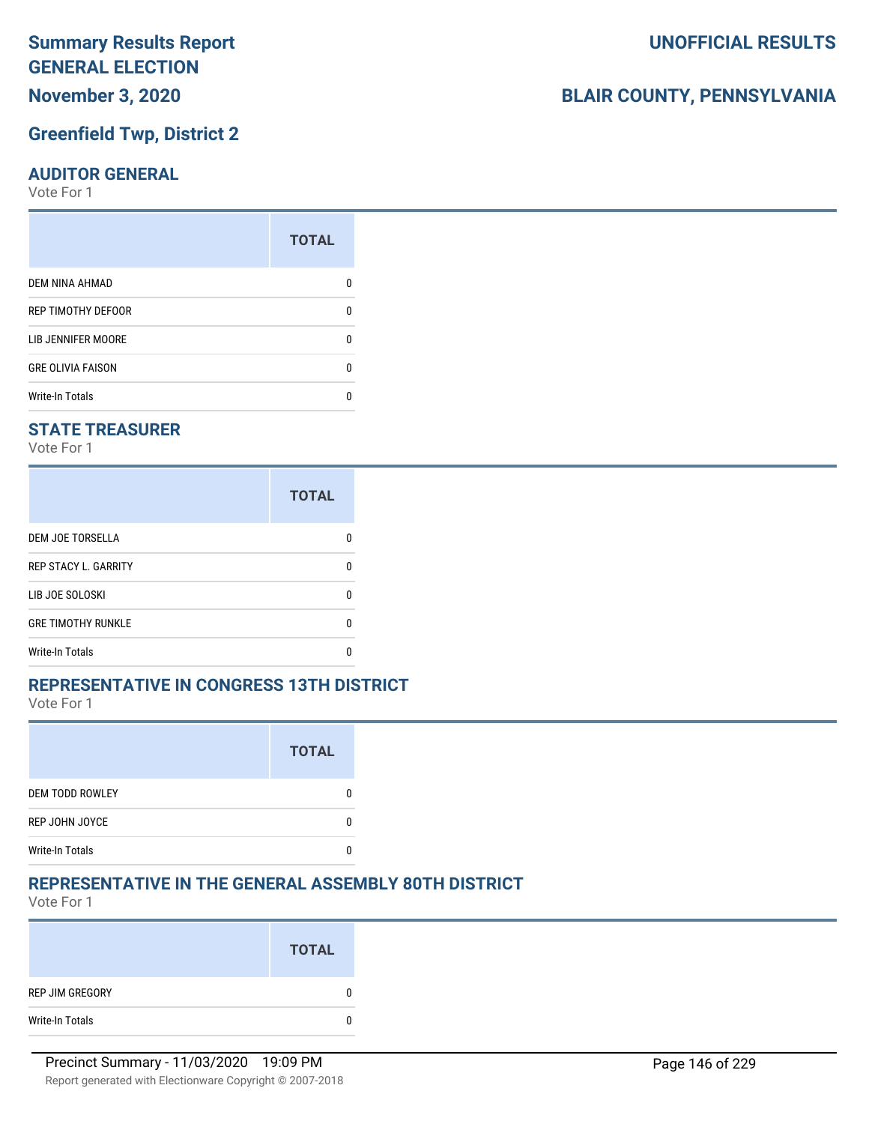### **Summary Results Report GENERAL ELECTION November 3, 2020**

### **Greenfield Twp, District 2**

#### **AUDITOR GENERAL**

Vote For 1

|                           | <b>TOTAL</b> |
|---------------------------|--------------|
| DEM NINA AHMAD            | n            |
| REP TIMOTHY DEFOOR        | U            |
| <b>LIB JENNIFER MOORE</b> | n            |
| <b>GRE OLIVIA FAISON</b>  | n            |
| <b>Write-In Totals</b>    | n            |

### **STATE TREASURER**

Vote For 1

|                             | <b>TOTAL</b> |
|-----------------------------|--------------|
| DEM JOE TORSELLA            | n            |
| <b>REP STACY L. GARRITY</b> | n            |
| LIB JOE SOLOSKI             | U            |
| <b>GRE TIMOTHY RUNKLE</b>   | n            |
| <b>Write-In Totals</b>      | n            |

#### **REPRESENTATIVE IN CONGRESS 13TH DISTRICT**

Vote For 1

|                        | <b>TOTAL</b> |
|------------------------|--------------|
| <b>DEM TODD ROWLEY</b> |              |
| REP JOHN JOYCE         |              |
| <b>Write-In Totals</b> |              |

### **REPRESENTATIVE IN THE GENERAL ASSEMBLY 80TH DISTRICT**

Vote For 1

|                 | <b>TOTAL</b> |
|-----------------|--------------|
| REP JIM GREGORY | 0            |
| Write-In Totals | $\mathbf{0}$ |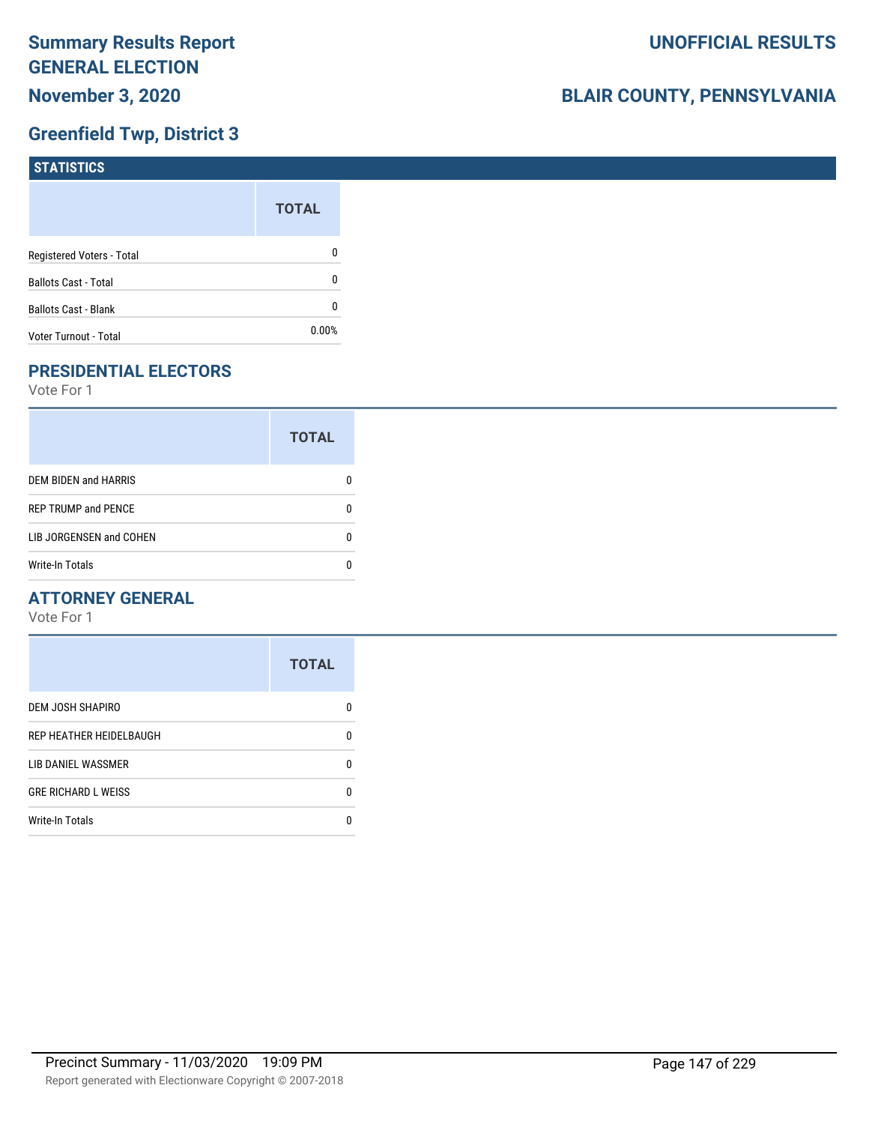### **Greenfield Twp, District 3**

| STATISTICS                  |              |
|-----------------------------|--------------|
|                             | <b>TOTAL</b> |
| Registered Voters - Total   | 0            |
| <b>Ballots Cast - Total</b> | 0            |
| <b>Ballots Cast - Blank</b> | 0            |
| Voter Turnout - Total       | $0.00\%$     |

### **PRESIDENTIAL ELECTORS**

Vote For 1

|                             | <b>TOTAL</b> |
|-----------------------------|--------------|
| <b>DEM BIDEN and HARRIS</b> |              |
| <b>REP TRUMP and PENCE</b>  |              |
| LIB JORGENSEN and COHEN     | n            |
| <b>Write-In Totals</b>      |              |

### **ATTORNEY GENERAL**

|                            | <b>TOTAL</b> |
|----------------------------|--------------|
| DEM JOSH SHAPIRO           | n            |
| REP HEATHER HEIDELBAUGH    | 0            |
| LIB DANIEL WASSMER         | 0            |
| <b>GRE RICHARD L WEISS</b> | 0            |
| <b>Write-In Totals</b>     | n            |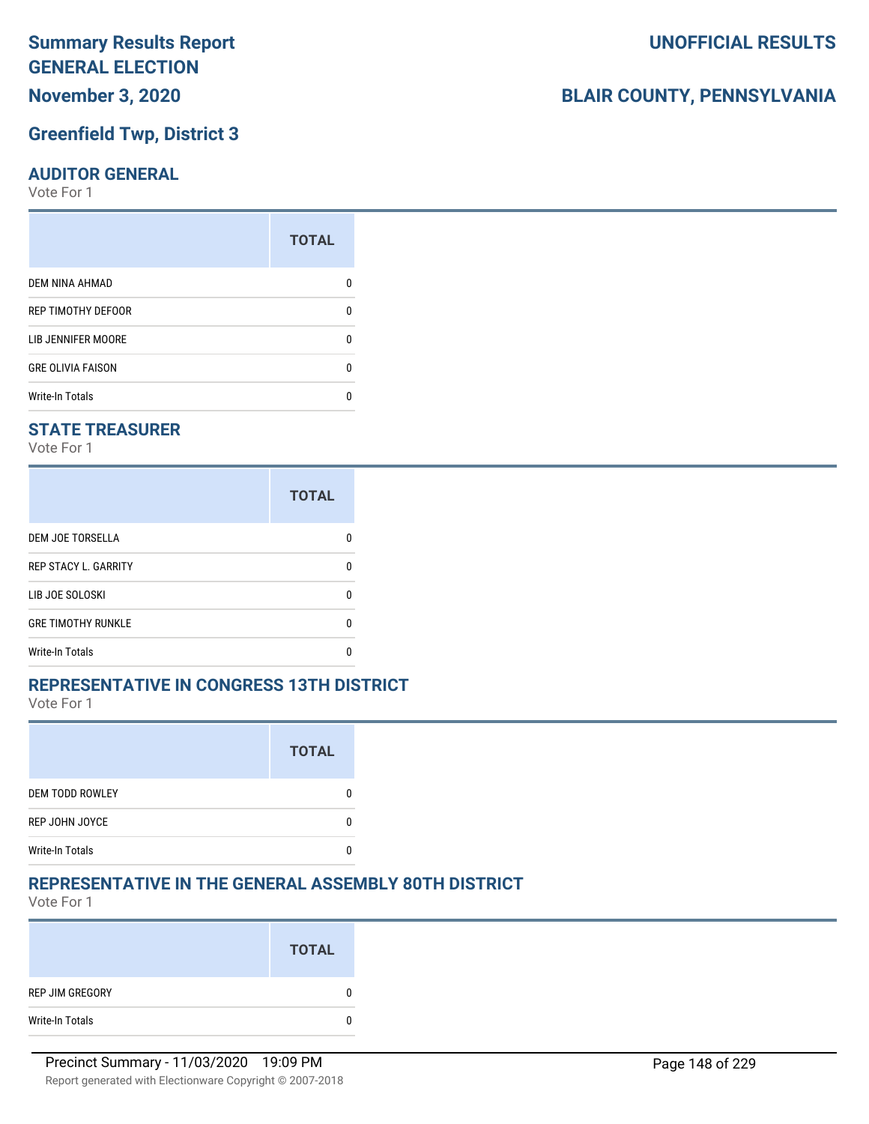### **Summary Results Report GENERAL ELECTION November 3, 2020**

### **Greenfield Twp, District 3**

#### **AUDITOR GENERAL**

Vote For 1

| <b>TOTAL</b> |
|--------------|
| n            |
| 0            |
| n            |
| n            |
| n            |
|              |

### **STATE TREASURER**

Vote For 1

|                             | <b>TOTAL</b> |
|-----------------------------|--------------|
| <b>DEM JOE TORSELLA</b>     |              |
| <b>REP STACY L. GARRITY</b> |              |
| LIB JOE SOLOSKI             |              |
| <b>GRE TIMOTHY RUNKLE</b>   |              |
| <b>Write-In Totals</b>      |              |

### **REPRESENTATIVE IN CONGRESS 13TH DISTRICT**

Vote For 1

|                        | <b>TOTAL</b> |
|------------------------|--------------|
| <b>DEM TODD ROWLEY</b> |              |
| REP JOHN JOYCE         |              |
| <b>Write-In Totals</b> |              |

### **REPRESENTATIVE IN THE GENERAL ASSEMBLY 80TH DISTRICT**

Vote For 1

|                 | <b>TOTAL</b> |
|-----------------|--------------|
| REP JIM GREGORY |              |
| Write-In Totals |              |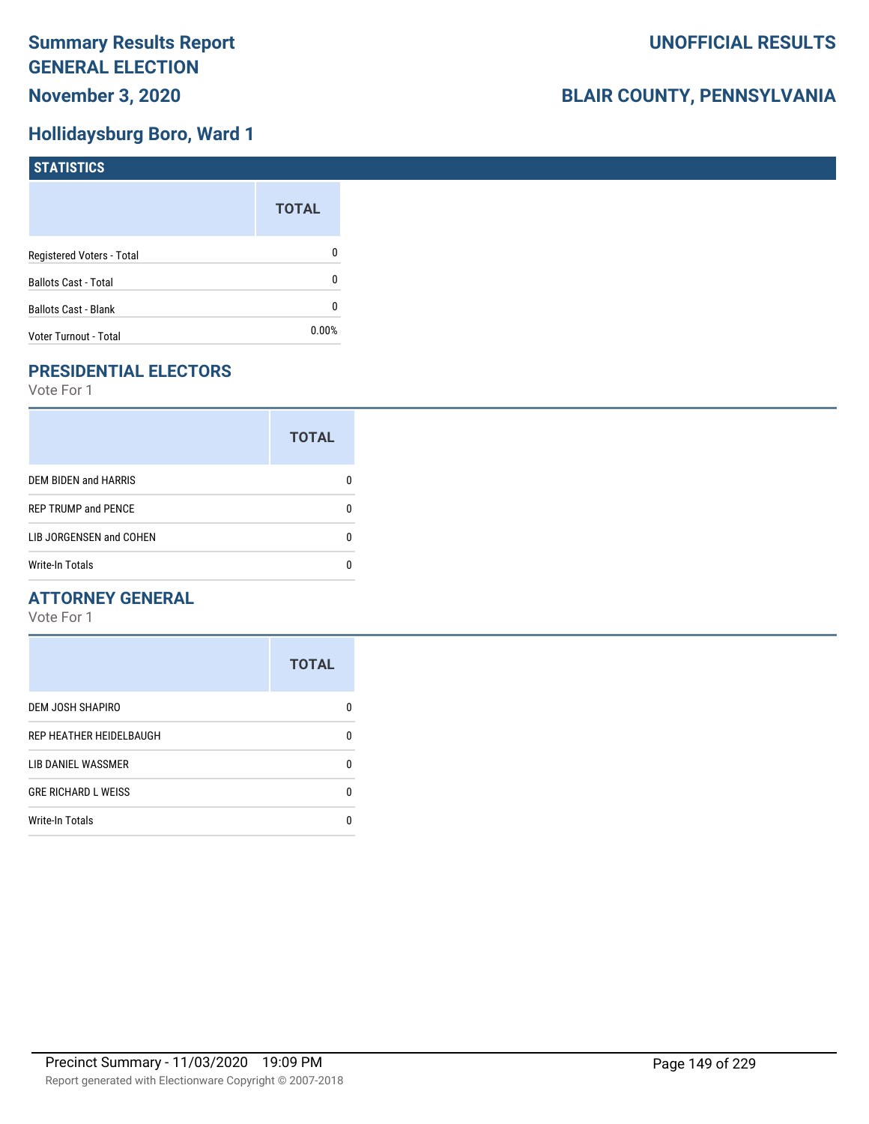### **Hollidaysburg Boro, Ward 1**

| STATISTICS                  |              |
|-----------------------------|--------------|
|                             | <b>TOTAL</b> |
| Registered Voters - Total   | 0            |
| <b>Ballots Cast - Total</b> | 0            |
| <b>Ballots Cast - Blank</b> | 0            |
| Voter Turnout - Total       | $0.00\%$     |

### **PRESIDENTIAL ELECTORS**

Vote For 1

|                             | <b>TOTAL</b> |
|-----------------------------|--------------|
| <b>DEM BIDEN and HARRIS</b> |              |
| <b>REP TRUMP and PENCE</b>  |              |
| LIB JORGENSEN and COHEN     | n            |
| <b>Write-In Totals</b>      |              |

### **ATTORNEY GENERAL**

|                            | <b>TOTAL</b> |
|----------------------------|--------------|
| DEM JOSH SHAPIRO           | n            |
| REP HEATHER HEIDELBAUGH    | 0            |
| <b>LIB DANIEL WASSMER</b>  | n            |
| <b>GRE RICHARD L WEISS</b> | n            |
| <b>Write-In Totals</b>     |              |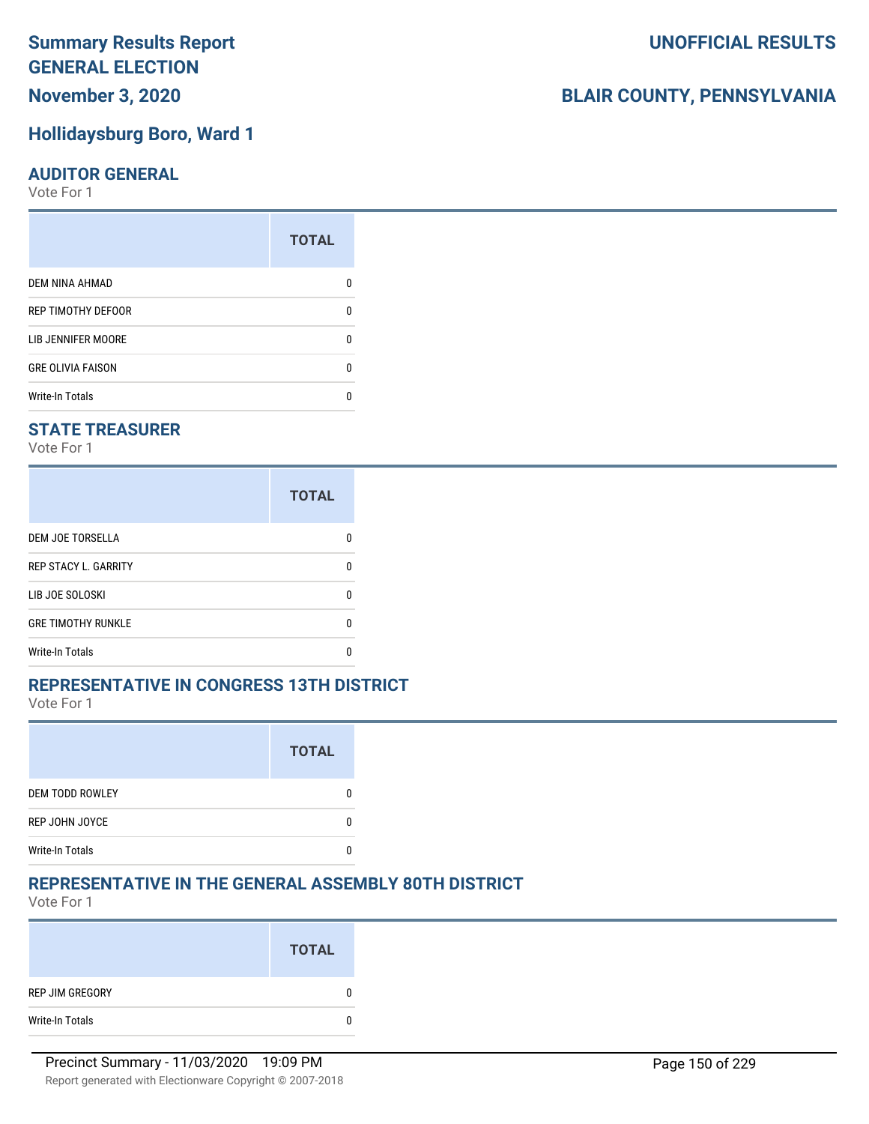### **November 3, 2020**

### **Hollidaysburg Boro, Ward 1**

#### **AUDITOR GENERAL**

Vote For 1

|                          | <b>TOTAL</b> |
|--------------------------|--------------|
| <b>DEM NINA AHMAD</b>    |              |
| REP TIMOTHY DEFOOR       | n            |
| LIB JENNIFER MOORE       |              |
| <b>GRE OLIVIA FAISON</b> | n            |
| <b>Write-In Totals</b>   |              |

### **STATE TREASURER**

Vote For 1

|                             | <b>TOTAL</b> |
|-----------------------------|--------------|
| DEM JOE TORSELLA            |              |
| <b>REP STACY L. GARRITY</b> |              |
| LIB JOE SOLOSKI             | n            |
| <b>GRE TIMOTHY RUNKLE</b>   |              |
| <b>Write-In Totals</b>      |              |

### **REPRESENTATIVE IN CONGRESS 13TH DISTRICT**

Vote For 1

|                        | <b>TOTAL</b> |
|------------------------|--------------|
| <b>DEM TODD ROWLEY</b> |              |
| REP JOHN JOYCE         |              |
| <b>Write-In Totals</b> |              |

### **REPRESENTATIVE IN THE GENERAL ASSEMBLY 80TH DISTRICT**

Vote For 1

|                 | <b>TOTAL</b> |
|-----------------|--------------|
| REP JIM GREGORY | 0            |
| Write-In Totals | 0            |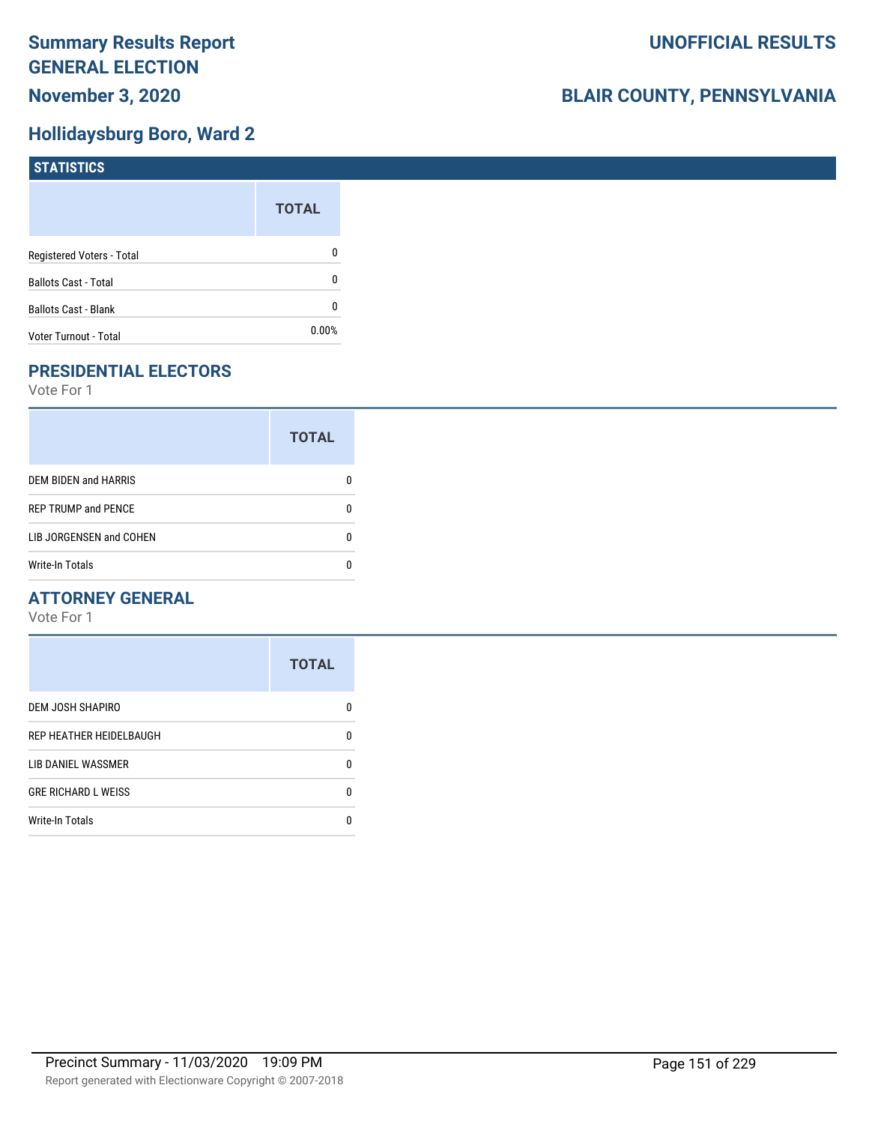### **Hollidaysburg Boro, Ward 2**

| <b>STATISTICS</b>           |              |
|-----------------------------|--------------|
|                             | <b>TOTAL</b> |
| Registered Voters - Total   | $\mathbf 0$  |
| <b>Ballots Cast - Total</b> | $\mathbf{0}$ |
| <b>Ballots Cast - Blank</b> | $\mathbf{0}$ |
| Voter Turnout - Total       | 0.00%        |

### **PRESIDENTIAL ELECTORS**

Vote For 1

|                            | <b>TOTAL</b> |
|----------------------------|--------------|
| DEM BIDEN and HARRIS       |              |
| <b>REP TRUMP and PENCE</b> |              |
| LIB JORGENSEN and COHEN    |              |
| Write-In Totals            |              |

### **ATTORNEY GENERAL**

|                            | <b>TOTAL</b> |
|----------------------------|--------------|
| DEM JOSH SHAPIRO           | n            |
| REP HEATHER HEIDELBAUGH    | 0            |
| LIB DANIEL WASSMER         | n            |
| <b>GRE RICHARD L WEISS</b> | n            |
| <b>Write-In Totals</b>     | n            |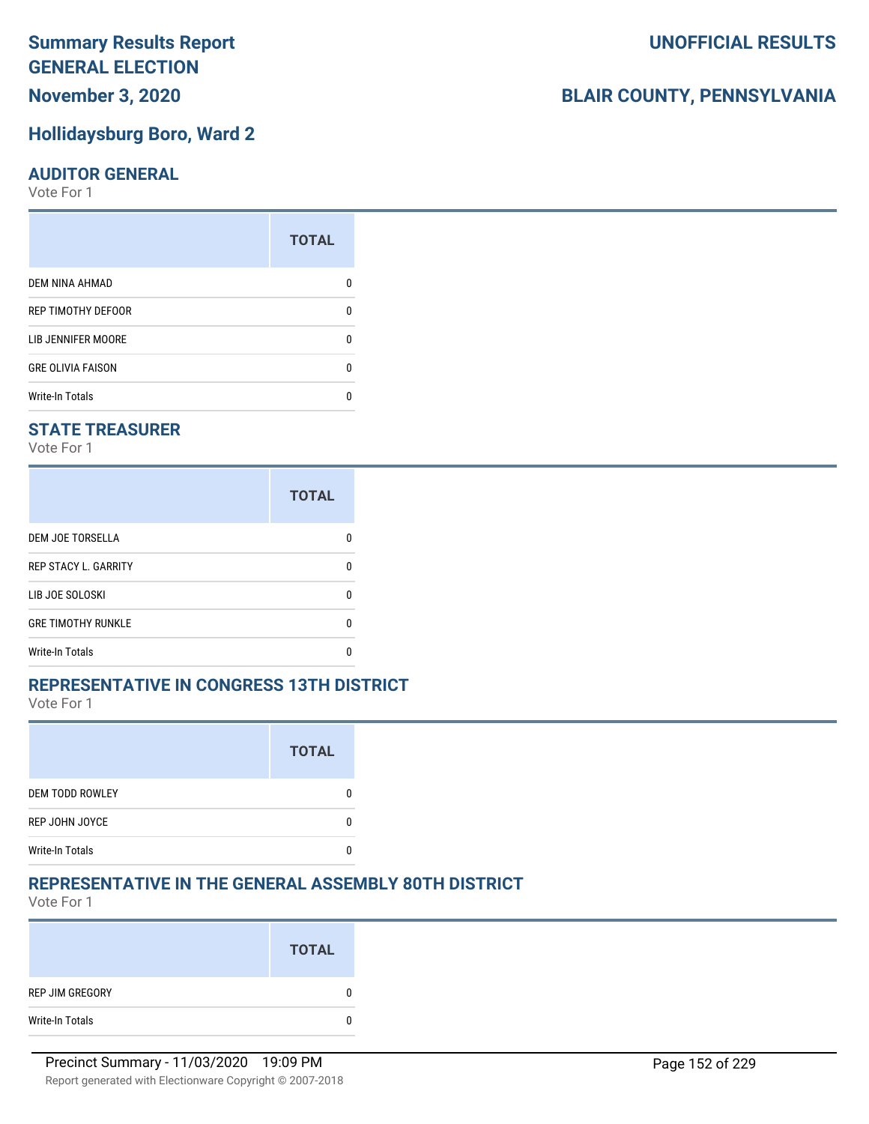### **November 3, 2020**

### **Hollidaysburg Boro, Ward 2**

### **AUDITOR GENERAL**

Vote For 1

|                           | <b>TOTAL</b> |
|---------------------------|--------------|
| DEM NINA AHMAD            |              |
| <b>REP TIMOTHY DEFOOR</b> | n            |
| LIB JENNIFER MOORE        | ŋ            |
| <b>GRE OLIVIA FAISON</b>  | U            |
| <b>Write-In Totals</b>    | n            |

### **STATE TREASURER**

Vote For 1

|                             | <b>TOTAL</b> |
|-----------------------------|--------------|
| <b>DEM JOE TORSELLA</b>     |              |
| <b>REP STACY L. GARRITY</b> |              |
| LIB JOE SOLOSKI             |              |
| <b>GRE TIMOTHY RUNKLE</b>   |              |
| Write-In Totals             |              |

### **REPRESENTATIVE IN CONGRESS 13TH DISTRICT**

Vote For 1

|                        | <b>TOTAL</b> |
|------------------------|--------------|
| <b>DEM TODD ROWLEY</b> |              |
| REP JOHN JOYCE         |              |
| <b>Write-In Totals</b> |              |

### **REPRESENTATIVE IN THE GENERAL ASSEMBLY 80TH DISTRICT**

Vote For 1

|                 | <b>TOTAL</b> |
|-----------------|--------------|
| REP JIM GREGORY | 0            |
| Write-In Totals | 0            |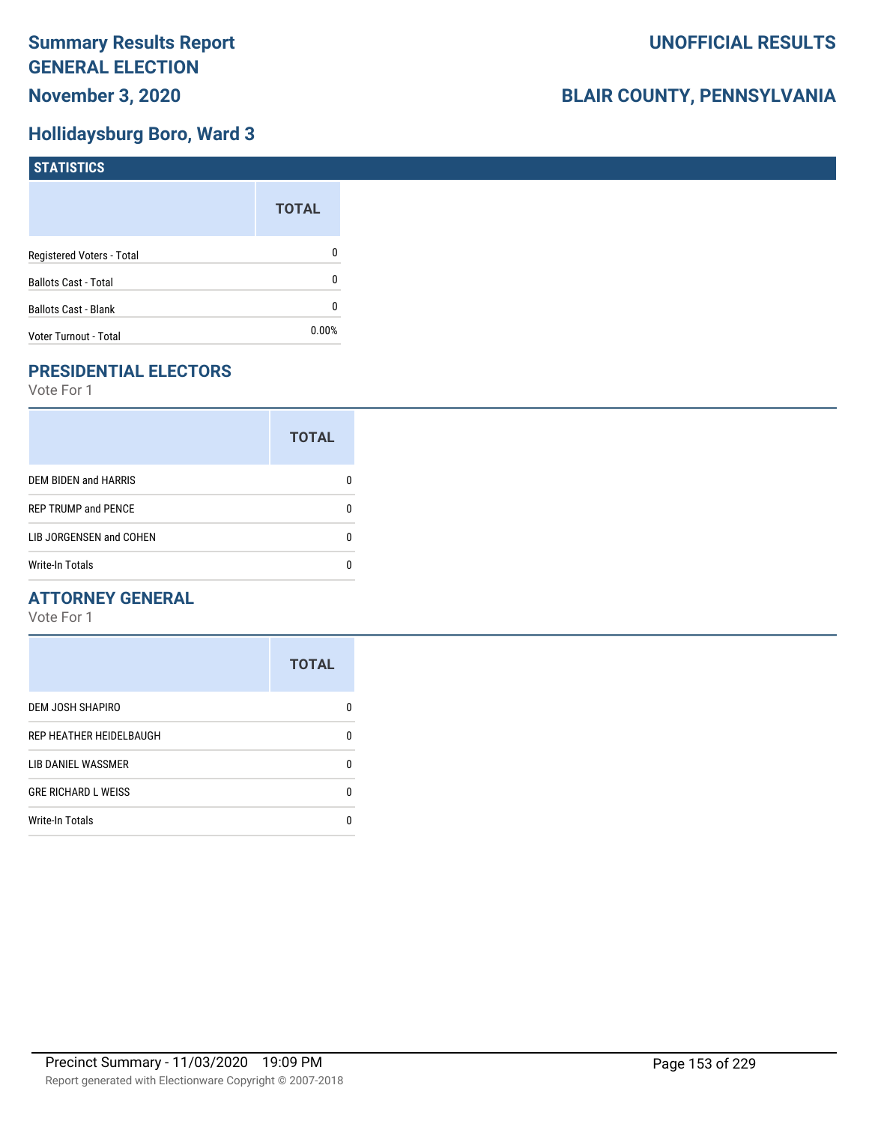### **Hollidaysburg Boro, Ward 3**

| <b>STATISTICS</b>           |              |
|-----------------------------|--------------|
|                             | <b>TOTAL</b> |
| Registered Voters - Total   | 0            |
| <b>Ballots Cast - Total</b> | 0            |
| <b>Ballots Cast - Blank</b> | 0            |
| Voter Turnout - Total       | 0.00%        |

### **PRESIDENTIAL ELECTORS**

Vote For 1

|                            | <b>TOTAL</b> |
|----------------------------|--------------|
| DEM BIDEN and HARRIS       |              |
| <b>REP TRUMP and PENCE</b> |              |
| LIB JORGENSEN and COHEN    | n            |
| <b>Write-In Totals</b>     |              |

### **ATTORNEY GENERAL**

|                            | <b>TOTAL</b> |
|----------------------------|--------------|
| <b>DEM JOSH SHAPIRO</b>    | n            |
| REP HEATHER HEIDELBAUGH    | 0            |
| <b>LIB DANIEL WASSMER</b>  | n            |
| <b>GRE RICHARD L WEISS</b> | n            |
| <b>Write-In Totals</b>     |              |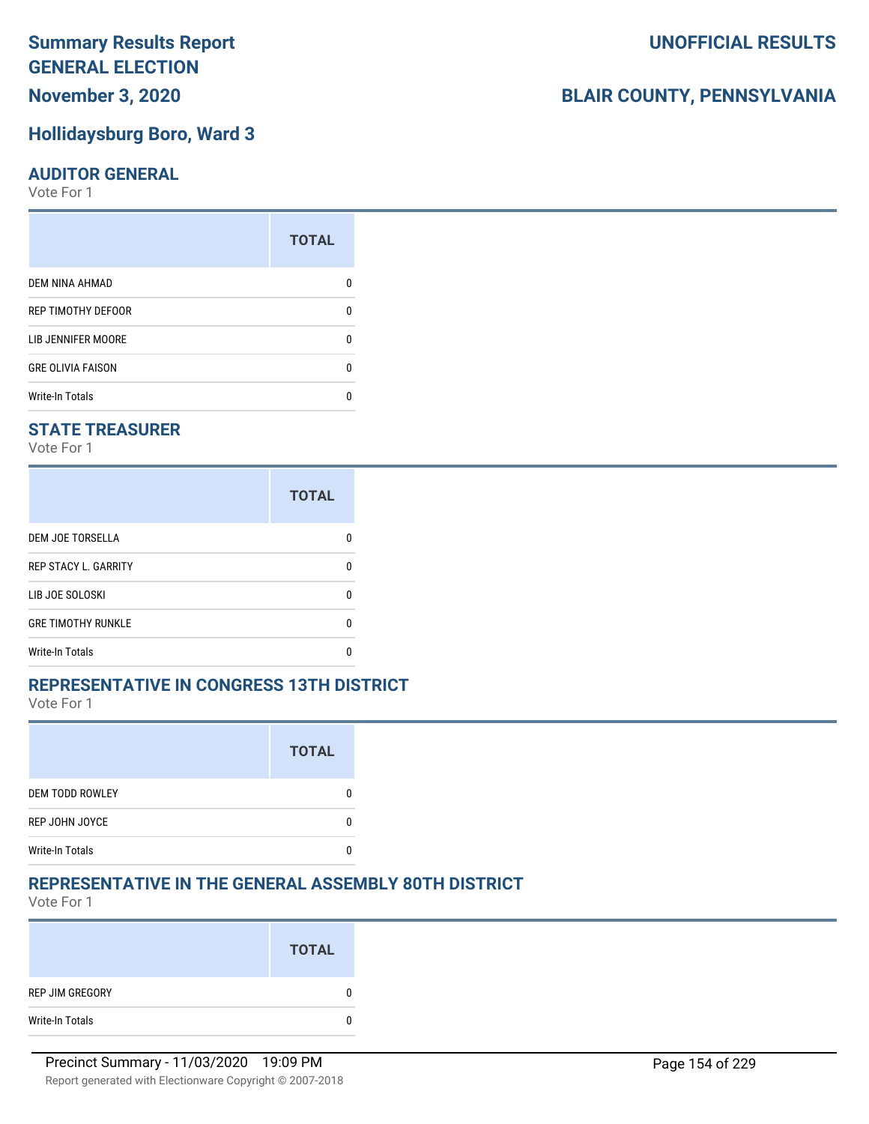### **November 3, 2020**

### **Hollidaysburg Boro, Ward 3**

#### **AUDITOR GENERAL**

Vote For 1

|                          | <b>TOTAL</b> |
|--------------------------|--------------|
| DEM NINA AHMAD           |              |
| REP TIMOTHY DEFOOR       | U            |
| LIB JENNIFER MOORE       | ŋ            |
| <b>GRE OLIVIA FAISON</b> | n            |
| <b>Write-In Totals</b>   | n            |

### **STATE TREASURER**

Vote For 1

|                             | <b>TOTAL</b> |
|-----------------------------|--------------|
| <b>DEM JOE TORSELLA</b>     | n            |
| <b>REP STACY L. GARRITY</b> | n            |
| LIB JOE SOLOSKI             | n            |
| <b>GRE TIMOTHY RUNKLE</b>   | n            |
| <b>Write-In Totals</b>      |              |

#### **REPRESENTATIVE IN CONGRESS 13TH DISTRICT**

Vote For 1

|                        | <b>TOTAL</b> |
|------------------------|--------------|
| <b>DEM TODD ROWLEY</b> |              |
| REP JOHN JOYCE         |              |
| <b>Write-In Totals</b> |              |

### **REPRESENTATIVE IN THE GENERAL ASSEMBLY 80TH DISTRICT**

Vote For 1

|                 | <b>TOTAL</b> |
|-----------------|--------------|
| REP JIM GREGORY |              |
| Write-In Totals |              |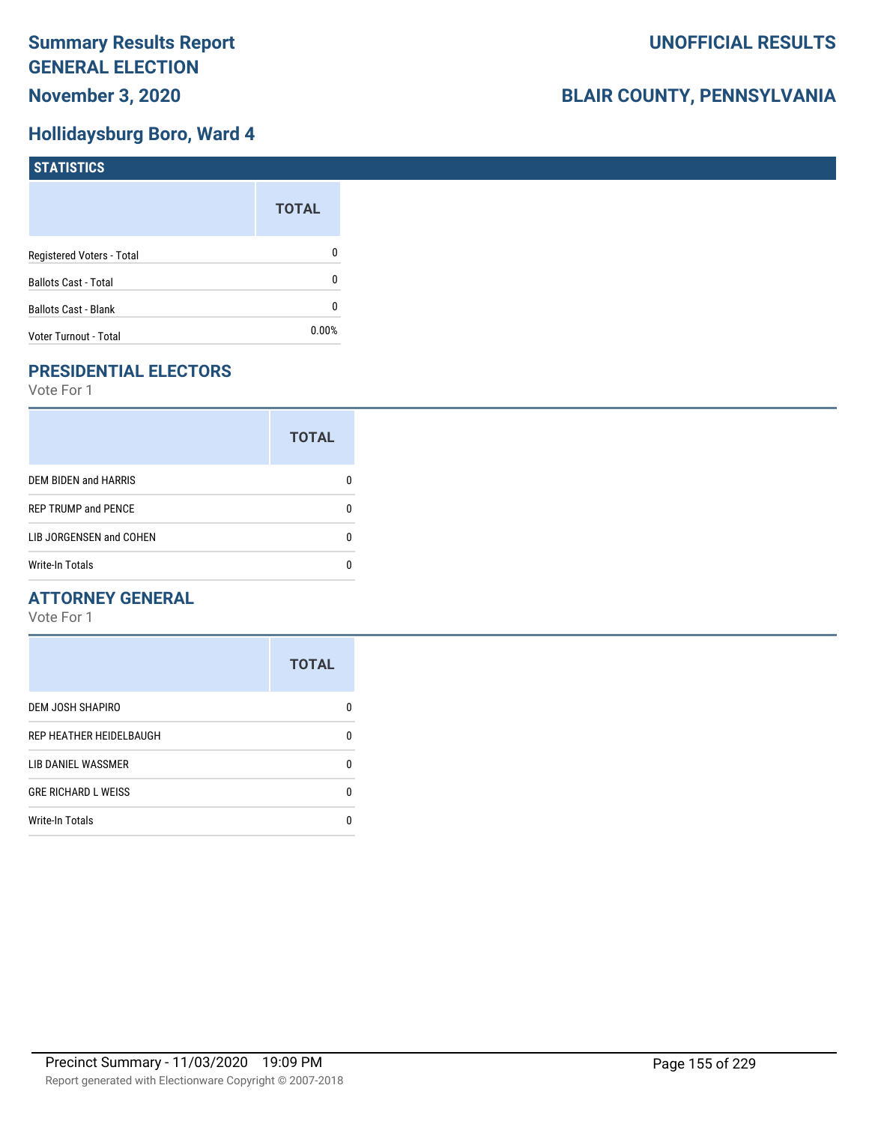### **Hollidaysburg Boro, Ward 4**

| STATISTICS                  |              |
|-----------------------------|--------------|
|                             | <b>TOTAL</b> |
| Registered Voters - Total   | 0            |
| <b>Ballots Cast - Total</b> | 0            |
| <b>Ballots Cast - Blank</b> | 0            |
| Voter Turnout - Total       | $0.00\%$     |

### **PRESIDENTIAL ELECTORS**

Vote For 1

|                             | <b>TOTAL</b> |
|-----------------------------|--------------|
| <b>DEM BIDEN and HARRIS</b> |              |
| <b>REP TRUMP and PENCE</b>  |              |
| LIB JORGENSEN and COHEN     | n            |
| <b>Write-In Totals</b>      |              |

### **ATTORNEY GENERAL**

|                            | <b>TOTAL</b> |
|----------------------------|--------------|
| DEM JOSH SHAPIRO           | n            |
| REP HEATHER HEIDELBAUGH    | 0            |
| LIB DANIEL WASSMER         | 0            |
| <b>GRE RICHARD L WEISS</b> | 0            |
| <b>Write-In Totals</b>     | n            |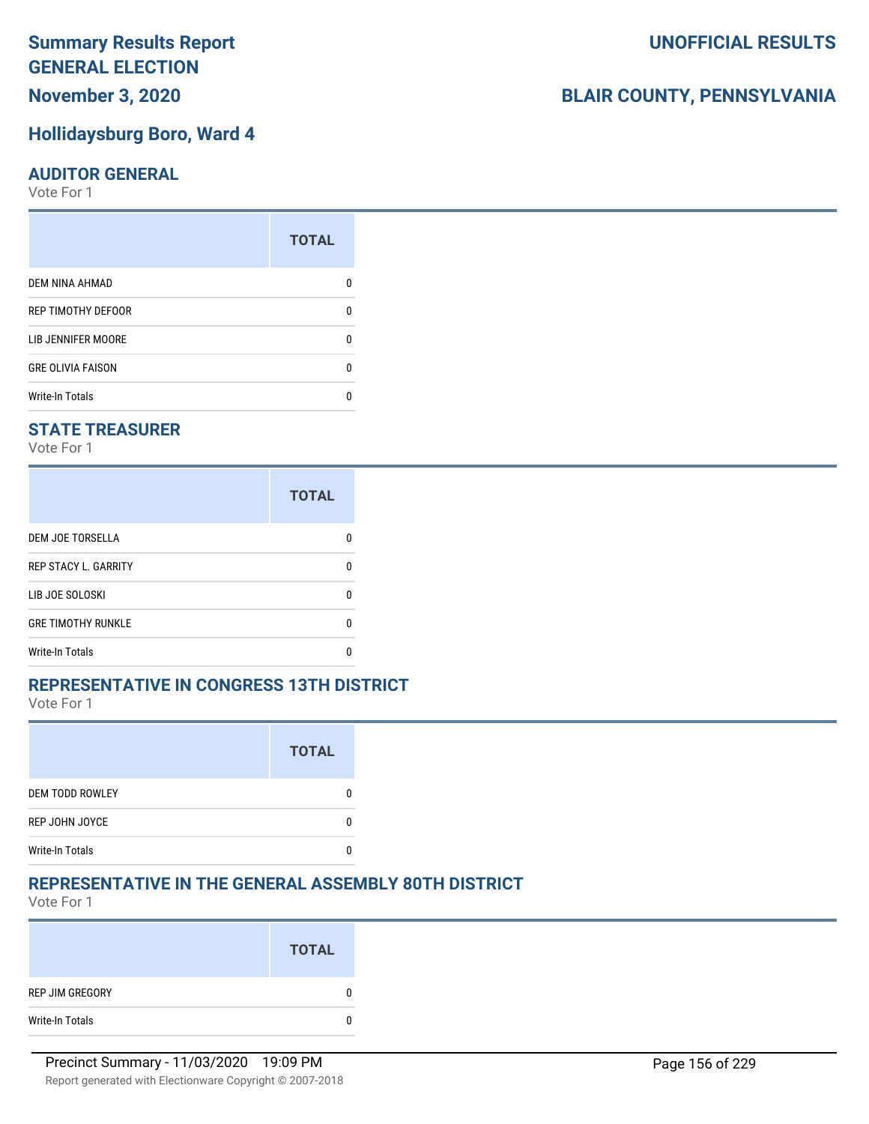### **November 3, 2020**

### **Hollidaysburg Boro, Ward 4**

#### **AUDITOR GENERAL**

Vote For 1

|                           | <b>TOTAL</b> |
|---------------------------|--------------|
| DEM NINA AHMAD            |              |
| <b>REP TIMOTHY DEFOOR</b> | n            |
| LIB JENNIFER MOORE        | ŋ            |
| <b>GRE OLIVIA FAISON</b>  | U            |
| <b>Write-In Totals</b>    | n            |

### **STATE TREASURER**

Vote For 1

|                             | <b>TOTAL</b> |
|-----------------------------|--------------|
| <b>DEM JOE TORSELLA</b>     |              |
| <b>REP STACY L. GARRITY</b> |              |
| LIB JOE SOLOSKI             |              |
| <b>GRE TIMOTHY RUNKLE</b>   |              |
| Write-In Totals             |              |

#### **REPRESENTATIVE IN CONGRESS 13TH DISTRICT**

Vote For 1

|                        | <b>TOTAL</b> |
|------------------------|--------------|
| <b>DEM TODD ROWLEY</b> |              |
| REP JOHN JOYCE         |              |
| <b>Write-In Totals</b> |              |

### **REPRESENTATIVE IN THE GENERAL ASSEMBLY 80TH DISTRICT**

Vote For 1

|                 | <b>TOTAL</b> |
|-----------------|--------------|
| REP JIM GREGORY | 0            |
| Write-In Totals | 0            |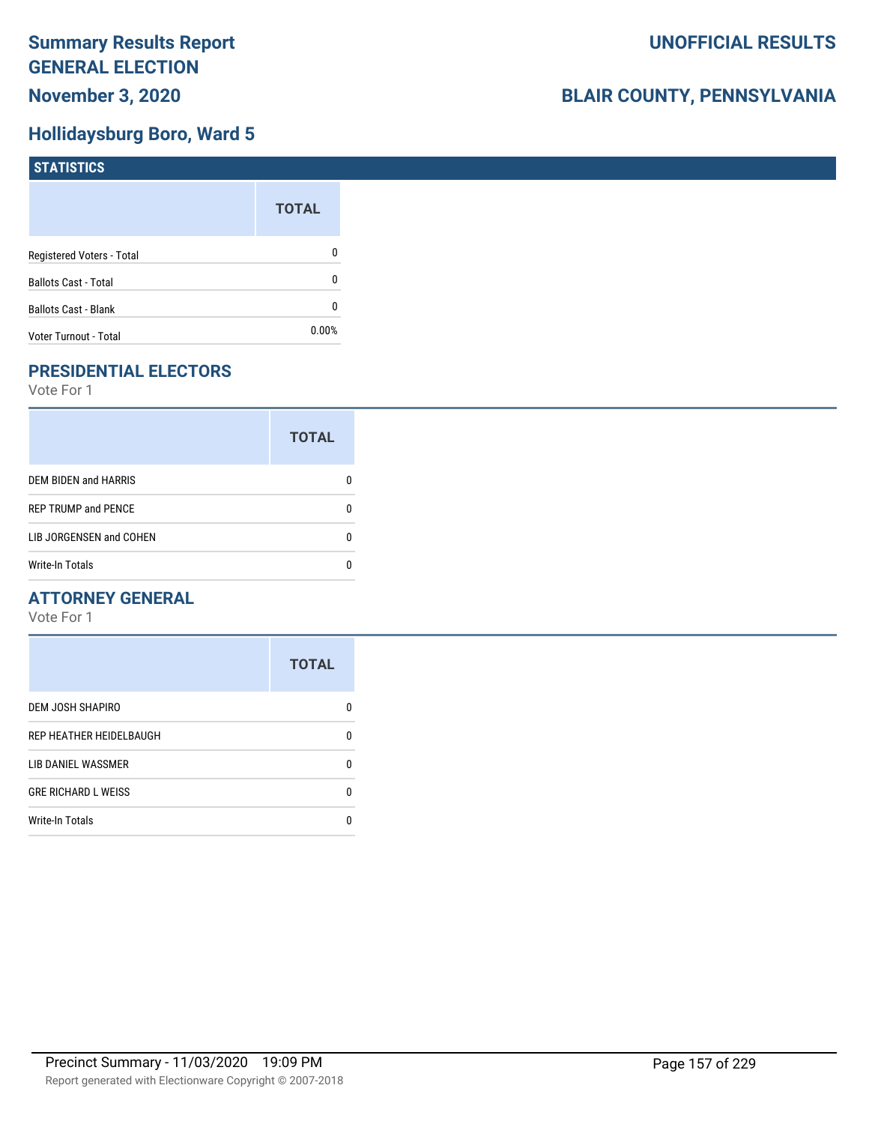### **Hollidaysburg Boro, Ward 5**

| STATISTICS                  |              |
|-----------------------------|--------------|
|                             | <b>TOTAL</b> |
| Registered Voters - Total   | 0            |
| <b>Ballots Cast - Total</b> | 0            |
| <b>Ballots Cast - Blank</b> | 0            |
| Voter Turnout - Total       | $0.00\%$     |

### **PRESIDENTIAL ELECTORS**

Vote For 1

|                            | <b>TOTAL</b> |
|----------------------------|--------------|
| DEM BIDEN and HARRIS       | 0            |
| <b>REP TRUMP and PENCE</b> | O            |
| LIB JORGENSEN and COHEN    | O            |
| <b>Write-In Totals</b>     |              |

### **ATTORNEY GENERAL**

|                            | <b>TOTAL</b> |
|----------------------------|--------------|
| <b>DEM JOSH SHAPIRO</b>    | n            |
| REP HEATHER HEIDELBAUGH    | 0            |
| <b>LIB DANIEL WASSMER</b>  | n            |
| <b>GRE RICHARD L WEISS</b> | n            |
| <b>Write-In Totals</b>     |              |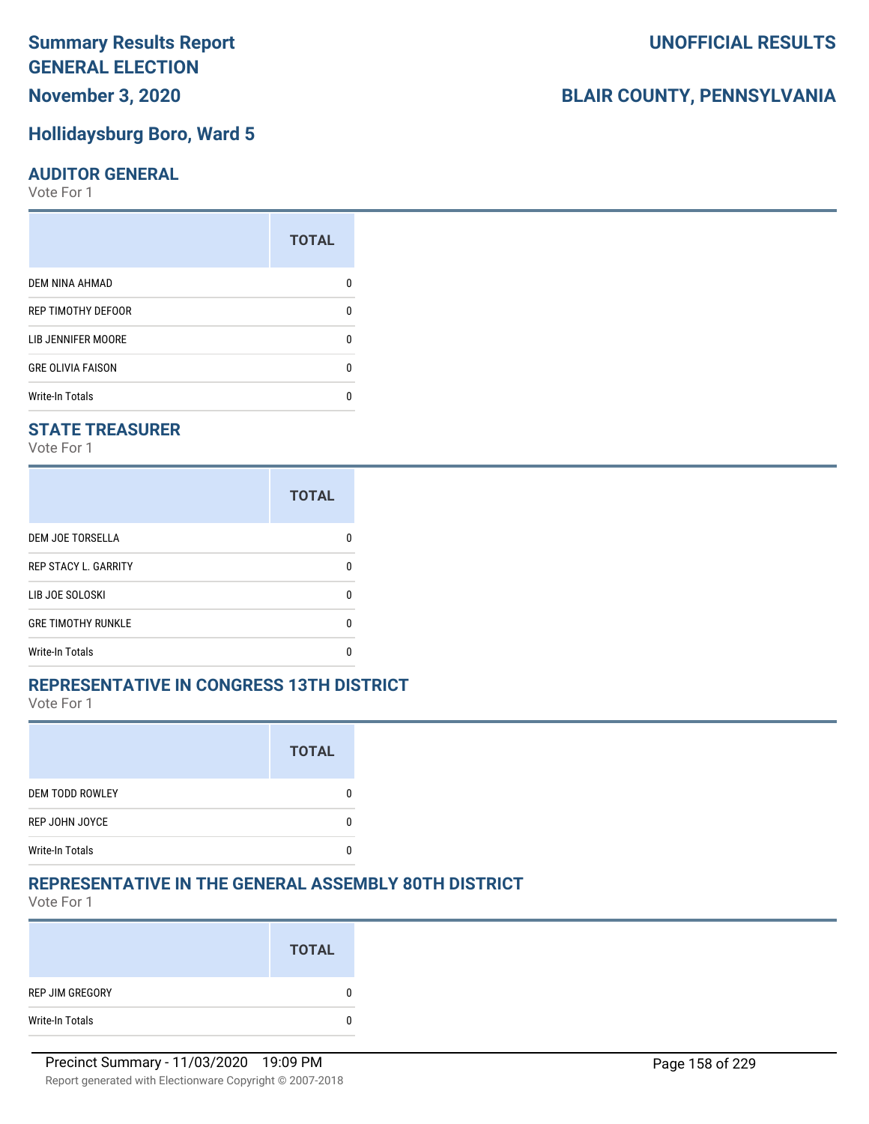### **November 3, 2020**

### **Hollidaysburg Boro, Ward 5**

#### **AUDITOR GENERAL**

Vote For 1

|                          | <b>TOTAL</b> |
|--------------------------|--------------|
| DEM NINA AHMAD           |              |
| REP TIMOTHY DEFOOR       | U            |
| LIB JENNIFER MOORE       | ŋ            |
| <b>GRE OLIVIA FAISON</b> | n            |
| <b>Write-In Totals</b>   | n            |

### **STATE TREASURER**

Vote For 1

|                             | <b>TOTAL</b> |
|-----------------------------|--------------|
| <b>DEM JOE TORSELLA</b>     | n            |
| <b>REP STACY L. GARRITY</b> | n            |
| LIB JOE SOLOSKI             | n            |
| <b>GRE TIMOTHY RUNKLE</b>   | n            |
| <b>Write-In Totals</b>      |              |

#### **REPRESENTATIVE IN CONGRESS 13TH DISTRICT**

Vote For 1

|                        | <b>TOTAL</b> |
|------------------------|--------------|
| <b>DEM TODD ROWLEY</b> |              |
| REP JOHN JOYCE         |              |
| <b>Write-In Totals</b> |              |

### **REPRESENTATIVE IN THE GENERAL ASSEMBLY 80TH DISTRICT**

Vote For 1

|                 | <b>TOTAL</b> |
|-----------------|--------------|
| REP JIM GREGORY |              |
| Write-In Totals |              |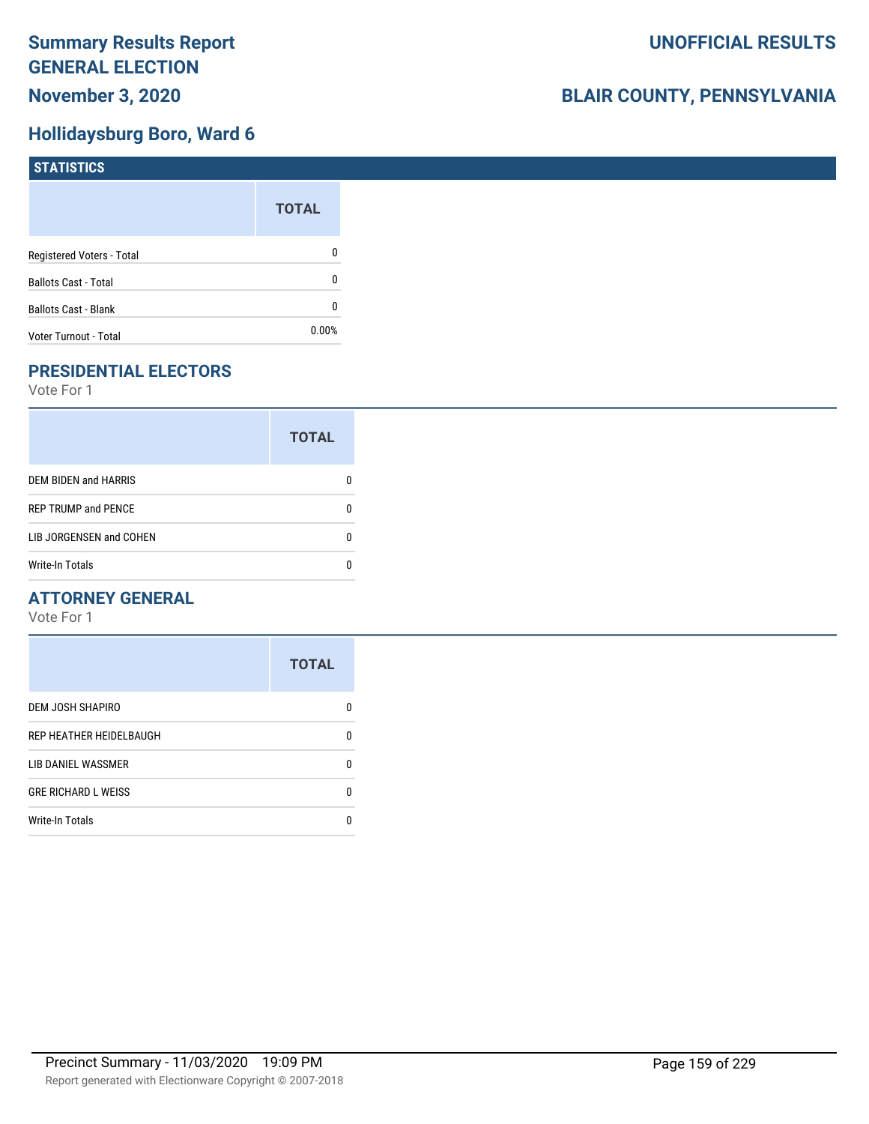### **Hollidaysburg Boro, Ward 6**

| <b>STATISTICS</b>           |              |
|-----------------------------|--------------|
|                             | <b>TOTAL</b> |
| Registered Voters - Total   | 0            |
| <b>Ballots Cast - Total</b> | 0            |
| Ballots Cast - Blank        | 0            |
| Voter Turnout - Total       | 0.00%        |

### **PRESIDENTIAL ELECTORS**

Vote For 1

|                            | <b>TOTAL</b> |
|----------------------------|--------------|
| DEM BIDEN and HARRIS       | 0            |
| <b>REP TRUMP and PENCE</b> | O            |
| LIB JORGENSEN and COHEN    |              |
| <b>Write-In Totals</b>     |              |

### **ATTORNEY GENERAL**

|                            | <b>TOTAL</b> |
|----------------------------|--------------|
| DEM JOSH SHAPIRO           | n            |
| REP HEATHER HEIDELBAUGH    | 0            |
| LIB DANIEL WASSMER         | 0            |
| <b>GRE RICHARD L WEISS</b> | 0            |
| <b>Write-In Totals</b>     | n            |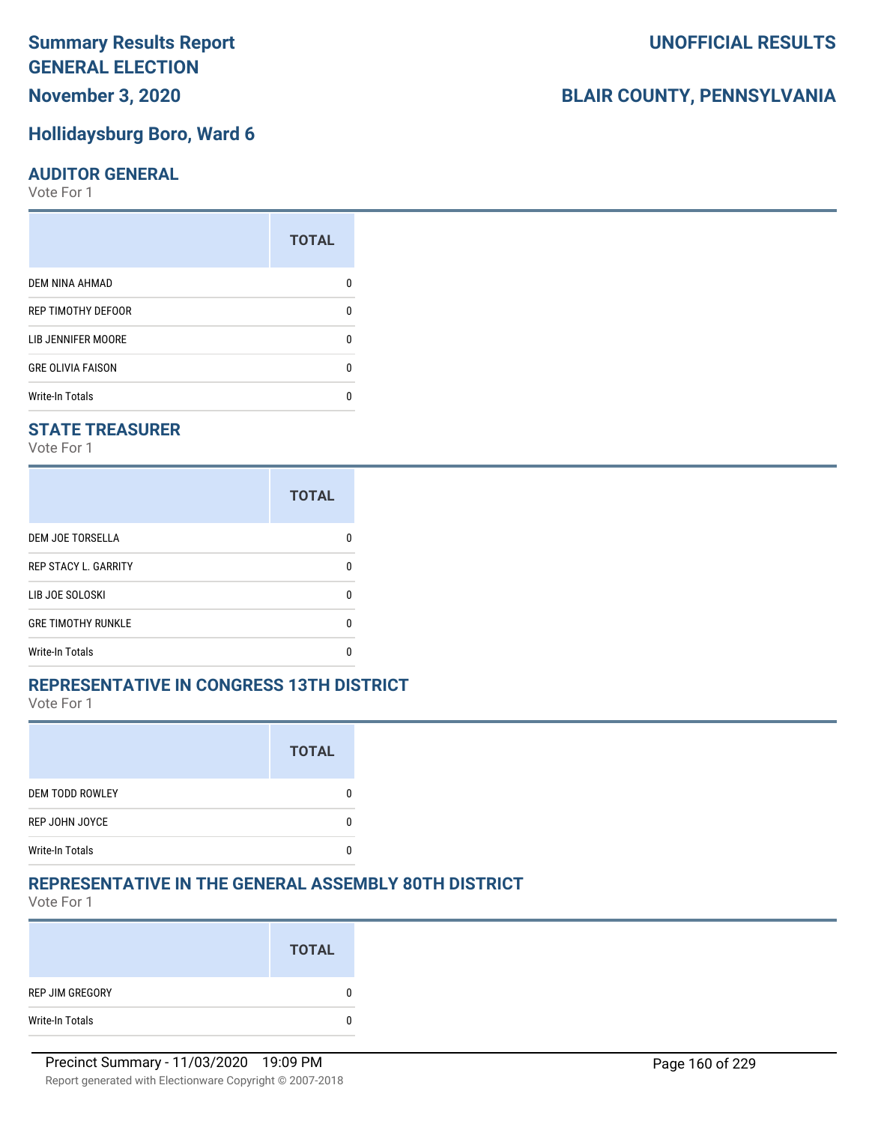### **November 3, 2020**

### **Hollidaysburg Boro, Ward 6**

#### **AUDITOR GENERAL**

Vote For 1

|                          | <b>TOTAL</b> |
|--------------------------|--------------|
| <b>DEM NINA AHMAD</b>    |              |
| REP TIMOTHY DEFOOR       | n            |
| LIB JENNIFER MOORE       | ŋ            |
| <b>GRE OLIVIA FAISON</b> | U            |
| <b>Write-In Totals</b>   |              |

### **STATE TREASURER**

Vote For 1

|                             | <b>TOTAL</b> |
|-----------------------------|--------------|
| <b>DEM JOE TORSELLA</b>     |              |
| <b>REP STACY L. GARRITY</b> |              |
| LIB JOE SOLOSKI             |              |
| <b>GRE TIMOTHY RUNKLE</b>   |              |
| Write-In Totals             |              |

### **REPRESENTATIVE IN CONGRESS 13TH DISTRICT**

Vote For 1

|                        | <b>TOTAL</b> |
|------------------------|--------------|
| <b>DEM TODD ROWLEY</b> |              |
| REP JOHN JOYCE         |              |
| <b>Write-In Totals</b> |              |

### **REPRESENTATIVE IN THE GENERAL ASSEMBLY 80TH DISTRICT**

Vote For 1

|                 | <b>TOTAL</b> |
|-----------------|--------------|
| REP JIM GREGORY | 0            |
| Write-In Totals | 0            |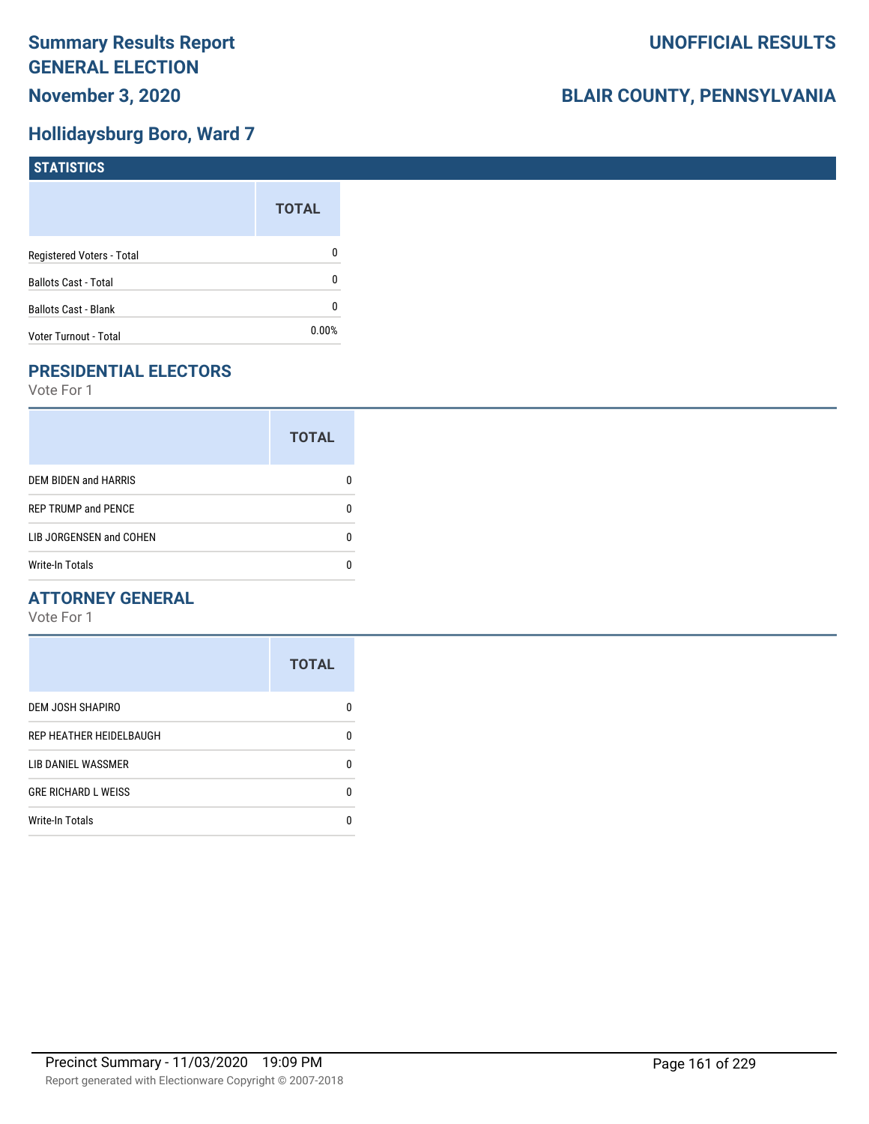### **Hollidaysburg Boro, Ward 7**

| <b>STATISTICS</b>           |              |
|-----------------------------|--------------|
|                             | <b>TOTAL</b> |
| Registered Voters - Total   | $\mathbf 0$  |
| <b>Ballots Cast - Total</b> | $\mathbf{0}$ |
| <b>Ballots Cast - Blank</b> | $\mathbf{0}$ |
| Voter Turnout - Total       | 0.00%        |

### **PRESIDENTIAL ELECTORS**

Vote For 1

|                             | <b>TOTAL</b> |
|-----------------------------|--------------|
| <b>DEM BIDEN and HARRIS</b> |              |
| <b>REP TRUMP and PENCE</b>  |              |
| LIB JORGENSEN and COHEN     |              |
| <b>Write-In Totals</b>      |              |

### **ATTORNEY GENERAL**

|                            | <b>TOTAL</b> |
|----------------------------|--------------|
| DEM JOSH SHAPIRO           | n            |
| REP HEATHER HEIDELBAUGH    | 0            |
| LIB DANIEL WASSMER         | n            |
| <b>GRE RICHARD L WEISS</b> | n            |
| <b>Write-In Totals</b>     | n            |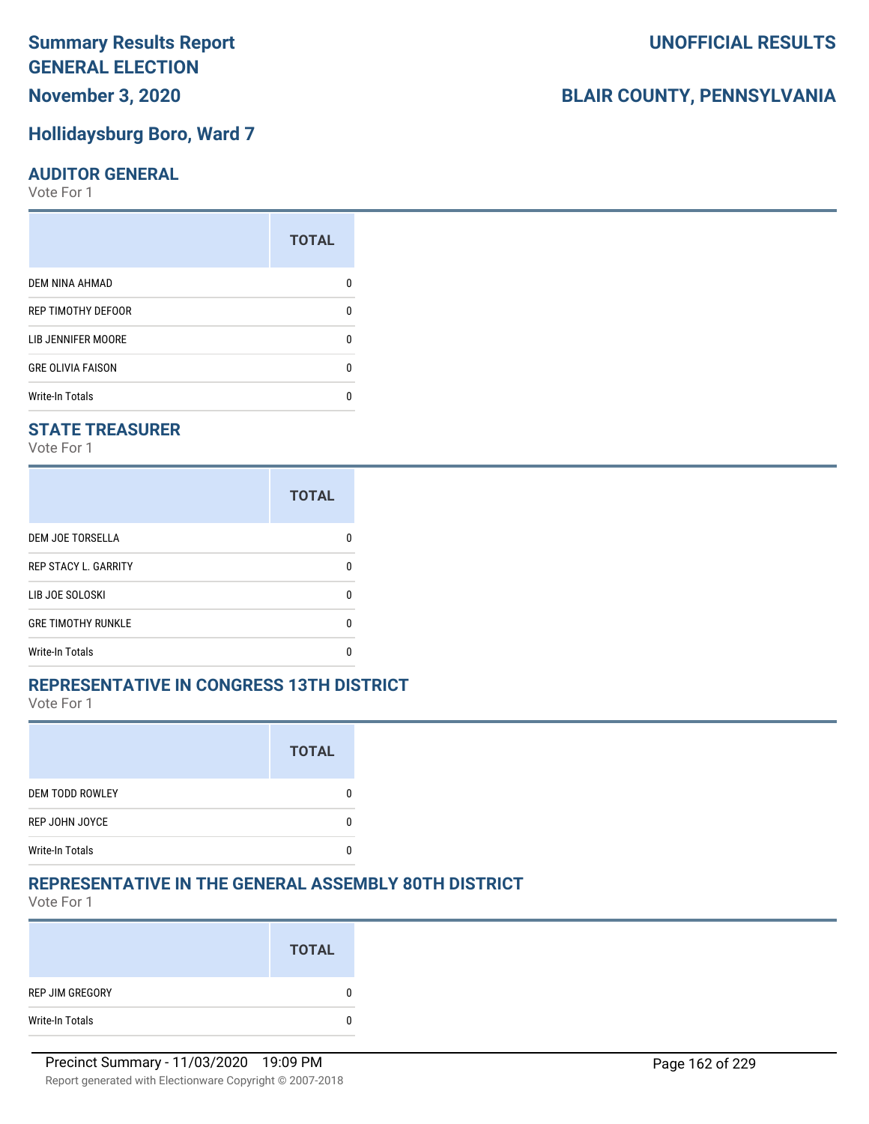### **November 3, 2020**

### **Hollidaysburg Boro, Ward 7**

#### **AUDITOR GENERAL**

Vote For 1

|                          | <b>TOTAL</b> |
|--------------------------|--------------|
| <b>DEM NINA AHMAD</b>    |              |
| REP TIMOTHY DEFOOR       | n            |
| LIB JENNIFER MOORE       |              |
| <b>GRE OLIVIA FAISON</b> | n            |
| <b>Write-In Totals</b>   |              |

### **STATE TREASURER**

Vote For 1

|                             | <b>TOTAL</b> |
|-----------------------------|--------------|
| DEM JOE TORSELLA            | n            |
| <b>REP STACY L. GARRITY</b> | n            |
| LIB JOE SOLOSKI             | n            |
| <b>GRE TIMOTHY RUNKLE</b>   | n            |
| <b>Write-In Totals</b>      | n            |

### **REPRESENTATIVE IN CONGRESS 13TH DISTRICT**

Vote For 1

|                        | <b>TOTAL</b> |
|------------------------|--------------|
| <b>DEM TODD ROWLEY</b> |              |
| REP JOHN JOYCE         |              |
| <b>Write-In Totals</b> |              |

### **REPRESENTATIVE IN THE GENERAL ASSEMBLY 80TH DISTRICT**

Vote For 1

|                 | <b>TOTAL</b> |
|-----------------|--------------|
| REP JIM GREGORY | 0            |
| Write-In Totals | 0            |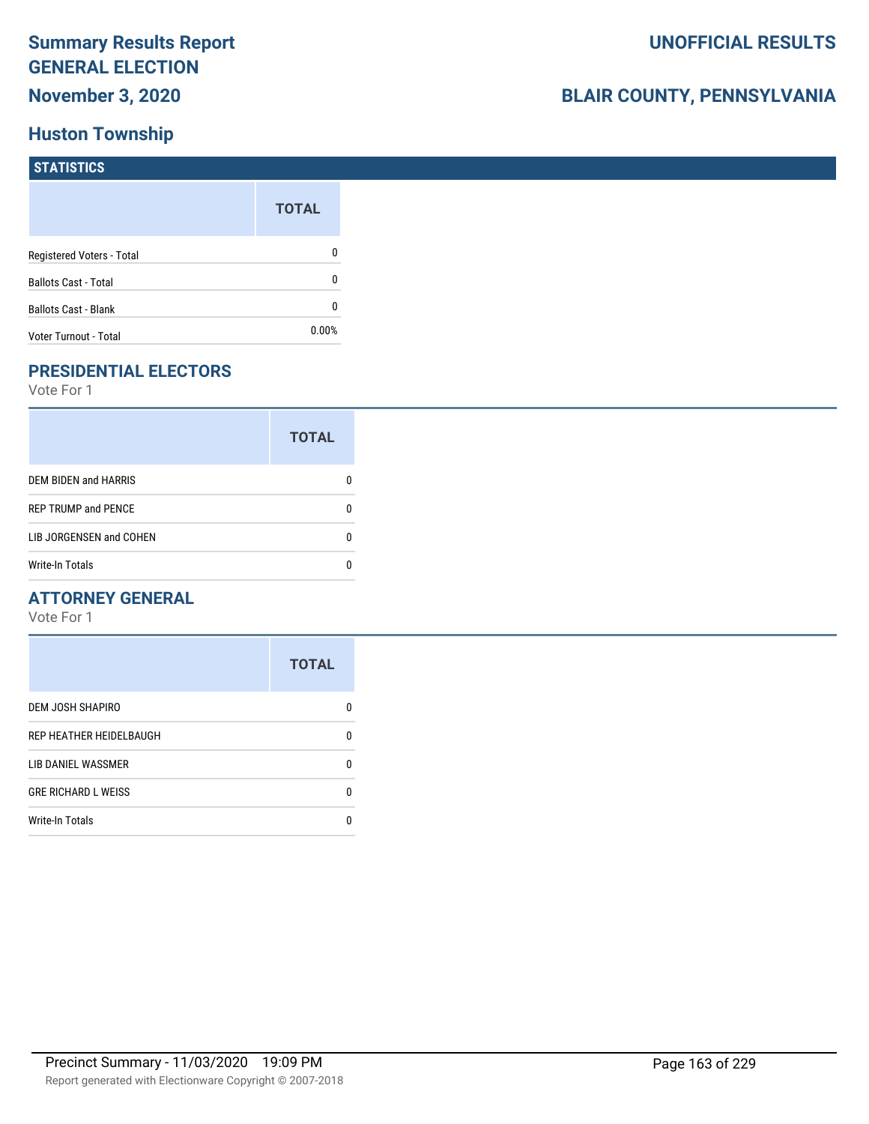### **Huston Township**

## **BLAIR COUNTY, PENNSYLVANIA**

| <b>STATISTICS</b>           |              |
|-----------------------------|--------------|
|                             | <b>TOTAL</b> |
| Registered Voters - Total   | 0            |
| <b>Ballots Cast - Total</b> | 0            |
| <b>Ballots Cast - Blank</b> | 0            |
| Voter Turnout - Total       | $0.00\%$     |

### **PRESIDENTIAL ELECTORS**

Vote For 1

|                             | <b>TOTAL</b> |
|-----------------------------|--------------|
| <b>DEM BIDEN and HARRIS</b> |              |
| <b>REP TRUMP and PENCE</b>  |              |
| LIB JORGENSEN and COHEN     | O            |
| <b>Write-In Totals</b>      |              |

### **ATTORNEY GENERAL**

|                            | <b>TOTAL</b> |
|----------------------------|--------------|
| <b>DEM JOSH SHAPIRO</b>    | n            |
| REP HEATHER HEIDELBAUGH    | 0            |
| <b>LIB DANIEL WASSMER</b>  | ŋ            |
| <b>GRE RICHARD L WEISS</b> | 0            |
| <b>Write-In Totals</b>     | n            |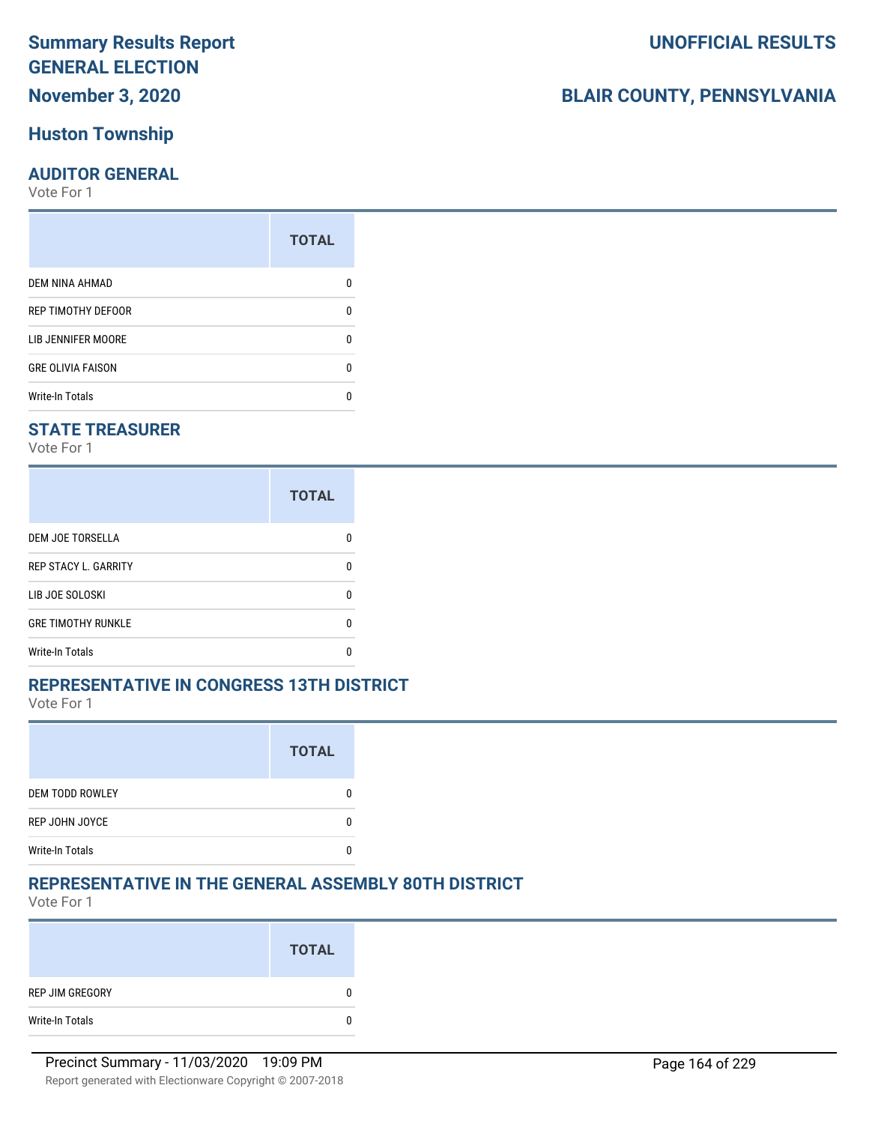### **November 3, 2020**

### **Huston Township**

### **AUDITOR GENERAL**

Vote For 1

|                          | <b>TOTAL</b> |
|--------------------------|--------------|
| DEM NINA AHMAD           |              |
| REP TIMOTHY DEFOOR       | O            |
| LIB JENNIFER MOORE       | O            |
| <b>GRE OLIVIA FAISON</b> |              |
| <b>Write-In Totals</b>   |              |

### **STATE TREASURER**

Vote For 1

|                             | <b>TOTAL</b> |
|-----------------------------|--------------|
| <b>DEM JOE TORSELLA</b>     | n            |
| <b>REP STACY L. GARRITY</b> | n            |
| LIB JOE SOLOSKI             | n            |
| <b>GRE TIMOTHY RUNKLE</b>   | n            |
| Write-In Totals             |              |

### **REPRESENTATIVE IN CONGRESS 13TH DISTRICT**

Vote For 1

|                        | <b>TOTAL</b> |
|------------------------|--------------|
| <b>DEM TODD ROWLEY</b> |              |
| REP JOHN JOYCE         |              |
| <b>Write-In Totals</b> |              |

### **REPRESENTATIVE IN THE GENERAL ASSEMBLY 80TH DISTRICT**

Vote For 1

|                 | <b>TOTAL</b> |
|-----------------|--------------|
| REP JIM GREGORY | 0            |
| Write-In Totals | 0            |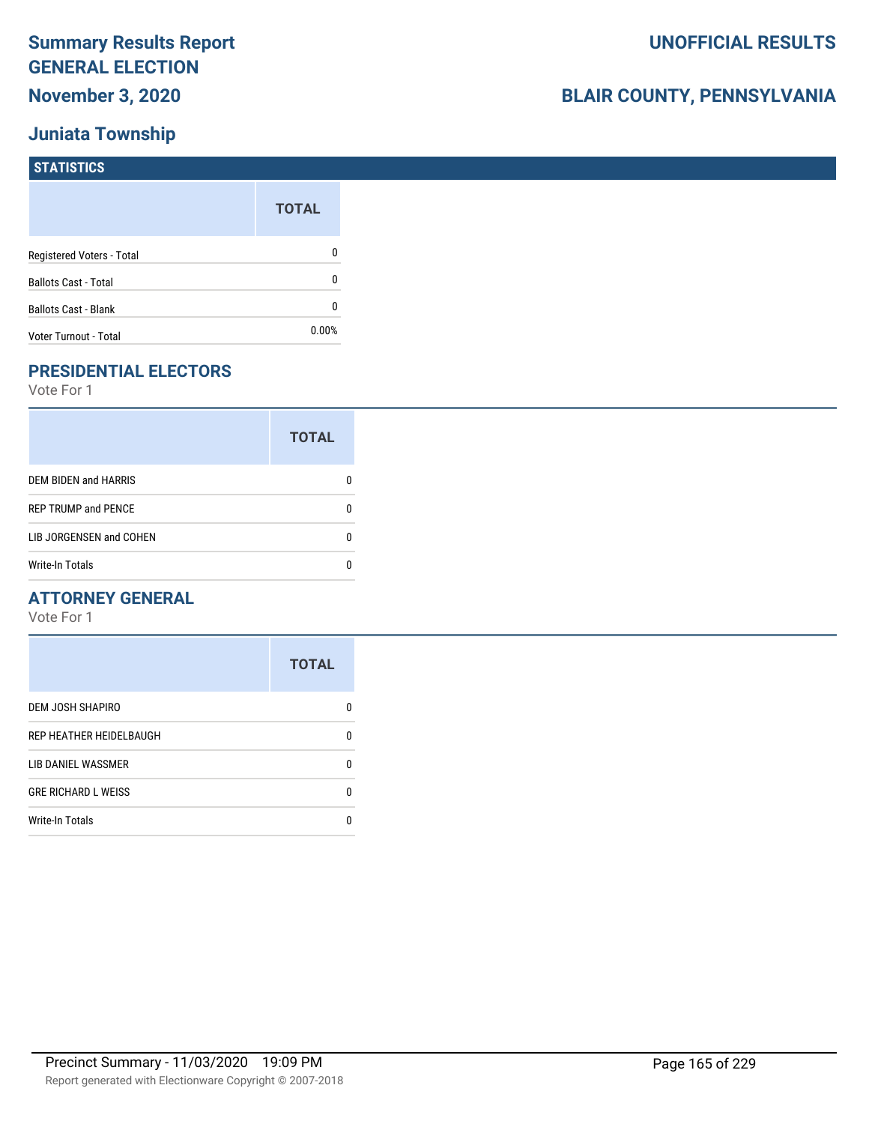### **Juniata Township**

## **BLAIR COUNTY, PENNSYLVANIA**

| <b>STATISTICS</b>           |              |
|-----------------------------|--------------|
|                             | <b>TOTAL</b> |
| Registered Voters - Total   | 0            |
| <b>Ballots Cast - Total</b> | 0            |
| <b>Ballots Cast - Blank</b> | 0            |
| Voter Turnout - Total       | 0.00%        |

### **PRESIDENTIAL ELECTORS**

Vote For 1

|                            | <b>TOTAL</b> |
|----------------------------|--------------|
| DEM BIDEN and HARRIS       |              |
| <b>REP TRUMP and PENCE</b> |              |
| LIB JORGENSEN and COHEN    | n            |
| <b>Write-In Totals</b>     |              |

### **ATTORNEY GENERAL**

|                            | <b>TOTAL</b> |
|----------------------------|--------------|
| <b>DEM JOSH SHAPIRO</b>    | n            |
| REP HEATHER HEIDELBAUGH    | 0            |
| LIB DANIEL WASSMER         | n            |
| <b>GRE RICHARD L WEISS</b> | n            |
| <b>Write-In Totals</b>     |              |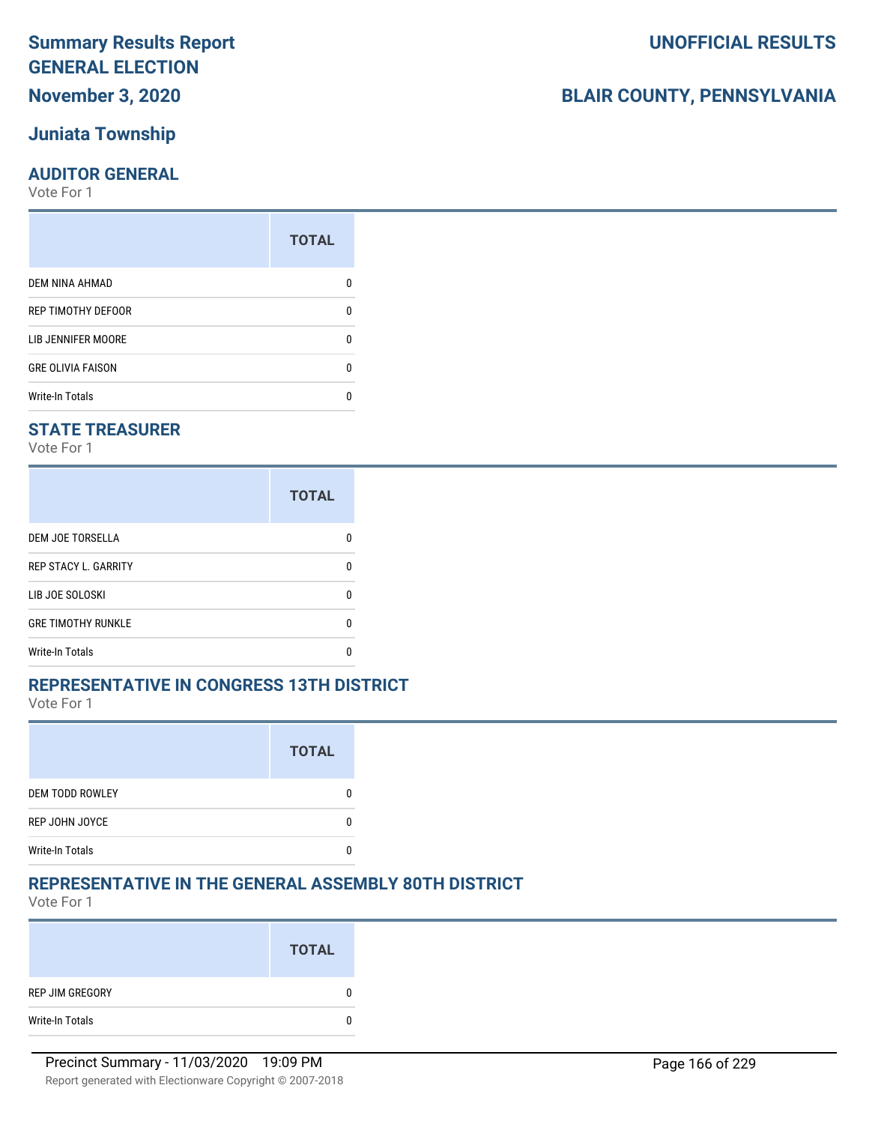### **Summary Results Report GENERAL ELECTION November 3, 2020**

# **Juniata Township**

### **AUDITOR GENERAL**

Vote For 1

|                          | <b>TOTAL</b> |
|--------------------------|--------------|
| DEM NINA AHMAD           |              |
| REP TIMOTHY DEFOOR       | O            |
| LIB JENNIFER MOORE       | O            |
| <b>GRE OLIVIA FAISON</b> |              |
| <b>Write-In Totals</b>   |              |

### **STATE TREASURER**

Vote For 1

|                             | <b>TOTAL</b> |
|-----------------------------|--------------|
| <b>DEM JOE TORSELLA</b>     | n            |
| <b>REP STACY L. GARRITY</b> | n            |
| LIB JOE SOLOSKI             | n            |
| <b>GRE TIMOTHY RUNKLE</b>   | n            |
| Write-In Totals             |              |

### **REPRESENTATIVE IN CONGRESS 13TH DISTRICT**

Vote For 1

|                        | <b>TOTAL</b> |
|------------------------|--------------|
| <b>DEM TODD ROWLEY</b> |              |
| REP JOHN JOYCE         |              |
| <b>Write-In Totals</b> |              |

### **REPRESENTATIVE IN THE GENERAL ASSEMBLY 80TH DISTRICT**

Vote For 1

|                 | <b>TOTAL</b> |
|-----------------|--------------|
| REP JIM GREGORY |              |
| Write-In Totals | 0            |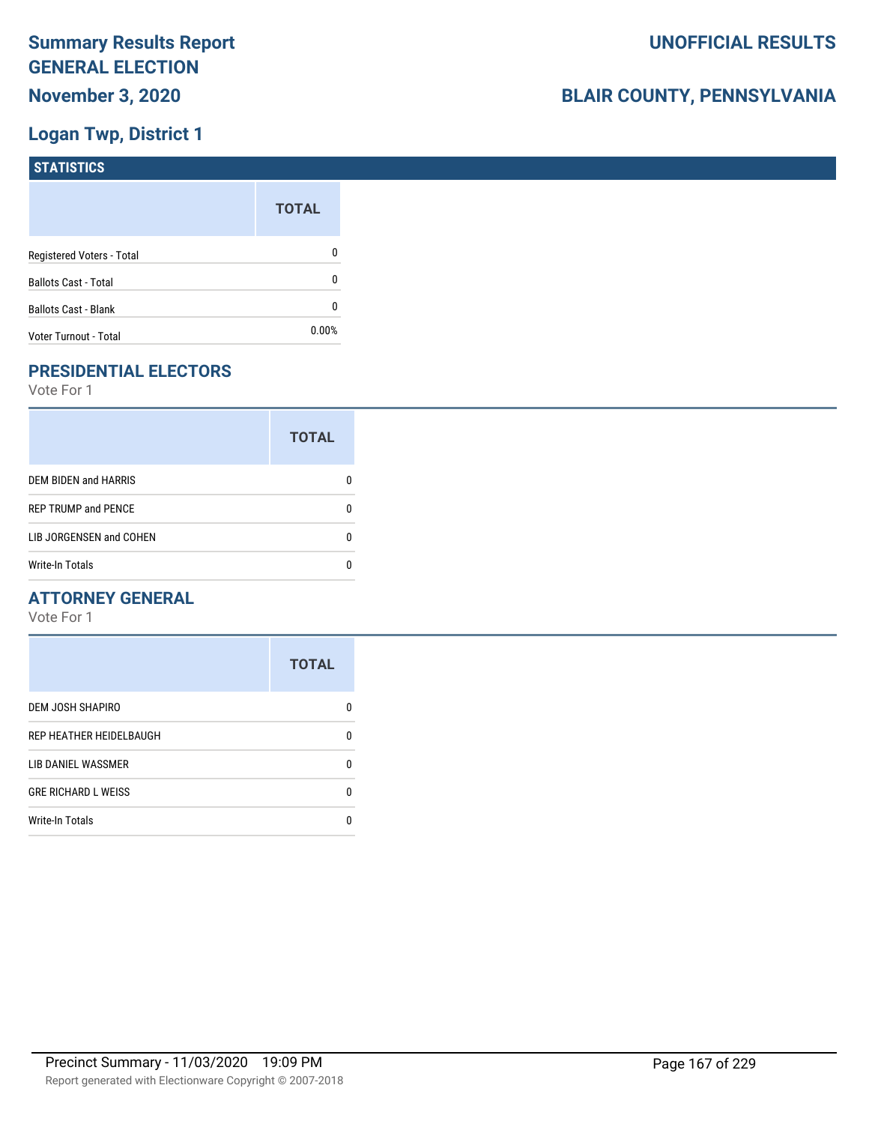### **Logan Twp, District 1**

| <b>STATISTICS</b>           |              |
|-----------------------------|--------------|
|                             | <b>TOTAL</b> |
| Registered Voters - Total   | 0            |
| <b>Ballots Cast - Total</b> | 0            |
| <b>Ballots Cast - Blank</b> | 0            |
| Voter Turnout - Total       | 0.00%        |

### **PRESIDENTIAL ELECTORS**

Vote For 1

|                             | <b>TOTAL</b> |
|-----------------------------|--------------|
| <b>DEM BIDEN and HARRIS</b> |              |
| <b>REP TRUMP and PENCE</b>  |              |
| LIB JORGENSEN and COHEN     |              |
| <b>Write-In Totals</b>      |              |

### **ATTORNEY GENERAL**

|                            | <b>TOTAL</b> |
|----------------------------|--------------|
| DEM JOSH SHAPIRO           | n            |
| REP HEATHER HEIDELBAUGH    | 0            |
| LIB DANIEL WASSMER         | 0            |
| <b>GRE RICHARD L WEISS</b> | 0            |
| <b>Write-In Totals</b>     | n            |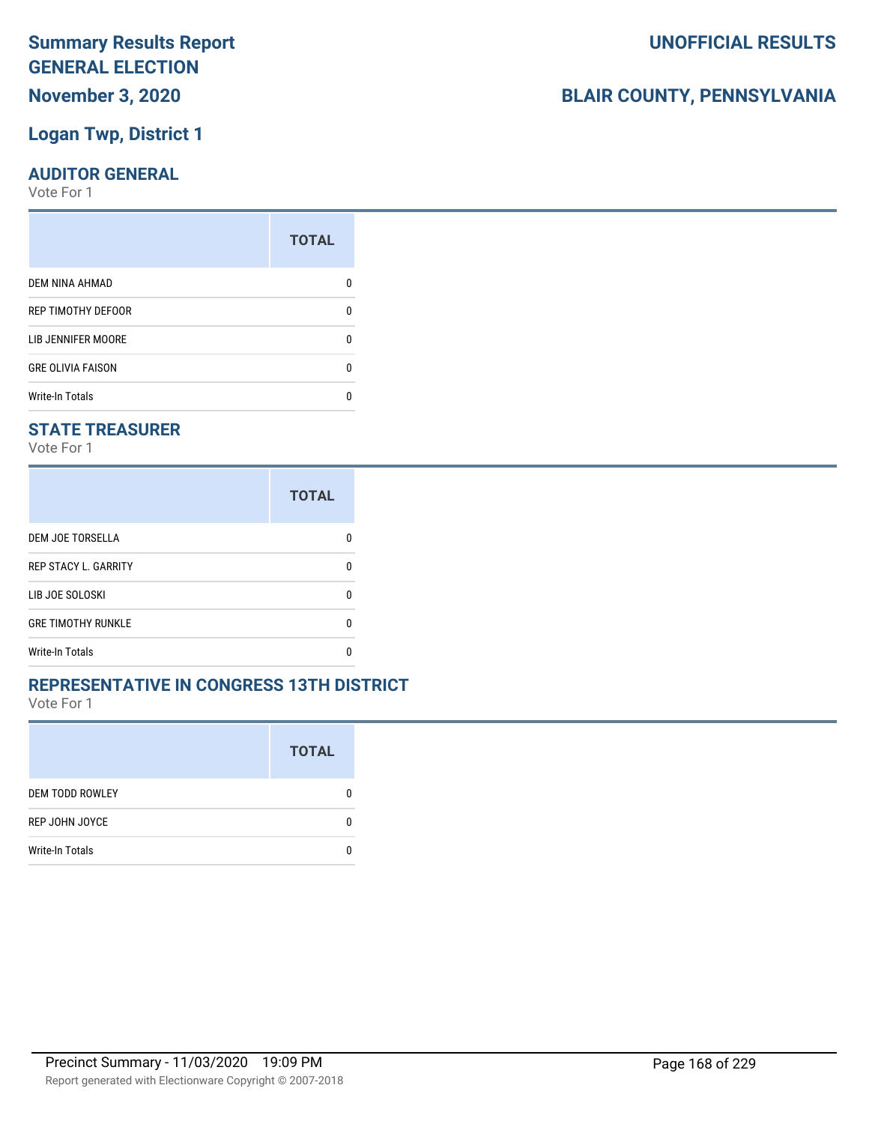### **November 3, 2020**

### **Logan Twp, District 1**

### **AUDITOR GENERAL**

Vote For 1

| <b>TOTAL</b> |
|--------------|
|              |
| 0            |
| ŋ            |
| 0            |
|              |
|              |

### **STATE TREASURER**

Vote For 1

|                             | <b>TOTAL</b> |
|-----------------------------|--------------|
| DEM JOE TORSELLA            |              |
| <b>REP STACY L. GARRITY</b> | n            |
| LIB JOE SOLOSKI             | n            |
| <b>GRE TIMOTHY RUNKLE</b>   | n            |
| <b>Write-In Totals</b>      |              |

### **REPRESENTATIVE IN CONGRESS 13TH DISTRICT**

Vote For 1

|                        | <b>TOTAL</b> |
|------------------------|--------------|
| <b>DEM TODD ROWLEY</b> | 0            |
| REP JOHN JOYCE         | n            |
| <b>Write-In Totals</b> |              |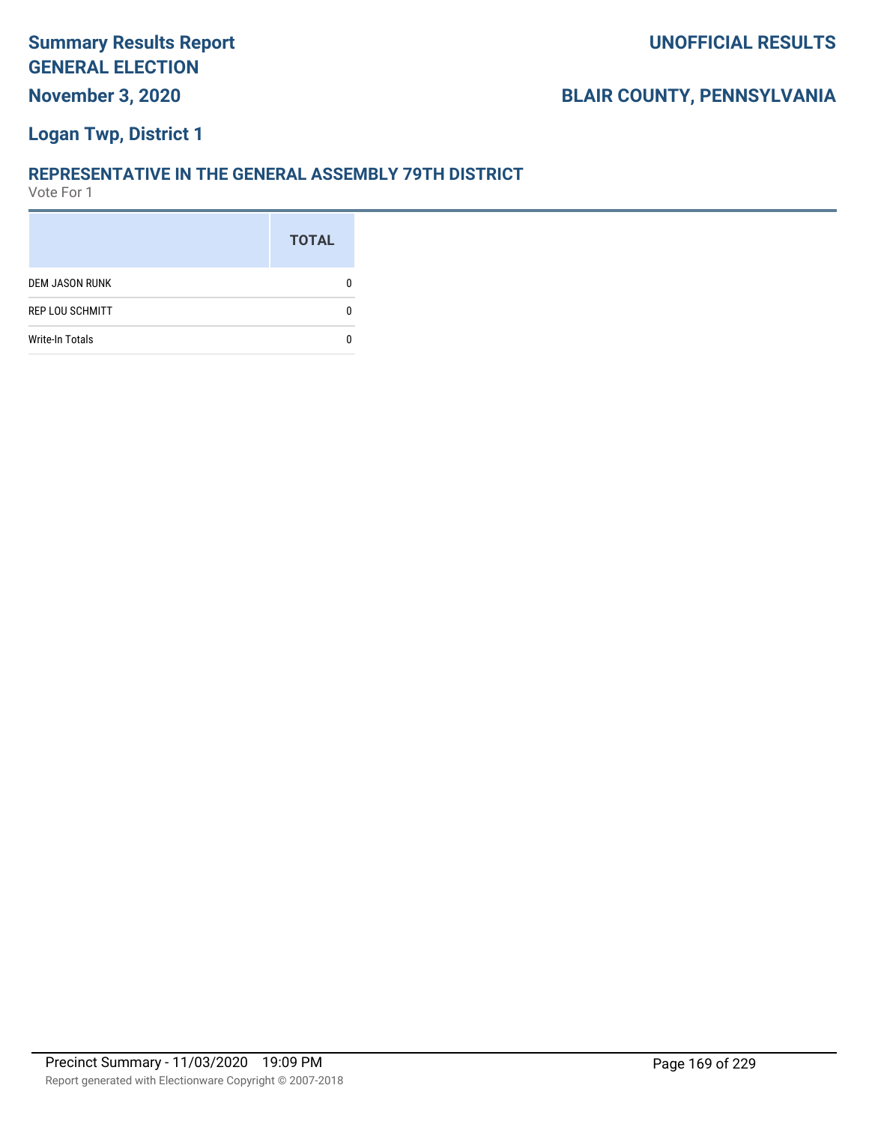### **Logan Twp, District 1**

#### **REPRESENTATIVE IN THE GENERAL ASSEMBLY 79TH DISTRICT**

|                        | <b>TOTAL</b> |
|------------------------|--------------|
| <b>DEM JASON RUNK</b>  |              |
| <b>REP LOU SCHMITT</b> |              |
| <b>Write-In Totals</b> |              |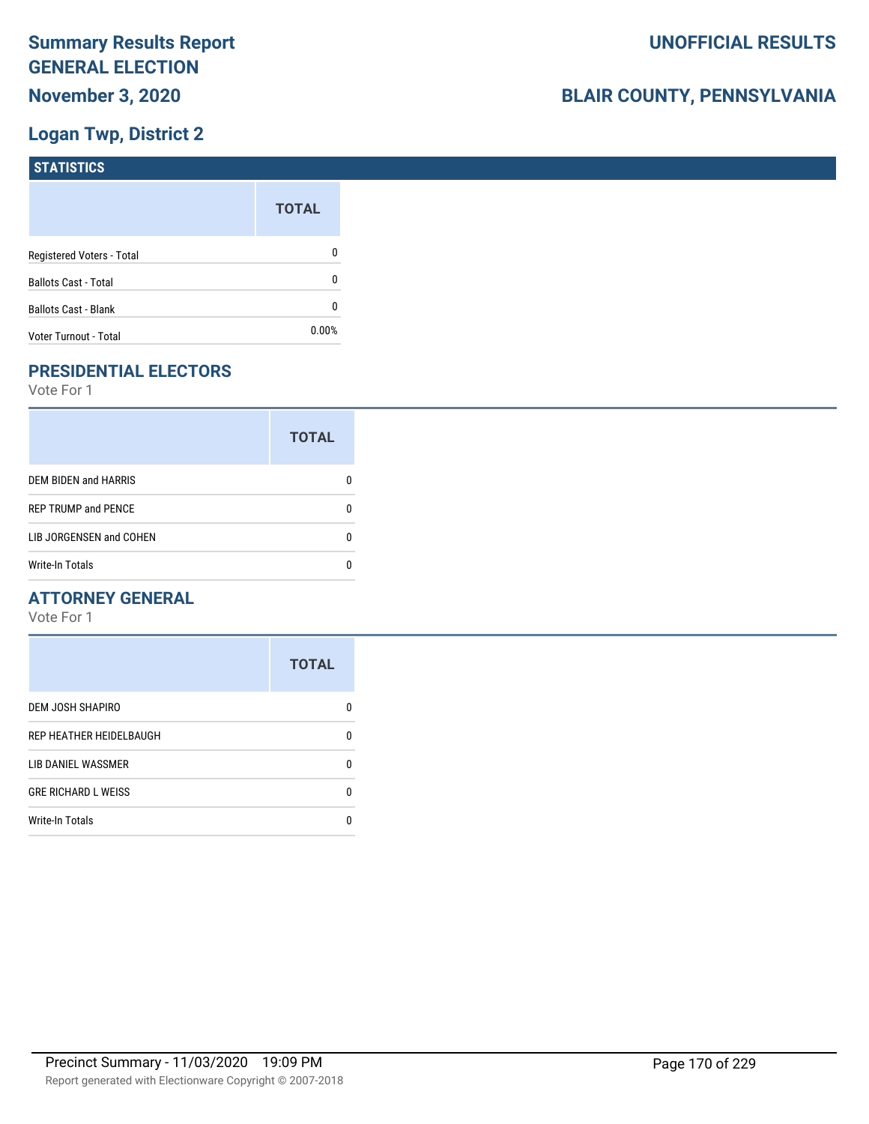### **Logan Twp, District 2**

| <b>STATISTICS</b>           |              |
|-----------------------------|--------------|
|                             | <b>TOTAL</b> |
| Registered Voters - Total   | 0            |
| <b>Ballots Cast - Total</b> | 0            |
| Ballots Cast - Blank        | 0            |
| Voter Turnout - Total       | 0.00%        |

### **PRESIDENTIAL ELECTORS**

Vote For 1

|                            | <b>TOTAL</b> |
|----------------------------|--------------|
| DEM BIDEN and HARRIS       |              |
| <b>REP TRUMP and PENCE</b> |              |
| LIB JORGENSEN and COHEN    | n            |
| <b>Write-In Totals</b>     |              |

### **ATTORNEY GENERAL**

|                            | <b>TOTAL</b> |
|----------------------------|--------------|
| DEM JOSH SHAPIRO           | n            |
| REP HEATHER HEIDELBAUGH    | 0            |
| LIB DANIEL WASSMER         | 0            |
| <b>GRE RICHARD L WEISS</b> | 0            |
| <b>Write-In Totals</b>     | n            |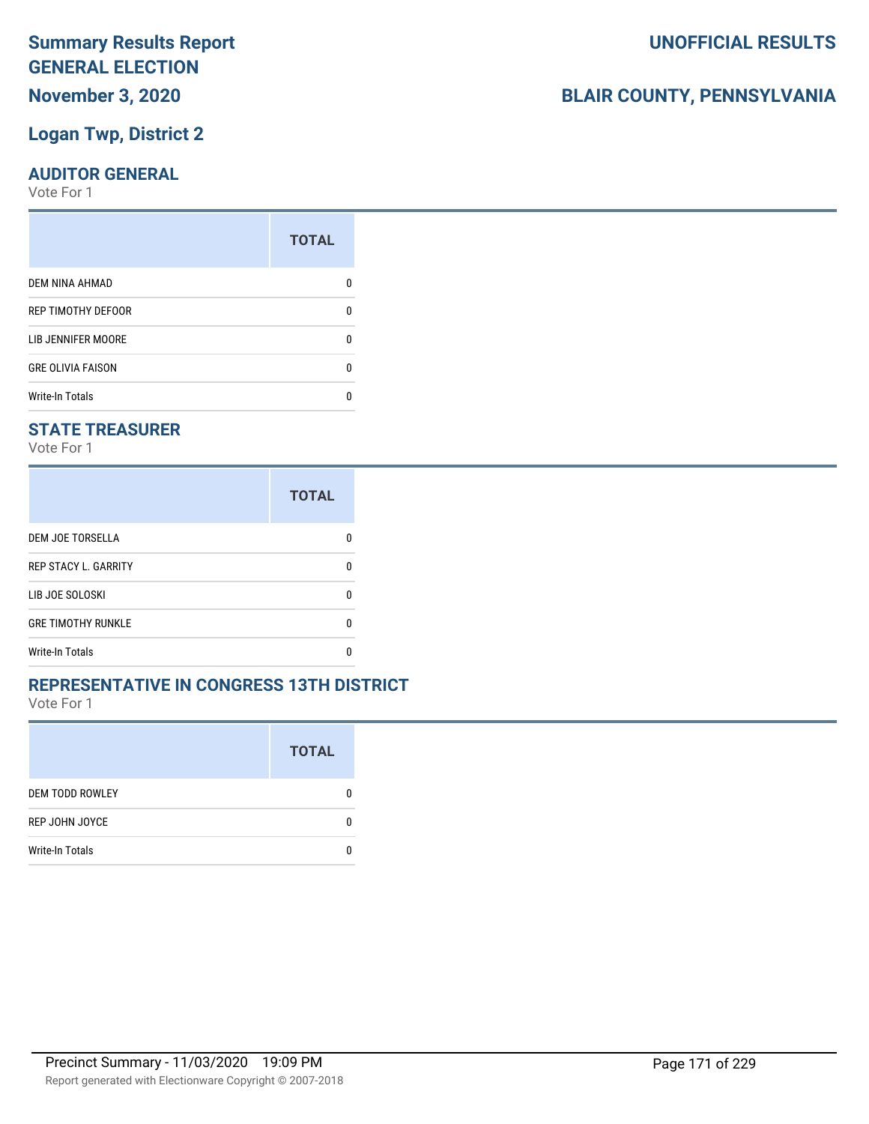### **Summary Results Report GENERAL ELECTION November 3, 2020**

### **Logan Twp, District 2**

### **AUDITOR GENERAL**

Vote For 1

| 0 |
|---|
| O |
| 0 |
|   |
|   |

### **STATE TREASURER**

Vote For 1

|                             | <b>TOTAL</b> |
|-----------------------------|--------------|
| <b>DEM JOE TORSELLA</b>     |              |
| <b>REP STACY L. GARRITY</b> |              |
| LIB JOE SOLOSKI             | n            |
| <b>GRE TIMOTHY RUNKLE</b>   | n            |
| Write-In Totals             |              |

### **REPRESENTATIVE IN CONGRESS 13TH DISTRICT**

Vote For 1

|                        | <b>TOTAL</b> |
|------------------------|--------------|
| <b>DEM TODD ROWLEY</b> | O            |
| REP JOHN JOYCE         | n            |
| <b>Write-In Totals</b> |              |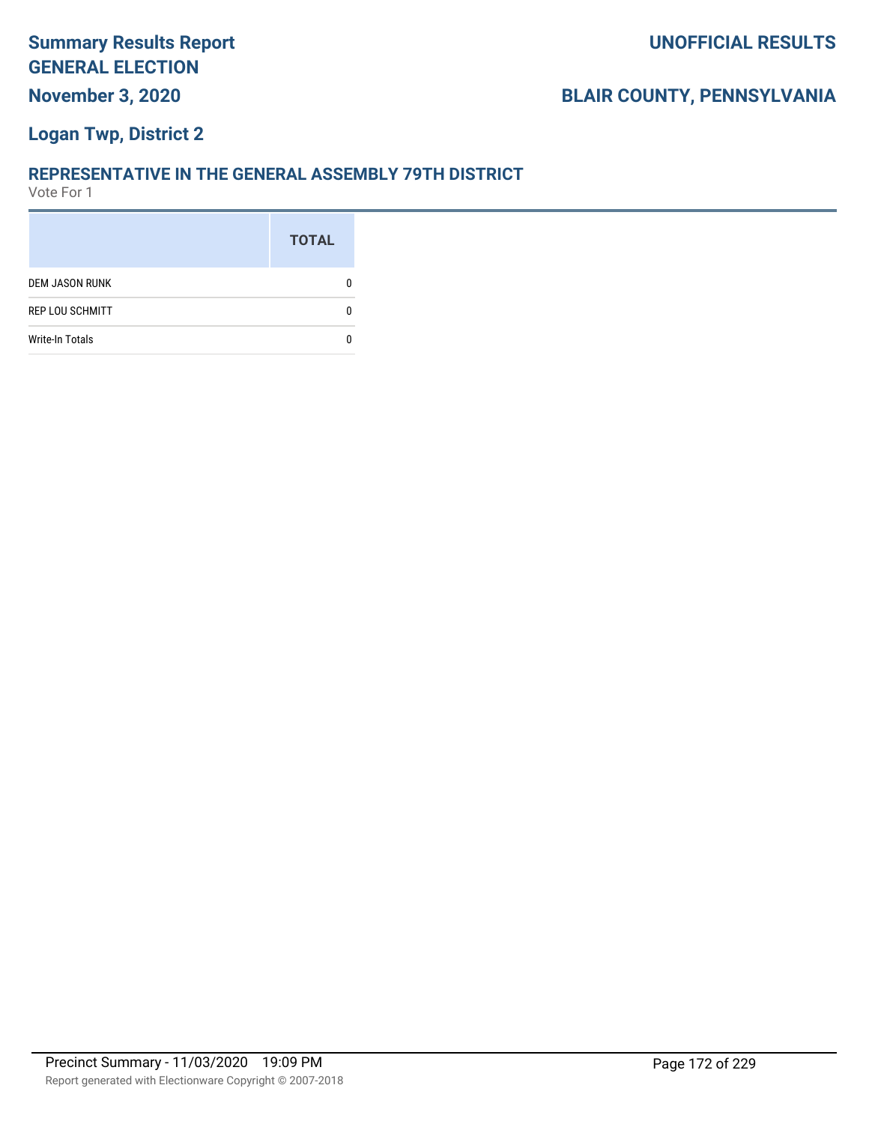### **Logan Twp, District 2**

#### **REPRESENTATIVE IN THE GENERAL ASSEMBLY 79TH DISTRICT**

|                        | <b>TOTAL</b> |
|------------------------|--------------|
| <b>DEM JASON RUNK</b>  |              |
| <b>REP LOU SCHMITT</b> |              |
| <b>Write-In Totals</b> |              |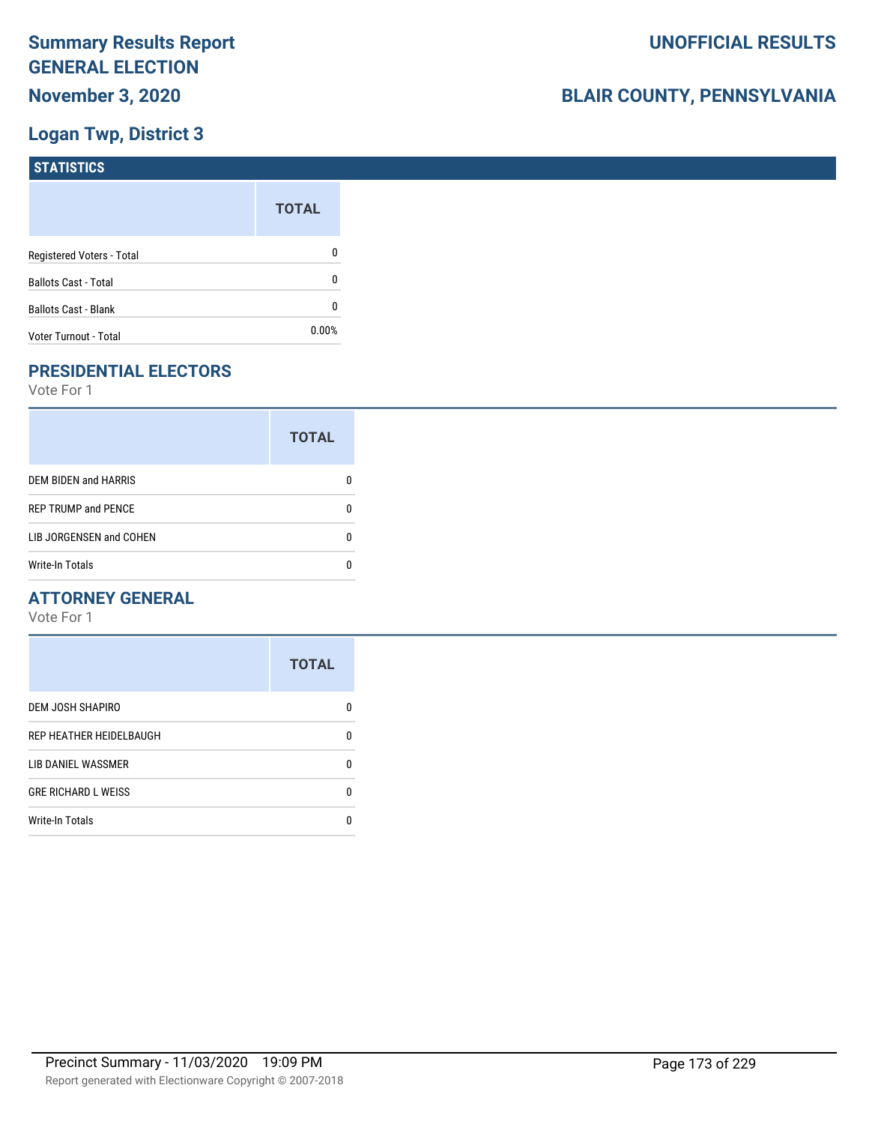### **Logan Twp, District 3**

| <b>STATISTICS</b>           |              |
|-----------------------------|--------------|
|                             | <b>TOTAL</b> |
| Registered Voters - Total   | 0            |
| <b>Ballots Cast - Total</b> | 0            |
| Ballots Cast - Blank        | 0            |
| Voter Turnout - Total       | 0.00%        |

### **PRESIDENTIAL ELECTORS**

Vote For 1

|                             | <b>TOTAL</b> |
|-----------------------------|--------------|
| <b>DEM BIDEN and HARRIS</b> |              |
| <b>REP TRUMP and PENCE</b>  |              |
| LIB JORGENSEN and COHEN     |              |
| <b>Write-In Totals</b>      |              |

### **ATTORNEY GENERAL**

|                            | <b>TOTAL</b> |
|----------------------------|--------------|
| DEM JOSH SHAPIRO           | n            |
| REP HEATHER HEIDELBAUGH    | 0            |
| LIB DANIEL WASSMER         | 0            |
| <b>GRE RICHARD L WEISS</b> | 0            |
| <b>Write-In Totals</b>     | n            |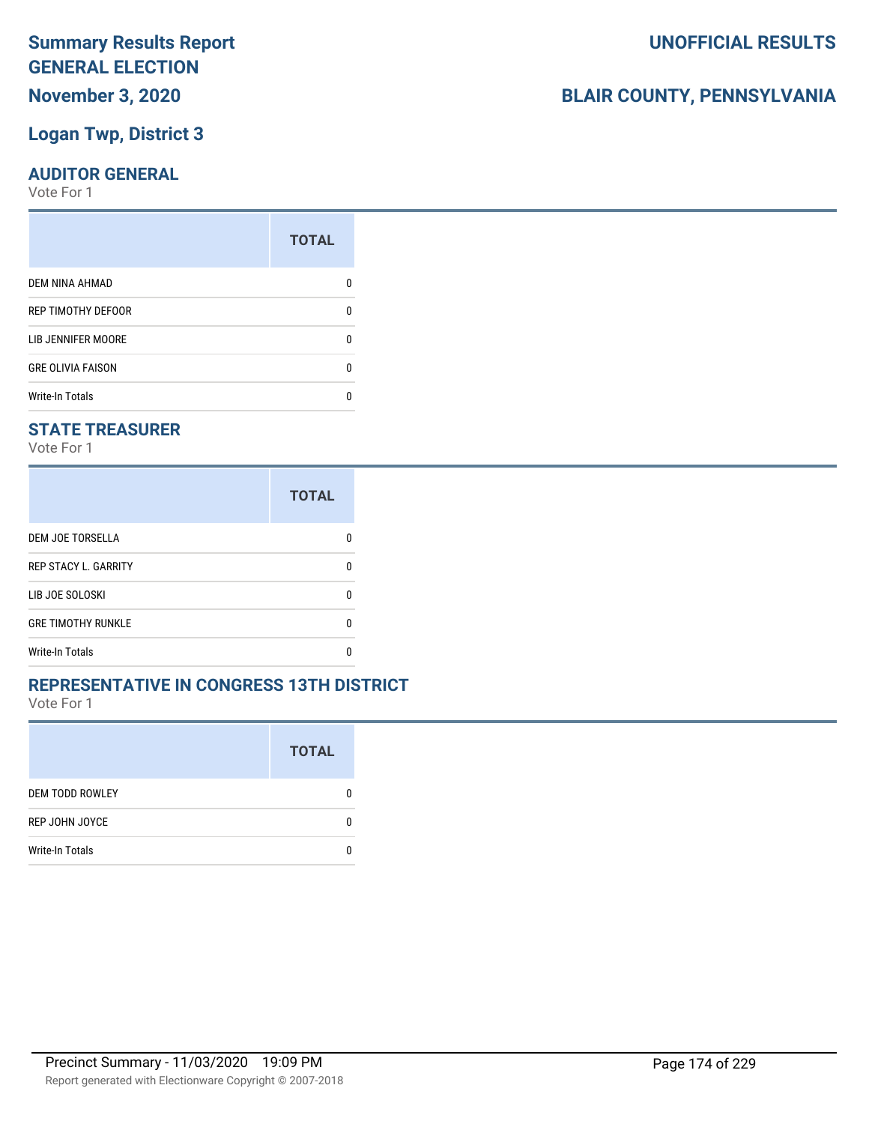### **November 3, 2020**

### **Logan Twp, District 3**

### **AUDITOR GENERAL**

Vote For 1

| <b>TOTAL</b> |
|--------------|
|              |
| 0            |
| n            |
| 0            |
|              |
|              |

### **STATE TREASURER**

Vote For 1

|                             | <b>TOTAL</b> |
|-----------------------------|--------------|
| <b>DEM JOE TORSELLA</b>     |              |
| <b>REP STACY L. GARRITY</b> | n            |
| LIB JOE SOLOSKI             | n            |
| <b>GRE TIMOTHY RUNKLE</b>   | n            |
| <b>Write-In Totals</b>      |              |

### **REPRESENTATIVE IN CONGRESS 13TH DISTRICT**

Vote For 1

|                        | <b>TOTAL</b> |
|------------------------|--------------|
| <b>DEM TODD ROWLEY</b> | 0            |
| REP JOHN JOYCE         | O            |
| <b>Write-In Totals</b> |              |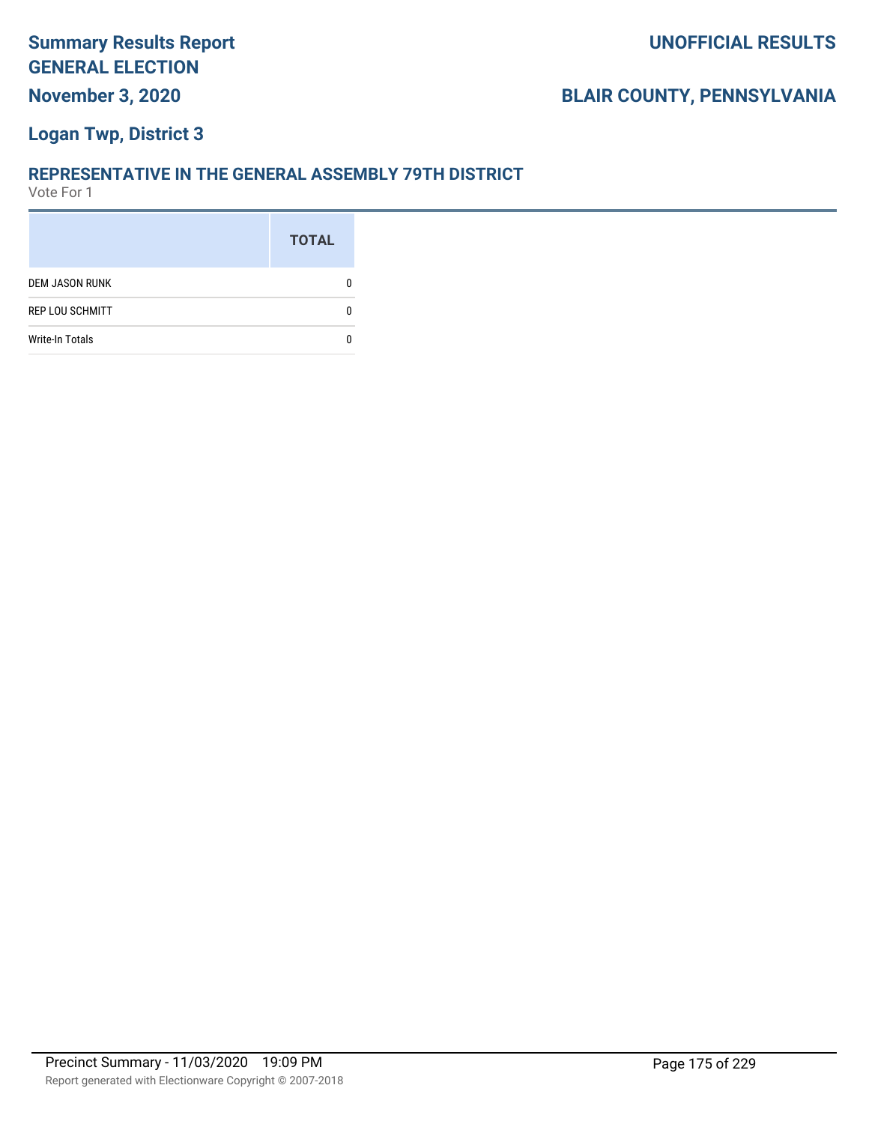### **Logan Twp, District 3**

#### **REPRESENTATIVE IN THE GENERAL ASSEMBLY 79TH DISTRICT**

|                        | <b>TOTAL</b> |
|------------------------|--------------|
| <b>DEM JASON RUNK</b>  |              |
| <b>REP LOU SCHMITT</b> |              |
| <b>Write-In Totals</b> |              |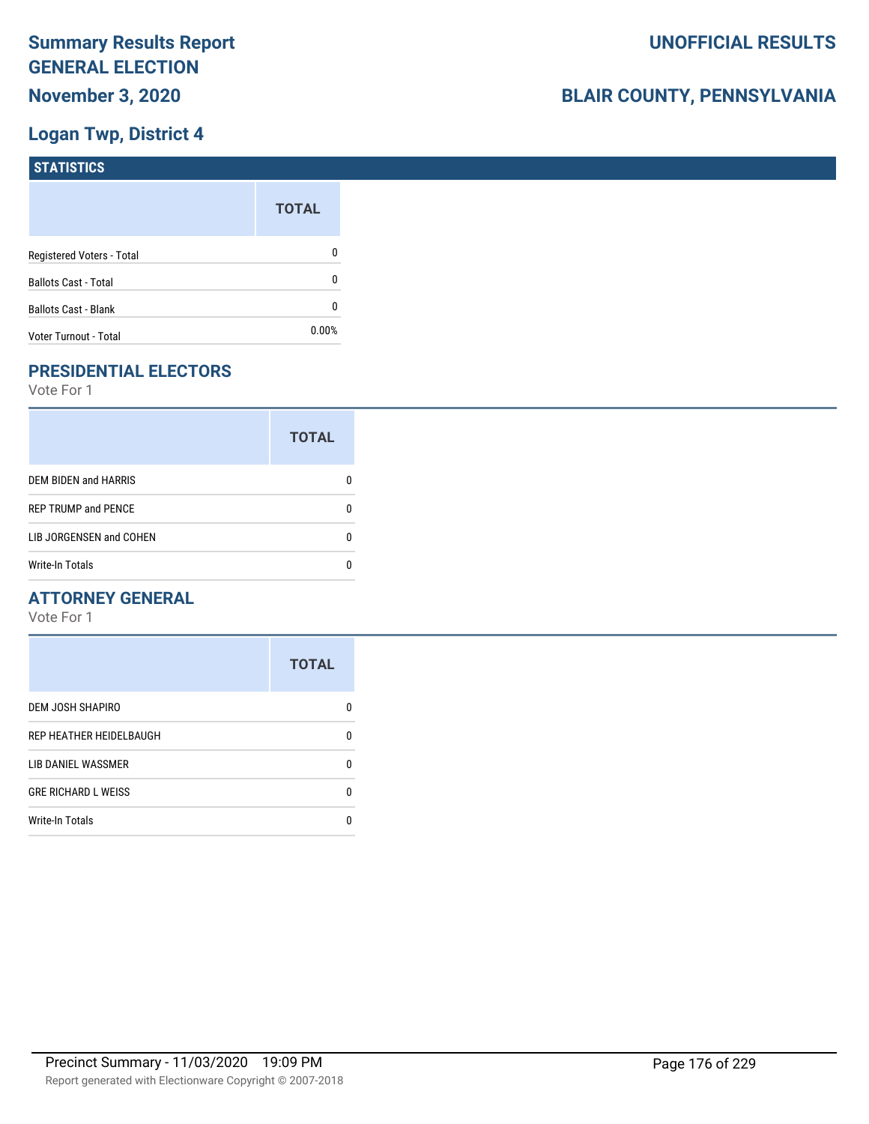### **Logan Twp, District 4**

| <b>STATISTICS</b>           |              |
|-----------------------------|--------------|
|                             | <b>TOTAL</b> |
| Registered Voters - Total   | 0            |
| <b>Ballots Cast - Total</b> | 0            |
| Ballots Cast - Blank        | 0            |
| Voter Turnout - Total       | 0.00%        |

### **PRESIDENTIAL ELECTORS**

Vote For 1

|                             | <b>TOTAL</b> |
|-----------------------------|--------------|
| <b>DEM BIDEN and HARRIS</b> |              |
| <b>REP TRUMP and PENCE</b>  |              |
| LIB JORGENSEN and COHEN     |              |
| <b>Write-In Totals</b>      |              |

### **ATTORNEY GENERAL**

|                            | <b>TOTAL</b> |
|----------------------------|--------------|
| DEM JOSH SHAPIRO           | n            |
| REP HEATHER HEIDELBAUGH    | 0            |
| LIB DANIEL WASSMER         | 0            |
| <b>GRE RICHARD L WEISS</b> | 0            |
| <b>Write-In Totals</b>     | n            |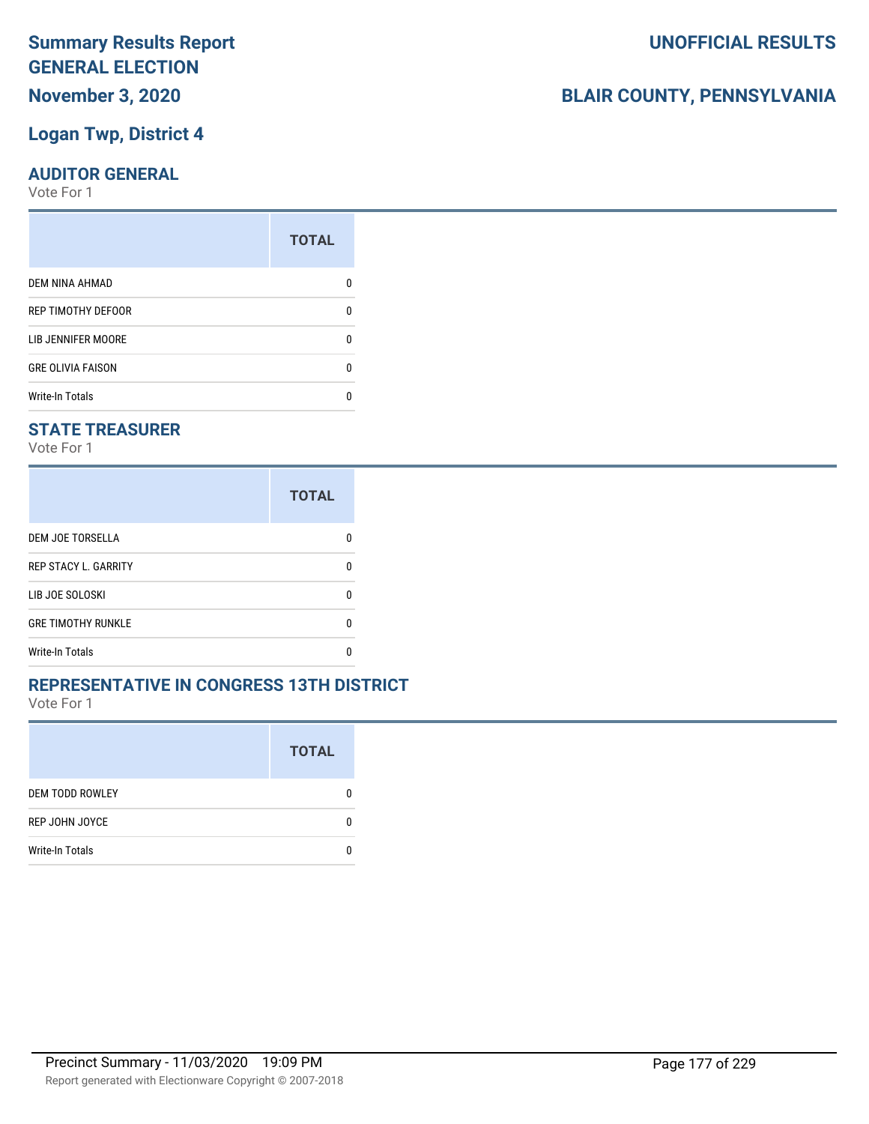### **Summary Results Report GENERAL ELECTION November 3, 2020**

### **Logan Twp, District 4**

### **AUDITOR GENERAL**

Vote For 1

| <b>TOTAL</b> |
|--------------|
|              |
| 0            |
| n            |
| 0            |
|              |
|              |

### **STATE TREASURER**

Vote For 1

|                             | <b>TOTAL</b> |
|-----------------------------|--------------|
| DEM JOE TORSELLA            | O            |
| <b>REP STACY L. GARRITY</b> | n            |
| LIB JOE SOLOSKI             | n            |
| <b>GRE TIMOTHY RUNKLE</b>   | n            |
| <b>Write-In Totals</b>      |              |

### **REPRESENTATIVE IN CONGRESS 13TH DISTRICT**

Vote For 1

|                        | <b>TOTAL</b> |
|------------------------|--------------|
| <b>DEM TODD ROWLEY</b> | O            |
| REP JOHN JOYCE         | n            |
| <b>Write-In Totals</b> |              |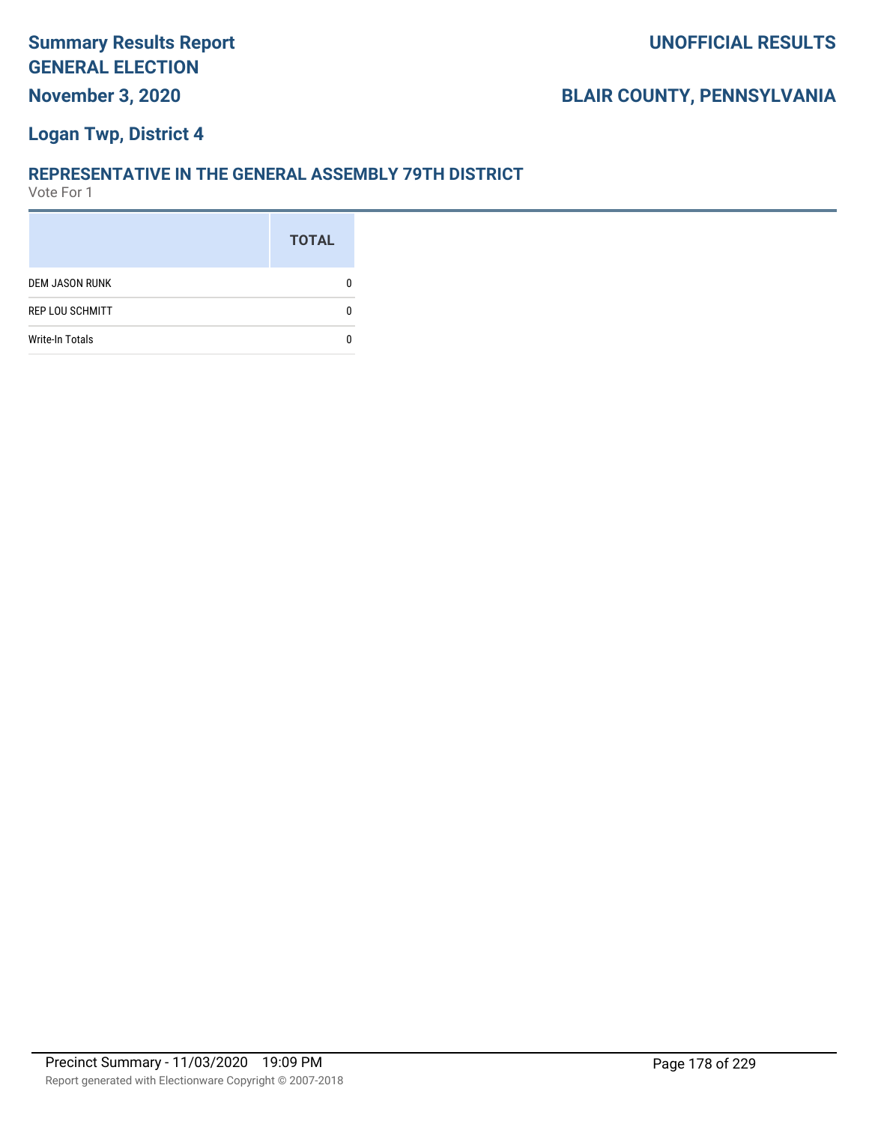### **Logan Twp, District 4**

#### **REPRESENTATIVE IN THE GENERAL ASSEMBLY 79TH DISTRICT**

|                        | <b>TOTAL</b> |
|------------------------|--------------|
| <b>DEM JASON RUNK</b>  |              |
| <b>REP LOU SCHMITT</b> |              |
| <b>Write-In Totals</b> |              |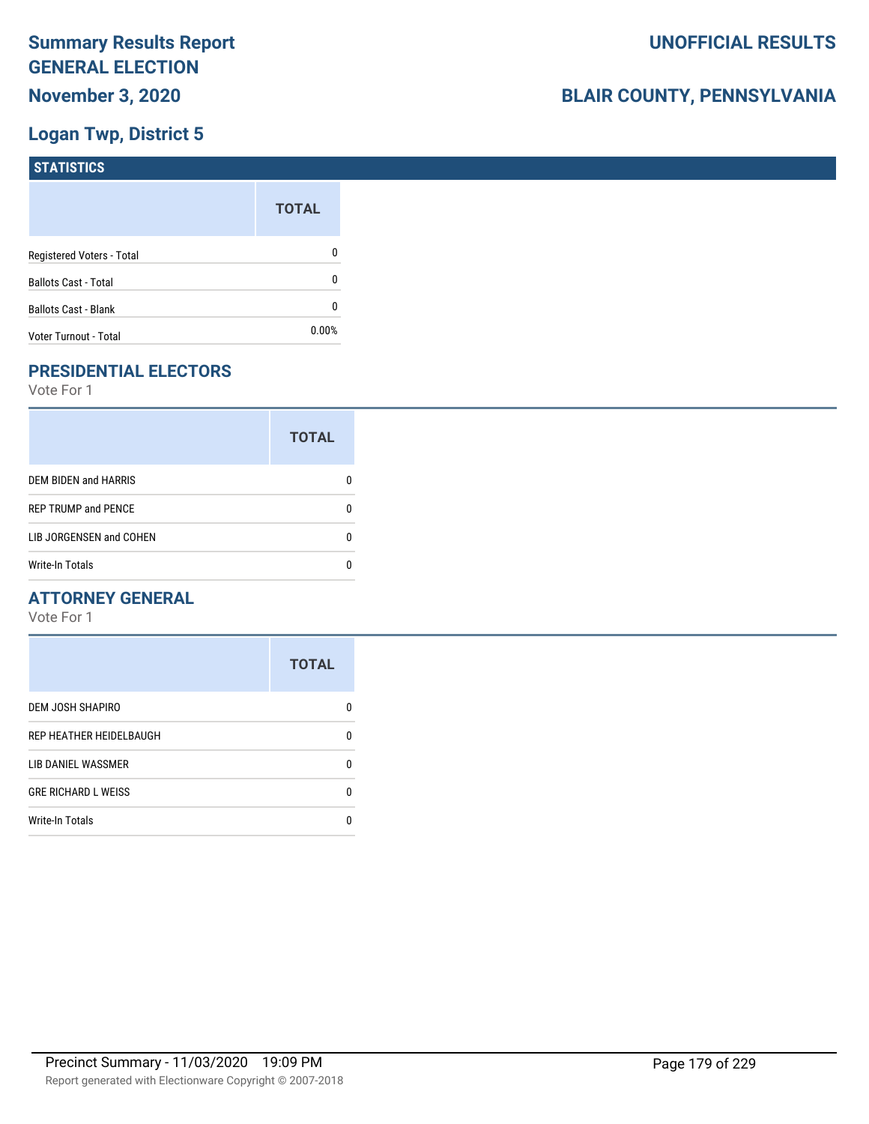### **Logan Twp, District 5**

| <b>STATISTICS</b>           |              |
|-----------------------------|--------------|
|                             | <b>TOTAL</b> |
| Registered Voters - Total   | 0            |
| <b>Ballots Cast - Total</b> | 0            |
| <b>Ballots Cast - Blank</b> | 0            |
| Voter Turnout - Total       | 0.00%        |

### **PRESIDENTIAL ELECTORS**

Vote For 1

|                            | <b>TOTAL</b> |
|----------------------------|--------------|
| DEM BIDEN and HARRIS       | O            |
| <b>REP TRUMP and PENCE</b> | O            |
| LIB JORGENSEN and COHEN    | O            |
| <b>Write-In Totals</b>     |              |

### **ATTORNEY GENERAL**

|                            | <b>TOTAL</b> |
|----------------------------|--------------|
| DEM JOSH SHAPIRO           | n            |
| REP HEATHER HEIDELBAUGH    | 0            |
| <b>LIB DANIEL WASSMER</b>  | n            |
| <b>GRE RICHARD L WEISS</b> | n            |
| <b>Write-In Totals</b>     |              |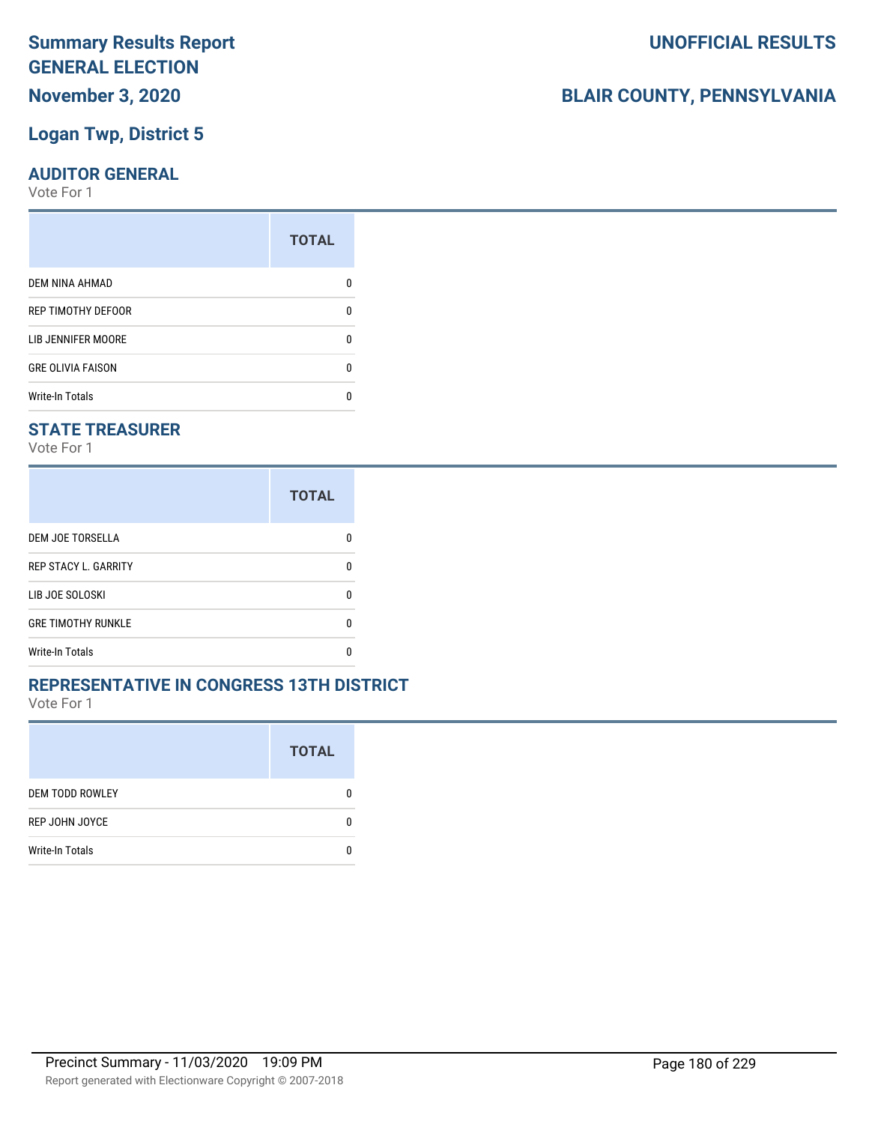## **November 3, 2020**

### **Logan Twp, District 5**

### **AUDITOR GENERAL**

Vote For 1

| <b>TOTAL</b> |
|--------------|
|              |
| 0            |
| n            |
| 0            |
|              |
|              |

### **STATE TREASURER**

Vote For 1

|                             | <b>TOTAL</b> |
|-----------------------------|--------------|
| DEM JOE TORSELLA            |              |
| <b>REP STACY L. GARRITY</b> | n            |
| LIB JOE SOLOSKI             | n            |
| <b>GRE TIMOTHY RUNKLE</b>   | n            |
| <b>Write-In Totals</b>      |              |

### **REPRESENTATIVE IN CONGRESS 13TH DISTRICT**

Vote For 1

|                        | <b>TOTAL</b> |
|------------------------|--------------|
| <b>DEM TODD ROWLEY</b> | O            |
| REP JOHN JOYCE         | n            |
| <b>Write-In Totals</b> |              |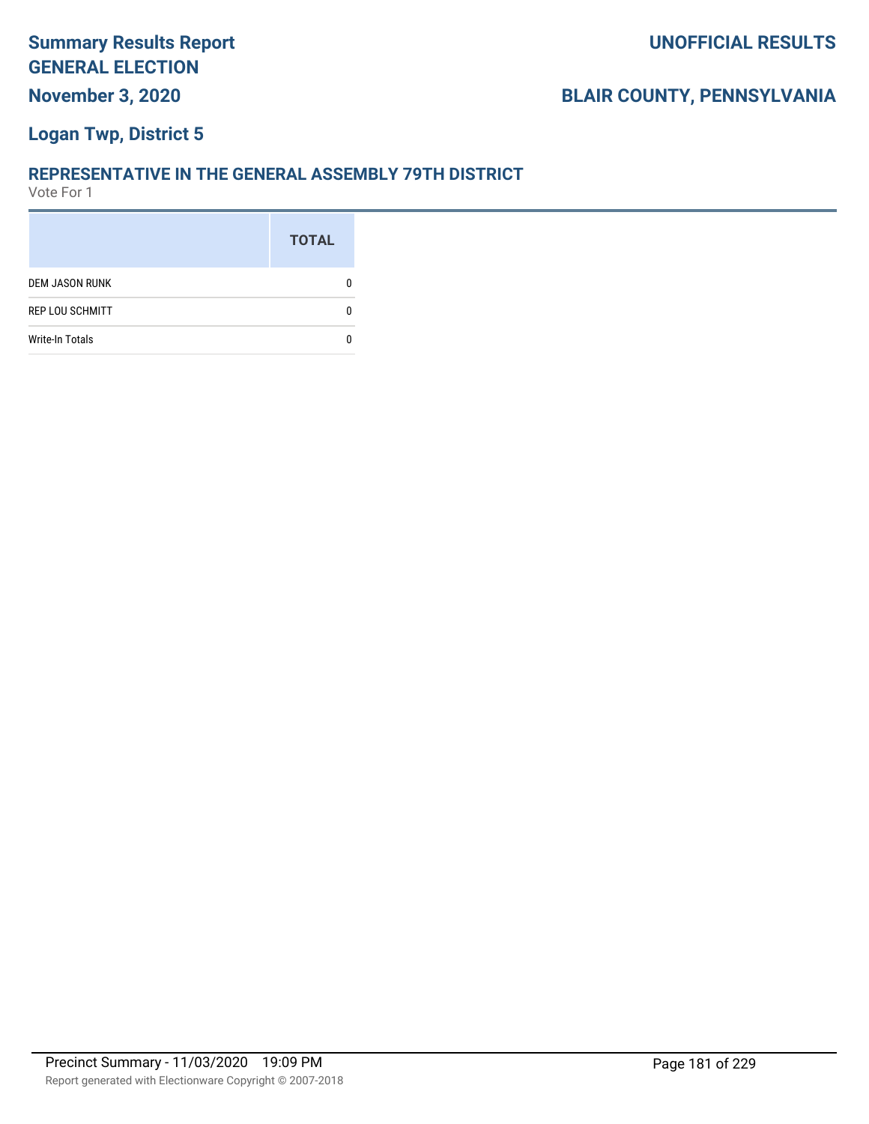#### **Logan Twp, District 5**

#### **REPRESENTATIVE IN THE GENERAL ASSEMBLY 79TH DISTRICT**

|                        | <b>TOTAL</b> |
|------------------------|--------------|
| <b>DEM JASON RUNK</b>  |              |
| <b>REP LOU SCHMITT</b> |              |
| <b>Write-In Totals</b> |              |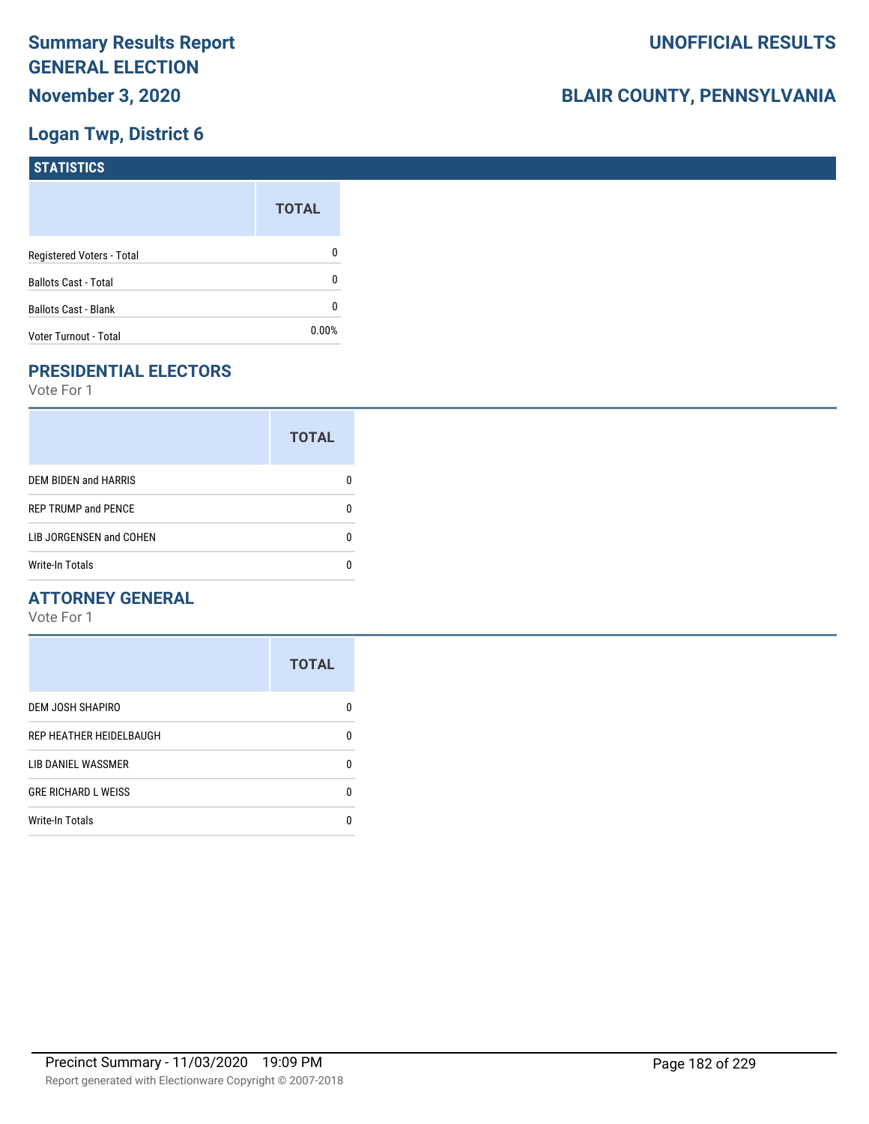# **Logan Twp, District 6**

| <b>STATISTICS</b>           |              |
|-----------------------------|--------------|
|                             | <b>TOTAL</b> |
| Registered Voters - Total   | 0            |
| <b>Ballots Cast - Total</b> | 0            |
| Ballots Cast - Blank        | 0            |
| Voter Turnout - Total       | 0.00%        |

# **PRESIDENTIAL ELECTORS**

Vote For 1

|                             | <b>TOTAL</b> |
|-----------------------------|--------------|
| <b>DEM BIDEN and HARRIS</b> |              |
| <b>REP TRUMP and PENCE</b>  |              |
| LIB JORGENSEN and COHEN     |              |
| <b>Write-In Totals</b>      |              |

#### **ATTORNEY GENERAL**

|                            | <b>TOTAL</b> |
|----------------------------|--------------|
| DEM JOSH SHAPIRO           | n            |
| REP HEATHER HEIDELBAUGH    | 0            |
| LIB DANIEL WASSMER         | 0            |
| <b>GRE RICHARD L WEISS</b> | 0            |
| <b>Write-In Totals</b>     | n            |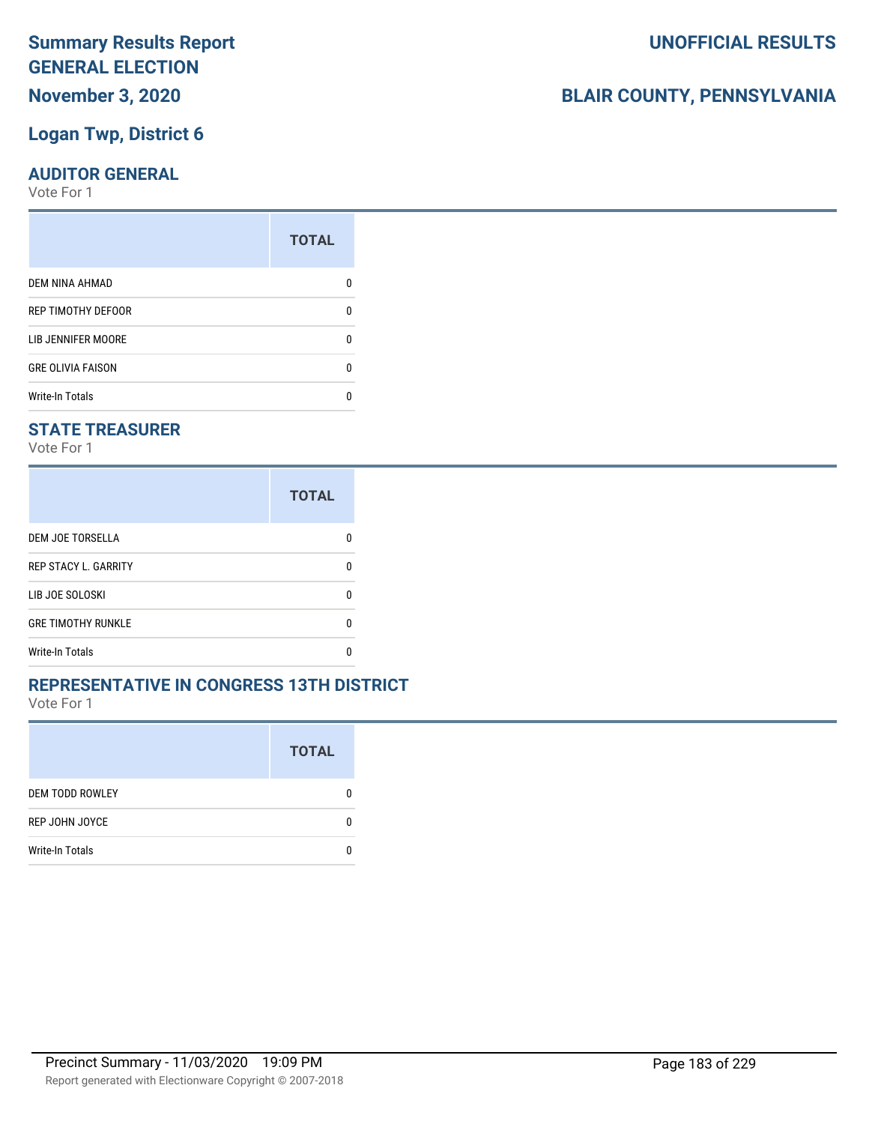# **November 3, 2020**

### **Logan Twp, District 6**

#### **AUDITOR GENERAL**

Vote For 1

|                           | <b>TOTAL</b> |
|---------------------------|--------------|
| DEM NINA AHMAD            |              |
| REP TIMOTHY DEFOOR        | 0            |
| <b>LIB JENNIFER MOORE</b> | ŋ            |
| <b>GRE OLIVIA FAISON</b>  | 0            |
| <b>Write-In Totals</b>    |              |

#### **STATE TREASURER**

Vote For 1

|                             | <b>TOTAL</b> |
|-----------------------------|--------------|
| <b>DEM JOE TORSELLA</b>     |              |
| <b>REP STACY L. GARRITY</b> |              |
| LIB JOE SOLOSKI             | n            |
| <b>GRE TIMOTHY RUNKLE</b>   | n            |
| Write-In Totals             |              |

#### **REPRESENTATIVE IN CONGRESS 13TH DISTRICT**

Vote For 1

|                        | <b>TOTAL</b> |
|------------------------|--------------|
| <b>DEM TODD ROWLEY</b> | O            |
| REP JOHN JOYCE         | n            |
| <b>Write-In Totals</b> |              |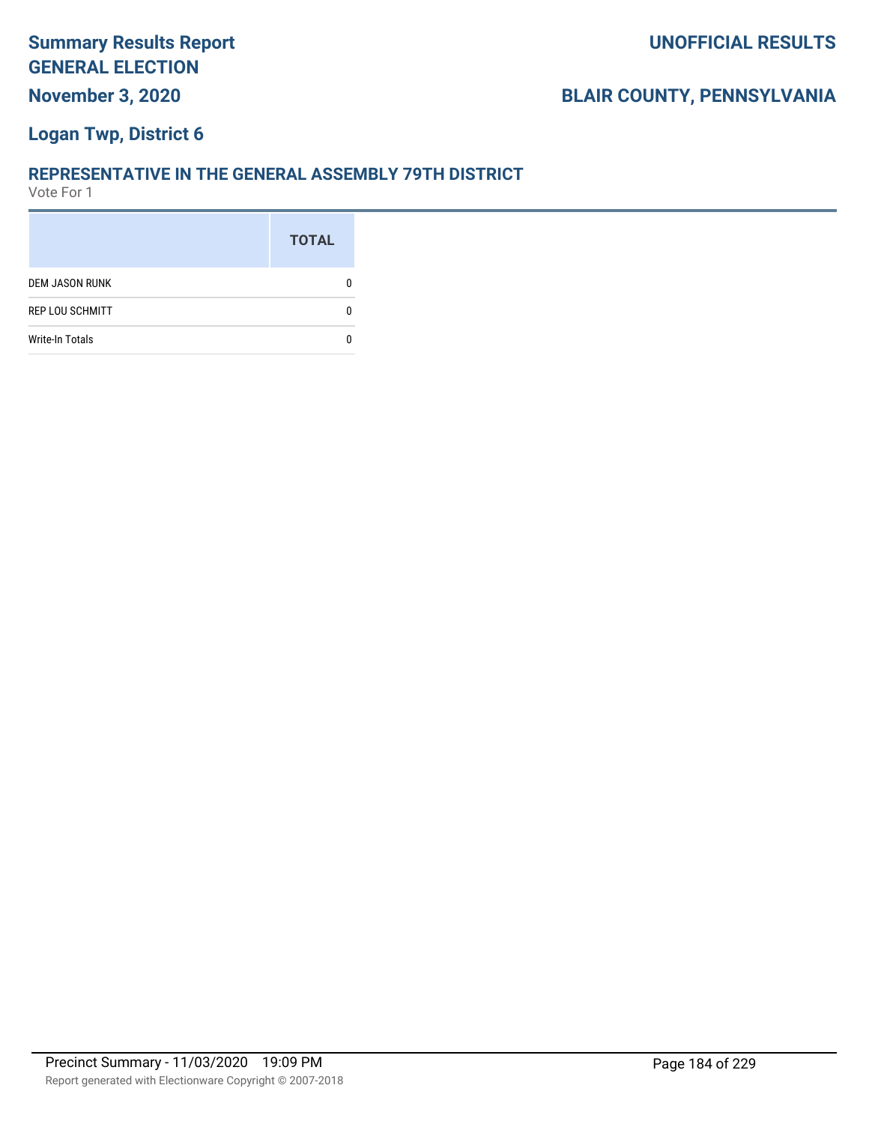#### **Logan Twp, District 6**

#### **REPRESENTATIVE IN THE GENERAL ASSEMBLY 79TH DISTRICT**

|                        | <b>TOTAL</b> |
|------------------------|--------------|
| <b>DEM JASON RUNK</b>  |              |
| <b>REP LOU SCHMITT</b> |              |
| <b>Write-In Totals</b> |              |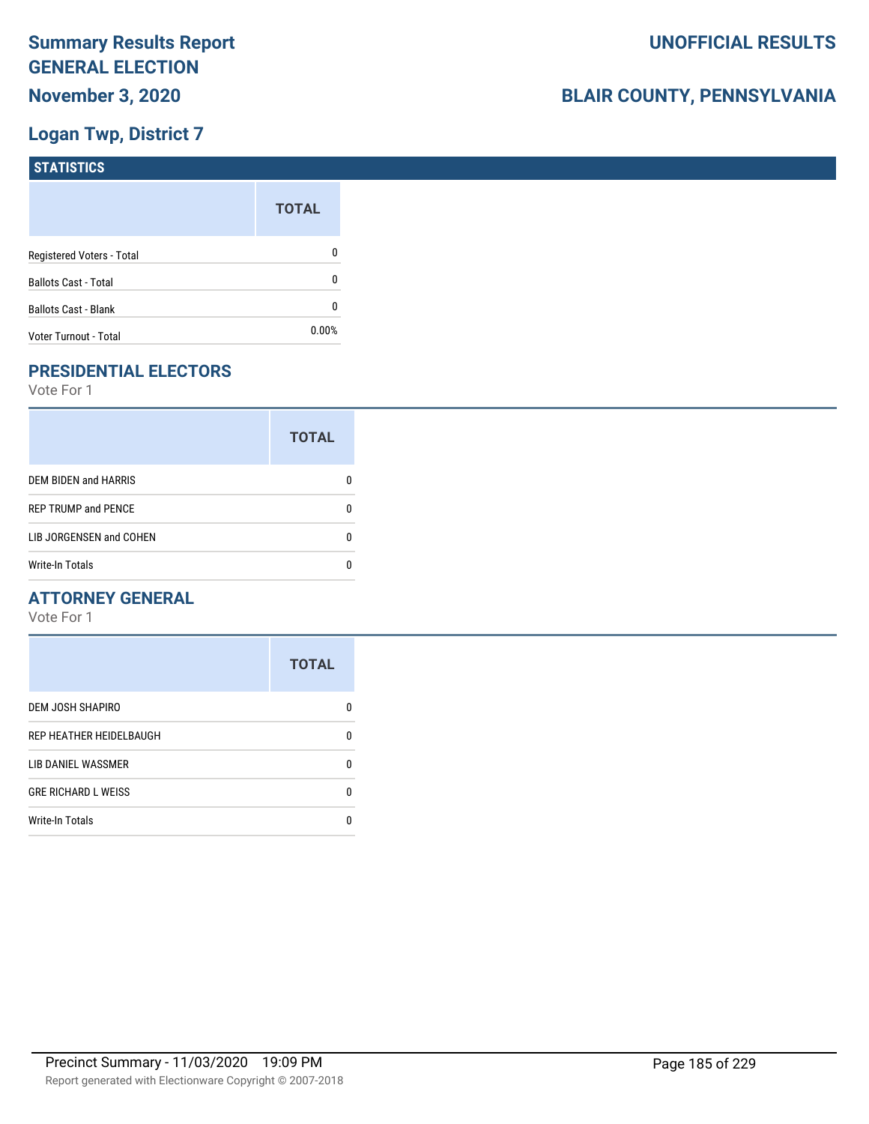# **Logan Twp, District 7**

| <b>STATISTICS</b>           |              |
|-----------------------------|--------------|
|                             | <b>TOTAL</b> |
| Registered Voters - Total   | 0            |
| <b>Ballots Cast - Total</b> | 0            |
| Ballots Cast - Blank        | 0            |
| Voter Turnout - Total       | 0.00%        |

# **PRESIDENTIAL ELECTORS**

Vote For 1

|                            | <b>TOTAL</b> |
|----------------------------|--------------|
| DEM BIDEN and HARRIS       |              |
| <b>REP TRUMP and PENCE</b> |              |
| LIB JORGENSEN and COHEN    | n            |
| <b>Write-In Totals</b>     |              |

#### **ATTORNEY GENERAL**

|                            | <b>TOTAL</b> |
|----------------------------|--------------|
| DEM JOSH SHAPIRO           | n            |
| REP HEATHER HEIDELBAUGH    | 0            |
| <b>LIB DANIEL WASSMER</b>  | n            |
| <b>GRE RICHARD L WEISS</b> | n            |
| <b>Write-In Totals</b>     |              |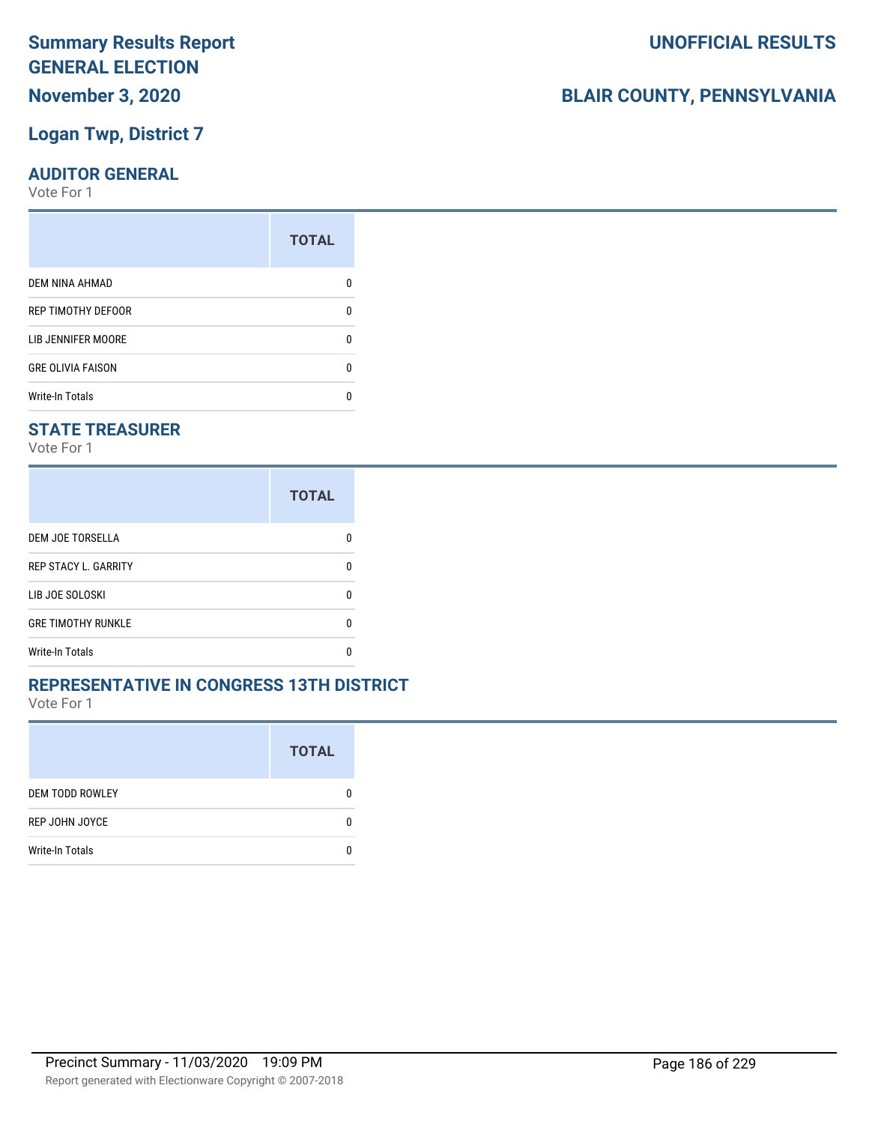# **November 3, 2020**

### **Logan Twp, District 7**

#### **AUDITOR GENERAL**

Vote For 1

| <b>TOTAL</b> |
|--------------|
|              |
| 0            |
| ŋ            |
| 0            |
|              |
|              |

#### **STATE TREASURER**

Vote For 1

|                             | <b>TOTAL</b> |
|-----------------------------|--------------|
| <b>DEM JOE TORSELLA</b>     | n            |
| <b>REP STACY L. GARRITY</b> | n            |
| LIB JOE SOLOSKI             | n            |
| <b>GRE TIMOTHY RUNKLE</b>   | n            |
| <b>Write-In Totals</b>      |              |

#### **REPRESENTATIVE IN CONGRESS 13TH DISTRICT**

Vote For 1

|                        | <b>TOTAL</b> |
|------------------------|--------------|
| <b>DEM TODD ROWLEY</b> | 0            |
| REP JOHN JOYCE         | n            |
| <b>Write-In Totals</b> |              |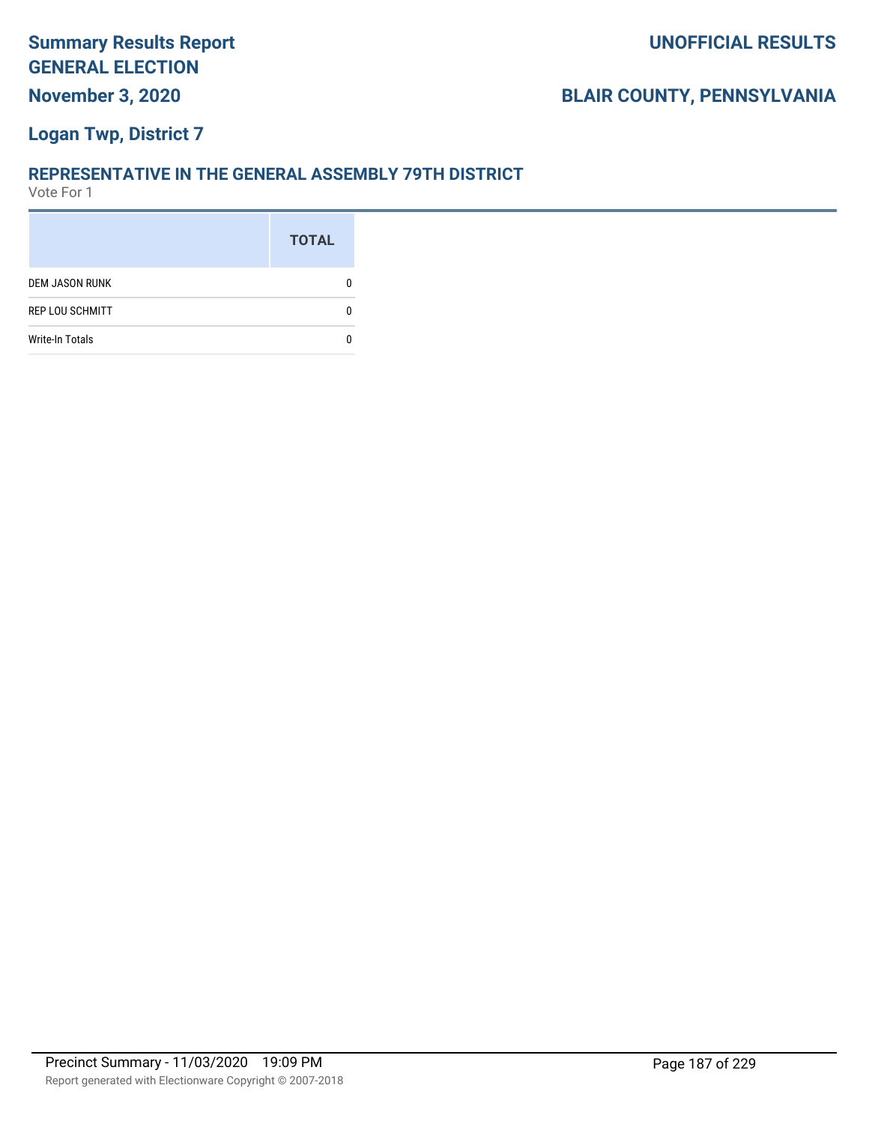#### **Logan Twp, District 7**

#### **REPRESENTATIVE IN THE GENERAL ASSEMBLY 79TH DISTRICT**

|                        | <b>TOTAL</b> |
|------------------------|--------------|
| <b>DEM JASON RUNK</b>  |              |
| <b>REP LOU SCHMITT</b> |              |
| <b>Write-In Totals</b> |              |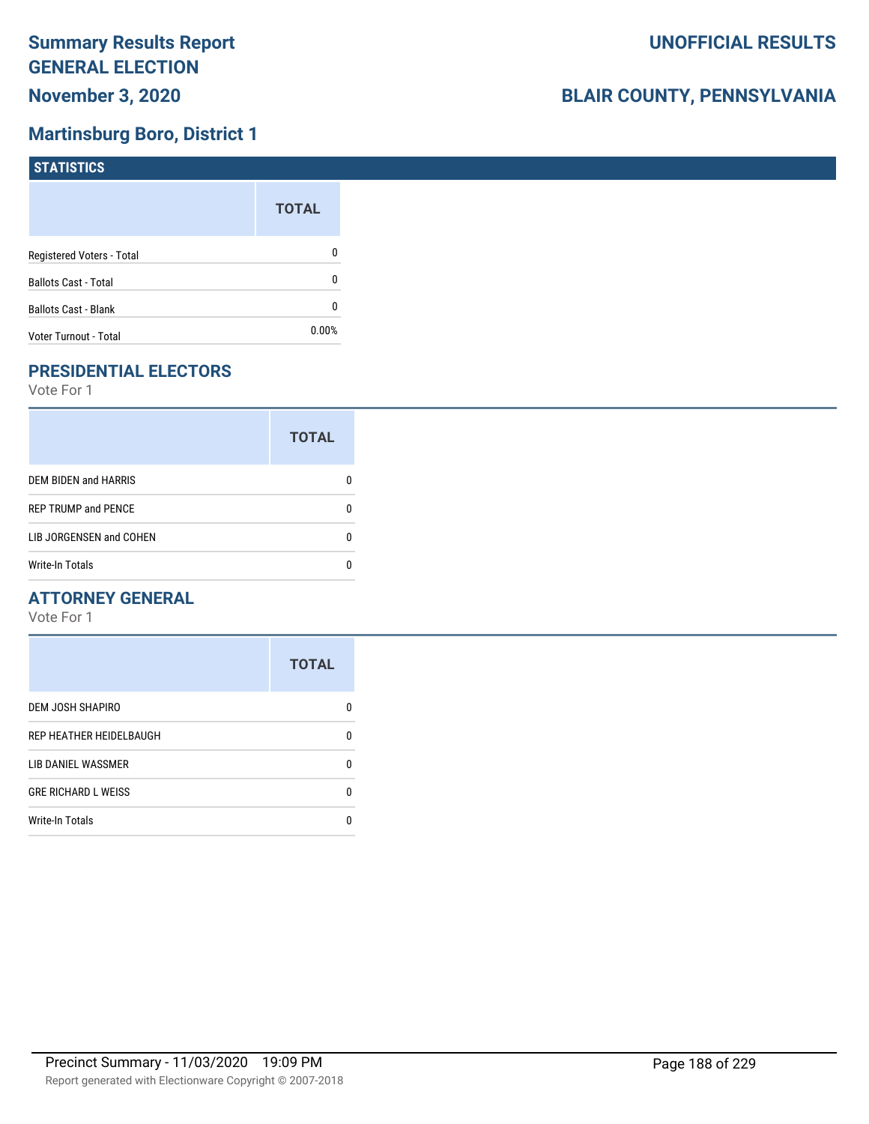### **Martinsburg Boro, District 1**

| STATISTICS                  |              |
|-----------------------------|--------------|
|                             | <b>TOTAL</b> |
| Registered Voters - Total   | 0            |
| <b>Ballots Cast - Total</b> | 0            |
| <b>Ballots Cast - Blank</b> | 0            |
| Voter Turnout - Total       | $0.00\%$     |

# **PRESIDENTIAL ELECTORS**

Vote For 1

|                             | <b>TOTAL</b> |
|-----------------------------|--------------|
| <b>DEM BIDEN and HARRIS</b> |              |
| <b>REP TRUMP and PENCE</b>  |              |
| LIB JORGENSEN and COHEN     | n            |
| <b>Write-In Totals</b>      |              |

#### **ATTORNEY GENERAL**

|                            | <b>TOTAL</b> |
|----------------------------|--------------|
| DEM JOSH SHAPIRO           | n            |
| REP HEATHER HEIDELBAUGH    | 0            |
| LIB DANIEL WASSMER         | 0            |
| <b>GRE RICHARD L WEISS</b> | 0            |
| <b>Write-In Totals</b>     | n            |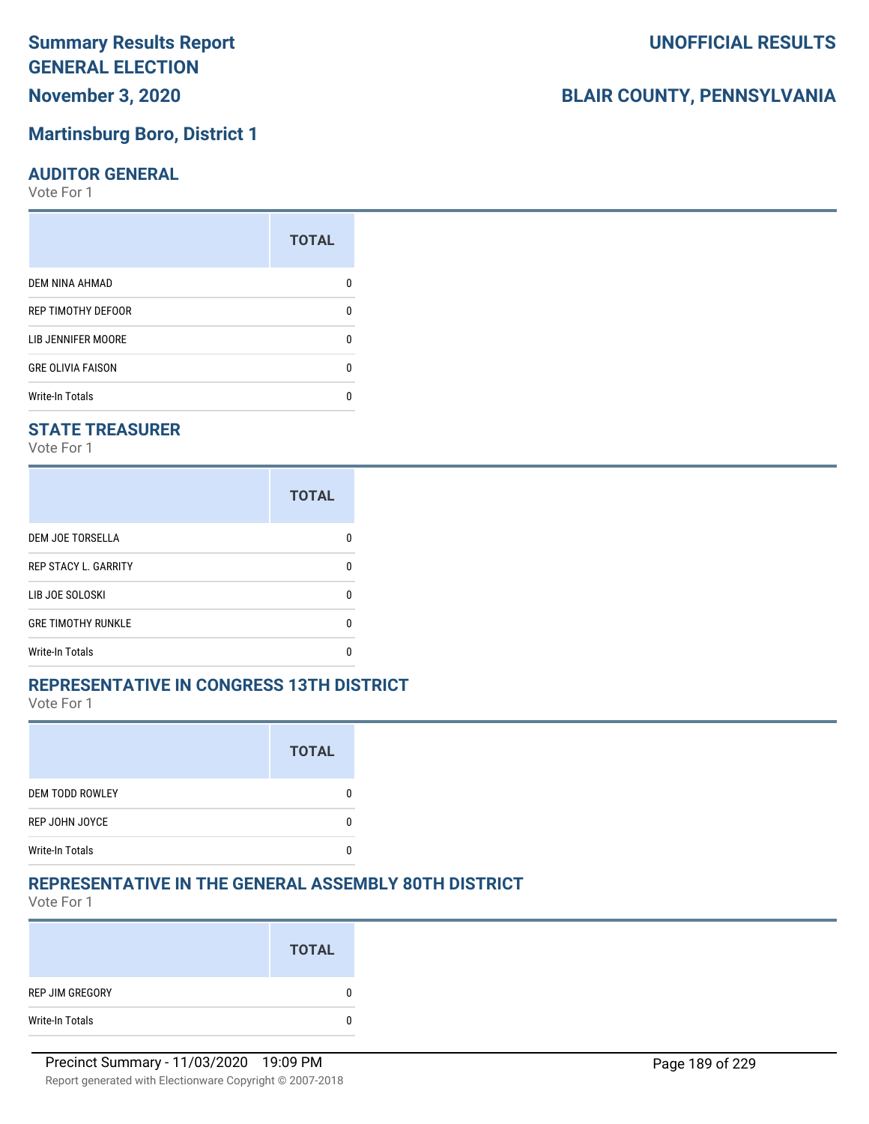# **November 3, 2020**

#### **Martinsburg Boro, District 1**

#### **AUDITOR GENERAL**

Vote For 1

|                          | <b>TOTAL</b> |
|--------------------------|--------------|
| <b>DEM NINA AHMAD</b>    |              |
| REP TIMOTHY DEFOOR       | n            |
| LIB JENNIFER MOORE       | n            |
| <b>GRE OLIVIA FAISON</b> | U            |
| <b>Write-In Totals</b>   |              |

#### **STATE TREASURER**

Vote For 1

|                             | <b>TOTAL</b> |
|-----------------------------|--------------|
| <b>DEM JOE TORSELLA</b>     | n            |
| <b>REP STACY L. GARRITY</b> | n            |
| LIB JOE SOLOSKI             | n            |
| <b>GRE TIMOTHY RUNKLE</b>   | n            |
| Write-In Totals             |              |

#### **REPRESENTATIVE IN CONGRESS 13TH DISTRICT**

Vote For 1

|                        | <b>TOTAL</b> |
|------------------------|--------------|
| <b>DEM TODD ROWLEY</b> |              |
| REP JOHN JOYCE         |              |
| <b>Write-In Totals</b> |              |

#### **REPRESENTATIVE IN THE GENERAL ASSEMBLY 80TH DISTRICT**

Vote For 1

|                 | <b>TOTAL</b> |
|-----------------|--------------|
| REP JIM GREGORY | 0            |
| Write-In Totals | 0            |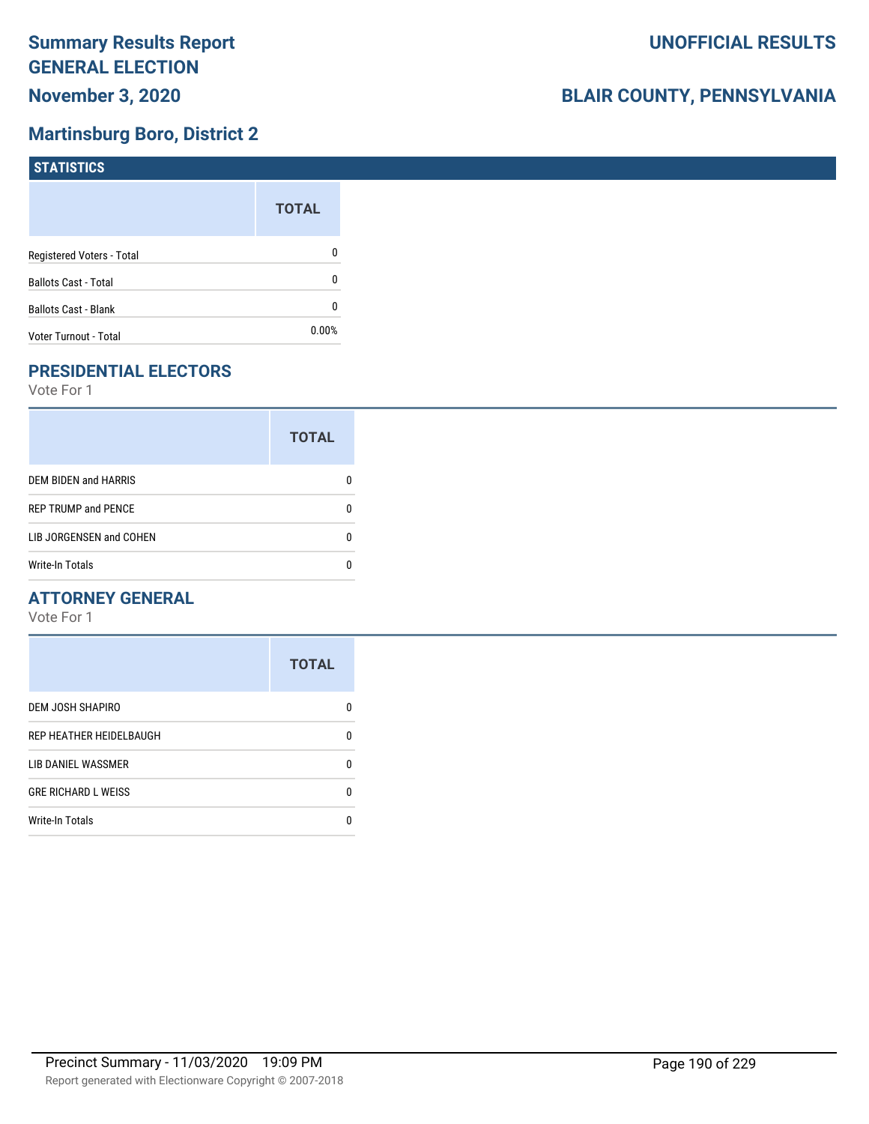### **Martinsburg Boro, District 2**

| <b>STATISTICS</b>           |              |
|-----------------------------|--------------|
|                             | <b>TOTAL</b> |
| Registered Voters - Total   | 0            |
| <b>Ballots Cast - Total</b> | 0            |
| <b>Ballots Cast - Blank</b> | 0            |
| Voter Turnout - Total       | $0.00\%$     |

# **PRESIDENTIAL ELECTORS**

Vote For 1

|                            | <b>TOTAL</b> |
|----------------------------|--------------|
| DEM BIDEN and HARRIS       |              |
| <b>REP TRUMP and PENCE</b> |              |
| LIB JORGENSEN and COHEN    | n            |
| <b>Write-In Totals</b>     |              |

#### **ATTORNEY GENERAL**

|                            | <b>TOTAL</b> |
|----------------------------|--------------|
| DEM JOSH SHAPIRO           | n            |
| REP HEATHER HEIDELBAUGH    | 0            |
| LIB DANIEL WASSMER         | n            |
| <b>GRE RICHARD L WEISS</b> | n            |
| <b>Write-In Totals</b>     |              |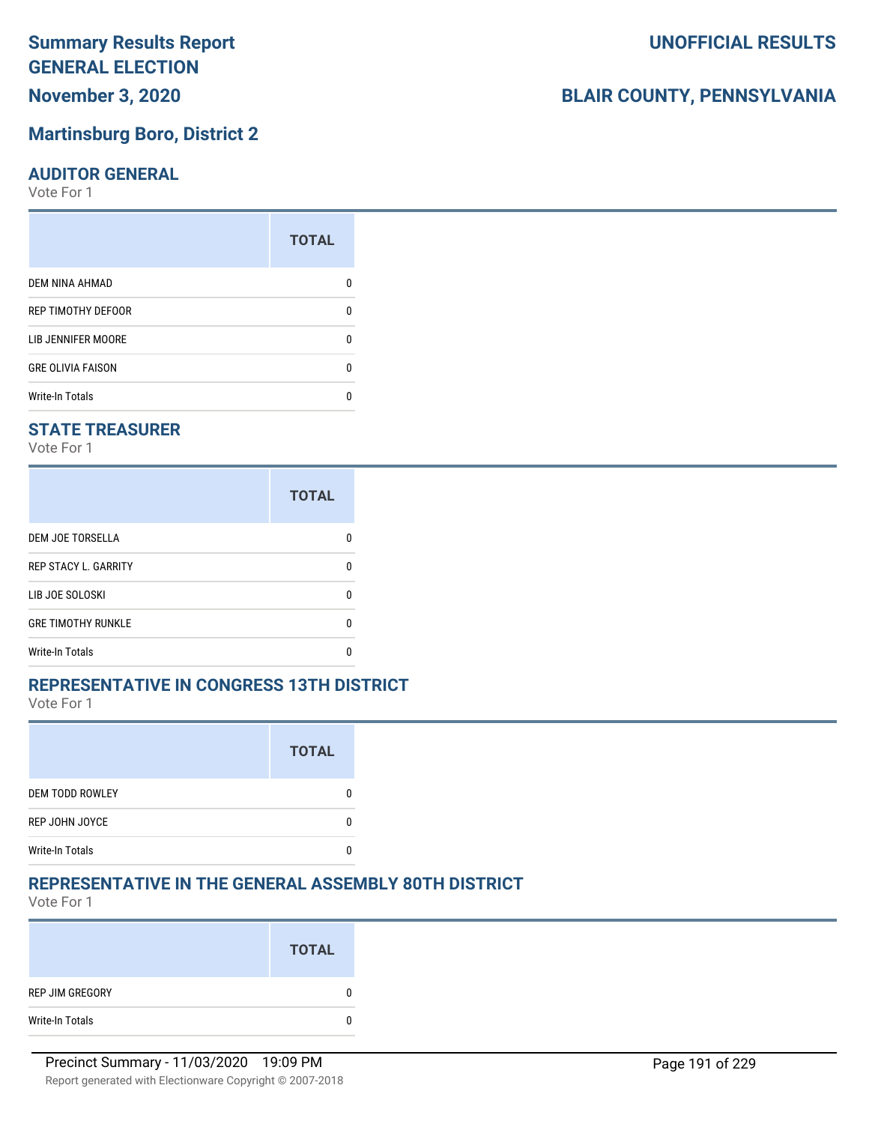**November 3, 2020**

#### **Martinsburg Boro, District 2**

#### **AUDITOR GENERAL**

Vote For 1

|                           | <b>TOTAL</b> |
|---------------------------|--------------|
| DEM NINA AHMAD            |              |
| REP TIMOTHY DEFOOR        | n            |
| <b>LIB JENNIFER MOORE</b> | n            |
| <b>GRE OLIVIA FAISON</b>  | n            |
| <b>Write-In Totals</b>    |              |

#### **STATE TREASURER**

Vote For 1

|                             | <b>TOTAL</b> |
|-----------------------------|--------------|
| <b>DEM JOE TORSELLA</b>     | n            |
| <b>REP STACY L. GARRITY</b> | n            |
| LIB JOE SOLOSKI             | n            |
| <b>GRE TIMOTHY RUNKLE</b>   | n            |
| <b>Write-In Totals</b>      |              |

#### **REPRESENTATIVE IN CONGRESS 13TH DISTRICT**

Vote For 1

|                        | <b>TOTAL</b> |
|------------------------|--------------|
| <b>DEM TODD ROWLEY</b> |              |
| REP JOHN JOYCE         |              |
| <b>Write-In Totals</b> |              |

### **REPRESENTATIVE IN THE GENERAL ASSEMBLY 80TH DISTRICT**

Vote For 1

|                 | <b>TOTAL</b> |
|-----------------|--------------|
| REP JIM GREGORY | 0            |
| Write-In Totals | 0            |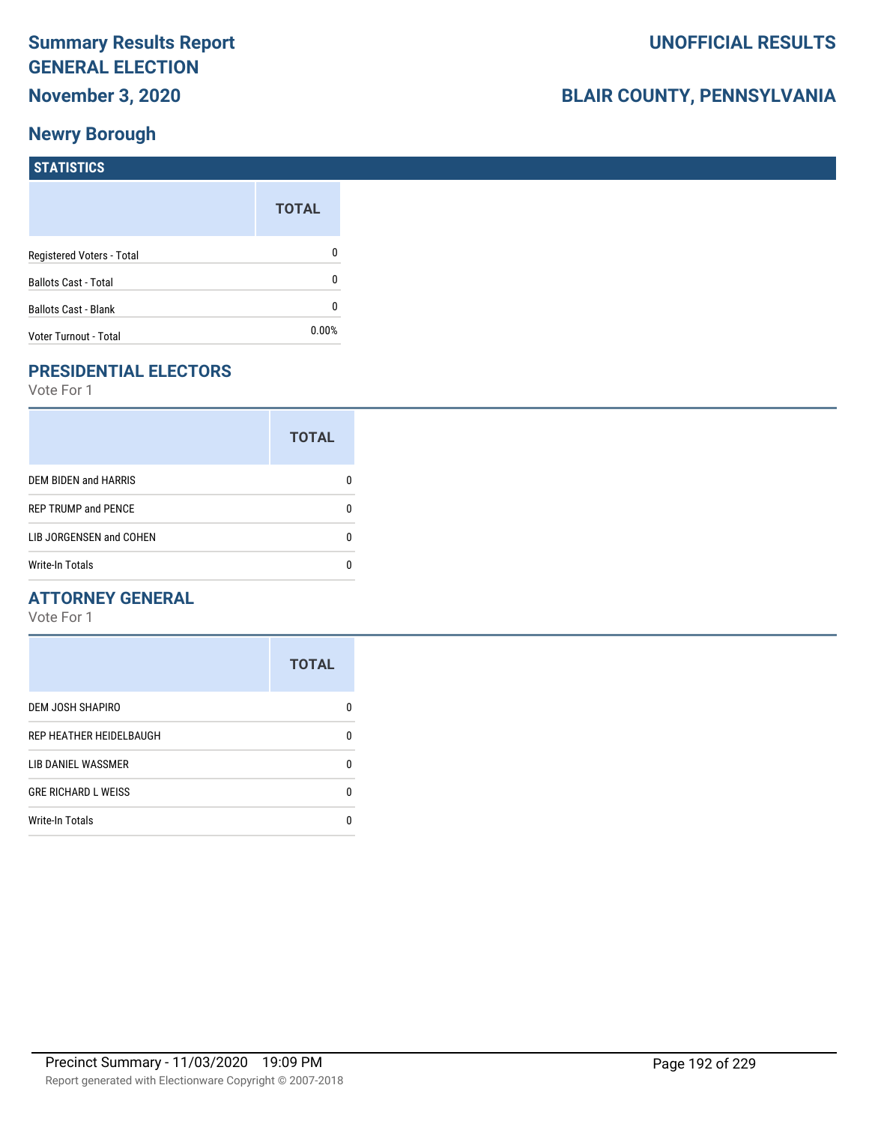# **BLAIR COUNTY, PENNSYLVANIA**

| <b>STATISTICS</b>            |              |
|------------------------------|--------------|
|                              | <b>TOTAL</b> |
| Registered Voters - Total    | 0            |
| <b>Ballots Cast - Total</b>  | $\mathbf{0}$ |
| <b>Ballots Cast - Blank</b>  | $\mathbf{0}$ |
| <b>Voter Turnout - Total</b> | $0.00\%$     |

# **PRESIDENTIAL ELECTORS**

Vote For 1

|                             | <b>TOTAL</b> |
|-----------------------------|--------------|
| <b>DEM BIDEN and HARRIS</b> |              |
| <b>REP TRUMP and PENCE</b>  |              |
| LIB JORGENSEN and COHEN     | O            |
| <b>Write-In Totals</b>      |              |

#### **ATTORNEY GENERAL**

|                            | <b>TOTAL</b> |
|----------------------------|--------------|
| DEM JOSH SHAPIRO           | n            |
| REP HEATHER HEIDELBAUGH    | 0            |
| LIB DANIEL WASSMER         | n            |
| <b>GRE RICHARD L WEISS</b> | n            |
| <b>Write-In Totals</b>     |              |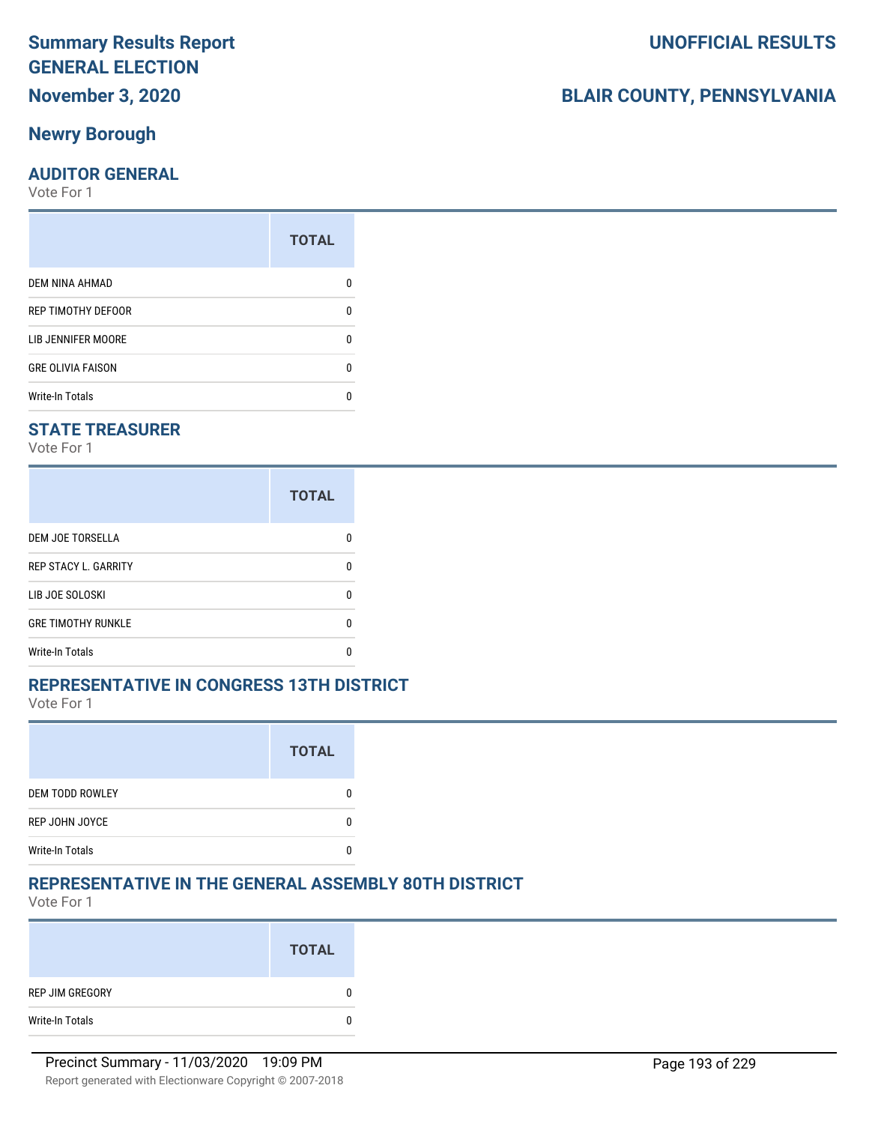### **Newry Borough**

#### **AUDITOR GENERAL**

Vote For 1

|                           | <b>TOTAL</b> |
|---------------------------|--------------|
| DEM NINA AHMAD            | n            |
| <b>REP TIMOTHY DEFOOR</b> | n            |
| <b>LIB JENNIFER MOORE</b> | n            |
| <b>GRE OLIVIA FAISON</b>  | n            |
| <b>Write-In Totals</b>    |              |

#### **STATE TREASURER**

Vote For 1

|                             | <b>TOTAL</b> |
|-----------------------------|--------------|
| <b>DEM JOE TORSELLA</b>     | n            |
| <b>REP STACY L. GARRITY</b> | n            |
| LIB JOE SOLOSKI             | n            |
| <b>GRE TIMOTHY RUNKLE</b>   | n            |
| Write-In Totals             |              |

#### **REPRESENTATIVE IN CONGRESS 13TH DISTRICT**

Vote For 1

|                        | <b>TOTAL</b> |
|------------------------|--------------|
| <b>DEM TODD ROWLEY</b> |              |
| REP JOHN JOYCE         |              |
| <b>Write-In Totals</b> |              |

#### **REPRESENTATIVE IN THE GENERAL ASSEMBLY 80TH DISTRICT**

Vote For 1

|                 | <b>TOTAL</b> |
|-----------------|--------------|
| REP JIM GREGORY |              |
| Write-In Totals | 0            |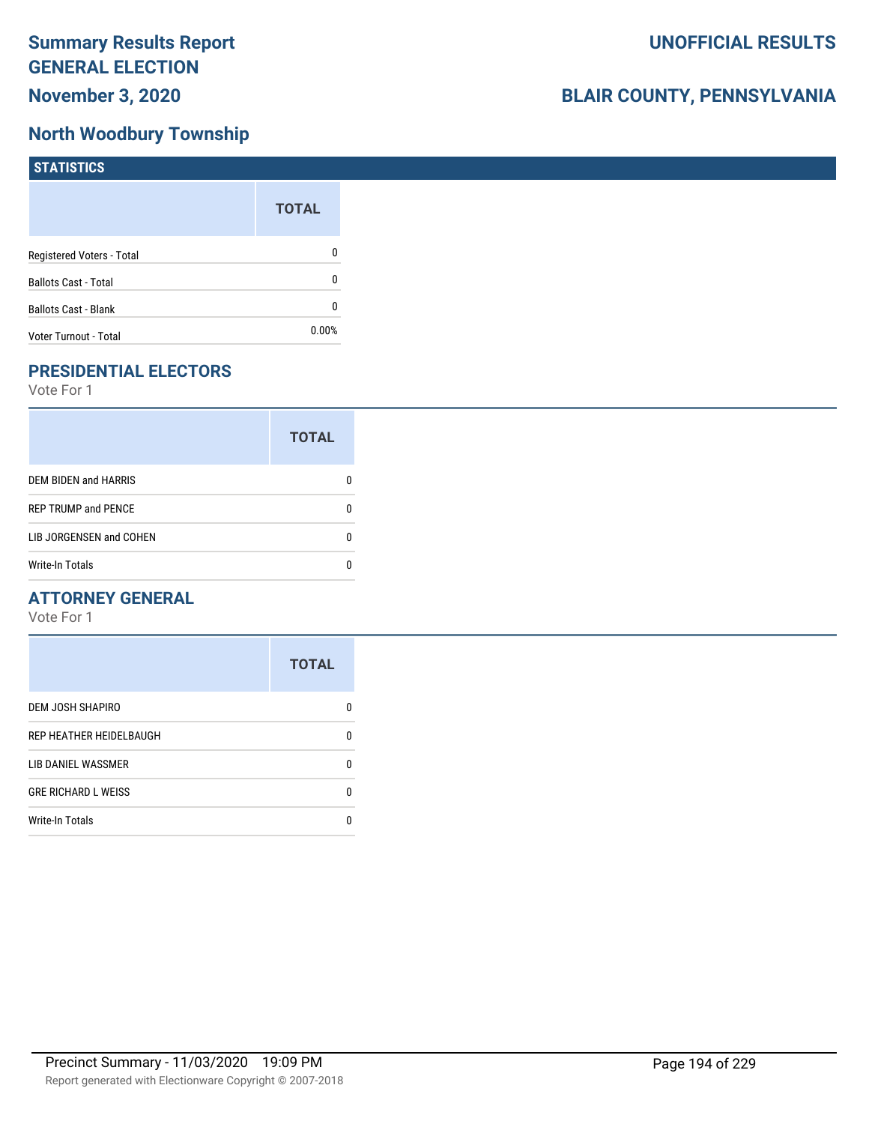## **North Woodbury Township**

| <b>STATISTICS</b>           |              |
|-----------------------------|--------------|
|                             | <b>TOTAL</b> |
| Registered Voters - Total   | 0            |
| <b>Ballots Cast - Total</b> | 0            |
| <b>Ballots Cast - Blank</b> | 0            |
| Voter Turnout - Total       | $0.00\%$     |

# **PRESIDENTIAL ELECTORS**

Vote For 1

|                             | <b>TOTAL</b> |
|-----------------------------|--------------|
| <b>DEM BIDEN and HARRIS</b> |              |
| <b>REP TRUMP and PENCE</b>  |              |
| LIB JORGENSEN and COHEN     |              |
| Write-In Totals             |              |

#### **ATTORNEY GENERAL**

|                            | <b>TOTAL</b> |
|----------------------------|--------------|
| DEM JOSH SHAPIRO           | O            |
| REP HEATHER HEIDELBAUGH    | 0            |
| LIB DANIEL WASSMER         | n            |
| <b>GRE RICHARD L WEISS</b> | 0            |
| <b>Write-In Totals</b>     |              |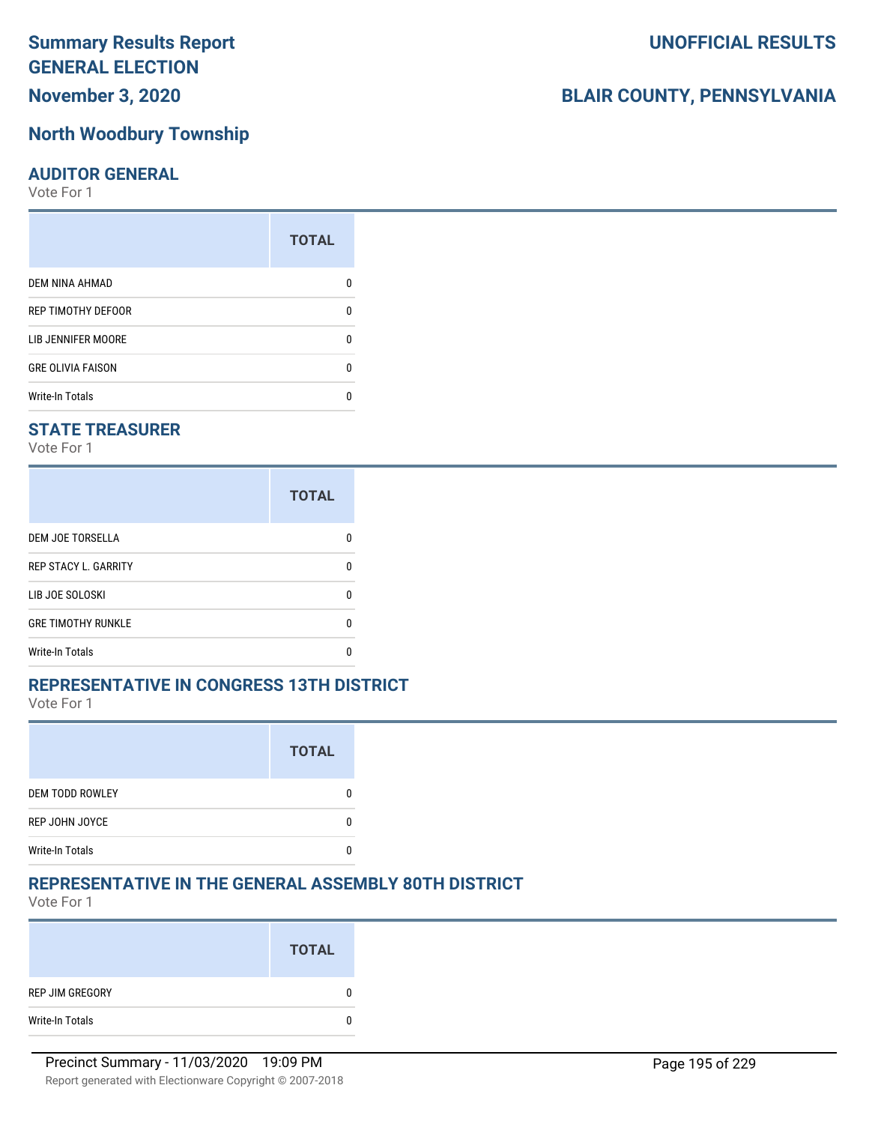**November 3, 2020**

# **North Woodbury Township**

# **AUDITOR GENERAL**

Vote For 1

|                           | <b>TOTAL</b> |
|---------------------------|--------------|
| DEM NINA AHMAD            |              |
| <b>REP TIMOTHY DEFOOR</b> | n            |
| LIB JENNIFER MOORE        | n            |
| <b>GRE OLIVIA FAISON</b>  | n            |
| <b>Write-In Totals</b>    |              |

# **STATE TREASURER**

Vote For 1

|                             | <b>TOTAL</b> |
|-----------------------------|--------------|
| DEM JOE TORSELLA            | n            |
| <b>REP STACY L. GARRITY</b> |              |
| LIB JOE SOLOSKI             | n            |
| <b>GRE TIMOTHY RUNKLE</b>   |              |
| <b>Write-In Totals</b>      |              |

#### **REPRESENTATIVE IN CONGRESS 13TH DISTRICT**

Vote For 1

|                        | <b>TOTAL</b> |
|------------------------|--------------|
| <b>DEM TODD ROWLEY</b> |              |
| REP JOHN JOYCE         |              |
| <b>Write-In Totals</b> |              |

# **REPRESENTATIVE IN THE GENERAL ASSEMBLY 80TH DISTRICT**

Vote For 1

|                 | <b>TOTAL</b> |
|-----------------|--------------|
| REP JIM GREGORY | 0            |
| Write-In Totals | 0            |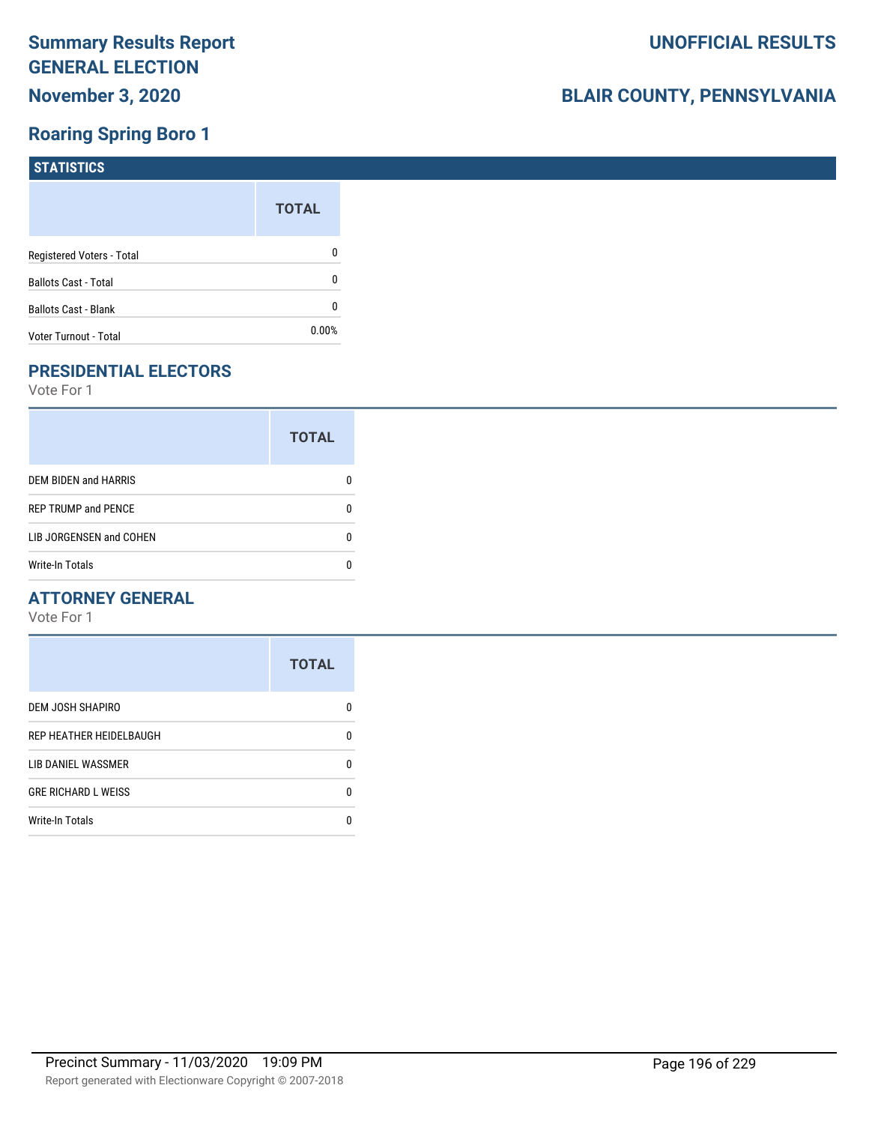# **Roaring Spring Boro 1**

| <b>STATISTICS</b>           |              |
|-----------------------------|--------------|
|                             | <b>TOTAL</b> |
| Registered Voters - Total   | 0            |
| <b>Ballots Cast - Total</b> | 0            |
| Ballots Cast - Blank        | 0            |
| Voter Turnout - Total       | 0.00%        |

# **PRESIDENTIAL ELECTORS**

Vote For 1

|                            | <b>TOTAL</b> |
|----------------------------|--------------|
| DEM BIDEN and HARRIS       |              |
| <b>REP TRUMP and PENCE</b> |              |
| LIB JORGENSEN and COHEN    | n            |
| <b>Write-In Totals</b>     |              |

#### **ATTORNEY GENERAL**

|                            | <b>TOTAL</b> |
|----------------------------|--------------|
| DEM JOSH SHAPIRO           | n            |
| REP HEATHER HEIDELBAUGH    | 0            |
| LIB DANIEL WASSMER         | n            |
| <b>GRE RICHARD L WEISS</b> | n            |
| <b>Write-In Totals</b>     |              |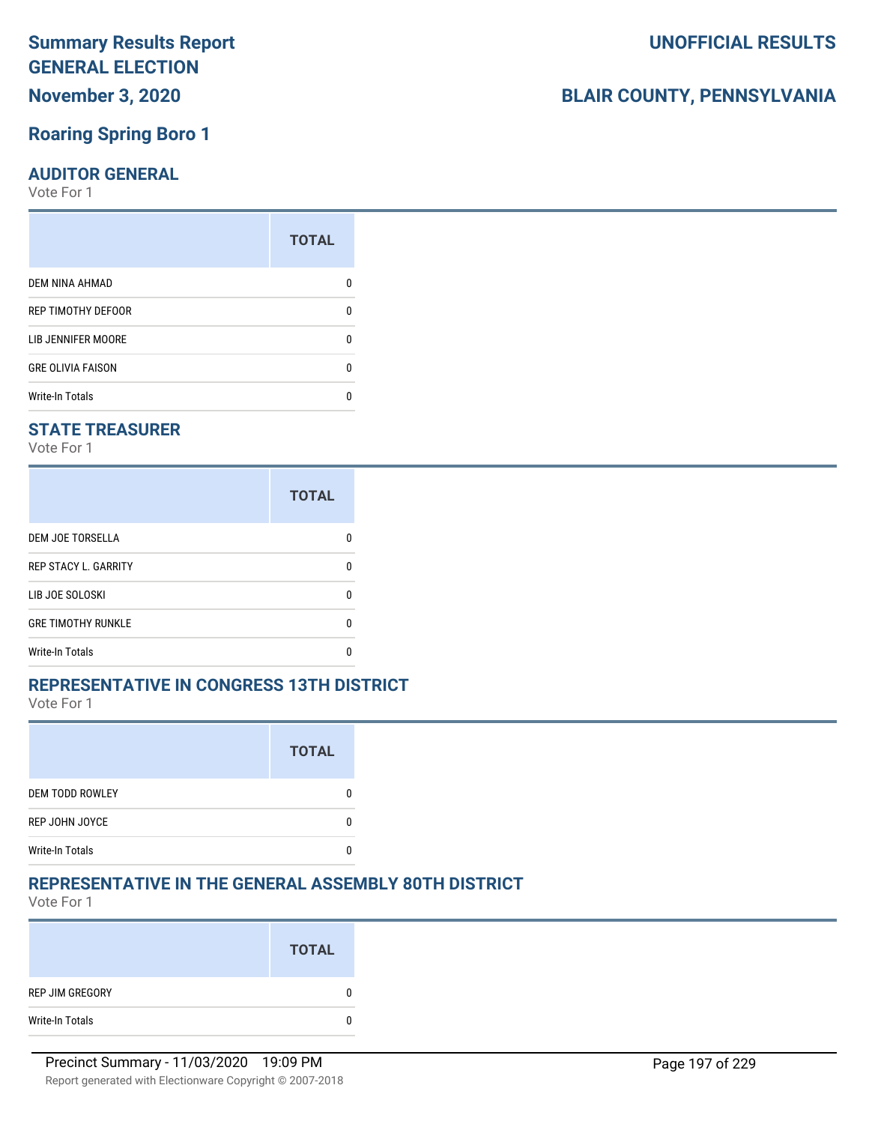**November 3, 2020**

# **Roaring Spring Boro 1**

### **AUDITOR GENERAL**

Vote For 1

| <b>TOTAL</b> |
|--------------|
|              |
| 0            |
|              |
| O            |
|              |
|              |

# **STATE TREASURER**

Vote For 1

|                             | <b>TOTAL</b> |
|-----------------------------|--------------|
| DEM JOE TORSELLA            | n            |
| <b>REP STACY L. GARRITY</b> |              |
| LIB JOE SOLOSKI             | n            |
| <b>GRE TIMOTHY RUNKLE</b>   |              |
| <b>Write-In Totals</b>      |              |

# **REPRESENTATIVE IN CONGRESS 13TH DISTRICT**

Vote For 1

|                        | <b>TOTAL</b> |
|------------------------|--------------|
| <b>DEM TODD ROWLEY</b> |              |
| REP JOHN JOYCE         |              |
| <b>Write-In Totals</b> |              |

# **REPRESENTATIVE IN THE GENERAL ASSEMBLY 80TH DISTRICT**

Vote For 1

|                 | <b>TOTAL</b> |
|-----------------|--------------|
| REP JIM GREGORY | $\bf{0}$     |
| Write-In Totals | $\bf{0}$     |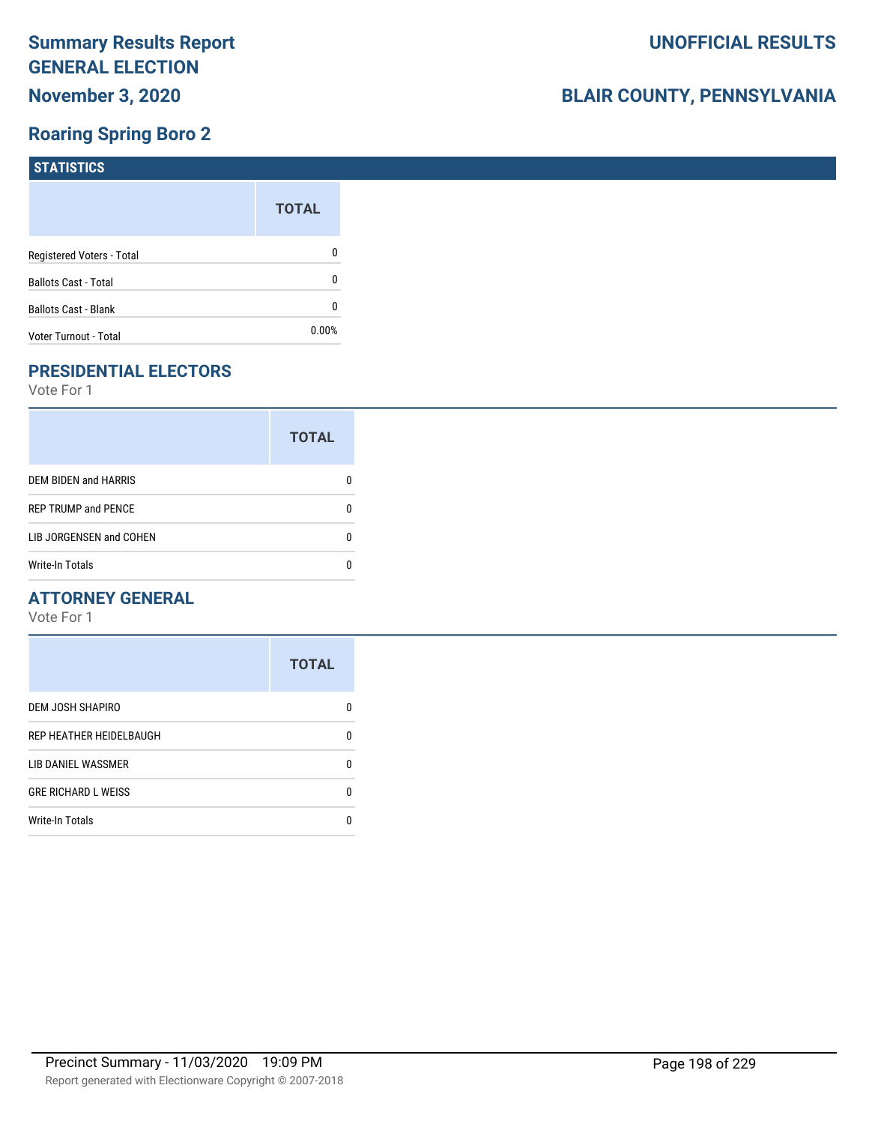# **Roaring Spring Boro 2**

| <b>STATISTICS</b>           |              |
|-----------------------------|--------------|
|                             | <b>TOTAL</b> |
| Registered Voters - Total   | 0            |
| <b>Ballots Cast - Total</b> | 0            |
| Ballots Cast - Blank        | 0            |
| Voter Turnout - Total       | 0.00%        |

# **PRESIDENTIAL ELECTORS**

Vote For 1

|                            | <b>TOTAL</b> |
|----------------------------|--------------|
| DEM BIDEN and HARRIS       |              |
| <b>REP TRUMP and PENCE</b> |              |
| LIB JORGENSEN and COHEN    | n            |
| <b>Write-In Totals</b>     |              |

#### **ATTORNEY GENERAL**

|                            | <b>TOTAL</b> |
|----------------------------|--------------|
| DEM JOSH SHAPIRO           | n            |
| REP HEATHER HEIDELBAUGH    | 0            |
| LIB DANIEL WASSMER         | n            |
| <b>GRE RICHARD L WEISS</b> | n            |
| <b>Write-In Totals</b>     | n            |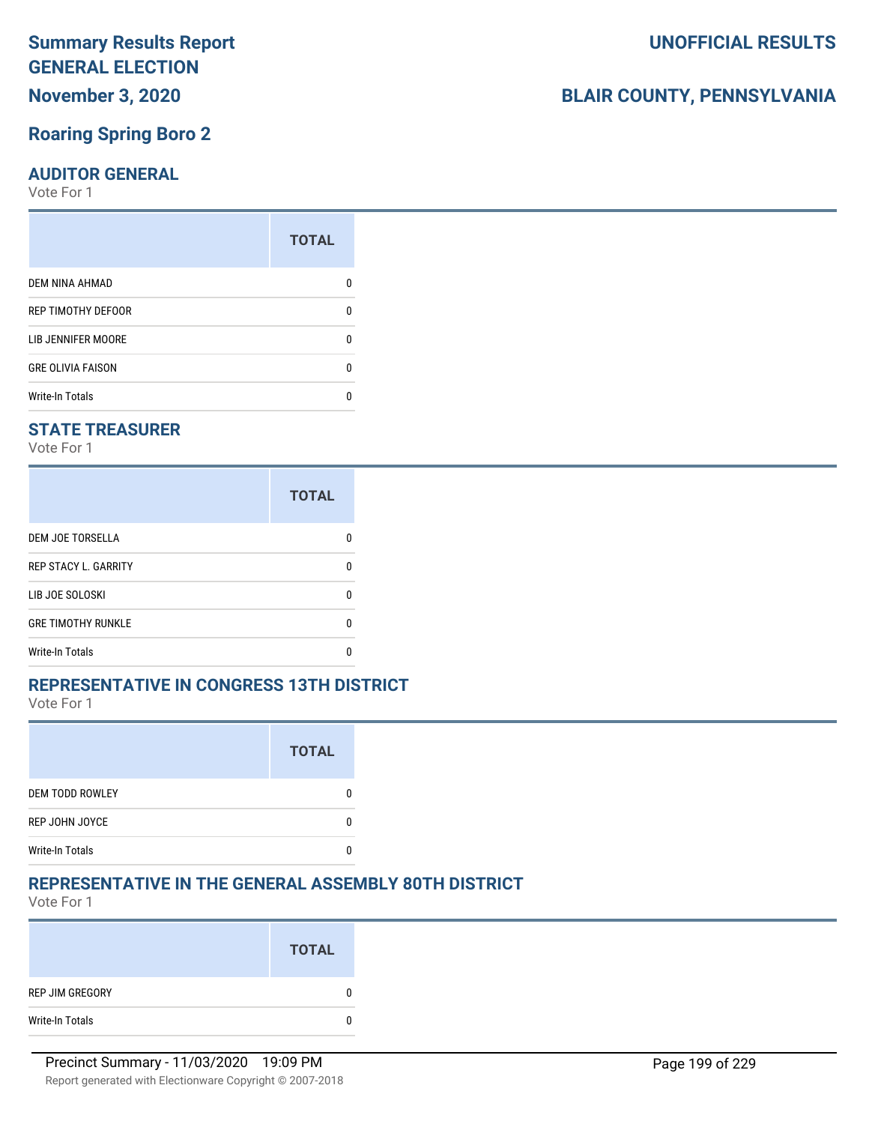**November 3, 2020**

### **Roaring Spring Boro 2**

#### **AUDITOR GENERAL**

Vote For 1

|                          | <b>TOTAL</b> |
|--------------------------|--------------|
| DEM NINA AHMAD           |              |
| REP TIMOTHY DEFOOR       | n            |
| LIB JENNIFER MOORE       | n            |
| <b>GRE OLIVIA FAISON</b> | n            |
| <b>Write-In Totals</b>   |              |

#### **STATE TREASURER**

Vote For 1

|                             | <b>TOTAL</b> |
|-----------------------------|--------------|
| DEM JOE TORSELLA            | n            |
| <b>REP STACY L. GARRITY</b> | n            |
| LIB JOE SOLOSKI             | n            |
| <b>GRE TIMOTHY RUNKLE</b>   |              |
| <b>Write-In Totals</b>      |              |

#### **REPRESENTATIVE IN CONGRESS 13TH DISTRICT**

Vote For 1

|                        | <b>TOTAL</b> |
|------------------------|--------------|
| <b>DEM TODD ROWLEY</b> |              |
| REP JOHN JOYCE         |              |
| <b>Write-In Totals</b> |              |

# **REPRESENTATIVE IN THE GENERAL ASSEMBLY 80TH DISTRICT**

Vote For 1

|                 | <b>TOTAL</b> |
|-----------------|--------------|
| REP JIM GREGORY | 0            |
| Write-In Totals | 0            |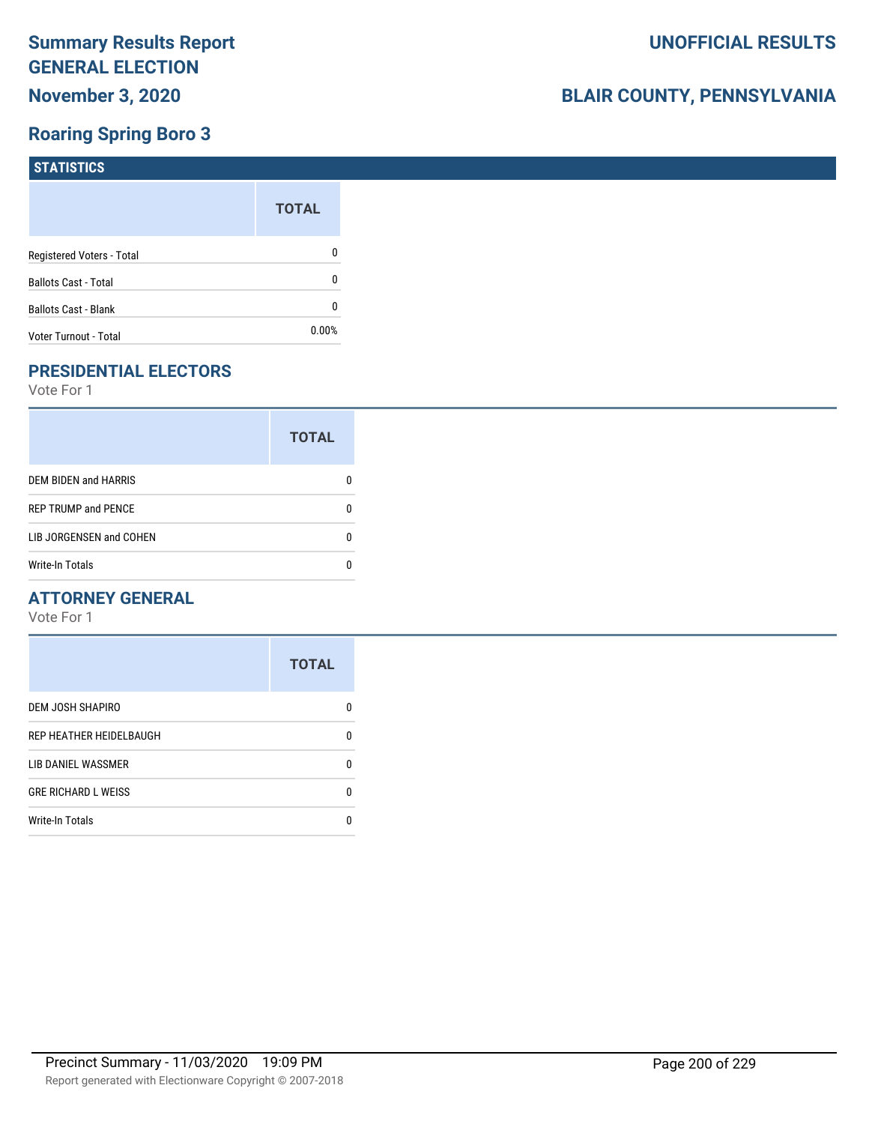# **Roaring Spring Boro 3**

| <b>STATISTICS</b>           |              |
|-----------------------------|--------------|
|                             | <b>TOTAL</b> |
| Registered Voters - Total   | 0            |
| <b>Ballots Cast - Total</b> | 0            |
| Ballots Cast - Blank        | 0            |
| Voter Turnout - Total       | 0.00%        |

# **PRESIDENTIAL ELECTORS**

Vote For 1

|                            | <b>TOTAL</b> |
|----------------------------|--------------|
| DEM BIDEN and HARRIS       |              |
| <b>REP TRUMP and PENCE</b> |              |
| LIB JORGENSEN and COHEN    | n            |
| <b>Write-In Totals</b>     |              |

#### **ATTORNEY GENERAL**

|                            | <b>TOTAL</b> |
|----------------------------|--------------|
| DEM JOSH SHAPIRO           | n            |
| REP HEATHER HEIDELBAUGH    | 0            |
| LIB DANIEL WASSMER         | 0            |
| <b>GRE RICHARD L WEISS</b> | 0            |
| <b>Write-In Totals</b>     | n            |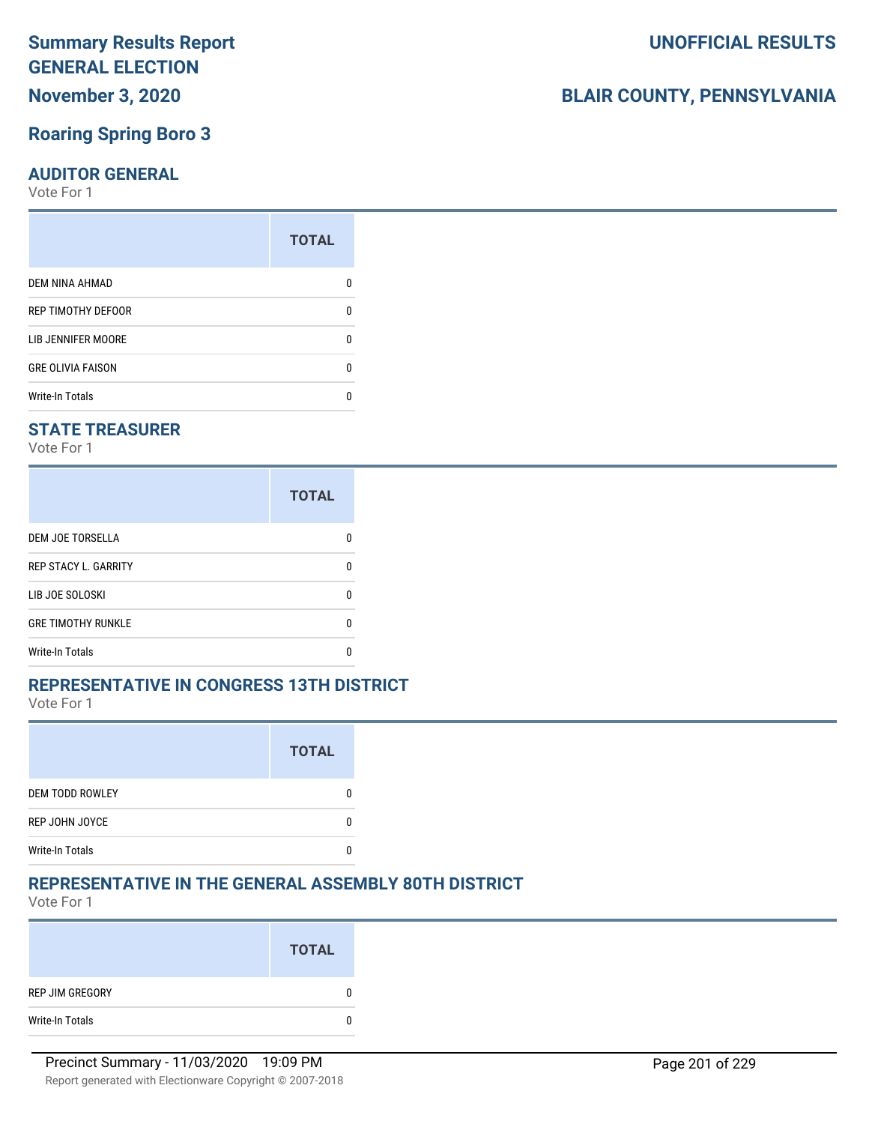**November 3, 2020**

### **Roaring Spring Boro 3**

#### **AUDITOR GENERAL**

Vote For 1

| <b>TOTAL</b> |
|--------------|
|              |
| 0            |
| O            |
| O            |
|              |
|              |

#### **STATE TREASURER**

Vote For 1

|                             | <b>TOTAL</b> |
|-----------------------------|--------------|
| <b>DEM JOE TORSELLA</b>     |              |
| <b>REP STACY L. GARRITY</b> |              |
| LIB JOE SOLOSKI             |              |
| <b>GRE TIMOTHY RUNKLE</b>   |              |
| <b>Write-In Totals</b>      |              |

#### **REPRESENTATIVE IN CONGRESS 13TH DISTRICT**

Vote For 1

|                        | <b>TOTAL</b> |
|------------------------|--------------|
| <b>DEM TODD ROWLEY</b> |              |
| REP JOHN JOYCE         |              |
| <b>Write-In Totals</b> |              |

# **REPRESENTATIVE IN THE GENERAL ASSEMBLY 80TH DISTRICT**

Vote For 1

|                 | <b>TOTAL</b> |
|-----------------|--------------|
| REP JIM GREGORY | 0            |
| Write-In Totals | 0            |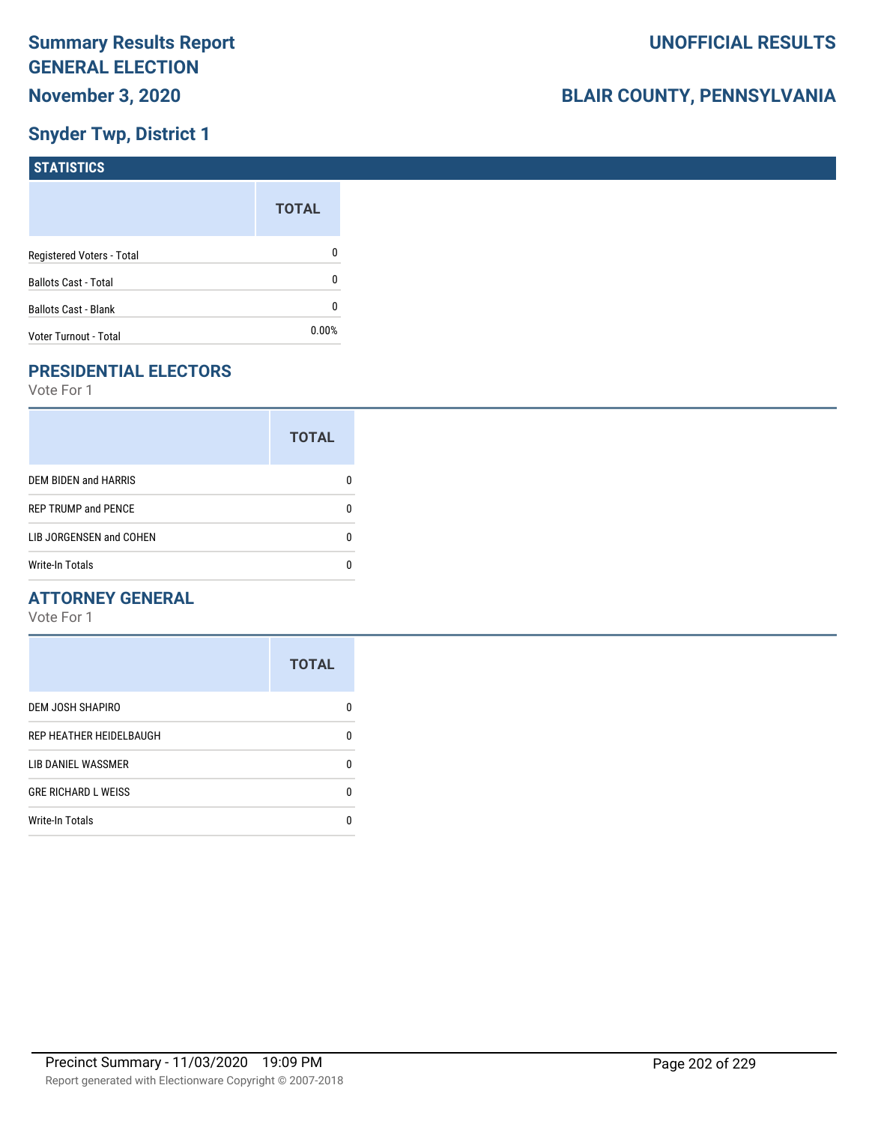# **Snyder Twp, District 1**

| <b>STATISTICS</b>           |              |
|-----------------------------|--------------|
|                             | <b>TOTAL</b> |
| Registered Voters - Total   | 0            |
| <b>Ballots Cast - Total</b> | 0            |
| <b>Ballots Cast - Blank</b> | 0            |
| Voter Turnout - Total       | $0.00\%$     |

# **PRESIDENTIAL ELECTORS**

Vote For 1

|                             | <b>TOTAL</b> |
|-----------------------------|--------------|
| <b>DEM BIDEN and HARRIS</b> |              |
| <b>REP TRUMP and PENCE</b>  |              |
| LIB JORGENSEN and COHEN     |              |
| Write-In Totals             |              |

#### **ATTORNEY GENERAL**

|                            | <b>TOTAL</b> |
|----------------------------|--------------|
| DEM JOSH SHAPIRO           | n            |
| REP HEATHER HEIDELBAUGH    | 0            |
| LIB DANIEL WASSMER         | 0            |
| <b>GRE RICHARD L WEISS</b> | 0            |
| <b>Write-In Totals</b>     | n            |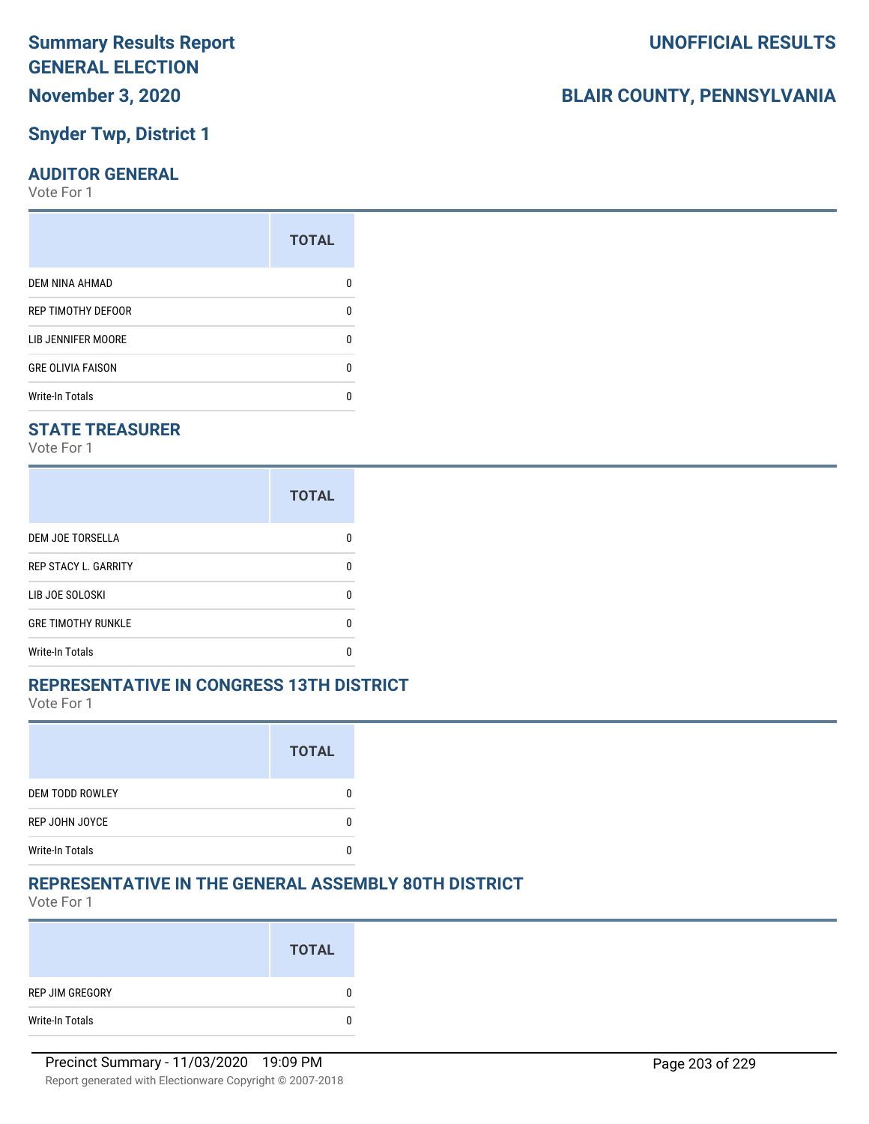#### **Snyder Twp, District 1**

#### **AUDITOR GENERAL**

Vote For 1

| <b>TOTAL</b> |
|--------------|
|              |
| n            |
|              |
| n            |
|              |
|              |

#### **STATE TREASURER**

Vote For 1

|                             | <b>TOTAL</b> |
|-----------------------------|--------------|
| <b>DEM JOE TORSELLA</b>     | n            |
| <b>REP STACY L. GARRITY</b> | n            |
| LIB JOE SOLOSKI             | n            |
| <b>GRE TIMOTHY RUNKLE</b>   | n            |
| Write-In Totals             |              |

#### **REPRESENTATIVE IN CONGRESS 13TH DISTRICT**

Vote For 1

|                        | <b>TOTAL</b> |
|------------------------|--------------|
| <b>DEM TODD ROWLEY</b> |              |
| REP JOHN JOYCE         |              |
| <b>Write-In Totals</b> |              |

#### **REPRESENTATIVE IN THE GENERAL ASSEMBLY 80TH DISTRICT**

Vote For 1

|                 | <b>TOTAL</b> |
|-----------------|--------------|
| REP JIM GREGORY | 0            |
| Write-In Totals | 0            |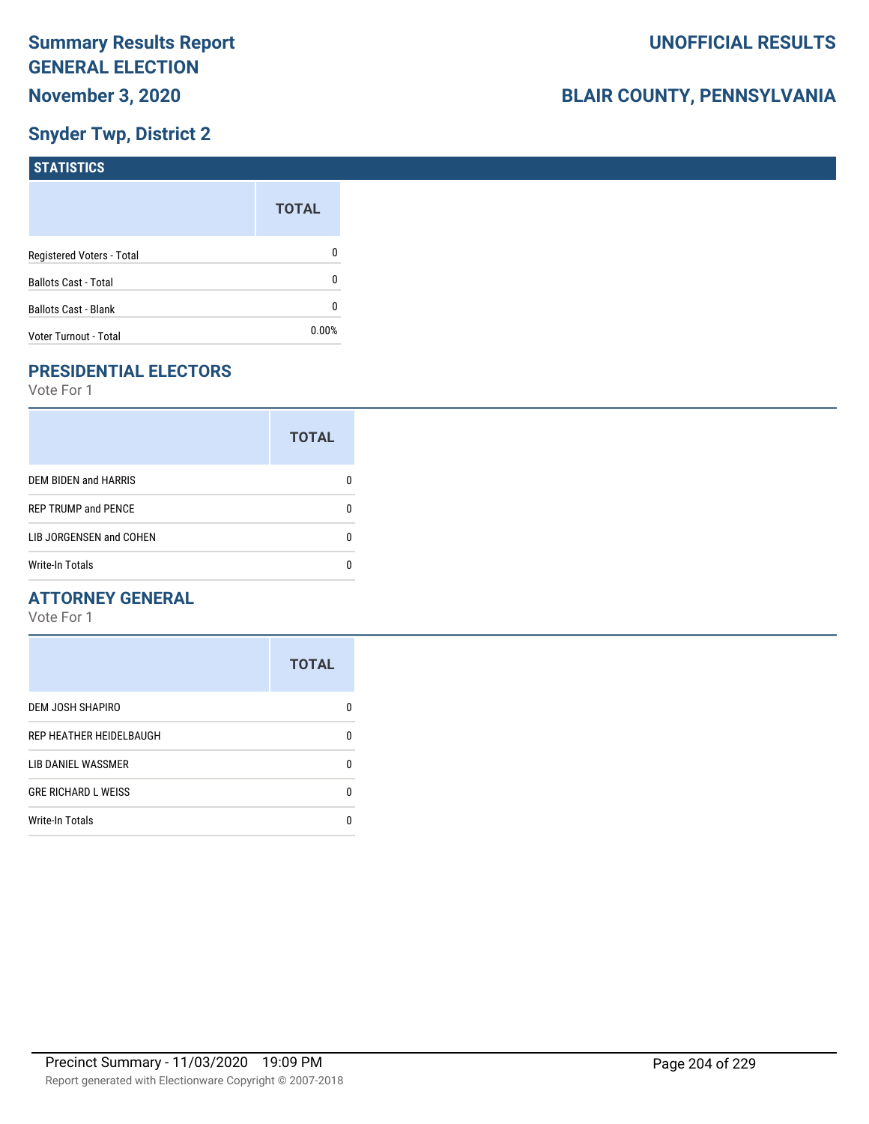# **Snyder Twp, District 2**

| <b>STATISTICS</b>           |              |
|-----------------------------|--------------|
|                             | <b>TOTAL</b> |
| Registered Voters - Total   | 0            |
| <b>Ballots Cast - Total</b> | 0            |
| Ballots Cast - Blank        | 0            |
| Voter Turnout - Total       | 0.00%        |

# **PRESIDENTIAL ELECTORS**

Vote For 1

|                             | <b>TOTAL</b> |
|-----------------------------|--------------|
| <b>DEM BIDEN and HARRIS</b> |              |
| <b>REP TRUMP and PENCE</b>  |              |
| LIB JORGENSEN and COHEN     | O            |
| Write-In Totals             |              |

#### **ATTORNEY GENERAL**

|                            | <b>TOTAL</b> |
|----------------------------|--------------|
| DEM JOSH SHAPIRO           | n            |
| REP HEATHER HEIDELBAUGH    | 0            |
| LIB DANIEL WASSMER         | 0            |
| <b>GRE RICHARD L WEISS</b> | 0            |
| <b>Write-In Totals</b>     | n            |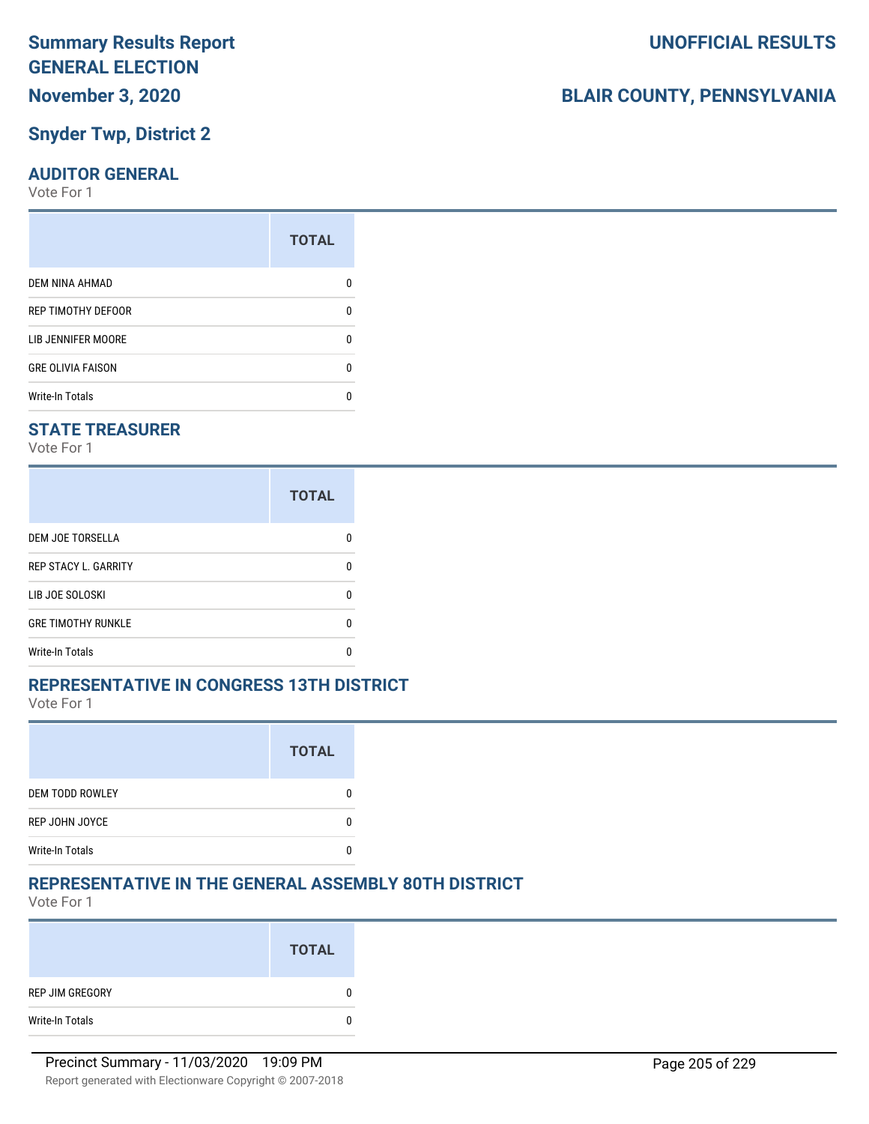# **November 3, 2020**

#### **Snyder Twp, District 2**

#### **AUDITOR GENERAL**

Vote For 1

| <b>TOTAL</b> |
|--------------|
|              |
| 0            |
| n            |
| 0            |
|              |
|              |

#### **STATE TREASURER**

Vote For 1

|                             | <b>TOTAL</b> |
|-----------------------------|--------------|
| <b>DEM JOE TORSELLA</b>     |              |
| <b>REP STACY L. GARRITY</b> |              |
| LIB JOE SOLOSKI             |              |
| <b>GRE TIMOTHY RUNKLE</b>   |              |
| Write-In Totals             |              |

#### **REPRESENTATIVE IN CONGRESS 13TH DISTRICT**

Vote For 1

|                        | <b>TOTAL</b> |
|------------------------|--------------|
| <b>DEM TODD ROWLEY</b> |              |
| REP JOHN JOYCE         |              |
| <b>Write-In Totals</b> |              |

### **REPRESENTATIVE IN THE GENERAL ASSEMBLY 80TH DISTRICT**

Vote For 1

|                 | <b>TOTAL</b> |
|-----------------|--------------|
| REP JIM GREGORY | 0            |
| Write-In Totals | 0            |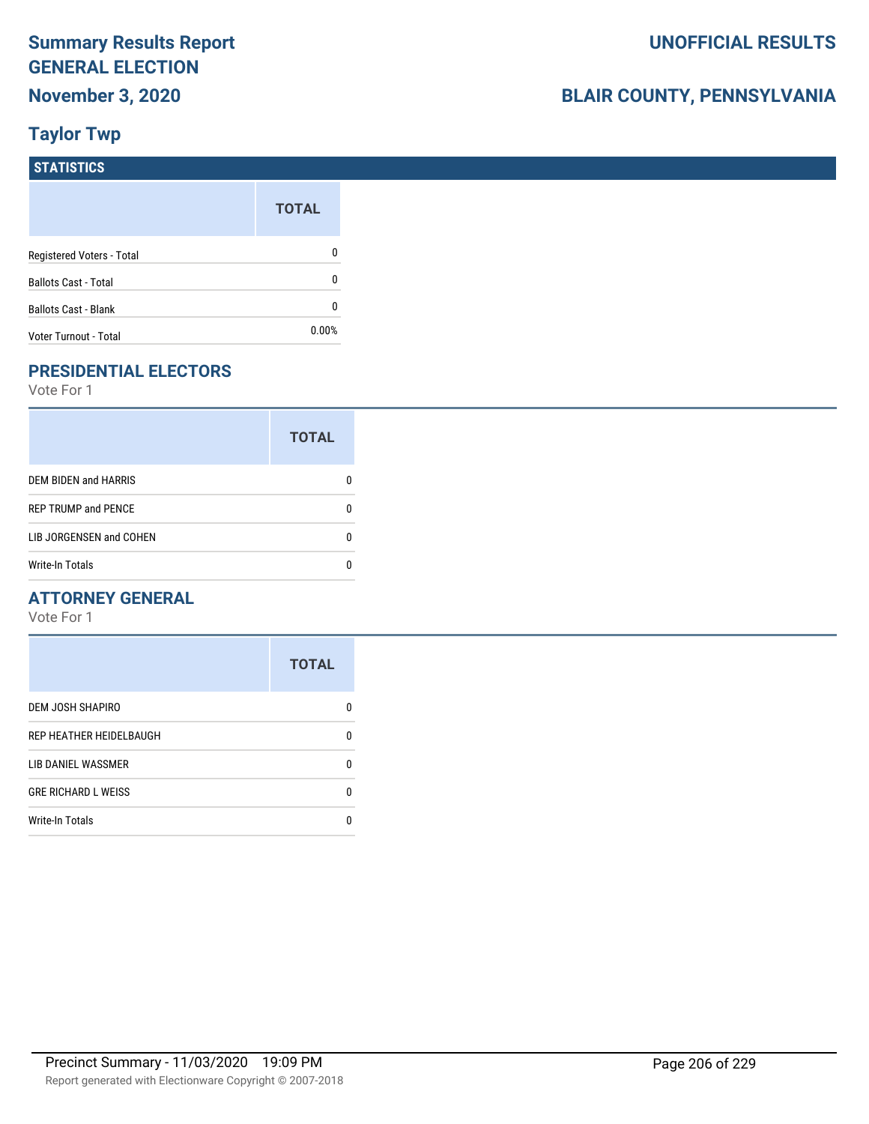# **BLAIR COUNTY, PENNSYLVANIA**

# **Taylor Twp**

| <b>STATISTICS</b>           |              |
|-----------------------------|--------------|
|                             | <b>TOTAL</b> |
| Registered Voters - Total   | 0            |
| <b>Ballots Cast - Total</b> | 0            |
| <b>Ballots Cast - Blank</b> | 0            |
| Voter Turnout - Total       | $0.00\%$     |

# **PRESIDENTIAL ELECTORS**

Vote For 1

|                            | <b>TOTAL</b> |
|----------------------------|--------------|
| DEM BIDEN and HARRIS       |              |
| <b>REP TRUMP and PENCE</b> |              |
| LIB JORGENSEN and COHEN    | n            |
| <b>Write-In Totals</b>     |              |

#### **ATTORNEY GENERAL**

|                            | <b>TOTAL</b> |
|----------------------------|--------------|
| DEM JOSH SHAPIRO           | n            |
| REP HEATHER HEIDELBAUGH    | 0            |
| LIB DANIEL WASSMER         | n            |
| <b>GRE RICHARD L WEISS</b> | n            |
| <b>Write-In Totals</b>     | n            |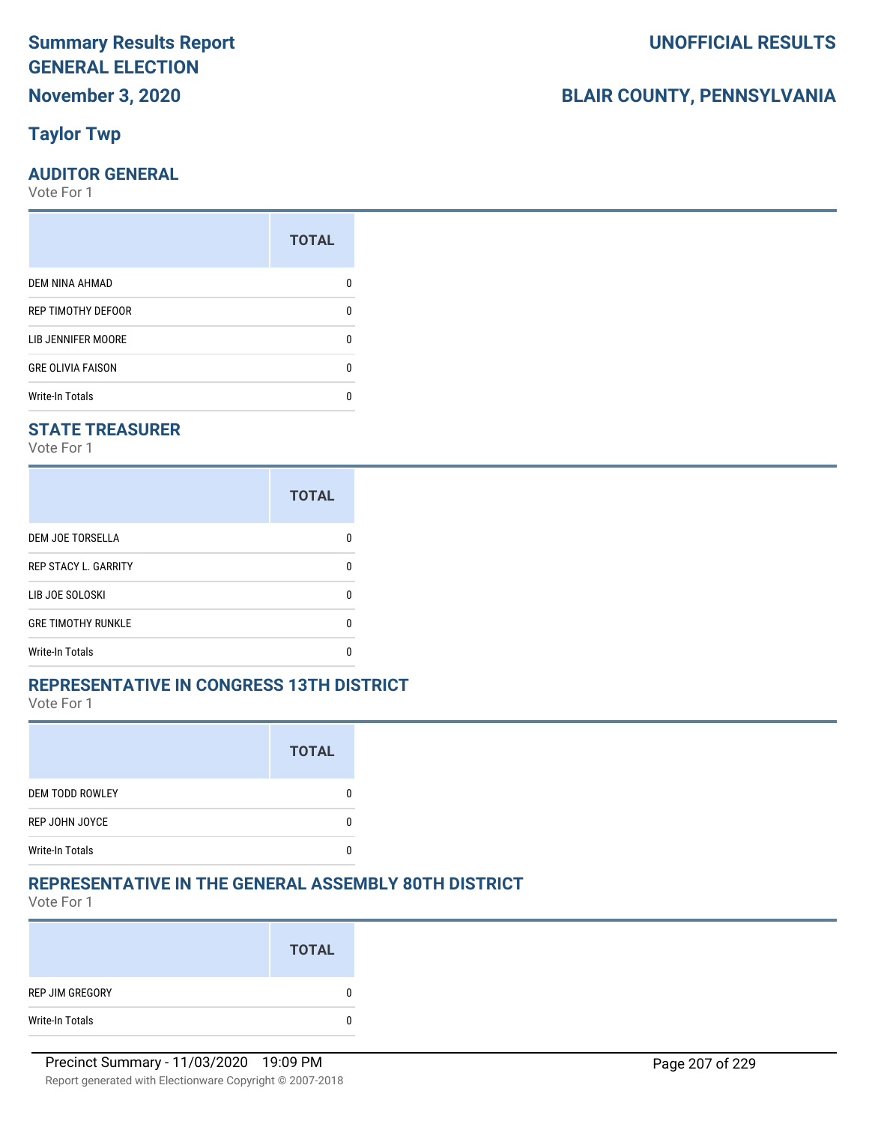# **Taylor Twp**

#### **AUDITOR GENERAL**

Vote For 1

|                           | <b>TOTAL</b> |
|---------------------------|--------------|
| <b>DEM NINA AHMAD</b>     |              |
| <b>REP TIMOTHY DEFOOR</b> | n            |
| LIB JENNIFER MOORE        |              |
| <b>GRE OLIVIA FAISON</b>  | n            |
| <b>Write-In Totals</b>    |              |

#### **STATE TREASURER**

Vote For 1

|                             | <b>TOTAL</b> |
|-----------------------------|--------------|
| <b>DEM JOE TORSELLA</b>     | n            |
| <b>REP STACY L. GARRITY</b> | n            |
| LIB JOE SOLOSKI             | n            |
| <b>GRE TIMOTHY RUNKLE</b>   | n            |
| Write-In Totals             |              |

#### **REPRESENTATIVE IN CONGRESS 13TH DISTRICT**

Vote For 1

|                        | <b>TOTAL</b> |
|------------------------|--------------|
| <b>DEM TODD ROWLEY</b> |              |
| REP JOHN JOYCE         |              |
| <b>Write-In Totals</b> |              |

#### **REPRESENTATIVE IN THE GENERAL ASSEMBLY 80TH DISTRICT**

Vote For 1

|                 | <b>TOTAL</b> |
|-----------------|--------------|
| REP JIM GREGORY |              |
| Write-In Totals | 0            |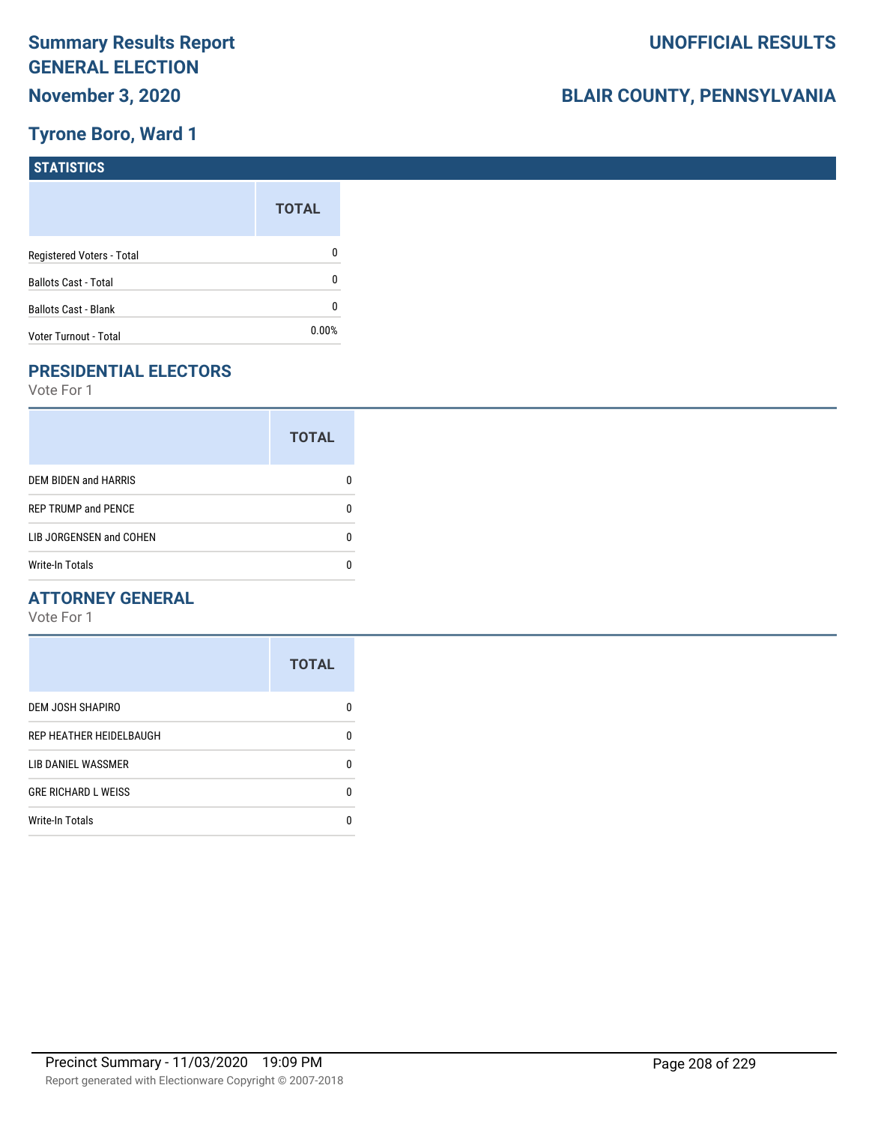# **Tyrone Boro, Ward 1**

| <b>STATISTICS</b>           |              |
|-----------------------------|--------------|
|                             | <b>TOTAL</b> |
| Registered Voters - Total   | 0            |
| <b>Ballots Cast - Total</b> | 0            |
| Ballots Cast - Blank        | 0            |
| Voter Turnout - Total       | 0.00%        |

# **PRESIDENTIAL ELECTORS**

Vote For 1

|                            | <b>TOTAL</b> |  |
|----------------------------|--------------|--|
| DEM BIDEN and HARRIS       |              |  |
| <b>REP TRUMP and PENCE</b> |              |  |
| LIB JORGENSEN and COHEN    |              |  |
| <b>Write-In Totals</b>     |              |  |

#### **ATTORNEY GENERAL**

|                            | <b>TOTAL</b> |
|----------------------------|--------------|
| <b>DEM JOSH SHAPIRO</b>    | n            |
| REP HEATHER HEIDELBAUGH    | 0            |
| LIB DANIEL WASSMER         | n            |
| <b>GRE RICHARD L WEISS</b> | n            |
| <b>Write-In Totals</b>     |              |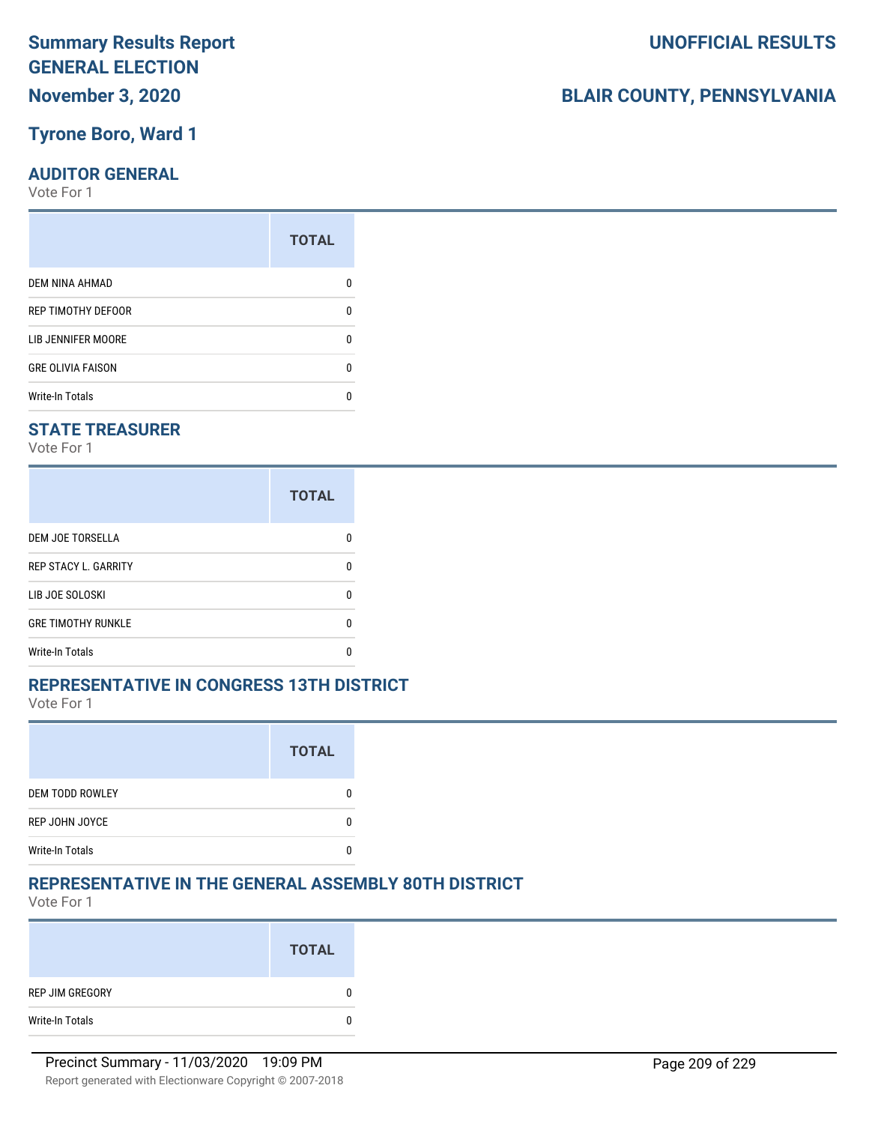#### **Tyrone Boro, Ward 1**

#### **AUDITOR GENERAL**

Vote For 1

|                          | <b>TOTAL</b> |
|--------------------------|--------------|
| DEM NINA AHMAD           |              |
| REP TIMOTHY DEFOOR       | ŋ            |
| LIB JENNIFER MOORE       |              |
| <b>GRE OLIVIA FAISON</b> | n            |
| <b>Write-In Totals</b>   |              |
|                          |              |

#### **STATE TREASURER**

Vote For 1

|                             | <b>TOTAL</b> |
|-----------------------------|--------------|
| DEM JOE TORSELLA            | n            |
| <b>REP STACY L. GARRITY</b> | n            |
| LIB JOE SOLOSKI             | U            |
| <b>GRE TIMOTHY RUNKLE</b>   | n            |
| <b>Write-In Totals</b>      | n            |

#### **REPRESENTATIVE IN CONGRESS 13TH DISTRICT**

Vote For 1

|                        | <b>TOTAL</b> |
|------------------------|--------------|
| <b>DEM TODD ROWLEY</b> |              |
| REP JOHN JOYCE         |              |
| <b>Write-In Totals</b> |              |

#### **REPRESENTATIVE IN THE GENERAL ASSEMBLY 80TH DISTRICT**

Vote For 1

|                 | <b>TOTAL</b> |
|-----------------|--------------|
| REP JIM GREGORY | 0            |
| Write-In Totals | 0            |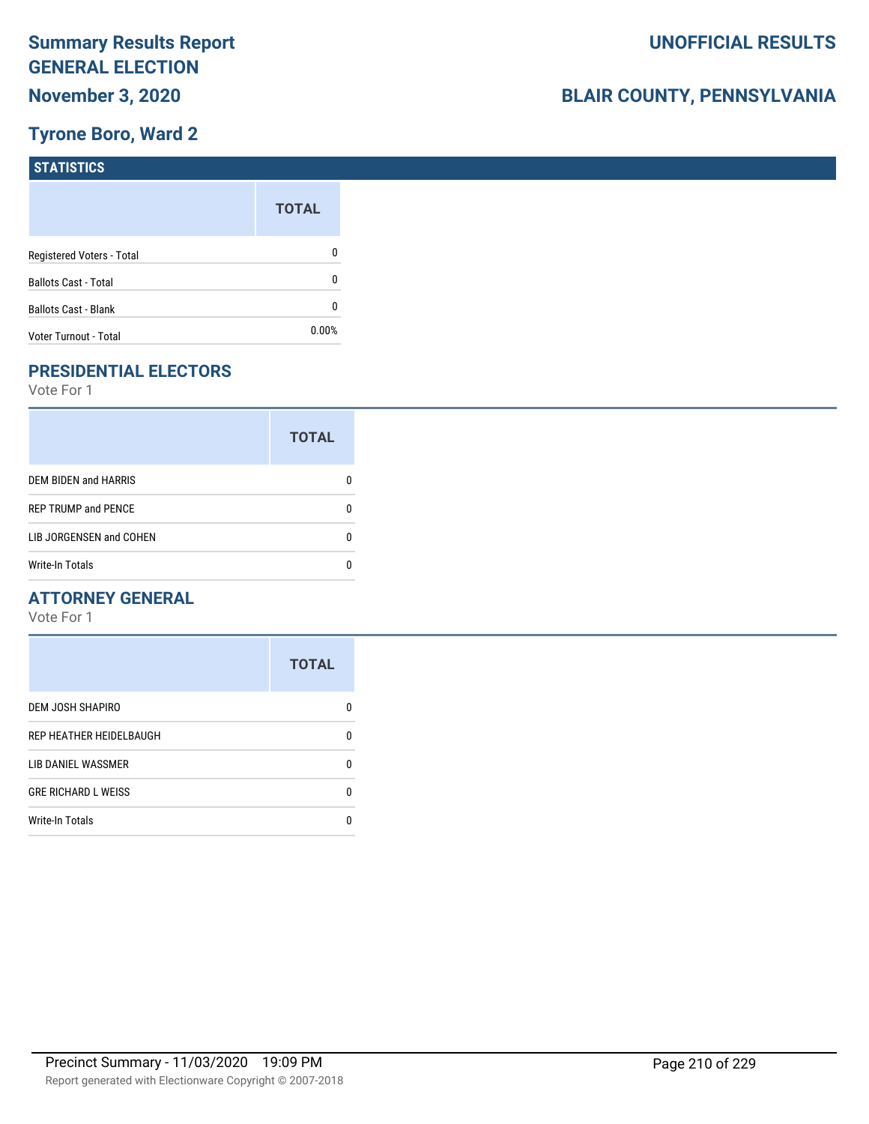# **Tyrone Boro, Ward 2**

| <b>STATISTICS</b>           |              |
|-----------------------------|--------------|
|                             | <b>TOTAL</b> |
| Registered Voters - Total   | 0            |
| <b>Ballots Cast - Total</b> | 0            |
| Ballots Cast - Blank        | 0            |
| Voter Turnout - Total       | 0.00%        |

# **PRESIDENTIAL ELECTORS**

Vote For 1

|                             | <b>TOTAL</b> |  |
|-----------------------------|--------------|--|
| <b>DEM BIDEN and HARRIS</b> |              |  |
| <b>REP TRUMP and PENCE</b>  |              |  |
| LIB JORGENSEN and COHEN     |              |  |
| Write-In Totals             |              |  |

#### **ATTORNEY GENERAL**

|                            | <b>TOTAL</b> |
|----------------------------|--------------|
| DEM JOSH SHAPIRO           | n            |
| REP HEATHER HEIDELBAUGH    | 0            |
| LIB DANIEL WASSMER         | 0            |
| <b>GRE RICHARD L WEISS</b> | 0            |
| <b>Write-In Totals</b>     | n            |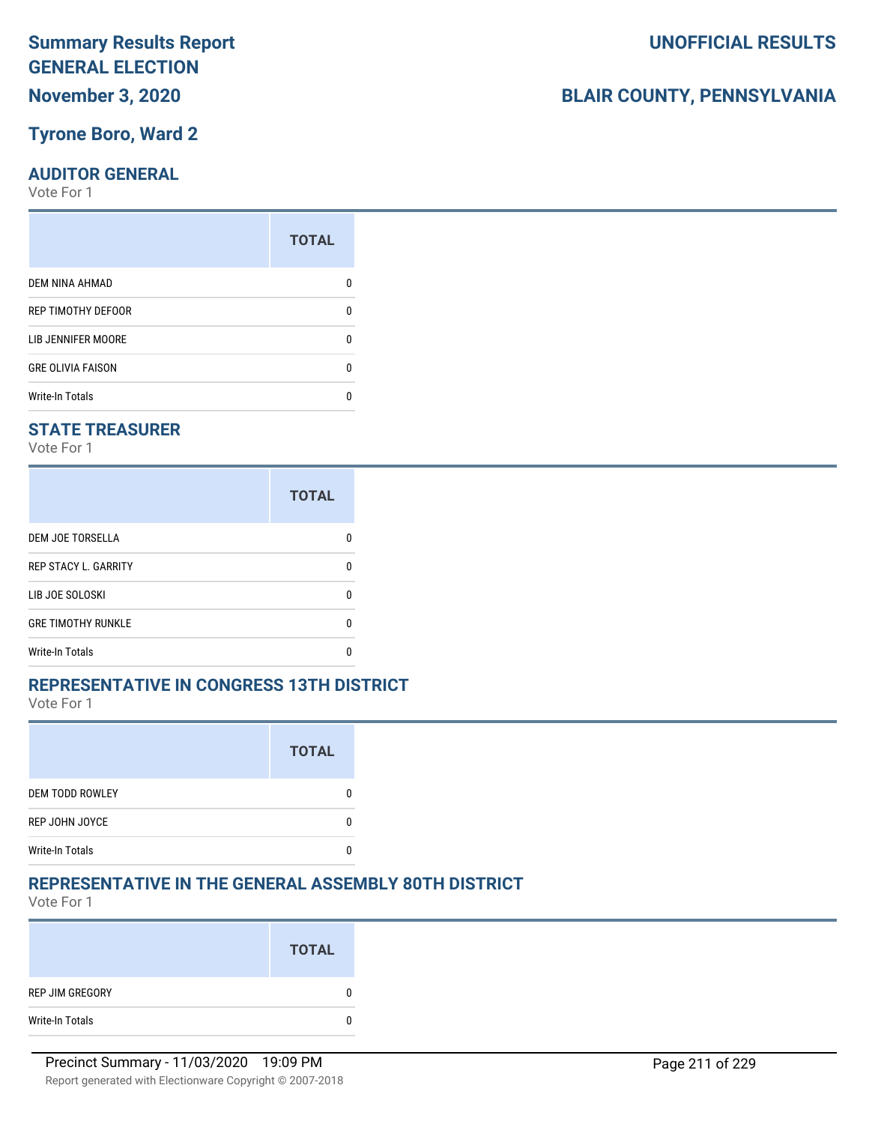#### **Tyrone Boro, Ward 2**

#### **AUDITOR GENERAL**

Vote For 1

|                          | <b>TOTAL</b> |
|--------------------------|--------------|
| DEM NINA AHMAD           |              |
| REP TIMOTHY DEFOOR       | ŋ            |
| LIB JENNIFER MOORE       |              |
| <b>GRE OLIVIA FAISON</b> | n            |
| <b>Write-In Totals</b>   |              |
|                          |              |

#### **STATE TREASURER**

Vote For 1

|                             | <b>TOTAL</b> |
|-----------------------------|--------------|
| <b>DEM JOE TORSELLA</b>     |              |
| <b>REP STACY L. GARRITY</b> |              |
| LIB JOE SOLOSKI             |              |
| <b>GRE TIMOTHY RUNKLE</b>   |              |
| Write-In Totals             |              |

#### **REPRESENTATIVE IN CONGRESS 13TH DISTRICT**

Vote For 1

|                        | <b>TOTAL</b> |
|------------------------|--------------|
| <b>DEM TODD ROWLEY</b> |              |
| REP JOHN JOYCE         |              |
| <b>Write-In Totals</b> |              |

#### **REPRESENTATIVE IN THE GENERAL ASSEMBLY 80TH DISTRICT**

Vote For 1

|                 | <b>TOTAL</b> |
|-----------------|--------------|
| REP JIM GREGORY | 0            |
| Write-In Totals | 0            |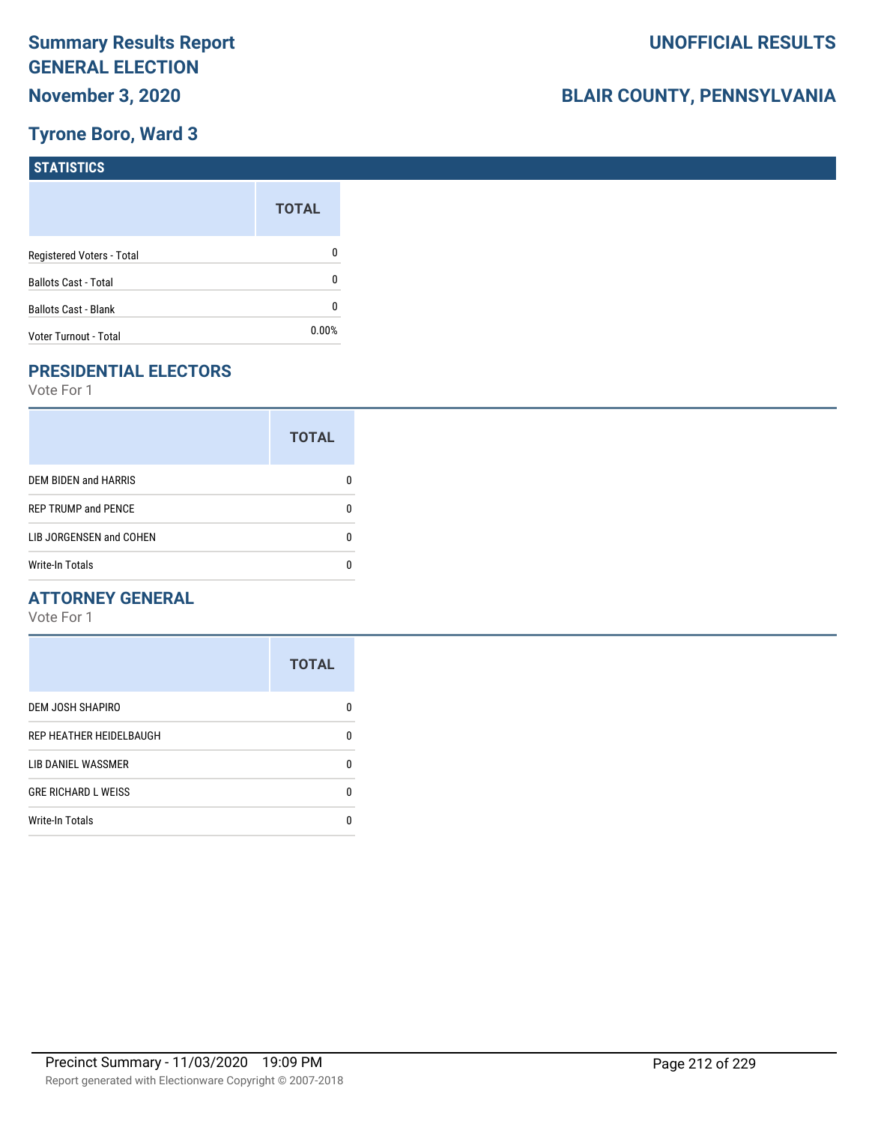# **Tyrone Boro, Ward 3**

| <b>STATISTICS</b>           |              |
|-----------------------------|--------------|
|                             | <b>TOTAL</b> |
| Registered Voters - Total   | 0            |
| <b>Ballots Cast - Total</b> | 0            |
| Ballots Cast - Blank        | 0            |
| Voter Turnout - Total       | 0.00%        |

# **PRESIDENTIAL ELECTORS**

Vote For 1

|                            | <b>TOTAL</b> |
|----------------------------|--------------|
| DEM BIDEN and HARRIS       |              |
| <b>REP TRUMP and PENCE</b> |              |
| LIB JORGENSEN and COHEN    | n            |
| <b>Write-In Totals</b>     |              |

#### **ATTORNEY GENERAL**

|                            | <b>TOTAL</b> |
|----------------------------|--------------|
| DEM JOSH SHAPIRO           | n            |
| REP HEATHER HEIDELBAUGH    | 0            |
| LIB DANIEL WASSMER         | n            |
| <b>GRE RICHARD L WEISS</b> | n            |
| <b>Write-In Totals</b>     |              |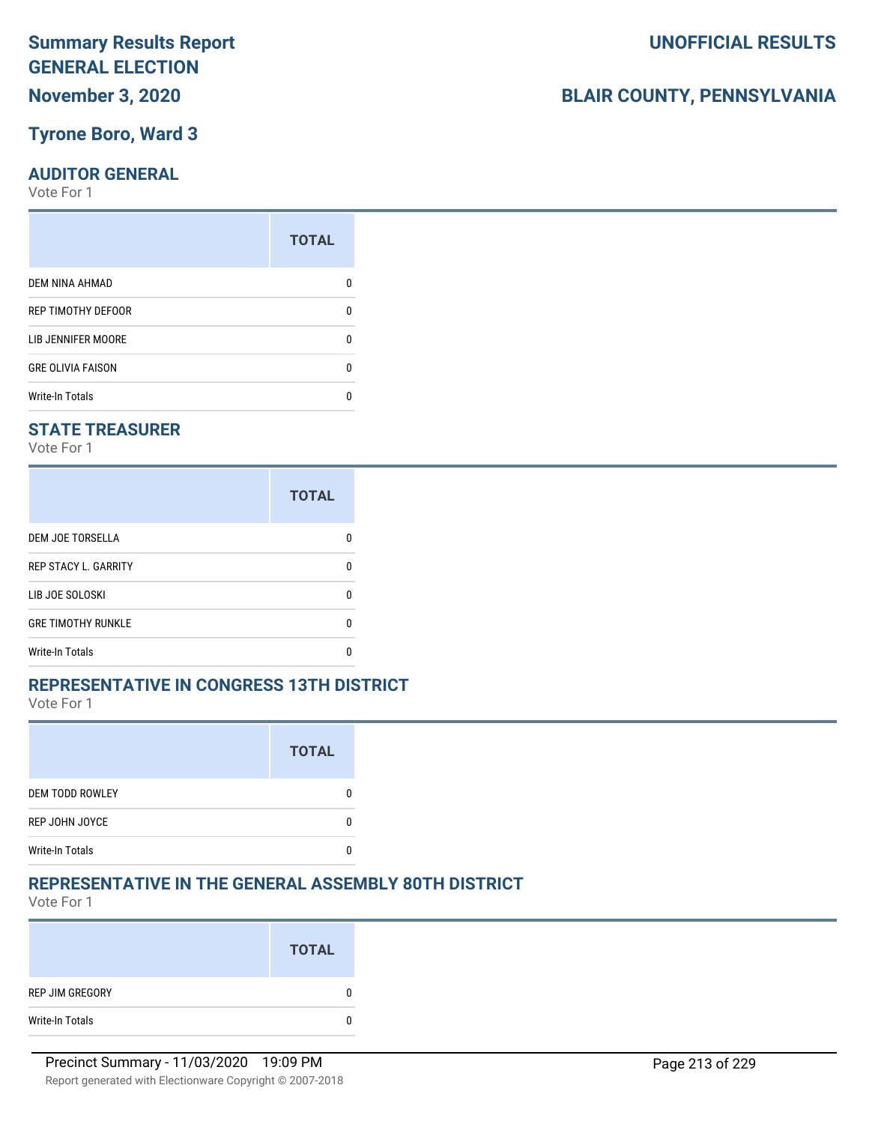#### **Tyrone Boro, Ward 3**

#### **AUDITOR GENERAL**

Vote For 1

|                          | <b>TOTAL</b> |
|--------------------------|--------------|
| DEM NINA AHMAD           |              |
| REP TIMOTHY DEFOOR       | n            |
| LIB JENNIFER MOORE       |              |
| <b>GRE OLIVIA FAISON</b> | n            |
| <b>Write-In Totals</b>   |              |
|                          |              |

#### **STATE TREASURER**

Vote For 1

|                             | <b>TOTAL</b> |
|-----------------------------|--------------|
| DEM JOE TORSELLA            | n            |
| <b>REP STACY L. GARRITY</b> | n            |
| LIB JOE SOLOSKI             | U            |
| <b>GRE TIMOTHY RUNKLE</b>   | n            |
| <b>Write-In Totals</b>      | n            |

#### **REPRESENTATIVE IN CONGRESS 13TH DISTRICT**

Vote For 1

|                        | <b>TOTAL</b> |
|------------------------|--------------|
| <b>DEM TODD ROWLEY</b> |              |
| REP JOHN JOYCE         |              |
| <b>Write-In Totals</b> |              |

#### **REPRESENTATIVE IN THE GENERAL ASSEMBLY 80TH DISTRICT**

Vote For 1

|                 | <b>TOTAL</b> |
|-----------------|--------------|
| REP JIM GREGORY | 0            |
| Write-In Totals | 0            |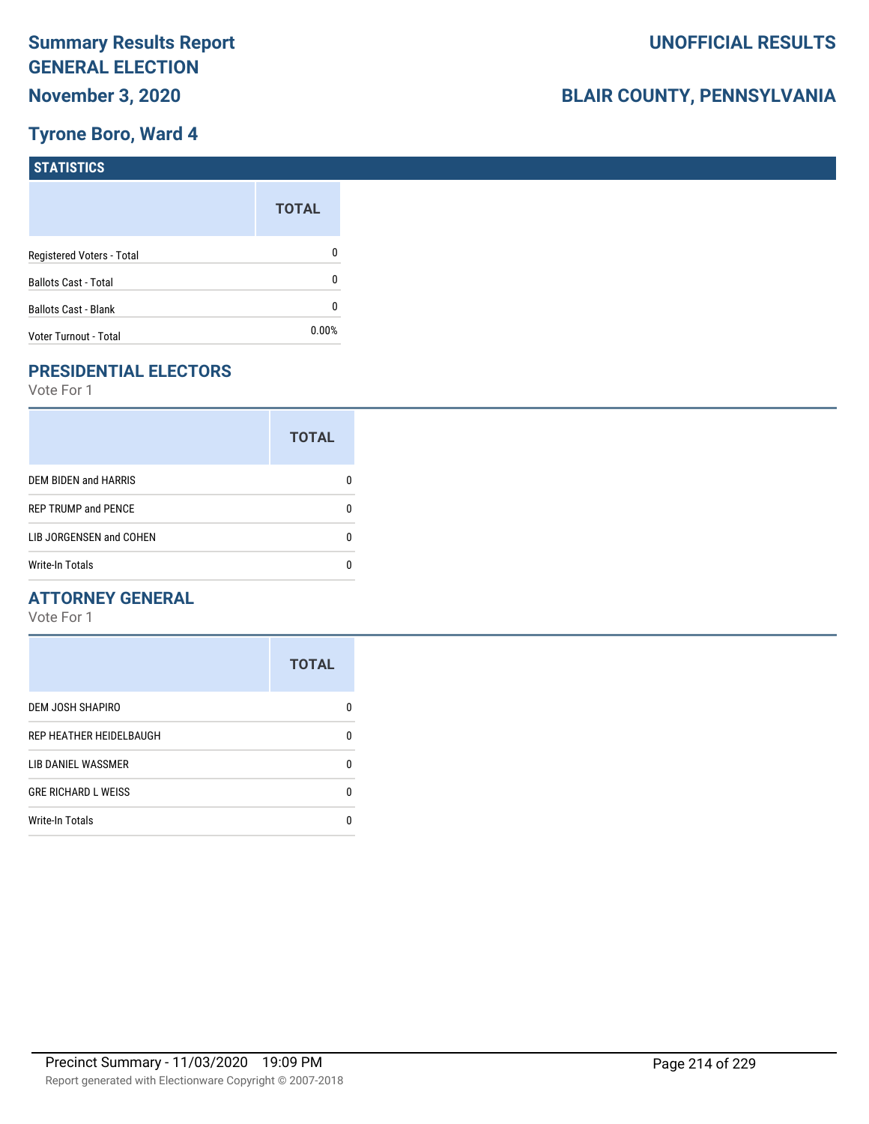# **Tyrone Boro, Ward 4**

| <b>STATISTICS</b>           |              |
|-----------------------------|--------------|
|                             | <b>TOTAL</b> |
| Registered Voters - Total   | 0            |
| <b>Ballots Cast - Total</b> | 0            |
| Ballots Cast - Blank        | 0            |
| Voter Turnout - Total       | 0.00%        |

# **PRESIDENTIAL ELECTORS**

Vote For 1

|                             | <b>TOTAL</b> |
|-----------------------------|--------------|
| <b>DEM BIDEN and HARRIS</b> |              |
| <b>REP TRUMP and PENCE</b>  |              |
| LIB JORGENSEN and COHEN     |              |
| <b>Write-In Totals</b>      |              |

#### **ATTORNEY GENERAL**

|                            | <b>TOTAL</b> |
|----------------------------|--------------|
| DEM JOSH SHAPIRO           | n            |
| REP HEATHER HEIDELBAUGH    | 0            |
| LIB DANIEL WASSMER         | 0            |
| <b>GRE RICHARD L WEISS</b> | 0            |
| <b>Write-In Totals</b>     | n            |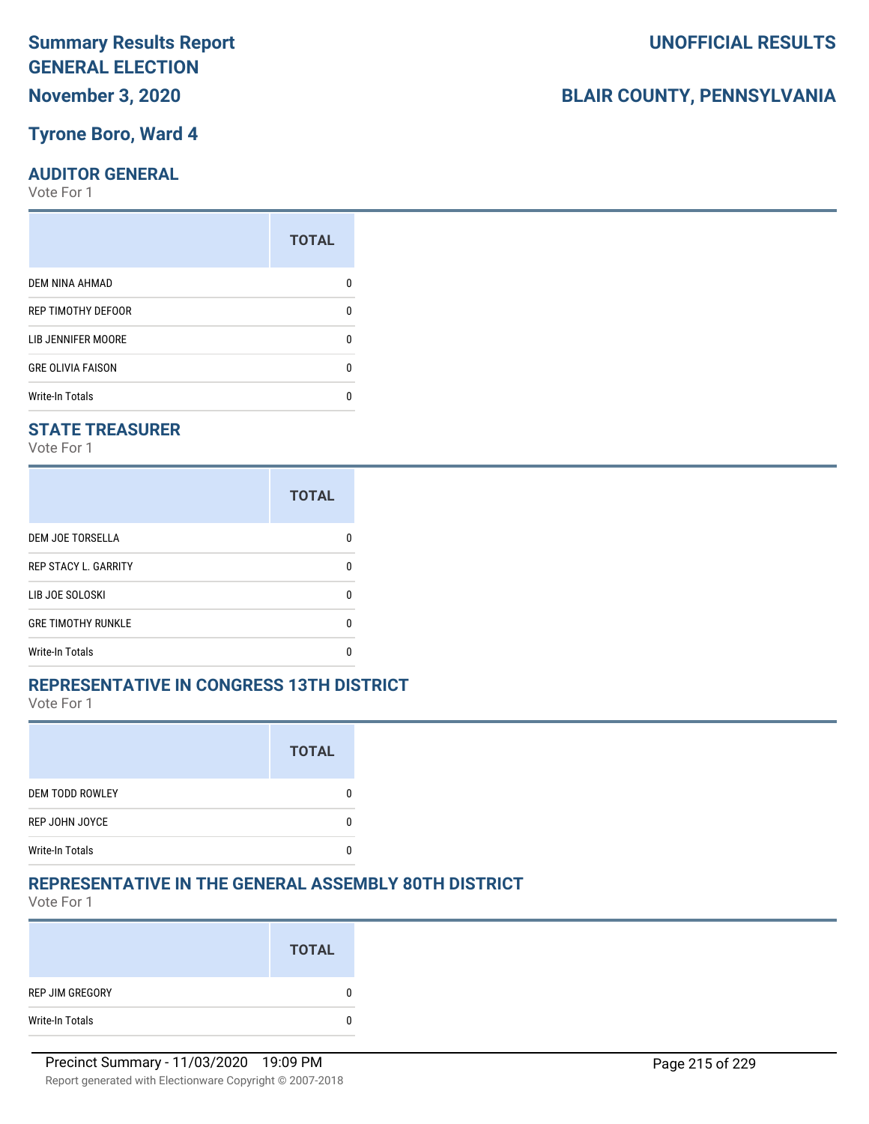#### **Tyrone Boro, Ward 4**

#### **AUDITOR GENERAL**

Vote For 1

|                          | <b>TOTAL</b> |
|--------------------------|--------------|
| DEM NINA AHMAD           |              |
| REP TIMOTHY DEFOOR       | n            |
| LIB JENNIFER MOORE       |              |
| <b>GRE OLIVIA FAISON</b> | n            |
| <b>Write-In Totals</b>   |              |
|                          |              |

#### **STATE TREASURER**

Vote For 1

|                             | <b>TOTAL</b> |
|-----------------------------|--------------|
| DEM JOE TORSELLA            | n            |
| <b>REP STACY L. GARRITY</b> | n            |
| LIB JOE SOLOSKI             | n            |
| <b>GRE TIMOTHY RUNKLE</b>   | n            |
| <b>Write-In Totals</b>      |              |

#### **REPRESENTATIVE IN CONGRESS 13TH DISTRICT**

Vote For 1

|                        | <b>TOTAL</b> |
|------------------------|--------------|
| <b>DEM TODD ROWLEY</b> |              |
| REP JOHN JOYCE         |              |
| <b>Write-In Totals</b> |              |

#### **REPRESENTATIVE IN THE GENERAL ASSEMBLY 80TH DISTRICT**

Vote For 1

|                 | <b>TOTAL</b> |
|-----------------|--------------|
| REP JIM GREGORY | 0            |
| Write-In Totals | 0            |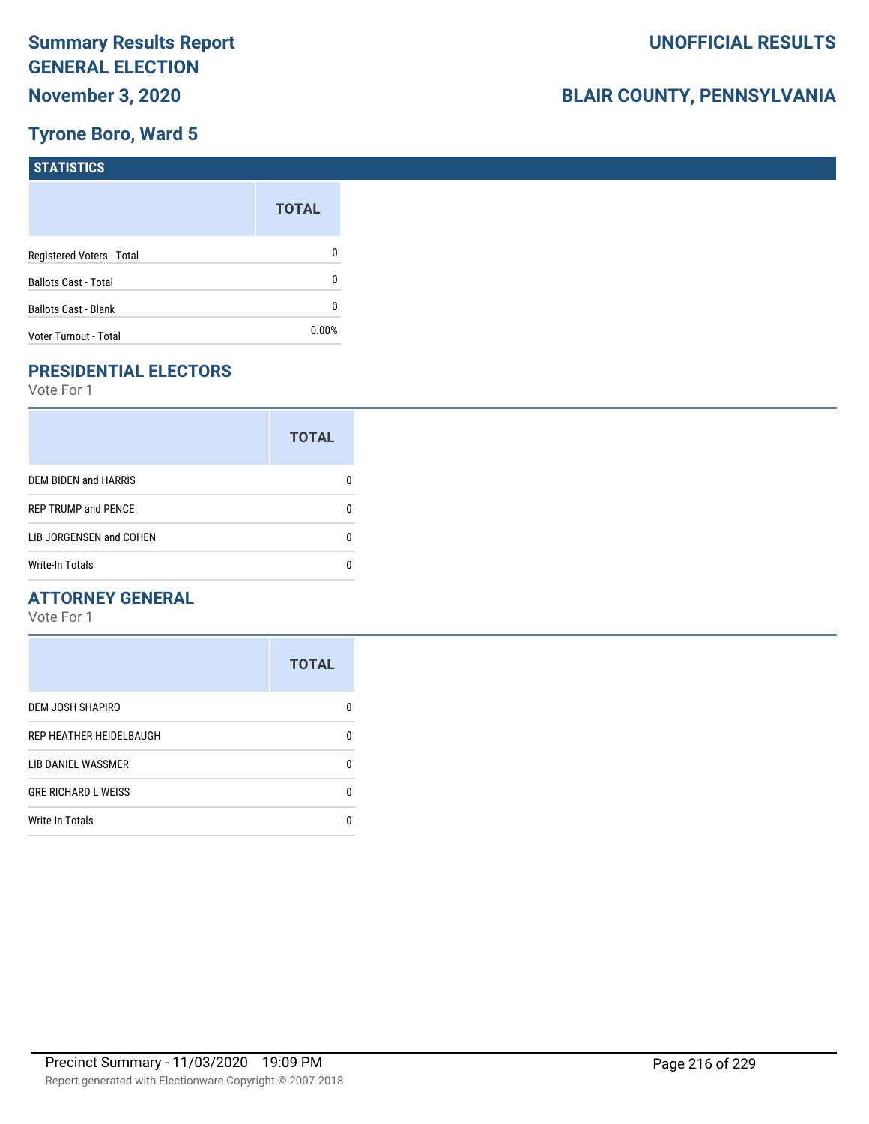# **Tyrone Boro, Ward 5**

| <b>STATISTICS</b>           |              |
|-----------------------------|--------------|
|                             | <b>TOTAL</b> |
| Registered Voters - Total   | 0            |
| <b>Ballots Cast - Total</b> | 0            |
| Ballots Cast - Blank        | 0            |
| Voter Turnout - Total       | 0.00%        |

# **PRESIDENTIAL ELECTORS**

Vote For 1

|                            | <b>TOTAL</b> |
|----------------------------|--------------|
| DEM BIDEN and HARRIS       |              |
| <b>REP TRUMP and PENCE</b> |              |
| LIB JORGENSEN and COHEN    | O            |
| <b>Write-In Totals</b>     |              |

#### **ATTORNEY GENERAL**

|                            | <b>TOTAL</b> |
|----------------------------|--------------|
| DEM JOSH SHAPIRO           | n            |
| REP HEATHER HEIDELBAUGH    | 0            |
| LIB DANIEL WASSMER         | 0            |
| <b>GRE RICHARD L WEISS</b> | 0            |
| <b>Write-In Totals</b>     | n            |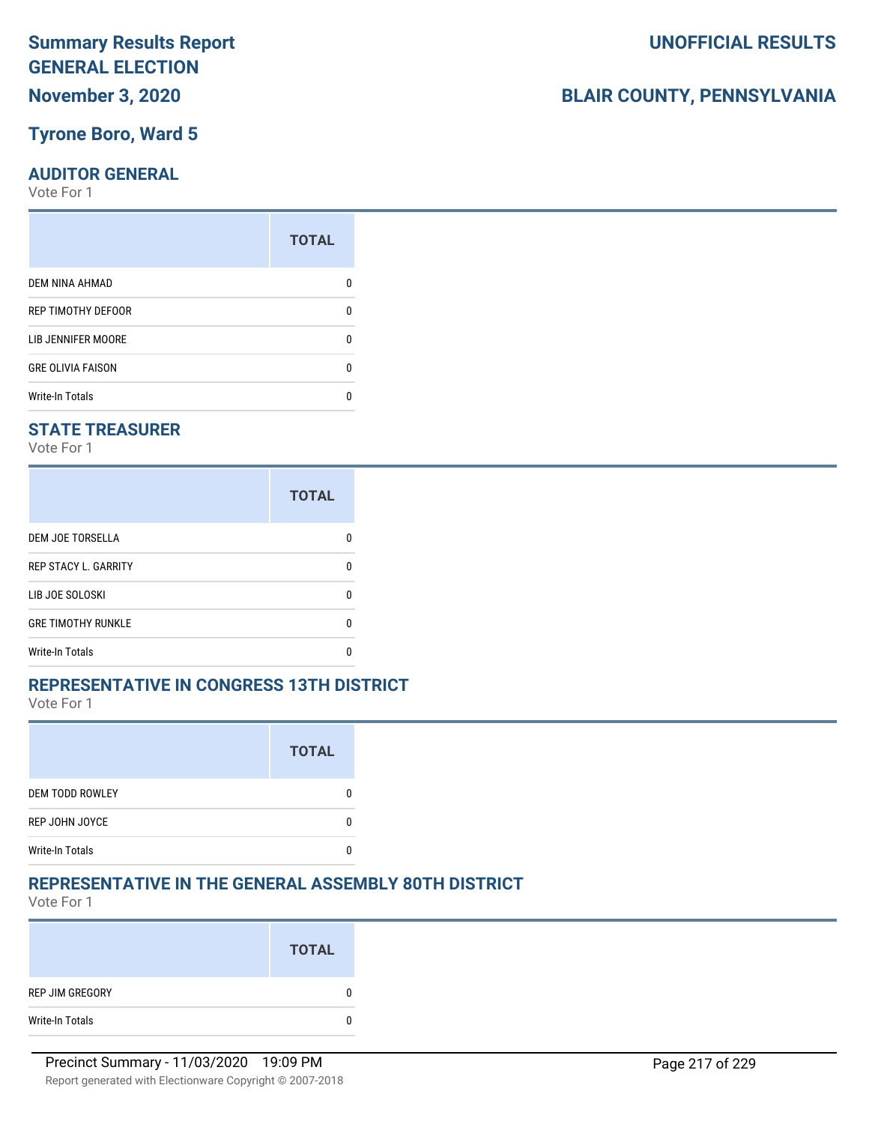### **Tyrone Boro, Ward 5**

#### **AUDITOR GENERAL**

Vote For 1

| <b>TOTAL</b> |
|--------------|
|              |
| n            |
|              |
| n            |
|              |
|              |

### **STATE TREASURER**

Vote For 1

|                             | <b>TOTAL</b> |
|-----------------------------|--------------|
| DEM JOE TORSELLA            | n            |
| <b>REP STACY L. GARRITY</b> | n            |
| LIB JOE SOLOSKI             | U            |
| <b>GRE TIMOTHY RUNKLE</b>   | n            |
| <b>Write-In Totals</b>      | n            |

### **REPRESENTATIVE IN CONGRESS 13TH DISTRICT**

Vote For 1

|                        | <b>TOTAL</b> |
|------------------------|--------------|
| <b>DEM TODD ROWLEY</b> |              |
| REP JOHN JOYCE         |              |
| <b>Write-In Totals</b> |              |

### **REPRESENTATIVE IN THE GENERAL ASSEMBLY 80TH DISTRICT**

Vote For 1

|                 | <b>TOTAL</b> |
|-----------------|--------------|
| REP JIM GREGORY | 0            |
| Write-In Totals | 0            |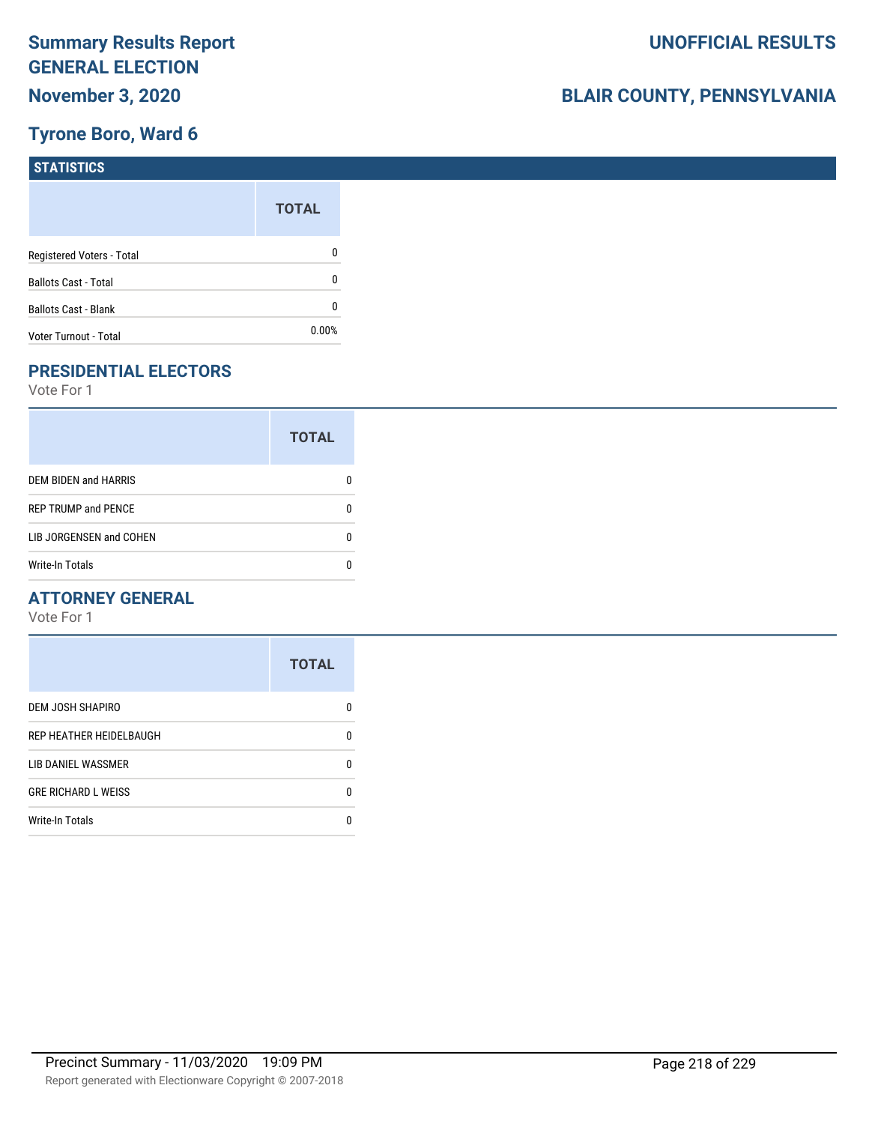## **Tyrone Boro, Ward 6**

| <b>STATISTICS</b>           |              |
|-----------------------------|--------------|
|                             | <b>TOTAL</b> |
| Registered Voters - Total   | 0            |
| <b>Ballots Cast - Total</b> | 0            |
| Ballots Cast - Blank        | 0            |
| Voter Turnout - Total       | 0.00%        |

## **PRESIDENTIAL ELECTORS**

Vote For 1

|                            | <b>TOTAL</b> |
|----------------------------|--------------|
| DEM BIDEN and HARRIS       |              |
| <b>REP TRUMP and PENCE</b> |              |
| LIB JORGENSEN and COHEN    | n            |
| <b>Write-In Totals</b>     |              |

### **ATTORNEY GENERAL**

|                            | <b>TOTAL</b> |
|----------------------------|--------------|
| DEM JOSH SHAPIRO           | n            |
| REP HEATHER HEIDELBAUGH    | 0            |
| LIB DANIEL WASSMER         | 0            |
| <b>GRE RICHARD L WEISS</b> | 0            |
| <b>Write-In Totals</b>     | n            |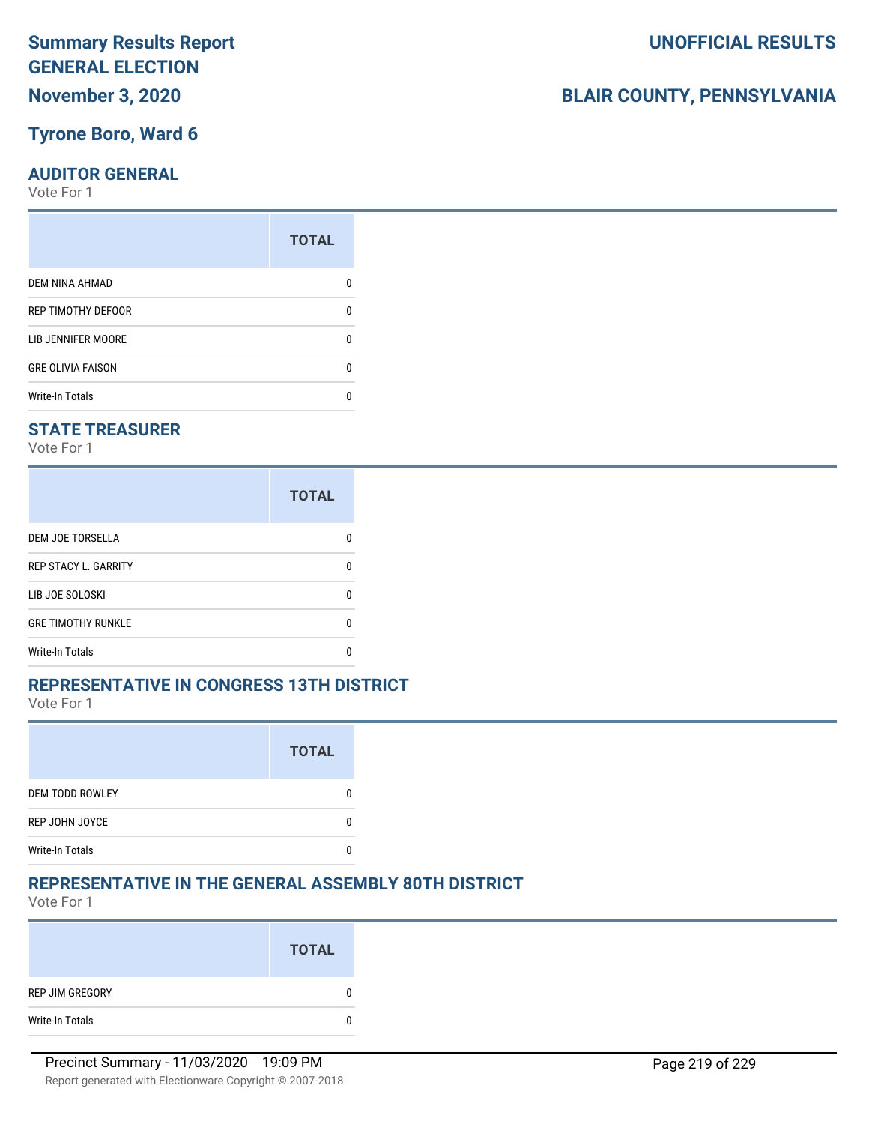### **Tyrone Boro, Ward 6**

#### **AUDITOR GENERAL**

Vote For 1

| <b>TOTAL</b> |
|--------------|
|              |
| n            |
|              |
| n            |
|              |
|              |

### **STATE TREASURER**

Vote For 1

|                             | <b>TOTAL</b> |
|-----------------------------|--------------|
| <b>DEM JOE TORSELLA</b>     | n            |
| <b>REP STACY L. GARRITY</b> | n            |
| LIB JOE SOLOSKI             | n            |
| <b>GRE TIMOTHY RUNKLE</b>   | n            |
| <b>Write-In Totals</b>      |              |

### **REPRESENTATIVE IN CONGRESS 13TH DISTRICT**

Vote For 1

|                        | <b>TOTAL</b> |
|------------------------|--------------|
| <b>DEM TODD ROWLEY</b> |              |
| REP JOHN JOYCE         |              |
| <b>Write-In Totals</b> |              |

### **REPRESENTATIVE IN THE GENERAL ASSEMBLY 80TH DISTRICT**

Vote For 1

|                 | <b>TOTAL</b> |
|-----------------|--------------|
| REP JIM GREGORY | 0            |
| Write-In Totals | 0            |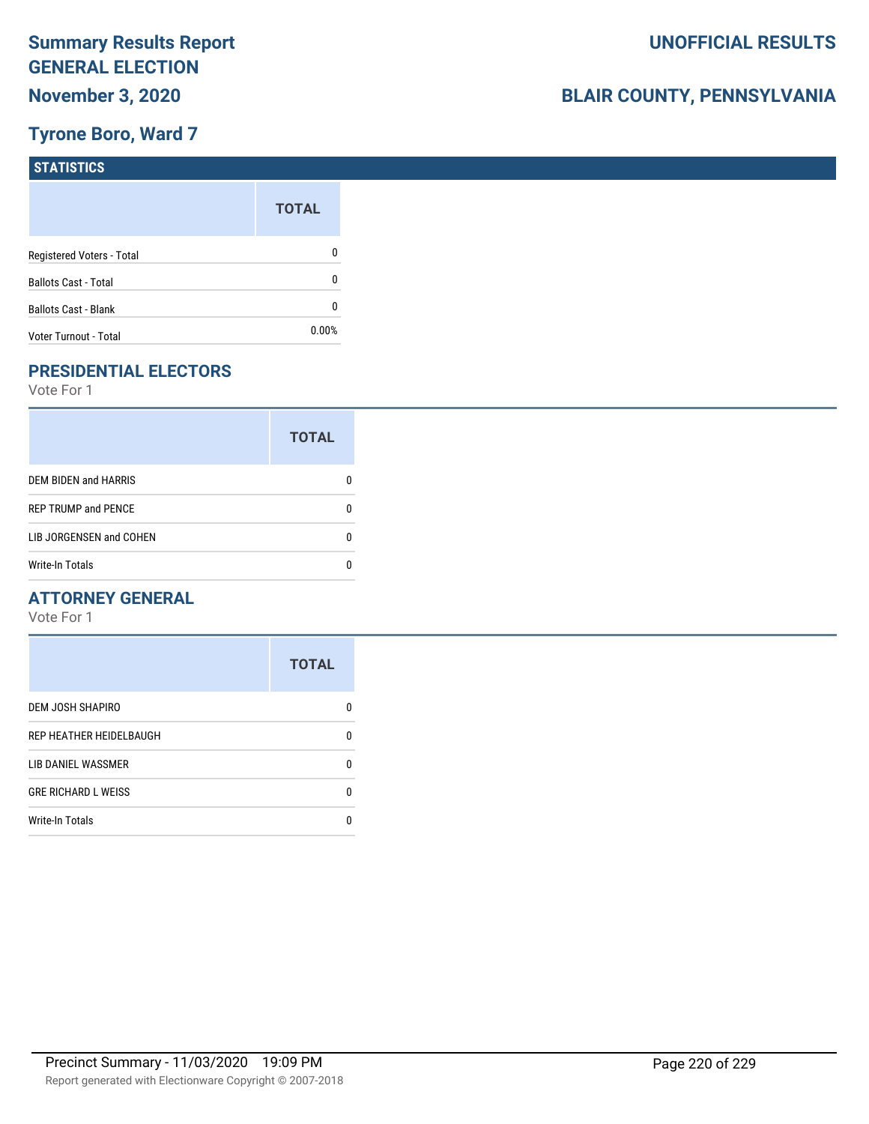## **Tyrone Boro, Ward 7**

| <b>STATISTICS</b>           |              |
|-----------------------------|--------------|
|                             | <b>TOTAL</b> |
| Registered Voters - Total   | 0            |
| <b>Ballots Cast - Total</b> | 0            |
| Ballots Cast - Blank        | 0            |
| Voter Turnout - Total       | 0.00%        |

## **PRESIDENTIAL ELECTORS**

Vote For 1

|                            | <b>TOTAL</b> |
|----------------------------|--------------|
| DEM BIDEN and HARRIS       |              |
| <b>REP TRUMP and PENCE</b> |              |
| LIB JORGENSEN and COHEN    | n            |
| <b>Write-In Totals</b>     |              |

### **ATTORNEY GENERAL**

|                            | <b>TOTAL</b> |
|----------------------------|--------------|
| DEM JOSH SHAPIRO           | n            |
| REP HEATHER HEIDELBAUGH    | 0            |
| LIB DANIEL WASSMER         | 0            |
| <b>GRE RICHARD L WEISS</b> | 0            |
| <b>Write-In Totals</b>     | n            |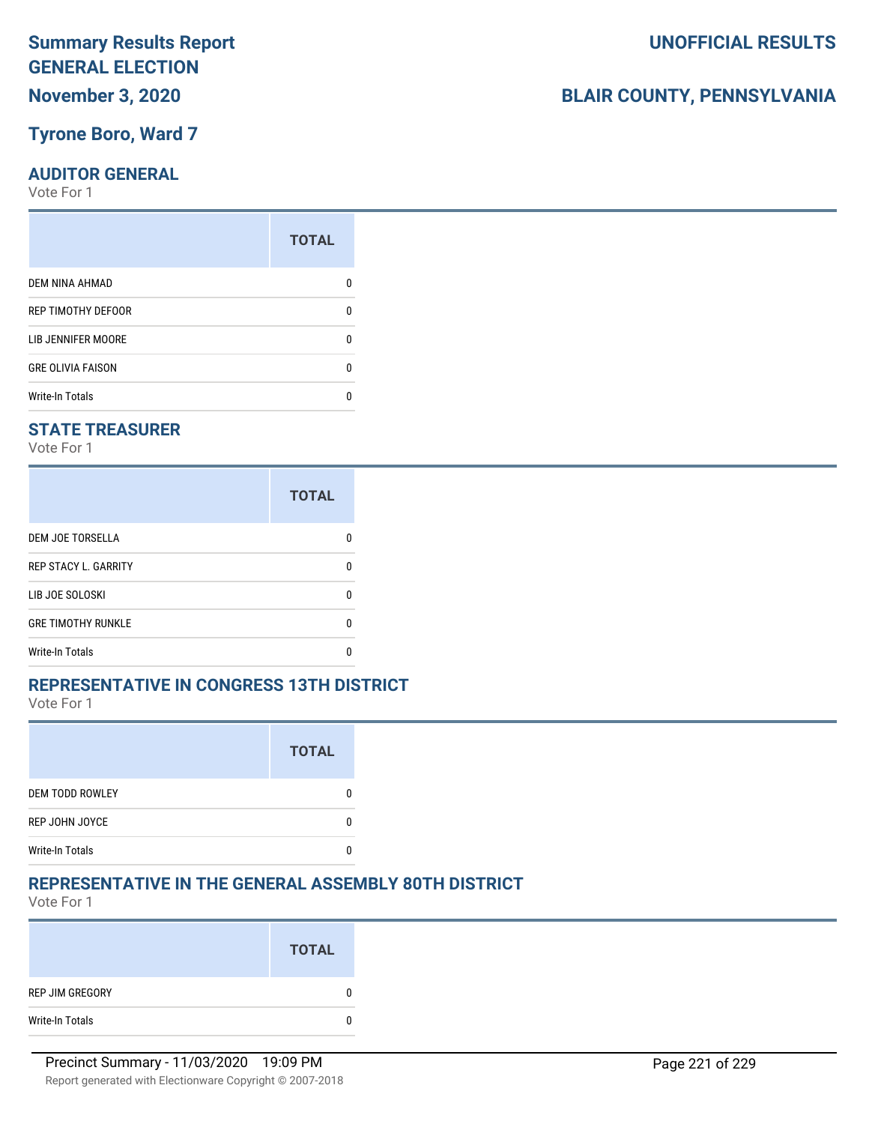### **Tyrone Boro, Ward 7**

### **AUDITOR GENERAL**

Vote For 1

| <b>TOTAL</b> |
|--------------|
|              |
| n            |
|              |
| n            |
|              |
|              |

### **STATE TREASURER**

Vote For 1

|                             | <b>TOTAL</b> |
|-----------------------------|--------------|
| <b>DEM JOE TORSELLA</b>     | n            |
| <b>REP STACY L. GARRITY</b> | n            |
| LIB JOE SOLOSKI             | n            |
| <b>GRE TIMOTHY RUNKLE</b>   | n            |
| Write-In Totals             |              |

### **REPRESENTATIVE IN CONGRESS 13TH DISTRICT**

Vote For 1

|                        | <b>TOTAL</b> |
|------------------------|--------------|
| <b>DEM TODD ROWLEY</b> |              |
| REP JOHN JOYCE         |              |
| <b>Write-In Totals</b> |              |

### **REPRESENTATIVE IN THE GENERAL ASSEMBLY 80TH DISTRICT**

Vote For 1

|                 | <b>TOTAL</b> |
|-----------------|--------------|
| REP JIM GREGORY | 0            |
| Write-In Totals | 0            |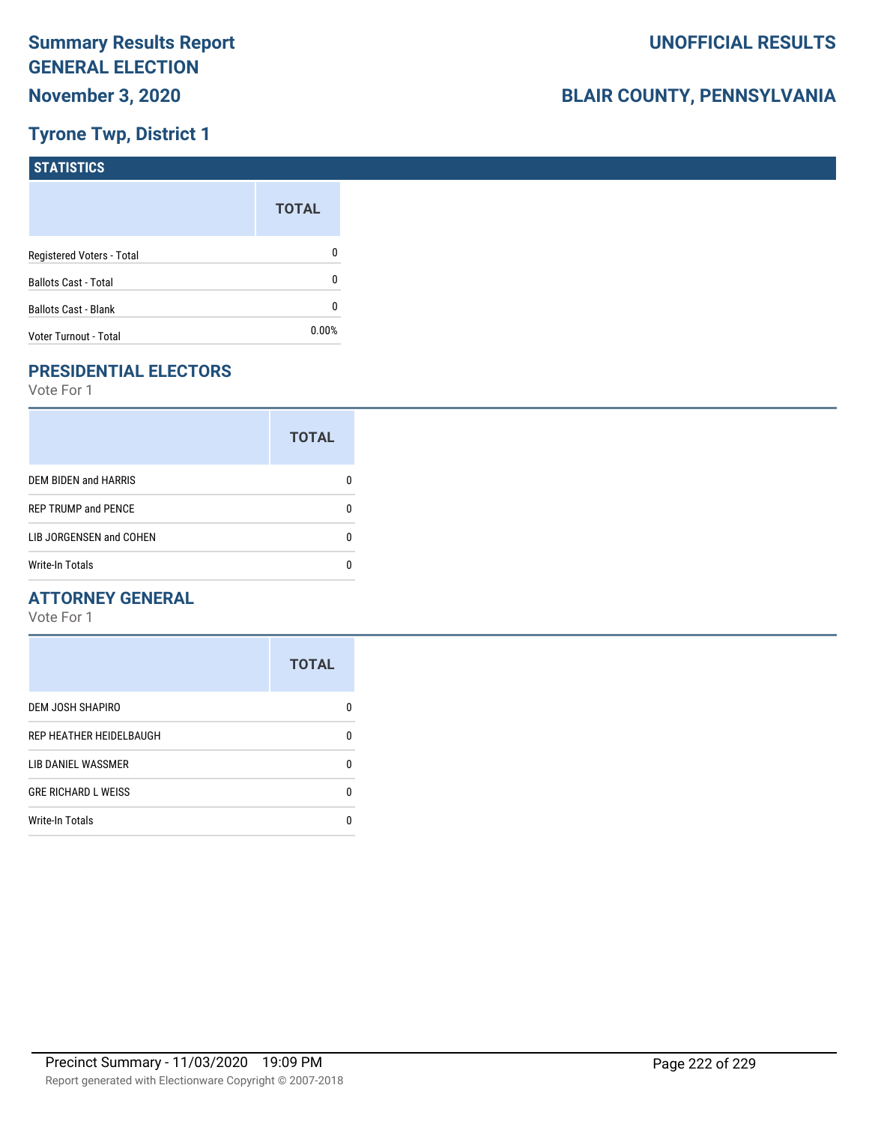## **Tyrone Twp, District 1**

| <b>STATISTICS</b>           |              |
|-----------------------------|--------------|
|                             | <b>TOTAL</b> |
| Registered Voters - Total   | 0            |
| <b>Ballots Cast - Total</b> | 0            |
| Ballots Cast - Blank        | 0            |
| Voter Turnout - Total       | 0.00%        |

## **PRESIDENTIAL ELECTORS**

Vote For 1

|                             | <b>TOTAL</b> |
|-----------------------------|--------------|
| <b>DEM BIDEN and HARRIS</b> |              |
| <b>REP TRUMP and PENCE</b>  |              |
| LIB JORGENSEN and COHEN     |              |
| <b>Write-In Totals</b>      |              |

### **ATTORNEY GENERAL**

|                            | <b>TOTAL</b> |
|----------------------------|--------------|
| DEM JOSH SHAPIRO           | n            |
| REP HEATHER HEIDELBAUGH    | 0            |
| <b>LIB DANIEL WASSMER</b>  | n            |
| <b>GRE RICHARD L WEISS</b> | n            |
| <b>Write-In Totals</b>     |              |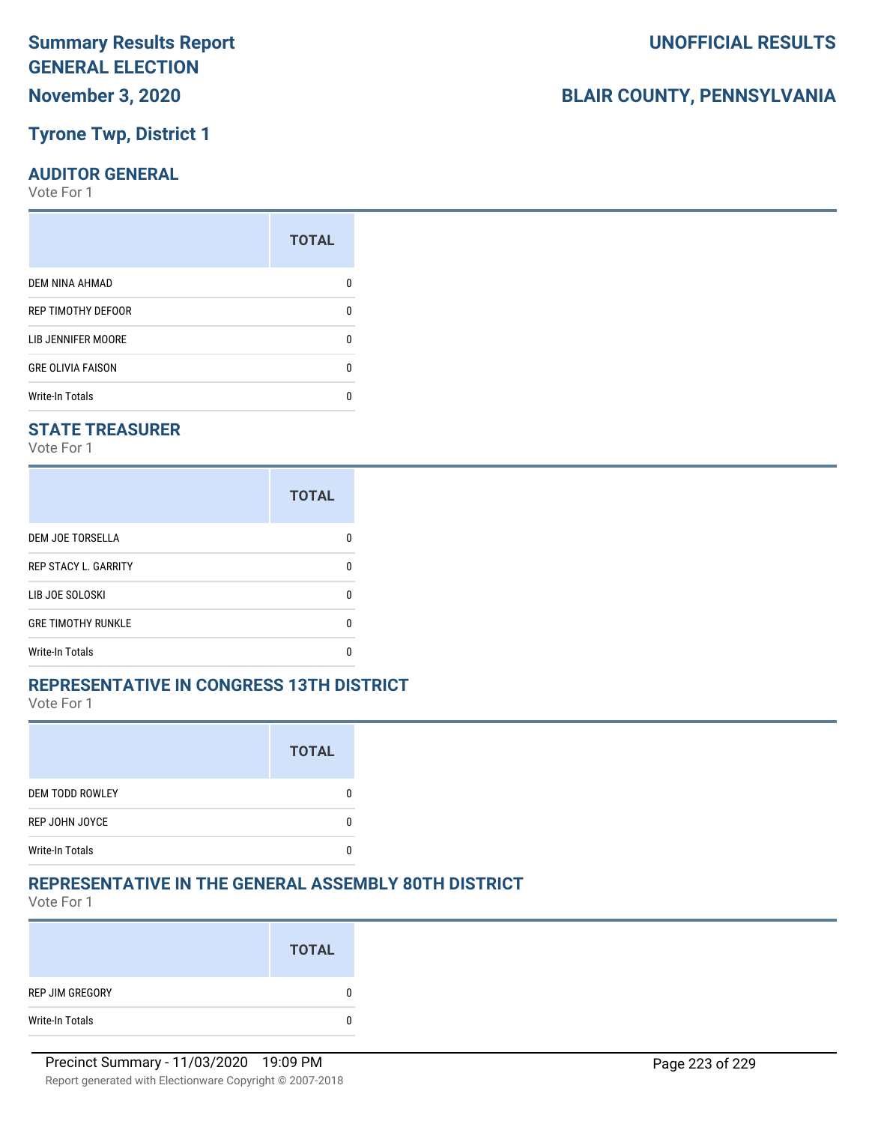## **Tyrone Twp, District 1**

#### **AUDITOR GENERAL**

Vote For 1

| ŋ |
|---|
| n |
| n |
|   |
|   |

### **STATE TREASURER**

Vote For 1

|                             | <b>TOTAL</b> |
|-----------------------------|--------------|
| DEM JOE TORSELLA            | n            |
| <b>REP STACY L. GARRITY</b> | n            |
| LIB JOE SOLOSKI             | U            |
| <b>GRE TIMOTHY RUNKLE</b>   | n            |
| <b>Write-In Totals</b>      | n            |

### **REPRESENTATIVE IN CONGRESS 13TH DISTRICT**

Vote For 1

|                        | <b>TOTAL</b> |
|------------------------|--------------|
| <b>DEM TODD ROWLEY</b> |              |
| REP JOHN JOYCE         |              |
| <b>Write-In Totals</b> |              |

### **REPRESENTATIVE IN THE GENERAL ASSEMBLY 80TH DISTRICT**

Vote For 1

|                 | <b>TOTAL</b> |
|-----------------|--------------|
| REP JIM GREGORY | 0            |
| Write-In Totals | 0            |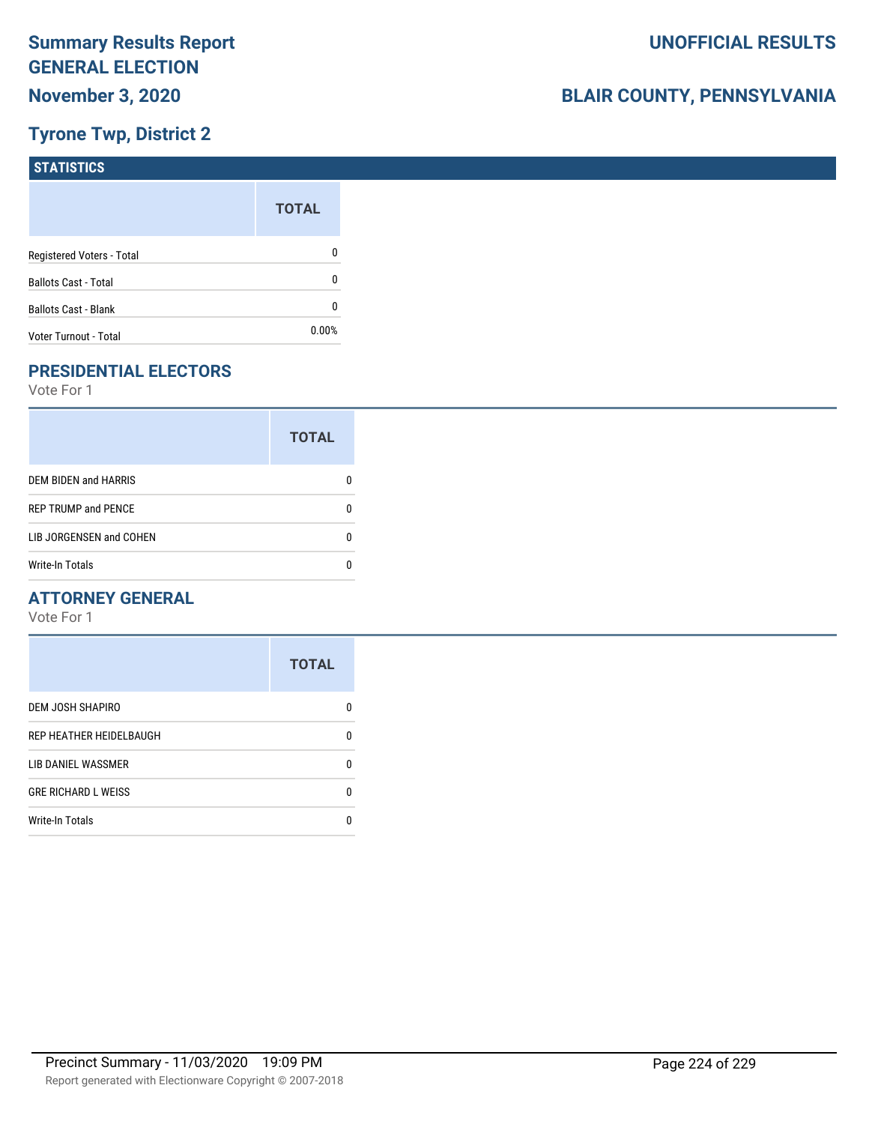## **Tyrone Twp, District 2**

| <b>STATISTICS</b>           |              |
|-----------------------------|--------------|
|                             | <b>TOTAL</b> |
| Registered Voters - Total   | 0            |
| <b>Ballots Cast - Total</b> | 0            |
| Ballots Cast - Blank        | 0            |
| Voter Turnout - Total       | 0.00%        |

## **PRESIDENTIAL ELECTORS**

Vote For 1

|                             | <b>TOTAL</b> |
|-----------------------------|--------------|
| <b>DEM BIDEN and HARRIS</b> |              |
| <b>REP TRUMP and PENCE</b>  |              |
| LIB JORGENSEN and COHEN     | n            |
| <b>Write-In Totals</b>      |              |

### **ATTORNEY GENERAL**

|                            | <b>TOTAL</b> |
|----------------------------|--------------|
| DEM JOSH SHAPIRO           | O            |
| REP HEATHER HEIDELBAUGH    | 0            |
| LIB DANIEL WASSMER         | n            |
| <b>GRE RICHARD L WEISS</b> | 0            |
| <b>Write-In Totals</b>     |              |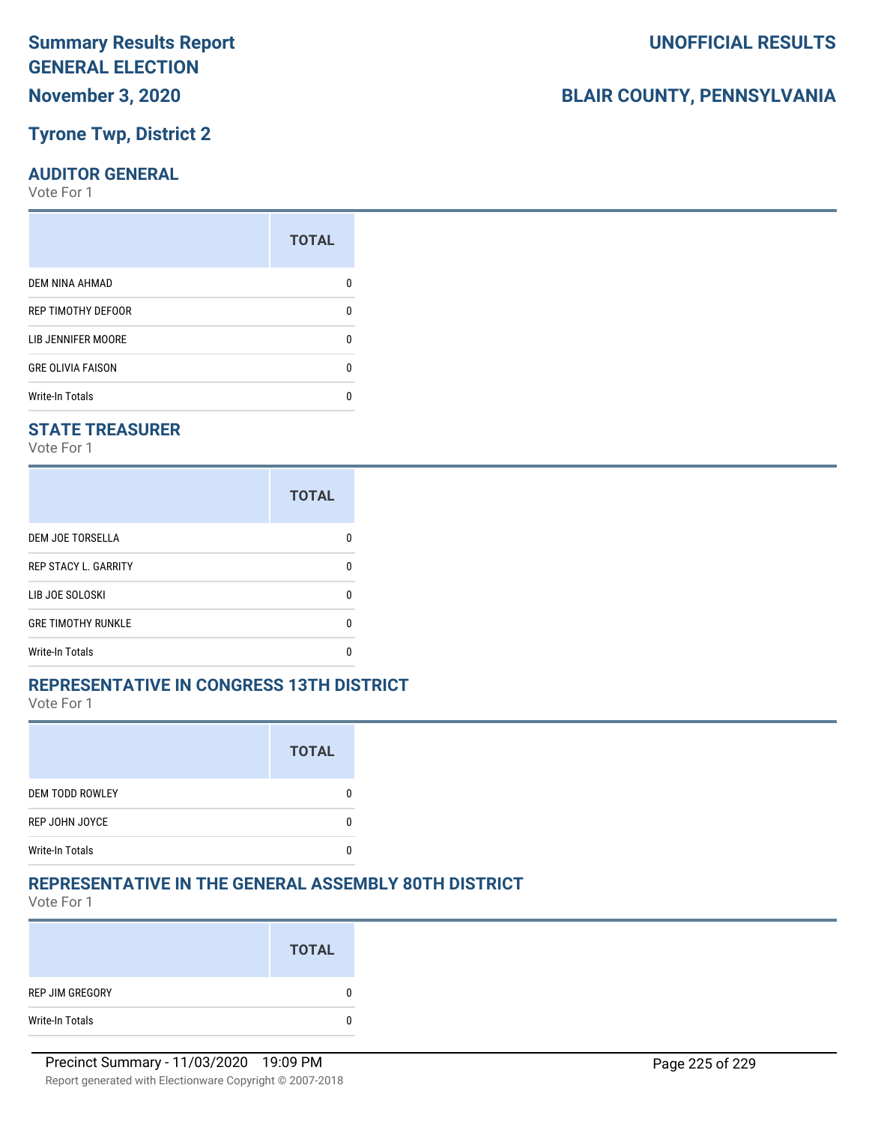## **Tyrone Twp, District 2**

### **AUDITOR GENERAL**

Vote For 1

| ŋ |
|---|
| n |
| n |
|   |
|   |

### **STATE TREASURER**

Vote For 1

|                             | <b>TOTAL</b> |
|-----------------------------|--------------|
| DEM JOE TORSELLA            | n            |
| <b>REP STACY L. GARRITY</b> | n            |
| LIB JOE SOLOSKI             | U            |
| <b>GRE TIMOTHY RUNKLE</b>   | n            |
| <b>Write-In Totals</b>      | n            |

### **REPRESENTATIVE IN CONGRESS 13TH DISTRICT**

Vote For 1

|                        | <b>TOTAL</b> |
|------------------------|--------------|
| <b>DEM TODD ROWLEY</b> |              |
| REP JOHN JOYCE         |              |
| <b>Write-In Totals</b> |              |

### **REPRESENTATIVE IN THE GENERAL ASSEMBLY 80TH DISTRICT**

Vote For 1

|                 | <b>TOTAL</b> |
|-----------------|--------------|
| REP JIM GREGORY | 0            |
| Write-In Totals | 0            |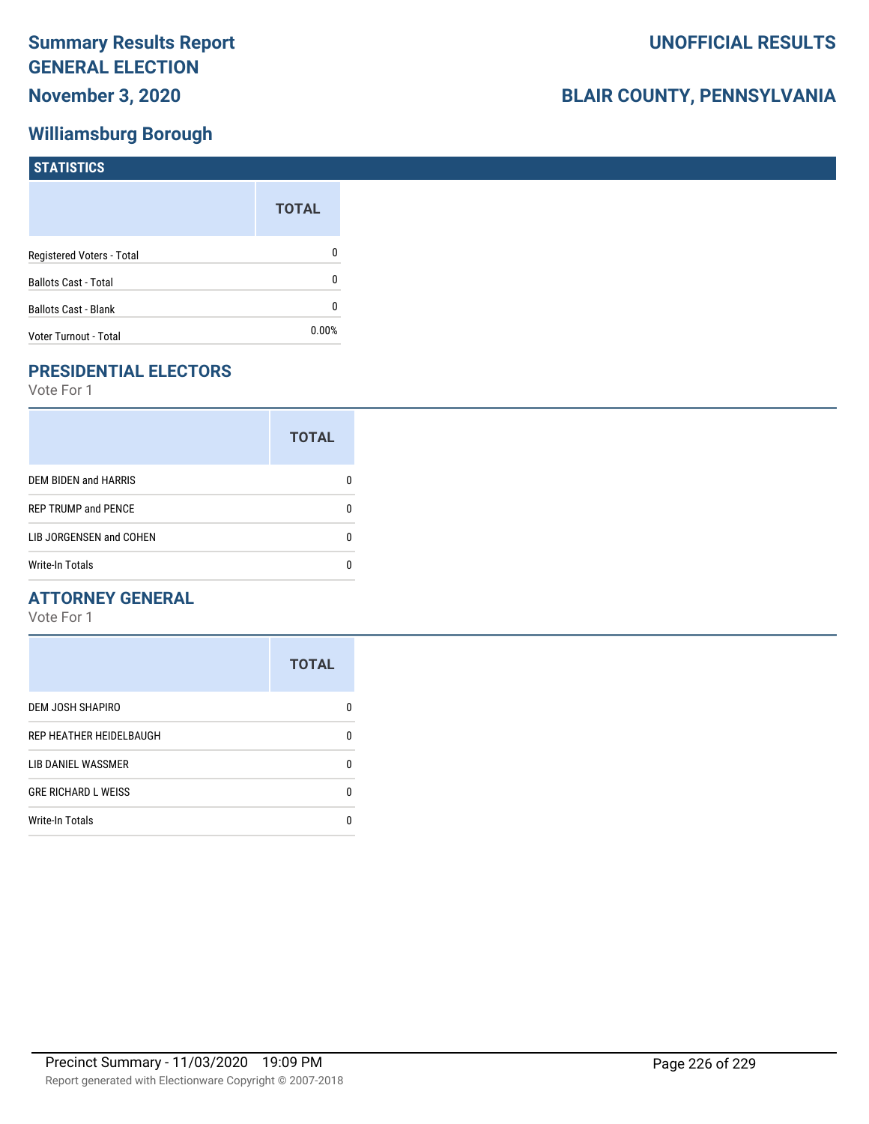## **Williamsburg Borough**

| <b>STATISTICS</b>           |              |
|-----------------------------|--------------|
|                             | <b>TOTAL</b> |
| Registered Voters - Total   | 0            |
| <b>Ballots Cast - Total</b> | 0            |
| Ballots Cast - Blank        | 0            |
| Voter Turnout - Total       | 0.00%        |

## **PRESIDENTIAL ELECTORS**

Vote For 1

|                             | <b>TOTAL</b> |
|-----------------------------|--------------|
| <b>DEM BIDEN and HARRIS</b> |              |
| <b>REP TRUMP and PENCE</b>  |              |
| LIB JORGENSEN and COHEN     |              |
| <b>Write-In Totals</b>      |              |

### **ATTORNEY GENERAL**

|                            | <b>TOTAL</b> |
|----------------------------|--------------|
| <b>DEM JOSH SHAPIRO</b>    | n            |
| REP HEATHER HEIDELBAUGH    | 0            |
| LIB DANIEL WASSMER         | n            |
| <b>GRE RICHARD L WEISS</b> | n            |
| <b>Write-In Totals</b>     |              |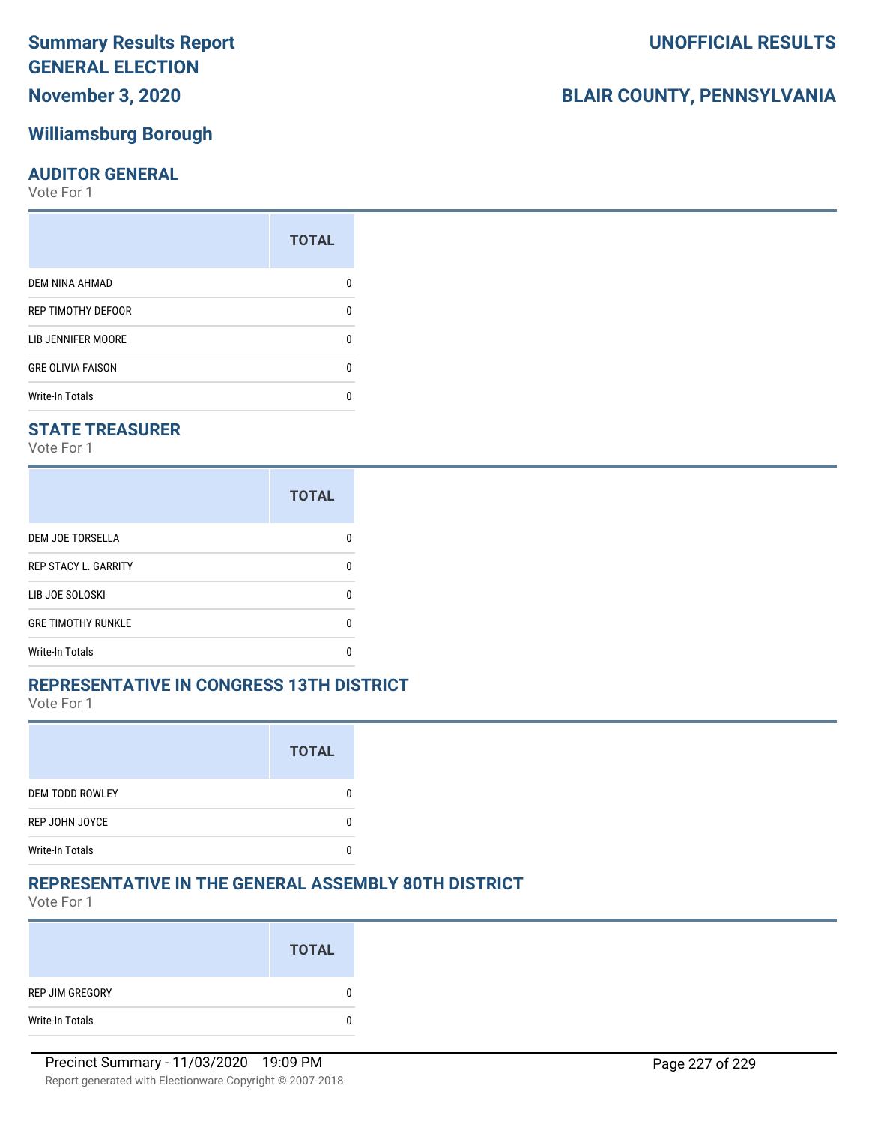# **Summary Results Report GENERAL ELECTION**

## **November 3, 2020**

## **Williamsburg Borough**

#### **AUDITOR GENERAL**

Vote For 1

|                          | <b>TOTAL</b> |
|--------------------------|--------------|
| DEM NINA AHMAD           |              |
| REP TIMOTHY DEFOOR       | n            |
| LIB JENNIFER MOORE       | n            |
| <b>GRE OLIVIA FAISON</b> | n            |
| <b>Write-In Totals</b>   |              |

### **STATE TREASURER**

Vote For 1

|                             | <b>TOTAL</b> |
|-----------------------------|--------------|
| <b>DEM JOE TORSELLA</b>     |              |
| <b>REP STACY L. GARRITY</b> |              |
| LIB JOE SOLOSKI             |              |
| <b>GRE TIMOTHY RUNKLE</b>   |              |
| <b>Write-In Totals</b>      |              |

### **REPRESENTATIVE IN CONGRESS 13TH DISTRICT**

Vote For 1

|                        | <b>TOTAL</b> |
|------------------------|--------------|
| <b>DEM TODD ROWLEY</b> |              |
| REP JOHN JOYCE         |              |
| <b>Write-In Totals</b> |              |

## **REPRESENTATIVE IN THE GENERAL ASSEMBLY 80TH DISTRICT**

Vote For 1

|                 | <b>TOTAL</b> |
|-----------------|--------------|
| REP JIM GREGORY | 0            |
| Write-In Totals | 0            |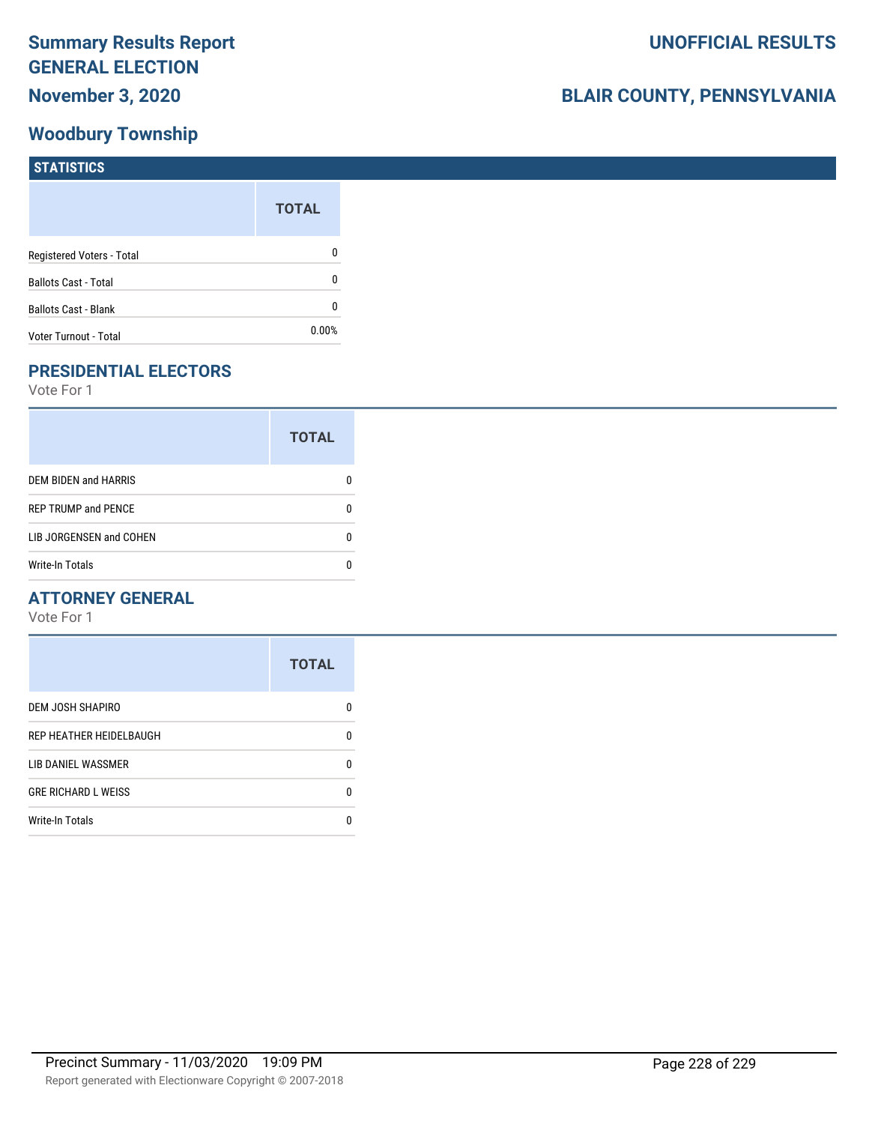## **Woodbury Township**

## **BLAIR COUNTY, PENNSYLVANIA**

| <b>STATISTICS</b>           |              |
|-----------------------------|--------------|
|                             | <b>TOTAL</b> |
| Registered Voters - Total   | 0            |
| <b>Ballots Cast - Total</b> | 0            |
| Ballots Cast - Blank        | 0            |
| Voter Turnout - Total       | 0.00%        |

## **PRESIDENTIAL ELECTORS**

Vote For 1

|                            | <b>TOTAL</b> |
|----------------------------|--------------|
| DEM BIDEN and HARRIS       |              |
| <b>REP TRUMP and PENCE</b> |              |
| LIB JORGENSEN and COHEN    | n            |
| <b>Write-In Totals</b>     |              |

### **ATTORNEY GENERAL**

|                            | <b>TOTAL</b> |
|----------------------------|--------------|
| DEM JOSH SHAPIRO           | n            |
| REP HEATHER HEIDELBAUGH    | 0            |
| LIB DANIEL WASSMER         | 0            |
| <b>GRE RICHARD L WEISS</b> | 0            |
| <b>Write-In Totals</b>     | n            |